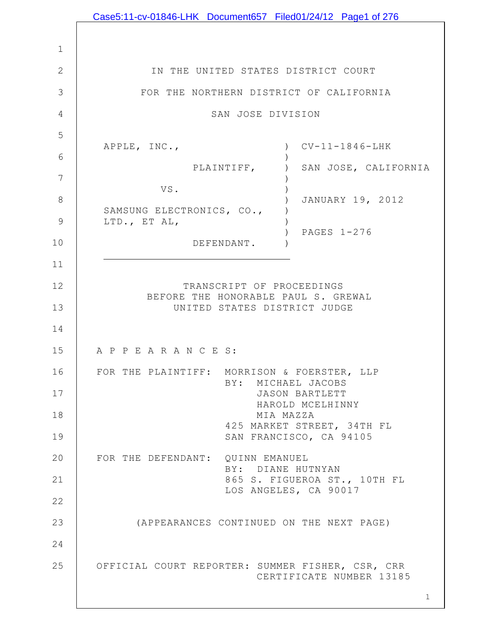| Case5:11-cv-01846-LHK Document657 Filed01/24/12 Page1 of 276                 |
|------------------------------------------------------------------------------|
|                                                                              |
|                                                                              |
| IN THE UNITED STATES DISTRICT COURT                                          |
| FOR THE NORTHERN DISTRICT OF CALIFORNIA                                      |
| SAN JOSE DIVISION                                                            |
|                                                                              |
| $CV-11-1846-LHK$<br>APPLE, INC.,<br>$\lambda$                                |
| PLAINTIFF,<br>SAN JOSE, CALIFORNIA                                           |
| VS.<br>JANUARY 19, 2012                                                      |
| SAMSUNG ELECTRONICS, CO.,<br>LTD., ET AL,                                    |
| PAGES 1-276<br>DEFENDANT.                                                    |
|                                                                              |
| TRANSCRIPT OF PROCEEDINGS                                                    |
| BEFORE THE HONORABLE PAUL S. GREWAL<br>UNITED STATES DISTRICT JUDGE          |
|                                                                              |
| A P P E A R A N C E S:                                                       |
| FOR THE PLAINTIFF: MORRISON & FOERSTER, LLP                                  |
| BY: MICHAEL JACOBS<br><b>JASON BARTLETT</b>                                  |
| HAROLD MCELHINNY                                                             |
| MIA MAZZA<br>425 MARKET STREET, 34TH FL                                      |
| SAN FRANCISCO, CA 94105                                                      |
| FOR THE DEFENDANT: QUINN EMANUEL<br>BY: DIANE HUTNYAN                        |
| 865 S. FIGUEROA ST., 10TH FL<br>LOS ANGELES, CA 90017                        |
|                                                                              |
| (APPEARANCES CONTINUED ON THE NEXT PAGE)                                     |
|                                                                              |
| OFFICIAL COURT REPORTER: SUMMER FISHER, CSR, CRR<br>CERTIFICATE NUMBER 13185 |
| $\mathbf 1$                                                                  |
|                                                                              |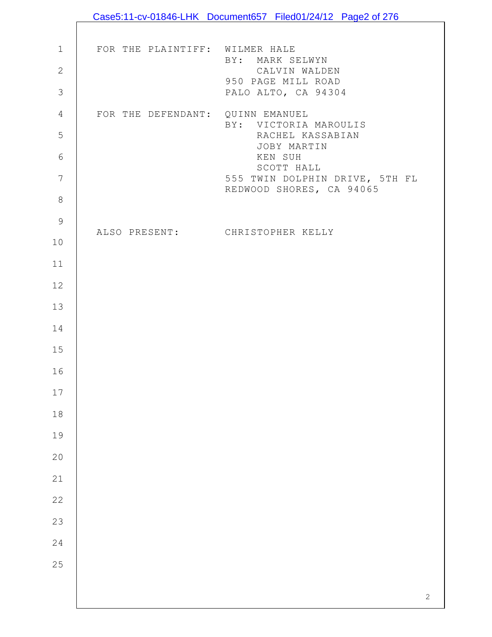|                |                                  | Case5:11-cv-01846-LHK Document657 Filed01/24/12 Page2 of 276 |
|----------------|----------------------------------|--------------------------------------------------------------|
|                |                                  |                                                              |
| $1\,$          | FOR THE PLAINTIFF: WILMER HALE   | BY: MARK SELWYN                                              |
| $\mathbf{2}$   |                                  | CALVIN WALDEN                                                |
| $\mathfrak{Z}$ |                                  | 950 PAGE MILL ROAD<br>PALO ALTO, CA 94304                    |
| $\overline{4}$ | FOR THE DEFENDANT: QUINN EMANUEL |                                                              |
| 5              |                                  | BY: VICTORIA MAROULIS<br>RACHEL KASSABIAN                    |
| $\sqrt{6}$     |                                  | JOBY MARTIN<br>KEN SUH                                       |
| $\overline{7}$ |                                  | SCOTT HALL<br>555 TWIN DOLPHIN DRIVE, 5TH FL                 |
| $\,8\,$        |                                  | REDWOOD SHORES, CA 94065                                     |
| $\mathsf 9$    |                                  |                                                              |
| 10             |                                  | ALSO PRESENT: CHRISTOPHER KELLY                              |
| 11             |                                  |                                                              |
| 12             |                                  |                                                              |
| 13             |                                  |                                                              |
| 14             |                                  |                                                              |
| 15             |                                  |                                                              |
| 16             |                                  |                                                              |
| 17             |                                  |                                                              |
| 18             |                                  |                                                              |
| 19             |                                  |                                                              |
| 20             |                                  |                                                              |
| 21             |                                  |                                                              |
| 22             |                                  |                                                              |
| 23             |                                  |                                                              |
| 24             |                                  |                                                              |
| 25             |                                  |                                                              |
|                |                                  |                                                              |
|                |                                  | $\mathbf{2}$                                                 |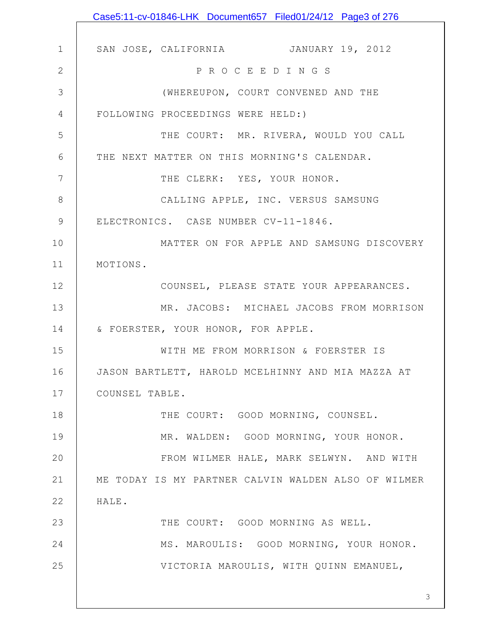|               | Case5:11-cv-01846-LHK Document657 Filed01/24/12 Page3 of 276 |
|---------------|--------------------------------------------------------------|
|               |                                                              |
| $\mathbf 1$   | SAN JOSE, CALIFORNIA JANUARY 19, 2012                        |
| $\mathbf{2}$  | P R O C E E D I N G S                                        |
| 3             | (WHEREUPON, COURT CONVENED AND THE                           |
| 4             | FOLLOWING PROCEEDINGS WERE HELD:)                            |
| 5             | THE COURT: MR. RIVERA, WOULD YOU CALL                        |
| 6             | THE NEXT MATTER ON THIS MORNING'S CALENDAR.                  |
| 7             | THE CLERK: YES, YOUR HONOR.                                  |
| 8             | CALLING APPLE, INC. VERSUS SAMSUNG                           |
| $\mathcal{G}$ | ELECTRONICS. CASE NUMBER CV-11-1846.                         |
| 10            | MATTER ON FOR APPLE AND SAMSUNG DISCOVERY                    |
| 11            | MOTIONS.                                                     |
| 12            | COUNSEL, PLEASE STATE YOUR APPEARANCES.                      |
| 13            | MR. JACOBS: MICHAEL JACOBS FROM MORRISON                     |
| 14            | & FOERSTER, YOUR HONOR, FOR APPLE.                           |
| 15            | WITH ME FROM MORRISON & FOERSTER IS                          |
| 16            | JASON BARTLETT, HAROLD MCELHINNY AND MIA MAZZA AT            |
| 17            | COUNSEL TABLE.                                               |
| 18            | THE COURT: GOOD MORNING, COUNSEL.                            |
| 19            | MR. WALDEN: GOOD MORNING, YOUR HONOR.                        |
| 20            | FROM WILMER HALE, MARK SELWYN. AND WITH                      |
| 21            | ME TODAY IS MY PARTNER CALVIN WALDEN ALSO OF WILMER          |
| 22            | HALE.                                                        |
| 23            | THE COURT: GOOD MORNING AS WELL.                             |
| 24            | MS. MAROULIS: GOOD MORNING, YOUR HONOR.                      |
| 25            | VICTORIA MAROULIS, WITH QUINN EMANUEL,                       |
|               |                                                              |
|               | 3                                                            |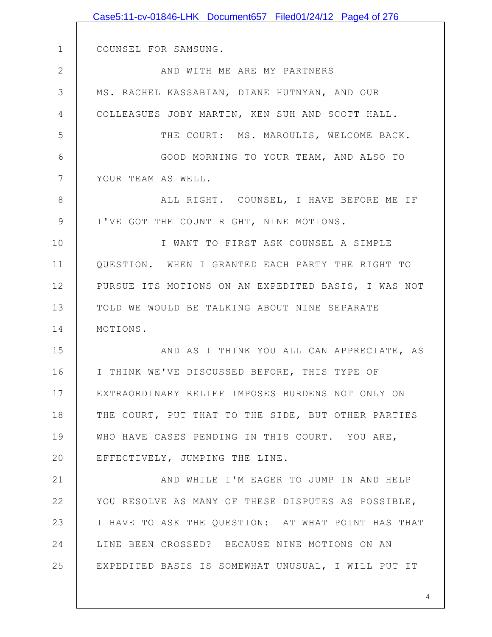|                | Case5:11-cv-01846-LHK Document657 Filed01/24/12 Page4 of 276 |
|----------------|--------------------------------------------------------------|
|                |                                                              |
| $\mathbf 1$    | COUNSEL FOR SAMSUNG.                                         |
| $\mathbf{2}$   | AND WITH ME ARE MY PARTNERS                                  |
| 3              | MS. RACHEL KASSABIAN, DIANE HUTNYAN, AND OUR                 |
| $\overline{4}$ | COLLEAGUES JOBY MARTIN, KEN SUH AND SCOTT HALL.              |
| 5              | THE COURT: MS. MAROULIS, WELCOME BACK.                       |
| 6              | GOOD MORNING TO YOUR TEAM, AND ALSO TO                       |
| $7\phantom{.}$ | YOUR TEAM AS WELL.                                           |
| $\,8\,$        | ALL RIGHT. COUNSEL, I HAVE BEFORE ME IF                      |
| $\mathsf 9$    | I'VE GOT THE COUNT RIGHT, NINE MOTIONS.                      |
| 10             | I WANT TO FIRST ASK COUNSEL A SIMPLE                         |
| 11             | QUESTION. WHEN I GRANTED EACH PARTY THE RIGHT TO             |
| 12             | PURSUE ITS MOTIONS ON AN EXPEDITED BASIS, I WAS NOT          |
| 13             | TOLD WE WOULD BE TALKING ABOUT NINE SEPARATE                 |
| 14             | MOTIONS.                                                     |
| 15             | AND AS I THINK YOU ALL CAN APPRECIATE, AS                    |
| 16             | I THINK WE'VE DISCUSSED BEFORE, THIS TYPE OF                 |
| 17             | EXTRAORDINARY RELIEF IMPOSES BURDENS NOT ONLY ON             |
| 18             | THE COURT, PUT THAT TO THE SIDE, BUT OTHER PARTIES           |
| 19             | WHO HAVE CASES PENDING IN THIS COURT. YOU ARE,               |
| 20             | EFFECTIVELY, JUMPING THE LINE.                               |
| 21             | AND WHILE I'M EAGER TO JUMP IN AND HELP                      |
| 22             | YOU RESOLVE AS MANY OF THESE DISPUTES AS POSSIBLE,           |
| 23             | I HAVE TO ASK THE QUESTION: AT WHAT POINT HAS THAT           |
| 24             | LINE BEEN CROSSED? BECAUSE NINE MOTIONS ON AN                |
| 25             | EXPEDITED BASIS IS SOMEWHAT UNUSUAL, I WILL PUT IT           |
|                |                                                              |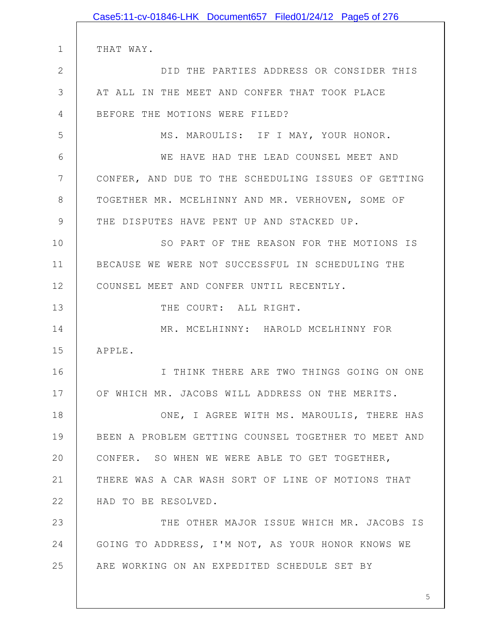1 2 3 4 5 6 7 8 9 10 11 12 13 14 15 16 17 18 19 20 21 22 23 24 25 THAT WAY. DID THE PARTIES ADDRESS OR CONSIDER THIS AT ALL IN THE MEET AND CONFER THAT TOOK PLACE BEFORE THE MOTIONS WERE FILED? MS. MAROULIS: IF I MAY, YOUR HONOR. WE HAVE HAD THE LEAD COUNSEL MEET AND CONFER, AND DUE TO THE SCHEDULING ISSUES OF GETTING TOGETHER MR. MCELHINNY AND MR. VERHOVEN, SOME OF THE DISPUTES HAVE PENT UP AND STACKED UP. SO PART OF THE REASON FOR THE MOTIONS IS BECAUSE WE WERE NOT SUCCESSFUL IN SCHEDULING THE COUNSEL MEET AND CONFER UNTIL RECENTLY. THE COURT: ALL RIGHT. MR. MCELHINNY: HAROLD MCELHINNY FOR APPLE. I THINK THERE ARE TWO THINGS GOING ON ONE OF WHICH MR. JACOBS WILL ADDRESS ON THE MERITS. ONE, I AGREE WITH MS. MAROULIS, THERE HAS BEEN A PROBLEM GETTING COUNSEL TOGETHER TO MEET AND CONFER. SO WHEN WE WERE ABLE TO GET TOGETHER, THERE WAS A CAR WASH SORT OF LINE OF MOTIONS THAT HAD TO BE RESOLVED. THE OTHER MAJOR ISSUE WHICH MR. JACOBS IS GOING TO ADDRESS, I'M NOT, AS YOUR HONOR KNOWS WE ARE WORKING ON AN EXPEDITED SCHEDULE SET BY Case5:11-cv-01846-LHK Document657 Filed01/24/12 Page5 of 276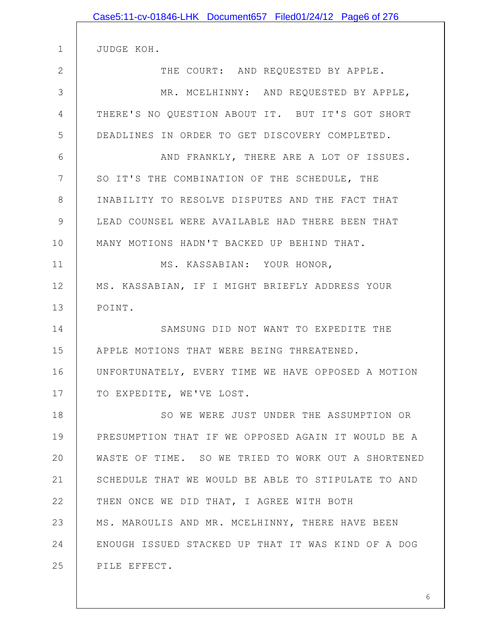|               | Case5:11-cv-01846-LHK Document657 Filed01/24/12 Page6 of 276 |
|---------------|--------------------------------------------------------------|
| $\mathbf 1$   |                                                              |
|               | JUDGE KOH.                                                   |
| $\mathbf{2}$  | THE COURT: AND REQUESTED BY APPLE.                           |
| 3             | MR. MCELHINNY: AND REQUESTED BY APPLE,                       |
| 4             | THERE'S NO QUESTION ABOUT IT. BUT IT'S GOT SHORT             |
| 5             | DEADLINES IN ORDER TO GET DISCOVERY COMPLETED.               |
| 6             | AND FRANKLY, THERE ARE A LOT OF ISSUES.                      |
| 7             | SO IT'S THE COMBINATION OF THE SCHEDULE, THE                 |
| 8             | INABILITY TO RESOLVE DISPUTES AND THE FACT THAT              |
| $\mathcal{G}$ | LEAD COUNSEL WERE AVAILABLE HAD THERE BEEN THAT              |
| 10            | MANY MOTIONS HADN'T BACKED UP BEHIND THAT.                   |
| 11            | MS. KASSABIAN: YOUR HONOR,                                   |
| 12            | MS. KASSABIAN, IF I MIGHT BRIEFLY ADDRESS YOUR               |
| 13            | POINT.                                                       |
| 14            | SAMSUNG DID NOT WANT TO EXPEDITE THE                         |
| 15            | APPLE MOTIONS THAT WERE BEING THREATENED.                    |
| 16            | UNFORTUNATELY, EVERY TIME WE HAVE OPPOSED A MOTION           |
| 17            | TO EXPEDITE, WE'VE LOST.                                     |
| 18            | SO WE WERE JUST UNDER THE ASSUMPTION OR                      |
| 19            | PRESUMPTION THAT IF WE OPPOSED AGAIN IT WOULD BE A           |
| 20            | WASTE OF TIME. SO WE TRIED TO WORK OUT A SHORTENED           |
| 21            | SCHEDULE THAT WE WOULD BE ABLE TO STIPULATE TO AND           |
| 22            | THEN ONCE WE DID THAT, I AGREE WITH BOTH                     |
| 23            | MS. MAROULIS AND MR. MCELHINNY, THERE HAVE BEEN              |
| 24            | ENOUGH ISSUED STACKED UP THAT IT WAS KIND OF A DOG           |
| 25            | PILE EFFECT.                                                 |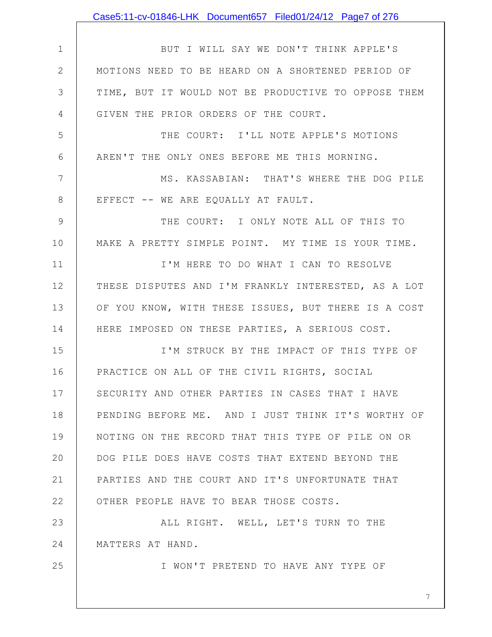|              | Case5:11-cv-01846-LHK Document657 Filed01/24/12 Page7 of 276 |
|--------------|--------------------------------------------------------------|
|              |                                                              |
| $\mathbf 1$  | BUT I WILL SAY WE DON'T THINK APPLE'S                        |
| $\mathbf{2}$ | MOTIONS NEED TO BE HEARD ON A SHORTENED PERIOD OF            |
| 3            | TIME, BUT IT WOULD NOT BE PRODUCTIVE TO OPPOSE THEM          |
| 4            | GIVEN THE PRIOR ORDERS OF THE COURT.                         |
| 5            | THE COURT: I'LL NOTE APPLE'S MOTIONS                         |
| 6            | AREN'T THE ONLY ONES BEFORE ME THIS MORNING.                 |
| 7            | MS. KASSABIAN: THAT'S WHERE THE DOG PILE                     |
| $8\,$        | EFFECT -- WE ARE EQUALLY AT FAULT.                           |
| 9            | THE COURT: I ONLY NOTE ALL OF THIS TO                        |
| 10           | MAKE A PRETTY SIMPLE POINT. MY TIME IS YOUR TIME.            |
| 11           | I'M HERE TO DO WHAT I CAN TO RESOLVE                         |
| 12           | THESE DISPUTES AND I'M FRANKLY INTERESTED, AS A LOT          |
| 13           | OF YOU KNOW, WITH THESE ISSUES, BUT THERE IS A COST          |
| 14           | HERE IMPOSED ON THESE PARTIES, A SERIOUS COST.               |
| 15           | I'M STRUCK BY THE IMPACT OF THIS TYPE OF                     |
| 16           | PRACTICE ON ALL OF THE CIVIL RIGHTS, SOCIAL                  |
| 17           | SECURITY AND OTHER PARTIES IN CASES THAT I HAVE              |
| 18           | PENDING BEFORE ME. AND I JUST THINK IT'S WORTHY OF           |
| 19           | NOTING ON THE RECORD THAT THIS TYPE OF PILE ON OR            |
| 20           | DOG PILE DOES HAVE COSTS THAT EXTEND BEYOND THE              |
| 21           | PARTIES AND THE COURT AND IT'S UNFORTUNATE THAT              |
| 22           | OTHER PEOPLE HAVE TO BEAR THOSE COSTS.                       |
| 23           | ALL RIGHT. WELL, LET'S TURN TO THE                           |
| 24           | MATTERS AT HAND.                                             |
| 25           | I WON'T PRETEND TO HAVE ANY TYPE OF                          |
|              | 7                                                            |
|              |                                                              |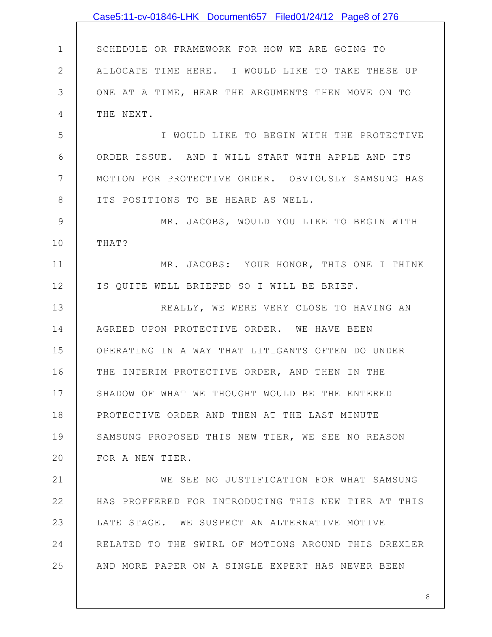|              | Case5:11-cv-01846-LHK Document657 Filed01/24/12 Page8 of 276 |
|--------------|--------------------------------------------------------------|
|              |                                                              |
| $\mathbf 1$  | SCHEDULE OR FRAMEWORK FOR HOW WE ARE GOING TO                |
| $\mathbf{2}$ | ALLOCATE TIME HERE. I WOULD LIKE TO TAKE THESE UP            |
| 3            | ONE AT A TIME, HEAR THE ARGUMENTS THEN MOVE ON TO            |
| 4            | THE NEXT.                                                    |
| 5            | I WOULD LIKE TO BEGIN WITH THE PROTECTIVE                    |
| 6            | ORDER ISSUE. AND I WILL START WITH APPLE AND ITS             |
| 7            | MOTION FOR PROTECTIVE ORDER. OBVIOUSLY SAMSUNG HAS           |
| 8            | ITS POSITIONS TO BE HEARD AS WELL.                           |
| 9            | MR. JACOBS, WOULD YOU LIKE TO BEGIN WITH                     |
| 10           | THAT?                                                        |
| 11           | MR. JACOBS: YOUR HONOR, THIS ONE I THINK                     |
| 12           | IS QUITE WELL BRIEFED SO I WILL BE BRIEF.                    |
| 13           | REALLY, WE WERE VERY CLOSE TO HAVING AN                      |
| 14           | AGREED UPON PROTECTIVE ORDER. WE HAVE BEEN                   |
| 15           | OPERATING IN A WAY THAT LITIGANTS OFTEN DO UNDER             |
| 16           | THE INTERIM PROTECTIVE ORDER, AND THEN IN THE                |
| 17           | SHADOW OF WHAT WE THOUGHT WOULD BE THE ENTERED               |
| 18           | PROTECTIVE ORDER AND THEN AT THE LAST MINUTE                 |
| 19           | SAMSUNG PROPOSED THIS NEW TIER, WE SEE NO REASON             |
| 20           | FOR A NEW TIER.                                              |
| 21           | WE SEE NO JUSTIFICATION FOR WHAT SAMSUNG                     |
| 22           | HAS PROFFERED FOR INTRODUCING THIS NEW TIER AT THIS          |
| 23           | LATE STAGE. WE SUSPECT AN ALTERNATIVE MOTIVE                 |
| 24           | RELATED TO THE SWIRL OF MOTIONS AROUND THIS DREXLER          |
| 25           | AND MORE PAPER ON A SINGLE EXPERT HAS NEVER BEEN             |
|              |                                                              |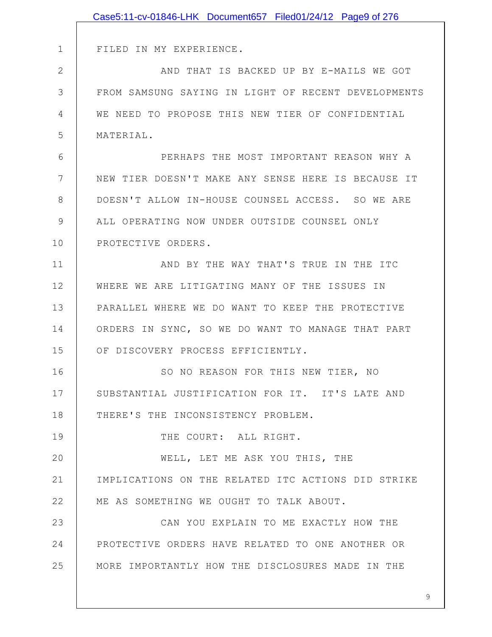|               | Case5:11-cv-01846-LHK Document657 Filed01/24/12 Page9 of 276 |
|---------------|--------------------------------------------------------------|
|               |                                                              |
| $\mathbf 1$   | FILED IN MY EXPERIENCE.                                      |
| $\mathbf{2}$  | AND THAT IS BACKED UP BY E-MAILS WE GOT                      |
| 3             | FROM SAMSUNG SAYING IN LIGHT OF RECENT DEVELOPMENTS          |
| 4             | WE NEED TO PROPOSE THIS NEW TIER OF CONFIDENTIAL             |
| 5             | MATERIAL.                                                    |
| 6             | PERHAPS THE MOST IMPORTANT REASON WHY A                      |
| 7             | NEW TIER DOESN'T MAKE ANY SENSE HERE IS BECAUSE IT           |
| 8             | DOESN'T ALLOW IN-HOUSE COUNSEL ACCESS. SO WE ARE             |
| $\mathcal{G}$ | ALL OPERATING NOW UNDER OUTSIDE COUNSEL ONLY                 |
| 10            | PROTECTIVE ORDERS.                                           |
| 11            | AND BY THE WAY THAT'S TRUE IN THE ITC                        |
| 12            | WHERE WE ARE LITIGATING MANY OF THE ISSUES IN                |
| 13            | PARALLEL WHERE WE DO WANT TO KEEP THE PROTECTIVE             |
| 14            | ORDERS IN SYNC, SO WE DO WANT TO MANAGE THAT PART            |
| 15            | OF DISCOVERY PROCESS EFFICIENTLY.                            |
| 16            | SO NO REASON FOR THIS NEW TIER, NO                           |
| 17            | SUBSTANTIAL JUSTIFICATION FOR IT. IT'S LATE AND              |
| 18            | THERE'S THE INCONSISTENCY PROBLEM.                           |
| 19            | THE COURT: ALL RIGHT.                                        |
| 20            | WELL, LET ME ASK YOU THIS, THE                               |
| 21            | IMPLICATIONS ON THE RELATED ITC ACTIONS DID STRIKE           |
| 22            | ME AS SOMETHING WE OUGHT TO TALK ABOUT.                      |
| 23            | CAN YOU EXPLAIN TO ME EXACTLY HOW THE                        |
| 24            | PROTECTIVE ORDERS HAVE RELATED TO ONE ANOTHER OR             |
| 25            | MORE IMPORTANTLY HOW THE DISCLOSURES MADE IN THE             |
|               |                                                              |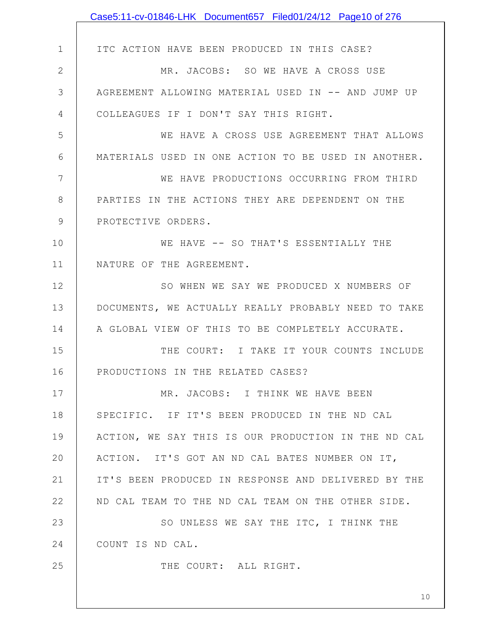|              | Case5:11-cv-01846-LHK Document657 Filed01/24/12 Page10 of 276 |
|--------------|---------------------------------------------------------------|
|              |                                                               |
| $\mathbf 1$  | ITC ACTION HAVE BEEN PRODUCED IN THIS CASE?                   |
| $\mathbf{2}$ | MR. JACOBS: SO WE HAVE A CROSS USE                            |
| 3            | AGREEMENT ALLOWING MATERIAL USED IN -- AND JUMP UP            |
| 4            | COLLEAGUES IF I DON'T SAY THIS RIGHT.                         |
| 5            | WE HAVE A CROSS USE AGREEMENT THAT ALLOWS                     |
| 6            | MATERIALS USED IN ONE ACTION TO BE USED IN ANOTHER.           |
| 7            | WE HAVE PRODUCTIONS OCCURRING FROM THIRD                      |
| 8            | PARTIES IN THE ACTIONS THEY ARE DEPENDENT ON THE              |
| 9            | PROTECTIVE ORDERS.                                            |
| 10           | WE HAVE -- SO THAT'S ESSENTIALLY THE                          |
| 11           | NATURE OF THE AGREEMENT.                                      |
| 12           | SO WHEN WE SAY WE PRODUCED X NUMBERS OF                       |
| 13           | DOCUMENTS, WE ACTUALLY REALLY PROBABLY NEED TO TAKE           |
| 14           | A GLOBAL VIEW OF THIS TO BE COMPLETELY ACCURATE.              |
| 15           | THE COURT: I TAKE IT YOUR COUNTS INCLUDE                      |
| 16           | PRODUCTIONS IN THE RELATED CASES?                             |
| 17           | MR. JACOBS: I THINK WE HAVE BEEN                              |
| 18           | SPECIFIC. IF IT'S BEEN PRODUCED IN THE ND CAL                 |
| 19           | ACTION, WE SAY THIS IS OUR PRODUCTION IN THE ND CAL           |
| 20           | ACTION. IT'S GOT AN ND CAL BATES NUMBER ON IT,                |
| 21           | IT'S BEEN PRODUCED IN RESPONSE AND DELIVERED BY THE           |
| 22           | ND CAL TEAM TO THE ND CAL TEAM ON THE OTHER SIDE.             |
| 23           | SO UNLESS WE SAY THE ITC, I THINK THE                         |
| 24           | COUNT IS ND CAL.                                              |
| 25           | THE COURT: ALL RIGHT.                                         |
|              | 10                                                            |
|              |                                                               |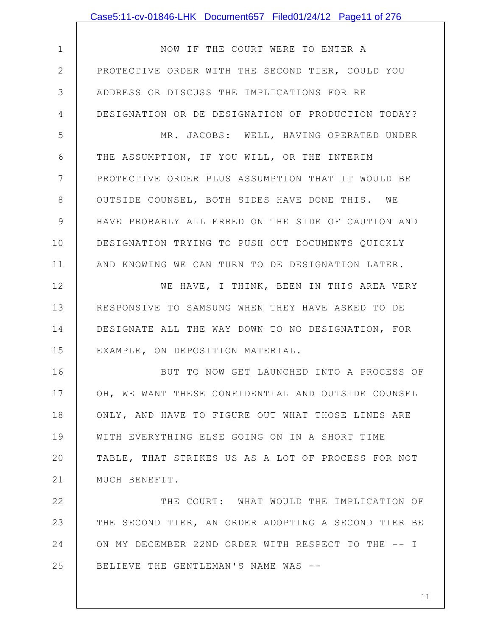|                | Case5:11-cv-01846-LHK Document657 Filed01/24/12 Page11 of 276 |
|----------------|---------------------------------------------------------------|
|                |                                                               |
| $\mathbf 1$    | NOW IF THE COURT WERE TO ENTER A                              |
| $\overline{2}$ | PROTECTIVE ORDER WITH THE SECOND TIER, COULD YOU              |
| 3              | ADDRESS OR DISCUSS THE IMPLICATIONS FOR RE                    |
| 4              | DESIGNATION OR DE DESIGNATION OF PRODUCTION TODAY?            |
| 5              | MR. JACOBS: WELL, HAVING OPERATED UNDER                       |
| 6              | THE ASSUMPTION, IF YOU WILL, OR THE INTERIM                   |
| $7\phantom{.}$ | PROTECTIVE ORDER PLUS ASSUMPTION THAT IT WOULD BE             |
| 8              | OUTSIDE COUNSEL, BOTH SIDES HAVE DONE THIS. WE                |
| $\mathcal{G}$  | HAVE PROBABLY ALL ERRED ON THE SIDE OF CAUTION AND            |
| 10             | DESIGNATION TRYING TO PUSH OUT DOCUMENTS QUICKLY              |
| 11             | AND KNOWING WE CAN TURN TO DE DESIGNATION LATER.              |
| 12             | WE HAVE, I THINK, BEEN IN THIS AREA VERY                      |
| 13             | RESPONSIVE TO SAMSUNG WHEN THEY HAVE ASKED TO DE              |
| 14             | DESIGNATE ALL THE WAY DOWN TO NO DESIGNATION, FOR             |
| 15             | EXAMPLE, ON DEPOSITION MATERIAL.                              |
| 16             | BUT TO NOW GET LAUNCHED INTO A PROCESS OF                     |
| 17             | OH, WE WANT THESE CONFIDENTIAL AND OUTSIDE COUNSEL            |
| 18             | ONLY, AND HAVE TO FIGURE OUT WHAT THOSE LINES ARE             |
| 19             | WITH EVERYTHING ELSE GOING ON IN A SHORT TIME                 |
| 20             | TABLE, THAT STRIKES US AS A LOT OF PROCESS FOR NOT            |
| 21             | MUCH BENEFIT.                                                 |
| 22             | THE COURT: WHAT WOULD THE IMPLICATION OF                      |
| 23             | THE SECOND TIER, AN ORDER ADOPTING A SECOND TIER BE           |
| 24             | ON MY DECEMBER 22ND ORDER WITH RESPECT TO THE -- I            |
| 25             | BELIEVE THE GENTLEMAN'S NAME WAS --                           |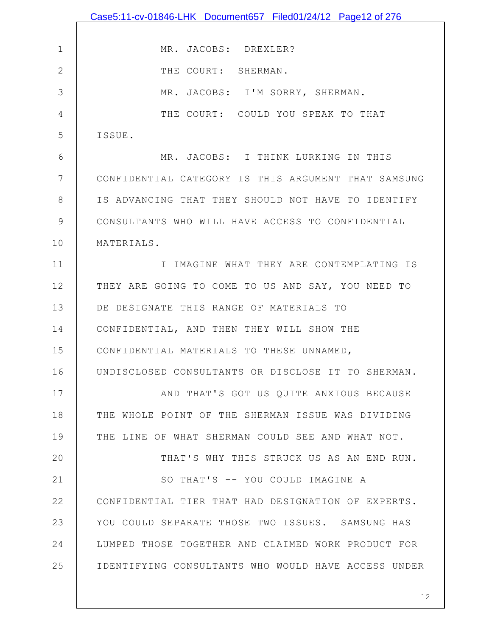|               | Case5:11-cv-01846-LHK Document657 Filed01/24/12 Page12 of 276 |
|---------------|---------------------------------------------------------------|
|               |                                                               |
| $\mathbf 1$   | MR. JACOBS: DREXLER?                                          |
| $\mathbf{2}$  | THE COURT: SHERMAN.                                           |
| 3             | MR. JACOBS: I'M SORRY, SHERMAN.                               |
| 4             | THE COURT: COULD YOU SPEAK TO THAT                            |
| 5             | ISSUE.                                                        |
| 6             | MR. JACOBS: I THINK LURKING IN THIS                           |
| 7             | CONFIDENTIAL CATEGORY IS THIS ARGUMENT THAT SAMSUNG           |
| 8             | IS ADVANCING THAT THEY SHOULD NOT HAVE TO IDENTIFY            |
| $\mathcal{G}$ | CONSULTANTS WHO WILL HAVE ACCESS TO CONFIDENTIAL              |
| 10            | MATERIALS.                                                    |
| 11            | I IMAGINE WHAT THEY ARE CONTEMPLATING IS                      |
| 12            | THEY ARE GOING TO COME TO US AND SAY, YOU NEED TO             |
| 13            | DE DESIGNATE THIS RANGE OF MATERIALS TO                       |
| 14            | CONFIDENTIAL, AND THEN THEY WILL SHOW THE                     |
| 15            | CONFIDENTIAL MATERIALS TO THESE UNNAMED,                      |
| 16            | UNDISCLOSED CONSULTANTS OR DISCLOSE IT TO SHERMAN.            |
| 17            | AND THAT'S GOT US OUITE ANXIOUS BECAUSE                       |
| 18            | THE WHOLE POINT OF THE SHERMAN ISSUE WAS DIVIDING             |
| 19            | THE LINE OF WHAT SHERMAN COULD SEE AND WHAT NOT.              |
| 20            | THAT'S WHY THIS STRUCK US AS AN END RUN.                      |
| 21            | SO THAT'S -- YOU COULD IMAGINE A                              |
| 22            | CONFIDENTIAL TIER THAT HAD DESIGNATION OF EXPERTS.            |
| 23            | YOU COULD SEPARATE THOSE TWO ISSUES. SAMSUNG HAS              |
| 24            | LUMPED THOSE TOGETHER AND CLAIMED WORK PRODUCT FOR            |
| 25            | IDENTIFYING CONSULTANTS WHO WOULD HAVE ACCESS UNDER           |
|               |                                                               |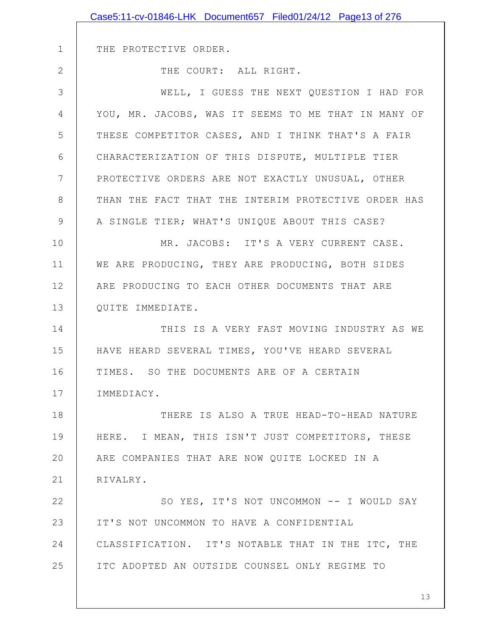|              | Case5:11-cv-01846-LHK Document657 Filed01/24/12 Page13 of 276 |
|--------------|---------------------------------------------------------------|
|              |                                                               |
| $\mathbf 1$  | THE PROTECTIVE ORDER.                                         |
| $\mathbf{2}$ | THE COURT: ALL RIGHT.                                         |
| 3            | WELL, I GUESS THE NEXT QUESTION I HAD FOR                     |
| 4            | YOU, MR. JACOBS, WAS IT SEEMS TO ME THAT IN MANY OF           |
| 5            | THESE COMPETITOR CASES, AND I THINK THAT'S A FAIR             |
| 6            | CHARACTERIZATION OF THIS DISPUTE, MULTIPLE TIER               |
| 7            | PROTECTIVE ORDERS ARE NOT EXACTLY UNUSUAL, OTHER              |
| 8            | THAN THE FACT THAT THE INTERIM PROTECTIVE ORDER HAS           |
| 9            | A SINGLE TIER; WHAT'S UNIQUE ABOUT THIS CASE?                 |
| 10           | MR. JACOBS: IT'S A VERY CURRENT CASE.                         |
| 11           | WE ARE PRODUCING, THEY ARE PRODUCING, BOTH SIDES              |
| 12           | ARE PRODUCING TO EACH OTHER DOCUMENTS THAT ARE                |
| 13           | QUITE IMMEDIATE.                                              |
| 14           | THIS IS A VERY FAST MOVING INDUSTRY AS WE                     |
| 15           | HAVE HEARD SEVERAL TIMES, YOU'VE HEARD SEVERAL                |
| 16           | TIMES. SO THE DOCUMENTS ARE OF A CERTAIN                      |
| 17           | IMMEDIACY.                                                    |
| 18           | THERE IS ALSO A TRUE HEAD-TO-HEAD NATURE                      |
| 19           | HERE. I MEAN, THIS ISN'T JUST COMPETITORS, THESE              |
| 20           | ARE COMPANIES THAT ARE NOW QUITE LOCKED IN A                  |
| 21           | RIVALRY.                                                      |
| 22           | SO YES, IT'S NOT UNCOMMON -- I WOULD SAY                      |
| 23           | IT'S NOT UNCOMMON TO HAVE A CONFIDENTIAL                      |
| 24           | CLASSIFICATION. IT'S NOTABLE THAT IN THE ITC, THE             |
| 25           | ITC ADOPTED AN OUTSIDE COUNSEL ONLY REGIME TO                 |
|              |                                                               |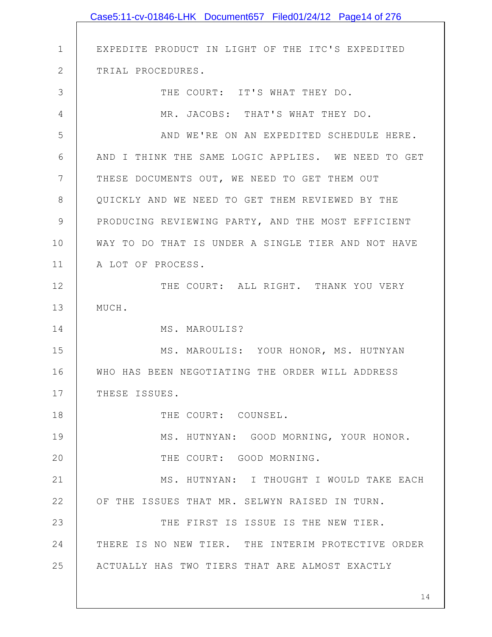|                 | Case5:11-cv-01846-LHK Document657 Filed01/24/12 Page14 of 276 |
|-----------------|---------------------------------------------------------------|
|                 |                                                               |
| $\mathbf 1$     | EXPEDITE PRODUCT IN LIGHT OF THE ITC'S EXPEDITED              |
| $\mathbf{2}$    | TRIAL PROCEDURES.                                             |
| 3               | THE COURT: IT'S WHAT THEY DO.                                 |
| $\overline{4}$  | MR. JACOBS: THAT'S WHAT THEY DO.                              |
| 5               | AND WE'RE ON AN EXPEDITED SCHEDULE HERE.                      |
| 6               | AND I THINK THE SAME LOGIC APPLIES. WE NEED TO GET            |
| $7\phantom{.0}$ | THESE DOCUMENTS OUT, WE NEED TO GET THEM OUT                  |
| $8\,$           | QUICKLY AND WE NEED TO GET THEM REVIEWED BY THE               |
| $\mathcal{G}$   | PRODUCING REVIEWING PARTY, AND THE MOST EFFICIENT             |
| 10              | WAY TO DO THAT IS UNDER A SINGLE TIER AND NOT HAVE            |
| 11              | A LOT OF PROCESS.                                             |
| 12              | THE COURT: ALL RIGHT. THANK YOU VERY                          |
| 13              | MUCH.                                                         |
| 14              | MS. MAROULIS?                                                 |
| 15              | MS. MAROULIS: YOUR HONOR, MS. HUTNYAN                         |
| 16              | WHO HAS BEEN NEGOTIATING THE ORDER WILL ADDRESS               |
| 17              | THESE ISSUES.                                                 |
| 18              | THE COURT: COUNSEL.                                           |
| 19              | MS. HUTNYAN: GOOD MORNING, YOUR HONOR.                        |
| 20              | THE COURT: GOOD MORNING.                                      |
| 21              | MS. HUTNYAN: I THOUGHT I WOULD TAKE EACH                      |
| 22              | OF THE ISSUES THAT MR. SELWYN RAISED IN TURN.                 |
| 23              | THE FIRST IS ISSUE IS THE NEW TIER.                           |
| 24              | THERE IS NO NEW TIER. THE INTERIM PROTECTIVE ORDER            |
| 25              | ACTUALLY HAS TWO TIERS THAT ARE ALMOST EXACTLY                |
|                 |                                                               |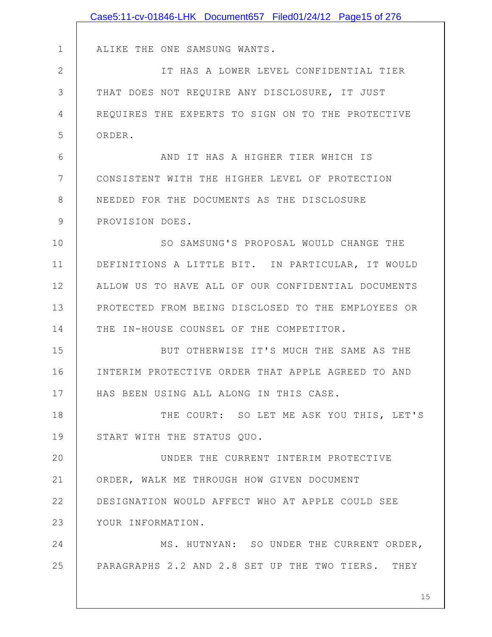|               | Case5:11-cv-01846-LHK Document657 Filed01/24/12 Page15 of 276 |
|---------------|---------------------------------------------------------------|
|               |                                                               |
| $\mathbf 1$   | ALIKE THE ONE SAMSUNG WANTS.                                  |
| $\mathbf{2}$  | IT HAS A LOWER LEVEL CONFIDENTIAL TIER                        |
| 3             | THAT DOES NOT REQUIRE ANY DISCLOSURE, IT JUST                 |
| 4             | REQUIRES THE EXPERTS TO SIGN ON TO THE PROTECTIVE             |
| 5             | ORDER.                                                        |
| $6\,$         | AND IT HAS A HIGHER TIER WHICH IS                             |
| 7             | CONSISTENT WITH THE HIGHER LEVEL OF PROTECTION                |
| 8             | NEEDED FOR THE DOCUMENTS AS THE DISCLOSURE                    |
| $\mathcal{G}$ | PROVISION DOES.                                               |
| 10            | SO SAMSUNG'S PROPOSAL WOULD CHANGE THE                        |
| 11            | DEFINITIONS A LITTLE BIT. IN PARTICULAR, IT WOULD             |
| 12            | ALLOW US TO HAVE ALL OF OUR CONFIDENTIAL DOCUMENTS            |
| 13            | PROTECTED FROM BEING DISCLOSED TO THE EMPLOYEES OR            |
| 14            | THE IN-HOUSE COUNSEL OF THE COMPETITOR.                       |
| 15            | BUT OTHERWISE IT'S MUCH THE SAME AS THE                       |
| 16            | INTERIM PROTECTIVE ORDER THAT APPLE AGREED TO AND             |
| 17            | HAS BEEN USING ALL ALONG IN THIS CASE.                        |
| 18            | THE COURT: SO LET ME ASK YOU THIS, LET'S                      |
| 19            | START WITH THE STATUS QUO.                                    |
| 20            | UNDER THE CURRENT INTERIM PROTECTIVE                          |
| 21            | ORDER, WALK ME THROUGH HOW GIVEN DOCUMENT                     |
| 22            | DESIGNATION WOULD AFFECT WHO AT APPLE COULD SEE               |
| 23            | YOUR INFORMATION.                                             |
| 24            | MS. HUTNYAN: SO UNDER THE CURRENT ORDER,                      |
| 25            | PARAGRAPHS 2.2 AND 2.8 SET UP THE TWO TIERS. THEY             |
|               |                                                               |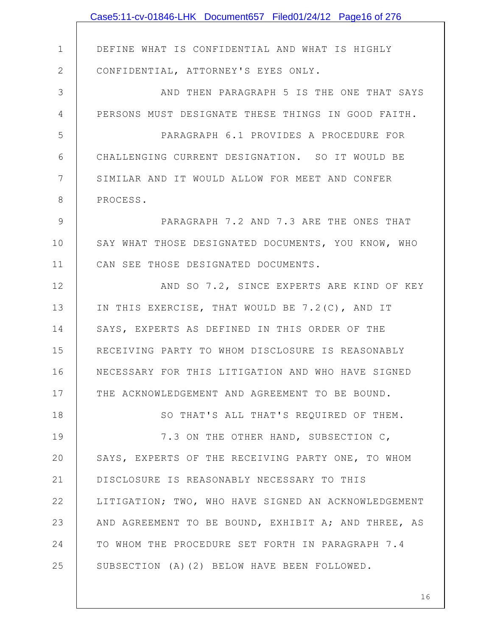|               | Case5:11-cv-01846-LHK Document657 Filed01/24/12 Page16 of 276 |
|---------------|---------------------------------------------------------------|
|               |                                                               |
| $\mathbf 1$   | DEFINE WHAT IS CONFIDENTIAL AND WHAT IS HIGHLY                |
| $\mathbf{2}$  | CONFIDENTIAL, ATTORNEY'S EYES ONLY.                           |
| 3             | AND THEN PARAGRAPH 5 IS THE ONE THAT SAYS                     |
| 4             | PERSONS MUST DESIGNATE THESE THINGS IN GOOD FAITH.            |
| 5             | PARAGRAPH 6.1 PROVIDES A PROCEDURE FOR                        |
| 6             | CHALLENGING CURRENT DESIGNATION. SO IT WOULD BE               |
| 7             | SIMILAR AND IT WOULD ALLOW FOR MEET AND CONFER                |
| $8\,$         | PROCESS.                                                      |
| $\mathcal{G}$ | PARAGRAPH 7.2 AND 7.3 ARE THE ONES THAT                       |
| 10            | SAY WHAT THOSE DESIGNATED DOCUMENTS, YOU KNOW, WHO            |
| 11            | CAN SEE THOSE DESIGNATED DOCUMENTS.                           |
| 12            | AND SO 7.2, SINCE EXPERTS ARE KIND OF KEY                     |
| 13            | IN THIS EXERCISE, THAT WOULD BE 7.2(C), AND IT                |
| 14            | SAYS, EXPERTS AS DEFINED IN THIS ORDER OF THE                 |
| 15            | RECEIVING PARTY TO WHOM DISCLOSURE IS REASONABLY              |
| 16            | NECESSARY FOR THIS LITIGATION AND WHO HAVE SIGNED             |
| 17            | THE ACKNOWLEDGEMENT AND AGREEMENT TO BE BOUND.                |
| 18            | SO THAT'S ALL THAT'S REQUIRED OF THEM.                        |
| 19            | 7.3 ON THE OTHER HAND, SUBSECTION C,                          |
| 20            | SAYS, EXPERTS OF THE RECEIVING PARTY ONE, TO WHOM             |
| 21            | DISCLOSURE IS REASONABLY NECESSARY TO THIS                    |
| 22            | LITIGATION; TWO, WHO HAVE SIGNED AN ACKNOWLEDGEMENT           |
| 23            | AND AGREEMENT TO BE BOUND, EXHIBIT A; AND THREE, AS           |
| 24            | TO WHOM THE PROCEDURE SET FORTH IN PARAGRAPH 7.4              |
| 25            | SUBSECTION (A)(2) BELOW HAVE BEEN FOLLOWED.                   |
|               |                                                               |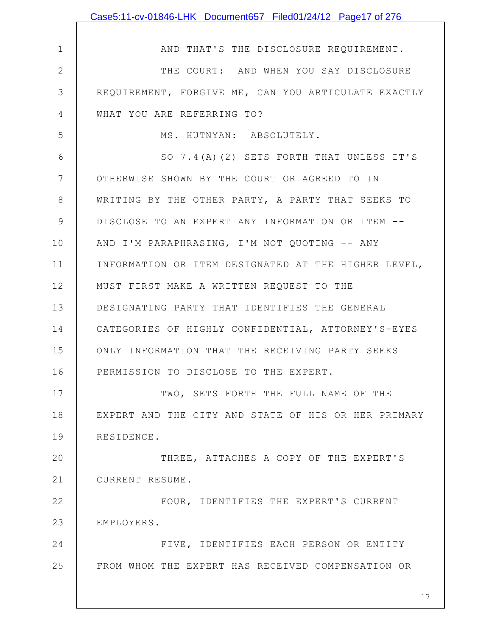|                | Case5:11-cv-01846-LHK Document657 Filed01/24/12 Page17 of 276 |
|----------------|---------------------------------------------------------------|
|                |                                                               |
| $\mathbf 1$    | AND THAT'S THE DISCLOSURE REQUIREMENT.                        |
| $\overline{2}$ | THE COURT: AND WHEN YOU SAY DISCLOSURE                        |
| 3              | REQUIREMENT, FORGIVE ME, CAN YOU ARTICULATE EXACTLY           |
| 4              | WHAT YOU ARE REFERRING TO?                                    |
| 5              | MS. HUTNYAN: ABSOLUTELY.                                      |
| 6              | SO 7.4(A)(2) SETS FORTH THAT UNLESS IT'S                      |
| 7              | OTHERWISE SHOWN BY THE COURT OR AGREED TO IN                  |
| $8\,$          | WRITING BY THE OTHER PARTY, A PARTY THAT SEEKS TO             |
| 9              | DISCLOSE TO AN EXPERT ANY INFORMATION OR ITEM --              |
| 10             | AND I'M PARAPHRASING, I'M NOT QUOTING -- ANY                  |
| 11             | INFORMATION OR ITEM DESIGNATED AT THE HIGHER LEVEL,           |
| 12             | MUST FIRST MAKE A WRITTEN REQUEST TO THE                      |
| 13             | DESIGNATING PARTY THAT IDENTIFIES THE GENERAL                 |
| 14             | CATEGORIES OF HIGHLY CONFIDENTIAL, ATTORNEY'S-EYES            |
| 15             | ONLY INFORMATION THAT THE RECEIVING PARTY SEEKS               |
| 16             | PERMISSION TO DISCLOSE TO THE EXPERT.                         |
| 17             | TWO, SETS FORTH THE FULL NAME OF THE                          |
| 18             | EXPERT AND THE CITY AND STATE OF HIS OR HER PRIMARY           |
| 19             | RESIDENCE.                                                    |
| 20             | THREE, ATTACHES A COPY OF THE EXPERT'S                        |
| 21             | CURRENT RESUME.                                               |
| 22             | FOUR, IDENTIFIES THE EXPERT'S CURRENT                         |
| 23             | EMPLOYERS.                                                    |
| 24             | FIVE, IDENTIFIES EACH PERSON OR ENTITY                        |
| 25             | FROM WHOM THE EXPERT HAS RECEIVED COMPENSATION OR             |
|                | 17                                                            |
|                |                                                               |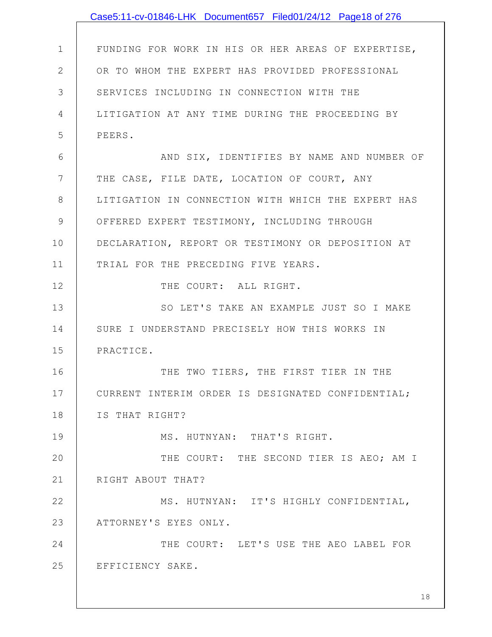|                | Case5:11-cv-01846-LHK Document657 Filed01/24/12 Page18 of 276 |
|----------------|---------------------------------------------------------------|
|                |                                                               |
| $\mathbf 1$    | FUNDING FOR WORK IN HIS OR HER AREAS OF EXPERTISE,            |
| $\overline{2}$ | OR TO WHOM THE EXPERT HAS PROVIDED PROFESSIONAL               |
| 3              | SERVICES INCLUDING IN CONNECTION WITH THE                     |
| 4              | LITIGATION AT ANY TIME DURING THE PROCEEDING BY               |
| 5              | PEERS.                                                        |
| 6              | AND SIX, IDENTIFIES BY NAME AND NUMBER OF                     |
| 7              | THE CASE, FILE DATE, LOCATION OF COURT, ANY                   |
| 8              | LITIGATION IN CONNECTION WITH WHICH THE EXPERT HAS            |
| 9              | OFFERED EXPERT TESTIMONY, INCLUDING THROUGH                   |
| 10             | DECLARATION, REPORT OR TESTIMONY OR DEPOSITION AT             |
| 11             | TRIAL FOR THE PRECEDING FIVE YEARS.                           |
| 12             | THE COURT: ALL RIGHT.                                         |
| 13             | SO LET'S TAKE AN EXAMPLE JUST SO I MAKE                       |
| 14             | SURE I UNDERSTAND PRECISELY HOW THIS WORKS IN                 |
| 15             | PRACTICE.                                                     |
| 16             | THE TWO TIERS, THE FIRST TIER IN THE                          |
| 17             | CURRENT INTERIM ORDER IS DESIGNATED CONFIDENTIAL;             |
| 18             | IS THAT RIGHT?                                                |
| 19             | MS. HUTNYAN: THAT'S RIGHT.                                    |
| 20             | THE COURT: THE SECOND TIER IS AEO; AM I                       |
| 21             | RIGHT ABOUT THAT?                                             |
| 22             | MS. HUTNYAN: IT'S HIGHLY CONFIDENTIAL,                        |
| 23             | ATTORNEY'S EYES ONLY.                                         |
| 24             | THE COURT: LET'S USE THE AEO LABEL FOR                        |
| 25             | EFFICIENCY SAKE.                                              |
|                |                                                               |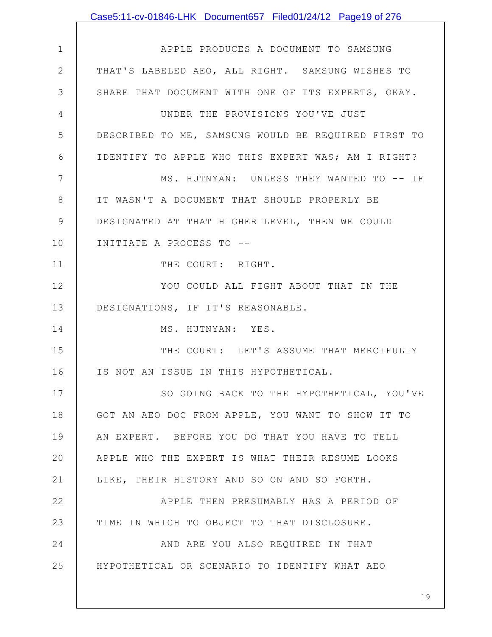|                | Case5:11-cv-01846-LHK Document657 Filed01/24/12 Page19 of 276 |
|----------------|---------------------------------------------------------------|
|                |                                                               |
| $\mathbf 1$    | APPLE PRODUCES A DOCUMENT TO SAMSUNG                          |
| $\mathbf{2}$   | THAT'S LABELED AEO, ALL RIGHT. SAMSUNG WISHES TO              |
| 3              | SHARE THAT DOCUMENT WITH ONE OF ITS EXPERTS, OKAY.            |
| $\overline{4}$ | UNDER THE PROVISIONS YOU'VE JUST                              |
| 5              | DESCRIBED TO ME, SAMSUNG WOULD BE REQUIRED FIRST TO           |
| 6              | IDENTIFY TO APPLE WHO THIS EXPERT WAS; AM I RIGHT?            |
| $7\phantom{.}$ | MS. HUTNYAN: UNLESS THEY WANTED TO -- IF                      |
| 8              | IT WASN'T A DOCUMENT THAT SHOULD PROPERLY BE                  |
| $\mathcal{G}$  | DESIGNATED AT THAT HIGHER LEVEL, THEN WE COULD                |
| 10             | INITIATE A PROCESS TO --                                      |
| 11             | THE COURT: RIGHT.                                             |
| 12             | YOU COULD ALL FIGHT ABOUT THAT IN THE                         |
| 13             | DESIGNATIONS, IF IT'S REASONABLE.                             |
| 14             | MS. HUTNYAN: YES.                                             |
| 15             | THE COURT: LET'S ASSUME THAT MERCIFULLY                       |
| 16             | IS NOT AN ISSUE IN THIS HYPOTHETICAL.                         |
| 17             | SO GOING BACK TO THE HYPOTHETICAL, YOU'VE                     |
| 18             | GOT AN AEO DOC FROM APPLE, YOU WANT TO SHOW IT TO             |
| 19             | AN EXPERT. BEFORE YOU DO THAT YOU HAVE TO TELL                |
| 20             | APPLE WHO THE EXPERT IS WHAT THEIR RESUME LOOKS               |
| 21             | LIKE, THEIR HISTORY AND SO ON AND SO FORTH.                   |
| 22             | APPLE THEN PRESUMABLY HAS A PERIOD OF                         |
| 23             | TIME IN WHICH TO OBJECT TO THAT DISCLOSURE.                   |
| 24             | AND ARE YOU ALSO REQUIRED IN THAT                             |
| 25             | HYPOTHETICAL OR SCENARIO TO IDENTIFY WHAT AEO                 |
|                |                                                               |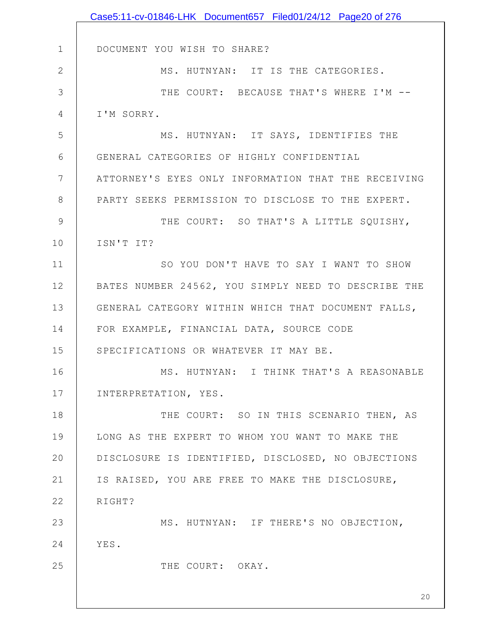|               | Case5:11-cv-01846-LHK Document657 Filed01/24/12 Page20 of 276 |
|---------------|---------------------------------------------------------------|
|               |                                                               |
| $\mathbf 1$   | DOCUMENT YOU WISH TO SHARE?                                   |
| $\mathbf{2}$  | MS. HUTNYAN: IT IS THE CATEGORIES.                            |
| $\mathcal{S}$ | THE COURT: BECAUSE THAT'S WHERE I'M --                        |
| 4             | I'M SORRY.                                                    |
| 5             | MS. HUTNYAN: IT SAYS, IDENTIFIES THE                          |
| 6             | GENERAL CATEGORIES OF HIGHLY CONFIDENTIAL                     |
| 7             | ATTORNEY'S EYES ONLY INFORMATION THAT THE RECEIVING           |
| 8             | PARTY SEEKS PERMISSION TO DISCLOSE TO THE EXPERT.             |
| 9             | THE COURT: SO THAT'S A LITTLE SQUISHY,                        |
| 10            | ISN'T IT?                                                     |
| 11            | SO YOU DON'T HAVE TO SAY I WANT TO SHOW                       |
| 12            | BATES NUMBER 24562, YOU SIMPLY NEED TO DESCRIBE THE           |
| 13            | GENERAL CATEGORY WITHIN WHICH THAT DOCUMENT FALLS,            |
| 14            | FOR EXAMPLE, FINANCIAL DATA, SOURCE CODE                      |
| 15            | SPECIFICATIONS OR WHATEVER IT MAY BE.                         |
| 16            | MS. HUTNYAN: I THINK THAT'S A REASONABLE                      |
| 17            | INTERPRETATION, YES.                                          |
| 18            | THE COURT: SO IN THIS SCENARIO THEN, AS                       |
| 19            | LONG AS THE EXPERT TO WHOM YOU WANT TO MAKE THE               |
| 20            | DISCLOSURE IS IDENTIFIED, DISCLOSED, NO OBJECTIONS            |
| 21            | IS RAISED, YOU ARE FREE TO MAKE THE DISCLOSURE,               |
| 22            | RIGHT?                                                        |
| 23            | MS. HUTNYAN: IF THERE'S NO OBJECTION,                         |
| 24            | YES.                                                          |
| 25            | THE COURT: OKAY.                                              |
|               |                                                               |
|               | 20                                                            |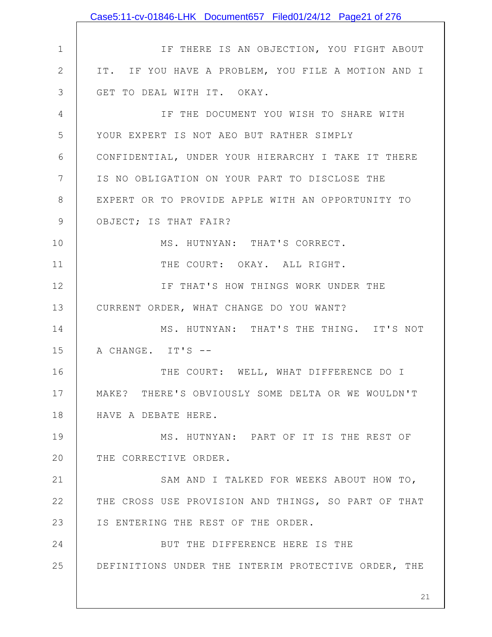|                | Case5:11-cv-01846-LHK Document657 Filed01/24/12 Page21 of 276 |
|----------------|---------------------------------------------------------------|
|                |                                                               |
| $\mathbf 1$    | IF THERE IS AN OBJECTION, YOU FIGHT ABOUT                     |
| $\mathbf{2}$   | IT. IF YOU HAVE A PROBLEM, YOU FILE A MOTION AND I            |
| 3              | GET TO DEAL WITH IT. OKAY.                                    |
| $\overline{4}$ | IF THE DOCUMENT YOU WISH TO SHARE WITH                        |
| 5              | YOUR EXPERT IS NOT AEO BUT RATHER SIMPLY                      |
| 6              | CONFIDENTIAL, UNDER YOUR HIERARCHY I TAKE IT THERE            |
| 7              | IS NO OBLIGATION ON YOUR PART TO DISCLOSE THE                 |
| 8              | EXPERT OR TO PROVIDE APPLE WITH AN OPPORTUNITY TO             |
| 9              | OBJECT; IS THAT FAIR?                                         |
| 10             | MS. HUTNYAN: THAT'S CORRECT.                                  |
| 11             | THE COURT: OKAY. ALL RIGHT.                                   |
| 12             | IF THAT'S HOW THINGS WORK UNDER THE                           |
| 13             | CURRENT ORDER, WHAT CHANGE DO YOU WANT?                       |
| 14             | MS. HUTNYAN: THAT'S THE THING. IT'S NOT                       |
| 15             | A CHANGE. IT'S --                                             |
| 16             | THE COURT: WELL, WHAT DIFFERENCE DO I                         |
| 17             | MAKE? THERE'S OBVIOUSLY SOME DELTA OR WE WOULDN'T             |
| 18             | HAVE A DEBATE HERE.                                           |
| 19             | MS. HUTNYAN: PART OF IT IS THE REST OF                        |
| 20             | THE CORRECTIVE ORDER.                                         |
| 21             | SAM AND I TALKED FOR WEEKS ABOUT HOW TO,                      |
| 22             | THE CROSS USE PROVISION AND THINGS, SO PART OF THAT           |
| 23             | IS ENTERING THE REST OF THE ORDER.                            |
| 24             | BUT THE DIFFERENCE HERE IS THE                                |
| 25             | DEFINITIONS UNDER THE INTERIM PROTECTIVE ORDER, THE           |
|                | 21                                                            |
|                |                                                               |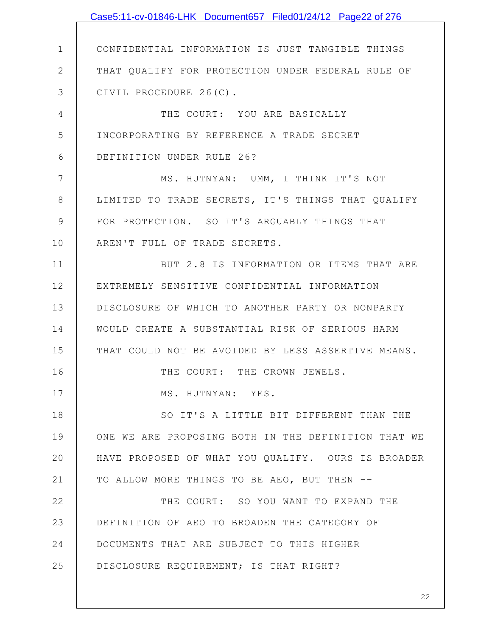|                 | Case5:11-cv-01846-LHK Document657 Filed01/24/12 Page22 of 276 |
|-----------------|---------------------------------------------------------------|
|                 |                                                               |
| $\mathbf 1$     | CONFIDENTIAL INFORMATION IS JUST TANGIBLE THINGS              |
| $\mathbf{2}$    | THAT QUALIFY FOR PROTECTION UNDER FEDERAL RULE OF             |
| 3               | CIVIL PROCEDURE 26(C).                                        |
| 4               | THE COURT: YOU ARE BASICALLY                                  |
| 5               | INCORPORATING BY REFERENCE A TRADE SECRET                     |
| 6               | DEFINITION UNDER RULE 26?                                     |
| $7\phantom{.0}$ | MS. HUTNYAN: UMM, I THINK IT'S NOT                            |
| 8               | LIMITED TO TRADE SECRETS, IT'S THINGS THAT QUALIFY            |
| $\mathcal{G}$   | FOR PROTECTION. SO IT'S ARGUABLY THINGS THAT                  |
| 10              | AREN'T FULL OF TRADE SECRETS.                                 |
| 11              | BUT 2.8 IS INFORMATION OR ITEMS THAT ARE                      |
| 12              | EXTREMELY SENSITIVE CONFIDENTIAL INFORMATION                  |
| 13              | DISCLOSURE OF WHICH TO ANOTHER PARTY OR NONPARTY              |
| 14              | WOULD CREATE A SUBSTANTIAL RISK OF SERIOUS HARM               |
| 15              | THAT COULD NOT BE AVOIDED BY LESS ASSERTIVE MEANS.            |
| 16              | THE COURT: THE CROWN JEWELS.                                  |
| 17              | MS. HUTNYAN: YES.                                             |
| 18              | SO IT'S A LITTLE BIT DIFFERENT THAN THE                       |
| 19              | ONE WE ARE PROPOSING BOTH IN THE DEFINITION THAT WE           |
| 20              | HAVE PROPOSED OF WHAT YOU QUALIFY. OURS IS BROADER            |
| 21              | TO ALLOW MORE THINGS TO BE AEO, BUT THEN --                   |
| 22              | THE COURT: SO YOU WANT TO EXPAND THE                          |
| 23              | DEFINITION OF AEO TO BROADEN THE CATEGORY OF                  |
| 24              | DOCUMENTS THAT ARE SUBJECT TO THIS HIGHER                     |
| 25              | DISCLOSURE REQUIREMENT; IS THAT RIGHT?                        |
|                 |                                                               |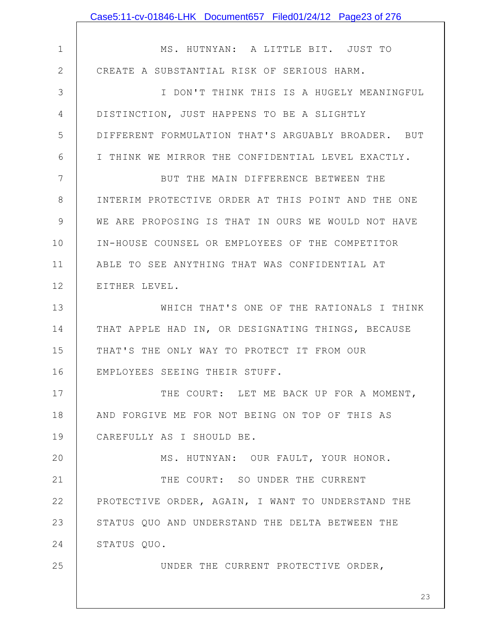|                | Case5:11-cv-01846-LHK Document657 Filed01/24/12 Page23 of 276 |
|----------------|---------------------------------------------------------------|
|                |                                                               |
| $\mathbf 1$    | MS. HUTNYAN: A LITTLE BIT. JUST TO                            |
| $\overline{2}$ | CREATE A SUBSTANTIAL RISK OF SERIOUS HARM.                    |
| 3              | I DON'T THINK THIS IS A HUGELY MEANINGFUL                     |
| 4              | DISTINCTION, JUST HAPPENS TO BE A SLIGHTLY                    |
| 5              | DIFFERENT FORMULATION THAT'S ARGUABLY BROADER. BUT            |
| 6              | I THINK WE MIRROR THE CONFIDENTIAL LEVEL EXACTLY.             |
| 7              | BUT THE MAIN DIFFERENCE BETWEEN THE                           |
| 8              | INTERIM PROTECTIVE ORDER AT THIS POINT AND THE ONE            |
| 9              | WE ARE PROPOSING IS THAT IN OURS WE WOULD NOT HAVE            |
| 10             | IN-HOUSE COUNSEL OR EMPLOYEES OF THE COMPETITOR               |
| 11             | ABLE TO SEE ANYTHING THAT WAS CONFIDENTIAL AT                 |
| 12             | EITHER LEVEL.                                                 |
| 13             | WHICH THAT'S ONE OF THE RATIONALS I THINK                     |
| 14             | THAT APPLE HAD IN, OR DESIGNATING THINGS, BECAUSE             |
| 15             | THAT'S THE ONLY WAY TO PROTECT IT FROM OUR                    |
| 16             | EMPLOYEES SEEING THEIR STUFF.                                 |
| 17             | THE COURT: LET ME BACK UP FOR A MOMENT,                       |
| 18             | AND FORGIVE ME FOR NOT BEING ON TOP OF THIS AS                |
| 19             | CAREFULLY AS I SHOULD BE.                                     |
| 20             | MS. HUTNYAN: OUR FAULT, YOUR HONOR.                           |
| 21             | THE COURT: SO UNDER THE CURRENT                               |
| 22             | PROTECTIVE ORDER, AGAIN, I WANT TO UNDERSTAND THE             |
| 23             | STATUS QUO AND UNDERSTAND THE DELTA BETWEEN THE               |
| 24             | STATUS QUO.                                                   |
| 25             | UNDER THE CURRENT PROTECTIVE ORDER,                           |
|                |                                                               |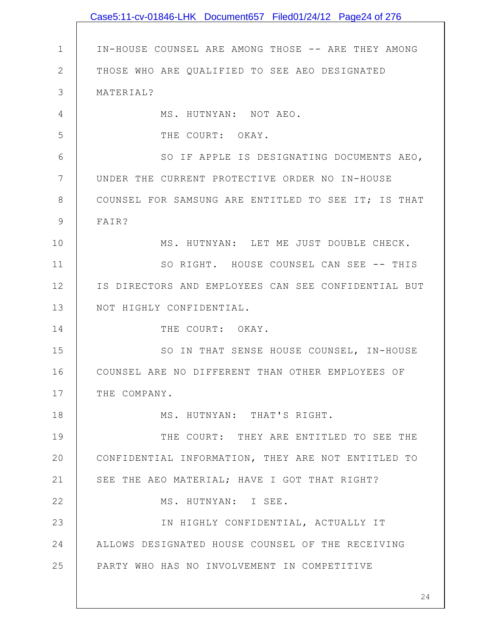|              | Case5:11-cv-01846-LHK Document657 Filed01/24/12 Page24 of 276 |
|--------------|---------------------------------------------------------------|
|              |                                                               |
| $\mathbf 1$  | IN-HOUSE COUNSEL ARE AMONG THOSE -- ARE THEY AMONG            |
| $\mathbf{2}$ | THOSE WHO ARE QUALIFIED TO SEE AEO DESIGNATED                 |
| 3            | MATERIAL?                                                     |
| 4            | MS. HUTNYAN: NOT AEO.                                         |
| 5            | THE COURT: OKAY.                                              |
| 6            | SO IF APPLE IS DESIGNATING DOCUMENTS AEO,                     |
| 7            | UNDER THE CURRENT PROTECTIVE ORDER NO IN-HOUSE                |
| 8            | COUNSEL FOR SAMSUNG ARE ENTITLED TO SEE IT; IS THAT           |
| 9            | FAIR?                                                         |
| 10           | MS. HUTNYAN: LET ME JUST DOUBLE CHECK.                        |
| 11           | SO RIGHT. HOUSE COUNSEL CAN SEE -- THIS                       |
| 12           | IS DIRECTORS AND EMPLOYEES CAN SEE CONFIDENTIAL BUT           |
| 13           | NOT HIGHLY CONFIDENTIAL.                                      |
| 14           | THE COURT: OKAY.                                              |
| 15           | SO IN THAT SENSE HOUSE COUNSEL, IN-HOUSE                      |
| 16           | COUNSEL ARE NO DIFFERENT THAN OTHER EMPLOYEES OF              |
| 17           | THE COMPANY.                                                  |
| 18           | MS. HUTNYAN: THAT'S RIGHT.                                    |
| 19           | THE COURT: THEY ARE ENTITLED TO SEE THE                       |
| 20           | CONFIDENTIAL INFORMATION, THEY ARE NOT ENTITLED TO            |
| 21           | SEE THE AEO MATERIAL; HAVE I GOT THAT RIGHT?                  |
| 22           | MS. HUTNYAN: I SEE.                                           |
| 23           | IN HIGHLY CONFIDENTIAL, ACTUALLY IT                           |
| 24           | ALLOWS DESIGNATED HOUSE COUNSEL OF THE RECEIVING              |
| 25           | PARTY WHO HAS NO INVOLVEMENT IN COMPETITIVE                   |
|              |                                                               |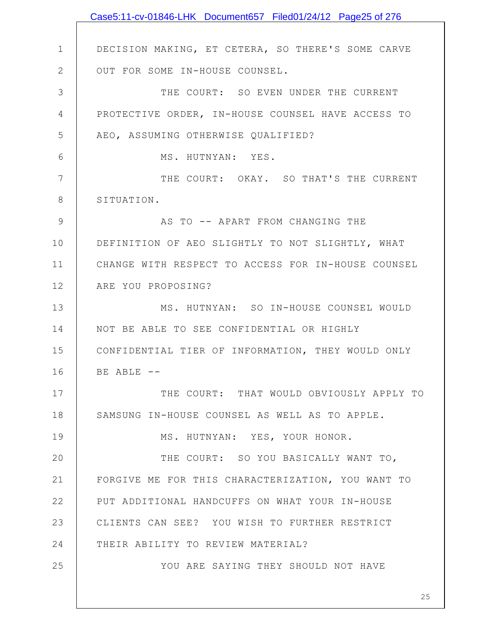|              | Case5:11-cv-01846-LHK Document657 Filed01/24/12 Page25 of 276 |
|--------------|---------------------------------------------------------------|
|              |                                                               |
| $\mathbf 1$  | DECISION MAKING, ET CETERA, SO THERE'S SOME CARVE             |
| $\mathbf{2}$ | OUT FOR SOME IN-HOUSE COUNSEL.                                |
| 3            | THE COURT: SO EVEN UNDER THE CURRENT                          |
| 4            | PROTECTIVE ORDER, IN-HOUSE COUNSEL HAVE ACCESS TO             |
| 5            | AEO, ASSUMING OTHERWISE QUALIFIED?                            |
| $6\,$        | MS. HUTNYAN: YES.                                             |
| 7            | THE COURT: OKAY. SO THAT'S THE CURRENT                        |
| 8            | SITUATION.                                                    |
| 9            | AS TO -- APART FROM CHANGING THE                              |
| 10           | DEFINITION OF AEO SLIGHTLY TO NOT SLIGHTLY, WHAT              |
| 11           | CHANGE WITH RESPECT TO ACCESS FOR IN-HOUSE COUNSEL            |
| 12           | ARE YOU PROPOSING?                                            |
| 13           | MS. HUTNYAN: SO IN-HOUSE COUNSEL WOULD                        |
| 14           | NOT BE ABLE TO SEE CONFIDENTIAL OR HIGHLY                     |
| 15           | CONFIDENTIAL TIER OF INFORMATION, THEY WOULD ONLY             |
| 16           | BE ABLE --                                                    |
| 17           | THE COURT: THAT WOULD OBVIOUSLY APPLY TO                      |
| 18           | SAMSUNG IN-HOUSE COUNSEL AS WELL AS TO APPLE.                 |
| 19           | MS. HUTNYAN: YES, YOUR HONOR.                                 |
| 20           | THE COURT: SO YOU BASICALLY WANT TO,                          |
| 21           | FORGIVE ME FOR THIS CHARACTERIZATION, YOU WANT TO             |
| 22           | PUT ADDITIONAL HANDCUFFS ON WHAT YOUR IN-HOUSE                |
| 23           | CLIENTS CAN SEE? YOU WISH TO FURTHER RESTRICT                 |
| 24           | THEIR ABILITY TO REVIEW MATERIAL?                             |
| 25           | YOU ARE SAYING THEY SHOULD NOT HAVE                           |
|              |                                                               |
|              |                                                               |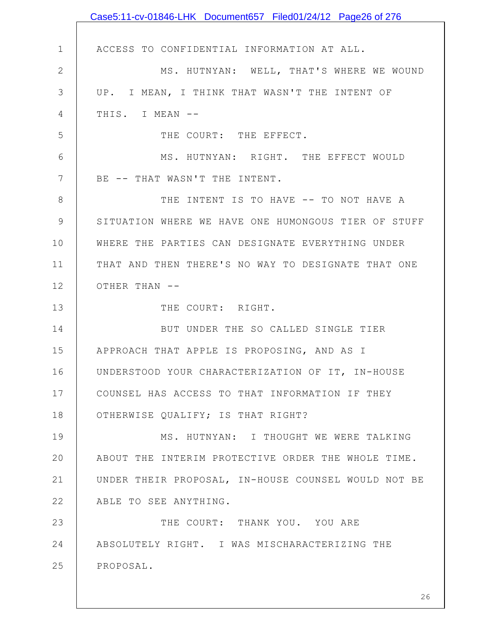|              | Case5:11-cv-01846-LHK Document657 Filed01/24/12 Page26 of 276 |
|--------------|---------------------------------------------------------------|
|              |                                                               |
| $\mathbf 1$  | ACCESS TO CONFIDENTIAL INFORMATION AT ALL.                    |
| $\mathbf{2}$ | MS. HUTNYAN: WELL, THAT'S WHERE WE WOUND                      |
| 3            | UP. I MEAN, I THINK THAT WASN'T THE INTENT OF                 |
| 4            | THIS. I MEAN --                                               |
| 5            | THE COURT: THE EFFECT.                                        |
| 6            | MS. HUTNYAN: RIGHT. THE EFFECT WOULD                          |
| 7            | BE -- THAT WASN'T THE INTENT.                                 |
| 8            | THE INTENT IS TO HAVE -- TO NOT HAVE A                        |
| 9            | SITUATION WHERE WE HAVE ONE HUMONGOUS TIER OF STUFF           |
| 10           | WHERE THE PARTIES CAN DESIGNATE EVERYTHING UNDER              |
| 11           | THAT AND THEN THERE'S NO WAY TO DESIGNATE THAT ONE            |
| 12           | OTHER THAN --                                                 |
| 13           | THE COURT: RIGHT.                                             |
| 14           | BUT UNDER THE SO CALLED SINGLE TIER                           |
| 15           | APPROACH THAT APPLE IS PROPOSING, AND AS I                    |
| 16           | UNDERSTOOD YOUR CHARACTERIZATION OF IT, IN-HOUSE              |
| 17           | COUNSEL HAS ACCESS TO THAT INFORMATION IF THEY                |
| 18           | OTHERWISE QUALIFY; IS THAT RIGHT?                             |
| 19           | MS. HUTNYAN: I THOUGHT WE WERE TALKING                        |
| 20           | ABOUT THE INTERIM PROTECTIVE ORDER THE WHOLE TIME.            |
| 21           | UNDER THEIR PROPOSAL, IN-HOUSE COUNSEL WOULD NOT BE           |
| 22           | ABLE TO SEE ANYTHING.                                         |
| 23           | THE COURT: THANK YOU. YOU ARE                                 |
| 24           | ABSOLUTELY RIGHT. I WAS MISCHARACTERIZING THE                 |
| 25           | PROPOSAL.                                                     |
|              |                                                               |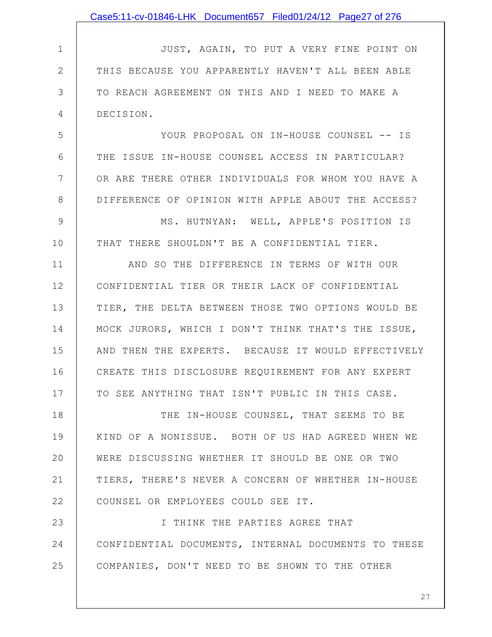|              | Case5:11-cv-01846-LHK Document657 Filed01/24/12 Page27 of 276 |
|--------------|---------------------------------------------------------------|
|              |                                                               |
| $\mathbf 1$  | JUST, AGAIN, TO PUT A VERY FINE POINT ON                      |
| $\mathbf{2}$ | THIS BECAUSE YOU APPARENTLY HAVEN'T ALL BEEN ABLE             |
| 3            | TO REACH AGREEMENT ON THIS AND I NEED TO MAKE A               |
| 4            | DECISION.                                                     |
| 5            | YOUR PROPOSAL ON IN-HOUSE COUNSEL -- IS                       |
| 6            | THE ISSUE IN-HOUSE COUNSEL ACCESS IN PARTICULAR?              |
| 7            | OR ARE THERE OTHER INDIVIDUALS FOR WHOM YOU HAVE A            |
| 8            | DIFFERENCE OF OPINION WITH APPLE ABOUT THE ACCESS?            |
| 9            | MS. HUTNYAN: WELL, APPLE'S POSITION IS                        |
| 10           | THAT THERE SHOULDN'T BE A CONFIDENTIAL TIER.                  |
| 11           | AND SO THE DIFFERENCE IN TERMS OF WITH OUR                    |
| 12           | CONFIDENTIAL TIER OR THEIR LACK OF CONFIDENTIAL               |
| 13           | TIER, THE DELTA BETWEEN THOSE TWO OPTIONS WOULD BE            |
| 14           | MOCK JURORS, WHICH I DON'T THINK THAT'S THE ISSUE,            |
| 15           | AND THEN THE EXPERTS. BECAUSE IT WOULD EFFECTIVELY            |
| 16           | CREATE THIS DISCLOSURE REQUIREMENT FOR ANY EXPERT             |
| 17           | TO SEE ANYTHING THAT ISN'T PUBLIC IN THIS CASE.               |
| 18           | THE IN-HOUSE COUNSEL, THAT SEEMS TO BE                        |
| 19           | KIND OF A NONISSUE. BOTH OF US HAD AGREED WHEN WE             |
| 20           | WERE DISCUSSING WHETHER IT SHOULD BE ONE OR TWO               |
| 21           | TIERS, THERE'S NEVER A CONCERN OF WHETHER IN-HOUSE            |
| 22           | COUNSEL OR EMPLOYEES COULD SEE IT.                            |
| 23           | I THINK THE PARTIES AGREE THAT                                |
| 24           | CONFIDENTIAL DOCUMENTS, INTERNAL DOCUMENTS TO THESE           |
| 25           | COMPANIES, DON'T NEED TO BE SHOWN TO THE OTHER                |
|              |                                                               |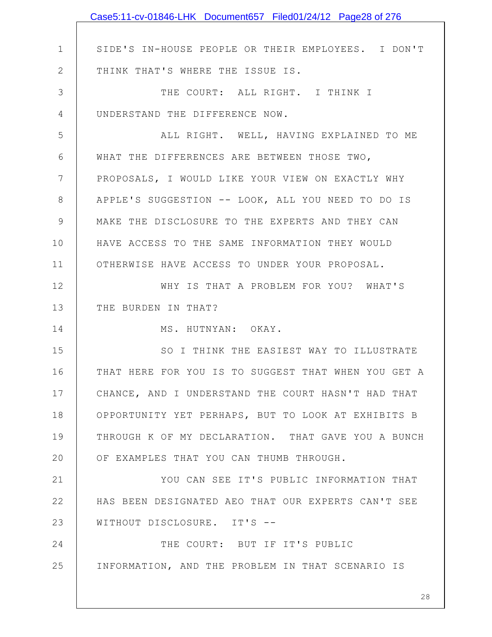|               | Case5:11-cv-01846-LHK Document657 Filed01/24/12 Page28 of 276 |
|---------------|---------------------------------------------------------------|
|               |                                                               |
| $\mathbf 1$   | SIDE'S IN-HOUSE PEOPLE OR THEIR EMPLOYEES. I DON'T            |
| $\mathbf{2}$  | THINK THAT'S WHERE THE ISSUE IS.                              |
| 3             | THE COURT: ALL RIGHT. I THINK I                               |
| 4             | UNDERSTAND THE DIFFERENCE NOW.                                |
| 5             | ALL RIGHT. WELL, HAVING EXPLAINED TO ME                       |
| 6             | WHAT THE DIFFERENCES ARE BETWEEN THOSE TWO,                   |
| 7             | PROPOSALS, I WOULD LIKE YOUR VIEW ON EXACTLY WHY              |
| 8             | APPLE'S SUGGESTION -- LOOK, ALL YOU NEED TO DO IS             |
| $\mathcal{G}$ | MAKE THE DISCLOSURE TO THE EXPERTS AND THEY CAN               |
| 10            | HAVE ACCESS TO THE SAME INFORMATION THEY WOULD                |
| 11            | OTHERWISE HAVE ACCESS TO UNDER YOUR PROPOSAL.                 |
| 12            | WHY IS THAT A PROBLEM FOR YOU? WHAT'S                         |
| 13            | THE BURDEN IN THAT?                                           |
| 14            | MS. HUTNYAN: OKAY.                                            |
| 15            | SO I THINK THE EASIEST WAY TO ILLUSTRATE                      |
| 16            | THAT HERE FOR YOU IS TO SUGGEST THAT WHEN YOU GET A           |
| 17            | CHANCE, AND I UNDERSTAND THE COURT HASN'T HAD THAT            |
| 18            | OPPORTUNITY YET PERHAPS, BUT TO LOOK AT EXHIBITS B            |
| 19            | THROUGH K OF MY DECLARATION. THAT GAVE YOU A BUNCH            |
| 20            | OF EXAMPLES THAT YOU CAN THUMB THROUGH.                       |
| 21            | YOU CAN SEE IT'S PUBLIC INFORMATION THAT                      |
| 22            | HAS BEEN DESIGNATED AEO THAT OUR EXPERTS CAN'T SEE            |
| 23            | WITHOUT DISCLOSURE. IT'S --                                   |
| 24            | THE COURT: BUT IF IT'S PUBLIC                                 |
| 25            | INFORMATION, AND THE PROBLEM IN THAT SCENARIO IS              |
|               |                                                               |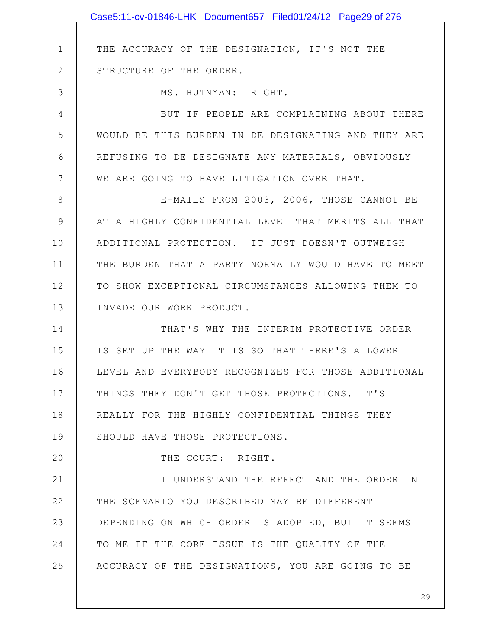1 2 3 4 5 6 7 8 9 10 11 12 13 14 15 16 17 18 19 20 21 22 23 24 25 THE ACCURACY OF THE DESIGNATION, IT'S NOT THE STRUCTURE OF THE ORDER. MS. HUTNYAN: RIGHT. BUT IF PEOPLE ARE COMPLAINING ABOUT THERE WOULD BE THIS BURDEN IN DE DESIGNATING AND THEY ARE REFUSING TO DE DESIGNATE ANY MATERIALS, OBVIOUSLY WE ARE GOING TO HAVE LITIGATION OVER THAT. E-MAILS FROM 2003, 2006, THOSE CANNOT BE AT A HIGHLY CONFIDENTIAL LEVEL THAT MERITS ALL THAT ADDITIONAL PROTECTION. IT JUST DOESN'T OUTWEIGH THE BURDEN THAT A PARTY NORMALLY WOULD HAVE TO MEET TO SHOW EXCEPTIONAL CIRCUMSTANCES ALLOWING THEM TO INVADE OUR WORK PRODUCT. THAT'S WHY THE INTERIM PROTECTIVE ORDER IS SET UP THE WAY IT IS SO THAT THERE'S A LOWER LEVEL AND EVERYBODY RECOGNIZES FOR THOSE ADDITIONAL THINGS THEY DON'T GET THOSE PROTECTIONS, IT'S REALLY FOR THE HIGHLY CONFIDENTIAL THINGS THEY SHOULD HAVE THOSE PROTECTIONS. THE COURT: RIGHT. I UNDERSTAND THE EFFECT AND THE ORDER IN THE SCENARIO YOU DESCRIBED MAY BE DIFFERENT DEPENDING ON WHICH ORDER IS ADOPTED, BUT IT SEEMS TO ME IF THE CORE ISSUE IS THE QUALITY OF THE ACCURACY OF THE DESIGNATIONS, YOU ARE GOING TO BE Case5:11-cv-01846-LHK Document657 Filed01/24/12 Page29 of 276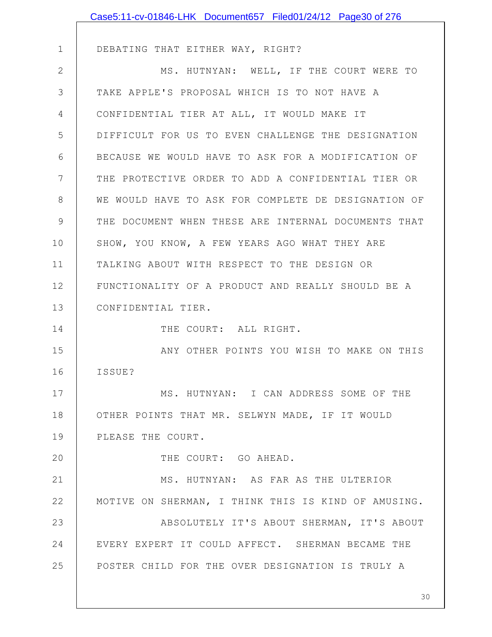|               | Case5:11-cv-01846-LHK Document657 Filed01/24/12 Page30 of 276 |
|---------------|---------------------------------------------------------------|
|               |                                                               |
| $\mathbf 1$   | DEBATING THAT EITHER WAY, RIGHT?                              |
| $\mathbf{2}$  | MS. HUTNYAN: WELL, IF THE COURT WERE TO                       |
| 3             | TAKE APPLE'S PROPOSAL WHICH IS TO NOT HAVE A                  |
| 4             | CONFIDENTIAL TIER AT ALL, IT WOULD MAKE IT                    |
| 5             | DIFFICULT FOR US TO EVEN CHALLENGE THE DESIGNATION            |
| 6             | BECAUSE WE WOULD HAVE TO ASK FOR A MODIFICATION OF            |
| 7             | THE PROTECTIVE ORDER TO ADD A CONFIDENTIAL TIER OR            |
| 8             | WE WOULD HAVE TO ASK FOR COMPLETE DE DESIGNATION OF           |
| $\mathcal{G}$ | THE DOCUMENT WHEN THESE ARE INTERNAL DOCUMENTS THAT           |
| 10            | SHOW, YOU KNOW, A FEW YEARS AGO WHAT THEY ARE                 |
| 11            | TALKING ABOUT WITH RESPECT TO THE DESIGN OR                   |
| 12            | FUNCTIONALITY OF A PRODUCT AND REALLY SHOULD BE A             |
| 13            | CONFIDENTIAL TIER.                                            |
| 14            | THE COURT: ALL RIGHT.                                         |
| 15            | ANY OTHER POINTS YOU WISH TO MAKE ON THIS                     |
| 16            | ISSUE?                                                        |
| 17            | MS. HUTNYAN: I CAN ADDRESS SOME OF THE                        |
| 18            | OTHER POINTS THAT MR. SELWYN MADE, IF IT WOULD                |
| 19            | PLEASE THE COURT.                                             |
| 20            | THE COURT: GO AHEAD.                                          |
| 21            | MS. HUTNYAN: AS FAR AS THE ULTERIOR                           |
| 22            | MOTIVE ON SHERMAN, I THINK THIS IS KIND OF AMUSING.           |
| 23            | ABSOLUTELY IT'S ABOUT SHERMAN, IT'S ABOUT                     |
| 24            | EVERY EXPERT IT COULD AFFECT. SHERMAN BECAME THE              |
| 25            | POSTER CHILD FOR THE OVER DESIGNATION IS TRULY A              |
|               |                                                               |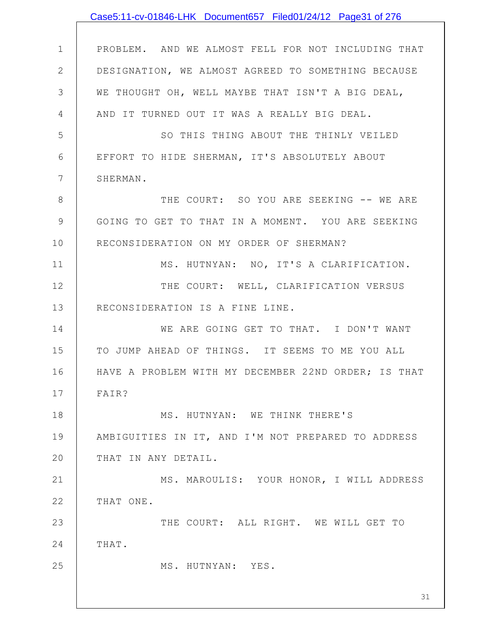|                | Case5:11-cv-01846-LHK Document657 Filed01/24/12 Page31 of 276 |
|----------------|---------------------------------------------------------------|
|                |                                                               |
| $\mathbf 1$    | PROBLEM. AND WE ALMOST FELL FOR NOT INCLUDING THAT            |
| $\mathbf{2}$   | DESIGNATION, WE ALMOST AGREED TO SOMETHING BECAUSE            |
| 3              | WE THOUGHT OH, WELL MAYBE THAT ISN'T A BIG DEAL,              |
| 4              | AND IT TURNED OUT IT WAS A REALLY BIG DEAL.                   |
| 5              | SO THIS THING ABOUT THE THINLY VEILED                         |
| 6              | EFFORT TO HIDE SHERMAN, IT'S ABSOLUTELY ABOUT                 |
| $7\phantom{.}$ | SHERMAN.                                                      |
| $8\,$          | THE COURT: SO YOU ARE SEEKING -- WE ARE                       |
| $\mathcal{G}$  | GOING TO GET TO THAT IN A MOMENT. YOU ARE SEEKING             |
| 10             | RECONSIDERATION ON MY ORDER OF SHERMAN?                       |
| 11             | MS. HUTNYAN: NO, IT'S A CLARIFICATION.                        |
| 12             | THE COURT: WELL, CLARIFICATION VERSUS                         |
| 13             | RECONSIDERATION IS A FINE LINE.                               |
| 14             | WE ARE GOING GET TO THAT. I DON'T WANT                        |
| 15             | TO JUMP AHEAD OF THINGS. IT SEEMS TO ME YOU ALL               |
| 16             | HAVE A PROBLEM WITH MY DECEMBER 22ND ORDER; IS THAT           |
| 17             | FAIR?                                                         |
| 18             | MS. HUTNYAN: WE THINK THERE'S                                 |
| 19             | AMBIGUITIES IN IT, AND I'M NOT PREPARED TO ADDRESS            |
| 20             | THAT IN ANY DETAIL.                                           |
| 21             | MS. MAROULIS: YOUR HONOR, I WILL ADDRESS                      |
| 22             | THAT ONE.                                                     |
| 23             | THE COURT: ALL RIGHT. WE WILL GET TO                          |
| 24             | THAT.                                                         |
| 25             | MS. HUTNYAN: YES.                                             |
|                | 31                                                            |
|                |                                                               |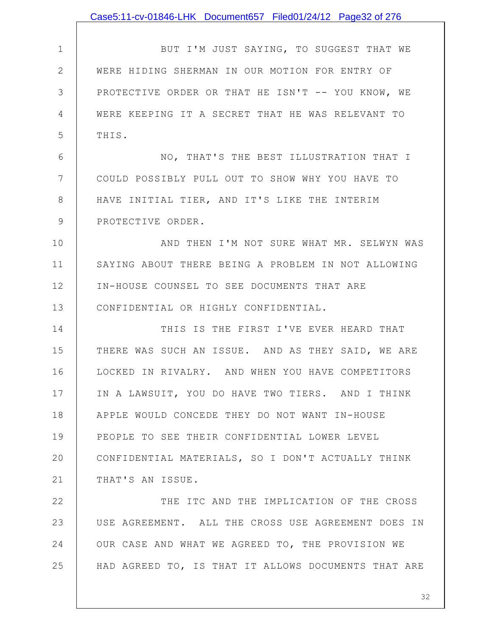|                | Case5:11-cv-01846-LHK Document657 Filed01/24/12 Page32 of 276 |
|----------------|---------------------------------------------------------------|
|                |                                                               |
| $\mathbf 1$    | BUT I'M JUST SAYING, TO SUGGEST THAT WE                       |
| $\overline{2}$ | WERE HIDING SHERMAN IN OUR MOTION FOR ENTRY OF                |
| 3              | PROTECTIVE ORDER OR THAT HE ISN'T -- YOU KNOW, WE             |
| 4              | WERE KEEPING IT A SECRET THAT HE WAS RELEVANT TO              |
| 5              | THIS.                                                         |
| 6              | NO, THAT'S THE BEST ILLUSTRATION THAT I                       |
| 7              | COULD POSSIBLY PULL OUT TO SHOW WHY YOU HAVE TO               |
| 8              | HAVE INITIAL TIER, AND IT'S LIKE THE INTERIM                  |
| 9              | PROTECTIVE ORDER.                                             |
| 10             | AND THEN I'M NOT SURE WHAT MR. SELWYN WAS                     |
| 11             | SAYING ABOUT THERE BEING A PROBLEM IN NOT ALLOWING            |
| 12             | IN-HOUSE COUNSEL TO SEE DOCUMENTS THAT ARE                    |
| 13             | CONFIDENTIAL OR HIGHLY CONFIDENTIAL.                          |
| 14             | THIS IS THE FIRST I'VE EVER HEARD THAT                        |
| 15             | THERE WAS SUCH AN ISSUE. AND AS THEY SAID, WE ARE             |
| 16             | LOCKED IN RIVALRY. AND WHEN YOU HAVE COMPETITORS              |
| 17             | IN A LAWSUIT, YOU DO HAVE TWO TIERS. AND I THINK              |
| 18             | APPLE WOULD CONCEDE THEY DO NOT WANT IN-HOUSE                 |
| 19             | PEOPLE TO SEE THEIR CONFIDENTIAL LOWER LEVEL                  |
| 20             | CONFIDENTIAL MATERIALS, SO I DON'T ACTUALLY THINK             |
| 21             | THAT'S AN ISSUE.                                              |
| 22             | THE ITC AND THE IMPLICATION OF THE CROSS                      |
| 23             | USE AGREEMENT. ALL THE CROSS USE AGREEMENT DOES IN            |
| 24             | OUR CASE AND WHAT WE AGREED TO, THE PROVISION WE              |
| 25             | HAD AGREED TO, IS THAT IT ALLOWS DOCUMENTS THAT ARE           |
|                |                                                               |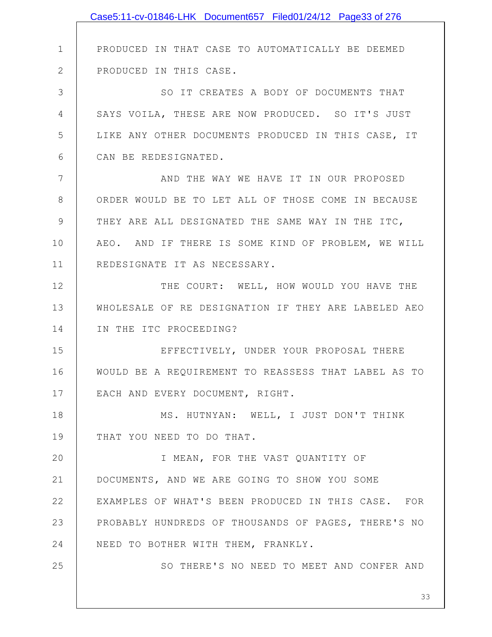|                 | Case5:11-cv-01846-LHK Document657 Filed01/24/12 Page33 of 276 |
|-----------------|---------------------------------------------------------------|
|                 |                                                               |
| $\mathbf 1$     | PRODUCED IN THAT CASE TO AUTOMATICALLY BE DEEMED              |
| $\mathbf{2}$    | PRODUCED IN THIS CASE.                                        |
| 3               | SO IT CREATES A BODY OF DOCUMENTS THAT                        |
| 4               | SAYS VOILA, THESE ARE NOW PRODUCED. SO IT'S JUST              |
| 5               | LIKE ANY OTHER DOCUMENTS PRODUCED IN THIS CASE, IT            |
| 6               | CAN BE REDESIGNATED.                                          |
| $7\phantom{.0}$ | AND THE WAY WE HAVE IT IN OUR PROPOSED                        |
| $8\,$           | ORDER WOULD BE TO LET ALL OF THOSE COME IN BECAUSE            |
| $\mathcal{G}$   | THEY ARE ALL DESIGNATED THE SAME WAY IN THE ITC,              |
| 10              | AEO. AND IF THERE IS SOME KIND OF PROBLEM, WE WILL            |
| 11              | REDESIGNATE IT AS NECESSARY.                                  |
| 12              | THE COURT: WELL, HOW WOULD YOU HAVE THE                       |
| 13              | WHOLESALE OF RE DESIGNATION IF THEY ARE LABELED AEO           |
| 14              | IN THE ITC PROCEEDING?                                        |
| 15              | EFFECTIVELY, UNDER YOUR PROPOSAL THERE                        |
| 16              | WOULD BE A REQUIREMENT TO REASSESS THAT LABEL AS TO           |
| 17              | EACH AND EVERY DOCUMENT, RIGHT.                               |
| 18              | MS. HUTNYAN: WELL, I JUST DON'T THINK                         |
| 19              | THAT YOU NEED TO DO THAT.                                     |
| 20              | I MEAN, FOR THE VAST QUANTITY OF                              |
| 21              | DOCUMENTS, AND WE ARE GOING TO SHOW YOU SOME                  |
| 22              | EXAMPLES OF WHAT'S BEEN PRODUCED IN THIS CASE. FOR            |
| 23              | PROBABLY HUNDREDS OF THOUSANDS OF PAGES, THERE'S NO           |
| 24              | NEED TO BOTHER WITH THEM, FRANKLY.                            |
| 25              | SO THERE'S NO NEED TO MEET AND CONFER AND                     |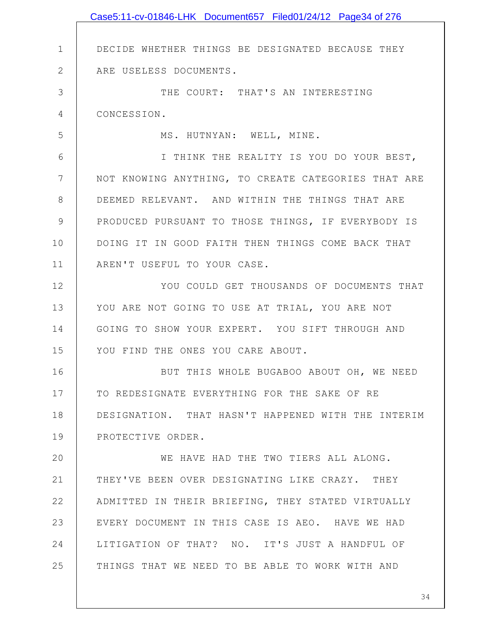|              | Case5:11-cv-01846-LHK Document657 Filed01/24/12 Page34 of 276 |
|--------------|---------------------------------------------------------------|
|              |                                                               |
| $\mathbf 1$  | DECIDE WHETHER THINGS BE DESIGNATED BECAUSE THEY              |
| $\mathbf{2}$ | ARE USELESS DOCUMENTS.                                        |
| 3            | THE COURT: THAT'S AN INTERESTING                              |
| 4            | CONCESSION.                                                   |
| 5            | MS. HUTNYAN: WELL, MINE.                                      |
| 6            | I THINK THE REALITY IS YOU DO YOUR BEST,                      |
| 7            | NOT KNOWING ANYTHING, TO CREATE CATEGORIES THAT ARE           |
| 8            | DEEMED RELEVANT. AND WITHIN THE THINGS THAT ARE               |
| $\mathsf 9$  | PRODUCED PURSUANT TO THOSE THINGS, IF EVERYBODY IS            |
| 10           | DOING IT IN GOOD FAITH THEN THINGS COME BACK THAT             |
| 11           | AREN'T USEFUL TO YOUR CASE.                                   |
| 12           | YOU COULD GET THOUSANDS OF DOCUMENTS THAT                     |
| 13           | YOU ARE NOT GOING TO USE AT TRIAL, YOU ARE NOT                |
| 14           | GOING TO SHOW YOUR EXPERT. YOU SIFT THROUGH AND               |
| 15           | YOU FIND THE ONES YOU CARE ABOUT.                             |
| 16           | BUT THIS WHOLE BUGABOO ABOUT OH, WE NEED                      |
| 17           | TO REDESIGNATE EVERYTHING FOR THE SAKE OF RE                  |
| 18           | DESIGNATION. THAT HASN'T HAPPENED WITH THE INTERIM            |
| 19           | PROTECTIVE ORDER.                                             |
| 20           | WE HAVE HAD THE TWO TIERS ALL ALONG.                          |
| 21           | THEY'VE BEEN OVER DESIGNATING LIKE CRAZY. THEY                |
| 22           | ADMITTED IN THEIR BRIEFING, THEY STATED VIRTUALLY             |
| 23           | EVERY DOCUMENT IN THIS CASE IS AEO. HAVE WE HAD               |
| 24           | LITIGATION OF THAT? NO. IT'S JUST A HANDFUL OF                |
| 25           | THINGS THAT WE NEED TO BE ABLE TO WORK WITH AND               |
|              |                                                               |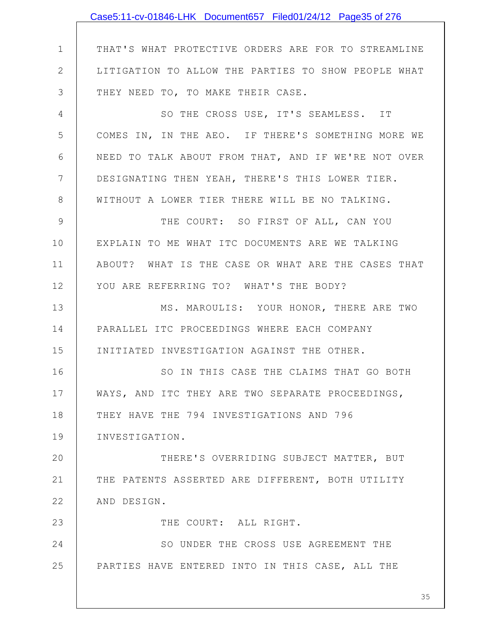|                | Case5:11-cv-01846-LHK Document657 Filed01/24/12 Page35 of 276 |
|----------------|---------------------------------------------------------------|
|                |                                                               |
| $\mathbf 1$    | THAT'S WHAT PROTECTIVE ORDERS ARE FOR TO STREAMLINE           |
| $\overline{2}$ | LITIGATION TO ALLOW THE PARTIES TO SHOW PEOPLE WHAT           |
| 3              | THEY NEED TO, TO MAKE THEIR CASE.                             |
| 4              | SO THE CROSS USE, IT'S SEAMLESS. IT                           |
| 5              | COMES IN, IN THE AEO. IF THERE'S SOMETHING MORE WE            |
| 6              | NEED TO TALK ABOUT FROM THAT, AND IF WE'RE NOT OVER           |
| $7\phantom{.}$ | DESIGNATING THEN YEAH, THERE'S THIS LOWER TIER.               |
| 8              | WITHOUT A LOWER TIER THERE WILL BE NO TALKING.                |
| 9              | THE COURT: SO FIRST OF ALL, CAN YOU                           |
| 10             | EXPLAIN TO ME WHAT ITC DOCUMENTS ARE WE TALKING               |
| 11             | ABOUT? WHAT IS THE CASE OR WHAT ARE THE CASES THAT            |
| 12             | YOU ARE REFERRING TO? WHAT'S THE BODY?                        |
| 13             | MS. MAROULIS: YOUR HONOR, THERE ARE TWO                       |
| 14             | PARALLEL ITC PROCEEDINGS WHERE EACH COMPANY                   |
| 15             | INITIATED INVESTIGATION AGAINST THE OTHER.                    |
| 16             | SO IN THIS CASE THE CLAIMS THAT GO BOTH                       |
| 17             | WAYS, AND ITC THEY ARE TWO SEPARATE PROCEEDINGS,              |
| 18             | THEY HAVE THE 794 INVESTIGATIONS AND 796                      |
| 19             | INVESTIGATION.                                                |
| 20             | THERE'S OVERRIDING SUBJECT MATTER, BUT                        |
| 21             | THE PATENTS ASSERTED ARE DIFFERENT, BOTH UTILITY              |
| 22             | AND DESIGN.                                                   |
| 23             | THE COURT: ALL RIGHT.                                         |
| 24             | SO UNDER THE CROSS USE AGREEMENT THE                          |
| 25             | PARTIES HAVE ENTERED INTO IN THIS CASE, ALL THE               |
|                |                                                               |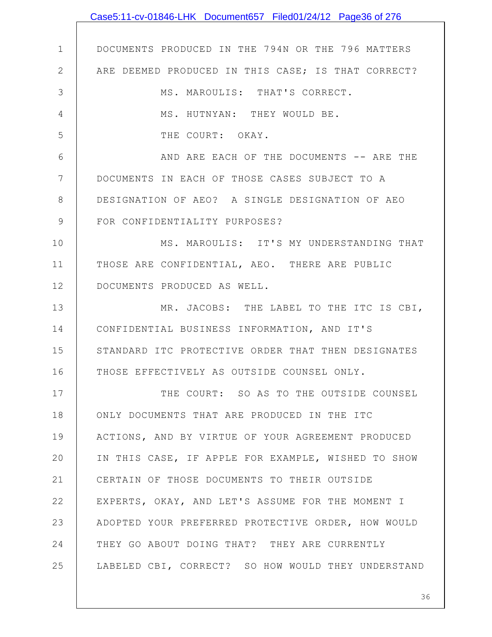|                | Case5:11-cv-01846-LHK Document657 Filed01/24/12 Page36 of 276 |
|----------------|---------------------------------------------------------------|
|                |                                                               |
| $\mathbf 1$    | DOCUMENTS PRODUCED IN THE 794N OR THE 796 MATTERS             |
| $\overline{2}$ | ARE DEEMED PRODUCED IN THIS CASE; IS THAT CORRECT?            |
| 3              | MS. MAROULIS: THAT'S CORRECT.                                 |
| $\overline{4}$ | MS. HUTNYAN: THEY WOULD BE.                                   |
| 5              | THE COURT: OKAY.                                              |
| 6              | AND ARE EACH OF THE DOCUMENTS -- ARE THE                      |
| $7\phantom{.}$ | DOCUMENTS IN EACH OF THOSE CASES SUBJECT TO A                 |
| 8              | DESIGNATION OF AEO? A SINGLE DESIGNATION OF AEO               |
| $\mathcal{G}$  | FOR CONFIDENTIALITY PURPOSES?                                 |
| 10             | MS. MAROULIS: IT'S MY UNDERSTANDING THAT                      |
| 11             | THOSE ARE CONFIDENTIAL, AEO. THERE ARE PUBLIC                 |
| 12             | DOCUMENTS PRODUCED AS WELL.                                   |
| 13             | MR. JACOBS: THE LABEL TO THE ITC IS CBI,                      |
| 14             | CONFIDENTIAL BUSINESS INFORMATION, AND IT'S                   |
| 15             | STANDARD ITC PROTECTIVE ORDER THAT THEN DESIGNATES            |
| 16             | THOSE EFFECTIVELY AS OUTSIDE COUNSEL ONLY.                    |
| 17             | THE COURT: SO AS TO THE OUTSIDE COUNSEL                       |
| 18             | ONLY DOCUMENTS THAT ARE PRODUCED IN THE ITC                   |
| 19             | ACTIONS, AND BY VIRTUE OF YOUR AGREEMENT PRODUCED             |
| 20             | IN THIS CASE, IF APPLE FOR EXAMPLE, WISHED TO SHOW            |
| 21             | CERTAIN OF THOSE DOCUMENTS TO THEIR OUTSIDE                   |
| 22             | EXPERTS, OKAY, AND LET'S ASSUME FOR THE MOMENT I              |
| 23             | ADOPTED YOUR PREFERRED PROTECTIVE ORDER, HOW WOULD            |
| 24             | THEY GO ABOUT DOING THAT? THEY ARE CURRENTLY                  |
| 25             | LABELED CBI, CORRECT? SO HOW WOULD THEY UNDERSTAND            |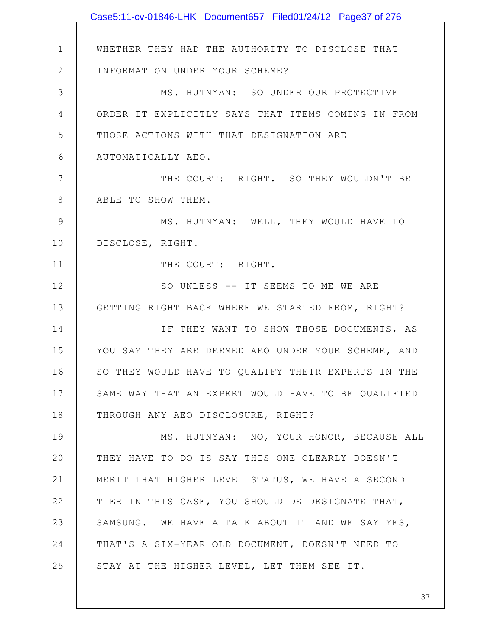|              | Case5:11-cv-01846-LHK Document657 Filed01/24/12 Page37 of 276 |
|--------------|---------------------------------------------------------------|
|              |                                                               |
| $\mathbf 1$  | WHETHER THEY HAD THE AUTHORITY TO DISCLOSE THAT               |
| $\mathbf{2}$ | INFORMATION UNDER YOUR SCHEME?                                |
| 3            | MS. HUTNYAN: SO UNDER OUR PROTECTIVE                          |
| 4            | ORDER IT EXPLICITLY SAYS THAT ITEMS COMING IN FROM            |
| 5            | THOSE ACTIONS WITH THAT DESIGNATION ARE                       |
| 6            | AUTOMATICALLY AEO.                                            |
| 7            | THE COURT: RIGHT. SO THEY WOULDN'T BE                         |
| 8            | ABLE TO SHOW THEM.                                            |
| 9            | MS. HUTNYAN: WELL, THEY WOULD HAVE TO                         |
| 10           | DISCLOSE, RIGHT.                                              |
| 11           | THE COURT: RIGHT.                                             |
| 12           | SO UNLESS -- IT SEEMS TO ME WE ARE                            |
| 13           | GETTING RIGHT BACK WHERE WE STARTED FROM, RIGHT?              |
| 14           | IF THEY WANT TO SHOW THOSE DOCUMENTS, AS                      |
| 15           | YOU SAY THEY ARE DEEMED AEO UNDER YOUR SCHEME, AND            |
| 16           | SO THEY WOULD HAVE TO QUALIFY THEIR EXPERTS IN THE            |
| 17           | SAME WAY THAT AN EXPERT WOULD HAVE TO BE QUALIFIED            |
| 18           | THROUGH ANY AEO DISCLOSURE, RIGHT?                            |
| 19           | MS. HUTNYAN: NO, YOUR HONOR, BECAUSE ALL                      |
| 20           | THEY HAVE TO DO IS SAY THIS ONE CLEARLY DOESN'T               |
| 21           | MERIT THAT HIGHER LEVEL STATUS, WE HAVE A SECOND              |
| 22           | TIER IN THIS CASE, YOU SHOULD DE DESIGNATE THAT,              |
| 23           | SAMSUNG. WE HAVE A TALK ABOUT IT AND WE SAY YES,              |
| 24           | THAT'S A SIX-YEAR OLD DOCUMENT, DOESN'T NEED TO               |
| 25           | STAY AT THE HIGHER LEVEL, LET THEM SEE IT.                    |
|              |                                                               |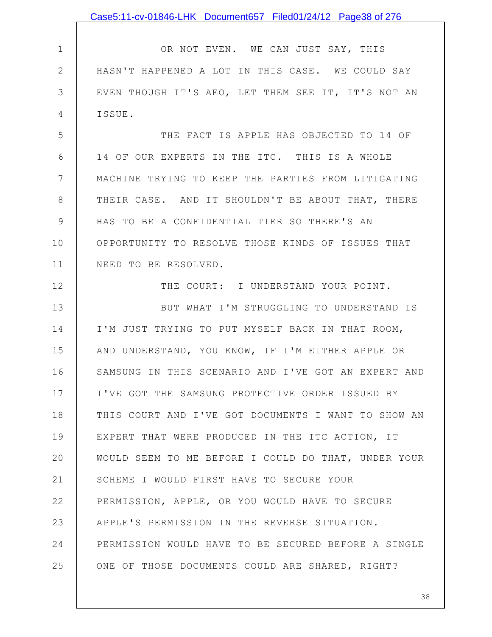|                | Case5:11-cv-01846-LHK Document657 Filed01/24/12 Page38 of 276 |
|----------------|---------------------------------------------------------------|
|                |                                                               |
| $\mathbf 1$    | OR NOT EVEN. WE CAN JUST SAY, THIS                            |
| $\mathbf{2}$   | HASN'T HAPPENED A LOT IN THIS CASE. WE COULD SAY              |
| 3              | EVEN THOUGH IT'S AEO, LET THEM SEE IT, IT'S NOT AN            |
| 4              | ISSUE.                                                        |
| 5              | THE FACT IS APPLE HAS OBJECTED TO 14 OF                       |
| 6              | 14 OF OUR EXPERTS IN THE ITC. THIS IS A WHOLE                 |
| $7\phantom{.}$ | MACHINE TRYING TO KEEP THE PARTIES FROM LITIGATING            |
| 8              | THEIR CASE. AND IT SHOULDN'T BE ABOUT THAT, THERE             |
| $\mathcal{G}$  | HAS TO BE A CONFIDENTIAL TIER SO THERE'S AN                   |
| 10             | OPPORTUNITY TO RESOLVE THOSE KINDS OF ISSUES THAT             |
| 11             | NEED TO BE RESOLVED.                                          |
| 12             | THE COURT: I UNDERSTAND YOUR POINT.                           |
| 13             | BUT WHAT I'M STRUGGLING TO UNDERSTAND IS                      |
| 14             | I'M JUST TRYING TO PUT MYSELF BACK IN THAT ROOM,              |
| 15             | AND UNDERSTAND, YOU KNOW, IF I'M EITHER APPLE OR              |
| 16             | SAMSUNG IN THIS SCENARIO AND I'VE GOT AN EXPERT AND           |
| 17             | I'VE GOT THE SAMSUNG PROTECTIVE ORDER ISSUED BY               |
| 18             | THIS COURT AND I'VE GOT DOCUMENTS I WANT TO SHOW AN           |
| 19             | EXPERT THAT WERE PRODUCED IN THE ITC ACTION, IT               |
| 20             | WOULD SEEM TO ME BEFORE I COULD DO THAT, UNDER YOUR           |
| 21             | SCHEME I WOULD FIRST HAVE TO SECURE YOUR                      |
| 22             | PERMISSION, APPLE, OR YOU WOULD HAVE TO SECURE                |
| 23             | APPLE'S PERMISSION IN THE REVERSE SITUATION.                  |
| 24             | PERMISSION WOULD HAVE TO BE SECURED BEFORE A SINGLE           |
| 25             | ONE OF THOSE DOCUMENTS COULD ARE SHARED, RIGHT?               |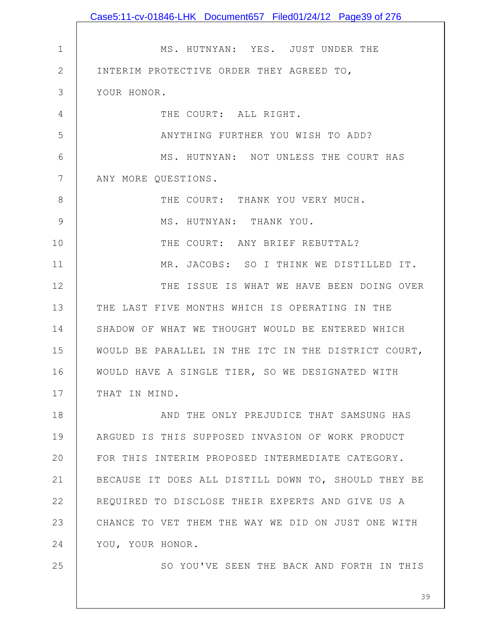|              | Case5:11-cv-01846-LHK Document657 Filed01/24/12 Page39 of 276 |
|--------------|---------------------------------------------------------------|
|              |                                                               |
| $\mathbf 1$  | MS. HUTNYAN: YES. JUST UNDER THE                              |
| $\mathbf{2}$ | INTERIM PROTECTIVE ORDER THEY AGREED TO,                      |
| 3            | YOUR HONOR.                                                   |
| 4            | THE COURT: ALL RIGHT.                                         |
| 5            | ANYTHING FURTHER YOU WISH TO ADD?                             |
| 6            | MS. HUTNYAN: NOT UNLESS THE COURT HAS                         |
| 7            | ANY MORE QUESTIONS.                                           |
| 8            | THE COURT: THANK YOU VERY MUCH.                               |
| 9            | MS. HUTNYAN: THANK YOU.                                       |
| 10           | THE COURT: ANY BRIEF REBUTTAL?                                |
| 11           | MR. JACOBS: SO I THINK WE DISTILLED IT.                       |
| 12           | THE ISSUE IS WHAT WE HAVE BEEN DOING OVER                     |
| 13           | THE LAST FIVE MONTHS WHICH IS OPERATING IN THE                |
| 14           | SHADOW OF WHAT WE THOUGHT WOULD BE ENTERED WHICH              |
| 15           | WOULD BE PARALLEL IN THE ITC IN THE DISTRICT COURT,           |
| 16           | WOULD HAVE A SINGLE TIER, SO WE DESIGNATED WITH               |
| 17           | THAT IN MIND.                                                 |
| 18           | AND THE ONLY PREJUDICE THAT SAMSUNG HAS                       |
| 19           | ARGUED IS THIS SUPPOSED INVASION OF WORK PRODUCT              |
| 20           | FOR THIS INTERIM PROPOSED INTERMEDIATE CATEGORY.              |
| 21           | BECAUSE IT DOES ALL DISTILL DOWN TO, SHOULD THEY BE           |
| 22           | REQUIRED TO DISCLOSE THEIR EXPERTS AND GIVE US A              |
| 23           | CHANCE TO VET THEM THE WAY WE DID ON JUST ONE WITH            |
| 24           | YOU, YOUR HONOR.                                              |
| 25           | SO YOU'VE SEEN THE BACK AND FORTH IN THIS                     |
|              |                                                               |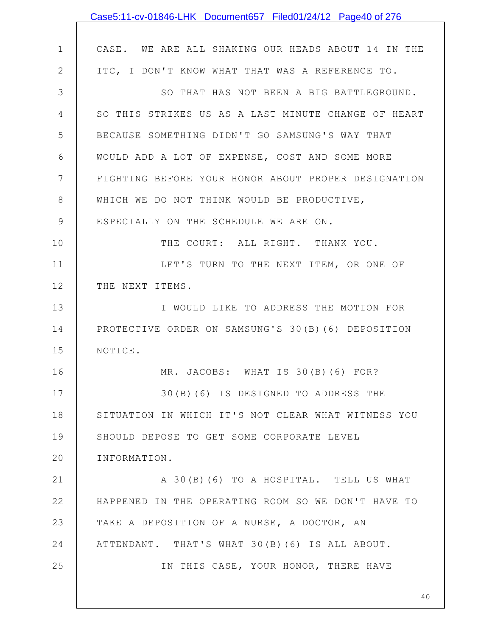|                | Case5:11-cv-01846-LHK Document657 Filed01/24/12 Page40 of 276 |
|----------------|---------------------------------------------------------------|
|                |                                                               |
| $\mathbf 1$    | CASE. WE ARE ALL SHAKING OUR HEADS ABOUT 14 IN THE            |
| $\mathbf{2}$   | ITC, I DON'T KNOW WHAT THAT WAS A REFERENCE TO.               |
| 3              | SO THAT HAS NOT BEEN A BIG BATTLEGROUND.                      |
| $\overline{4}$ | SO THIS STRIKES US AS A LAST MINUTE CHANGE OF HEART           |
| 5              | BECAUSE SOMETHING DIDN'T GO SAMSUNG'S WAY THAT                |
| 6              | WOULD ADD A LOT OF EXPENSE, COST AND SOME MORE                |
| 7              | FIGHTING BEFORE YOUR HONOR ABOUT PROPER DESIGNATION           |
| 8              | WHICH WE DO NOT THINK WOULD BE PRODUCTIVE,                    |
| $\mathsf 9$    | ESPECIALLY ON THE SCHEDULE WE ARE ON.                         |
| 10             | THE COURT: ALL RIGHT. THANK YOU.                              |
| 11             | LET'S TURN TO THE NEXT ITEM, OR ONE OF                        |
| 12             | THE NEXT ITEMS.                                               |
| 13             | I WOULD LIKE TO ADDRESS THE MOTION FOR                        |
| 14             | PROTECTIVE ORDER ON SAMSUNG'S 30(B)(6) DEPOSITION             |
| 15             | NOTICE.                                                       |
| 16             | MR. JACOBS: WHAT IS 30(B)(6) FOR?                             |
| 17             | 30(B)(6) IS DESIGNED TO ADDRESS THE                           |
| 18             | SITUATION IN WHICH IT'S NOT CLEAR WHAT WITNESS YOU            |
| 19             | SHOULD DEPOSE TO GET SOME CORPORATE LEVEL                     |
| 20             | INFORMATION.                                                  |
| 21             | A 30(B)(6) TO A HOSPITAL. TELL US WHAT                        |
| 22             | HAPPENED IN THE OPERATING ROOM SO WE DON'T HAVE TO            |
| 23             | TAKE A DEPOSITION OF A NURSE, A DOCTOR, AN                    |
| 24             | ATTENDANT. THAT'S WHAT 30(B)(6) IS ALL ABOUT.                 |
| 25             | IN THIS CASE, YOUR HONOR, THERE HAVE                          |
|                |                                                               |
|                | 40                                                            |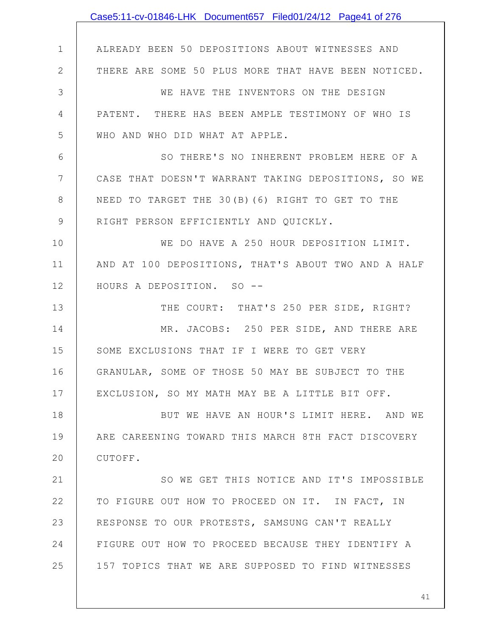|              | Case5:11-cv-01846-LHK Document657 Filed01/24/12 Page41 of 276 |
|--------------|---------------------------------------------------------------|
|              |                                                               |
| $\mathbf 1$  | ALREADY BEEN 50 DEPOSITIONS ABOUT WITNESSES AND               |
| $\mathbf{2}$ | THERE ARE SOME 50 PLUS MORE THAT HAVE BEEN NOTICED.           |
| 3            | WE HAVE THE INVENTORS ON THE DESIGN                           |
| 4            | PATENT. THERE HAS BEEN AMPLE TESTIMONY OF WHO IS              |
| 5            | WHO AND WHO DID WHAT AT APPLE.                                |
| 6            | SO THERE'S NO INHERENT PROBLEM HERE OF A                      |
| 7            | CASE THAT DOESN'T WARRANT TAKING DEPOSITIONS, SO WE           |
| 8            | NEED TO TARGET THE 30(B)(6) RIGHT TO GET TO THE               |
| $\mathsf 9$  | RIGHT PERSON EFFICIENTLY AND QUICKLY.                         |
| 10           | WE DO HAVE A 250 HOUR DEPOSITION LIMIT.                       |
| 11           | AND AT 100 DEPOSITIONS, THAT'S ABOUT TWO AND A HALF           |
| 12           | HOURS A DEPOSITION. SO --                                     |
| 13           | THE COURT: THAT'S 250 PER SIDE, RIGHT?                        |
| 14           | MR. JACOBS: 250 PER SIDE, AND THERE ARE                       |
| 15           | SOME EXCLUSIONS THAT IF I WERE TO GET VERY                    |
| 16           | GRANULAR, SOME OF THOSE 50 MAY BE SUBJECT TO THE              |
| 17           | EXCLUSION, SO MY MATH MAY BE A LITTLE BIT OFF.                |
| 18           | BUT WE HAVE AN HOUR'S LIMIT HERE. AND WE                      |
| 19           | ARE CAREENING TOWARD THIS MARCH 8TH FACT DISCOVERY            |
| 20           | CUTOFF.                                                       |
| 21           | SO WE GET THIS NOTICE AND IT'S IMPOSSIBLE                     |
| 22           | TO FIGURE OUT HOW TO PROCEED ON IT. IN FACT, IN               |
| 23           | RESPONSE TO OUR PROTESTS, SAMSUNG CAN'T REALLY                |
| 24           | FIGURE OUT HOW TO PROCEED BECAUSE THEY IDENTIFY A             |
| 25           | 157 TOPICS THAT WE ARE SUPPOSED TO FIND WITNESSES             |
|              |                                                               |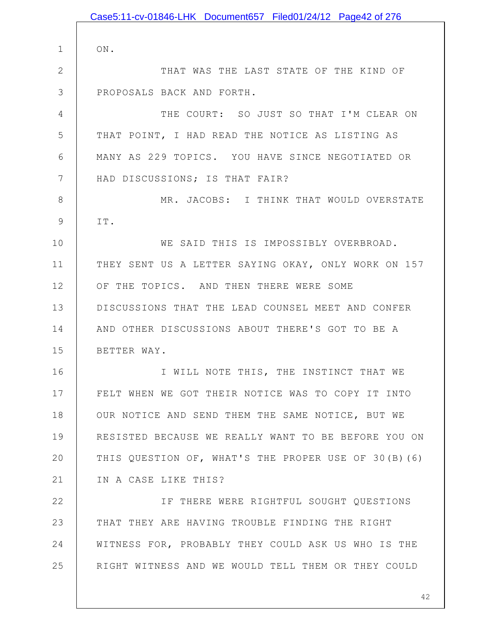1 2 3 4 5 6 7 8 9 10 11 12 13 14 15 16 17 18 19 20 21 22 23 24 25 ON. THAT WAS THE LAST STATE OF THE KIND OF PROPOSALS BACK AND FORTH. THE COURT: SO JUST SO THAT I'M CLEAR ON THAT POINT, I HAD READ THE NOTICE AS LISTING AS MANY AS 229 TOPICS. YOU HAVE SINCE NEGOTIATED OR HAD DISCUSSIONS; IS THAT FAIR? MR. JACOBS: I THINK THAT WOULD OVERSTATE IT. WE SAID THIS IS IMPOSSIBLY OVERBROAD. THEY SENT US A LETTER SAYING OKAY, ONLY WORK ON 157 OF THE TOPICS. AND THEN THERE WERE SOME DISCUSSIONS THAT THE LEAD COUNSEL MEET AND CONFER AND OTHER DISCUSSIONS ABOUT THERE'S GOT TO BE A BETTER WAY. I WILL NOTE THIS, THE INSTINCT THAT WE FELT WHEN WE GOT THEIR NOTICE WAS TO COPY IT INTO OUR NOTICE AND SEND THEM THE SAME NOTICE, BUT WE RESISTED BECAUSE WE REALLY WANT TO BE BEFORE YOU ON THIS QUESTION OF, WHAT'S THE PROPER USE OF 30(B)(6) IN A CASE LIKE THIS? IF THERE WERE RIGHTFUL SOUGHT QUESTIONS THAT THEY ARE HAVING TROUBLE FINDING THE RIGHT WITNESS FOR, PROBABLY THEY COULD ASK US WHO IS THE RIGHT WITNESS AND WE WOULD TELL THEM OR THEY COULD Case5:11-cv-01846-LHK Document657 Filed01/24/12 Page42 of 276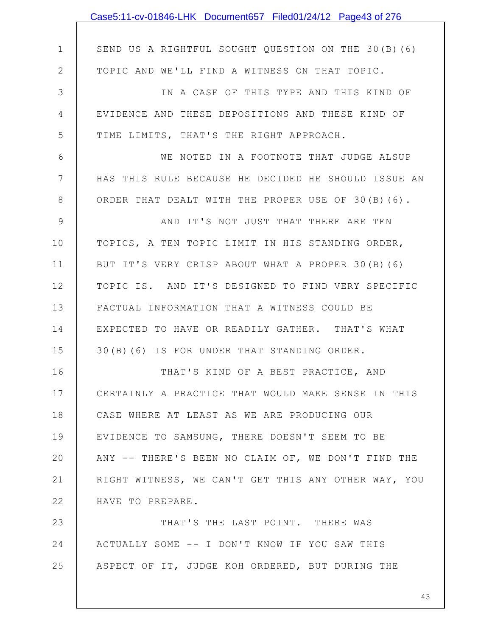|                | Case5:11-cv-01846-LHK Document657 Filed01/24/12 Page43 of 276 |
|----------------|---------------------------------------------------------------|
|                |                                                               |
| $\mathbf 1$    | SEND US A RIGHTFUL SOUGHT QUESTION ON THE 30(B)(6)            |
| $\mathbf{2}$   | TOPIC AND WE'LL FIND A WITNESS ON THAT TOPIC.                 |
| 3              | IN A CASE OF THIS TYPE AND THIS KIND OF                       |
| 4              | EVIDENCE AND THESE DEPOSITIONS AND THESE KIND OF              |
| 5              | TIME LIMITS, THAT'S THE RIGHT APPROACH.                       |
| 6              | WE NOTED IN A FOOTNOTE THAT JUDGE ALSUP                       |
| $7\phantom{.}$ | HAS THIS RULE BECAUSE HE DECIDED HE SHOULD ISSUE AN           |
| 8              | ORDER THAT DEALT WITH THE PROPER USE OF 30(B)(6).             |
| $\mathcal{G}$  | AND IT'S NOT JUST THAT THERE ARE TEN                          |
| 10             | TOPICS, A TEN TOPIC LIMIT IN HIS STANDING ORDER,              |
| 11             | BUT IT'S VERY CRISP ABOUT WHAT A PROPER 30(B)(6)              |
| 12             | TOPIC IS. AND IT'S DESIGNED TO FIND VERY SPECIFIC             |
| 13             | FACTUAL INFORMATION THAT A WITNESS COULD BE                   |
| 14             | EXPECTED TO HAVE OR READILY GATHER. THAT'S WHAT               |
| 15             | 30(B)(6) IS FOR UNDER THAT STANDING ORDER.                    |
| 16             | THAT'S KIND OF A BEST PRACTICE, AND                           |
| 17             | CERTAINLY A PRACTICE THAT WOULD MAKE SENSE IN THIS            |
| 18             | CASE WHERE AT LEAST AS WE ARE PRODUCING OUR                   |
| 19             | EVIDENCE TO SAMSUNG, THERE DOESN'T SEEM TO BE                 |
| 20             | ANY -- THERE'S BEEN NO CLAIM OF, WE DON'T FIND THE            |
| 21             | RIGHT WITNESS, WE CAN'T GET THIS ANY OTHER WAY, YOU           |
| 22             | HAVE TO PREPARE.                                              |
| 23             | THAT'S THE LAST POINT. THERE WAS                              |
| 24             | ACTUALLY SOME -- I DON'T KNOW IF YOU SAW THIS                 |
| 25             | ASPECT OF IT, JUDGE KOH ORDERED, BUT DURING THE               |
|                |                                                               |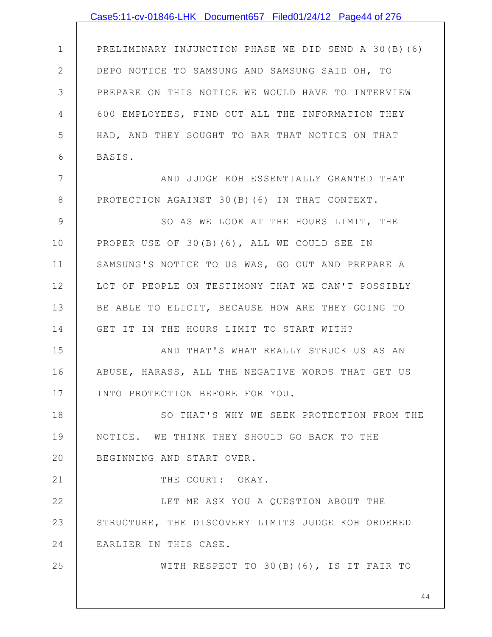|                | Case5:11-cv-01846-LHK Document657 Filed01/24/12 Page44 of 276 |
|----------------|---------------------------------------------------------------|
|                |                                                               |
| $\mathbf 1$    | PRELIMINARY INJUNCTION PHASE WE DID SEND A 30(B)(6)           |
| $\mathbf{2}$   | DEPO NOTICE TO SAMSUNG AND SAMSUNG SAID OH, TO                |
| 3              | PREPARE ON THIS NOTICE WE WOULD HAVE TO INTERVIEW             |
| 4              | 600 EMPLOYEES, FIND OUT ALL THE INFORMATION THEY              |
| 5              | HAD, AND THEY SOUGHT TO BAR THAT NOTICE ON THAT               |
| 6              | BASIS.                                                        |
| $7\phantom{.}$ | AND JUDGE KOH ESSENTIALLY GRANTED THAT                        |
| $8\,$          | PROTECTION AGAINST 30(B) (6) IN THAT CONTEXT.                 |
| $\mathsf 9$    | SO AS WE LOOK AT THE HOURS LIMIT, THE                         |
| 10             | PROPER USE OF 30(B)(6), ALL WE COULD SEE IN                   |
| 11             | SAMSUNG'S NOTICE TO US WAS, GO OUT AND PREPARE A              |
| 12             | LOT OF PEOPLE ON TESTIMONY THAT WE CAN'T POSSIBLY             |
| 13             | BE ABLE TO ELICIT, BECAUSE HOW ARE THEY GOING TO              |
| 14             | GET IT IN THE HOURS LIMIT TO START WITH?                      |
| 15             | AND THAT'S WHAT REALLY STRUCK US AS AN                        |
| 16             | ABUSE, HARASS, ALL THE NEGATIVE WORDS THAT GET US             |
| 17             | INTO PROTECTION BEFORE FOR YOU.                               |
| 18             | SO THAT'S WHY WE SEEK PROTECTION FROM THE                     |
| 19             | NOTICE. WE THINK THEY SHOULD GO BACK TO THE                   |
| 20             | BEGINNING AND START OVER.                                     |
| 21             | THE COURT: OKAY.                                              |
| 22             | LET ME ASK YOU A QUESTION ABOUT THE                           |
| 23             | STRUCTURE, THE DISCOVERY LIMITS JUDGE KOH ORDERED             |
| 24             | EARLIER IN THIS CASE.                                         |
| 25             | WITH RESPECT TO 30(B)(6), IS IT FAIR TO                       |
|                | 44                                                            |
|                |                                                               |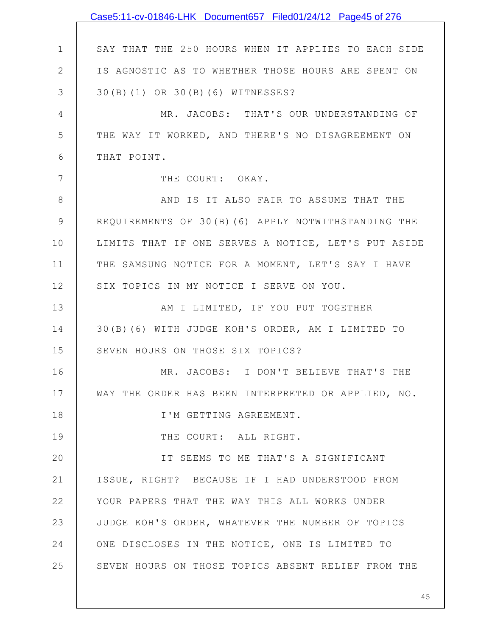|              | Case5:11-cv-01846-LHK Document657 Filed01/24/12 Page45 of 276 |
|--------------|---------------------------------------------------------------|
|              |                                                               |
| $\mathbf 1$  | SAY THAT THE 250 HOURS WHEN IT APPLIES TO EACH SIDE           |
| $\mathbf{2}$ | IS AGNOSTIC AS TO WHETHER THOSE HOURS ARE SPENT ON            |
| 3            | 30(B)(1) OR 30(B)(6) WITNESSES?                               |
| 4            | MR. JACOBS: THAT'S OUR UNDERSTANDING OF                       |
| 5            | THE WAY IT WORKED, AND THERE'S NO DISAGREEMENT ON             |
| 6            | THAT POINT.                                                   |
| 7            | THE COURT: OKAY.                                              |
| 8            | AND IS IT ALSO FAIR TO ASSUME THAT THE                        |
| 9            | REQUIREMENTS OF 30(B)(6) APPLY NOTWITHSTANDING THE            |
| 10           | LIMITS THAT IF ONE SERVES A NOTICE, LET'S PUT ASIDE           |
| 11           | THE SAMSUNG NOTICE FOR A MOMENT, LET'S SAY I HAVE             |
| 12           | SIX TOPICS IN MY NOTICE I SERVE ON YOU.                       |
| 13           | AM I LIMITED, IF YOU PUT TOGETHER                             |
| 14           | 30(B)(6) WITH JUDGE KOH'S ORDER, AM I LIMITED TO              |
| 15           | SEVEN HOURS ON THOSE SIX TOPICS?                              |
| 16           | MR. JACOBS: I DON'T BELIEVE THAT'S THE                        |
| 17           | WAY THE ORDER HAS BEEN INTERPRETED OR APPLIED, NO.            |
| 18           | I'M GETTING AGREEMENT.                                        |
| 19           | THE COURT: ALL RIGHT.                                         |
| 20           | IT SEEMS TO ME THAT'S A SIGNIFICANT                           |
| 21           | ISSUE, RIGHT? BECAUSE IF I HAD UNDERSTOOD FROM                |
| 22           | YOUR PAPERS THAT THE WAY THIS ALL WORKS UNDER                 |
| 23           | JUDGE KOH'S ORDER, WHATEVER THE NUMBER OF TOPICS              |
| 24           | ONE DISCLOSES IN THE NOTICE, ONE IS LIMITED TO                |
| 25           | SEVEN HOURS ON THOSE TOPICS ABSENT RELIEF FROM THE            |
|              |                                                               |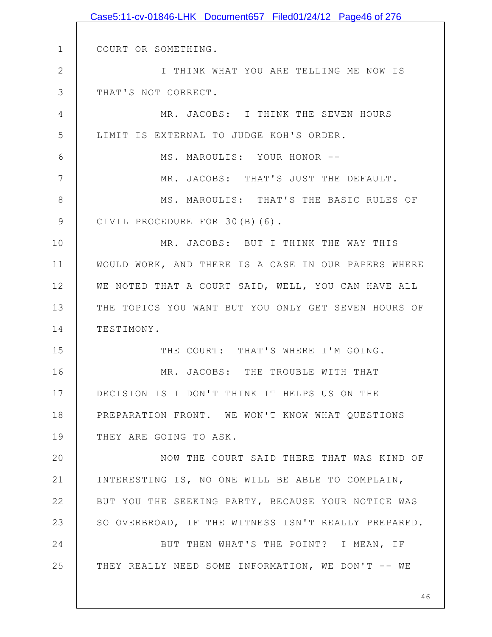|               | Case5:11-cv-01846-LHK Document657 Filed01/24/12 Page46 of 276 |
|---------------|---------------------------------------------------------------|
|               |                                                               |
| $\mathbf 1$   | COURT OR SOMETHING.                                           |
| $\mathbf{2}$  | I THINK WHAT YOU ARE TELLING ME NOW IS                        |
| 3             | THAT'S NOT CORRECT.                                           |
| 4             | MR. JACOBS: I THINK THE SEVEN HOURS                           |
| 5             | LIMIT IS EXTERNAL TO JUDGE KOH'S ORDER.                       |
| 6             | MS. MAROULIS: YOUR HONOR --                                   |
| 7             | MR. JACOBS: THAT'S JUST THE DEFAULT.                          |
| 8             | MS. MAROULIS: THAT'S THE BASIC RULES OF                       |
| $\mathcal{G}$ | CIVIL PROCEDURE FOR 30(B)(6).                                 |
| 10            | MR. JACOBS: BUT I THINK THE WAY THIS                          |
| 11            | WOULD WORK, AND THERE IS A CASE IN OUR PAPERS WHERE           |
| 12            | WE NOTED THAT A COURT SAID, WELL, YOU CAN HAVE ALL            |
| 13            | THE TOPICS YOU WANT BUT YOU ONLY GET SEVEN HOURS OF           |
| 14            | TESTIMONY.                                                    |
| 15            | THE COURT: THAT'S WHERE I'M GOING.                            |
| 16            | MR. JACOBS: THE TROUBLE WITH THAT                             |
| 17            | DECISION IS I DON'T THINK IT HELPS US ON THE                  |
| 18            | PREPARATION FRONT. WE WON'T KNOW WHAT QUESTIONS               |
| 19            | THEY ARE GOING TO ASK.                                        |
| 20            | NOW THE COURT SAID THERE THAT WAS KIND OF                     |
| 21            | INTERESTING IS, NO ONE WILL BE ABLE TO COMPLAIN,              |
| 22            | BUT YOU THE SEEKING PARTY, BECAUSE YOUR NOTICE WAS            |
| 23            | SO OVERBROAD, IF THE WITNESS ISN'T REALLY PREPARED.           |
| 24            | BUT THEN WHAT'S THE POINT? I MEAN, IF                         |
| 25            | THEY REALLY NEED SOME INFORMATION, WE DON'T -- WE             |
|               |                                                               |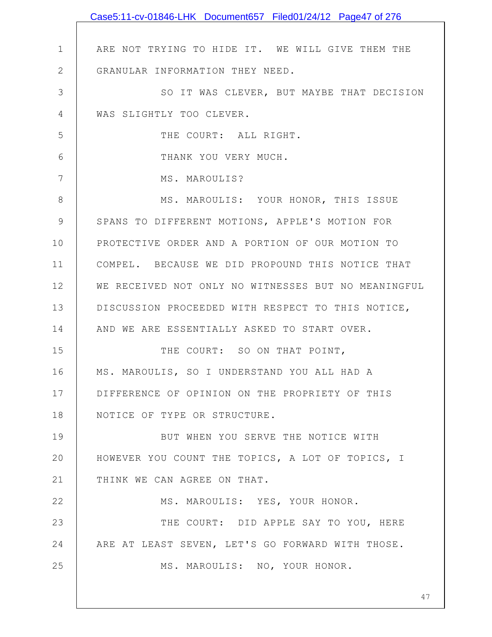|                | Case5:11-cv-01846-LHK Document657 Filed01/24/12 Page47 of 276 |
|----------------|---------------------------------------------------------------|
|                |                                                               |
| $\mathbf 1$    | ARE NOT TRYING TO HIDE IT. WE WILL GIVE THEM THE              |
| $\mathbf{2}$   | GRANULAR INFORMATION THEY NEED.                               |
| 3              | SO IT WAS CLEVER, BUT MAYBE THAT DECISION                     |
| $\overline{4}$ | WAS SLIGHTLY TOO CLEVER.                                      |
| 5              | THE COURT: ALL RIGHT.                                         |
| 6              | THANK YOU VERY MUCH.                                          |
| 7              | MS. MAROULIS?                                                 |
| 8              | MS. MAROULIS: YOUR HONOR, THIS ISSUE                          |
| 9              | SPANS TO DIFFERENT MOTIONS, APPLE'S MOTION FOR                |
| 10             | PROTECTIVE ORDER AND A PORTION OF OUR MOTION TO               |
| 11             | COMPEL. BECAUSE WE DID PROPOUND THIS NOTICE THAT              |
| 12             | WE RECEIVED NOT ONLY NO WITNESSES BUT NO MEANINGFUL           |
| 13             | DISCUSSION PROCEEDED WITH RESPECT TO THIS NOTICE,             |
| 14             | AND WE ARE ESSENTIALLY ASKED TO START OVER.                   |
| 15             | THE COURT: SO ON THAT POINT,                                  |
| 16             | MS. MAROULIS, SO I UNDERSTAND YOU ALL HAD A                   |
| 17             | DIFFERENCE OF OPINION ON THE PROPRIETY OF THIS                |
| 18             | NOTICE OF TYPE OR STRUCTURE.                                  |
| 19             | BUT WHEN YOU SERVE THE NOTICE WITH                            |
| 20             | HOWEVER YOU COUNT THE TOPICS, A LOT OF TOPICS, I              |
| 21             | THINK WE CAN AGREE ON THAT.                                   |
| 22             | MS. MAROULIS: YES, YOUR HONOR.                                |
| 23             | THE COURT: DID APPLE SAY TO YOU, HERE                         |
| 24             | ARE AT LEAST SEVEN, LET'S GO FORWARD WITH THOSE.              |
| 25             | MS. MAROULIS: NO, YOUR HONOR.                                 |
|                |                                                               |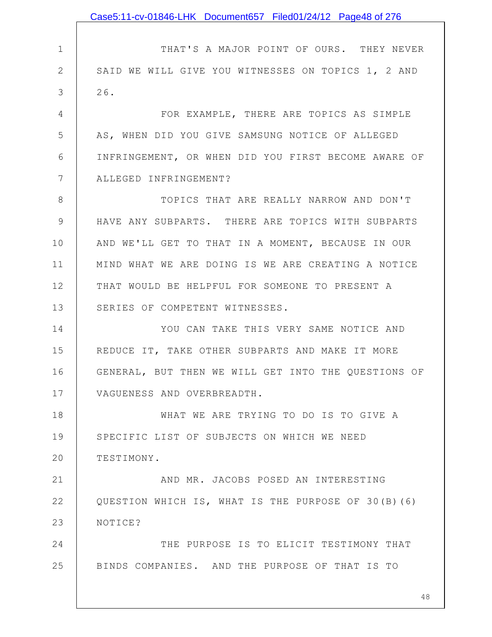1 2 3 4 5 6 7 8 9 10 11 12 13 14 15 16 17 18 19 20 21 22 23 24 25 THAT'S A MAJOR POINT OF OURS. THEY NEVER SAID WE WILL GIVE YOU WITNESSES ON TOPICS 1, 2 AND 26. FOR EXAMPLE, THERE ARE TOPICS AS SIMPLE AS, WHEN DID YOU GIVE SAMSUNG NOTICE OF ALLEGED INFRINGEMENT, OR WHEN DID YOU FIRST BECOME AWARE OF ALLEGED INFRINGEMENT? TOPICS THAT ARE REALLY NARROW AND DON'T HAVE ANY SUBPARTS. THERE ARE TOPICS WITH SUBPARTS AND WE'LL GET TO THAT IN A MOMENT, BECAUSE IN OUR MIND WHAT WE ARE DOING IS WE ARE CREATING A NOTICE THAT WOULD BE HELPFUL FOR SOMEONE TO PRESENT A SERIES OF COMPETENT WITNESSES. YOU CAN TAKE THIS VERY SAME NOTICE AND REDUCE IT, TAKE OTHER SUBPARTS AND MAKE IT MORE GENERAL, BUT THEN WE WILL GET INTO THE QUESTIONS OF VAGUENESS AND OVERBREADTH. WHAT WE ARE TRYING TO DO IS TO GIVE A SPECIFIC LIST OF SUBJECTS ON WHICH WE NEED TESTIMONY. AND MR. JACOBS POSED AN INTERESTING QUESTION WHICH IS, WHAT IS THE PURPOSE OF 30(B)(6) NOTICE? THE PURPOSE IS TO ELICIT TESTIMONY THAT BINDS COMPANIES. AND THE PURPOSE OF THAT IS TO Case5:11-cv-01846-LHK Document657 Filed01/24/12 Page48 of 276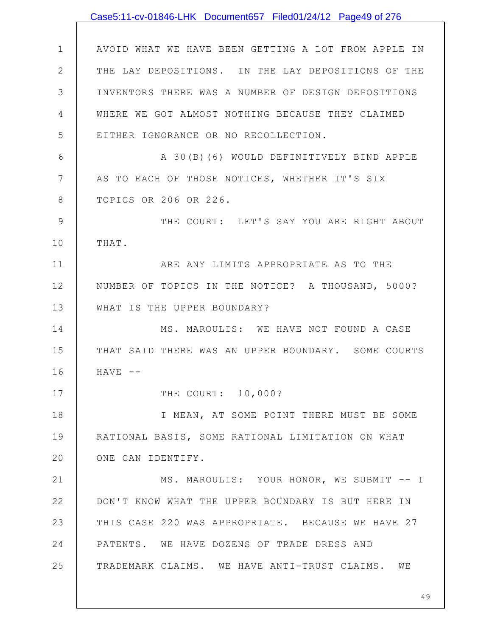|              | Case5:11-cv-01846-LHK Document657 Filed01/24/12 Page49 of 276 |
|--------------|---------------------------------------------------------------|
|              |                                                               |
| $\mathbf 1$  | AVOID WHAT WE HAVE BEEN GETTING A LOT FROM APPLE IN           |
| $\mathbf{2}$ | THE LAY DEPOSITIONS. IN THE LAY DEPOSITIONS OF THE            |
| 3            | INVENTORS THERE WAS A NUMBER OF DESIGN DEPOSITIONS            |
| 4            | WHERE WE GOT ALMOST NOTHING BECAUSE THEY CLAIMED              |
| 5            | EITHER IGNORANCE OR NO RECOLLECTION.                          |
| 6            | A 30(B)(6) WOULD DEFINITIVELY BIND APPLE                      |
| 7            | AS TO EACH OF THOSE NOTICES, WHETHER IT'S SIX                 |
| 8            | TOPICS OR 206 OR 226.                                         |
| 9            | THE COURT: LET'S SAY YOU ARE RIGHT ABOUT                      |
| 10           | THAT.                                                         |
| 11           | ARE ANY LIMITS APPROPRIATE AS TO THE                          |
| 12           | NUMBER OF TOPICS IN THE NOTICE? A THOUSAND, 5000?             |
| 13           | WHAT IS THE UPPER BOUNDARY?                                   |
| 14           | MS. MAROULIS: WE HAVE NOT FOUND A CASE                        |
| 15           | THAT SAID THERE WAS AN UPPER BOUNDARY. SOME COURTS            |
| 16           | $HAVE$ --                                                     |
| 17           | THE COURT: 10,000?                                            |
| 18           | I MEAN, AT SOME POINT THERE MUST BE SOME                      |
| 19           | RATIONAL BASIS, SOME RATIONAL LIMITATION ON WHAT              |
| 20           | ONE CAN IDENTIFY.                                             |
| 21           | MS. MAROULIS: YOUR HONOR, WE SUBMIT -- I                      |
| 22           | DON'T KNOW WHAT THE UPPER BOUNDARY IS BUT HERE IN             |
| 23           | THIS CASE 220 WAS APPROPRIATE. BECAUSE WE HAVE 27             |
| 24           | PATENTS. WE HAVE DOZENS OF TRADE DRESS AND                    |
| 25           | TRADEMARK CLAIMS. WE HAVE ANTI-TRUST CLAIMS. WE               |
|              |                                                               |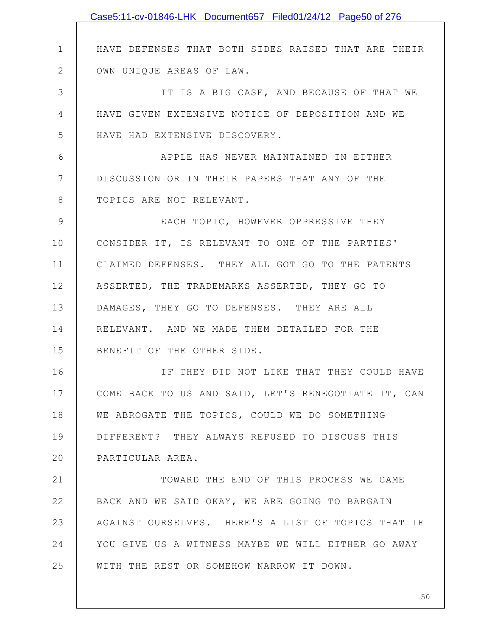|               | Case5:11-cv-01846-LHK Document657 Filed01/24/12 Page50 of 276 |
|---------------|---------------------------------------------------------------|
|               |                                                               |
| $\mathbf 1$   | HAVE DEFENSES THAT BOTH SIDES RAISED THAT ARE THEIR           |
| $\mathbf{2}$  | OWN UNIQUE AREAS OF LAW.                                      |
| 3             | IT IS A BIG CASE, AND BECAUSE OF THAT WE                      |
| 4             | HAVE GIVEN EXTENSIVE NOTICE OF DEPOSITION AND WE              |
| 5             | HAVE HAD EXTENSIVE DISCOVERY.                                 |
| 6             | APPLE HAS NEVER MAINTAINED IN EITHER                          |
| 7             | DISCUSSION OR IN THEIR PAPERS THAT ANY OF THE                 |
| $8\,$         | TOPICS ARE NOT RELEVANT.                                      |
| $\mathcal{G}$ | EACH TOPIC, HOWEVER OPPRESSIVE THEY                           |
| 10            | CONSIDER IT, IS RELEVANT TO ONE OF THE PARTIES'               |
| 11            | CLAIMED DEFENSES. THEY ALL GOT GO TO THE PATENTS              |
| 12            | ASSERTED, THE TRADEMARKS ASSERTED, THEY GO TO                 |
| 13            | DAMAGES, THEY GO TO DEFENSES. THEY ARE ALL                    |
| 14            | RELEVANT. AND WE MADE THEM DETAILED FOR THE                   |
| 15            | BENEFIT OF THE OTHER SIDE.                                    |
| 16            | IF THEY DID NOT LIKE THAT THEY COULD HAVE                     |
| 17            | COME BACK TO US AND SAID, LET'S RENEGOTIATE IT, CAN           |
| 18            | WE ABROGATE THE TOPICS, COULD WE DO SOMETHING                 |
| 19            | DIFFERENT? THEY ALWAYS REFUSED TO DISCUSS THIS                |
| 20            | PARTICULAR AREA.                                              |
| 21            | TOWARD THE END OF THIS PROCESS WE CAME                        |
| 22            | BACK AND WE SAID OKAY, WE ARE GOING TO BARGAIN                |
| 23            | AGAINST OURSELVES. HERE'S A LIST OF TOPICS THAT IF            |
| 24            | YOU GIVE US A WITNESS MAYBE WE WILL EITHER GO AWAY            |
| 25            | WITH THE REST OR SOMEHOW NARROW IT DOWN.                      |
|               |                                                               |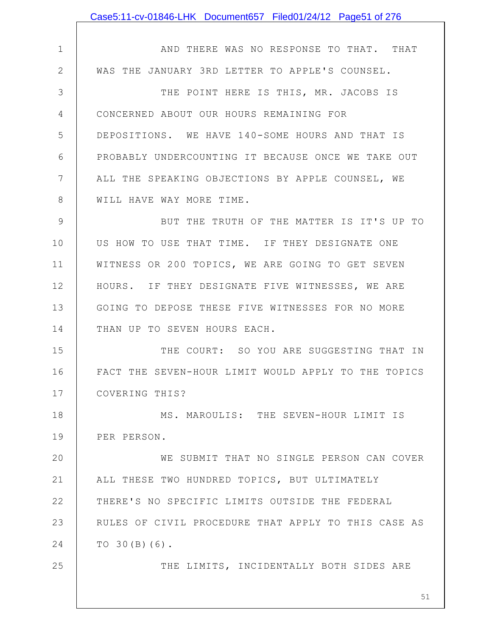|             | Case5:11-cv-01846-LHK Document657 Filed01/24/12 Page51 of 276 |
|-------------|---------------------------------------------------------------|
|             |                                                               |
| $\mathbf 1$ | AND THERE WAS NO RESPONSE TO THAT. THAT                       |
| 2           | WAS THE JANUARY 3RD LETTER TO APPLE'S COUNSEL.                |
| 3           | THE POINT HERE IS THIS, MR. JACOBS IS                         |
| 4           | CONCERNED ABOUT OUR HOURS REMAINING FOR                       |
| 5           | DEPOSITIONS. WE HAVE 140-SOME HOURS AND THAT IS               |
| 6           | PROBABLY UNDERCOUNTING IT BECAUSE ONCE WE TAKE OUT            |
| 7           | ALL THE SPEAKING OBJECTIONS BY APPLE COUNSEL, WE              |
| 8           | WILL HAVE WAY MORE TIME.                                      |
| 9           | BUT THE TRUTH OF THE MATTER IS IT'S UP TO                     |
| 10          | US HOW TO USE THAT TIME. IF THEY DESIGNATE ONE                |
| 11          | WITNESS OR 200 TOPICS, WE ARE GOING TO GET SEVEN              |
| 12          | HOURS. IF THEY DESIGNATE FIVE WITNESSES, WE ARE               |
| 13          | GOING TO DEPOSE THESE FIVE WITNESSES FOR NO MORE              |
| 14          | THAN UP TO SEVEN HOURS EACH.                                  |
| 15          | THE COURT: SO YOU ARE SUGGESTING THAT IN                      |
| 16          | FACT THE SEVEN-HOUR LIMIT WOULD APPLY TO THE TOPICS           |
| 17          | COVERING THIS?                                                |
| 18          | MS. MAROULIS: THE SEVEN-HOUR LIMIT IS                         |
| 19          | PER PERSON.                                                   |
| 20          | WE SUBMIT THAT NO SINGLE PERSON CAN COVER                     |
| 21          | ALL THESE TWO HUNDRED TOPICS, BUT ULTIMATELY                  |
| 22          | THERE'S NO SPECIFIC LIMITS OUTSIDE THE FEDERAL                |
| 23          | RULES OF CIVIL PROCEDURE THAT APPLY TO THIS CASE AS           |
| 24          | TO $30(B)(6)$ .                                               |
| 25          | THE LIMITS, INCIDENTALLY BOTH SIDES ARE                       |
|             |                                                               |
|             | 51                                                            |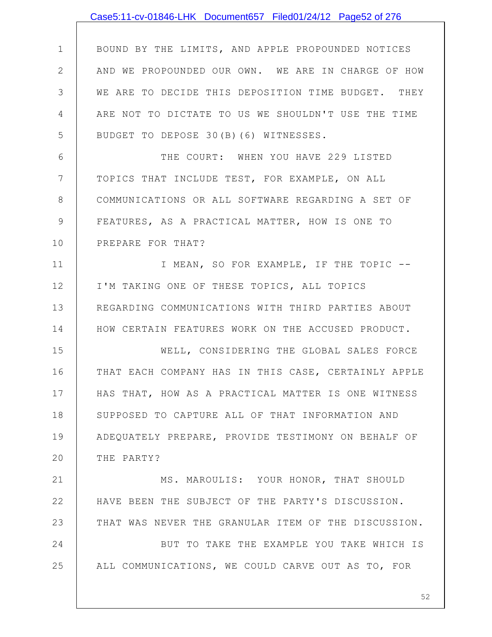|             | Case5:11-cv-01846-LHK Document657 Filed01/24/12 Page52 of 276 |
|-------------|---------------------------------------------------------------|
|             |                                                               |
| $\mathbf 1$ | BOUND BY THE LIMITS, AND APPLE PROPOUNDED NOTICES             |
| 2           | AND WE PROPOUNDED OUR OWN. WE ARE IN CHARGE OF HOW            |
| 3           | WE ARE TO DECIDE THIS DEPOSITION TIME BUDGET. THEY            |
| 4           | ARE NOT TO DICTATE TO US WE SHOULDN'T USE THE TIME            |
| 5           | BUDGET TO DEPOSE 30(B)(6) WITNESSES.                          |
| 6           | THE COURT: WHEN YOU HAVE 229 LISTED                           |
| 7           | TOPICS THAT INCLUDE TEST, FOR EXAMPLE, ON ALL                 |
| 8           | COMMUNICATIONS OR ALL SOFTWARE REGARDING A SET OF             |
| 9           | FEATURES, AS A PRACTICAL MATTER, HOW IS ONE TO                |
| 10          | PREPARE FOR THAT?                                             |
| 11          | I MEAN, SO FOR EXAMPLE, IF THE TOPIC --                       |
| 12          | I'M TAKING ONE OF THESE TOPICS, ALL TOPICS                    |
| 13          | REGARDING COMMUNICATIONS WITH THIRD PARTIES ABOUT             |
| 14          | HOW CERTAIN FEATURES WORK ON THE ACCUSED PRODUCT.             |
| 15          | WELL, CONSIDERING THE GLOBAL SALES FORCE                      |
| 16          | THAT EACH COMPANY HAS IN THIS CASE, CERTAINLY APPLE           |
| 17          | HAS THAT, HOW AS A PRACTICAL MATTER IS ONE WITNESS            |
| 18          | SUPPOSED TO CAPTURE ALL OF THAT INFORMATION AND               |
| 19          | ADEQUATELY PREPARE, PROVIDE TESTIMONY ON BEHALF OF            |
| 20          | THE PARTY?                                                    |
| 21          | MS. MAROULIS: YOUR HONOR, THAT SHOULD                         |
| 22          | HAVE BEEN THE SUBJECT OF THE PARTY'S DISCUSSION.              |
| 23          | THAT WAS NEVER THE GRANULAR ITEM OF THE DISCUSSION.           |
| 24          | BUT TO TAKE THE EXAMPLE YOU TAKE WHICH IS                     |
| 25          | ALL COMMUNICATIONS, WE COULD CARVE OUT AS TO, FOR             |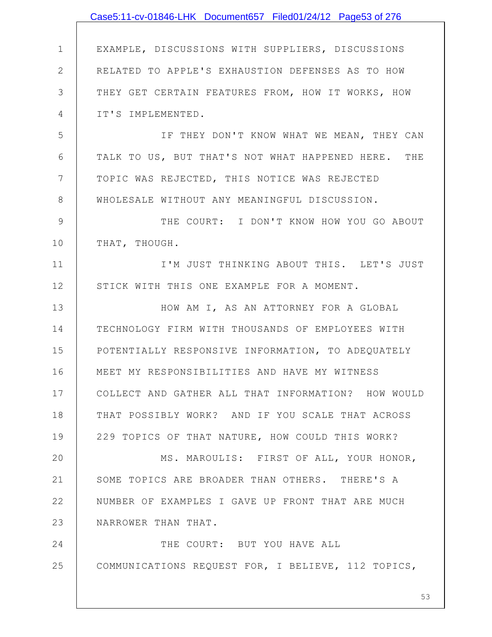|                | Case5:11-cv-01846-LHK Document657 Filed01/24/12 Page53 of 276 |
|----------------|---------------------------------------------------------------|
|                |                                                               |
| $\mathbf{1}$   | EXAMPLE, DISCUSSIONS WITH SUPPLIERS, DISCUSSIONS              |
| $\mathbf{2}$   | RELATED TO APPLE'S EXHAUSTION DEFENSES AS TO HOW              |
| 3              | THEY GET CERTAIN FEATURES FROM, HOW IT WORKS, HOW             |
| 4              | IT'S IMPLEMENTED.                                             |
| 5              | IF THEY DON'T KNOW WHAT WE MEAN, THEY CAN                     |
| 6              | TALK TO US, BUT THAT'S NOT WHAT HAPPENED HERE. THE            |
| $7\phantom{.}$ | TOPIC WAS REJECTED, THIS NOTICE WAS REJECTED                  |
| $8\,$          | WHOLESALE WITHOUT ANY MEANINGFUL DISCUSSION.                  |
| 9              | THE COURT: I DON'T KNOW HOW YOU GO ABOUT                      |
| 10             | THAT, THOUGH.                                                 |
| 11             | I'M JUST THINKING ABOUT THIS. LET'S JUST                      |
| 12             | STICK WITH THIS ONE EXAMPLE FOR A MOMENT.                     |
| 13             | HOW AM I, AS AN ATTORNEY FOR A GLOBAL                         |
| 14             | TECHNOLOGY FIRM WITH THOUSANDS OF EMPLOYEES WITH              |
| 15             | POTENTIALLY RESPONSIVE INFORMATION, TO ADEQUATELY             |
| 16             | MEET MY RESPONSIBILITIES AND HAVE MY WITNESS                  |
| 17             | COLLECT AND GATHER ALL THAT INFORMATION? HOW WOULD            |
| 18             | THAT POSSIBLY WORK? AND IF YOU SCALE THAT ACROSS              |
| 19             | 229 TOPICS OF THAT NATURE, HOW COULD THIS WORK?               |
| 20             | MS. MAROULIS: FIRST OF ALL, YOUR HONOR,                       |
| 21             | SOME TOPICS ARE BROADER THAN OTHERS. THERE'S A                |
| 22             | NUMBER OF EXAMPLES I GAVE UP FRONT THAT ARE MUCH              |
| 23             | NARROWER THAN THAT.                                           |
| 24             | THE COURT: BUT YOU HAVE ALL                                   |
| 25             | COMMUNICATIONS REQUEST FOR, I BELIEVE, 112 TOPICS,            |
|                |                                                               |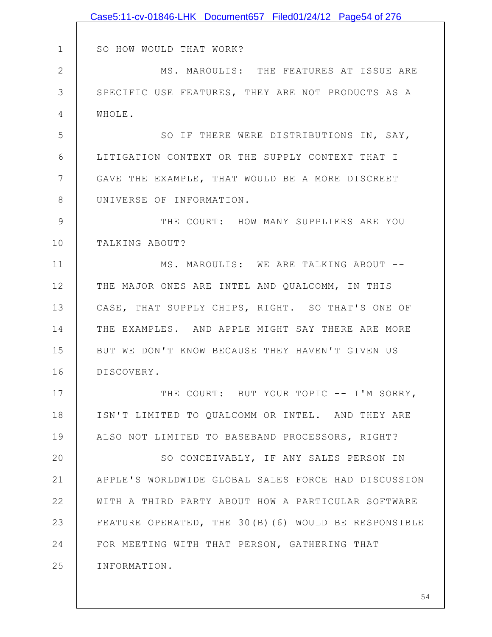|               | Case5:11-cv-01846-LHK Document657 Filed01/24/12 Page54 of 276 |
|---------------|---------------------------------------------------------------|
|               |                                                               |
| $\mathbf 1$   | SO HOW WOULD THAT WORK?                                       |
| $\mathbf{2}$  | MS. MAROULIS: THE FEATURES AT ISSUE ARE                       |
| 3             | SPECIFIC USE FEATURES, THEY ARE NOT PRODUCTS AS A             |
| 4             | WHOLE.                                                        |
| 5             | SO IF THERE WERE DISTRIBUTIONS IN, SAY,                       |
| 6             | LITIGATION CONTEXT OR THE SUPPLY CONTEXT THAT I               |
| 7             | GAVE THE EXAMPLE, THAT WOULD BE A MORE DISCREET               |
| 8             | UNIVERSE OF INFORMATION.                                      |
| $\mathcal{G}$ | THE COURT: HOW MANY SUPPLIERS ARE YOU                         |
| 10            | TALKING ABOUT?                                                |
| 11            | MS. MAROULIS: WE ARE TALKING ABOUT --                         |
| 12            | THE MAJOR ONES ARE INTEL AND QUALCOMM, IN THIS                |
| 13            | CASE, THAT SUPPLY CHIPS, RIGHT. SO THAT'S ONE OF              |
| 14            | THE EXAMPLES. AND APPLE MIGHT SAY THERE ARE MORE              |
| 15            | BUT WE DON'T KNOW BECAUSE THEY HAVEN'T GIVEN US               |
| 16            | DISCOVERY.                                                    |
| 17            | THE COURT: BUT YOUR TOPIC -- I'M SORRY,                       |
| 18            | ISN'T LIMITED TO QUALCOMM OR INTEL. AND THEY ARE              |
| 19            | ALSO NOT LIMITED TO BASEBAND PROCESSORS, RIGHT?               |
| 20            | SO CONCEIVABLY, IF ANY SALES PERSON IN                        |
| 21            | APPLE'S WORLDWIDE GLOBAL SALES FORCE HAD DISCUSSION           |
| 22            | WITH A THIRD PARTY ABOUT HOW A PARTICULAR SOFTWARE            |
| 23            | FEATURE OPERATED, THE 30(B)(6) WOULD BE RESPONSIBLE           |
| 24            | FOR MEETING WITH THAT PERSON, GATHERING THAT                  |
| 25            | INFORMATION.                                                  |
|               |                                                               |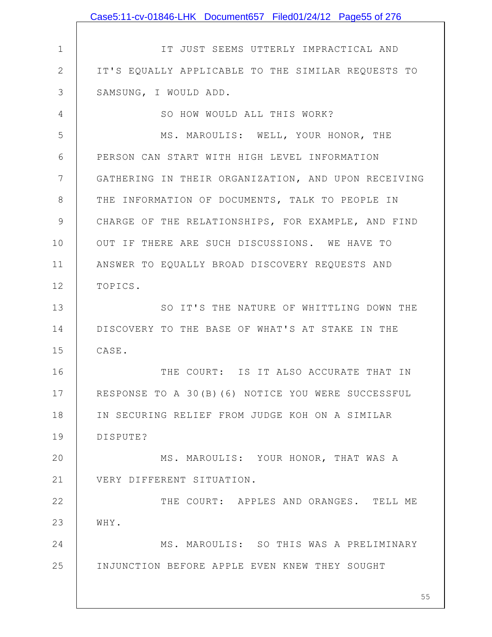|                | Case5:11-cv-01846-LHK Document657 Filed01/24/12 Page55 of 276 |
|----------------|---------------------------------------------------------------|
|                |                                                               |
| $\mathbf 1$    | IT JUST SEEMS UTTERLY IMPRACTICAL AND                         |
| $\mathbf{2}$   | IT'S EQUALLY APPLICABLE TO THE SIMILAR REQUESTS TO            |
| 3              | SAMSUNG, I WOULD ADD.                                         |
| $\overline{4}$ | SO HOW WOULD ALL THIS WORK?                                   |
| 5              | MS. MAROULIS: WELL, YOUR HONOR, THE                           |
| 6              | PERSON CAN START WITH HIGH LEVEL INFORMATION                  |
| 7              | GATHERING IN THEIR ORGANIZATION, AND UPON RECEIVING           |
| 8              | THE INFORMATION OF DOCUMENTS, TALK TO PEOPLE IN               |
| 9              | CHARGE OF THE RELATIONSHIPS, FOR EXAMPLE, AND FIND            |
| 10             | OUT IF THERE ARE SUCH DISCUSSIONS. WE HAVE TO                 |
| 11             | ANSWER TO EQUALLY BROAD DISCOVERY REQUESTS AND                |
| 12             | TOPICS.                                                       |
| 13             | SO IT'S THE NATURE OF WHITTLING DOWN THE                      |
| 14             | DISCOVERY TO THE BASE OF WHAT'S AT STAKE IN THE               |
| 15             | CASE.                                                         |
| 16             | THE COURT: IS IT ALSO ACCURATE THAT IN                        |
| 17             | RESPONSE TO A 30(B) (6) NOTICE YOU WERE SUCCESSFUL            |
| 18             | IN SECURING RELIEF FROM JUDGE KOH ON A SIMILAR                |
| 19             | DISPUTE?                                                      |
| 20             | MS. MAROULIS: YOUR HONOR, THAT WAS A                          |
| 21             | VERY DIFFERENT SITUATION.                                     |
| 22             | THE COURT: APPLES AND ORANGES. TELL ME                        |
| 23             | WHY.                                                          |
| 24             | MS. MAROULIS: SO THIS WAS A PRELIMINARY                       |
| 25             | INJUNCTION BEFORE APPLE EVEN KNEW THEY SOUGHT                 |
|                | 55                                                            |
|                |                                                               |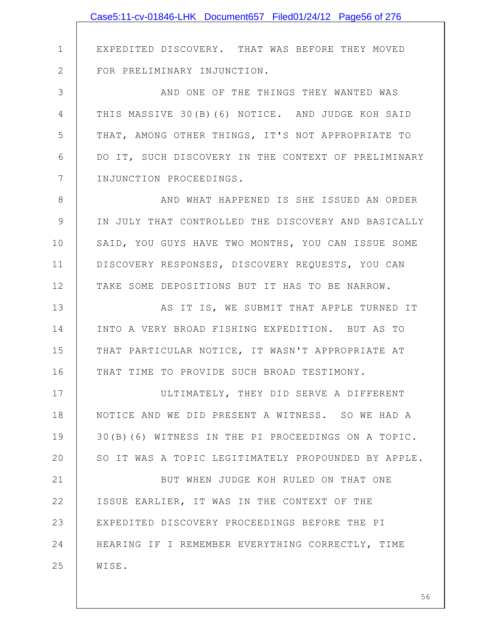|               | Case5:11-cv-01846-LHK Document657 Filed01/24/12 Page56 of 276 |
|---------------|---------------------------------------------------------------|
|               |                                                               |
| $\mathbf 1$   | EXPEDITED DISCOVERY. THAT WAS BEFORE THEY MOVED               |
| $\mathbf{2}$  | FOR PRELIMINARY INJUNCTION.                                   |
| 3             | AND ONE OF THE THINGS THEY WANTED WAS                         |
| 4             | THIS MASSIVE 30(B)(6) NOTICE. AND JUDGE KOH SAID              |
| 5             | THAT, AMONG OTHER THINGS, IT'S NOT APPROPRIATE TO             |
| 6             | DO IT, SUCH DISCOVERY IN THE CONTEXT OF PRELIMINARY           |
| 7             | INJUNCTION PROCEEDINGS.                                       |
| 8             | AND WHAT HAPPENED IS SHE ISSUED AN ORDER                      |
| $\mathcal{G}$ | IN JULY THAT CONTROLLED THE DISCOVERY AND BASICALLY           |
| 10            | SAID, YOU GUYS HAVE TWO MONTHS, YOU CAN ISSUE SOME            |
| 11            | DISCOVERY RESPONSES, DISCOVERY REQUESTS, YOU CAN              |
| 12            | TAKE SOME DEPOSITIONS BUT IT HAS TO BE NARROW.                |
| 13            | AS IT IS, WE SUBMIT THAT APPLE TURNED IT                      |
| 14            | INTO A VERY BROAD FISHING EXPEDITION. BUT AS TO               |
| 15            | THAT PARTICULAR NOTICE, IT WASN'T APPROPRIATE AT              |
| 16            | THAT TIME TO PROVIDE SUCH BROAD TESTIMONY.                    |
| 17            | ULTIMATELY, THEY DID SERVE A DIFFERENT                        |
| 18            | NOTICE AND WE DID PRESENT A WITNESS. SO WE HAD A              |
| 19            | 30(B)(6) WITNESS IN THE PI PROCEEDINGS ON A TOPIC.            |
| 20            | SO IT WAS A TOPIC LEGITIMATELY PROPOUNDED BY APPLE.           |
| 21            | BUT WHEN JUDGE KOH RULED ON THAT ONE                          |
| 22            | ISSUE EARLIER, IT WAS IN THE CONTEXT OF THE                   |
| 23            | EXPEDITED DISCOVERY PROCEEDINGS BEFORE THE PI                 |
| 24            | HEARING IF I REMEMBER EVERYTHING CORRECTLY, TIME              |
| 25            | WISE.                                                         |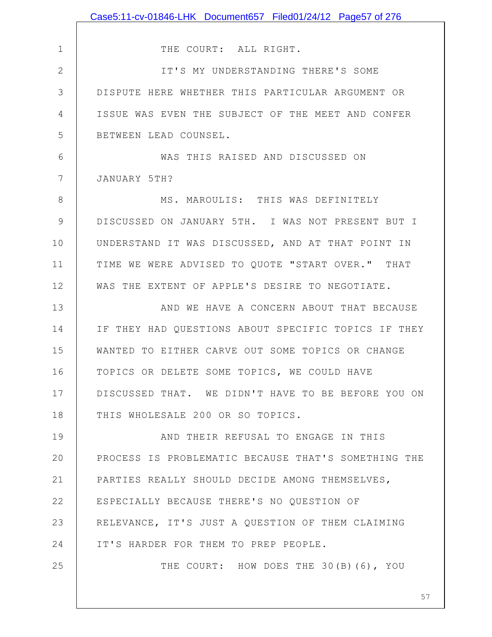|               | Case5:11-cv-01846-LHK Document657 Filed01/24/12 Page57 of 276 |
|---------------|---------------------------------------------------------------|
|               |                                                               |
| $\mathbf 1$   | THE COURT: ALL RIGHT.                                         |
| $\mathbf{2}$  | IT'S MY UNDERSTANDING THERE'S SOME                            |
| 3             | DISPUTE HERE WHETHER THIS PARTICULAR ARGUMENT OR              |
| 4             | ISSUE WAS EVEN THE SUBJECT OF THE MEET AND CONFER             |
| 5             | BETWEEN LEAD COUNSEL.                                         |
| 6             | WAS THIS RAISED AND DISCUSSED ON                              |
| 7             | JANUARY 5TH?                                                  |
| 8             | MS. MAROULIS: THIS WAS DEFINITELY                             |
| $\mathcal{G}$ | DISCUSSED ON JANUARY 5TH. I WAS NOT PRESENT BUT I             |
| 10            | UNDERSTAND IT WAS DISCUSSED, AND AT THAT POINT IN             |
| 11            | TIME WE WERE ADVISED TO QUOTE "START OVER." THAT              |
| 12            | WAS THE EXTENT OF APPLE'S DESIRE TO NEGOTIATE.                |
| 13            | AND WE HAVE A CONCERN ABOUT THAT BECAUSE                      |
| 14            | IF THEY HAD QUESTIONS ABOUT SPECIFIC TOPICS IF THEY           |
| 15            | WANTED TO EITHER CARVE OUT SOME TOPICS OR CHANGE              |
| 16            | TOPICS OR DELETE SOME TOPICS, WE COULD HAVE                   |
| 17            | DISCUSSED THAT. WE DIDN'T HAVE TO BE BEFORE YOU ON            |
| 18            | THIS WHOLESALE 200 OR SO TOPICS.                              |
| 19            | AND THEIR REFUSAL TO ENGAGE IN THIS                           |
| 20            | PROCESS IS PROBLEMATIC BECAUSE THAT'S SOMETHING THE           |
| 21            | PARTIES REALLY SHOULD DECIDE AMONG THEMSELVES,                |
| 22            | ESPECIALLY BECAUSE THERE'S NO QUESTION OF                     |
| 23            | RELEVANCE, IT'S JUST A QUESTION OF THEM CLAIMING              |
| 24            | IT'S HARDER FOR THEM TO PREP PEOPLE.                          |
| 25            | THE COURT: HOW DOES THE 30(B)(6), YOU                         |
|               |                                                               |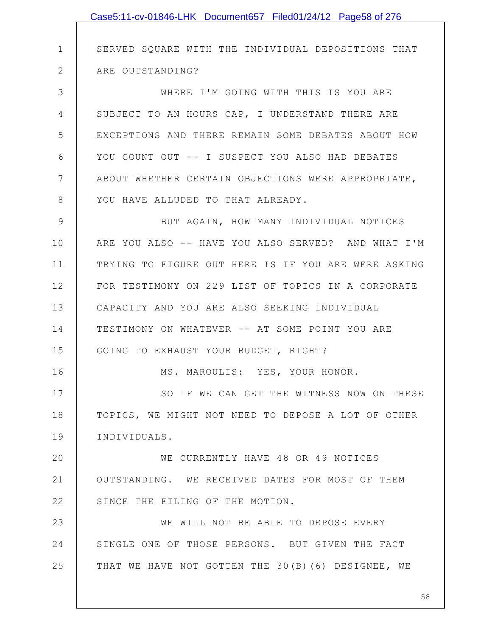|              | Case5:11-cv-01846-LHK Document657 Filed01/24/12 Page58 of 276 |
|--------------|---------------------------------------------------------------|
|              |                                                               |
| $\mathbf 1$  | SERVED SQUARE WITH THE INDIVIDUAL DEPOSITIONS THAT            |
| $\mathbf{2}$ | ARE OUTSTANDING?                                              |
| 3            | WHERE I'M GOING WITH THIS IS YOU ARE                          |
| 4            | SUBJECT TO AN HOURS CAP, I UNDERSTAND THERE ARE               |
| 5            | EXCEPTIONS AND THERE REMAIN SOME DEBATES ABOUT HOW            |
| 6            | YOU COUNT OUT -- I SUSPECT YOU ALSO HAD DEBATES               |
| 7            | ABOUT WHETHER CERTAIN OBJECTIONS WERE APPROPRIATE,            |
| 8            | YOU HAVE ALLUDED TO THAT ALREADY.                             |
| 9            | BUT AGAIN, HOW MANY INDIVIDUAL NOTICES                        |
| 10           | ARE YOU ALSO -- HAVE YOU ALSO SERVED? AND WHAT I'M            |
| 11           | TRYING TO FIGURE OUT HERE IS IF YOU ARE WERE ASKING           |
| 12           | FOR TESTIMONY ON 229 LIST OF TOPICS IN A CORPORATE            |
| 13           | CAPACITY AND YOU ARE ALSO SEEKING INDIVIDUAL                  |
| 14           | TESTIMONY ON WHATEVER -- AT SOME POINT YOU ARE                |
| 15           | GOING TO EXHAUST YOUR BUDGET, RIGHT?                          |
| 16           | MS. MAROULIS: YES, YOUR HONOR.                                |
| 17           | SO IF WE CAN GET THE WITNESS NOW ON THESE                     |
| 18           | TOPICS, WE MIGHT NOT NEED TO DEPOSE A LOT OF OTHER            |
| 19           | INDIVIDUALS.                                                  |
| 20           | WE CURRENTLY HAVE 48 OR 49 NOTICES                            |
| 21           | OUTSTANDING. WE RECEIVED DATES FOR MOST OF THEM               |
| 22           | SINCE THE FILING OF THE MOTION.                               |
| 23           | WE WILL NOT BE ABLE TO DEPOSE EVERY                           |
| 24           | SINGLE ONE OF THOSE PERSONS. BUT GIVEN THE FACT               |
| 25           | THAT WE HAVE NOT GOTTEN THE 30(B)(6) DESIGNEE, WE             |
|              |                                                               |
|              | 58                                                            |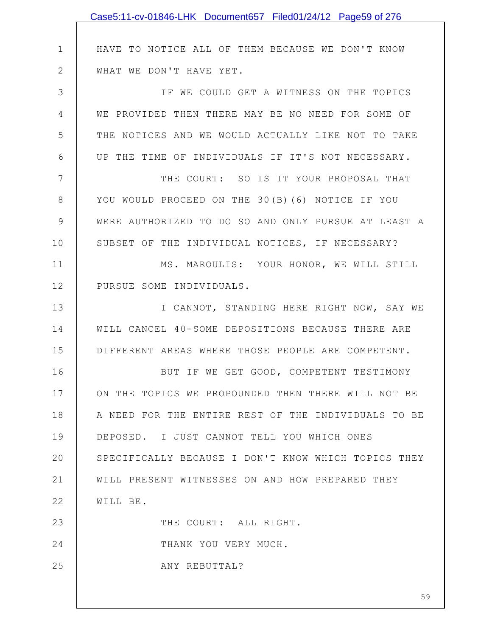|               | Case5:11-cv-01846-LHK Document657 Filed01/24/12 Page59 of 276 |
|---------------|---------------------------------------------------------------|
|               |                                                               |
| $\mathbf 1$   | HAVE TO NOTICE ALL OF THEM BECAUSE WE DON'T KNOW              |
| $\mathbf{2}$  | WHAT WE DON'T HAVE YET.                                       |
| 3             | IF WE COULD GET A WITNESS ON THE TOPICS                       |
| 4             | WE PROVIDED THEN THERE MAY BE NO NEED FOR SOME OF             |
| 5             | THE NOTICES AND WE WOULD ACTUALLY LIKE NOT TO TAKE            |
| 6             | UP THE TIME OF INDIVIDUALS IF IT'S NOT NECESSARY.             |
| 7             | THE COURT: SO IS IT YOUR PROPOSAL THAT                        |
| $8\,$         | YOU WOULD PROCEED ON THE 30(B) (6) NOTICE IF YOU              |
| $\mathcal{G}$ | WERE AUTHORIZED TO DO SO AND ONLY PURSUE AT LEAST A           |
| 10            | SUBSET OF THE INDIVIDUAL NOTICES, IF NECESSARY?               |
| 11            | MS. MAROULIS: YOUR HONOR, WE WILL STILL                       |
| 12            | PURSUE SOME INDIVIDUALS.                                      |
| 13            | I CANNOT, STANDING HERE RIGHT NOW, SAY WE                     |
| 14            | WILL CANCEL 40-SOME DEPOSITIONS BECAUSE THERE ARE             |
| 15            | DIFFERENT AREAS WHERE THOSE PEOPLE ARE COMPETENT.             |
| 16            | BUT IF WE GET GOOD, COMPETENT TESTIMONY                       |
| 17            | ON THE TOPICS WE PROPOUNDED THEN THERE WILL NOT BE            |
| 18            | A NEED FOR THE ENTIRE REST OF THE INDIVIDUALS TO BE           |
| 19            | DEPOSED. I JUST CANNOT TELL YOU WHICH ONES                    |
| 20            | SPECIFICALLY BECAUSE I DON'T KNOW WHICH TOPICS THEY           |
| 21            | WILL PRESENT WITNESSES ON AND HOW PREPARED THEY               |
| 22            | WILL BE.                                                      |
| 23            | THE COURT: ALL RIGHT.                                         |
| 24            | THANK YOU VERY MUCH.                                          |
| 25            | ANY REBUTTAL?                                                 |
|               | 59                                                            |
|               |                                                               |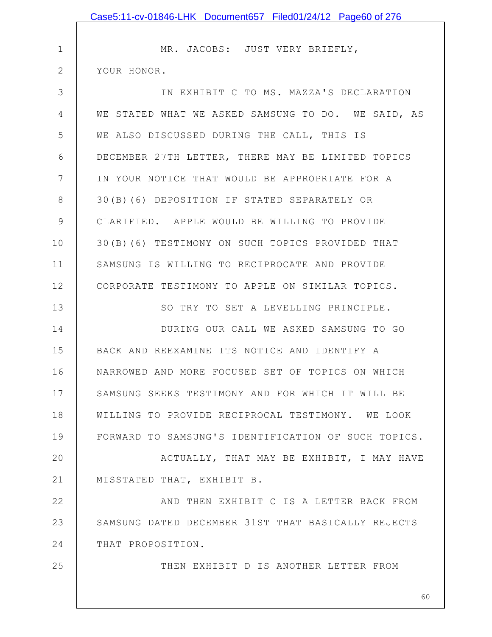|                | Case5:11-cv-01846-LHK Document657 Filed01/24/12 Page60 of 276 |
|----------------|---------------------------------------------------------------|
|                |                                                               |
| $\mathbf 1$    | MR. JACOBS: JUST VERY BRIEFLY,                                |
| $\overline{2}$ | YOUR HONOR.                                                   |
| 3              | IN EXHIBIT C TO MS. MAZZA'S DECLARATION                       |
| 4              | WE STATED WHAT WE ASKED SAMSUNG TO DO. WE SAID, AS            |
| 5              | WE ALSO DISCUSSED DURING THE CALL, THIS IS                    |
| 6              | DECEMBER 27TH LETTER, THERE MAY BE LIMITED TOPICS             |
| 7              | IN YOUR NOTICE THAT WOULD BE APPROPRIATE FOR A                |
| 8              | 30(B)(6) DEPOSITION IF STATED SEPARATELY OR                   |
| $\mathcal{G}$  | CLARIFIED. APPLE WOULD BE WILLING TO PROVIDE                  |
| 10             | 30(B)(6) TESTIMONY ON SUCH TOPICS PROVIDED THAT               |
| 11             | SAMSUNG IS WILLING TO RECIPROCATE AND PROVIDE                 |
| 12             | CORPORATE TESTIMONY TO APPLE ON SIMILAR TOPICS.               |
| 13             | SO TRY TO SET A LEVELLING PRINCIPLE.                          |
| 14             | DURING OUR CALL WE ASKED SAMSUNG TO GO                        |
| 15             | BACK AND REEXAMINE ITS NOTICE AND IDENTIFY A                  |
| 16             | NARROWED AND MORE FOCUSED SET OF TOPICS ON WHICH              |
| 17             | SAMSUNG SEEKS TESTIMONY AND FOR WHICH IT WILL BE              |
| 18             | WILLING TO PROVIDE RECIPROCAL TESTIMONY. WE LOOK              |
| 19             | FORWARD TO SAMSUNG'S IDENTIFICATION OF SUCH TOPICS.           |
| 20             | ACTUALLY, THAT MAY BE EXHIBIT, I MAY HAVE                     |
| 21             | MISSTATED THAT, EXHIBIT B.                                    |
| 22             | AND THEN EXHIBIT C IS A LETTER BACK FROM                      |
| 23             | SAMSUNG DATED DECEMBER 31ST THAT BASICALLY REJECTS            |
| 24             | THAT PROPOSITION.                                             |
| 25             | THEN EXHIBIT D IS ANOTHER LETTER FROM                         |
|                |                                                               |
|                | 60                                                            |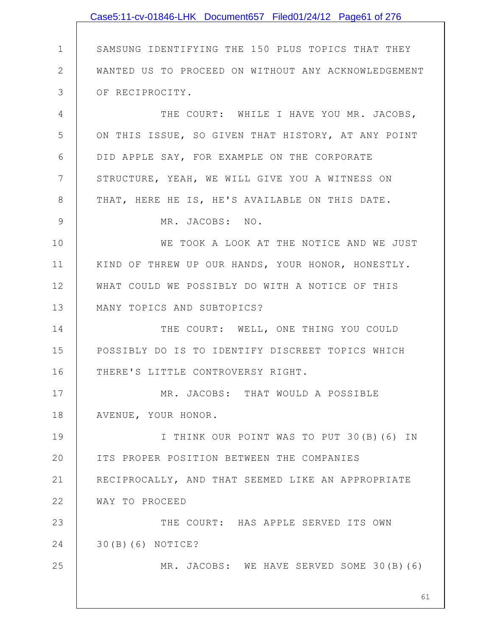|               | Case5:11-cv-01846-LHK Document657 Filed01/24/12 Page61 of 276 |
|---------------|---------------------------------------------------------------|
|               |                                                               |
| $\mathbf 1$   | SAMSUNG IDENTIFYING THE 150 PLUS TOPICS THAT THEY             |
| $\mathbf{2}$  | WANTED US TO PROCEED ON WITHOUT ANY ACKNOWLEDGEMENT           |
| 3             | OF RECIPROCITY.                                               |
| 4             | THE COURT: WHILE I HAVE YOU MR. JACOBS,                       |
| 5             | ON THIS ISSUE, SO GIVEN THAT HISTORY, AT ANY POINT            |
| 6             | DID APPLE SAY, FOR EXAMPLE ON THE CORPORATE                   |
| 7             | STRUCTURE, YEAH, WE WILL GIVE YOU A WITNESS ON                |
| 8             | THAT, HERE HE IS, HE'S AVAILABLE ON THIS DATE.                |
| $\mathcal{G}$ | MR. JACOBS: NO.                                               |
| 10            | WE TOOK A LOOK AT THE NOTICE AND WE JUST                      |
| 11            | KIND OF THREW UP OUR HANDS, YOUR HONOR, HONESTLY.             |
| 12            | WHAT COULD WE POSSIBLY DO WITH A NOTICE OF THIS               |
| 13            | MANY TOPICS AND SUBTOPICS?                                    |
| 14            | THE COURT: WELL, ONE THING YOU COULD                          |
| 15            | POSSIBLY DO IS TO IDENTIFY DISCREET TOPICS WHICH              |
| 16            | THERE'S LITTLE CONTROVERSY RIGHT.                             |
| 17            | MR. JACOBS: THAT WOULD A POSSIBLE                             |
| 18            | AVENUE, YOUR HONOR.                                           |
| 19            | I THINK OUR POINT WAS TO PUT 30(B) (6) IN                     |
| 20            | ITS PROPER POSITION BETWEEN THE COMPANIES                     |
| 21            | RECIPROCALLY, AND THAT SEEMED LIKE AN APPROPRIATE             |
| 22            | WAY TO PROCEED                                                |
| 23            | THE COURT: HAS APPLE SERVED ITS OWN                           |
| 24            | 30(B)(6) NOTICE?                                              |
| 25            | MR. JACOBS: WE HAVE SERVED SOME 30(B)(6)                      |
|               |                                                               |
|               | 61                                                            |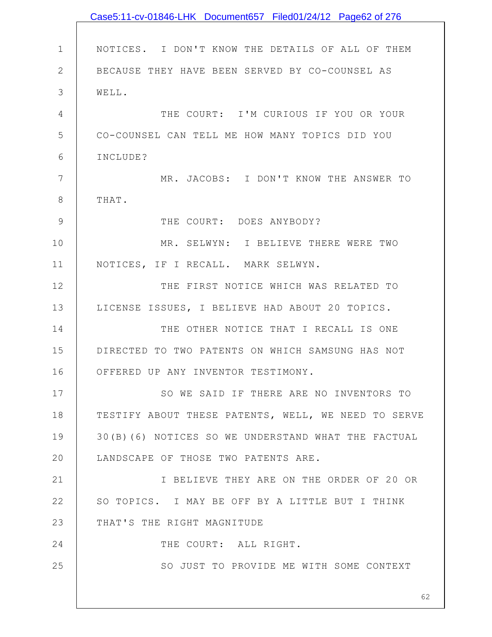|               | Case5:11-cv-01846-LHK Document657 Filed01/24/12 Page62 of 276 |
|---------------|---------------------------------------------------------------|
|               |                                                               |
| $\mathbf 1$   | NOTICES. I DON'T KNOW THE DETAILS OF ALL OF THEM              |
| $\mathbf{2}$  | BECAUSE THEY HAVE BEEN SERVED BY CO-COUNSEL AS                |
| 3             | WELL.                                                         |
| 4             | THE COURT: I'M CURIOUS IF YOU OR YOUR                         |
| 5             | CO-COUNSEL CAN TELL ME HOW MANY TOPICS DID YOU                |
| 6             | INCLUDE?                                                      |
| 7             | MR. JACOBS: I DON'T KNOW THE ANSWER TO                        |
| $8\,$         | THAT.                                                         |
| $\mathcal{G}$ | THE COURT: DOES ANYBODY?                                      |
| 10            | MR. SELWYN: I BELIEVE THERE WERE TWO                          |
| 11            | NOTICES, IF I RECALL. MARK SELWYN.                            |
| 12            | THE FIRST NOTICE WHICH WAS RELATED TO                         |
| 13            | LICENSE ISSUES, I BELIEVE HAD ABOUT 20 TOPICS.                |
| 14            | THE OTHER NOTICE THAT I RECALL IS ONE                         |
| 15            | DIRECTED TO TWO PATENTS ON WHICH SAMSUNG HAS NOT              |
| 16            | OFFERED UP ANY INVENTOR TESTIMONY.                            |
| 17            | SO WE SAID IF THERE ARE NO INVENTORS TO                       |
| 18            | TESTIFY ABOUT THESE PATENTS, WELL, WE NEED TO SERVE           |
| 19            | 30(B)(6) NOTICES SO WE UNDERSTAND WHAT THE FACTUAL            |
| 20            | LANDSCAPE OF THOSE TWO PATENTS ARE.                           |
| 21            | I BELIEVE THEY ARE ON THE ORDER OF 20 OR                      |
| 22            | SO TOPICS. I MAY BE OFF BY A LITTLE BUT I THINK               |
| 23            | THAT'S THE RIGHT MAGNITUDE                                    |
| 24            | THE COURT: ALL RIGHT.                                         |
| 25            | SO JUST TO PROVIDE ME WITH SOME CONTEXT                       |
|               |                                                               |
|               | 62                                                            |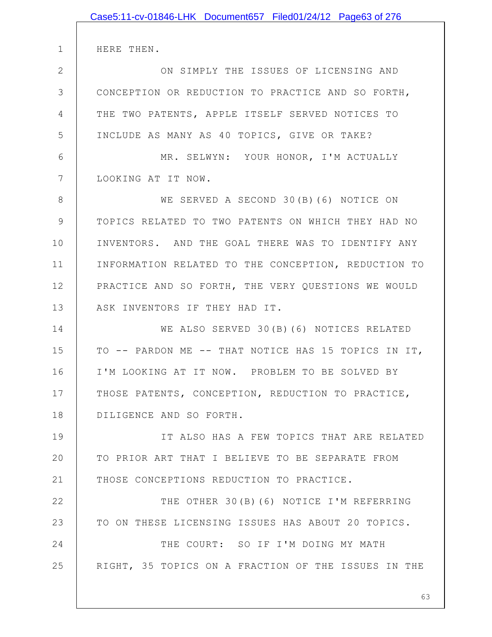|               | Case5:11-cv-01846-LHK Document657 Filed01/24/12 Page63 of 276 |
|---------------|---------------------------------------------------------------|
|               |                                                               |
| $\mathbf 1$   | HERE THEN.                                                    |
| $\mathbf{2}$  | ON SIMPLY THE ISSUES OF LICENSING AND                         |
| 3             | CONCEPTION OR REDUCTION TO PRACTICE AND SO FORTH,             |
| 4             | THE TWO PATENTS, APPLE ITSELF SERVED NOTICES TO               |
| 5             | INCLUDE AS MANY AS 40 TOPICS, GIVE OR TAKE?                   |
| 6             | MR. SELWYN: YOUR HONOR, I'M ACTUALLY                          |
| 7             | LOOKING AT IT NOW.                                            |
| 8             | WE SERVED A SECOND 30(B)(6) NOTICE ON                         |
| $\mathcal{G}$ | TOPICS RELATED TO TWO PATENTS ON WHICH THEY HAD NO            |
| 10            | INVENTORS. AND THE GOAL THERE WAS TO IDENTIFY ANY             |
| 11            | INFORMATION RELATED TO THE CONCEPTION, REDUCTION TO           |
| 12            | PRACTICE AND SO FORTH, THE VERY QUESTIONS WE WOULD            |
| 13            | ASK INVENTORS IF THEY HAD IT.                                 |
| 14            | WE ALSO SERVED 30(B)(6) NOTICES RELATED                       |
| 15            | TO -- PARDON ME -- THAT NOTICE HAS 15 TOPICS IN IT,           |
| 16            | I'M LOOKING AT IT NOW. PROBLEM TO BE SOLVED BY                |
| 17            | THOSE PATENTS, CONCEPTION, REDUCTION TO PRACTICE,             |
| 18            | DILIGENCE AND SO FORTH.                                       |
| 19            | IT ALSO HAS A FEW TOPICS THAT ARE RELATED                     |
| 20            | TO PRIOR ART THAT I BELIEVE TO BE SEPARATE FROM               |
| 21            | THOSE CONCEPTIONS REDUCTION TO PRACTICE.                      |
| 22            | THE OTHER 30(B)(6) NOTICE I'M REFERRING                       |
| 23            | TO ON THESE LICENSING ISSUES HAS ABOUT 20 TOPICS.             |
| 24            | THE COURT: SO IF I'M DOING MY MATH                            |
| 25            | RIGHT, 35 TOPICS ON A FRACTION OF THE ISSUES IN THE           |
|               |                                                               |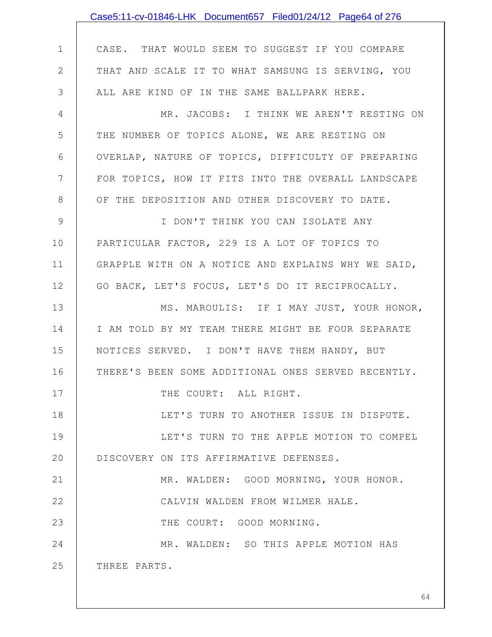|              | Case5:11-cv-01846-LHK Document657 Filed01/24/12 Page64 of 276 |
|--------------|---------------------------------------------------------------|
|              |                                                               |
| $\mathbf 1$  | CASE. THAT WOULD SEEM TO SUGGEST IF YOU COMPARE               |
| $\mathbf{2}$ | THAT AND SCALE IT TO WHAT SAMSUNG IS SERVING, YOU             |
| 3            | ALL ARE KIND OF IN THE SAME BALLPARK HERE.                    |
| 4            | MR. JACOBS: I THINK WE AREN'T RESTING ON                      |
| 5            | THE NUMBER OF TOPICS ALONE, WE ARE RESTING ON                 |
| 6            | OVERLAP, NATURE OF TOPICS, DIFFICULTY OF PREPARING            |
| 7            | FOR TOPICS, HOW IT FITS INTO THE OVERALL LANDSCAPE            |
| $8\,$        | OF THE DEPOSITION AND OTHER DISCOVERY TO DATE.                |
| 9            | I DON'T THINK YOU CAN ISOLATE ANY                             |
| 10           | PARTICULAR FACTOR, 229 IS A LOT OF TOPICS TO                  |
| 11           | GRAPPLE WITH ON A NOTICE AND EXPLAINS WHY WE SAID,            |
| 12           | GO BACK, LET'S FOCUS, LET'S DO IT RECIPROCALLY.               |
| 13           | MS. MAROULIS: IF I MAY JUST, YOUR HONOR,                      |
| 14           | I AM TOLD BY MY TEAM THERE MIGHT BE FOUR SEPARATE             |
| 15           | NOTICES SERVED. I DON'T HAVE THEM HANDY, BUT                  |
| 16           | THERE'S BEEN SOME ADDITIONAL ONES SERVED RECENTLY.            |
| 17           | THE COURT: ALL RIGHT.                                         |
| 18           | LET'S TURN TO ANOTHER ISSUE IN DISPUTE.                       |
| 19           | LET'S TURN TO THE APPLE MOTION TO COMPEL                      |
| 20           | DISCOVERY ON ITS AFFIRMATIVE DEFENSES.                        |
| 21           | MR. WALDEN: GOOD MORNING, YOUR HONOR.                         |
| 22           | CALVIN WALDEN FROM WILMER HALE.                               |
| 23           | THE COURT: GOOD MORNING.                                      |
| 24           | MR. WALDEN: SO THIS APPLE MOTION HAS                          |
| 25           | THREE PARTS.                                                  |
|              |                                                               |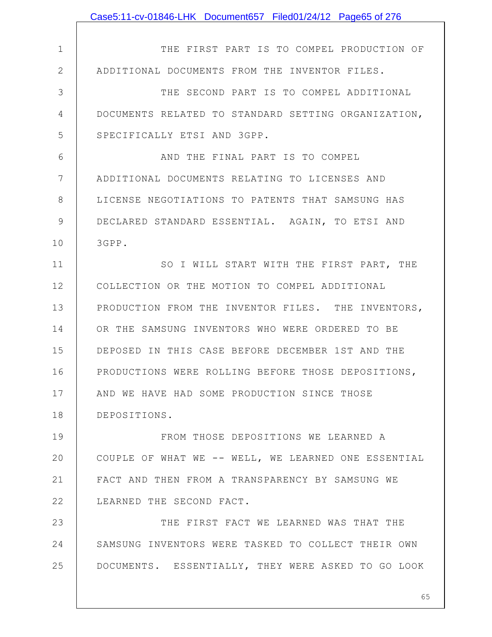|              | Case5:11-cv-01846-LHK Document657 Filed01/24/12 Page65 of 276 |
|--------------|---------------------------------------------------------------|
|              |                                                               |
| $\mathbf 1$  | THE FIRST PART IS TO COMPEL PRODUCTION OF                     |
| $\mathbf{2}$ | ADDITIONAL DOCUMENTS FROM THE INVENTOR FILES.                 |
| 3            | THE SECOND PART IS TO COMPEL ADDITIONAL                       |
| 4            | DOCUMENTS RELATED TO STANDARD SETTING ORGANIZATION,           |
| 5            | SPECIFICALLY ETSI AND 3GPP.                                   |
| 6            | AND THE FINAL PART IS TO COMPEL                               |
| 7            | ADDITIONAL DOCUMENTS RELATING TO LICENSES AND                 |
| 8            | LICENSE NEGOTIATIONS TO PATENTS THAT SAMSUNG HAS              |
| 9            | DECLARED STANDARD ESSENTIAL. AGAIN, TO ETSI AND               |
| 10           | 3GPP.                                                         |
| 11           | SO I WILL START WITH THE FIRST PART, THE                      |
| 12           | COLLECTION OR THE MOTION TO COMPEL ADDITIONAL                 |
| 13           | PRODUCTION FROM THE INVENTOR FILES. THE INVENTORS,            |
| 14           | OR THE SAMSUNG INVENTORS WHO WERE ORDERED TO BE               |
| 15           | DEPOSED IN THIS CASE BEFORE DECEMBER 1ST AND THE              |
| 16           | PRODUCTIONS WERE ROLLING BEFORE THOSE DEPOSITIONS,            |
| 17           | AND WE HAVE HAD SOME PRODUCTION SINCE THOSE                   |
| 18           | DEPOSITIONS.                                                  |
| 19           | FROM THOSE DEPOSITIONS WE LEARNED A                           |
| 20           | COUPLE OF WHAT WE -- WELL, WE LEARNED ONE ESSENTIAL           |
| 21           | FACT AND THEN FROM A TRANSPARENCY BY SAMSUNG WE               |
| 22           | LEARNED THE SECOND FACT.                                      |
| 23           | THE FIRST FACT WE LEARNED WAS THAT THE                        |
| 24           | SAMSUNG INVENTORS WERE TASKED TO COLLECT THEIR OWN            |
| 25           | DOCUMENTS. ESSENTIALLY, THEY WERE ASKED TO GO LOOK            |
|              |                                                               |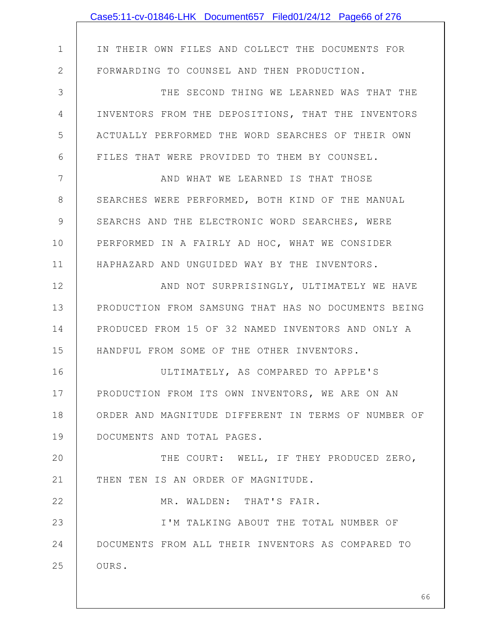|              | Case5:11-cv-01846-LHK Document657 Filed01/24/12 Page66 of 276 |
|--------------|---------------------------------------------------------------|
|              |                                                               |
| $\mathbf 1$  | IN THEIR OWN FILES AND COLLECT THE DOCUMENTS FOR              |
| $\mathbf{2}$ | FORWARDING TO COUNSEL AND THEN PRODUCTION.                    |
| 3            | THE SECOND THING WE LEARNED WAS THAT THE                      |
| 4            | INVENTORS FROM THE DEPOSITIONS, THAT THE INVENTORS            |
| 5            | ACTUALLY PERFORMED THE WORD SEARCHES OF THEIR OWN             |
| 6            | FILES THAT WERE PROVIDED TO THEM BY COUNSEL.                  |
| 7            | AND WHAT WE LEARNED IS THAT THOSE                             |
| 8            | SEARCHES WERE PERFORMED, BOTH KIND OF THE MANUAL              |
| 9            | SEARCHS AND THE ELECTRONIC WORD SEARCHES, WERE                |
| 10           | PERFORMED IN A FAIRLY AD HOC, WHAT WE CONSIDER                |
| 11           | HAPHAZARD AND UNGUIDED WAY BY THE INVENTORS.                  |
| 12           | AND NOT SURPRISINGLY, ULTIMATELY WE HAVE                      |
| 13           | PRODUCTION FROM SAMSUNG THAT HAS NO DOCUMENTS BEING           |
| 14           | PRODUCED FROM 15 OF 32 NAMED INVENTORS AND ONLY A             |
| 15           | HANDFUL FROM SOME OF THE OTHER INVENTORS.                     |
| 16           | ULTIMATELY, AS COMPARED TO APPLE'S                            |
| 17           | PRODUCTION FROM ITS OWN INVENTORS, WE ARE ON AN               |
| 18           | ORDER AND MAGNITUDE DIFFERENT IN TERMS OF NUMBER OF           |
| 19           | DOCUMENTS AND TOTAL PAGES.                                    |
| 20           | THE COURT: WELL, IF THEY PRODUCED ZERO,                       |
| 21           | THEN TEN IS AN ORDER OF MAGNITUDE.                            |
| 22           | MR. WALDEN: THAT'S FAIR.                                      |
| 23           | I'M TALKING ABOUT THE TOTAL NUMBER OF                         |
| 24           | DOCUMENTS FROM ALL THEIR INVENTORS AS COMPARED TO             |
| 25           | OURS.                                                         |
|              |                                                               |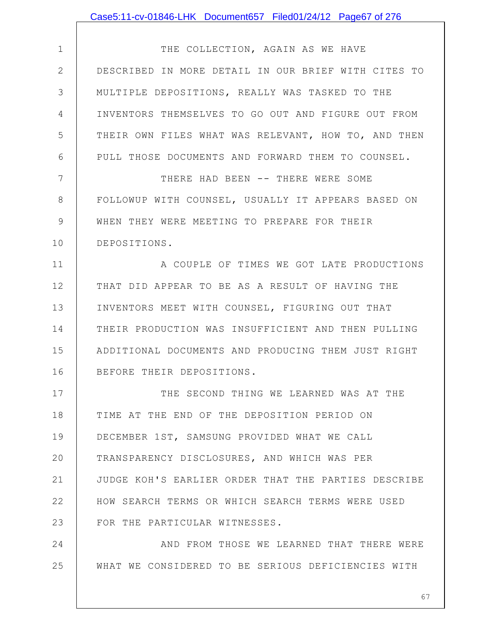|               | Case5:11-cv-01846-LHK Document657 Filed01/24/12 Page67 of 276 |
|---------------|---------------------------------------------------------------|
|               |                                                               |
| $\mathbf 1$   | THE COLLECTION, AGAIN AS WE HAVE                              |
| $\mathbf{2}$  | DESCRIBED IN MORE DETAIL IN OUR BRIEF WITH CITES TO           |
| 3             | MULTIPLE DEPOSITIONS, REALLY WAS TASKED TO THE                |
| 4             | INVENTORS THEMSELVES TO GO OUT AND FIGURE OUT FROM            |
| 5             | THEIR OWN FILES WHAT WAS RELEVANT, HOW TO, AND THEN           |
| 6             | PULL THOSE DOCUMENTS AND FORWARD THEM TO COUNSEL.             |
| 7             | THERE HAD BEEN -- THERE WERE SOME                             |
| 8             | FOLLOWUP WITH COUNSEL, USUALLY IT APPEARS BASED ON            |
| $\mathcal{G}$ | WHEN THEY WERE MEETING TO PREPARE FOR THEIR                   |
| 10            | DEPOSITIONS.                                                  |
| 11            | A COUPLE OF TIMES WE GOT LATE PRODUCTIONS                     |
| 12            | THAT DID APPEAR TO BE AS A RESULT OF HAVING THE               |
| 13            | INVENTORS MEET WITH COUNSEL, FIGURING OUT THAT                |
| 14            | THEIR PRODUCTION WAS INSUFFICIENT AND THEN PULLING            |
| 15            | ADDITIONAL DOCUMENTS AND PRODUCING THEM JUST RIGHT            |
| 16            | BEFORE THEIR DEPOSITIONS.                                     |
| 17            | THE SECOND THING WE LEARNED WAS AT THE                        |
| 18            | TIME AT THE END OF THE DEPOSITION PERIOD ON                   |
| 19            | DECEMBER 1ST, SAMSUNG PROVIDED WHAT WE CALL                   |
| 20            | TRANSPARENCY DISCLOSURES, AND WHICH WAS PER                   |
| 21            | JUDGE KOH'S EARLIER ORDER THAT THE PARTIES DESCRIBE           |
| 22            | HOW SEARCH TERMS OR WHICH SEARCH TERMS WERE USED              |
| 23            | FOR THE PARTICULAR WITNESSES.                                 |
| 24            | AND FROM THOSE WE LEARNED THAT THERE WERE                     |
| 25            | WHAT WE CONSIDERED TO BE SERIOUS DEFICIENCIES WITH            |
|               |                                                               |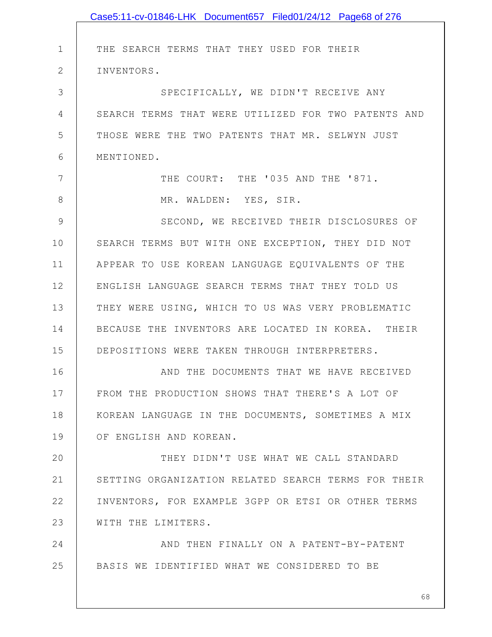|                | Case5:11-cv-01846-LHK Document657 Filed01/24/12 Page68 of 276 |
|----------------|---------------------------------------------------------------|
|                |                                                               |
| $\mathbf 1$    | THE SEARCH TERMS THAT THEY USED FOR THEIR                     |
| $\overline{2}$ | INVENTORS.                                                    |
| 3              | SPECIFICALLY, WE DIDN'T RECEIVE ANY                           |
| 4              | SEARCH TERMS THAT WERE UTILIZED FOR TWO PATENTS AND           |
| 5              | THOSE WERE THE TWO PATENTS THAT MR. SELWYN JUST               |
| 6              | MENTIONED.                                                    |
| 7              | THE COURT: THE '035 AND THE '871.                             |
| 8              | MR. WALDEN: YES, SIR.                                         |
| 9              | SECOND, WE RECEIVED THEIR DISCLOSURES OF                      |
| 10             | SEARCH TERMS BUT WITH ONE EXCEPTION, THEY DID NOT             |
| 11             | APPEAR TO USE KOREAN LANGUAGE EQUIVALENTS OF THE              |
| 12             | ENGLISH LANGUAGE SEARCH TERMS THAT THEY TOLD US               |
| 13             | THEY WERE USING, WHICH TO US WAS VERY PROBLEMATIC             |
| 14             | BECAUSE THE INVENTORS ARE LOCATED IN KOREA. THEIR             |
| 15             | DEPOSITIONS WERE TAKEN THROUGH INTERPRETERS.                  |
| 16             | AND THE DOCUMENTS THAT WE HAVE RECEIVED                       |
| 17             | FROM THE PRODUCTION SHOWS THAT THERE'S A LOT OF               |
| 18             | KOREAN LANGUAGE IN THE DOCUMENTS, SOMETIMES A MIX             |
| 19             | OF ENGLISH AND KOREAN.                                        |
| 20             | THEY DIDN'T USE WHAT WE CALL STANDARD                         |
| 21             | SETTING ORGANIZATION RELATED SEARCH TERMS FOR THEIR           |
| 22             | INVENTORS, FOR EXAMPLE 3GPP OR ETSI OR OTHER TERMS            |
| 23             | WITH THE LIMITERS.                                            |
| 24             | AND THEN FINALLY ON A PATENT-BY-PATENT                        |
| 25             | BASIS WE IDENTIFIED WHAT WE CONSIDERED TO BE                  |
|                |                                                               |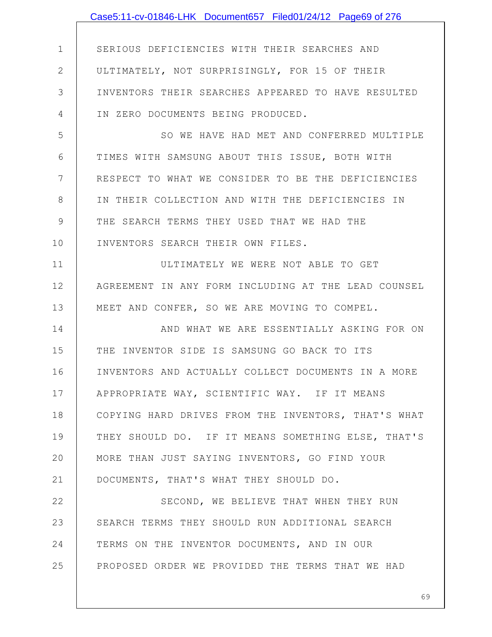|              | Case5:11-cv-01846-LHK Document657 Filed01/24/12 Page69 of 276 |
|--------------|---------------------------------------------------------------|
|              |                                                               |
| $\mathbf 1$  | SERIOUS DEFICIENCIES WITH THEIR SEARCHES AND                  |
| $\mathbf{2}$ | ULTIMATELY, NOT SURPRISINGLY, FOR 15 OF THEIR                 |
| 3            | INVENTORS THEIR SEARCHES APPEARED TO HAVE RESULTED            |
| 4            | IN ZERO DOCUMENTS BEING PRODUCED.                             |
| 5            | SO WE HAVE HAD MET AND CONFERRED MULTIPLE                     |
| 6            | TIMES WITH SAMSUNG ABOUT THIS ISSUE, BOTH WITH                |
| 7            | RESPECT TO WHAT WE CONSIDER TO BE THE DEFICIENCIES            |
| 8            | IN THEIR COLLECTION AND WITH THE DEFICIENCIES IN              |
| 9            | THE SEARCH TERMS THEY USED THAT WE HAD THE                    |
| 10           | INVENTORS SEARCH THEIR OWN FILES.                             |
| 11           | ULTIMATELY WE WERE NOT ABLE TO GET                            |
| 12           | AGREEMENT IN ANY FORM INCLUDING AT THE LEAD COUNSEL           |
| 13           | MEET AND CONFER, SO WE ARE MOVING TO COMPEL.                  |
| 14           | AND WHAT WE ARE ESSENTIALLY ASKING FOR ON                     |
| 15           | THE INVENTOR SIDE IS SAMSUNG GO BACK TO ITS                   |
| 16           | INVENTORS AND ACTUALLY COLLECT DOCUMENTS IN A MORE            |
| 17           | APPROPRIATE WAY, SCIENTIFIC WAY. IF IT MEANS                  |
| 18           | COPYING HARD DRIVES FROM THE INVENTORS, THAT'S WHAT           |
| 19           | THEY SHOULD DO. IF IT MEANS SOMETHING ELSE, THAT'S            |
| 20           | MORE THAN JUST SAYING INVENTORS, GO FIND YOUR                 |
| 21           | DOCUMENTS, THAT'S WHAT THEY SHOULD DO.                        |
| 22           | SECOND, WE BELIEVE THAT WHEN THEY RUN                         |
| 23           | SEARCH TERMS THEY SHOULD RUN ADDITIONAL SEARCH                |
| 24           | TERMS ON THE INVENTOR DOCUMENTS, AND IN OUR                   |
| 25           | PROPOSED ORDER WE PROVIDED THE TERMS THAT WE HAD              |
|              |                                                               |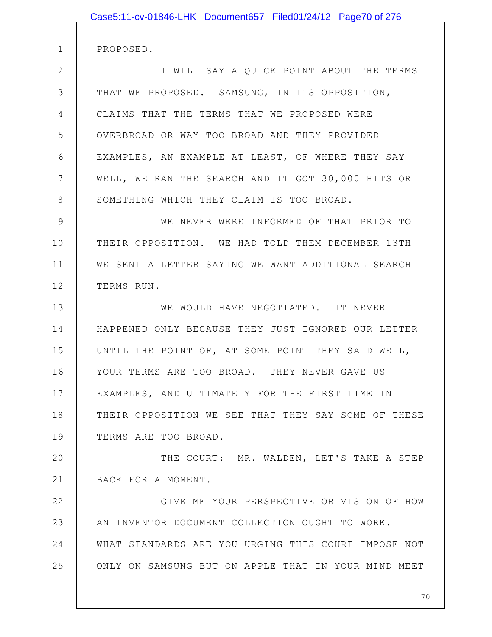| Case5:11-cv-01846-LHK Document657 Filed01/24/12 Page70 of 276 |
|---------------------------------------------------------------|
| PROPOSED.                                                     |
| I WILL SAY A QUICK POINT ABOUT THE TERMS                      |
| THAT WE PROPOSED. SAMSUNG, IN ITS OPPOSITION,                 |
| CLAIMS THAT THE TERMS THAT WE PROPOSED WERE                   |
| OVERBROAD OR WAY TOO BROAD AND THEY PROVIDED                  |
| EXAMPLES, AN EXAMPLE AT LEAST, OF WHERE THEY SAY              |
| WELL, WE RAN THE SEARCH AND IT GOT 30,000 HITS OR             |
| SOMETHING WHICH THEY CLAIM IS TOO BROAD.                      |
| WE NEVER WERE INFORMED OF THAT PRIOR TO                       |
| THEIR OPPOSITION. WE HAD TOLD THEM DECEMBER 13TH              |
| WE SENT A LETTER SAYING WE WANT ADDITIONAL SEARCH             |
| TERMS RUN.                                                    |
| WE WOULD HAVE NEGOTIATED. IT NEVER                            |
| HAPPENED ONLY BECAUSE THEY JUST IGNORED OUR LETTER            |
| UNTIL THE POINT OF, AT SOME POINT THEY SAID WELL,             |
| YOUR TERMS ARE TOO BROAD. THEY NEVER GAVE US                  |
| EXAMPLES, AND ULTIMATELY FOR THE FIRST TIME IN                |
| THEIR OPPOSITION WE SEE THAT THEY SAY SOME OF THESE           |
| TERMS ARE TOO BROAD.                                          |
| THE COURT: MR. WALDEN, LET'S TAKE A STEP                      |
| BACK FOR A MOMENT.                                            |
| GIVE ME YOUR PERSPECTIVE OR VISION OF HOW                     |
| AN INVENTOR DOCUMENT COLLECTION OUGHT TO WORK.                |
| WHAT STANDARDS ARE YOU URGING THIS COURT IMPOSE NOT           |
| ONLY ON SAMSUNG BUT ON APPLE THAT IN YOUR MIND MEET           |
|                                                               |

2

3

4

5

6

7

8

9

10

11

12

13

14

15

16

17

18

19

20

21

22

23

24

25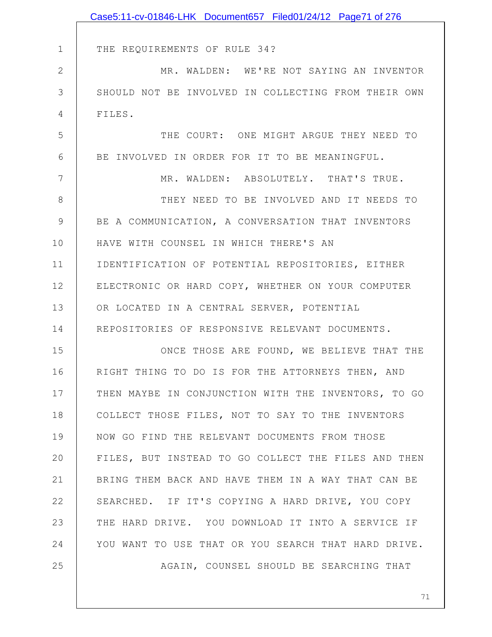|             | Case5:11-cv-01846-LHK Document657 Filed01/24/12 Page71 of 276 |
|-------------|---------------------------------------------------------------|
|             |                                                               |
| $\mathbf 1$ | THE REQUIREMENTS OF RULE 34?                                  |
| $\mathbf 2$ | MR. WALDEN: WE'RE NOT SAYING AN INVENTOR                      |
| 3           | SHOULD NOT BE INVOLVED IN COLLECTING FROM THEIR OWN           |
| 4           | FILES.                                                        |
| 5           | THE COURT: ONE MIGHT ARGUE THEY NEED TO                       |
| 6           | BE INVOLVED IN ORDER FOR IT TO BE MEANINGFUL.                 |
| 7           | MR. WALDEN: ABSOLUTELY. THAT'S TRUE.                          |
| 8           | THEY NEED TO BE INVOLVED AND IT NEEDS TO                      |
| 9           | BE A COMMUNICATION, A CONVERSATION THAT INVENTORS             |
| 10          | HAVE WITH COUNSEL IN WHICH THERE'S AN                         |
| 11          | IDENTIFICATION OF POTENTIAL REPOSITORIES, EITHER              |
| 12          | ELECTRONIC OR HARD COPY, WHETHER ON YOUR COMPUTER             |
| 13          | OR LOCATED IN A CENTRAL SERVER, POTENTIAL                     |
| 14          | REPOSITORIES OF RESPONSIVE RELEVANT DOCUMENTS.                |
| 15          | ONCE THOSE ARE FOUND, WE BELIEVE THAT THE                     |
| 16          | RIGHT THING TO DO IS FOR THE ATTORNEYS THEN, AND              |
| 17          | THEN MAYBE IN CONJUNCTION WITH THE INVENTORS, TO GO           |
| 18          | COLLECT THOSE FILES, NOT TO SAY TO THE INVENTORS              |
| 19          | NOW GO FIND THE RELEVANT DOCUMENTS FROM THOSE                 |
| 20          | FILES, BUT INSTEAD TO GO COLLECT THE FILES AND THEN           |
| 21          | BRING THEM BACK AND HAVE THEM IN A WAY THAT CAN BE            |
| 22          | SEARCHED. IF IT'S COPYING A HARD DRIVE, YOU COPY              |
| 23          | THE HARD DRIVE. YOU DOWNLOAD IT INTO A SERVICE IF             |
| 24          | YOU WANT TO USE THAT OR YOU SEARCH THAT HARD DRIVE.           |
| 25          | AGAIN, COUNSEL SHOULD BE SEARCHING THAT                       |
|             |                                                               |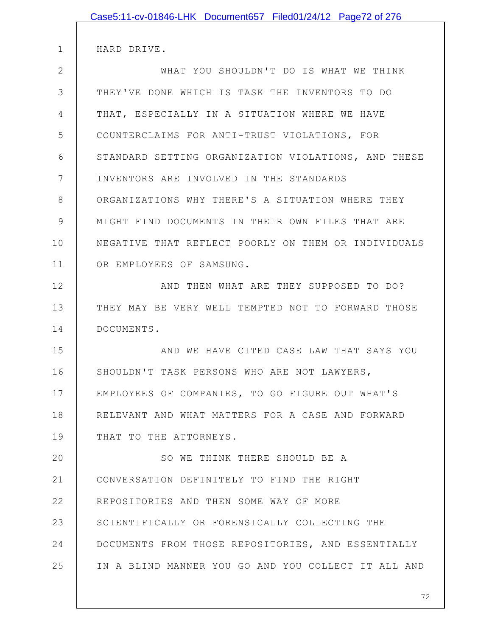| Case5:11-cv-01846-LHK Document657 Filed01/24/12 Page72 of 276 |  |
|---------------------------------------------------------------|--|
| HARD DRIVE.                                                   |  |
| WHAT YOU SHOULDN'T DO IS WHAT WE THINK                        |  |
| THEY'VE DONE WHICH IS TASK THE INVENTORS TO DO                |  |
| THAT, ESPECIALLY IN A SITUATION WHERE WE HAVE                 |  |
| COUNTERCLAIMS FOR ANTI-TRUST VIOLATIONS, FOR                  |  |
| STANDARD SETTING ORGANIZATION VIOLATIONS, AND THESE           |  |
| INVENTORS ARE INVOLVED IN THE STANDARDS                       |  |
| ORGANIZATIONS WHY THERE'S A SITUATION WHERE THEY              |  |
| MIGHT FIND DOCUMENTS IN THEIR OWN FILES THAT ARE              |  |
| NEGATIVE THAT REFLECT POORLY ON THEM OR INDIVIDUALS           |  |
| OR EMPLOYEES OF SAMSUNG.                                      |  |
| AND THEN WHAT ARE THEY SUPPOSED TO DO?                        |  |
| THEY MAY BE VERY WELL TEMPTED NOT TO FORWARD THOSE            |  |
| DOCUMENTS.                                                    |  |
| AND WE HAVE CITED CASE LAW THAT SAYS YOU                      |  |
| SHOULDN'T TASK PERSONS WHO ARE NOT LAWYERS,                   |  |
| EMPLOYEES OF COMPANIES, TO GO FIGURE OUT WHAT'S               |  |
| RELEVANT AND WHAT MATTERS FOR A CASE AND FORWARD              |  |
| THAT TO THE ATTORNEYS.                                        |  |
| SO WE THINK THERE SHOULD BE A                                 |  |
| CONVERSATION DEFINITELY TO FIND THE RIGHT                     |  |
| REPOSITORIES AND THEN SOME WAY OF MORE                        |  |
| SCIENTIFICALLY OR FORENSICALLY COLLECTING THE                 |  |
| DOCUMENTS FROM THOSE REPOSITORIES, AND ESSENTIALLY            |  |
| IN A BLIND MANNER YOU GO AND YOU COLLECT IT ALL AND           |  |
|                                                               |  |

2

3

4

5

6

7

8

9

10

11

12

13

14

15

16

17

18

19

20

21

22

23

24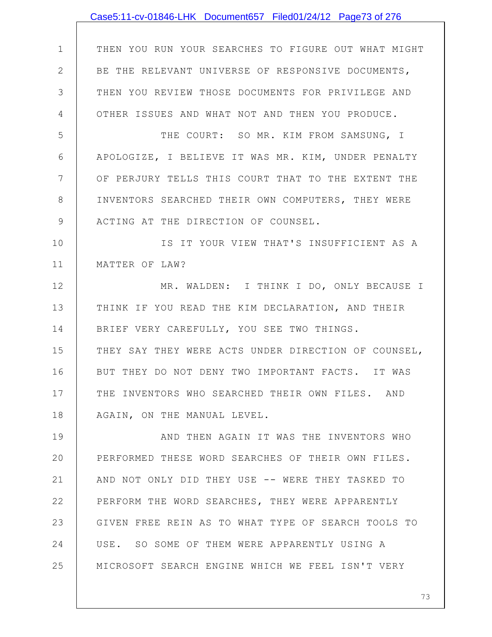|                | Case5:11-cv-01846-LHK Document657 Filed01/24/12 Page73 of 276 |
|----------------|---------------------------------------------------------------|
|                |                                                               |
| $\mathbf 1$    | THEN YOU RUN YOUR SEARCHES TO FIGURE OUT WHAT MIGHT           |
| $\mathbf{2}$   | BE THE RELEVANT UNIVERSE OF RESPONSIVE DOCUMENTS,             |
| 3              | THEN YOU REVIEW THOSE DOCUMENTS FOR PRIVILEGE AND             |
| $\overline{4}$ | OTHER ISSUES AND WHAT NOT AND THEN YOU PRODUCE.               |
| 5              | THE COURT: SO MR. KIM FROM SAMSUNG, I                         |
| 6              | APOLOGIZE, I BELIEVE IT WAS MR. KIM, UNDER PENALTY            |
| 7              | OF PERJURY TELLS THIS COURT THAT TO THE EXTENT THE            |
| 8              | INVENTORS SEARCHED THEIR OWN COMPUTERS, THEY WERE             |
| 9              | ACTING AT THE DIRECTION OF COUNSEL.                           |
| 10             | IS IT YOUR VIEW THAT'S INSUFFICIENT AS A                      |
| 11             | MATTER OF LAW?                                                |
| 12             | MR. WALDEN: I THINK I DO, ONLY BECAUSE I                      |
| 13             | THINK IF YOU READ THE KIM DECLARATION, AND THEIR              |
| 14             | BRIEF VERY CAREFULLY, YOU SEE TWO THINGS.                     |
| 15             | THEY SAY THEY WERE ACTS UNDER DIRECTION OF COUNSEL,           |
| 16             | BUT THEY DO NOT DENY TWO IMPORTANT FACTS. IT WAS              |
| 17             | THE INVENTORS WHO SEARCHED THEIR OWN FILES. AND               |
| 18             | AGAIN, ON THE MANUAL LEVEL.                                   |
| 19             | AND THEN AGAIN IT WAS THE INVENTORS WHO                       |
| 20             | PERFORMED THESE WORD SEARCHES OF THEIR OWN FILES.             |
| 21             | AND NOT ONLY DID THEY USE -- WERE THEY TASKED TO              |
| 22             | PERFORM THE WORD SEARCHES, THEY WERE APPARENTLY               |
| 23             | GIVEN FREE REIN AS TO WHAT TYPE OF SEARCH TOOLS TO            |
| 24             | USE. SO SOME OF THEM WERE APPARENTLY USING A                  |
| 25             | MICROSOFT SEARCH ENGINE WHICH WE FEEL ISN'T VERY              |
|                |                                                               |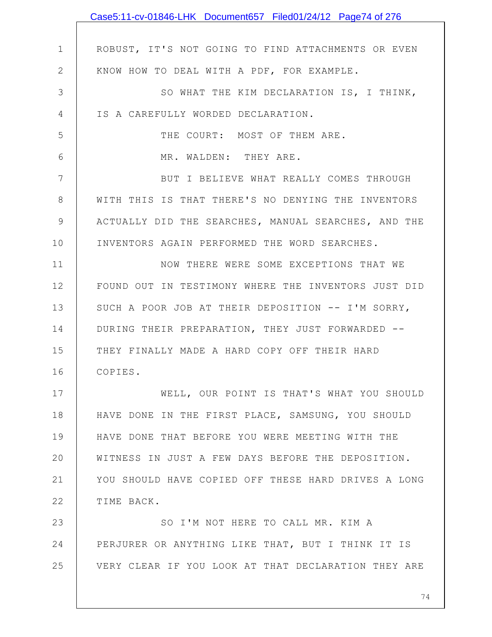|                | Case5:11-cv-01846-LHK Document657 Filed01/24/12 Page74 of 276 |
|----------------|---------------------------------------------------------------|
|                |                                                               |
| $\mathbf 1$    | ROBUST, IT'S NOT GOING TO FIND ATTACHMENTS OR EVEN            |
| $\mathbf{2}$   | KNOW HOW TO DEAL WITH A PDF, FOR EXAMPLE.                     |
| 3              | SO WHAT THE KIM DECLARATION IS, I THINK,                      |
| $\overline{4}$ | IS A CAREFULLY WORDED DECLARATION.                            |
| 5              | THE COURT: MOST OF THEM ARE.                                  |
| 6              | MR. WALDEN: THEY ARE.                                         |
| 7              | BUT I BELIEVE WHAT REALLY COMES THROUGH                       |
| $8\,$          | WITH THIS IS THAT THERE'S NO DENYING THE INVENTORS            |
| 9              | ACTUALLY DID THE SEARCHES, MANUAL SEARCHES, AND THE           |
| 10             | INVENTORS AGAIN PERFORMED THE WORD SEARCHES.                  |
| 11             | NOW THERE WERE SOME EXCEPTIONS THAT WE                        |
| 12             | FOUND OUT IN TESTIMONY WHERE THE INVENTORS JUST DID           |
| 13             | SUCH A POOR JOB AT THEIR DEPOSITION -- I'M SORRY,             |
| 14             | DURING THEIR PREPARATION, THEY JUST FORWARDED --              |
| 15             | THEY FINALLY MADE A HARD COPY OFF THEIR HARD                  |
| 16             | COPIES.                                                       |
| 17             | WELL, OUR POINT IS THAT'S WHAT YOU SHOULD                     |
| 18             | HAVE DONE IN THE FIRST PLACE, SAMSUNG, YOU SHOULD             |
| 19             | HAVE DONE THAT BEFORE YOU WERE MEETING WITH THE               |
| 20             | WITNESS IN JUST A FEW DAYS BEFORE THE DEPOSITION.             |
| 21             | YOU SHOULD HAVE COPIED OFF THESE HARD DRIVES A LONG           |
| 22             | TIME BACK.                                                    |
| 23             | SO I'M NOT HERE TO CALL MR. KIM A                             |
| 24             | PERJURER OR ANYTHING LIKE THAT, BUT I THINK IT IS             |
| 25             | VERY CLEAR IF YOU LOOK AT THAT DECLARATION THEY ARE           |
|                |                                                               |
|                | 74                                                            |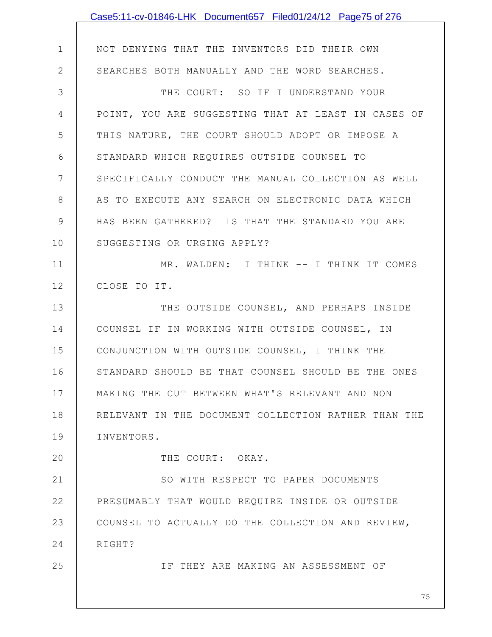|                | Case5:11-cv-01846-LHK Document657 Filed01/24/12 Page75 of 276 |
|----------------|---------------------------------------------------------------|
|                |                                                               |
| $\mathbf 1$    | NOT DENYING THAT THE INVENTORS DID THEIR OWN                  |
| $\overline{2}$ | SEARCHES BOTH MANUALLY AND THE WORD SEARCHES.                 |
| $\mathcal{S}$  | THE COURT: SO IF I UNDERSTAND YOUR                            |
| 4              | POINT, YOU ARE SUGGESTING THAT AT LEAST IN CASES OF           |
| 5              | THIS NATURE, THE COURT SHOULD ADOPT OR IMPOSE A               |
| 6              | STANDARD WHICH REQUIRES OUTSIDE COUNSEL TO                    |
| $7\phantom{.}$ | SPECIFICALLY CONDUCT THE MANUAL COLLECTION AS WELL            |
| $8\,$          | AS TO EXECUTE ANY SEARCH ON ELECTRONIC DATA WHICH             |
| $\mathcal{G}$  | HAS BEEN GATHERED? IS THAT THE STANDARD YOU ARE               |
| 10             | SUGGESTING OR URGING APPLY?                                   |
| 11             | MR. WALDEN: I THINK -- I THINK IT COMES                       |
| 12             | CLOSE TO IT.                                                  |
| 13             | THE OUTSIDE COUNSEL, AND PERHAPS INSIDE                       |
| 14             | COUNSEL IF IN WORKING WITH OUTSIDE COUNSEL, IN                |
| 15             | CONJUNCTION WITH OUTSIDE COUNSEL, I THINK THE                 |
| 16             | STANDARD SHOULD BE THAT COUNSEL SHOULD BE THE ONES            |
| 17             | MAKING THE CUT BETWEEN WHAT'S RELEVANT AND NON                |
| 18             | RELEVANT IN THE DOCUMENT COLLECTION RATHER THAN THE           |
| 19             | INVENTORS.                                                    |
| 20             | THE COURT: OKAY.                                              |
| 21             | SO WITH RESPECT TO PAPER DOCUMENTS                            |
| 22             | PRESUMABLY THAT WOULD REQUIRE INSIDE OR OUTSIDE               |
| 23             | COUNSEL TO ACTUALLY DO THE COLLECTION AND REVIEW,             |
| 24             | RIGHT?                                                        |
| 25             | IF THEY ARE MAKING AN ASSESSMENT OF                           |
|                |                                                               |
|                | 75                                                            |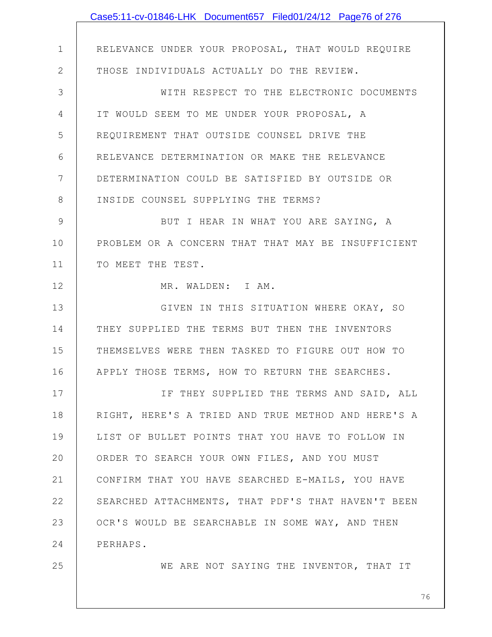|                | Case5:11-cv-01846-LHK Document657 Filed01/24/12 Page76 of 276 |
|----------------|---------------------------------------------------------------|
|                |                                                               |
| $\mathbf 1$    | RELEVANCE UNDER YOUR PROPOSAL, THAT WOULD REQUIRE             |
| $\mathbf{2}$   | THOSE INDIVIDUALS ACTUALLY DO THE REVIEW.                     |
| 3              | WITH RESPECT TO THE ELECTRONIC DOCUMENTS                      |
| $\overline{4}$ | IT WOULD SEEM TO ME UNDER YOUR PROPOSAL, A                    |
| 5              | REQUIREMENT THAT OUTSIDE COUNSEL DRIVE THE                    |
| 6              | RELEVANCE DETERMINATION OR MAKE THE RELEVANCE                 |
| 7              | DETERMINATION COULD BE SATISFIED BY OUTSIDE OR                |
| 8              | INSIDE COUNSEL SUPPLYING THE TERMS?                           |
| 9              | BUT I HEAR IN WHAT YOU ARE SAYING, A                          |
| 10             | PROBLEM OR A CONCERN THAT THAT MAY BE INSUFFICIENT            |
| 11             | TO MEET THE TEST.                                             |
| 12             | MR. WALDEN: I AM.                                             |
| 13             | GIVEN IN THIS SITUATION WHERE OKAY, SO                        |
| 14             | THEY SUPPLIED THE TERMS BUT THEN THE INVENTORS                |
| 15             | THEMSELVES WERE THEN TASKED TO FIGURE OUT HOW TO              |
| 16             | APPLY THOSE TERMS, HOW TO RETURN THE SEARCHES.                |
| 17             | IF THEY SUPPLIED THE TERMS AND SAID, ALL                      |
| 18             | RIGHT, HERE'S A TRIED AND TRUE METHOD AND HERE'S A            |
| 19             | LIST OF BULLET POINTS THAT YOU HAVE TO FOLLOW IN              |
| 20             | ORDER TO SEARCH YOUR OWN FILES, AND YOU MUST                  |
| 21             | CONFIRM THAT YOU HAVE SEARCHED E-MAILS, YOU HAVE              |
| 22             | SEARCHED ATTACHMENTS, THAT PDF'S THAT HAVEN'T BEEN            |
| 23             | OCR'S WOULD BE SEARCHABLE IN SOME WAY, AND THEN               |
| 24             | PERHAPS.                                                      |
| 25             | WE ARE NOT SAYING THE INVENTOR, THAT IT                       |
|                |                                                               |
|                | 76                                                            |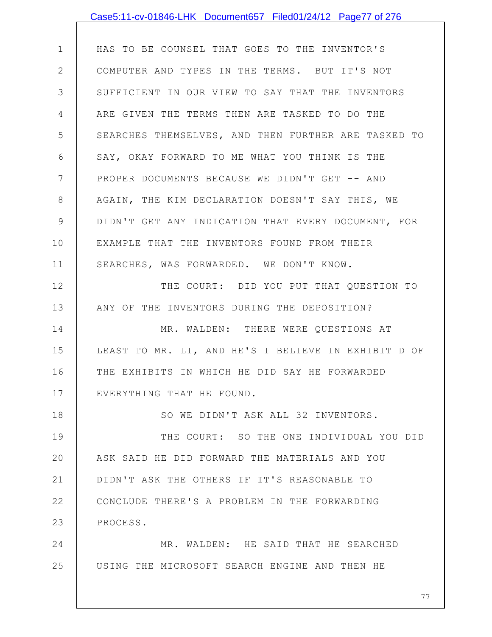|             | Case5:11-cv-01846-LHK Document657 Filed01/24/12 Page77 of 276 |
|-------------|---------------------------------------------------------------|
|             |                                                               |
| $\mathbf 1$ | HAS TO BE COUNSEL THAT GOES TO THE INVENTOR'S                 |
| 2           | COMPUTER AND TYPES IN THE TERMS. BUT IT'S NOT                 |
| 3           | SUFFICIENT IN OUR VIEW TO SAY THAT THE INVENTORS              |
| 4           | ARE GIVEN THE TERMS THEN ARE TASKED TO DO THE                 |
| 5           | SEARCHES THEMSELVES, AND THEN FURTHER ARE TASKED TO           |
| 6           | SAY, OKAY FORWARD TO ME WHAT YOU THINK IS THE                 |
| 7           | PROPER DOCUMENTS BECAUSE WE DIDN'T GET -- AND                 |
| $8\,$       | AGAIN, THE KIM DECLARATION DOESN'T SAY THIS, WE               |
| 9           | DIDN'T GET ANY INDICATION THAT EVERY DOCUMENT, FOR            |
| 10          | EXAMPLE THAT THE INVENTORS FOUND FROM THEIR                   |
| 11          | SEARCHES, WAS FORWARDED. WE DON'T KNOW.                       |
| 12          | THE COURT: DID YOU PUT THAT QUESTION TO                       |
| 13          | ANY OF THE INVENTORS DURING THE DEPOSITION?                   |
| 14          | MR. WALDEN: THERE WERE QUESTIONS AT                           |
| 15          | LEAST TO MR. LI, AND HE'S I BELIEVE IN EXHIBIT D OF           |
| 16          | THE EXHIBITS IN WHICH HE DID SAY HE FORWARDED                 |
| 17          | EVERYTHING THAT HE FOUND.                                     |
| 18          | SO WE DIDN'T ASK ALL 32 INVENTORS.                            |
| 19          | THE COURT: SO THE ONE INDIVIDUAL YOU DID                      |
| 20          | ASK SAID HE DID FORWARD THE MATERIALS AND YOU                 |
| 21          | DIDN'T ASK THE OTHERS IF IT'S REASONABLE TO                   |
| 22          | CONCLUDE THERE'S A PROBLEM IN THE FORWARDING                  |
| 23          | PROCESS.                                                      |
| 24          | MR. WALDEN: HE SAID THAT HE SEARCHED                          |
| 25          | USING THE MICROSOFT SEARCH ENGINE AND THEN HE                 |
|             |                                                               |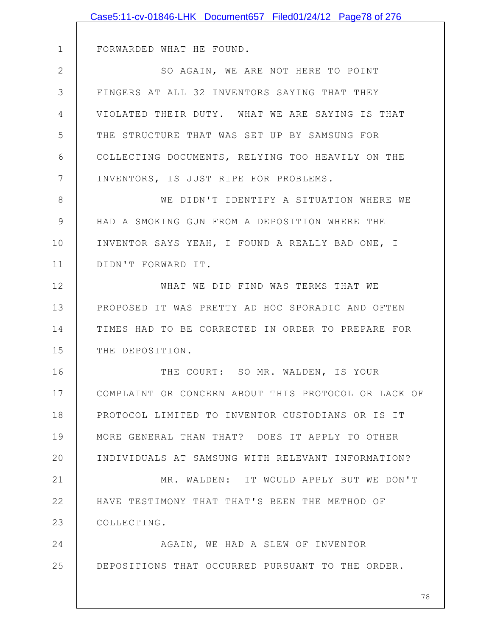|             | Case5:11-cv-01846-LHK Document657 Filed01/24/12 Page78 of 276 |
|-------------|---------------------------------------------------------------|
|             |                                                               |
| $\mathbf 1$ | FORWARDED WHAT HE FOUND.                                      |
| 2           | SO AGAIN, WE ARE NOT HERE TO POINT                            |
| 3           | FINGERS AT ALL 32 INVENTORS SAYING THAT THEY                  |
| 4           | VIOLATED THEIR DUTY. WHAT WE ARE SAYING IS THAT               |
| 5           | THE STRUCTURE THAT WAS SET UP BY SAMSUNG FOR                  |
| 6           | COLLECTING DOCUMENTS, RELYING TOO HEAVILY ON THE              |
| 7           | INVENTORS, IS JUST RIPE FOR PROBLEMS.                         |
| 8           | WE DIDN'T IDENTIFY A SITUATION WHERE WE                       |
| 9           | HAD A SMOKING GUN FROM A DEPOSITION WHERE THE                 |
| 10          | INVENTOR SAYS YEAH, I FOUND A REALLY BAD ONE, I               |
| 11          | DIDN'T FORWARD IT.                                            |
| 12          | WHAT WE DID FIND WAS TERMS THAT WE                            |
| 13          | PROPOSED IT WAS PRETTY AD HOC SPORADIC AND OFTEN              |
| 14          | TIMES HAD TO BE CORRECTED IN ORDER TO PREPARE FOR             |
| 15          | THE DEPOSITION.                                               |
| 16          | THE COURT: SO MR. WALDEN, IS YOUR                             |
| 17          | COMPLAINT OR CONCERN ABOUT THIS PROTOCOL OR LACK OF           |
| 18          | PROTOCOL LIMITED TO INVENTOR CUSTODIANS OR IS IT              |
| 19          | MORE GENERAL THAN THAT? DOES IT APPLY TO OTHER                |
| 20          | INDIVIDUALS AT SAMSUNG WITH RELEVANT INFORMATION?             |
| 21          | MR. WALDEN: IT WOULD APPLY BUT WE DON'T                       |
| 22          | HAVE TESTIMONY THAT THAT'S BEEN THE METHOD OF                 |
| 23          | COLLECTING.                                                   |
| 24          | AGAIN, WE HAD A SLEW OF INVENTOR                              |
| 25          | DEPOSITIONS THAT OCCURRED PURSUANT TO THE ORDER.              |
|             |                                                               |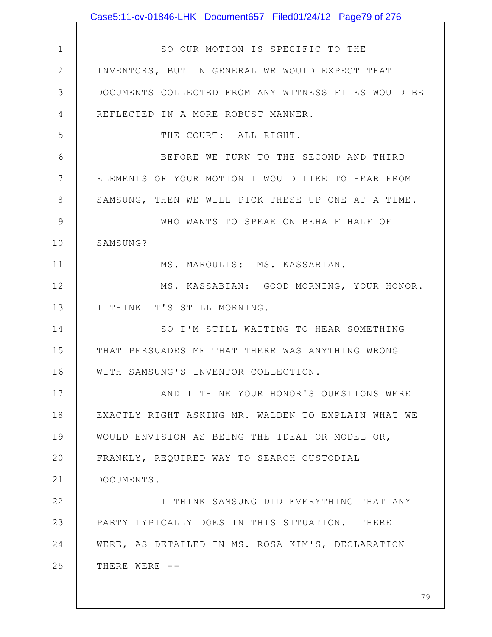|                | Case5:11-cv-01846-LHK Document657 Filed01/24/12 Page79 of 276 |
|----------------|---------------------------------------------------------------|
|                |                                                               |
| $\mathbf 1$    | SO OUR MOTION IS SPECIFIC TO THE                              |
| $\mathbf{2}$   | INVENTORS, BUT IN GENERAL WE WOULD EXPECT THAT                |
| 3              | DOCUMENTS COLLECTED FROM ANY WITNESS FILES WOULD BE           |
| 4              | REFLECTED IN A MORE ROBUST MANNER.                            |
| 5              | THE COURT: ALL RIGHT.                                         |
| 6              | BEFORE WE TURN TO THE SECOND AND THIRD                        |
| $7\phantom{.}$ | ELEMENTS OF YOUR MOTION I WOULD LIKE TO HEAR FROM             |
| $8\,$          | SAMSUNG, THEN WE WILL PICK THESE UP ONE AT A TIME.            |
| $\mathcal{G}$  | WHO WANTS TO SPEAK ON BEHALF HALF OF                          |
| 10             | SAMSUNG?                                                      |
| 11             | MS. MAROULIS: MS. KASSABIAN.                                  |
| 12             | MS. KASSABIAN: GOOD MORNING, YOUR HONOR.                      |
| 13             | I THINK IT'S STILL MORNING.                                   |
| 14             | SO I'M STILL WAITING TO HEAR SOMETHING                        |
| 15             | THAT PERSUADES ME THAT THERE WAS ANYTHING WRONG               |
| 16             | WITH SAMSUNG'S INVENTOR COLLECTION.                           |
| 17             | AND I THINK YOUR HONOR'S QUESTIONS WERE                       |
| 18             | EXACTLY RIGHT ASKING MR. WALDEN TO EXPLAIN WHAT WE            |
| 19             | WOULD ENVISION AS BEING THE IDEAL OR MODEL OR,                |
| 20             | FRANKLY, REQUIRED WAY TO SEARCH CUSTODIAL                     |
| 21             | DOCUMENTS.                                                    |
| 22             | I THINK SAMSUNG DID EVERYTHING THAT ANY                       |
| 23             | PARTY TYPICALLY DOES IN THIS SITUATION. THERE                 |
| 24             | WERE, AS DETAILED IN MS. ROSA KIM'S, DECLARATION              |
| 25             | THERE WERE --                                                 |
|                |                                                               |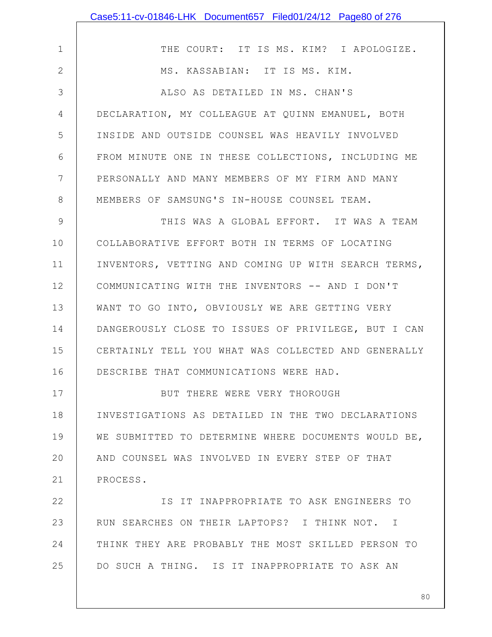|              | Case5:11-cv-01846-LHK Document657 Filed01/24/12 Page80 of 276 |
|--------------|---------------------------------------------------------------|
|              |                                                               |
| $\mathbf 1$  | THE COURT: IT IS MS. KIM? I APOLOGIZE.                        |
| $\mathbf{2}$ | MS. KASSABIAN: IT IS MS. KIM.                                 |
| 3            | ALSO AS DETAILED IN MS. CHAN'S                                |
| 4            | DECLARATION, MY COLLEAGUE AT QUINN EMANUEL, BOTH              |
| 5            | INSIDE AND OUTSIDE COUNSEL WAS HEAVILY INVOLVED               |
| 6            | FROM MINUTE ONE IN THESE COLLECTIONS, INCLUDING ME            |
| 7            | PERSONALLY AND MANY MEMBERS OF MY FIRM AND MANY               |
| 8            | MEMBERS OF SAMSUNG'S IN-HOUSE COUNSEL TEAM.                   |
| 9            | THIS WAS A GLOBAL EFFORT. IT WAS A TEAM                       |
| 10           | COLLABORATIVE EFFORT BOTH IN TERMS OF LOCATING                |
| 11           | INVENTORS, VETTING AND COMING UP WITH SEARCH TERMS,           |
| 12           | COMMUNICATING WITH THE INVENTORS -- AND I DON'T               |
| 13           | WANT TO GO INTO, OBVIOUSLY WE ARE GETTING VERY                |
| 14           | DANGEROUSLY CLOSE TO ISSUES OF PRIVILEGE, BUT I CAN           |
| 15           | CERTAINLY TELL YOU WHAT WAS COLLECTED AND GENERALLY           |
| 16           | DESCRIBE THAT COMMUNICATIONS WERE HAD.                        |
| 17           | BUT THERE WERE VERY THOROUGH                                  |
| 18           | INVESTIGATIONS AS DETAILED IN THE TWO DECLARATIONS            |
| 19           | WE SUBMITTED TO DETERMINE WHERE DOCUMENTS WOULD BE,           |
| 20           | AND COUNSEL WAS INVOLVED IN EVERY STEP OF THAT                |
| 21           | PROCESS.                                                      |
| 22           | IS IT INAPPROPRIATE TO ASK ENGINEERS TO                       |
| 23           | RUN SEARCHES ON THEIR LAPTOPS? I THINK NOT. I                 |
| 24           | THINK THEY ARE PROBABLY THE MOST SKILLED PERSON TO            |
| 25           | DO SUCH A THING. IS IT INAPPROPRIATE TO ASK AN                |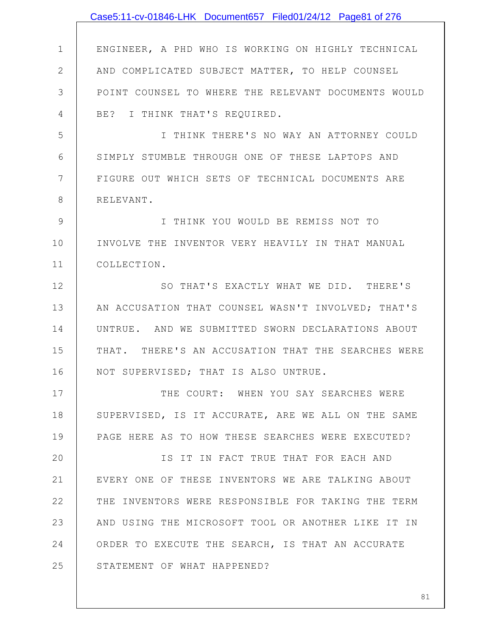|               | Case5:11-cv-01846-LHK Document657 Filed01/24/12 Page81 of 276 |
|---------------|---------------------------------------------------------------|
|               |                                                               |
| $\mathbf 1$   | ENGINEER, A PHD WHO IS WORKING ON HIGHLY TECHNICAL            |
| $\mathbf{2}$  | AND COMPLICATED SUBJECT MATTER, TO HELP COUNSEL               |
| 3             | POINT COUNSEL TO WHERE THE RELEVANT DOCUMENTS WOULD           |
| 4             | BE? I THINK THAT'S REQUIRED.                                  |
| 5             | I THINK THERE'S NO WAY AN ATTORNEY COULD                      |
| 6             | SIMPLY STUMBLE THROUGH ONE OF THESE LAPTOPS AND               |
| 7             | FIGURE OUT WHICH SETS OF TECHNICAL DOCUMENTS ARE              |
| 8             | RELEVANT.                                                     |
| $\mathcal{G}$ | I THINK YOU WOULD BE REMISS NOT TO                            |
| 10            | INVOLVE THE INVENTOR VERY HEAVILY IN THAT MANUAL              |
| 11            | COLLECTION.                                                   |
| 12            | SO THAT'S EXACTLY WHAT WE DID. THERE'S                        |
| 13            | AN ACCUSATION THAT COUNSEL WASN'T INVOLVED; THAT'S            |
| 14            | UNTRUE. AND WE SUBMITTED SWORN DECLARATIONS ABOUT             |
| 15            | THAT. THERE'S AN ACCUSATION THAT THE SEARCHES WERE            |
| 16            | NOT SUPERVISED; THAT IS ALSO UNTRUE.                          |
| 17            | THE COURT: WHEN YOU SAY SEARCHES WERE                         |
| 18            | SUPERVISED, IS IT ACCURATE, ARE WE ALL ON THE SAME            |
| 19            | PAGE HERE AS TO HOW THESE SEARCHES WERE EXECUTED?             |
| 20            | IS IT IN FACT TRUE THAT FOR EACH AND                          |
| 21            | EVERY ONE OF THESE INVENTORS WE ARE TALKING ABOUT             |
| 22            | THE INVENTORS WERE RESPONSIBLE FOR TAKING THE TERM            |
| 23            | AND USING THE MICROSOFT TOOL OR ANOTHER LIKE IT IN            |
| 24            | ORDER TO EXECUTE THE SEARCH, IS THAT AN ACCURATE              |
| 25            | STATEMENT OF WHAT HAPPENED?                                   |
|               |                                                               |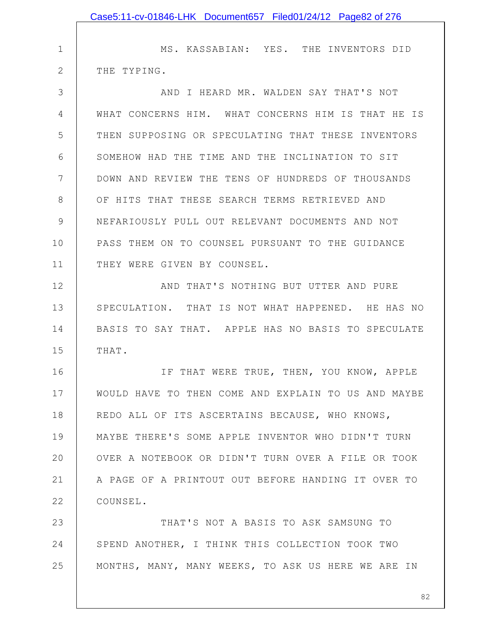|              | Case5:11-cv-01846-LHK Document657 Filed01/24/12 Page82 of 276 |
|--------------|---------------------------------------------------------------|
|              |                                                               |
| 1            | MS. KASSABIAN: YES. THE INVENTORS DID                         |
| $\mathbf{2}$ | THE TYPING.                                                   |
| 3            | AND I HEARD MR. WALDEN SAY THAT'S NOT                         |
| 4            | WHAT CONCERNS HIM. WHAT CONCERNS HIM IS THAT HE IS            |
| 5            | THEN SUPPOSING OR SPECULATING THAT THESE INVENTORS            |
| 6            | SOMEHOW HAD THE TIME AND THE INCLINATION TO SIT               |
| 7            | DOWN AND REVIEW THE TENS OF HUNDREDS OF THOUSANDS             |
| 8            | OF HITS THAT THESE SEARCH TERMS RETRIEVED AND                 |
| 9            | NEFARIOUSLY PULL OUT RELEVANT DOCUMENTS AND NOT               |
| 10           | PASS THEM ON TO COUNSEL PURSUANT TO THE GUIDANCE              |
| 11           | THEY WERE GIVEN BY COUNSEL.                                   |
| 12           | AND THAT'S NOTHING BUT UTTER AND PURE                         |
| 13           | SPECULATION. THAT IS NOT WHAT HAPPENED. HE HAS NO             |
| 14           | BASIS TO SAY THAT. APPLE HAS NO BASIS TO SPECULATE            |
| 15           | THAT.                                                         |
| 16           | IF THAT WERE TRUE, THEN, YOU KNOW, APPLE                      |
| 17           | WOULD HAVE TO THEN COME AND EXPLAIN TO US AND MAYBE           |
| 18           | REDO ALL OF ITS ASCERTAINS BECAUSE, WHO KNOWS,                |
| 19           | MAYBE THERE'S SOME APPLE INVENTOR WHO DIDN'T TURN             |
| 20           | OVER A NOTEBOOK OR DIDN'T TURN OVER A FILE OR TOOK            |
| 21           | A PAGE OF A PRINTOUT OUT BEFORE HANDING IT OVER TO            |
| 22           | COUNSEL.                                                      |
| 23           | THAT'S NOT A BASIS TO ASK SAMSUNG TO                          |
| 24           | SPEND ANOTHER, I THINK THIS COLLECTION TOOK TWO               |
| 25           | MONTHS, MANY, MANY WEEKS, TO ASK US HERE WE ARE IN            |
|              | 82                                                            |
|              |                                                               |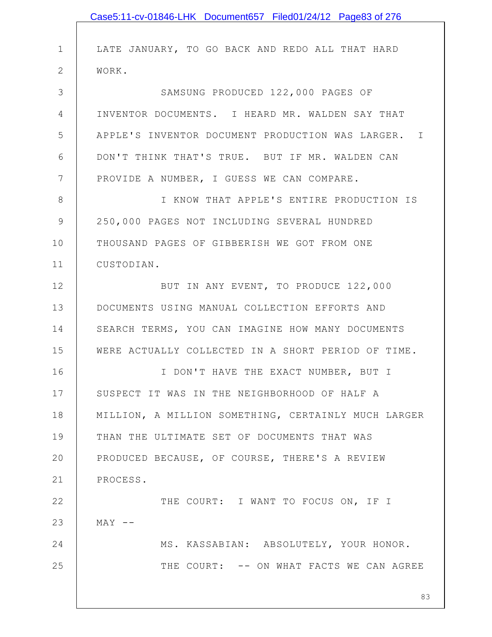|              | Case5:11-cv-01846-LHK Document657 Filed01/24/12 Page83 of 276 |
|--------------|---------------------------------------------------------------|
| $\mathbf 1$  | LATE JANUARY, TO GO BACK AND REDO ALL THAT HARD               |
| $\mathbf{2}$ | WORK.                                                         |
| 3            | SAMSUNG PRODUCED 122,000 PAGES OF                             |
| 4            | INVENTOR DOCUMENTS. I HEARD MR. WALDEN SAY THAT               |
| 5            | APPLE'S INVENTOR DOCUMENT PRODUCTION WAS LARGER. I            |
| 6            | DON'T THINK THAT'S TRUE. BUT IF MR. WALDEN CAN                |
| 7            | PROVIDE A NUMBER, I GUESS WE CAN COMPARE.                     |
| 8            | I KNOW THAT APPLE'S ENTIRE PRODUCTION IS                      |
| $\mathsf 9$  |                                                               |
|              | 250,000 PAGES NOT INCLUDING SEVERAL HUNDRED                   |
| 10           | THOUSAND PAGES OF GIBBERISH WE GOT FROM ONE                   |
| 11           | CUSTODIAN.                                                    |
| 12           | BUT IN ANY EVENT, TO PRODUCE 122,000                          |
| 13           | DOCUMENTS USING MANUAL COLLECTION EFFORTS AND                 |
| 14           | SEARCH TERMS, YOU CAN IMAGINE HOW MANY DOCUMENTS              |
| 15           | WERE ACTUALLY COLLECTED IN A SHORT PERIOD OF TIME.            |
| 16           | I DON'T HAVE THE EXACT NUMBER, BUT I                          |
| 17           | SUSPECT IT WAS IN THE NEIGHBORHOOD OF HALF A                  |
| 18           | MILLION, A MILLION SOMETHING, CERTAINLY MUCH LARGER           |
| 19           | THAN THE ULTIMATE SET OF DOCUMENTS THAT WAS                   |
| 20           | PRODUCED BECAUSE, OF COURSE, THERE'S A REVIEW                 |
| 21           | PROCESS.                                                      |
| 22           | THE COURT: I WANT TO FOCUS ON, IF I                           |
| 23           | $MAX$ --                                                      |
| 24           | MS. KASSABIAN: ABSOLUTELY, YOUR HONOR.                        |
| 25           | THE COURT: -- ON WHAT FACTS WE CAN AGREE                      |
|              |                                                               |
|              | 83                                                            |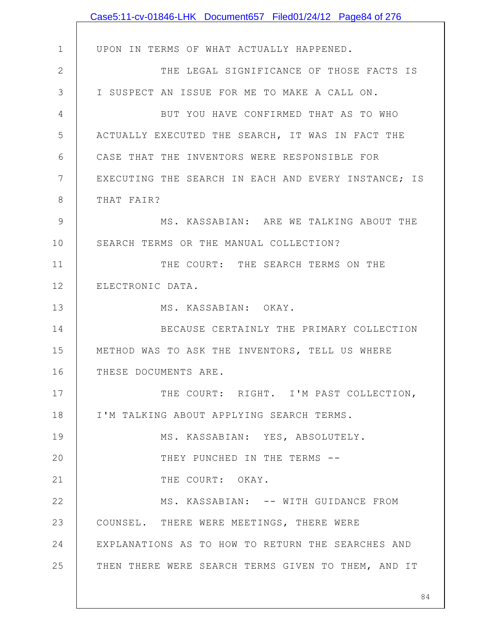|              | Case5:11-cv-01846-LHK Document657 Filed01/24/12 Page84 of 276 |
|--------------|---------------------------------------------------------------|
|              |                                                               |
| $\mathbf 1$  | UPON IN TERMS OF WHAT ACTUALLY HAPPENED.                      |
| $\mathbf{2}$ | THE LEGAL SIGNIFICANCE OF THOSE FACTS IS                      |
| 3            | I SUSPECT AN ISSUE FOR ME TO MAKE A CALL ON.                  |
| 4            | BUT YOU HAVE CONFIRMED THAT AS TO WHO                         |
| 5            | ACTUALLY EXECUTED THE SEARCH, IT WAS IN FACT THE              |
| 6            | CASE THAT THE INVENTORS WERE RESPONSIBLE FOR                  |
| 7            | EXECUTING THE SEARCH IN EACH AND EVERY INSTANCE; IS           |
| 8            | THAT FAIR?                                                    |
| 9            | MS. KASSABIAN: ARE WE TALKING ABOUT THE                       |
| 10           | SEARCH TERMS OR THE MANUAL COLLECTION?                        |
| 11           | THE COURT: THE SEARCH TERMS ON THE                            |
| 12           | ELECTRONIC DATA.                                              |
| 13           | MS. KASSABIAN: OKAY.                                          |
| 14           | BECAUSE CERTAINLY THE PRIMARY COLLECTION                      |
| 15           | METHOD WAS TO ASK THE INVENTORS, TELL US WHERE                |
| 16           | THESE DOCUMENTS ARE.                                          |
| 17           | THE COURT: RIGHT. I'M PAST COLLECTION,                        |
| 18           | I'M TALKING ABOUT APPLYING SEARCH TERMS.                      |
| 19           | MS. KASSABIAN: YES, ABSOLUTELY.                               |
| 20           | THEY PUNCHED IN THE TERMS --                                  |
| 21           | THE COURT: OKAY.                                              |
| 22           | MS. KASSABIAN: -- WITH GUIDANCE FROM                          |
| 23           | COUNSEL. THERE WERE MEETINGS, THERE WERE                      |
| 24           | EXPLANATIONS AS TO HOW TO RETURN THE SEARCHES AND             |
| 25           | THEN THERE WERE SEARCH TERMS GIVEN TO THEM, AND IT            |
|              |                                                               |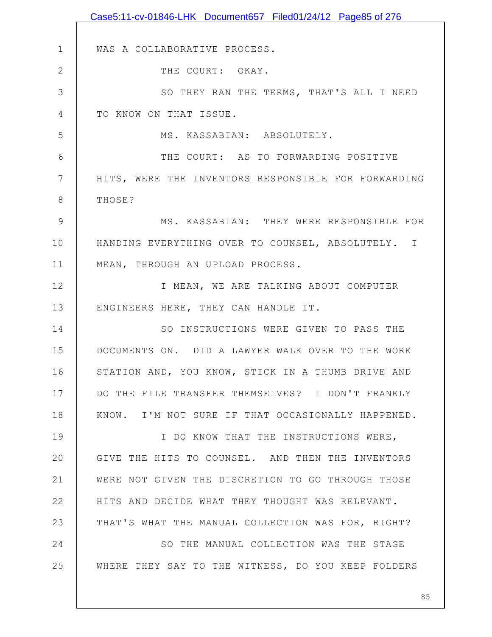|              | Case5:11-cv-01846-LHK Document657 Filed01/24/12 Page85 of 276 |
|--------------|---------------------------------------------------------------|
|              |                                                               |
| $\mathbf 1$  | WAS A COLLABORATIVE PROCESS.                                  |
| $\mathbf{2}$ | THE COURT: OKAY.                                              |
| 3            | SO THEY RAN THE TERMS, THAT'S ALL I NEED                      |
| 4            | TO KNOW ON THAT ISSUE.                                        |
| 5            | MS. KASSABIAN: ABSOLUTELY.                                    |
| 6            | THE COURT: AS TO FORWARDING POSITIVE                          |
| 7            | HITS, WERE THE INVENTORS RESPONSIBLE FOR FORWARDING           |
| $8\,$        | THOSE?                                                        |
| 9            | MS. KASSABIAN: THEY WERE RESPONSIBLE FOR                      |
| 10           | HANDING EVERYTHING OVER TO COUNSEL, ABSOLUTELY. I             |
| 11           | MEAN, THROUGH AN UPLOAD PROCESS.                              |
| 12           | I MEAN, WE ARE TALKING ABOUT COMPUTER                         |
| 13           | ENGINEERS HERE, THEY CAN HANDLE IT.                           |
| 14           | SO INSTRUCTIONS WERE GIVEN TO PASS THE                        |
| 15           | DOCUMENTS ON. DID A LAWYER WALK OVER TO THE WORK              |
| 16           | STATION AND, YOU KNOW, STICK IN A THUMB DRIVE AND             |
| 17           | DO THE FILE TRANSFER THEMSELVES? I DON'T FRANKLY              |
| 18           | KNOW. I'M NOT SURE IF THAT OCCASIONALLY HAPPENED.             |
| 19           | I DO KNOW THAT THE INSTRUCTIONS WERE,                         |
| 20           | GIVE THE HITS TO COUNSEL. AND THEN THE INVENTORS              |
| 21           | WERE NOT GIVEN THE DISCRETION TO GO THROUGH THOSE             |
| 22           | HITS AND DECIDE WHAT THEY THOUGHT WAS RELEVANT.               |
| 23           | THAT'S WHAT THE MANUAL COLLECTION WAS FOR, RIGHT?             |
| 24           | SO THE MANUAL COLLECTION WAS THE STAGE                        |
| 25           | WHERE THEY SAY TO THE WITNESS, DO YOU KEEP FOLDERS            |
|              |                                                               |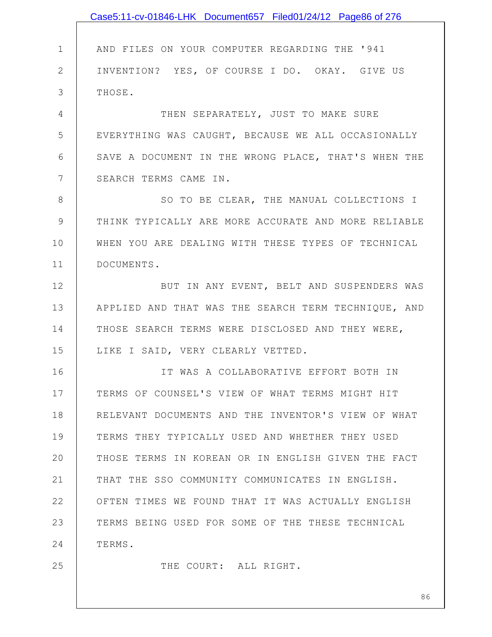|              | Case5:11-cv-01846-LHK Document657 Filed01/24/12 Page86 of 276 |
|--------------|---------------------------------------------------------------|
|              |                                                               |
| $\mathbf 1$  | AND FILES ON YOUR COMPUTER REGARDING THE '941                 |
| $\mathbf{2}$ | INVENTION? YES, OF COURSE I DO. OKAY. GIVE US                 |
| 3            | THOSE.                                                        |
| 4            | THEN SEPARATELY, JUST TO MAKE SURE                            |
| 5            | EVERYTHING WAS CAUGHT, BECAUSE WE ALL OCCASIONALLY            |
| 6            | SAVE A DOCUMENT IN THE WRONG PLACE, THAT'S WHEN THE           |
| 7            | SEARCH TERMS CAME IN.                                         |
| $8\,$        | SO TO BE CLEAR, THE MANUAL COLLECTIONS I                      |
| $\mathsf 9$  | THINK TYPICALLY ARE MORE ACCURATE AND MORE RELIABLE           |
| 10           | WHEN YOU ARE DEALING WITH THESE TYPES OF TECHNICAL            |
| 11           | DOCUMENTS.                                                    |
| 12           | BUT IN ANY EVENT, BELT AND SUSPENDERS WAS                     |
| 13           | APPLIED AND THAT WAS THE SEARCH TERM TECHNIQUE, AND           |
| 14           | THOSE SEARCH TERMS WERE DISCLOSED AND THEY WERE,              |
| 15           | LIKE I SAID, VERY CLEARLY VETTED.                             |
| 16           | IT WAS A COLLABORATIVE EFFORT BOTH IN                         |
| 17           | TERMS OF COUNSEL'S VIEW OF WHAT TERMS MIGHT HIT               |
| 18           | RELEVANT DOCUMENTS AND THE INVENTOR'S VIEW OF WHAT            |
| 19           | TERMS THEY TYPICALLY USED AND WHETHER THEY USED               |
| 20           | THOSE TERMS IN KOREAN OR IN ENGLISH GIVEN THE FACT            |
| 21           | THAT THE SSO COMMUNITY COMMUNICATES IN ENGLISH.               |
| 22           | OFTEN TIMES WE FOUND THAT IT WAS ACTUALLY ENGLISH             |
| 23           | TERMS BEING USED FOR SOME OF THE THESE TECHNICAL              |
| 24           | TERMS.                                                        |
| 25           | THE COURT: ALL RIGHT.                                         |
|              |                                                               |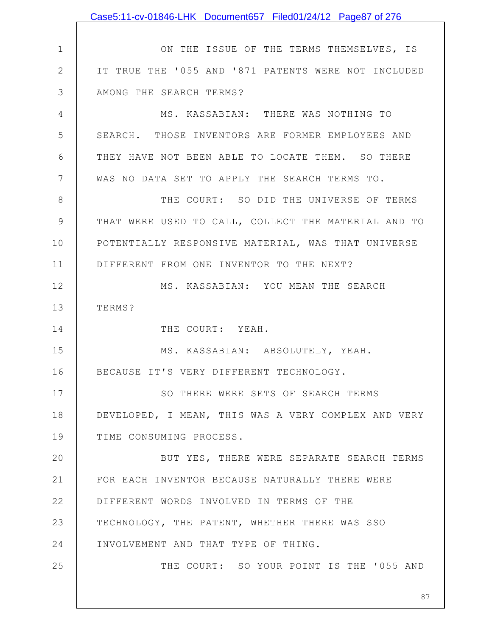|                | Case5:11-cv-01846-LHK Document657 Filed01/24/12 Page87 of 276 |
|----------------|---------------------------------------------------------------|
|                |                                                               |
| $\mathbf 1$    | ON THE ISSUE OF THE TERMS THEMSELVES, IS                      |
| $\mathbf{2}$   | IT TRUE THE '055 AND '871 PATENTS WERE NOT INCLUDED           |
| 3              | AMONG THE SEARCH TERMS?                                       |
| 4              | MS. KASSABIAN: THERE WAS NOTHING TO                           |
| 5              | SEARCH. THOSE INVENTORS ARE FORMER EMPLOYEES AND              |
| 6              | THEY HAVE NOT BEEN ABLE TO LOCATE THEM. SO THERE              |
| $7\phantom{.}$ | WAS NO DATA SET TO APPLY THE SEARCH TERMS TO.                 |
| $8\,$          | THE COURT: SO DID THE UNIVERSE OF TERMS                       |
| $\mathcal{G}$  | THAT WERE USED TO CALL, COLLECT THE MATERIAL AND TO           |
| 10             | POTENTIALLY RESPONSIVE MATERIAL, WAS THAT UNIVERSE            |
| 11             | DIFFERENT FROM ONE INVENTOR TO THE NEXT?                      |
| 12             | MS. KASSABIAN: YOU MEAN THE SEARCH                            |
| 13             | TERMS?                                                        |
| 14             | THE COURT: YEAH.                                              |
| 15             | MS. KASSABIAN: ABSOLUTELY, YEAH.                              |
| 16             | BECAUSE IT'S VERY DIFFERENT TECHNOLOGY.                       |
| 17             | SO THERE WERE SETS OF SEARCH TERMS                            |
| 18             | DEVELOPED, I MEAN, THIS WAS A VERY COMPLEX AND VERY           |
| 19             | TIME CONSUMING PROCESS.                                       |
| 20             | BUT YES, THERE WERE SEPARATE SEARCH TERMS                     |
| 21             | FOR EACH INVENTOR BECAUSE NATURALLY THERE WERE                |
| 22             | DIFFERENT WORDS INVOLVED IN TERMS OF THE                      |
| 23             | TECHNOLOGY, THE PATENT, WHETHER THERE WAS SSO                 |
| 24             | INVOLVEMENT AND THAT TYPE OF THING.                           |
| 25             | THE COURT: SO YOUR POINT IS THE '055 AND                      |
|                | 87                                                            |
|                |                                                               |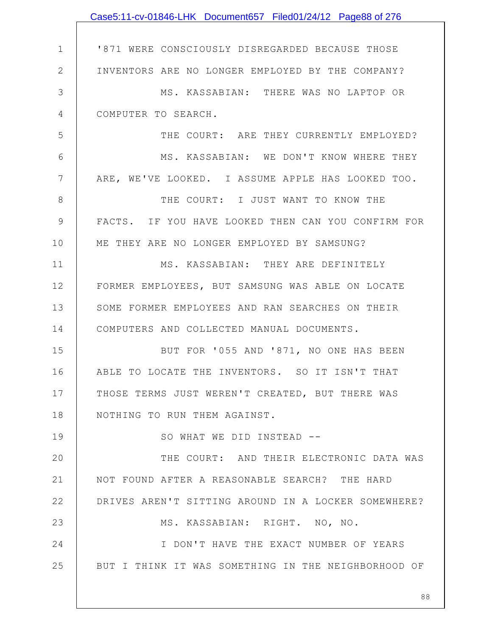|                | Case5:11-cv-01846-LHK Document657 Filed01/24/12 Page88 of 276 |
|----------------|---------------------------------------------------------------|
|                |                                                               |
| $\mathbf 1$    | '871 WERE CONSCIOUSLY DISREGARDED BECAUSE THOSE               |
| $\overline{2}$ | INVENTORS ARE NO LONGER EMPLOYED BY THE COMPANY?              |
| 3              | MS. KASSABIAN: THERE WAS NO LAPTOP OR                         |
| 4              | COMPUTER TO SEARCH.                                           |
| 5              | THE COURT: ARE THEY CURRENTLY EMPLOYED?                       |
| 6              | MS. KASSABIAN: WE DON'T KNOW WHERE THEY                       |
| 7              | ARE, WE'VE LOOKED. I ASSUME APPLE HAS LOOKED TOO.             |
| 8              | THE COURT: I JUST WANT TO KNOW THE                            |
| 9              | FACTS. IF YOU HAVE LOOKED THEN CAN YOU CONFIRM FOR            |
| 10             | ME THEY ARE NO LONGER EMPLOYED BY SAMSUNG?                    |
| 11             | MS. KASSABIAN: THEY ARE DEFINITELY                            |
| 12             | FORMER EMPLOYEES, BUT SAMSUNG WAS ABLE ON LOCATE              |
| 13             | SOME FORMER EMPLOYEES AND RAN SEARCHES ON THEIR               |
| 14             | COMPUTERS AND COLLECTED MANUAL DOCUMENTS.                     |
| 15             | BUT FOR '055 AND '871, NO ONE HAS BEEN                        |
| 16             | ABLE TO LOCATE THE INVENTORS. SO IT ISN'T THAT                |
| 17             | THOSE TERMS JUST WEREN'T CREATED, BUT THERE WAS               |
| 18             | NOTHING TO RUN THEM AGAINST.                                  |
| 19             | SO WHAT WE DID INSTEAD --                                     |
| 20             | THE COURT: AND THEIR ELECTRONIC DATA WAS                      |
| 21             | NOT FOUND AFTER A REASONABLE SEARCH? THE HARD                 |
| 22             | DRIVES AREN'T SITTING AROUND IN A LOCKER SOMEWHERE?           |
| 23             | MS. KASSABIAN: RIGHT. NO, NO.                                 |
| 24             | I DON'T HAVE THE EXACT NUMBER OF YEARS                        |
| 25             | BUT I THINK IT WAS SOMETHING IN THE NEIGHBORHOOD OF           |
|                |                                                               |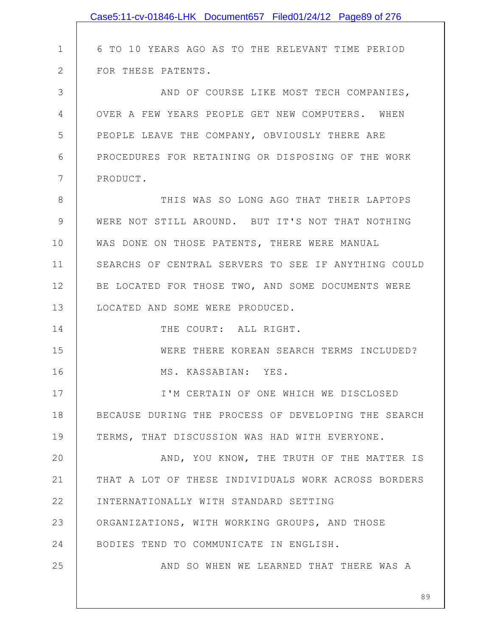|               | Case5:11-cv-01846-LHK Document657 Filed01/24/12 Page89 of 276 |
|---------------|---------------------------------------------------------------|
|               |                                                               |
| $\mathbf 1$   | 6 TO 10 YEARS AGO AS TO THE RELEVANT TIME PERIOD              |
| $\mathbf{2}$  | FOR THESE PATENTS.                                            |
| 3             | AND OF COURSE LIKE MOST TECH COMPANIES,                       |
| 4             | OVER A FEW YEARS PEOPLE GET NEW COMPUTERS. WHEN               |
| 5             | PEOPLE LEAVE THE COMPANY, OBVIOUSLY THERE ARE                 |
| 6             | PROCEDURES FOR RETAINING OR DISPOSING OF THE WORK             |
| 7             | PRODUCT.                                                      |
| 8             | THIS WAS SO LONG AGO THAT THEIR LAPTOPS                       |
| $\mathcal{G}$ | WERE NOT STILL AROUND. BUT IT'S NOT THAT NOTHING              |
| 10            | WAS DONE ON THOSE PATENTS, THERE WERE MANUAL                  |
| 11            | SEARCHS OF CENTRAL SERVERS TO SEE IF ANYTHING COULD           |
| 12            | BE LOCATED FOR THOSE TWO, AND SOME DOCUMENTS WERE             |
| 13            | LOCATED AND SOME WERE PRODUCED.                               |
| 14            | THE COURT: ALL RIGHT.                                         |
| 15            | WERE THERE KOREAN SEARCH TERMS INCLUDED?                      |
| 16            | MS. KASSABIAN: YES.                                           |
| 17            | I'M CERTAIN OF ONE WHICH WE DISCLOSED                         |
| 18            | BECAUSE DURING THE PROCESS OF DEVELOPING THE SEARCH           |
| 19            | TERMS, THAT DISCUSSION WAS HAD WITH EVERYONE.                 |
| 20            | AND, YOU KNOW, THE TRUTH OF THE MATTER IS                     |
| 21            | THAT A LOT OF THESE INDIVIDUALS WORK ACROSS BORDERS           |
| 22            | INTERNATIONALLY WITH STANDARD SETTING                         |
| 23            | ORGANIZATIONS, WITH WORKING GROUPS, AND THOSE                 |
| 24            | BODIES TEND TO COMMUNICATE IN ENGLISH.                        |
| 25            | AND SO WHEN WE LEARNED THAT THERE WAS A                       |
|               |                                                               |
|               | 89                                                            |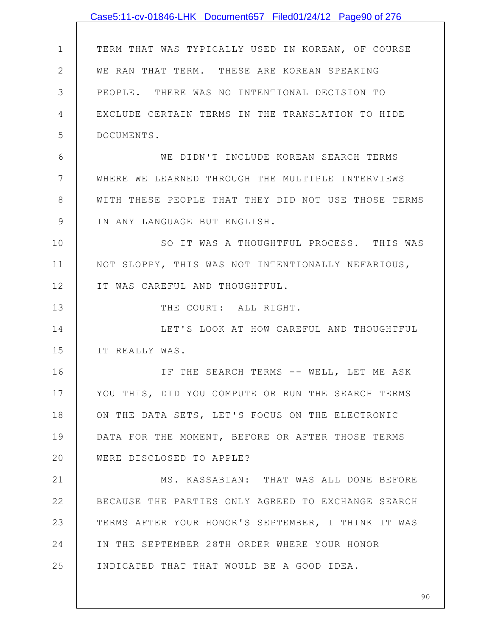|                | Case5:11-cv-01846-LHK Document657 Filed01/24/12 Page90 of 276 |
|----------------|---------------------------------------------------------------|
|                |                                                               |
| $\mathbf 1$    | TERM THAT WAS TYPICALLY USED IN KOREAN, OF COURSE             |
| $\mathbf{2}$   | WE RAN THAT TERM. THESE ARE KOREAN SPEAKING                   |
| 3              | PEOPLE. THERE WAS NO INTENTIONAL DECISION TO                  |
| 4              | EXCLUDE CERTAIN TERMS IN THE TRANSLATION TO HIDE              |
| 5              | DOCUMENTS.                                                    |
| 6              | WE DIDN'T INCLUDE KOREAN SEARCH TERMS                         |
| $7\phantom{.}$ | WHERE WE LEARNED THROUGH THE MULTIPLE INTERVIEWS              |
| 8              | WITH THESE PEOPLE THAT THEY DID NOT USE THOSE TERMS           |
| 9              | IN ANY LANGUAGE BUT ENGLISH.                                  |
| 10             | SO IT WAS A THOUGHTFUL PROCESS. THIS WAS                      |
| 11             | NOT SLOPPY, THIS WAS NOT INTENTIONALLY NEFARIOUS,             |
| 12             | IT WAS CAREFUL AND THOUGHTFUL.                                |
| 13             | THE COURT: ALL RIGHT.                                         |
| 14             | LET'S LOOK AT HOW CAREFUL AND THOUGHTFUL                      |
| 15             | IT REALLY WAS.                                                |
| 16             | IF THE SEARCH TERMS -- WELL, LET ME ASK                       |
| 17             | YOU THIS, DID YOU COMPUTE OR RUN THE SEARCH TERMS             |
| 18             | ON THE DATA SETS, LET'S FOCUS ON THE ELECTRONIC               |
| 19             | DATA FOR THE MOMENT, BEFORE OR AFTER THOSE TERMS              |
| 20             | WERE DISCLOSED TO APPLE?                                      |
| 21             | MS. KASSABIAN: THAT WAS ALL DONE BEFORE                       |
| 22             | BECAUSE THE PARTIES ONLY AGREED TO EXCHANGE SEARCH            |
| 23             | TERMS AFTER YOUR HONOR'S SEPTEMBER, I THINK IT WAS            |
| 24             | IN THE SEPTEMBER 28TH ORDER WHERE YOUR HONOR                  |
| 25             | INDICATED THAT THAT WOULD BE A GOOD IDEA.                     |
|                |                                                               |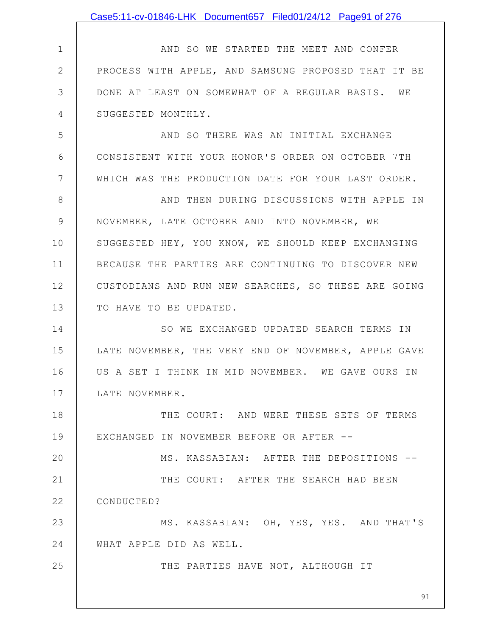|              | Case5:11-cv-01846-LHK Document657 Filed01/24/12 Page91 of 276 |
|--------------|---------------------------------------------------------------|
|              |                                                               |
| $\mathbf 1$  | AND SO WE STARTED THE MEET AND CONFER                         |
| $\mathbf{2}$ | PROCESS WITH APPLE, AND SAMSUNG PROPOSED THAT IT BE           |
| 3            | DONE AT LEAST ON SOMEWHAT OF A REGULAR BASIS. WE              |
| 4            | SUGGESTED MONTHLY.                                            |
| 5            | AND SO THERE WAS AN INITIAL EXCHANGE                          |
| 6            | CONSISTENT WITH YOUR HONOR'S ORDER ON OCTOBER 7TH             |
| 7            | WHICH WAS THE PRODUCTION DATE FOR YOUR LAST ORDER.            |
| 8            | AND THEN DURING DISCUSSIONS WITH APPLE IN                     |
| 9            | NOVEMBER, LATE OCTOBER AND INTO NOVEMBER, WE                  |
| 10           | SUGGESTED HEY, YOU KNOW, WE SHOULD KEEP EXCHANGING            |
| 11           | BECAUSE THE PARTIES ARE CONTINUING TO DISCOVER NEW            |
| 12           | CUSTODIANS AND RUN NEW SEARCHES, SO THESE ARE GOING           |
| 13           | TO HAVE TO BE UPDATED.                                        |
| 14           | SO WE EXCHANGED UPDATED SEARCH TERMS IN                       |
| 15           | LATE NOVEMBER, THE VERY END OF NOVEMBER, APPLE GAVE           |
| 16           | US A SET I THINK IN MID NOVEMBER. WE GAVE OURS IN             |
| 17           | LATE NOVEMBER.                                                |
| 18           | THE COURT: AND WERE THESE SETS OF TERMS                       |
| 19           | EXCHANGED IN NOVEMBER BEFORE OR AFTER --                      |
| 20           | MS. KASSABIAN: AFTER THE DEPOSITIONS --                       |
| 21           | THE COURT: AFTER THE SEARCH HAD BEEN                          |
| 22           | CONDUCTED?                                                    |
| 23           | MS. KASSABIAN: OH, YES, YES. AND THAT'S                       |
| 24           | WHAT APPLE DID AS WELL.                                       |
| 25           | THE PARTIES HAVE NOT, ALTHOUGH IT                             |
|              | 91                                                            |
|              |                                                               |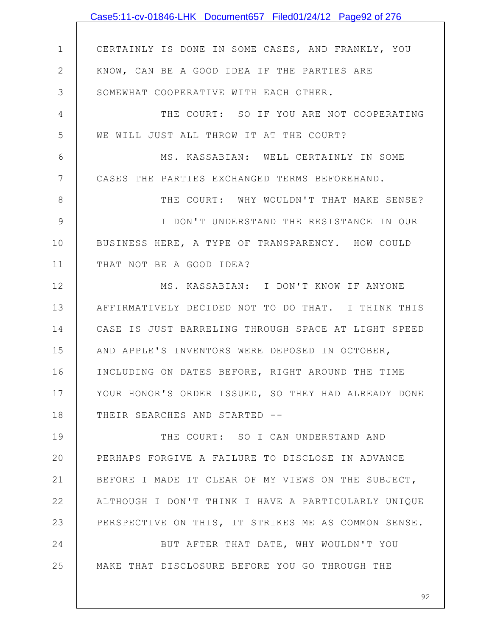|    | Case5:11-cv-01846-LHK Document657 Filed01/24/12 Page92 of 276 |
|----|---------------------------------------------------------------|
|    |                                                               |
| 1  | CERTAINLY IS DONE IN SOME CASES, AND FRANKLY, YOU             |
| 2  | KNOW, CAN BE A GOOD IDEA IF THE PARTIES ARE                   |
| 3  | SOMEWHAT COOPERATIVE WITH EACH OTHER.                         |
| 4  | THE COURT: SO IF YOU ARE NOT COOPERATING                      |
| 5  | WE WILL JUST ALL THROW IT AT THE COURT?                       |
| 6  | MS. KASSABIAN: WELL CERTAINLY IN SOME                         |
| 7  | CASES THE PARTIES EXCHANGED TERMS BEFOREHAND.                 |
| 8  | THE COURT: WHY WOULDN'T THAT MAKE SENSE?                      |
| 9  | I DON'T UNDERSTAND THE RESISTANCE IN OUR                      |
| 10 | BUSINESS HERE, A TYPE OF TRANSPARENCY. HOW COULD              |
| 11 | THAT NOT BE A GOOD IDEA?                                      |
| 12 | MS. KASSABIAN: I DON'T KNOW IF ANYONE                         |
| 13 | AFFIRMATIVELY DECIDED NOT TO DO THAT. I THINK THIS            |
| 14 | CASE IS JUST BARRELING THROUGH SPACE AT LIGHT SPEED           |
| 15 | AND APPLE'S INVENTORS WERE DEPOSED IN OCTOBER,                |
| 16 | INCLUDING ON DATES BEFORE, RIGHT AROUND THE TIME              |
| 17 | YOUR HONOR'S ORDER ISSUED, SO THEY HAD ALREADY DONE           |
| 18 | THEIR SEARCHES AND STARTED --                                 |
| 19 | THE COURT: SO I CAN UNDERSTAND AND                            |
| 20 | PERHAPS FORGIVE A FAILURE TO DISCLOSE IN ADVANCE              |
| 21 | BEFORE I MADE IT CLEAR OF MY VIEWS ON THE SUBJECT,            |
| 22 | ALTHOUGH I DON'T THINK I HAVE A PARTICULARLY UNIQUE           |
| 23 | PERSPECTIVE ON THIS, IT STRIKES ME AS COMMON SENSE.           |
| 24 | BUT AFTER THAT DATE, WHY WOULDN'T YOU                         |
| 25 | MAKE THAT DISCLOSURE BEFORE YOU GO THROUGH THE                |
|    |                                                               |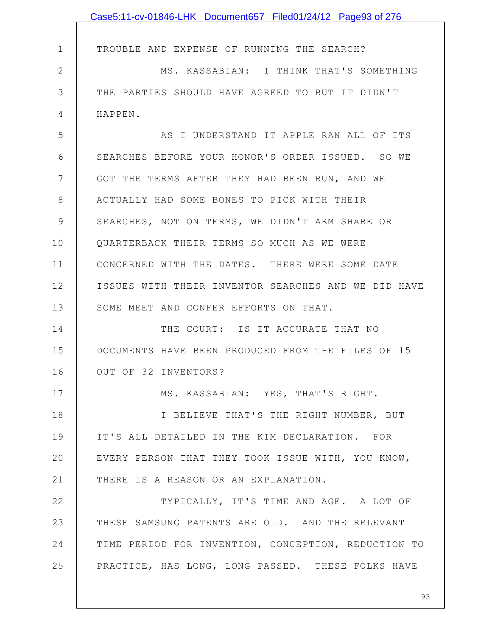|              | Case5:11-cv-01846-LHK Document657 Filed01/24/12 Page93 of 276 |
|--------------|---------------------------------------------------------------|
|              |                                                               |
| $\mathbf 1$  | TROUBLE AND EXPENSE OF RUNNING THE SEARCH?                    |
| $\mathbf{2}$ | MS. KASSABIAN: I THINK THAT'S SOMETHING                       |
| 3            | THE PARTIES SHOULD HAVE AGREED TO BUT IT DIDN'T               |
| 4            | HAPPEN.                                                       |
| 5            | AS I UNDERSTAND IT APPLE RAN ALL OF ITS                       |
| 6            | SEARCHES BEFORE YOUR HONOR'S ORDER ISSUED. SO WE              |
| 7            | GOT THE TERMS AFTER THEY HAD BEEN RUN, AND WE                 |
| $8\,$        | ACTUALLY HAD SOME BONES TO PICK WITH THEIR                    |
| 9            | SEARCHES, NOT ON TERMS, WE DIDN'T ARM SHARE OR                |
| 10           | QUARTERBACK THEIR TERMS SO MUCH AS WE WERE                    |
| 11           | CONCERNED WITH THE DATES. THERE WERE SOME DATE                |
| 12           | ISSUES WITH THEIR INVENTOR SEARCHES AND WE DID HAVE           |
| 13           | SOME MEET AND CONFER EFFORTS ON THAT.                         |
| 14           | THE COURT: IS IT ACCURATE THAT NO                             |
| 15           | DOCUMENTS HAVE BEEN PRODUCED FROM THE FILES OF 15             |
| 16           | OUT OF 32 INVENTORS?                                          |
| 17           | MS. KASSABIAN: YES, THAT'S RIGHT.                             |
| 18           | I BELIEVE THAT'S THE RIGHT NUMBER, BUT                        |
| 19           | IT'S ALL DETAILED IN THE KIM DECLARATION. FOR                 |
| 20           | EVERY PERSON THAT THEY TOOK ISSUE WITH, YOU KNOW,             |
| 21           | THERE IS A REASON OR AN EXPLANATION.                          |
| 22           | TYPICALLY, IT'S TIME AND AGE. A LOT OF                        |
| 23           | THESE SAMSUNG PATENTS ARE OLD. AND THE RELEVANT               |
| 24           | TIME PERIOD FOR INVENTION, CONCEPTION, REDUCTION TO           |
| 25           | PRACTICE, HAS LONG, LONG PASSED. THESE FOLKS HAVE             |
|              |                                                               |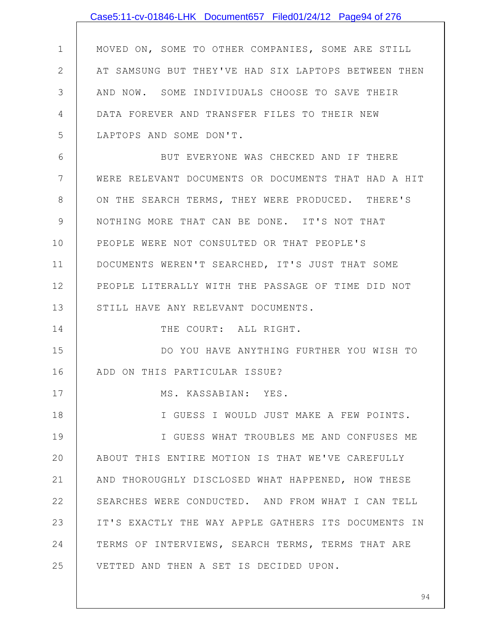|                 | Case5:11-cv-01846-LHK Document657 Filed01/24/12 Page94 of 276 |
|-----------------|---------------------------------------------------------------|
|                 |                                                               |
| $\mathbf 1$     | MOVED ON, SOME TO OTHER COMPANIES, SOME ARE STILL             |
| $\mathbf{2}$    | AT SAMSUNG BUT THEY'VE HAD SIX LAPTOPS BETWEEN THEN           |
| 3               | AND NOW. SOME INDIVIDUALS CHOOSE TO SAVE THEIR                |
| 4               | DATA FOREVER AND TRANSFER FILES TO THEIR NEW                  |
| 5               | LAPTOPS AND SOME DON'T.                                       |
| 6               | BUT EVERYONE WAS CHECKED AND IF THERE                         |
| $7\phantom{.0}$ | WERE RELEVANT DOCUMENTS OR DOCUMENTS THAT HAD A HIT           |
| $8\,$           | ON THE SEARCH TERMS, THEY WERE PRODUCED. THERE'S              |
| $\mathcal{G}$   | NOTHING MORE THAT CAN BE DONE. IT'S NOT THAT                  |
| 10              | PEOPLE WERE NOT CONSULTED OR THAT PEOPLE'S                    |
| 11              | DOCUMENTS WEREN'T SEARCHED, IT'S JUST THAT SOME               |
| 12              | PEOPLE LITERALLY WITH THE PASSAGE OF TIME DID NOT             |
| 13              | STILL HAVE ANY RELEVANT DOCUMENTS.                            |
| 14              | THE COURT: ALL RIGHT.                                         |
| 15              | DO YOU HAVE ANYTHING FURTHER YOU WISH TO                      |
| 16              | ADD ON THIS PARTICULAR ISSUE?                                 |
| 17              | MS. KASSABIAN: YES.                                           |
| 18              | I GUESS I WOULD JUST MAKE A FEW POINTS.                       |
| 19              | I GUESS WHAT TROUBLES ME AND CONFUSES ME                      |
| 20              | ABOUT THIS ENTIRE MOTION IS THAT WE'VE CAREFULLY              |
| 21              | AND THOROUGHLY DISCLOSED WHAT HAPPENED, HOW THESE             |
| 22              | SEARCHES WERE CONDUCTED. AND FROM WHAT I CAN TELL             |
| 23              | IT'S EXACTLY THE WAY APPLE GATHERS ITS DOCUMENTS IN           |
| 24              | TERMS OF INTERVIEWS, SEARCH TERMS, TERMS THAT ARE             |
| 25              | VETTED AND THEN A SET IS DECIDED UPON.                        |
|                 |                                                               |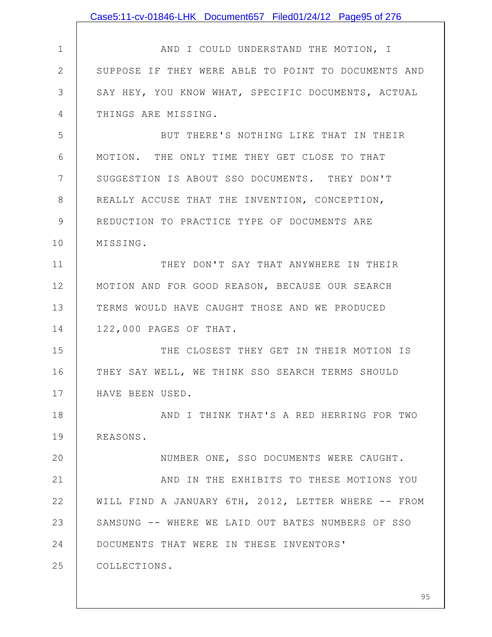|               | Case5:11-cv-01846-LHK Document657 Filed01/24/12 Page95 of 276 |
|---------------|---------------------------------------------------------------|
|               |                                                               |
| $\mathbf 1$   | AND I COULD UNDERSTAND THE MOTION, I                          |
| $\mathbf{2}$  | SUPPOSE IF THEY WERE ABLE TO POINT TO DOCUMENTS AND           |
| 3             | SAY HEY, YOU KNOW WHAT, SPECIFIC DOCUMENTS, ACTUAL            |
| 4             | THINGS ARE MISSING.                                           |
| 5             | BUT THERE'S NOTHING LIKE THAT IN THEIR                        |
| 6             | MOTION. THE ONLY TIME THEY GET CLOSE TO THAT                  |
| 7             | SUGGESTION IS ABOUT SSO DOCUMENTS. THEY DON'T                 |
| 8             | REALLY ACCUSE THAT THE INVENTION, CONCEPTION,                 |
| $\mathcal{G}$ | REDUCTION TO PRACTICE TYPE OF DOCUMENTS ARE                   |
| 10            | MISSING.                                                      |
| 11            | THEY DON'T SAY THAT ANYWHERE IN THEIR                         |
| 12            | MOTION AND FOR GOOD REASON, BECAUSE OUR SEARCH                |
| 13            | TERMS WOULD HAVE CAUGHT THOSE AND WE PRODUCED                 |
| 14            | 122,000 PAGES OF THAT.                                        |
| 15            | THE CLOSEST THEY GET IN THEIR MOTION IS                       |
| 16            | THEY SAY WELL, WE THINK SSO SEARCH TERMS SHOULD               |
| 17            | HAVE BEEN USED.                                               |
| 18            | AND I THINK THAT'S A RED HERRING FOR TWO                      |
| 19            | REASONS.                                                      |
| 20            | NUMBER ONE, SSO DOCUMENTS WERE CAUGHT.                        |
| 21            | AND IN THE EXHIBITS TO THESE MOTIONS YOU                      |
| 22            | WILL FIND A JANUARY 6TH, 2012, LETTER WHERE -- FROM           |
| 23            | SAMSUNG -- WHERE WE LAID OUT BATES NUMBERS OF SSO             |
| 24            | DOCUMENTS THAT WERE IN THESE INVENTORS'                       |
| 25            | COLLECTIONS.                                                  |
|               |                                                               |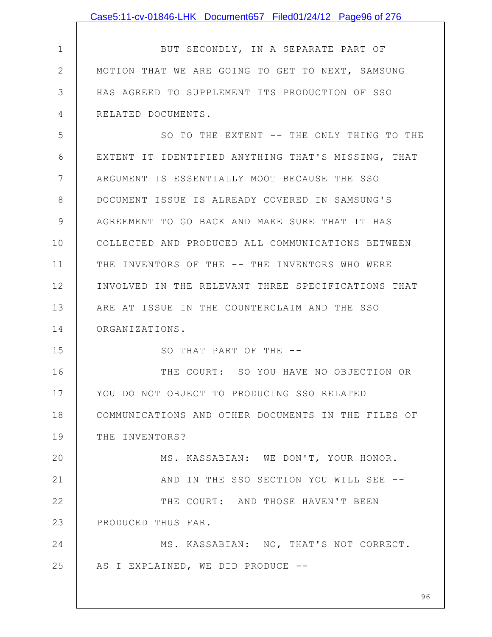|               | Case5:11-cv-01846-LHK Document657 Filed01/24/12 Page96 of 276 |
|---------------|---------------------------------------------------------------|
|               |                                                               |
| $\mathbf 1$   | BUT SECONDLY, IN A SEPARATE PART OF                           |
| $\mathbf{2}$  | MOTION THAT WE ARE GOING TO GET TO NEXT, SAMSUNG              |
| 3             | HAS AGREED TO SUPPLEMENT ITS PRODUCTION OF SSO                |
| 4             | RELATED DOCUMENTS.                                            |
| 5             | SO TO THE EXTENT -- THE ONLY THING TO THE                     |
| 6             | EXTENT IT IDENTIFIED ANYTHING THAT'S MISSING, THAT            |
| 7             | ARGUMENT IS ESSENTIALLY MOOT BECAUSE THE SSO                  |
| 8             | DOCUMENT ISSUE IS ALREADY COVERED IN SAMSUNG'S                |
| $\mathcal{G}$ | AGREEMENT TO GO BACK AND MAKE SURE THAT IT HAS                |
| 10            | COLLECTED AND PRODUCED ALL COMMUNICATIONS BETWEEN             |
| 11            | THE INVENTORS OF THE -- THE INVENTORS WHO WERE                |
| 12            | INVOLVED IN THE RELEVANT THREE SPECIFICATIONS THAT            |
| 13            | ARE AT ISSUE IN THE COUNTERCLAIM AND THE SSO                  |
| 14            | ORGANIZATIONS.                                                |
| 15            | SO THAT PART OF THE --                                        |
| 16            | THE COURT: SO YOU HAVE NO OBJECTION OR                        |
| 17            | YOU DO NOT OBJECT TO PRODUCING SSO RELATED                    |
| 18            | COMMUNICATIONS AND OTHER DOCUMENTS IN THE FILES OF            |
| 19            | THE INVENTORS?                                                |
| 20            | MS. KASSABIAN: WE DON'T, YOUR HONOR.                          |
| 21            | AND IN THE SSO SECTION YOU WILL SEE --                        |
| 22            | THE COURT: AND THOSE HAVEN'T BEEN                             |
| 23            | PRODUCED THUS FAR.                                            |
| 24            | MS. KASSABIAN: NO, THAT'S NOT CORRECT.                        |
| 25            | AS I EXPLAINED, WE DID PRODUCE --                             |
|               |                                                               |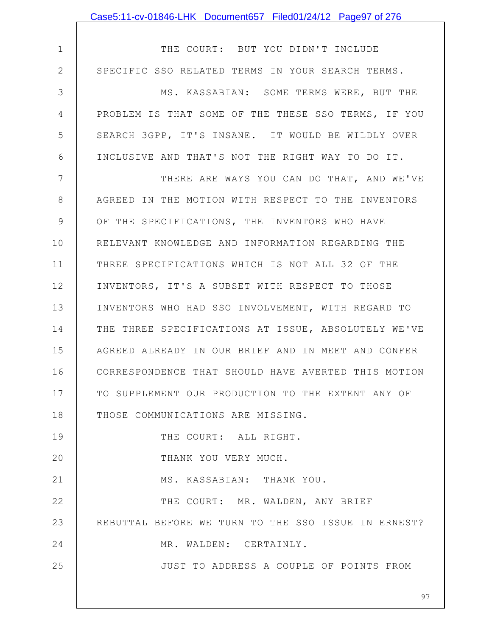|              | Case5:11-cv-01846-LHK Document657 Filed01/24/12 Page97 of 276 |
|--------------|---------------------------------------------------------------|
|              |                                                               |
| $\mathbf 1$  | THE COURT: BUT YOU DIDN'T INCLUDE                             |
| $\mathbf{2}$ | SPECIFIC SSO RELATED TERMS IN YOUR SEARCH TERMS.              |
| 3            | MS. KASSABIAN: SOME TERMS WERE, BUT THE                       |
| 4            | PROBLEM IS THAT SOME OF THE THESE SSO TERMS, IF YOU           |
| 5            | SEARCH 3GPP, IT'S INSANE. IT WOULD BE WILDLY OVER             |
| 6            | INCLUSIVE AND THAT'S NOT THE RIGHT WAY TO DO IT.              |
| 7            | THERE ARE WAYS YOU CAN DO THAT, AND WE'VE                     |
| 8            | AGREED IN THE MOTION WITH RESPECT TO THE INVENTORS            |
| 9            | OF THE SPECIFICATIONS, THE INVENTORS WHO HAVE                 |
| 10           | RELEVANT KNOWLEDGE AND INFORMATION REGARDING THE              |
| 11           | THREE SPECIFICATIONS WHICH IS NOT ALL 32 OF THE               |
| 12           | INVENTORS, IT'S A SUBSET WITH RESPECT TO THOSE                |
| 13           | INVENTORS WHO HAD SSO INVOLVEMENT, WITH REGARD TO             |
| 14           | THE THREE SPECIFICATIONS AT ISSUE, ABSOLUTELY WE'VE           |
| 15           | AGREED ALREADY IN OUR BRIEF AND IN MEET AND CONFER            |
| 16           | CORRESPONDENCE THAT SHOULD HAVE AVERTED THIS MOTION           |
| 17           | TO SUPPLEMENT OUR PRODUCTION TO THE EXTENT ANY OF             |
| 18           | THOSE COMMUNICATIONS ARE MISSING.                             |
| 19           | THE COURT: ALL RIGHT.                                         |
| 20           | THANK YOU VERY MUCH.                                          |
| 21           | MS. KASSABIAN: THANK YOU.                                     |
| 22           | THE COURT: MR. WALDEN, ANY BRIEF                              |
| 23           | REBUTTAL BEFORE WE TURN TO THE SSO ISSUE IN ERNEST?           |
| 24           | MR. WALDEN: CERTAINLY.                                        |
| 25           | JUST TO ADDRESS A COUPLE OF POINTS FROM                       |
|              |                                                               |
|              | 97                                                            |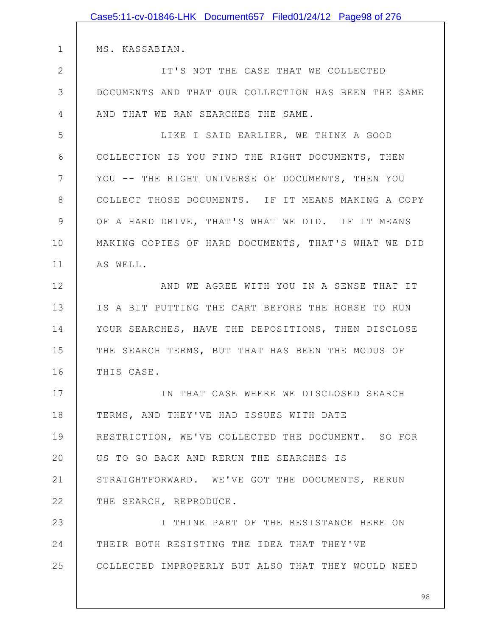|               | Case5:11-cv-01846-LHK Document657 Filed01/24/12 Page98 of 276 |
|---------------|---------------------------------------------------------------|
|               |                                                               |
| $\mathbf 1$   | MS. KASSABIAN.                                                |
| $\mathbf{2}$  | IT'S NOT THE CASE THAT WE COLLECTED                           |
| 3             | DOCUMENTS AND THAT OUR COLLECTION HAS BEEN THE SAME           |
| 4             | AND THAT WE RAN SEARCHES THE SAME.                            |
| 5             | LIKE I SAID EARLIER, WE THINK A GOOD                          |
| 6             | COLLECTION IS YOU FIND THE RIGHT DOCUMENTS, THEN              |
| 7             | YOU -- THE RIGHT UNIVERSE OF DOCUMENTS, THEN YOU              |
| 8             | COLLECT THOSE DOCUMENTS. IF IT MEANS MAKING A COPY            |
| $\mathcal{G}$ | OF A HARD DRIVE, THAT'S WHAT WE DID. IF IT MEANS              |
| 10            | MAKING COPIES OF HARD DOCUMENTS, THAT'S WHAT WE DID           |
| 11            | AS WELL.                                                      |
| 12            | AND WE AGREE WITH YOU IN A SENSE THAT IT                      |
| 13            | IS A BIT PUTTING THE CART BEFORE THE HORSE TO RUN             |
| 14            | YOUR SEARCHES, HAVE THE DEPOSITIONS, THEN DISCLOSE            |
| 15            | THE SEARCH TERMS, BUT THAT HAS BEEN THE MODUS OF              |
| 16            | THIS CASE                                                     |
| 17            | IN THAT CASE WHERE WE DISCLOSED SEARCH                        |
| 18            | TERMS, AND THEY'VE HAD ISSUES WITH DATE                       |
| 19            | RESTRICTION, WE'VE COLLECTED THE DOCUMENT. SO FOR             |
| 20            | US TO GO BACK AND RERUN THE SEARCHES IS                       |
| 21            | STRAIGHTFORWARD. WE'VE GOT THE DOCUMENTS, RERUN               |
| 22            | THE SEARCH, REPRODUCE.                                        |
| 23            | I THINK PART OF THE RESISTANCE HERE ON                        |
| 24            | THEIR BOTH RESISTING THE IDEA THAT THEY'VE                    |
| 25            | COLLECTED IMPROPERLY BUT ALSO THAT THEY WOULD NEED            |
|               |                                                               |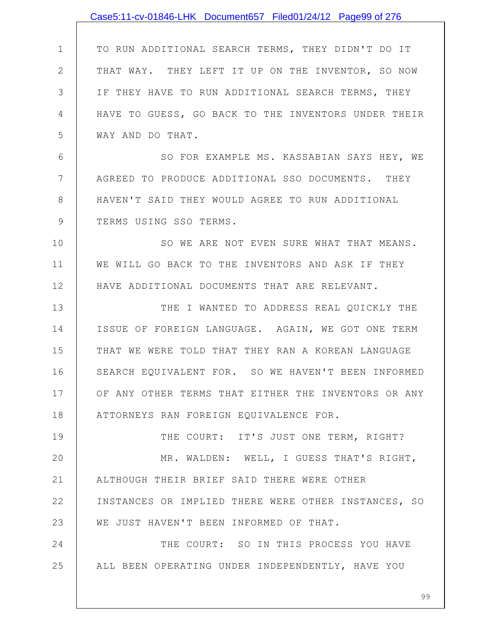|                | Case5:11-cv-01846-LHK Document657 Filed01/24/12 Page99 of 276 |
|----------------|---------------------------------------------------------------|
|                |                                                               |
| $\mathbf 1$    | TO RUN ADDITIONAL SEARCH TERMS, THEY DIDN'T DO IT             |
| $\mathbf{2}$   | THAT WAY. THEY LEFT IT UP ON THE INVENTOR, SO NOW             |
| 3              | IF THEY HAVE TO RUN ADDITIONAL SEARCH TERMS, THEY             |
| 4              | HAVE TO GUESS, GO BACK TO THE INVENTORS UNDER THEIR           |
| 5              | WAY AND DO THAT.                                              |
| 6              | SO FOR EXAMPLE MS. KASSABIAN SAYS HEY, WE                     |
| $7\phantom{.}$ | AGREED TO PRODUCE ADDITIONAL SSO DOCUMENTS. THEY              |
| $8\,$          | HAVEN'T SAID THEY WOULD AGREE TO RUN ADDITIONAL               |
| $\mathcal{G}$  | TERMS USING SSO TERMS.                                        |
| 10             | SO WE ARE NOT EVEN SURE WHAT THAT MEANS.                      |
| 11             | WE WILL GO BACK TO THE INVENTORS AND ASK IF THEY              |
| 12             | HAVE ADDITIONAL DOCUMENTS THAT ARE RELEVANT.                  |
| 13             | THE I WANTED TO ADDRESS REAL QUICKLY THE                      |
| 14             | ISSUE OF FOREIGN LANGUAGE. AGAIN, WE GOT ONE TERM             |
| 15             | THAT WE WERE TOLD THAT THEY RAN A KOREAN LANGUAGE             |
| 16             | SEARCH EQUIVALENT FOR. SO WE HAVEN'T BEEN INFORMED            |
| 17             | OF ANY OTHER TERMS THAT EITHER THE INVENTORS OR ANY           |
| 18             | ATTORNEYS RAN FOREIGN EQUIVALENCE FOR.                        |
| 19             | THE COURT: IT'S JUST ONE TERM, RIGHT?                         |
| 20             | MR. WALDEN: WELL, I GUESS THAT'S RIGHT,                       |
| 21             | ALTHOUGH THEIR BRIEF SAID THERE WERE OTHER                    |
| 22             | INSTANCES OR IMPLIED THERE WERE OTHER INSTANCES, SO           |
| 23             | WE JUST HAVEN'T BEEN INFORMED OF THAT.                        |
| 24             | THE COURT: SO IN THIS PROCESS YOU HAVE                        |
| 25             | ALL BEEN OPERATING UNDER INDEPENDENTLY, HAVE YOU              |
|                |                                                               |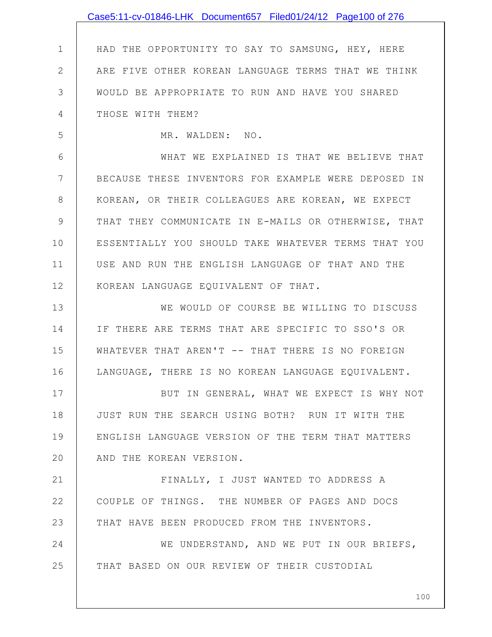|                | Case5:11-cv-01846-LHK Document657 Filed01/24/12 Page100 of 276 |
|----------------|----------------------------------------------------------------|
|                |                                                                |
| $\mathbf 1$    | HAD THE OPPORTUNITY TO SAY TO SAMSUNG, HEY, HERE               |
| $\overline{2}$ | ARE FIVE OTHER KOREAN LANGUAGE TERMS THAT WE THINK             |
| 3              | WOULD BE APPROPRIATE TO RUN AND HAVE YOU SHARED                |
| 4              | THOSE WITH THEM?                                               |
| 5              | MR. WALDEN: NO.                                                |
| 6              | WHAT WE EXPLAINED IS THAT WE BELIEVE THAT                      |
| 7              | BECAUSE THESE INVENTORS FOR EXAMPLE WERE DEPOSED IN            |
| 8              | KOREAN, OR THEIR COLLEAGUES ARE KOREAN, WE EXPECT              |
| 9              | THAT THEY COMMUNICATE IN E-MAILS OR OTHERWISE, THAT            |
| 10             | ESSENTIALLY YOU SHOULD TAKE WHATEVER TERMS THAT YOU            |
| 11             | USE AND RUN THE ENGLISH LANGUAGE OF THAT AND THE               |
| 12             | KOREAN LANGUAGE EQUIVALENT OF THAT.                            |
| 13             | WE WOULD OF COURSE BE WILLING TO DISCUSS                       |
| 14             | IF THERE ARE TERMS THAT ARE SPECIFIC TO SSO'S OR               |
| 15             | WHATEVER THAT AREN'T -- THAT THERE IS NO FOREIGN               |
| 16             | LANGUAGE, THERE IS NO KOREAN LANGUAGE EQUIVALENT.              |
| 17             | BUT IN GENERAL, WHAT WE EXPECT IS WHY NOT                      |
| 18             | JUST RUN THE SEARCH USING BOTH? RUN IT WITH THE                |
| 19             | ENGLISH LANGUAGE VERSION OF THE TERM THAT MATTERS              |
| 20             | AND THE KOREAN VERSION.                                        |
| 21             | FINALLY, I JUST WANTED TO ADDRESS A                            |
| 22             | COUPLE OF THINGS. THE NUMBER OF PAGES AND DOCS                 |
| 23             | THAT HAVE BEEN PRODUCED FROM THE INVENTORS.                    |
| 24             | WE UNDERSTAND, AND WE PUT IN OUR BRIEFS,                       |
| 25             | THAT BASED ON OUR REVIEW OF THEIR CUSTODIAL                    |
|                |                                                                |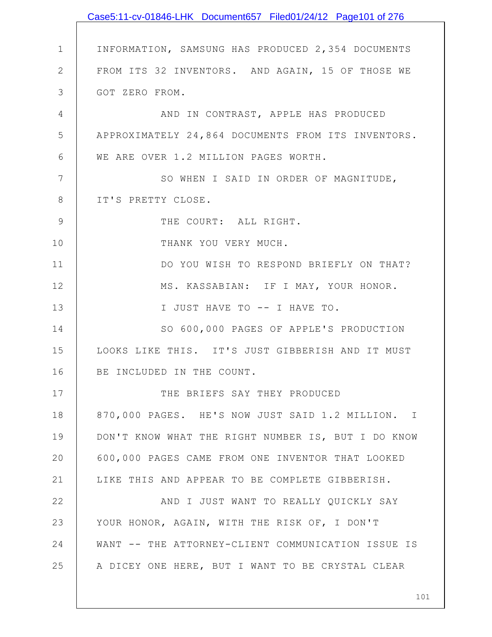|                | Case5:11-cv-01846-LHK Document657 Filed01/24/12 Page101 of 276 |
|----------------|----------------------------------------------------------------|
|                |                                                                |
| $\mathbf 1$    | INFORMATION, SAMSUNG HAS PRODUCED 2,354 DOCUMENTS              |
| $\mathbf{2}$   | FROM ITS 32 INVENTORS. AND AGAIN, 15 OF THOSE WE               |
| $\mathcal{S}$  | GOT ZERO FROM.                                                 |
| $\overline{4}$ | AND IN CONTRAST, APPLE HAS PRODUCED                            |
| 5              | APPROXIMATELY 24,864 DOCUMENTS FROM ITS INVENTORS.             |
| 6              | WE ARE OVER 1.2 MILLION PAGES WORTH.                           |
| 7              | SO WHEN I SAID IN ORDER OF MAGNITUDE,                          |
| $8\,$          | IT'S PRETTY CLOSE.                                             |
| $\mathcal{G}$  | THE COURT: ALL RIGHT.                                          |
| 10             | THANK YOU VERY MUCH.                                           |
| 11             | DO YOU WISH TO RESPOND BRIEFLY ON THAT?                        |
| 12             | MS. KASSABIAN: IF I MAY, YOUR HONOR.                           |
| 13             | I JUST HAVE TO -- I HAVE TO.                                   |
| 14             | SO 600,000 PAGES OF APPLE'S PRODUCTION                         |
| 15             | LOOKS LIKE THIS. IT'S JUST GIBBERISH AND IT MUST               |
| 16             | BE INCLUDED IN THE COUNT.                                      |
| 17             | THE BRIEFS SAY THEY PRODUCED                                   |
| 18             | 870,000 PAGES. HE'S NOW JUST SAID 1.2 MILLION. I               |
| 19             | DON'T KNOW WHAT THE RIGHT NUMBER IS, BUT I DO KNOW             |
| 20             | 600,000 PAGES CAME FROM ONE INVENTOR THAT LOOKED               |
| 21             | LIKE THIS AND APPEAR TO BE COMPLETE GIBBERISH.                 |
| 22             | AND I JUST WANT TO REALLY QUICKLY SAY                          |
| 23             | YOUR HONOR, AGAIN, WITH THE RISK OF, I DON'T                   |
| 24             | WANT -- THE ATTORNEY-CLIENT COMMUNICATION ISSUE IS             |
| 25             | A DICEY ONE HERE, BUT I WANT TO BE CRYSTAL CLEAR               |
|                |                                                                |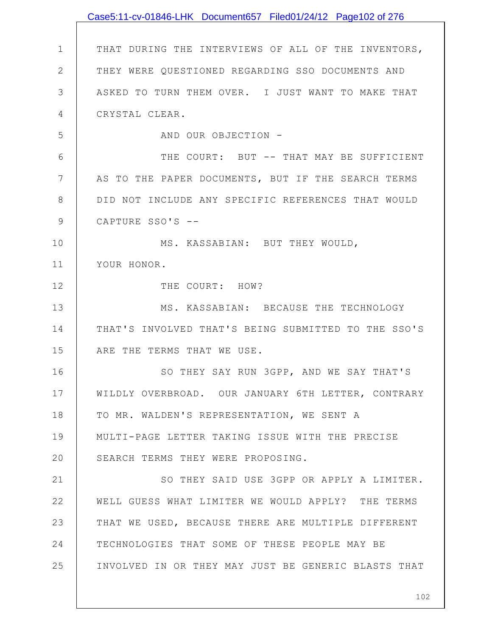|              | Case5:11-cv-01846-LHK Document657 Filed01/24/12 Page102 of 276 |
|--------------|----------------------------------------------------------------|
|              |                                                                |
| $\mathbf 1$  | THAT DURING THE INTERVIEWS OF ALL OF THE INVENTORS,            |
| $\mathbf{2}$ | THEY WERE QUESTIONED REGARDING SSO DOCUMENTS AND               |
| 3            | ASKED TO TURN THEM OVER. I JUST WANT TO MAKE THAT              |
| 4            | CRYSTAL CLEAR.                                                 |
| 5            | AND OUR OBJECTION -                                            |
| 6            | THE COURT: BUT -- THAT MAY BE SUFFICIENT                       |
| 7            | AS TO THE PAPER DOCUMENTS, BUT IF THE SEARCH TERMS             |
| 8            | DID NOT INCLUDE ANY SPECIFIC REFERENCES THAT WOULD             |
| 9            | CAPTURE SSO'S --                                               |
| 10           | MS. KASSABIAN: BUT THEY WOULD,                                 |
| 11           | YOUR HONOR.                                                    |
| 12           | THE COURT: HOW?                                                |
| 13           | MS. KASSABIAN: BECAUSE THE TECHNOLOGY                          |
| 14           | THAT'S INVOLVED THAT'S BEING SUBMITTED TO THE SSO'S            |
| 15           | ARE THE TERMS THAT WE USE.                                     |
| 16           | SO THEY SAY RUN 3GPP, AND WE SAY THAT'S                        |
| 17           | WILDLY OVERBROAD. OUR JANUARY 6TH LETTER, CONTRARY             |
| 18           | TO MR. WALDEN'S REPRESENTATION, WE SENT A                      |
| 19           | MULTI-PAGE LETTER TAKING ISSUE WITH THE PRECISE                |
| 20           | SEARCH TERMS THEY WERE PROPOSING.                              |
| 21           | SO THEY SAID USE 3GPP OR APPLY A LIMITER.                      |
| 22           | WELL GUESS WHAT LIMITER WE WOULD APPLY? THE TERMS              |
| 23           | THAT WE USED, BECAUSE THERE ARE MULTIPLE DIFFERENT             |
| 24           | TECHNOLOGIES THAT SOME OF THESE PEOPLE MAY BE                  |
| 25           | INVOLVED IN OR THEY MAY JUST BE GENERIC BLASTS THAT            |
|              |                                                                |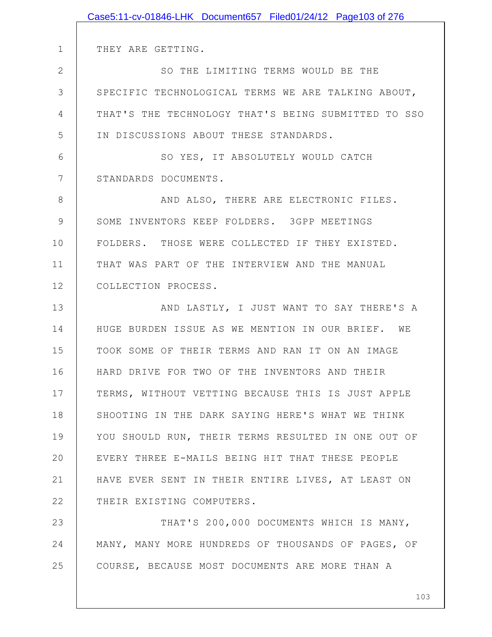|              | Case5:11-cv-01846-LHK Document657 Filed01/24/12 Page103 of 276 |
|--------------|----------------------------------------------------------------|
|              |                                                                |
| $\mathbf 1$  | THEY ARE GETTING.                                              |
| $\mathbf{2}$ | SO THE LIMITING TERMS WOULD BE THE                             |
| 3            | SPECIFIC TECHNOLOGICAL TERMS WE ARE TALKING ABOUT,             |
| 4            | THAT'S THE TECHNOLOGY THAT'S BEING SUBMITTED TO SSO            |
| 5            | IN DISCUSSIONS ABOUT THESE STANDARDS.                          |
| 6            | SO YES, IT ABSOLUTELY WOULD CATCH                              |
| 7            | STANDARDS DOCUMENTS.                                           |
| 8            | AND ALSO, THERE ARE ELECTRONIC FILES.                          |
| 9            | SOME INVENTORS KEEP FOLDERS. 3GPP MEETINGS                     |
| 10           | FOLDERS. THOSE WERE COLLECTED IF THEY EXISTED.                 |
| 11           | THAT WAS PART OF THE INTERVIEW AND THE MANUAL                  |
| 12           | COLLECTION PROCESS.                                            |
| 13           | AND LASTLY, I JUST WANT TO SAY THERE'S A                       |
| 14           | HUGE BURDEN ISSUE AS WE MENTION IN OUR BRIEF. WE               |
| 15           | TOOK SOME OF THEIR TERMS AND RAN IT ON AN IMAGE                |
| 16           | HARD DRIVE FOR TWO OF THE INVENTORS AND THEIR                  |
| 17           | TERMS, WITHOUT VETTING BECAUSE THIS IS JUST APPLE              |
| 18           | SHOOTING IN THE DARK SAYING HERE'S WHAT WE THINK               |
| 19           | YOU SHOULD RUN, THEIR TERMS RESULTED IN ONE OUT OF             |
| 20           | EVERY THREE E-MAILS BEING HIT THAT THESE PEOPLE                |
| 21           | HAVE EVER SENT IN THEIR ENTIRE LIVES, AT LEAST ON              |
| 22           | THEIR EXISTING COMPUTERS.                                      |
| 23           | THAT'S 200,000 DOCUMENTS WHICH IS MANY,                        |
| 24           | MANY, MANY MORE HUNDREDS OF THOUSANDS OF PAGES, OF             |
| 25           | COURSE, BECAUSE MOST DOCUMENTS ARE MORE THAN A                 |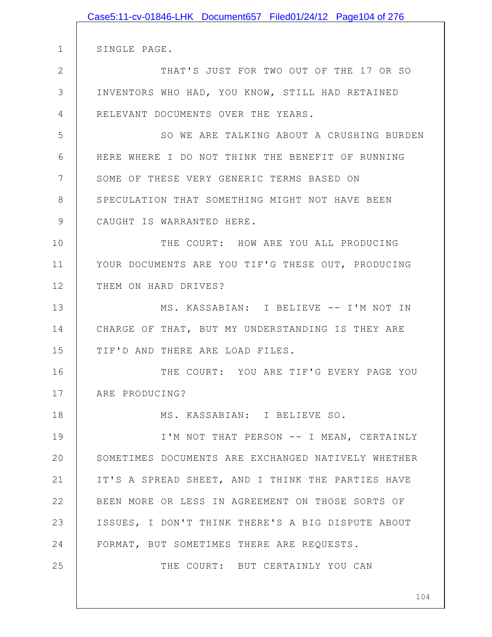|               | Case5:11-cv-01846-LHK Document657 Filed01/24/12 Page104 of 276 |
|---------------|----------------------------------------------------------------|
|               |                                                                |
| $\mathbf 1$   | SINGLE PAGE.                                                   |
| $\mathbf{2}$  | THAT'S JUST FOR TWO OUT OF THE 17 OR SO                        |
| 3             | INVENTORS WHO HAD, YOU KNOW, STILL HAD RETAINED                |
| 4             | RELEVANT DOCUMENTS OVER THE YEARS.                             |
| 5             | SO WE ARE TALKING ABOUT A CRUSHING BURDEN                      |
| 6             | HERE WHERE I DO NOT THINK THE BENEFIT OF RUNNING               |
| 7             | SOME OF THESE VERY GENERIC TERMS BASED ON                      |
| 8             | SPECULATION THAT SOMETHING MIGHT NOT HAVE BEEN                 |
| $\mathcal{G}$ | CAUGHT IS WARRANTED HERE.                                      |
| 10            | THE COURT: HOW ARE YOU ALL PRODUCING                           |
| 11            | YOUR DOCUMENTS ARE YOU TIF'G THESE OUT, PRODUCING              |
| 12            | THEM ON HARD DRIVES?                                           |
| 13            | MS. KASSABIAN: I BELIEVE -- I'M NOT IN                         |
| 14            | CHARGE OF THAT, BUT MY UNDERSTANDING IS THEY ARE               |
| 15            | TIF'D AND THERE ARE LOAD FILES.                                |
| 16            | THE COURT: YOU ARE TIF'G EVERY PAGE YOU                        |
| 17            | ARE PRODUCING?                                                 |
| 18            | MS. KASSABIAN: I BELIEVE SO.                                   |
| 19            | I'M NOT THAT PERSON -- I MEAN, CERTAINLY                       |
| 20            | SOMETIMES DOCUMENTS ARE EXCHANGED NATIVELY WHETHER             |
| 21            | IT'S A SPREAD SHEET, AND I THINK THE PARTIES HAVE              |
| 22            | BEEN MORE OR LESS IN AGREEMENT ON THOSE SORTS OF               |
| 23            | ISSUES, I DON'T THINK THERE'S A BIG DISPUTE ABOUT              |
| 24            | FORMAT, BUT SOMETIMES THERE ARE REQUESTS.                      |
| 25            | THE COURT: BUT CERTAINLY YOU CAN                               |
|               |                                                                |
|               | 104                                                            |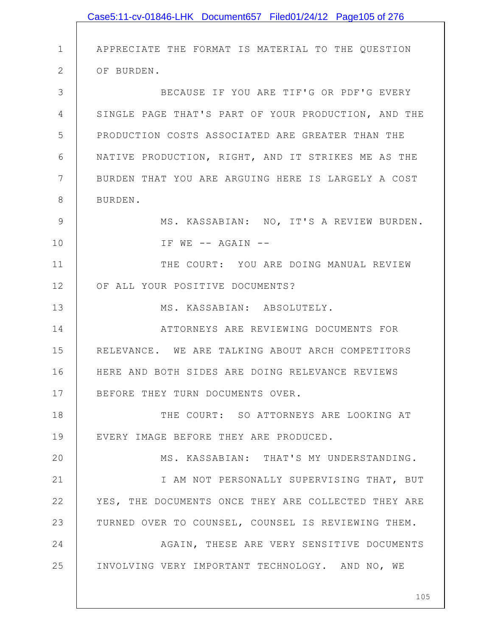|              | Case5:11-cv-01846-LHK Document657 Filed01/24/12 Page105 of 276 |
|--------------|----------------------------------------------------------------|
|              |                                                                |
| $\mathbf 1$  | APPRECIATE THE FORMAT IS MATERIAL TO THE QUESTION              |
| $\mathbf{2}$ | OF BURDEN.                                                     |
| 3            | BECAUSE IF YOU ARE TIF'G OR PDF'G EVERY                        |
| 4            | SINGLE PAGE THAT'S PART OF YOUR PRODUCTION, AND THE            |
| 5            | PRODUCTION COSTS ASSOCIATED ARE GREATER THAN THE               |
| 6            | NATIVE PRODUCTION, RIGHT, AND IT STRIKES ME AS THE             |
| 7            | BURDEN THAT YOU ARE ARGUING HERE IS LARGELY A COST             |
| 8            | BURDEN.                                                        |
| 9            | MS. KASSABIAN: NO, IT'S A REVIEW BURDEN.                       |
| 10           | IF WE -- AGAIN --                                              |
| 11           | THE COURT: YOU ARE DOING MANUAL REVIEW                         |
| 12           | OF ALL YOUR POSITIVE DOCUMENTS?                                |
| 13           | MS. KASSABIAN: ABSOLUTELY.                                     |
| 14           | ATTORNEYS ARE REVIEWING DOCUMENTS FOR                          |
| 15           | RELEVANCE. WE ARE TALKING ABOUT ARCH COMPETITORS               |
| 16           | HERE AND BOTH SIDES ARE DOING RELEVANCE REVIEWS                |
| 17           | BEFORE THEY TURN DOCUMENTS OVER.                               |
| 18           | THE COURT: SO ATTORNEYS ARE LOOKING AT                         |
| 19           | EVERY IMAGE BEFORE THEY ARE PRODUCED.                          |
| 20           | MS. KASSABIAN: THAT'S MY UNDERSTANDING.                        |
| 21           | I AM NOT PERSONALLY SUPERVISING THAT, BUT                      |
| 22           | YES, THE DOCUMENTS ONCE THEY ARE COLLECTED THEY ARE            |
| 23           | TURNED OVER TO COUNSEL, COUNSEL IS REVIEWING THEM.             |
| 24           | AGAIN, THESE ARE VERY SENSITIVE DOCUMENTS                      |
| 25           | INVOLVING VERY IMPORTANT TECHNOLOGY. AND NO, WE                |
|              |                                                                |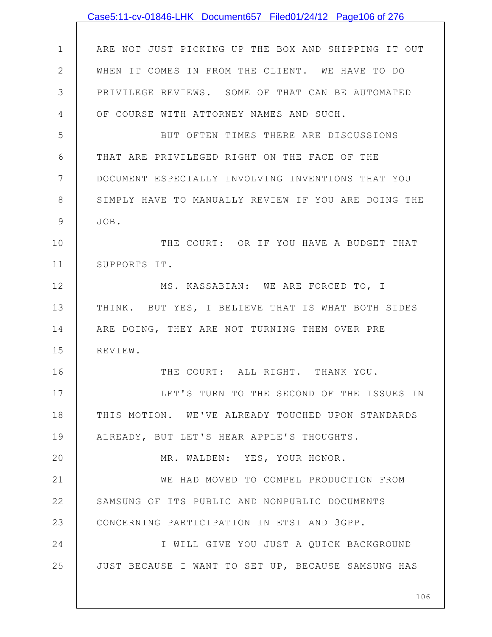|                | Case5:11-cv-01846-LHK Document657 Filed01/24/12 Page106 of 276 |
|----------------|----------------------------------------------------------------|
|                |                                                                |
| $\mathbf 1$    | ARE NOT JUST PICKING UP THE BOX AND SHIPPING IT OUT            |
| $\overline{2}$ | WHEN IT COMES IN FROM THE CLIENT. WE HAVE TO DO                |
| 3              | PRIVILEGE REVIEWS. SOME OF THAT CAN BE AUTOMATED               |
| 4              | OF COURSE WITH ATTORNEY NAMES AND SUCH.                        |
| 5              | BUT OFTEN TIMES THERE ARE DISCUSSIONS                          |
| 6              | THAT ARE PRIVILEGED RIGHT ON THE FACE OF THE                   |
| $7\phantom{.}$ | DOCUMENT ESPECIALLY INVOLVING INVENTIONS THAT YOU              |
| 8              | SIMPLY HAVE TO MANUALLY REVIEW IF YOU ARE DOING THE            |
| $\mathcal{G}$  | JOB.                                                           |
| 10             | THE COURT: OR IF YOU HAVE A BUDGET THAT                        |
| 11             | SUPPORTS IT.                                                   |
| 12             | MS. KASSABIAN: WE ARE FORCED TO, I                             |
| 13             | THINK. BUT YES, I BELIEVE THAT IS WHAT BOTH SIDES              |
| 14             | ARE DOING, THEY ARE NOT TURNING THEM OVER PRE                  |
| 15             | REVIEW.                                                        |
| 16             | THE COURT: ALL RIGHT. THANK YOU.                               |
| 17             | LET'S TURN TO THE SECOND OF THE ISSUES IN                      |
| 18             | THIS MOTION. WE'VE ALREADY TOUCHED UPON STANDARDS              |
| 19             | ALREADY, BUT LET'S HEAR APPLE'S THOUGHTS.                      |
| 20             | MR. WALDEN: YES, YOUR HONOR.                                   |
| 21             | WE HAD MOVED TO COMPEL PRODUCTION FROM                         |
| 22             | SAMSUNG OF ITS PUBLIC AND NONPUBLIC DOCUMENTS                  |
| 23             | CONCERNING PARTICIPATION IN ETSI AND 3GPP.                     |
| 24             | I WILL GIVE YOU JUST A QUICK BACKGROUND                        |
| 25             | JUST BECAUSE I WANT TO SET UP, BECAUSE SAMSUNG HAS             |
|                |                                                                |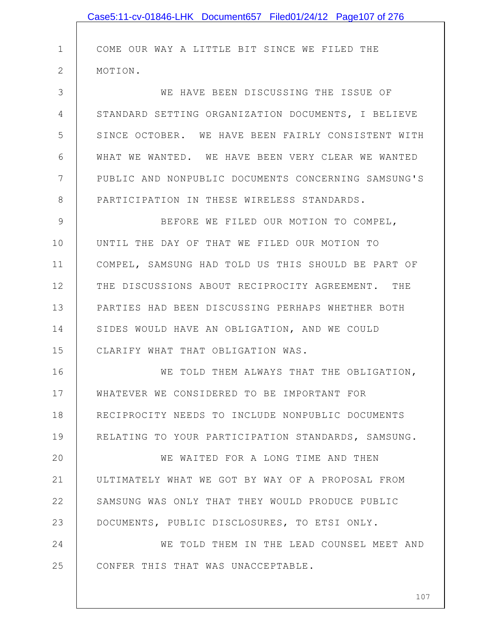|              | Case5:11-cv-01846-LHK Document657 Filed01/24/12 Page107 of 276 |
|--------------|----------------------------------------------------------------|
|              |                                                                |
| 1            | COME OUR WAY A LITTLE BIT SINCE WE FILED THE                   |
| $\mathbf{2}$ | MOTION.                                                        |
| 3            | WE HAVE BEEN DISCUSSING THE ISSUE OF                           |
| 4            | STANDARD SETTING ORGANIZATION DOCUMENTS, I BELIEVE             |
| 5            | SINCE OCTOBER. WE HAVE BEEN FAIRLY CONSISTENT WITH             |
| 6            | WHAT WE WANTED. WE HAVE BEEN VERY CLEAR WE WANTED              |
| 7            | PUBLIC AND NONPUBLIC DOCUMENTS CONCERNING SAMSUNG'S            |
| 8            | PARTICIPATION IN THESE WIRELESS STANDARDS.                     |
| 9            | BEFORE WE FILED OUR MOTION TO COMPEL,                          |
| 10           | UNTIL THE DAY OF THAT WE FILED OUR MOTION TO                   |
| 11           | COMPEL, SAMSUNG HAD TOLD US THIS SHOULD BE PART OF             |
| 12           | THE DISCUSSIONS ABOUT RECIPROCITY AGREEMENT. THE               |
| 13           | PARTIES HAD BEEN DISCUSSING PERHAPS WHETHER BOTH               |
| 14           | SIDES WOULD HAVE AN OBLIGATION, AND WE COULD                   |
| 15           | CLARIFY WHAT THAT OBLIGATION WAS.                              |
| 16           | WE TOLD THEM ALWAYS THAT THE OBLIGATION,                       |
| 17           | WHATEVER WE CONSIDERED TO BE IMPORTANT FOR                     |
| 18           | RECIPROCITY NEEDS TO INCLUDE NONPUBLIC DOCUMENTS               |
| 19           | RELATING TO YOUR PARTICIPATION STANDARDS, SAMSUNG.             |
| 20           | WE WAITED FOR A LONG TIME AND THEN                             |
| 21           | ULTIMATELY WHAT WE GOT BY WAY OF A PROPOSAL FROM               |
| 22           | SAMSUNG WAS ONLY THAT THEY WOULD PRODUCE PUBLIC                |
| 23           | DOCUMENTS, PUBLIC DISCLOSURES, TO ETSI ONLY.                   |
| 24           | WE TOLD THEM IN THE LEAD COUNSEL MEET AND                      |
| 25           | CONFER THIS THAT WAS UNACCEPTABLE.                             |
|              |                                                                |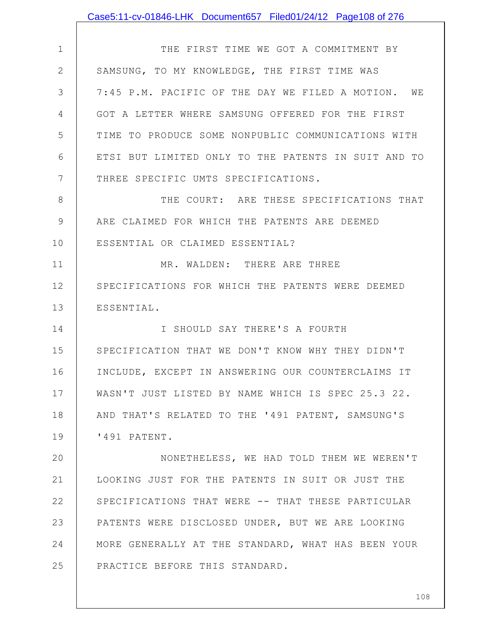|               | Case5:11-cv-01846-LHK Document657 Filed01/24/12 Page108 of 276 |
|---------------|----------------------------------------------------------------|
|               |                                                                |
| $\mathbf 1$   | THE FIRST TIME WE GOT A COMMITMENT BY                          |
| $\mathbf{2}$  | SAMSUNG, TO MY KNOWLEDGE, THE FIRST TIME WAS                   |
| 3             | 7:45 P.M. PACIFIC OF THE DAY WE FILED A MOTION. WE             |
| 4             | GOT A LETTER WHERE SAMSUNG OFFERED FOR THE FIRST               |
| 5             | TIME TO PRODUCE SOME NONPUBLIC COMMUNICATIONS WITH             |
| 6             | ETSI BUT LIMITED ONLY TO THE PATENTS IN SUIT AND TO            |
| 7             | THREE SPECIFIC UMTS SPECIFICATIONS.                            |
| 8             | THE COURT: ARE THESE SPECIFICATIONS THAT                       |
| $\mathcal{G}$ | ARE CLAIMED FOR WHICH THE PATENTS ARE DEEMED                   |
| 10            | ESSENTIAL OR CLAIMED ESSENTIAL?                                |
| 11            | MR. WALDEN: THERE ARE THREE                                    |
| 12            | SPECIFICATIONS FOR WHICH THE PATENTS WERE DEEMED               |
| 13            | ESSENTIAL.                                                     |
| 14            | I SHOULD SAY THERE'S A FOURTH                                  |
| 15            | SPECIFICATION THAT WE DON'T KNOW WHY THEY DIDN'T               |
| 16            | INCLUDE, EXCEPT IN ANSWERING OUR COUNTERCLAIMS IT              |
| 17            | WASN'T JUST LISTED BY NAME WHICH IS SPEC 25.3 22.              |
| 18            | AND THAT'S RELATED TO THE '491 PATENT, SAMSUNG'S               |
| 19            | '491 PATENT.                                                   |
| 20            | NONETHELESS, WE HAD TOLD THEM WE WEREN'T                       |
| 21            | LOOKING JUST FOR THE PATENTS IN SUIT OR JUST THE               |
| 22            | SPECIFICATIONS THAT WERE -- THAT THESE PARTICULAR              |
| 23            | PATENTS WERE DISCLOSED UNDER, BUT WE ARE LOOKING               |
| 24            | MORE GENERALLY AT THE STANDARD, WHAT HAS BEEN YOUR             |
| 25            | PRACTICE BEFORE THIS STANDARD.                                 |
|               |                                                                |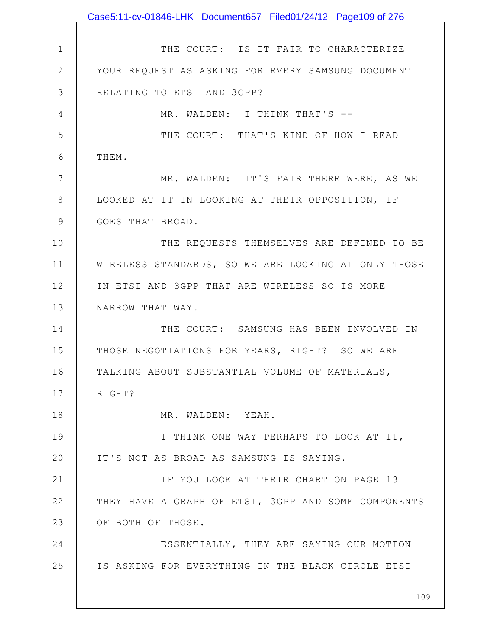|              | Case5:11-cv-01846-LHK Document657 Filed01/24/12 Page109 of 276 |
|--------------|----------------------------------------------------------------|
|              |                                                                |
| $\mathbf 1$  | THE COURT: IS IT FAIR TO CHARACTERIZE                          |
| $\mathbf{2}$ | YOUR REQUEST AS ASKING FOR EVERY SAMSUNG DOCUMENT              |
| 3            | RELATING TO ETSI AND 3GPP?                                     |
| 4            | MR. WALDEN: I THINK THAT'S --                                  |
| 5            | THE COURT: THAT'S KIND OF HOW I READ                           |
| 6            | THEM.                                                          |
| 7            | MR. WALDEN: IT'S FAIR THERE WERE, AS WE                        |
| 8            | LOOKED AT IT IN LOOKING AT THEIR OPPOSITION, IF                |
| 9            | GOES THAT BROAD.                                               |
| 10           | THE REQUESTS THEMSELVES ARE DEFINED TO BE                      |
| 11           | WIRELESS STANDARDS, SO WE ARE LOOKING AT ONLY THOSE            |
| 12           | IN ETSI AND 3GPP THAT ARE WIRELESS SO IS MORE                  |
| 13           | NARROW THAT WAY.                                               |
| 14           | THE COURT: SAMSUNG HAS BEEN INVOLVED IN                        |
| 15           | THOSE NEGOTIATIONS FOR YEARS, RIGHT? SO WE ARE                 |
| 16           | TALKING ABOUT SUBSTANTIAL VOLUME OF MATERIALS,                 |
| 17           | RIGHT?                                                         |
| 18           | MR. WALDEN: YEAH.                                              |
| 19           | I THINK ONE WAY PERHAPS TO LOOK AT IT,                         |
| 20           | IT'S NOT AS BROAD AS SAMSUNG IS SAYING.                        |
| 21           | IF YOU LOOK AT THEIR CHART ON PAGE 13                          |
| 22           | THEY HAVE A GRAPH OF ETSI, 3GPP AND SOME COMPONENTS            |
| 23           | OF BOTH OF THOSE.                                              |
| 24           | ESSENTIALLY, THEY ARE SAYING OUR MOTION                        |
| 25           | IS ASKING FOR EVERYTHING IN THE BLACK CIRCLE ETSI              |
|              |                                                                |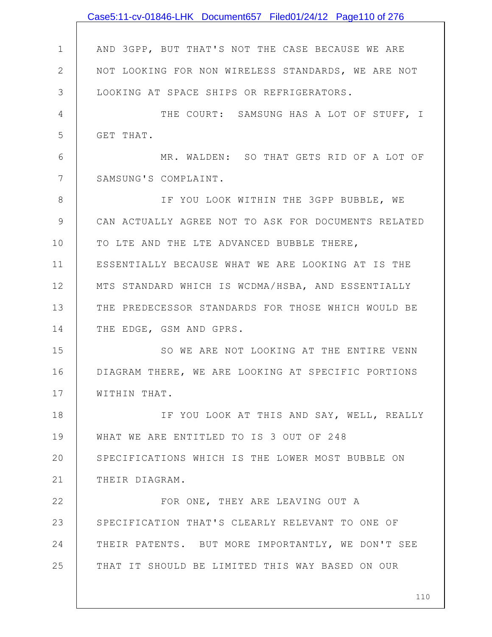|              | Case5:11-cv-01846-LHK Document657 Filed01/24/12 Page110 of 276 |
|--------------|----------------------------------------------------------------|
|              |                                                                |
| $\mathbf 1$  | AND 3GPP, BUT THAT'S NOT THE CASE BECAUSE WE ARE               |
| $\mathbf{2}$ | NOT LOOKING FOR NON WIRELESS STANDARDS, WE ARE NOT             |
| 3            | LOOKING AT SPACE SHIPS OR REFRIGERATORS.                       |
| 4            | THE COURT: SAMSUNG HAS A LOT OF STUFF, I                       |
| 5            | GET THAT.                                                      |
| 6            | MR. WALDEN: SO THAT GETS RID OF A LOT OF                       |
| 7            | SAMSUNG'S COMPLAINT.                                           |
| 8            | IF YOU LOOK WITHIN THE 3GPP BUBBLE, WE                         |
| 9            | CAN ACTUALLY AGREE NOT TO ASK FOR DOCUMENTS RELATED            |
| 10           | TO LTE AND THE LTE ADVANCED BUBBLE THERE,                      |
| 11           | ESSENTIALLY BECAUSE WHAT WE ARE LOOKING AT IS THE              |
| 12           | MTS STANDARD WHICH IS WCDMA/HSBA, AND ESSENTIALLY              |
| 13           | THE PREDECESSOR STANDARDS FOR THOSE WHICH WOULD BE             |
| 14           | THE EDGE, GSM AND GPRS.                                        |
| 15           | SO WE ARE NOT LOOKING AT THE ENTIRE VENN                       |
| 16           | DIAGRAM THERE, WE ARE LOOKING AT SPECIFIC PORTIONS             |
| 17           | WITHIN THAT.                                                   |
| 18           | IF YOU LOOK AT THIS AND SAY, WELL, REALLY                      |
| 19           | WHAT WE ARE ENTITLED TO IS 3 OUT OF 248                        |
| 20           | SPECIFICATIONS WHICH IS THE LOWER MOST BUBBLE ON               |
| 21           | THEIR DIAGRAM.                                                 |
| 22           | FOR ONE, THEY ARE LEAVING OUT A                                |
| 23           | SPECIFICATION THAT'S CLEARLY RELEVANT TO ONE OF                |
| 24           | THEIR PATENTS. BUT MORE IMPORTANTLY, WE DON'T SEE              |
| 25           | THAT IT SHOULD BE LIMITED THIS WAY BASED ON OUR                |
|              |                                                                |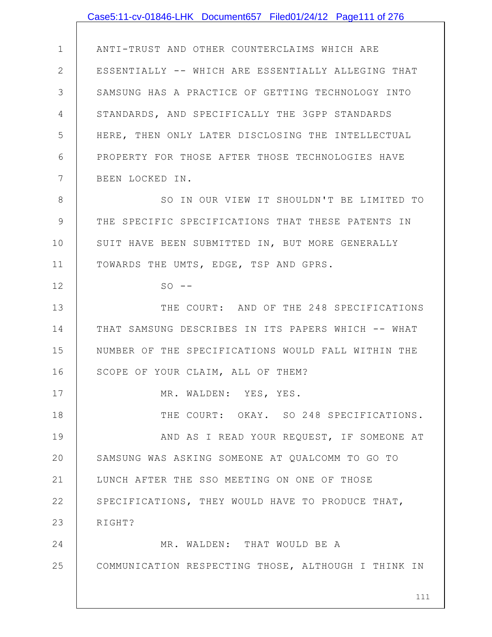## Case5:11-cv-01846-LHK Document657 Filed01/24/12 Page111 of 276

1 2 3 4 5 6 7 8 9 10 11 12 13 14 15 16 17 18 19 20 21 22 23 24 ANTI-TRUST AND OTHER COUNTERCLAIMS WHICH ARE ESSENTIALLY -- WHICH ARE ESSENTIALLY ALLEGING THAT SAMSUNG HAS A PRACTICE OF GETTING TECHNOLOGY INTO STANDARDS, AND SPECIFICALLY THE 3GPP STANDARDS HERE, THEN ONLY LATER DISCLOSING THE INTELLECTUAL PROPERTY FOR THOSE AFTER THOSE TECHNOLOGIES HAVE BEEN LOCKED IN. SO IN OUR VIEW IT SHOULDN'T BE LIMITED TO THE SPECIFIC SPECIFICATIONS THAT THESE PATENTS IN SUIT HAVE BEEN SUBMITTED IN, BUT MORE GENERALLY TOWARDS THE UMTS, EDGE, TSP AND GPRS.  $SO$   $--$ THE COURT: AND OF THE 248 SPECIFICATIONS THAT SAMSUNG DESCRIBES IN ITS PAPERS WHICH -- WHAT NUMBER OF THE SPECIFICATIONS WOULD FALL WITHIN THE SCOPE OF YOUR CLAIM, ALL OF THEM? MR. WALDEN: YES, YES. THE COURT: OKAY. SO 248 SPECIFICATIONS. AND AS I READ YOUR REQUEST, IF SOMEONE AT SAMSUNG WAS ASKING SOMEONE AT QUALCOMM TO GO TO LUNCH AFTER THE SSO MEETING ON ONE OF THOSE SPECIFICATIONS, THEY WOULD HAVE TO PRODUCE THAT, RIGHT? MR. WALDEN: THAT WOULD BE A

COMMUNICATION RESPECTING THOSE, ALTHOUGH I THINK IN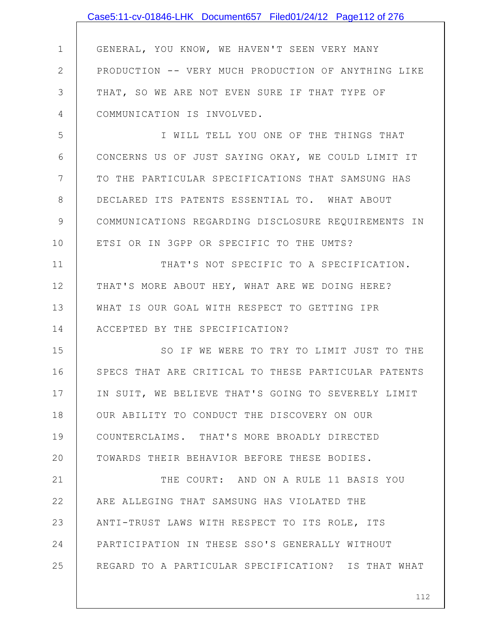|              | Case5:11-cv-01846-LHK Document657 Filed01/24/12 Page112 of 276 |
|--------------|----------------------------------------------------------------|
|              |                                                                |
| $\mathbf 1$  | GENERAL, YOU KNOW, WE HAVEN'T SEEN VERY MANY                   |
| $\mathbf{2}$ | PRODUCTION -- VERY MUCH PRODUCTION OF ANYTHING LIKE            |
| 3            | THAT, SO WE ARE NOT EVEN SURE IF THAT TYPE OF                  |
| 4            | COMMUNICATION IS INVOLVED.                                     |
| 5            | I WILL TELL YOU ONE OF THE THINGS THAT                         |
| 6            | CONCERNS US OF JUST SAYING OKAY, WE COULD LIMIT IT             |
| 7            | TO THE PARTICULAR SPECIFICATIONS THAT SAMSUNG HAS              |
| 8            | DECLARED ITS PATENTS ESSENTIAL TO. WHAT ABOUT                  |
| 9            | COMMUNICATIONS REGARDING DISCLOSURE REQUIREMENTS IN            |
| 10           | ETSI OR IN 3GPP OR SPECIFIC TO THE UMTS?                       |
| 11           | THAT'S NOT SPECIFIC TO A SPECIFICATION.                        |
| 12           | THAT'S MORE ABOUT HEY, WHAT ARE WE DOING HERE?                 |
| 13           | WHAT IS OUR GOAL WITH RESPECT TO GETTING IPR                   |
| 14           | ACCEPTED BY THE SPECIFICATION?                                 |
| 15           | SO IF WE WERE TO TRY TO LIMIT JUST TO THE                      |
| 16           | SPECS THAT ARE CRITICAL TO THESE PARTICULAR PATENTS            |
| 17           | IN SUIT, WE BELIEVE THAT'S GOING TO SEVERELY LIMIT             |
| 18           | OUR ABILITY TO CONDUCT THE DISCOVERY ON OUR                    |
| 19           | COUNTERCLAIMS. THAT'S MORE BROADLY DIRECTED                    |
| 20           | TOWARDS THEIR BEHAVIOR BEFORE THESE BODIES.                    |
| 21           | THE COURT: AND ON A RULE 11 BASIS YOU                          |
| 22           | ARE ALLEGING THAT SAMSUNG HAS VIOLATED THE                     |
| 23           | ANTI-TRUST LAWS WITH RESPECT TO ITS ROLE, ITS                  |
| 24           | PARTICIPATION IN THESE SSO'S GENERALLY WITHOUT                 |
| 25           | REGARD TO A PARTICULAR SPECIFICATION? IS THAT WHAT             |
|              |                                                                |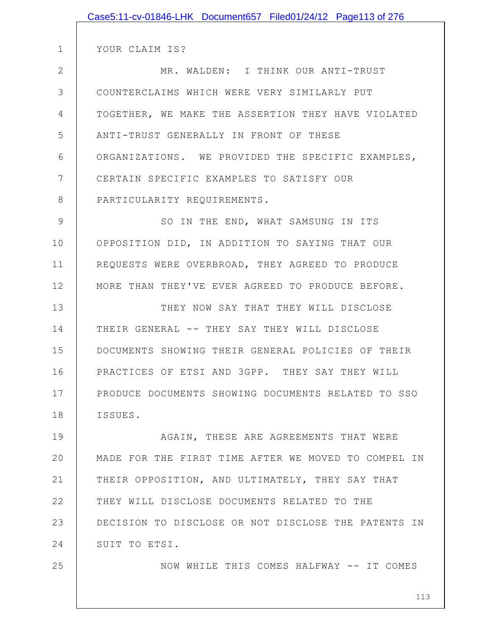|              | Case5:11-cv-01846-LHK Document657 Filed01/24/12 Page113 of 276 |
|--------------|----------------------------------------------------------------|
|              |                                                                |
| $\mathbf 1$  | YOUR CLAIM IS?                                                 |
| $\mathbf{2}$ | MR. WALDEN: I THINK OUR ANTI-TRUST                             |
| 3            | COUNTERCLAIMS WHICH WERE VERY SIMILARLY PUT                    |
| 4            | TOGETHER, WE MAKE THE ASSERTION THEY HAVE VIOLATED             |
| 5            | ANTI-TRUST GENERALLY IN FRONT OF THESE                         |
| 6            | ORGANIZATIONS. WE PROVIDED THE SPECIFIC EXAMPLES,              |
| 7            | CERTAIN SPECIFIC EXAMPLES TO SATISFY OUR                       |
| 8            | PARTICULARITY REQUIREMENTS.                                    |
| 9            | SO IN THE END, WHAT SAMSUNG IN ITS                             |
| 10           | OPPOSITION DID, IN ADDITION TO SAYING THAT OUR                 |
| 11           | REQUESTS WERE OVERBROAD, THEY AGREED TO PRODUCE                |
| 12           | MORE THAN THEY'VE EVER AGREED TO PRODUCE BEFORE.               |
| 13           | THEY NOW SAY THAT THEY WILL DISCLOSE                           |
| 14           | THEIR GENERAL -- THEY SAY THEY WILL DISCLOSE                   |
| 15           | DOCUMENTS SHOWING THEIR GENERAL POLICIES OF THEIR              |
| 16           | PRACTICES OF ETSI AND 3GPP. THEY SAY THEY WILL                 |
| 17           | PRODUCE DOCUMENTS SHOWING DOCUMENTS RELATED TO SSO             |
| 18           | ISSUES.                                                        |
| 19           | AGAIN, THESE ARE AGREEMENTS THAT WERE                          |
| 20           | MADE FOR THE FIRST TIME AFTER WE MOVED TO COMPEL IN            |
| 21           | THEIR OPPOSITION, AND ULTIMATELY, THEY SAY THAT                |
| 22           | THEY WILL DISCLOSE DOCUMENTS RELATED TO THE                    |
| 23           | DECISION TO DISCLOSE OR NOT DISCLOSE THE PATENTS IN            |
| 24           | SUIT TO ETSI.                                                  |
| 25           | NOW WHILE THIS COMES HALFWAY -- IT COMES                       |
|              |                                                                |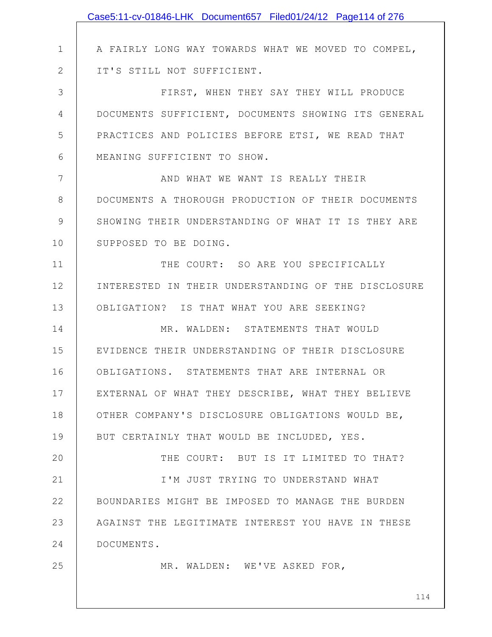|              | Case5:11-cv-01846-LHK Document657 Filed01/24/12 Page114 of 276 |
|--------------|----------------------------------------------------------------|
|              |                                                                |
| $\mathbf 1$  | A FAIRLY LONG WAY TOWARDS WHAT WE MOVED TO COMPEL,             |
| $\mathbf{2}$ | IT'S STILL NOT SUFFICIENT.                                     |
| 3            | FIRST, WHEN THEY SAY THEY WILL PRODUCE                         |
| 4            | DOCUMENTS SUFFICIENT, DOCUMENTS SHOWING ITS GENERAL            |
| 5            | PRACTICES AND POLICIES BEFORE ETSI, WE READ THAT               |
| 6            | MEANING SUFFICIENT TO SHOW.                                    |
| 7            | AND WHAT WE WANT IS REALLY THEIR                               |
| 8            | DOCUMENTS A THOROUGH PRODUCTION OF THEIR DOCUMENTS             |
| 9            | SHOWING THEIR UNDERSTANDING OF WHAT IT IS THEY ARE             |
| 10           | SUPPOSED TO BE DOING.                                          |
| 11           | THE COURT: SO ARE YOU SPECIFICALLY                             |
| 12           | INTERESTED IN THEIR UNDERSTANDING OF THE DISCLOSURE            |
| 13           | OBLIGATION? IS THAT WHAT YOU ARE SEEKING?                      |
| 14           | MR. WALDEN: STATEMENTS THAT WOULD                              |
| 15           | EVIDENCE THEIR UNDERSTANDING OF THEIR DISCLOSURE               |
| 16           | OBLIGATIONS. STATEMENTS THAT ARE INTERNAL OR                   |
| 17           | EXTERNAL OF WHAT THEY DESCRIBE, WHAT THEY BELIEVE              |
| 18           | OTHER COMPANY'S DISCLOSURE OBLIGATIONS WOULD BE,               |
| 19           | BUT CERTAINLY THAT WOULD BE INCLUDED, YES.                     |
| 20           | THE COURT: BUT IS IT LIMITED TO THAT?                          |
| 21           | I'M JUST TRYING TO UNDERSTAND WHAT                             |
| 22           | BOUNDARIES MIGHT BE IMPOSED TO MANAGE THE BURDEN               |
| 23           | AGAINST THE LEGITIMATE INTEREST YOU HAVE IN THESE              |
| 24           | DOCUMENTS.                                                     |
| 25           | MR. WALDEN: WE'VE ASKED FOR,                                   |
|              |                                                                |
|              | 114                                                            |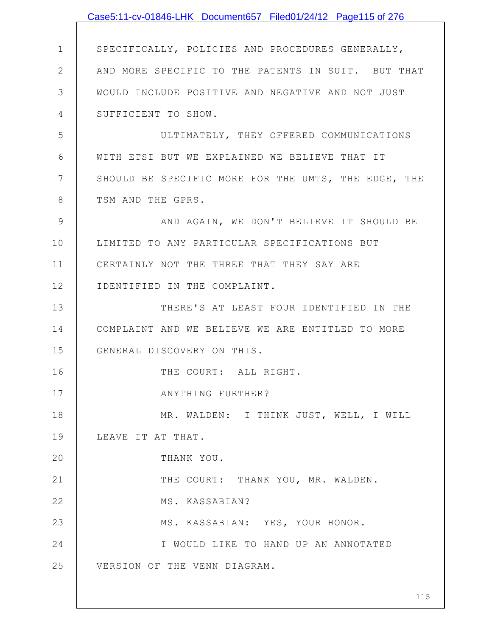|              | Case5:11-cv-01846-LHK Document657 Filed01/24/12 Page115 of 276 |
|--------------|----------------------------------------------------------------|
|              |                                                                |
| $\mathbf 1$  | SPECIFICALLY, POLICIES AND PROCEDURES GENERALLY,               |
| $\mathbf{2}$ | AND MORE SPECIFIC TO THE PATENTS IN SUIT. BUT THAT             |
| 3            | WOULD INCLUDE POSITIVE AND NEGATIVE AND NOT JUST               |
| 4            | SUFFICIENT TO SHOW.                                            |
| 5            | ULTIMATELY, THEY OFFERED COMMUNICATIONS                        |
| 6            | WITH ETSI BUT WE EXPLAINED WE BELIEVE THAT IT                  |
| 7            | SHOULD BE SPECIFIC MORE FOR THE UMTS, THE EDGE, THE            |
| 8            | TSM AND THE GPRS.                                              |
| 9            | AND AGAIN, WE DON'T BELIEVE IT SHOULD BE                       |
| 10           | LIMITED TO ANY PARTICULAR SPECIFICATIONS BUT                   |
| 11           | CERTAINLY NOT THE THREE THAT THEY SAY ARE                      |
| 12           | IDENTIFIED IN THE COMPLAINT.                                   |
| 13           | THERE'S AT LEAST FOUR IDENTIFIED IN THE                        |
| 14           | COMPLAINT AND WE BELIEVE WE ARE ENTITLED TO MORE               |
| 15           | GENERAL DISCOVERY ON THIS.                                     |
| 16           | THE COURT: ALL RIGHT.                                          |
| 17           | ANYTHING FURTHER?                                              |
| 18           | MR. WALDEN: I THINK JUST, WELL, I WILL                         |
| 19           | LEAVE IT AT THAT.                                              |
| 20           | THANK YOU.                                                     |
| 21           | THE COURT: THANK YOU, MR. WALDEN.                              |
| 22           | MS. KASSABIAN?                                                 |
| 23           | MS. KASSABIAN: YES, YOUR HONOR.                                |
| 24           | I WOULD LIKE TO HAND UP AN ANNOTATED                           |
| 25           | VERSION OF THE VENN DIAGRAM.                                   |
|              |                                                                |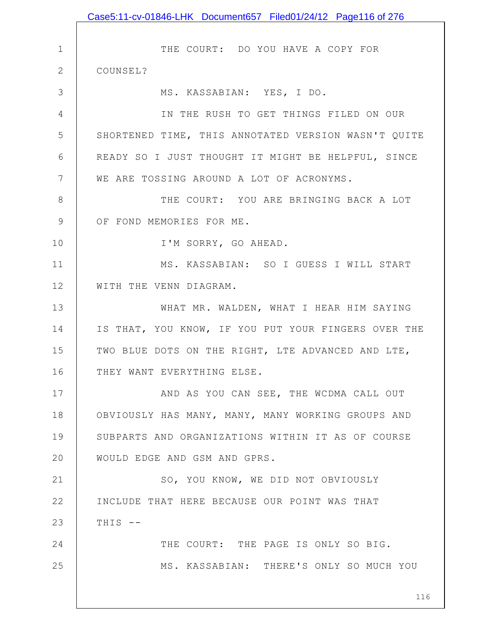|              | Case5:11-cv-01846-LHK Document657 Filed01/24/12 Page116 of 276 |
|--------------|----------------------------------------------------------------|
|              |                                                                |
| $\mathbf{1}$ | THE COURT: DO YOU HAVE A COPY FOR                              |
| $\mathbf{2}$ | COUNSEL?                                                       |
| 3            | MS. KASSABIAN: YES, I DO.                                      |
| 4            | IN THE RUSH TO GET THINGS FILED ON OUR                         |
| 5            | SHORTENED TIME, THIS ANNOTATED VERSION WASN'T QUITE            |
| 6            | READY SO I JUST THOUGHT IT MIGHT BE HELPFUL, SINCE             |
| 7            | WE ARE TOSSING AROUND A LOT OF ACRONYMS.                       |
| 8            | THE COURT: YOU ARE BRINGING BACK A LOT                         |
| $\mathsf 9$  | OF FOND MEMORIES FOR ME.                                       |
| 10           | I'M SORRY, GO AHEAD.                                           |
| 11           | MS. KASSABIAN: SO I GUESS I WILL START                         |
| 12           | WITH THE VENN DIAGRAM.                                         |
| 13           | WHAT MR. WALDEN, WHAT I HEAR HIM SAYING                        |
| 14           | IS THAT, YOU KNOW, IF YOU PUT YOUR FINGERS OVER THE            |
| 15           | TWO BLUE DOTS ON THE RIGHT, LTE ADVANCED AND LTE,              |
| 16           | THEY WANT EVERYTHING ELSE.                                     |
| 17           | AND AS YOU CAN SEE, THE WCDMA CALL OUT                         |
| 18           | OBVIOUSLY HAS MANY, MANY, MANY WORKING GROUPS AND              |
| 19           | SUBPARTS AND ORGANIZATIONS WITHIN IT AS OF COURSE              |
| 20           | WOULD EDGE AND GSM AND GPRS.                                   |
| 21           | SO, YOU KNOW, WE DID NOT OBVIOUSLY                             |
| 22           | INCLUDE THAT HERE BECAUSE OUR POINT WAS THAT                   |
| 23           | THIS --                                                        |
| 24           | THE COURT: THE PAGE IS ONLY SO BIG.                            |
| 25           | MS. KASSABIAN: THERE'S ONLY SO MUCH YOU                        |
|              |                                                                |
|              | 116                                                            |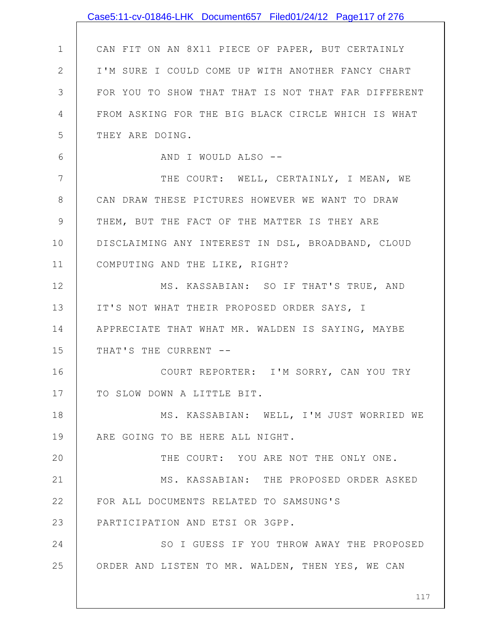|    | Case5:11-cv-01846-LHK Document657 Filed01/24/12 Page117 of 276 |
|----|----------------------------------------------------------------|
|    |                                                                |
| 1  | CAN FIT ON AN 8X11 PIECE OF PAPER, BUT CERTAINLY               |
| 2  | I'M SURE I COULD COME UP WITH ANOTHER FANCY CHART              |
| 3  | FOR YOU TO SHOW THAT THAT IS NOT THAT FAR DIFFERENT            |
| 4  | FROM ASKING FOR THE BIG BLACK CIRCLE WHICH IS WHAT             |
| 5  | THEY ARE DOING.                                                |
| 6  | AND I WOULD ALSO --                                            |
| 7  | THE COURT: WELL, CERTAINLY, I MEAN, WE                         |
| 8  | CAN DRAW THESE PICTURES HOWEVER WE WANT TO DRAW                |
| 9  | THEM, BUT THE FACT OF THE MATTER IS THEY ARE                   |
| 10 | DISCLAIMING ANY INTEREST IN DSL, BROADBAND, CLOUD              |
| 11 | COMPUTING AND THE LIKE, RIGHT?                                 |
| 12 | MS. KASSABIAN: SO IF THAT'S TRUE, AND                          |
| 13 | IT'S NOT WHAT THEIR PROPOSED ORDER SAYS, I                     |
| 14 | APPRECIATE THAT WHAT MR. WALDEN IS SAYING, MAYBE               |
| 15 | THAT'S THE CURRENT --                                          |
| 16 | COURT REPORTER: I'M SORRY, CAN YOU TRY                         |
| 17 | TO SLOW DOWN A LITTLE BIT.                                     |
| 18 | MS. KASSABIAN: WELL, I'M JUST WORRIED WE                       |
| 19 | ARE GOING TO BE HERE ALL NIGHT.                                |
| 20 | THE COURT: YOU ARE NOT THE ONLY ONE.                           |
| 21 | MS. KASSABIAN: THE PROPOSED ORDER ASKED                        |
| 22 | FOR ALL DOCUMENTS RELATED TO SAMSUNG'S                         |
| 23 | PARTICIPATION AND ETSI OR 3GPP.                                |
| 24 | SO I GUESS IF YOU THROW AWAY THE PROPOSED                      |
| 25 | ORDER AND LISTEN TO MR. WALDEN, THEN YES, WE CAN               |
|    |                                                                |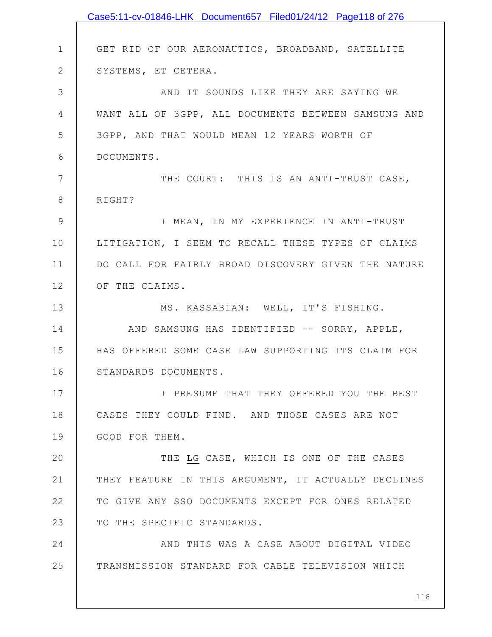|                | Case5:11-cv-01846-LHK Document657 Filed01/24/12 Page118 of 276 |
|----------------|----------------------------------------------------------------|
|                |                                                                |
| $\mathbf 1$    | GET RID OF OUR AERONAUTICS, BROADBAND, SATELLITE               |
| $\mathbf{2}$   | SYSTEMS, ET CETERA.                                            |
| 3              | AND IT SOUNDS LIKE THEY ARE SAYING WE                          |
| $\overline{4}$ | WANT ALL OF 3GPP, ALL DOCUMENTS BETWEEN SAMSUNG AND            |
| 5              | 3GPP, AND THAT WOULD MEAN 12 YEARS WORTH OF                    |
| 6              | DOCUMENTS.                                                     |
| 7              | THE COURT: THIS IS AN ANTI-TRUST CASE,                         |
| 8              | RIGHT?                                                         |
| $\mathcal{G}$  | I MEAN, IN MY EXPERIENCE IN ANTI-TRUST                         |
| 10             | LITIGATION, I SEEM TO RECALL THESE TYPES OF CLAIMS             |
| 11             | DO CALL FOR FAIRLY BROAD DISCOVERY GIVEN THE NATURE            |
| 12             | OF THE CLAIMS.                                                 |
| 13             | MS. KASSABIAN: WELL, IT'S FISHING.                             |
| 14             | AND SAMSUNG HAS IDENTIFIED -- SORRY, APPLE,                    |
| 15             | HAS OFFERED SOME CASE LAW SUPPORTING ITS CLAIM FOR             |
| 16             | STANDARDS DOCUMENTS.                                           |
| 17             | I PRESUME THAT THEY OFFERED YOU THE BEST                       |
| 18             | CASES THEY COULD FIND. AND THOSE CASES ARE NOT                 |
| 19             | GOOD FOR THEM.                                                 |
| 20             | THE LG CASE, WHICH IS ONE OF THE CASES                         |
| 21             | THEY FEATURE IN THIS ARGUMENT, IT ACTUALLY DECLINES            |
| 22             | TO GIVE ANY SSO DOCUMENTS EXCEPT FOR ONES RELATED              |
| 23             | TO THE SPECIFIC STANDARDS.                                     |
| 24             | AND THIS WAS A CASE ABOUT DIGITAL VIDEO                        |
| 25             | TRANSMISSION STANDARD FOR CABLE TELEVISION WHICH               |
|                |                                                                |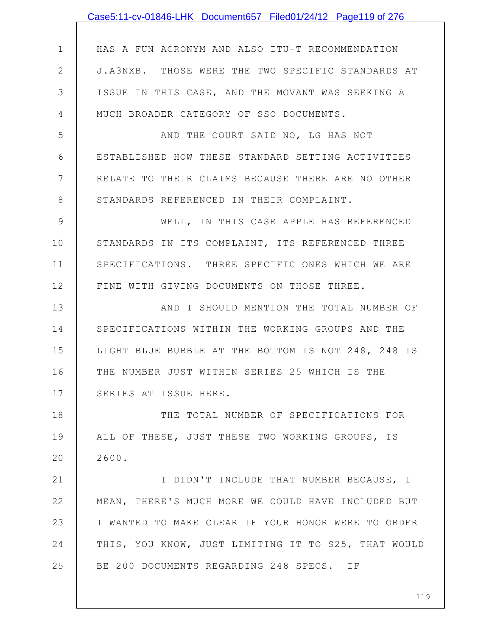|               | Case5:11-cv-01846-LHK Document657 Filed01/24/12 Page119 of 276 |
|---------------|----------------------------------------------------------------|
|               |                                                                |
| $\mathbf 1$   | HAS A FUN ACRONYM AND ALSO ITU-T RECOMMENDATION                |
| $\mathbf{2}$  | J.A3NXB. THOSE WERE THE TWO SPECIFIC STANDARDS AT              |
| 3             | ISSUE IN THIS CASE, AND THE MOVANT WAS SEEKING A               |
| 4             | MUCH BROADER CATEGORY OF SSO DOCUMENTS.                        |
| 5             | AND THE COURT SAID NO, LG HAS NOT                              |
| 6             | ESTABLISHED HOW THESE STANDARD SETTING ACTIVITIES              |
| 7             | RELATE TO THEIR CLAIMS BECAUSE THERE ARE NO OTHER              |
| $8\,$         | STANDARDS REFERENCED IN THEIR COMPLAINT.                       |
| $\mathcal{G}$ | WELL, IN THIS CASE APPLE HAS REFERENCED                        |
| 10            | STANDARDS IN ITS COMPLAINT, ITS REFERENCED THREE               |
| 11            | SPECIFICATIONS. THREE SPECIFIC ONES WHICH WE ARE               |
| 12            | FINE WITH GIVING DOCUMENTS ON THOSE THREE.                     |
| 13            | AND I SHOULD MENTION THE TOTAL NUMBER OF                       |
| 14            | SPECIFICATIONS WITHIN THE WORKING GROUPS AND THE               |
| 15            | LIGHT BLUE BUBBLE AT THE BOTTOM IS NOT 248, 248 IS             |
| 16            | THE NUMBER JUST WITHIN SERIES 25 WHICH IS THE                  |
| 17            | SERIES AT ISSUE HERE.                                          |
| 18            | THE TOTAL NUMBER OF SPECIFICATIONS FOR                         |
| 19            | ALL OF THESE, JUST THESE TWO WORKING GROUPS, IS                |
| 20            | 2600.                                                          |
| 21            | I DIDN'T INCLUDE THAT NUMBER BECAUSE, I                        |
| 22            | MEAN, THERE'S MUCH MORE WE COULD HAVE INCLUDED BUT             |
| 23            | I WANTED TO MAKE CLEAR IF YOUR HONOR WERE TO ORDER             |
| 24            | THIS, YOU KNOW, JUST LIMITING IT TO S25, THAT WOULD            |
| 25            | BE 200 DOCUMENTS REGARDING 248 SPECS. IF                       |
|               |                                                                |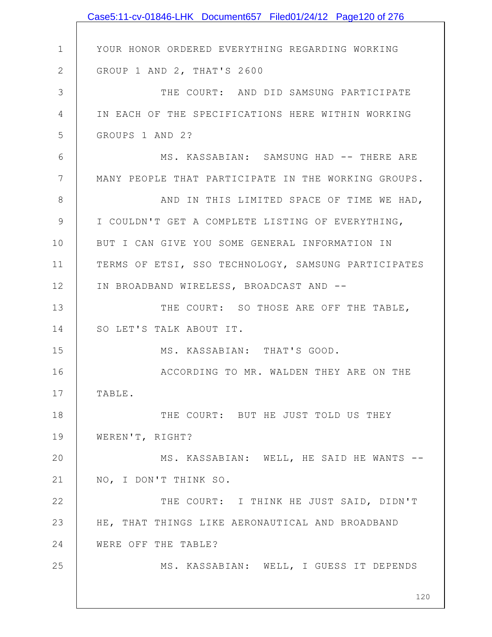|                | Case5:11-cv-01846-LHK Document657 Filed01/24/12 Page120 of 276 |
|----------------|----------------------------------------------------------------|
|                |                                                                |
| $\mathbf 1$    | YOUR HONOR ORDERED EVERYTHING REGARDING WORKING                |
| $\mathbf{2}$   | GROUP 1 AND 2, THAT'S 2600                                     |
| $\mathfrak{Z}$ | THE COURT: AND DID SAMSUNG PARTICIPATE                         |
| 4              | IN EACH OF THE SPECIFICATIONS HERE WITHIN WORKING              |
| 5              | GROUPS 1 AND 2?                                                |
| 6              | MS. KASSABIAN: SAMSUNG HAD -- THERE ARE                        |
| 7              | MANY PEOPLE THAT PARTICIPATE IN THE WORKING GROUPS.            |
| 8              | AND IN THIS LIMITED SPACE OF TIME WE HAD,                      |
| $\mathcal{G}$  | I COULDN'T GET A COMPLETE LISTING OF EVERYTHING,               |
| 10             | BUT I CAN GIVE YOU SOME GENERAL INFORMATION IN                 |
| 11             | TERMS OF ETSI, SSO TECHNOLOGY, SAMSUNG PARTICIPATES            |
| 12             | IN BROADBAND WIRELESS, BROADCAST AND --                        |
| 13             | THE COURT: SO THOSE ARE OFF THE TABLE,                         |
| 14             | SO LET'S TALK ABOUT IT.                                        |
| 15             | MS. KASSABIAN: THAT'S GOOD.                                    |
| 16             | ACCORDING TO MR. WALDEN THEY ARE ON THE                        |
| 17             | TABLE.                                                         |
| 18             | THE COURT: BUT HE JUST TOLD US THEY                            |
| 19             | WEREN'T, RIGHT?                                                |
| 20             | MS. KASSABIAN: WELL, HE SAID HE WANTS --                       |
| 21             | NO, I DON'T THINK SO.                                          |
| 22             | THE COURT: I THINK HE JUST SAID, DIDN'T                        |
| 23             | HE, THAT THINGS LIKE AERONAUTICAL AND BROADBAND                |
| 24             | WERE OFF THE TABLE?                                            |
| 25             | MS. KASSABIAN: WELL, I GUESS IT DEPENDS                        |
|                |                                                                |
|                | 120                                                            |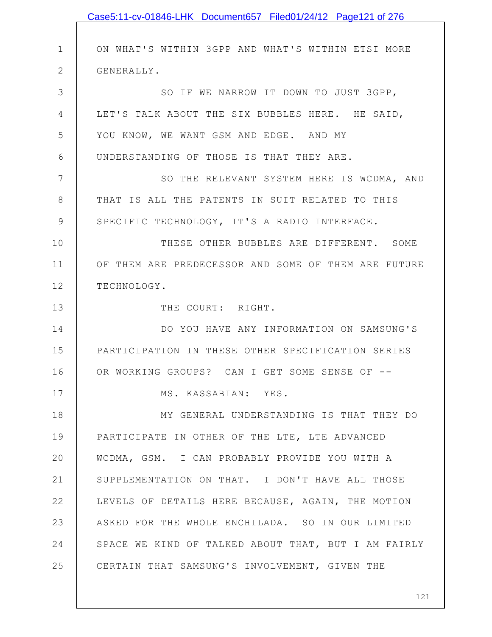|               | Case5:11-cv-01846-LHK Document657 Filed01/24/12 Page121 of 276 |
|---------------|----------------------------------------------------------------|
|               |                                                                |
| $\mathbf 1$   | ON WHAT'S WITHIN 3GPP AND WHAT'S WITHIN ETSI MORE              |
| $\mathbf{2}$  | GENERALLY.                                                     |
| 3             | SO IF WE NARROW IT DOWN TO JUST 3GPP,                          |
| 4             | LET'S TALK ABOUT THE SIX BUBBLES HERE. HE SAID,                |
| 5             | YOU KNOW, WE WANT GSM AND EDGE. AND MY                         |
| 6             | UNDERSTANDING OF THOSE IS THAT THEY ARE.                       |
| 7             | SO THE RELEVANT SYSTEM HERE IS WCDMA, AND                      |
| 8             | THAT IS ALL THE PATENTS IN SUIT RELATED TO THIS                |
| $\mathcal{G}$ | SPECIFIC TECHNOLOGY, IT'S A RADIO INTERFACE.                   |
| 10            | THESE OTHER BUBBLES ARE DIFFERENT. SOME                        |
| 11            | OF THEM ARE PREDECESSOR AND SOME OF THEM ARE FUTURE            |
| 12            | TECHNOLOGY.                                                    |
| 13            | THE COURT: RIGHT.                                              |
| 14            | DO YOU HAVE ANY INFORMATION ON SAMSUNG'S                       |
| 15            | PARTICIPATION IN THESE OTHER SPECIFICATION SERIES              |
| 16            | OR WORKING GROUPS? CAN I GET SOME SENSE OF --                  |
| 17            | MS. KASSABIAN: YES.                                            |
| 18            | MY GENERAL UNDERSTANDING IS THAT THEY DO                       |
| 19            | PARTICIPATE IN OTHER OF THE LTE, LTE ADVANCED                  |
| 20            | WCDMA, GSM. I CAN PROBABLY PROVIDE YOU WITH A                  |
| 21            | SUPPLEMENTATION ON THAT. I DON'T HAVE ALL THOSE                |
| 22            | LEVELS OF DETAILS HERE BECAUSE, AGAIN, THE MOTION              |
| 23            | ASKED FOR THE WHOLE ENCHILADA. SO IN OUR LIMITED               |
| 24            | SPACE WE KIND OF TALKED ABOUT THAT, BUT I AM FAIRLY            |
| 25            | CERTAIN THAT SAMSUNG'S INVOLVEMENT, GIVEN THE                  |
|               |                                                                |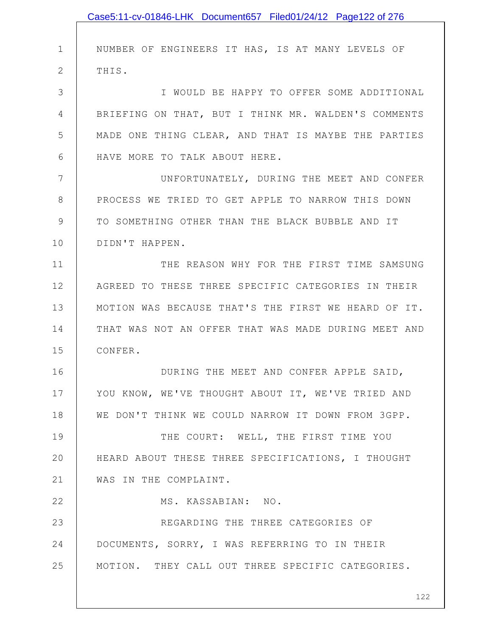|              | Case5:11-cv-01846-LHK Document657 Filed01/24/12 Page122 of 276 |
|--------------|----------------------------------------------------------------|
|              |                                                                |
| 1            | NUMBER OF ENGINEERS IT HAS, IS AT MANY LEVELS OF               |
| $\mathbf{2}$ | THIS.                                                          |
| 3            | I WOULD BE HAPPY TO OFFER SOME ADDITIONAL                      |
| 4            | BRIEFING ON THAT, BUT I THINK MR. WALDEN'S COMMENTS            |
| 5            | MADE ONE THING CLEAR, AND THAT IS MAYBE THE PARTIES            |
| 6            | HAVE MORE TO TALK ABOUT HERE.                                  |
| 7            | UNFORTUNATELY, DURING THE MEET AND CONFER                      |
| 8            | PROCESS WE TRIED TO GET APPLE TO NARROW THIS DOWN              |
| 9            | TO SOMETHING OTHER THAN THE BLACK BUBBLE AND IT                |
| 10           | DIDN'T HAPPEN.                                                 |
| 11           | THE REASON WHY FOR THE FIRST TIME SAMSUNG                      |
| 12           | AGREED TO THESE THREE SPECIFIC CATEGORIES IN THEIR             |
| 13           | MOTION WAS BECAUSE THAT'S THE FIRST WE HEARD OF IT.            |
| 14           | THAT WAS NOT AN OFFER THAT WAS MADE DURING MEET AND            |
| 15           | CONFER.                                                        |
| 16           | DURING THE MEET AND CONFER APPLE SAID,                         |
| 17           | YOU KNOW, WE'VE THOUGHT ABOUT IT, WE'VE TRIED AND              |
| 18           | WE DON'T THINK WE COULD NARROW IT DOWN FROM 3GPP.              |
| 19           | THE COURT: WELL, THE FIRST TIME YOU                            |
| 20           | HEARD ABOUT THESE THREE SPECIFICATIONS, I THOUGHT              |
| 21           | WAS IN THE COMPLAINT.                                          |
| 22           | MS. KASSABIAN: NO.                                             |
| 23           | REGARDING THE THREE CATEGORIES OF                              |
| 24           | DOCUMENTS, SORRY, I WAS REFERRING TO IN THEIR                  |
| 25           | MOTION. THEY CALL OUT THREE SPECIFIC CATEGORIES.               |
|              |                                                                |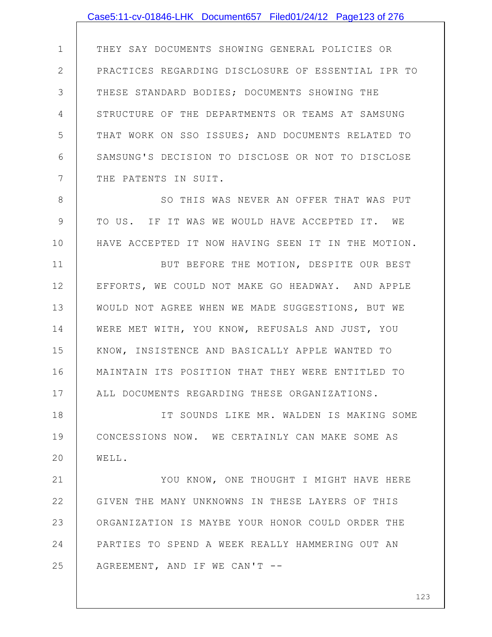1 2 3 4 5 6 7 THEY SAY DOCUMENTS SHOWING GENERAL POLICIES OR PRACTICES REGARDING DISCLOSURE OF ESSENTIAL IPR TO THESE STANDARD BODIES; DOCUMENTS SHOWING THE STRUCTURE OF THE DEPARTMENTS OR TEAMS AT SAMSUNG THAT WORK ON SSO ISSUES; AND DOCUMENTS RELATED TO SAMSUNG'S DECISION TO DISCLOSE OR NOT TO DISCLOSE THE PATENTS IN SUIT.

8 9 10 SO THIS WAS NEVER AN OFFER THAT WAS PUT TO US. IF IT WAS WE WOULD HAVE ACCEPTED IT. WE HAVE ACCEPTED IT NOW HAVING SEEN IT IN THE MOTION.

11 12 13 14 15 16 17 BUT BEFORE THE MOTION, DESPITE OUR BEST EFFORTS, WE COULD NOT MAKE GO HEADWAY. AND APPLE WOULD NOT AGREE WHEN WE MADE SUGGESTIONS, BUT WE WERE MET WITH, YOU KNOW, REFUSALS AND JUST, YOU KNOW, INSISTENCE AND BASICALLY APPLE WANTED TO MAINTAIN ITS POSITION THAT THEY WERE ENTITLED TO ALL DOCUMENTS REGARDING THESE ORGANIZATIONS.

18 19 20 IT SOUNDS LIKE MR. WALDEN IS MAKING SOME CONCESSIONS NOW. WE CERTAINLY CAN MAKE SOME AS WELL.

21 22 23 24 25 YOU KNOW, ONE THOUGHT I MIGHT HAVE HERE GIVEN THE MANY UNKNOWNS IN THESE LAYERS OF THIS ORGANIZATION IS MAYBE YOUR HONOR COULD ORDER THE PARTIES TO SPEND A WEEK REALLY HAMMERING OUT AN AGREEMENT, AND IF WE CAN'T --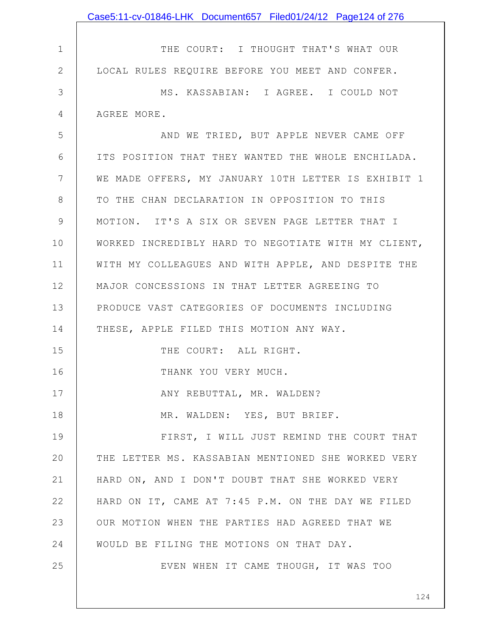|              | Case5:11-cv-01846-LHK Document657 Filed01/24/12 Page124 of 276 |
|--------------|----------------------------------------------------------------|
|              |                                                                |
| $\mathbf 1$  | THE COURT: I THOUGHT THAT'S WHAT OUR                           |
| $\mathbf{2}$ | LOCAL RULES REQUIRE BEFORE YOU MEET AND CONFER.                |
| 3            | MS. KASSABIAN: I AGREE. I COULD NOT                            |
| 4            | AGREE MORE.                                                    |
| 5            | AND WE TRIED, BUT APPLE NEVER CAME OFF                         |
| 6            | ITS POSITION THAT THEY WANTED THE WHOLE ENCHILADA.             |
| 7            | WE MADE OFFERS, MY JANUARY 10TH LETTER IS EXHIBIT 1            |
| 8            | TO THE CHAN DECLARATION IN OPPOSITION TO THIS                  |
| 9            | MOTION. IT'S A SIX OR SEVEN PAGE LETTER THAT I                 |
| 10           | WORKED INCREDIBLY HARD TO NEGOTIATE WITH MY CLIENT,            |
| 11           | WITH MY COLLEAGUES AND WITH APPLE, AND DESPITE THE             |
| 12           | MAJOR CONCESSIONS IN THAT LETTER AGREEING TO                   |
| 13           | PRODUCE VAST CATEGORIES OF DOCUMENTS INCLUDING                 |
| 14           | THESE, APPLE FILED THIS MOTION ANY WAY.                        |
| 15           | THE COURT: ALL RIGHT.                                          |
| 16           | THANK YOU VERY MUCH.                                           |
| 17           | ANY REBUTTAL, MR. WALDEN?                                      |
| 18           | MR. WALDEN: YES, BUT BRIEF.                                    |
| 19           | FIRST, I WILL JUST REMIND THE COURT THAT                       |
| 20           | THE LETTER MS. KASSABIAN MENTIONED SHE WORKED VERY             |
| 21           | HARD ON, AND I DON'T DOUBT THAT SHE WORKED VERY                |
| 22           | HARD ON IT, CAME AT 7:45 P.M. ON THE DAY WE FILED              |
| 23           | OUR MOTION WHEN THE PARTIES HAD AGREED THAT WE                 |
| 24           | WOULD BE FILING THE MOTIONS ON THAT DAY.                       |
| 25           | EVEN WHEN IT CAME THOUGH, IT WAS TOO                           |
|              | 124                                                            |
|              |                                                                |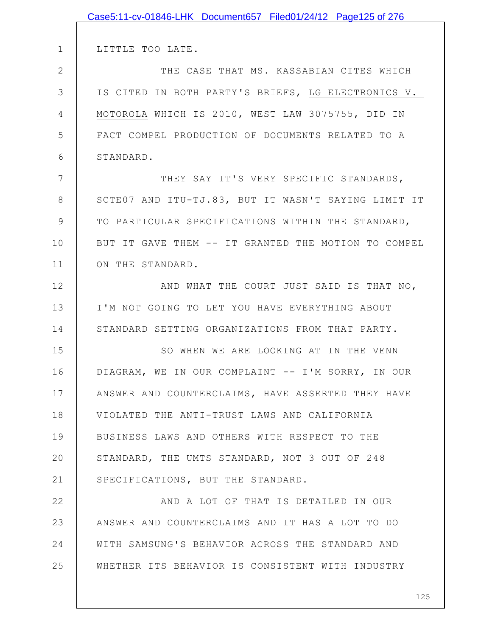|              | Case5:11-cv-01846-LHK Document657 Filed01/24/12 Page125 of 276 |
|--------------|----------------------------------------------------------------|
|              |                                                                |
| $\mathbf 1$  | LITTLE TOO LATE.                                               |
| $\mathbf{2}$ | THE CASE THAT MS. KASSABIAN CITES WHICH                        |
| 3            | IS CITED IN BOTH PARTY'S BRIEFS, LG ELECTRONICS V.             |
| 4            | MOTOROLA WHICH IS 2010, WEST LAW 3075755, DID IN               |
| 5            | FACT COMPEL PRODUCTION OF DOCUMENTS RELATED TO A               |
| 6            | STANDARD.                                                      |
| 7            | THEY SAY IT'S VERY SPECIFIC STANDARDS,                         |
| 8            | SCTE07 AND ITU-TJ.83, BUT IT WASN'T SAYING LIMIT IT            |
| 9            | TO PARTICULAR SPECIFICATIONS WITHIN THE STANDARD,              |
| 10           | BUT IT GAVE THEM -- IT GRANTED THE MOTION TO COMPEL            |
| 11           | ON THE STANDARD.                                               |
| 12           | AND WHAT THE COURT JUST SAID IS THAT NO,                       |
| 13           | I'M NOT GOING TO LET YOU HAVE EVERYTHING ABOUT                 |
| 14           | STANDARD SETTING ORGANIZATIONS FROM THAT PARTY.                |
| 15           | SO WHEN WE ARE LOOKING AT IN THE VENN                          |
| 16           | DIAGRAM, WE IN OUR COMPLAINT -- I'M SORRY, IN OUR              |
| 17           | ANSWER AND COUNTERCLAIMS, HAVE ASSERTED THEY HAVE              |
| 18           | VIOLATED THE ANTI-TRUST LAWS AND CALIFORNIA                    |
| 19           | BUSINESS LAWS AND OTHERS WITH RESPECT TO THE                   |
| 20           | STANDARD, THE UMTS STANDARD, NOT 3 OUT OF 248                  |
| 21           | SPECIFICATIONS, BUT THE STANDARD.                              |
| 22           | AND A LOT OF THAT IS DETAILED IN OUR                           |
| 23           | ANSWER AND COUNTERCLAIMS AND IT HAS A LOT TO DO                |
| 24           | WITH SAMSUNG'S BEHAVIOR ACROSS THE STANDARD AND                |
| 25           | WHETHER ITS BEHAVIOR IS CONSISTENT WITH INDUSTRY               |
|              |                                                                |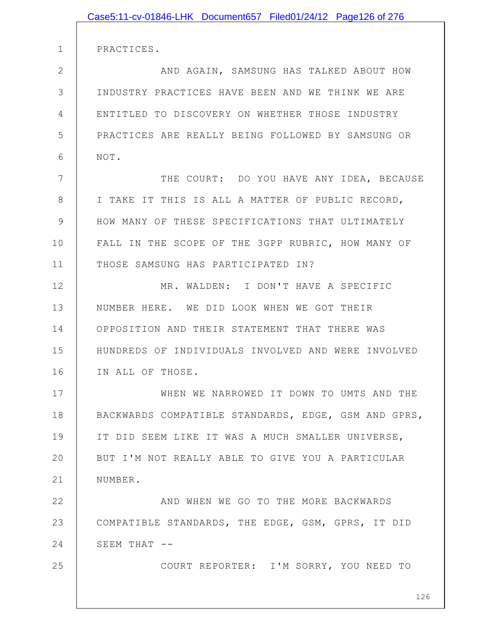|                | Case5:11-cv-01846-LHK Document657 Filed01/24/12 Page126 of 276 |
|----------------|----------------------------------------------------------------|
|                |                                                                |
| $\mathbf 1$    | PRACTICES.                                                     |
| $\mathbf{2}$   | AND AGAIN, SAMSUNG HAS TALKED ABOUT HOW                        |
| 3              | INDUSTRY PRACTICES HAVE BEEN AND WE THINK WE ARE               |
| $\overline{4}$ | ENTITLED TO DISCOVERY ON WHETHER THOSE INDUSTRY                |
| 5              | PRACTICES ARE REALLY BEING FOLLOWED BY SAMSUNG OR              |
| 6              | NOT.                                                           |
| 7              | THE COURT: DO YOU HAVE ANY IDEA, BECAUSE                       |
| 8              | I TAKE IT THIS IS ALL A MATTER OF PUBLIC RECORD,               |
| $\mathcal{G}$  | HOW MANY OF THESE SPECIFICATIONS THAT ULTIMATELY               |
| 10             | FALL IN THE SCOPE OF THE 3GPP RUBRIC, HOW MANY OF              |
| 11             | THOSE SAMSUNG HAS PARTICIPATED IN?                             |
| 12             | MR. WALDEN: I DON'T HAVE A SPECIFIC                            |
| 13             | NUMBER HERE. WE DID LOOK WHEN WE GOT THEIR                     |
| 14             | OPPOSITION AND THEIR STATEMENT THAT THERE WAS                  |
| 15             | HUNDREDS OF INDIVIDUALS INVOLVED AND WERE INVOLVED             |
| 16             | IN ALL OF THOSE.                                               |
| 17             | WHEN WE NARROWED IT DOWN TO UMTS AND THE                       |
| 18             | BACKWARDS COMPATIBLE STANDARDS, EDGE, GSM AND GPRS,            |
| 19             | IT DID SEEM LIKE IT WAS A MUCH SMALLER UNIVERSE,               |
| 20             | BUT I'M NOT REALLY ABLE TO GIVE YOU A PARTICULAR               |
| 21             | NUMBER.                                                        |
| 22             | AND WHEN WE GO TO THE MORE BACKWARDS                           |
| 23             | COMPATIBLE STANDARDS, THE EDGE, GSM, GPRS, IT DID              |
| 24             | SEEM THAT --                                                   |
| 25             | COURT REPORTER: I'M SORRY, YOU NEED TO                         |
|                |                                                                |
|                | 126                                                            |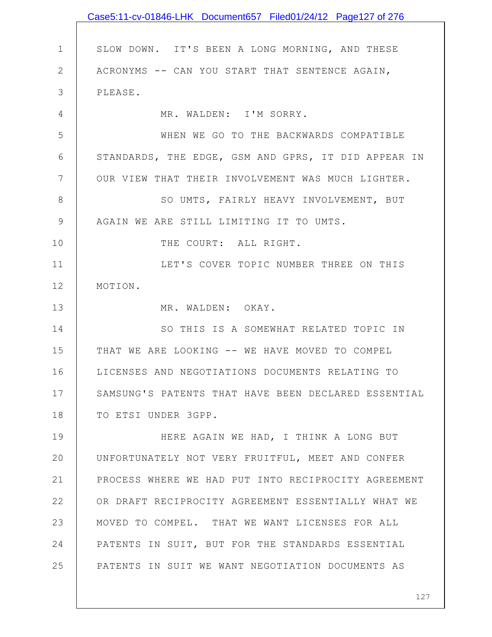|               | Case5:11-cv-01846-LHK Document657 Filed01/24/12 Page127 of 276 |
|---------------|----------------------------------------------------------------|
|               |                                                                |
| $\mathbf 1$   | SLOW DOWN. IT'S BEEN A LONG MORNING, AND THESE                 |
| $\mathbf{2}$  | ACRONYMS -- CAN YOU START THAT SENTENCE AGAIN,                 |
| 3             | PLEASE.                                                        |
| 4             | MR. WALDEN: I'M SORRY.                                         |
| 5             | WHEN WE GO TO THE BACKWARDS COMPATIBLE                         |
| 6             | STANDARDS, THE EDGE, GSM AND GPRS, IT DID APPEAR IN            |
| 7             | OUR VIEW THAT THEIR INVOLVEMENT WAS MUCH LIGHTER.              |
| 8             | SO UMTS, FAIRLY HEAVY INVOLVEMENT, BUT                         |
| $\mathcal{G}$ | AGAIN WE ARE STILL LIMITING IT TO UMTS.                        |
| 10            | THE COURT: ALL RIGHT.                                          |
| 11            | LET'S COVER TOPIC NUMBER THREE ON THIS                         |
| 12            | MOTION.                                                        |
| 13            | MR. WALDEN: OKAY.                                              |
| 14            | SO THIS IS A SOMEWHAT RELATED TOPIC IN                         |
| 15            | THAT WE ARE LOOKING -- WE HAVE MOVED TO COMPEL                 |
| 16            | LICENSES AND NEGOTIATIONS DOCUMENTS RELATING TO                |
| 17            | SAMSUNG'S PATENTS THAT HAVE BEEN DECLARED ESSENTIAL            |
| 18            | TO ETSI UNDER 3GPP.                                            |
| 19            | HERE AGAIN WE HAD, I THINK A LONG BUT                          |
| 20            | UNFORTUNATELY NOT VERY FRUITFUL, MEET AND CONFER               |
| 21            | PROCESS WHERE WE HAD PUT INTO RECIPROCITY AGREEMENT            |
| 22            | OR DRAFT RECIPROCITY AGREEMENT ESSENTIALLY WHAT WE             |
| 23            | MOVED TO COMPEL. THAT WE WANT LICENSES FOR ALL                 |
| 24            | PATENTS IN SUIT, BUT FOR THE STANDARDS ESSENTIAL               |
| 25            | PATENTS IN SUIT WE WANT NEGOTIATION DOCUMENTS AS               |
|               |                                                                |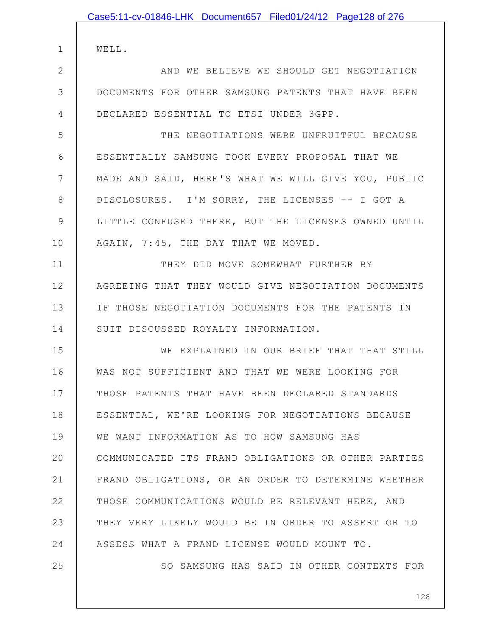| Case5:11-cv-01846-LHK Document657 Filed01/24/12 Page128 of 276 |
|----------------------------------------------------------------|
| WELL.                                                          |
| AND WE BELIEVE WE SHOULD GET NEGOTIATION                       |
| DOCUMENTS FOR OTHER SAMSUNG PATENTS THAT HAVE BEEN             |
| DECLARED ESSENTIAL TO ETSI UNDER 3GPP.                         |
| THE NEGOTIATIONS WERE UNFRUITFUL BECAUSE                       |
| ESSENTIALLY SAMSUNG TOOK EVERY PROPOSAL THAT WE                |
| MADE AND SAID, HERE'S WHAT WE WILL GIVE YOU, PUBLIC            |
| DISCLOSURES. I'M SORRY, THE LICENSES -- I GOT A                |
| LITTLE CONFUSED THERE, BUT THE LICENSES OWNED UNTIL            |
| AGAIN, 7:45, THE DAY THAT WE MOVED.                            |
| THEY DID MOVE SOMEWHAT FURTHER BY                              |
| AGREEING THAT THEY WOULD GIVE NEGOTIATION DOCUMENTS            |
| IF THOSE NEGOTIATION DOCUMENTS FOR THE PATENTS IN              |
| SUIT DISCUSSED ROYALTY INFORMATION.                            |
| WE EXPLAINED IN OUR BRIEF THAT THAT STILL                      |
| WAS NOT SUFFICIENT AND THAT WE WERE LOOKING FOR                |
| THOSE PATENTS THAT HAVE BEEN DECLARED STANDARDS                |
| ESSENTIAL, WE'RE LOOKING FOR NEGOTIATIONS BECAUSE              |
| WE WANT INFORMATION AS TO HOW SAMSUNG HAS                      |
| COMMUNICATED ITS FRAND OBLIGATIONS OR OTHER PARTIES            |
| FRAND OBLIGATIONS, OR AN ORDER TO DETERMINE WHETHER            |
| THOSE COMMUNICATIONS WOULD BE RELEVANT HERE, AND               |
| THEY VERY LIKELY WOULD BE IN ORDER TO ASSERT OR TO             |
| ASSESS WHAT A FRAND LICENSE WOULD MOUNT TO.                    |

2

3

4

5

6

7

8

9

10

11

12

13

14

15

16

17

18

19

20

21

22

23

24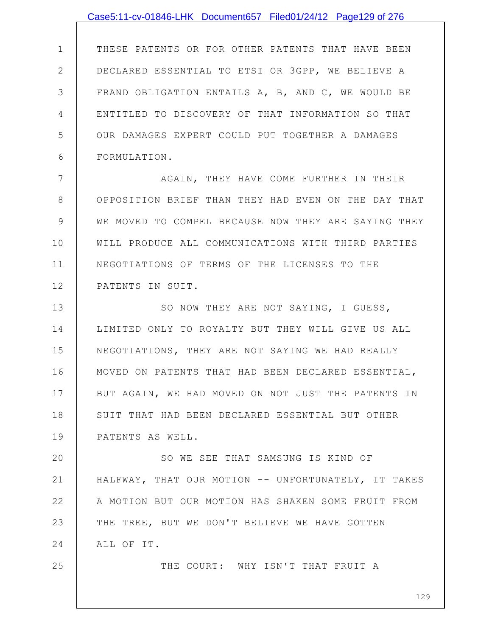## Case5:11-cv-01846-LHK Document657 Filed01/24/12 Page129 of 276

1 2 3 4 5 6 THESE PATENTS OR FOR OTHER PATENTS THAT HAVE BEEN DECLARED ESSENTIAL TO ETSI OR 3GPP, WE BELIEVE A FRAND OBLIGATION ENTAILS A, B, AND C, WE WOULD BE ENTITLED TO DISCOVERY OF THAT INFORMATION SO THAT OUR DAMAGES EXPERT COULD PUT TOGETHER A DAMAGES FORMULATION.

7 8 9 10 11 12 AGAIN, THEY HAVE COME FURTHER IN THEIR OPPOSITION BRIEF THAN THEY HAD EVEN ON THE DAY THAT WE MOVED TO COMPEL BECAUSE NOW THEY ARE SAYING THEY WILL PRODUCE ALL COMMUNICATIONS WITH THIRD PARTIES NEGOTIATIONS OF TERMS OF THE LICENSES TO THE PATENTS IN SUIT.

13 14 15 16 17 18 19 SO NOW THEY ARE NOT SAYING, I GUESS, LIMITED ONLY TO ROYALTY BUT THEY WILL GIVE US ALL NEGOTIATIONS, THEY ARE NOT SAYING WE HAD REALLY MOVED ON PATENTS THAT HAD BEEN DECLARED ESSENTIAL, BUT AGAIN, WE HAD MOVED ON NOT JUST THE PATENTS IN SUIT THAT HAD BEEN DECLARED ESSENTIAL BUT OTHER PATENTS AS WELL.

20 21 22 23 24 SO WE SEE THAT SAMSUNG IS KIND OF HALFWAY, THAT OUR MOTION -- UNFORTUNATELY, IT TAKES A MOTION BUT OUR MOTION HAS SHAKEN SOME FRUIT FROM THE TREE, BUT WE DON'T BELIEVE WE HAVE GOTTEN ALL OF IT.

25

THE COURT: WHY ISN'T THAT FRUIT A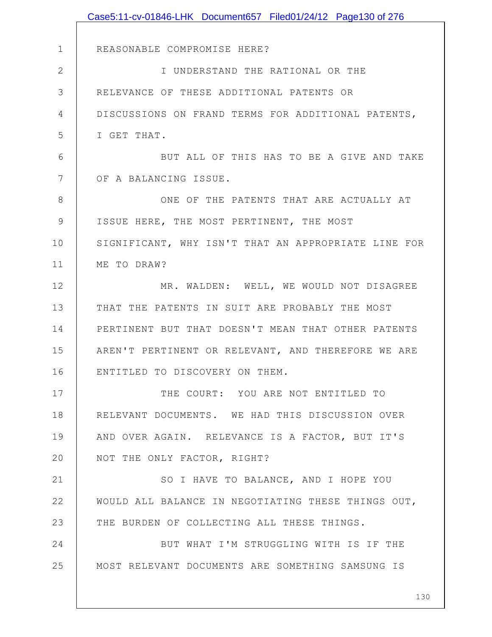|                | Case5:11-cv-01846-LHK Document657 Filed01/24/12 Page130 of 276 |
|----------------|----------------------------------------------------------------|
|                |                                                                |
| 1              | REASONABLE COMPROMISE HERE?                                    |
| $\overline{2}$ | I UNDERSTAND THE RATIONAL OR THE                               |
| 3              | RELEVANCE OF THESE ADDITIONAL PATENTS OR                       |
| 4              | DISCUSSIONS ON FRAND TERMS FOR ADDITIONAL PATENTS,             |
| 5              | I GET THAT.                                                    |
| 6              | BUT ALL OF THIS HAS TO BE A GIVE AND TAKE                      |
| 7              | OF A BALANCING ISSUE.                                          |
| 8              | ONE OF THE PATENTS THAT ARE ACTUALLY AT                        |
| 9              | ISSUE HERE, THE MOST PERTINENT, THE MOST                       |
| 10             | SIGNIFICANT, WHY ISN'T THAT AN APPROPRIATE LINE FOR            |
| 11             | ME TO DRAW?                                                    |
| 12             | MR. WALDEN: WELL, WE WOULD NOT DISAGREE                        |
| 13             | THAT THE PATENTS IN SUIT ARE PROBABLY THE MOST                 |
| 14             | PERTINENT BUT THAT DOESN'T MEAN THAT OTHER PATENTS             |
| 15             | AREN'T PERTINENT OR RELEVANT, AND THEREFORE WE ARE             |
| 16             | ENTITLED TO DISCOVERY ON THEM.                                 |
| 17             | THE COURT: YOU ARE NOT ENTITLED TO                             |
| 18             | RELEVANT DOCUMENTS. WE HAD THIS DISCUSSION OVER                |
| 19             | AND OVER AGAIN. RELEVANCE IS A FACTOR, BUT IT'S                |
| 20             | NOT THE ONLY FACTOR, RIGHT?                                    |
| 21             | SO I HAVE TO BALANCE, AND I HOPE YOU                           |
| 22             | WOULD ALL BALANCE IN NEGOTIATING THESE THINGS OUT,             |
| 23             | THE BURDEN OF COLLECTING ALL THESE THINGS.                     |
| 24             | BUT WHAT I'M STRUGGLING WITH IS IF THE                         |
| 25             | MOST RELEVANT DOCUMENTS ARE SOMETHING SAMSUNG IS               |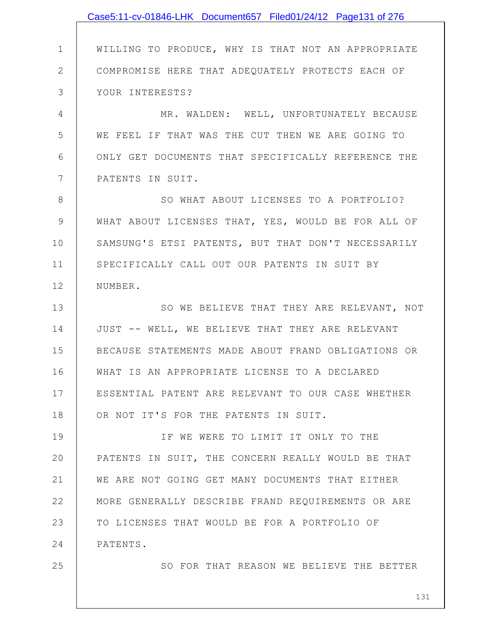|              | Case5:11-cv-01846-LHK Document657 Filed01/24/12 Page131 of 276 |
|--------------|----------------------------------------------------------------|
|              |                                                                |
| $\mathbf 1$  | WILLING TO PRODUCE, WHY IS THAT NOT AN APPROPRIATE             |
| $\mathbf{2}$ | COMPROMISE HERE THAT ADEQUATELY PROTECTS EACH OF               |
| 3            | YOUR INTERESTS?                                                |
| 4            | MR. WALDEN: WELL, UNFORTUNATELY BECAUSE                        |
| 5            | WE FEEL IF THAT WAS THE CUT THEN WE ARE GOING TO               |
| 6            | ONLY GET DOCUMENTS THAT SPECIFICALLY REFERENCE THE             |
| 7            | PATENTS IN SUIT.                                               |
| 8            | SO WHAT ABOUT LICENSES TO A PORTFOLIO?                         |
| 9            | WHAT ABOUT LICENSES THAT, YES, WOULD BE FOR ALL OF             |
| 10           | SAMSUNG'S ETSI PATENTS, BUT THAT DON'T NECESSARILY             |
| 11           | SPECIFICALLY CALL OUT OUR PATENTS IN SUIT BY                   |
| 12           | NUMBER.                                                        |
| 13           | SO WE BELIEVE THAT THEY ARE RELEVANT, NOT                      |
| 14           | JUST -- WELL, WE BELIEVE THAT THEY ARE RELEVANT                |
| 15           | BECAUSE STATEMENTS MADE ABOUT FRAND OBLIGATIONS OR             |
| 16           | WHAT IS AN APPROPRIATE LICENSE TO A DECLARED                   |
| 17           | ESSENTIAL PATENT ARE RELEVANT TO OUR CASE WHETHER              |
| 18           | OR NOT IT'S FOR THE PATENTS IN SUIT.                           |
| 19           | IF WE WERE TO LIMIT IT ONLY TO THE                             |
| 20           | PATENTS IN SUIT, THE CONCERN REALLY WOULD BE THAT              |
| 21           | WE ARE NOT GOING GET MANY DOCUMENTS THAT EITHER                |
| 22           | MORE GENERALLY DESCRIBE FRAND REQUIREMENTS OR ARE              |
| 23           | TO LICENSES THAT WOULD BE FOR A PORTFOLIO OF                   |
| 24           | PATENTS.                                                       |
| 25           | SO FOR THAT REASON WE BELIEVE THE BETTER                       |
|              | 131                                                            |
|              |                                                                |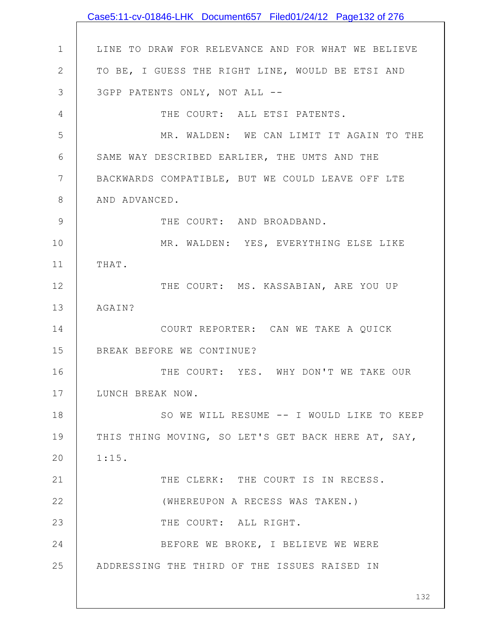|                | Case5:11-cv-01846-LHK Document657 Filed01/24/12 Page132 of 276 |
|----------------|----------------------------------------------------------------|
|                |                                                                |
| $\mathbf 1$    | LINE TO DRAW FOR RELEVANCE AND FOR WHAT WE BELIEVE             |
| $\mathbf{2}$   | TO BE, I GUESS THE RIGHT LINE, WOULD BE ETSI AND               |
| 3              | 3GPP PATENTS ONLY, NOT ALL --                                  |
| 4              | THE COURT: ALL ETSI PATENTS.                                   |
| 5              | MR. WALDEN: WE CAN LIMIT IT AGAIN TO THE                       |
| 6              | SAME WAY DESCRIBED EARLIER, THE UMTS AND THE                   |
| $7\phantom{.}$ | BACKWARDS COMPATIBLE, BUT WE COULD LEAVE OFF LTE               |
| $8\,$          | AND ADVANCED.                                                  |
| $\mathsf 9$    | THE COURT: AND BROADBAND.                                      |
| 10             | MR. WALDEN: YES, EVERYTHING ELSE LIKE                          |
| 11             | THAT.                                                          |
| 12             | THE COURT: MS. KASSABIAN, ARE YOU UP                           |
| 13             | AGAIN?                                                         |
| 14             | COURT REPORTER: CAN WE TAKE A QUICK                            |
| 15             | BREAK BEFORE WE CONTINUE?                                      |
| 16             | THE COURT: YES. WHY DON'T WE TAKE OUR                          |
| 17             | LUNCH BREAK NOW.                                               |
| 18             | SO WE WILL RESUME -- I WOULD LIKE TO KEEP                      |
| 19             | THIS THING MOVING, SO LET'S GET BACK HERE AT, SAY,             |
| 20             | 1:15.                                                          |
| 21             | THE CLERK: THE COURT IS IN RECESS.                             |
| 22             | (WHEREUPON A RECESS WAS TAKEN.)                                |
| 23             | THE COURT: ALL RIGHT.                                          |
| 24             | BEFORE WE BROKE, I BELIEVE WE WERE                             |
| 25             | ADDRESSING THE THIRD OF THE ISSUES RAISED IN                   |
|                | 132                                                            |
|                |                                                                |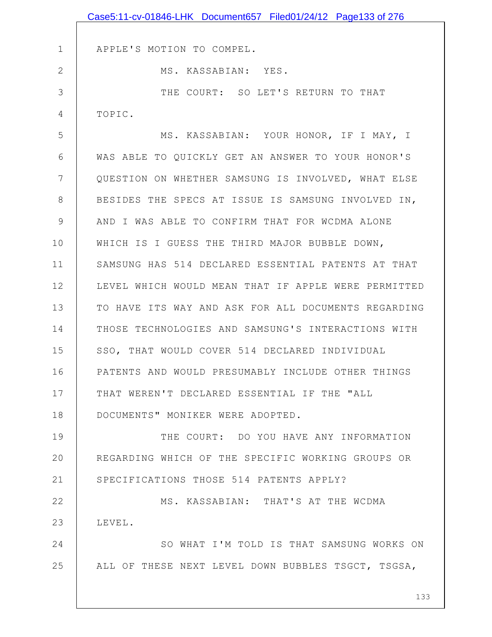|              | Case5:11-cv-01846-LHK Document657 Filed01/24/12 Page133 of 276 |
|--------------|----------------------------------------------------------------|
|              |                                                                |
| $\mathbf 1$  | APPLE'S MOTION TO COMPEL.                                      |
| $\mathbf{2}$ | MS. KASSABIAN: YES.                                            |
| 3            | THE COURT: SO LET'S RETURN TO THAT                             |
| 4            | TOPIC.                                                         |
| 5            | MS. KASSABIAN: YOUR HONOR, IF I MAY, I                         |
| 6            | WAS ABLE TO QUICKLY GET AN ANSWER TO YOUR HONOR'S              |
| 7            | QUESTION ON WHETHER SAMSUNG IS INVOLVED, WHAT ELSE             |
| $8\,$        | BESIDES THE SPECS AT ISSUE IS SAMSUNG INVOLVED IN,             |
| 9            | AND I WAS ABLE TO CONFIRM THAT FOR WCDMA ALONE                 |
| 10           | WHICH IS I GUESS THE THIRD MAJOR BUBBLE DOWN,                  |
| 11           | SAMSUNG HAS 514 DECLARED ESSENTIAL PATENTS AT THAT             |
| 12           | LEVEL WHICH WOULD MEAN THAT IF APPLE WERE PERMITTED            |
| 13           | TO HAVE ITS WAY AND ASK FOR ALL DOCUMENTS REGARDING            |
| 14           | THOSE TECHNOLOGIES AND SAMSUNG'S INTERACTIONS WITH             |
| 15           | SSO, THAT WOULD COVER 514 DECLARED INDIVIDUAL                  |
| 16           | PATENTS AND WOULD PRESUMABLY INCLUDE OTHER THINGS              |
| 17           | THAT WEREN'T DECLARED ESSENTIAL IF THE "ALL                    |
| 18           | DOCUMENTS" MONIKER WERE ADOPTED.                               |
| 19           | THE COURT: DO YOU HAVE ANY INFORMATION                         |
| 20           | REGARDING WHICH OF THE SPECIFIC WORKING GROUPS OR              |
| 21           | SPECIFICATIONS THOSE 514 PATENTS APPLY?                        |
| 22           | MS. KASSABIAN: THAT'S AT THE WCDMA                             |
| 23           | LEVEL.                                                         |
| 24           | SO WHAT I'M TOLD IS THAT SAMSUNG WORKS ON                      |
| 25           | ALL OF THESE NEXT LEVEL DOWN BUBBLES TSGCT, TSGSA,             |
|              |                                                                |
|              | 133                                                            |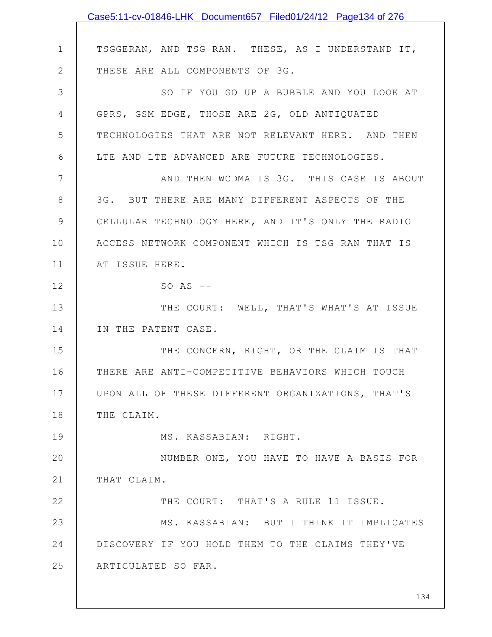|              | Case5:11-cv-01846-LHK Document657 Filed01/24/12 Page134 of 276 |
|--------------|----------------------------------------------------------------|
|              |                                                                |
| $\mathbf 1$  | TSGGERAN, AND TSG RAN. THESE, AS I UNDERSTAND IT,              |
| $\mathbf{2}$ | THESE ARE ALL COMPONENTS OF 3G.                                |
| 3            | SO IF YOU GO UP A BUBBLE AND YOU LOOK AT                       |
| 4            | GPRS, GSM EDGE, THOSE ARE 2G, OLD ANTIQUATED                   |
| 5            | TECHNOLOGIES THAT ARE NOT RELEVANT HERE. AND THEN              |
| 6            | LTE AND LTE ADVANCED ARE FUTURE TECHNOLOGIES.                  |
| 7            | AND THEN WCDMA IS 3G. THIS CASE IS ABOUT                       |
| 8            | 3G. BUT THERE ARE MANY DIFFERENT ASPECTS OF THE                |
| $\mathsf 9$  | CELLULAR TECHNOLOGY HERE, AND IT'S ONLY THE RADIO              |
| 10           | ACCESS NETWORK COMPONENT WHICH IS TSG RAN THAT IS              |
| 11           | AT ISSUE HERE.                                                 |
| 12           | $SO$ AS $--$                                                   |
| 13           | THE COURT: WELL, THAT'S WHAT'S AT ISSUE                        |
| 14           | IN THE PATENT CASE.                                            |
| 15           | THE CONCERN, RIGHT, OR THE CLAIM IS THAT                       |
| 16           | THERE ARE ANTI-COMPETITIVE BEHAVIORS WHICH TOUCH               |
| 17           | UPON ALL OF THESE DIFFERENT ORGANIZATIONS, THAT'S              |
| 18           | THE CLAIM.                                                     |
| 19           | MS. KASSABIAN: RIGHT.                                          |
| 20           | NUMBER ONE, YOU HAVE TO HAVE A BASIS FOR                       |
| 21           | THAT CLAIM.                                                    |
| 22           | THE COURT: THAT'S A RULE 11 ISSUE.                             |
| 23           | MS. KASSABIAN: BUT I THINK IT IMPLICATES                       |
| 24           | DISCOVERY IF YOU HOLD THEM TO THE CLAIMS THEY'VE               |
| 25           | ARTICULATED SO FAR.                                            |
|              |                                                                |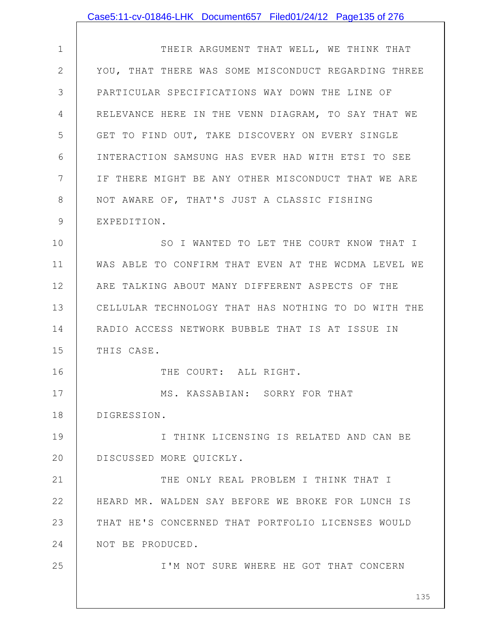## Case5:11-cv-01846-LHK Document657 Filed01/24/12 Page135 of 276

1 2 3 4 5 6 7 8 9 10 11 12 13 14 15 16 THEIR ARGUMENT THAT WELL, WE THINK THAT YOU, THAT THERE WAS SOME MISCONDUCT REGARDING THREE PARTICULAR SPECIFICATIONS WAY DOWN THE LINE OF RELEVANCE HERE IN THE VENN DIAGRAM, TO SAY THAT WE GET TO FIND OUT, TAKE DISCOVERY ON EVERY SINGLE INTERACTION SAMSUNG HAS EVER HAD WITH ETSI TO SEE IF THERE MIGHT BE ANY OTHER MISCONDUCT THAT WE ARE NOT AWARE OF, THAT'S JUST A CLASSIC FISHING EXPEDITION. SO I WANTED TO LET THE COURT KNOW THAT I WAS ABLE TO CONFIRM THAT EVEN AT THE WCDMA LEVEL WE ARE TALKING ABOUT MANY DIFFERENT ASPECTS OF THE CELLULAR TECHNOLOGY THAT HAS NOTHING TO DO WITH THE RADIO ACCESS NETWORK BUBBLE THAT IS AT ISSUE IN THIS CASE.

THE COURT: ALL RIGHT.

17 18 MS. KASSABIAN: SORRY FOR THAT DIGRESSION.

25

19 20 I THINK LICENSING IS RELATED AND CAN BE DISCUSSED MORE QUICKLY.

21 22 23 24 THE ONLY REAL PROBLEM I THINK THAT I HEARD MR. WALDEN SAY BEFORE WE BROKE FOR LUNCH IS THAT HE'S CONCERNED THAT PORTFOLIO LICENSES WOULD NOT BE PRODUCED.

I'M NOT SURE WHERE HE GOT THAT CONCERN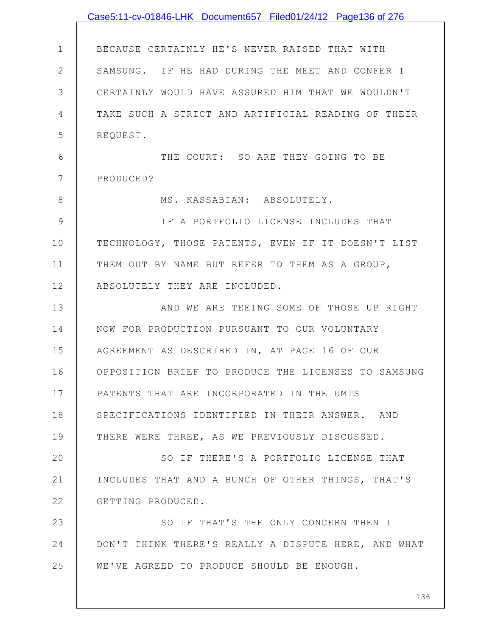|              | Case5:11-cv-01846-LHK Document657 Filed01/24/12 Page136 of 276 |
|--------------|----------------------------------------------------------------|
|              |                                                                |
| $\mathbf 1$  | BECAUSE CERTAINLY HE'S NEVER RAISED THAT WITH                  |
| $\mathbf{2}$ | SAMSUNG. IF HE HAD DURING THE MEET AND CONFER I                |
| 3            | CERTAINLY WOULD HAVE ASSURED HIM THAT WE WOULDN'T              |
| 4            | TAKE SUCH A STRICT AND ARTIFICIAL READING OF THEIR             |
| 5            | REQUEST.                                                       |
| 6            | THE COURT: SO ARE THEY GOING TO BE                             |
| 7            | PRODUCED?                                                      |
| 8            | MS. KASSABIAN: ABSOLUTELY.                                     |
| 9            | IF A PORTFOLIO LICENSE INCLUDES THAT                           |
| 10           | TECHNOLOGY, THOSE PATENTS, EVEN IF IT DOESN'T LIST             |
| 11           | THEM OUT BY NAME BUT REFER TO THEM AS A GROUP,                 |
| 12           | ABSOLUTELY THEY ARE INCLUDED.                                  |
| 13           | AND WE ARE TEEING SOME OF THOSE UP RIGHT                       |
| 14           | NOW FOR PRODUCTION PURSUANT TO OUR VOLUNTARY                   |
| 15           | AGREEMENT AS DESCRIBED IN, AT PAGE 16 OF OUR                   |
| 16           | OPPOSITION BRIEF TO PRODUCE THE LICENSES TO SAMSUNG            |
| 17           | PATENTS THAT ARE INCORPORATED IN THE UMTS                      |
| 18           | SPECIFICATIONS IDENTIFIED IN THEIR ANSWER. AND                 |
| 19           | THERE WERE THREE, AS WE PREVIOUSLY DISCUSSED.                  |
| 20           | SO IF THERE'S A PORTFOLIO LICENSE THAT                         |
| 21           | INCLUDES THAT AND A BUNCH OF OTHER THINGS, THAT'S              |
| 22           | GETTING PRODUCED.                                              |
| 23           | SO IF THAT'S THE ONLY CONCERN THEN I                           |
| 24           | DON'T THINK THERE'S REALLY A DISPUTE HERE, AND WHAT            |
| 25           | WE'VE AGREED TO PRODUCE SHOULD BE ENOUGH.                      |
|              |                                                                |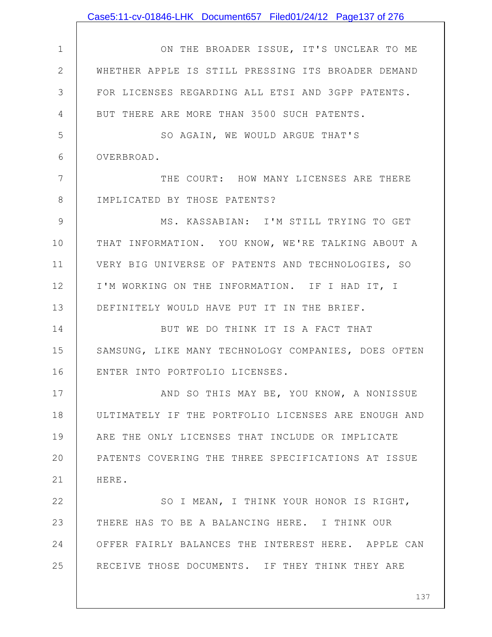|               | Case5:11-cv-01846-LHK Document657 Filed01/24/12 Page137 of 276 |
|---------------|----------------------------------------------------------------|
|               |                                                                |
| $\mathbf 1$   | ON THE BROADER ISSUE, IT'S UNCLEAR TO ME                       |
| $\mathbf{2}$  | WHETHER APPLE IS STILL PRESSING ITS BROADER DEMAND             |
| 3             | FOR LICENSES REGARDING ALL ETSI AND 3GPP PATENTS.              |
| 4             | BUT THERE ARE MORE THAN 3500 SUCH PATENTS.                     |
| 5             | SO AGAIN, WE WOULD ARGUE THAT'S                                |
| 6             | OVERBROAD.                                                     |
| 7             | THE COURT: HOW MANY LICENSES ARE THERE                         |
| $8\,$         | IMPLICATED BY THOSE PATENTS?                                   |
| $\mathcal{G}$ | MS. KASSABIAN: I'M STILL TRYING TO GET                         |
| 10            | THAT INFORMATION. YOU KNOW, WE'RE TALKING ABOUT A              |
| 11            | VERY BIG UNIVERSE OF PATENTS AND TECHNOLOGIES, SO              |
| 12            | I'M WORKING ON THE INFORMATION. IF I HAD IT, I                 |
| 13            | DEFINITELY WOULD HAVE PUT IT IN THE BRIEF.                     |
| 14            | BUT WE DO THINK IT IS A FACT THAT                              |
| 15            | SAMSUNG, LIKE MANY TECHNOLOGY COMPANIES, DOES OFTEN            |
| 16            | ENTER INTO PORTFOLIO LICENSES.                                 |
| 17            | AND SO THIS MAY BE, YOU KNOW, A NONISSUE                       |
| 18            | ULTIMATELY IF THE PORTFOLIO LICENSES ARE ENOUGH AND            |
| 19            | ARE THE ONLY LICENSES THAT INCLUDE OR IMPLICATE                |
| 20            | PATENTS COVERING THE THREE SPECIFICATIONS AT ISSUE             |
| 21            | HERE.                                                          |
| 22            | SO I MEAN, I THINK YOUR HONOR IS RIGHT,                        |
| 23            | THERE HAS TO BE A BALANCING HERE. I THINK OUR                  |
| 24            | OFFER FAIRLY BALANCES THE INTEREST HERE. APPLE CAN             |
| 25            | RECEIVE THOSE DOCUMENTS. IF THEY THINK THEY ARE                |
|               |                                                                |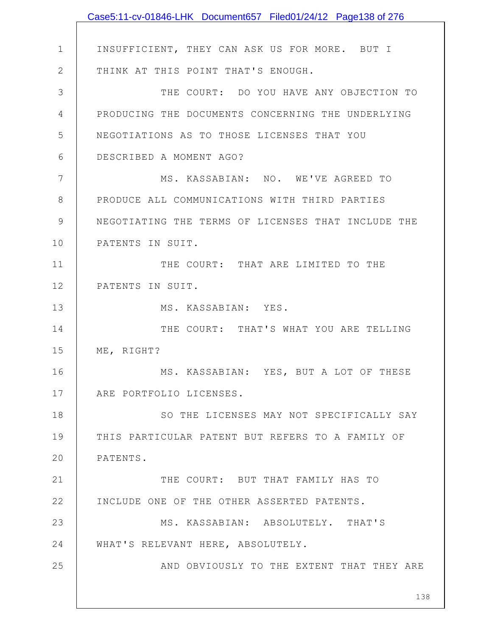|               | Case5:11-cv-01846-LHK Document657 Filed01/24/12 Page138 of 276 |
|---------------|----------------------------------------------------------------|
|               |                                                                |
| $\mathbf 1$   | INSUFFICIENT, THEY CAN ASK US FOR MORE. BUT I                  |
| $\mathbf{2}$  | THINK AT THIS POINT THAT'S ENOUGH.                             |
| 3             | THE COURT: DO YOU HAVE ANY OBJECTION TO                        |
| 4             | PRODUCING THE DOCUMENTS CONCERNING THE UNDERLYING              |
| 5             | NEGOTIATIONS AS TO THOSE LICENSES THAT YOU                     |
| 6             | DESCRIBED A MOMENT AGO?                                        |
| 7             | MS. KASSABIAN: NO. WE'VE AGREED TO                             |
| 8             | PRODUCE ALL COMMUNICATIONS WITH THIRD PARTIES                  |
| $\mathcal{G}$ | NEGOTIATING THE TERMS OF LICENSES THAT INCLUDE THE             |
| 10            | PATENTS IN SUIT.                                               |
| 11            | THE COURT: THAT ARE LIMITED TO THE                             |
| 12            | PATENTS IN SUIT.                                               |
| 13            | MS. KASSABIAN: YES.                                            |
| 14            | THE COURT: THAT'S WHAT YOU ARE TELLING                         |
| 15            | ME, RIGHT?                                                     |
| 16            | MS. KASSABIAN: YES, BUT A LOT OF THESE                         |
| 17            | ARE PORTFOLIO LICENSES.                                        |
| 18            | SO THE LICENSES MAY NOT SPECIFICALLY SAY                       |
| 19            | THIS PARTICULAR PATENT BUT REFERS TO A FAMILY OF               |
| 20            | PATENTS.                                                       |
| 21            | THE COURT: BUT THAT FAMILY HAS TO                              |
| 22            | INCLUDE ONE OF THE OTHER ASSERTED PATENTS.                     |
| 23            | MS. KASSABIAN: ABSOLUTELY. THAT'S                              |
| 24            | WHAT'S RELEVANT HERE, ABSOLUTELY.                              |
| 25            | AND OBVIOUSLY TO THE EXTENT THAT THEY ARE                      |
|               | 138                                                            |
|               |                                                                |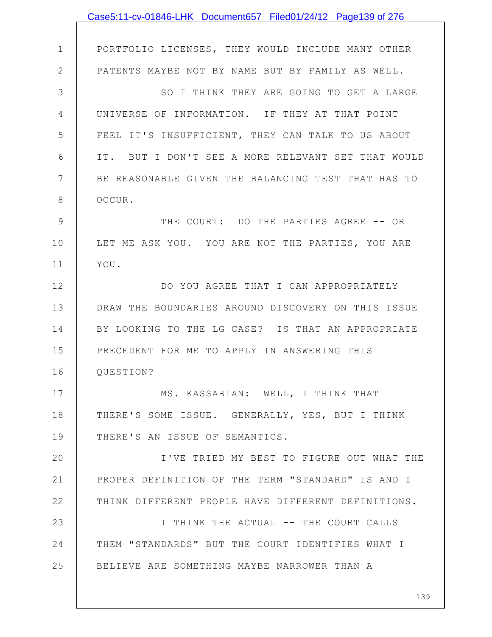|                | Case5:11-cv-01846-LHK Document657 Filed01/24/12 Page139 of 276 |
|----------------|----------------------------------------------------------------|
|                |                                                                |
| $\mathbf 1$    | PORTFOLIO LICENSES, THEY WOULD INCLUDE MANY OTHER              |
| $\mathbf{2}$   | PATENTS MAYBE NOT BY NAME BUT BY FAMILY AS WELL.               |
| 3              | SO I THINK THEY ARE GOING TO GET A LARGE                       |
| 4              | UNIVERSE OF INFORMATION. IF THEY AT THAT POINT                 |
| 5              | FEEL IT'S INSUFFICIENT, THEY CAN TALK TO US ABOUT              |
| 6              | IT. BUT I DON'T SEE A MORE RELEVANT SET THAT WOULD             |
| $7\phantom{.}$ | BE REASONABLE GIVEN THE BALANCING TEST THAT HAS TO             |
| $8\,$          | OCCUR.                                                         |
| 9              | THE COURT: DO THE PARTIES AGREE -- OR                          |
| 10             | LET ME ASK YOU. YOU ARE NOT THE PARTIES, YOU ARE               |
| 11             | YOU.                                                           |
| 12             | DO YOU AGREE THAT I CAN APPROPRIATELY                          |
| 13             | DRAW THE BOUNDARIES AROUND DISCOVERY ON THIS ISSUE             |
| 14             | BY LOOKING TO THE LG CASE? IS THAT AN APPROPRIATE              |
| 15             | PRECEDENT FOR ME TO APPLY IN ANSWERING THIS                    |
| 16             | QUESTION?                                                      |
| 17             | MS. KASSABIAN: WELL, I THINK THAT                              |
| 18             | THERE'S SOME ISSUE. GENERALLY, YES, BUT I THINK                |
| 19             | THERE'S AN ISSUE OF SEMANTICS.                                 |
| 20             | I'VE TRIED MY BEST TO FIGURE OUT WHAT THE                      |
| 21             | PROPER DEFINITION OF THE TERM "STANDARD" IS AND I              |
| 22             | THINK DIFFERENT PEOPLE HAVE DIFFERENT DEFINITIONS.             |
| 23             | I THINK THE ACTUAL -- THE COURT CALLS                          |
| 24             | THEM "STANDARDS" BUT THE COURT IDENTIFIES WHAT I               |
| 25             | BELIEVE ARE SOMETHING MAYBE NARROWER THAN A                    |
|                |                                                                |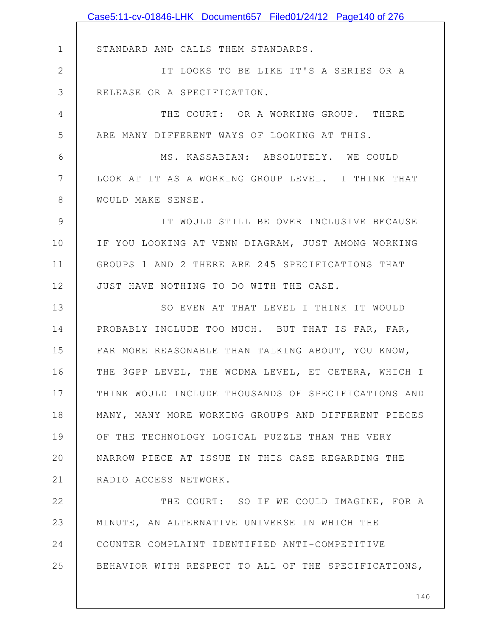|                | Case5:11-cv-01846-LHK Document657 Filed01/24/12 Page140 of 276 |
|----------------|----------------------------------------------------------------|
|                |                                                                |
| $\mathbf 1$    | STANDARD AND CALLS THEM STANDARDS.                             |
| $\mathbf 2$    | IT LOOKS TO BE LIKE IT'S A SERIES OR A                         |
| 3              | RELEASE OR A SPECIFICATION.                                    |
| $\overline{4}$ | THE COURT: OR A WORKING GROUP. THERE                           |
| 5              | ARE MANY DIFFERENT WAYS OF LOOKING AT THIS.                    |
| 6              | MS. KASSABIAN: ABSOLUTELY. WE COULD                            |
| 7              | LOOK AT IT AS A WORKING GROUP LEVEL. I THINK THAT              |
| 8              | WOULD MAKE SENSE.                                              |
| $\mathcal{G}$  | IT WOULD STILL BE OVER INCLUSIVE BECAUSE                       |
| 10             | IF YOU LOOKING AT VENN DIAGRAM, JUST AMONG WORKING             |
| 11             | GROUPS 1 AND 2 THERE ARE 245 SPECIFICATIONS THAT               |
| 12             | JUST HAVE NOTHING TO DO WITH THE CASE.                         |
| 13             | SO EVEN AT THAT LEVEL I THINK IT WOULD                         |
| 14             | PROBABLY INCLUDE TOO MUCH. BUT THAT IS FAR, FAR,               |
| 15             | FAR MORE REASONABLE THAN TALKING ABOUT, YOU KNOW,              |
| 16             | THE 3GPP LEVEL, THE WCDMA LEVEL, ET CETERA, WHICH I            |
| 17             | THINK WOULD INCLUDE THOUSANDS OF SPECIFICATIONS AND            |
| 18             | MANY, MANY MORE WORKING GROUPS AND DIFFERENT PIECES            |
| 19             | OF THE TECHNOLOGY LOGICAL PUZZLE THAN THE VERY                 |
| 20             | NARROW PIECE AT ISSUE IN THIS CASE REGARDING THE               |
| 21             | RADIO ACCESS NETWORK.                                          |
| 22             | THE COURT: SO IF WE COULD IMAGINE, FOR A                       |
| 23             | MINUTE, AN ALTERNATIVE UNIVERSE IN WHICH THE                   |
| 24             | COUNTER COMPLAINT IDENTIFIED ANTI-COMPETITIVE                  |
| 25             | BEHAVIOR WITH RESPECT TO ALL OF THE SPECIFICATIONS,            |
|                |                                                                |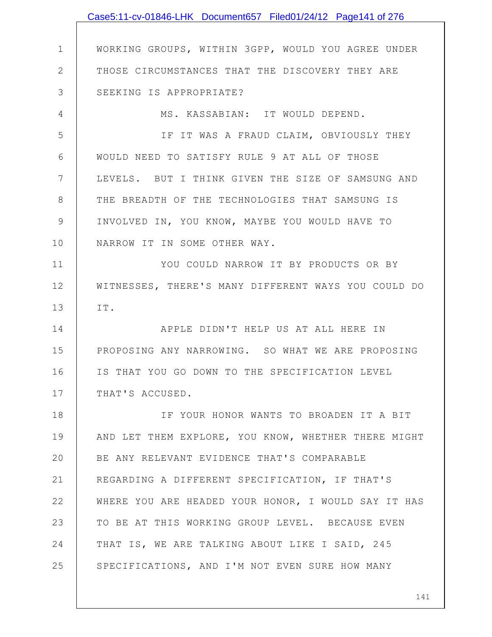|               | Case5:11-cv-01846-LHK Document657 Filed01/24/12 Page141 of 276 |
|---------------|----------------------------------------------------------------|
|               |                                                                |
| $\mathbf 1$   | WORKING GROUPS, WITHIN 3GPP, WOULD YOU AGREE UNDER             |
| $\mathbf{2}$  | THOSE CIRCUMSTANCES THAT THE DISCOVERY THEY ARE                |
| 3             | SEEKING IS APPROPRIATE?                                        |
| 4             | MS. KASSABIAN: IT WOULD DEPEND.                                |
| 5             | IF IT WAS A FRAUD CLAIM, OBVIOUSLY THEY                        |
| 6             | WOULD NEED TO SATISFY RULE 9 AT ALL OF THOSE                   |
| 7             | LEVELS. BUT I THINK GIVEN THE SIZE OF SAMSUNG AND              |
| $8\,$         | THE BREADTH OF THE TECHNOLOGIES THAT SAMSUNG IS                |
| $\mathcal{G}$ | INVOLVED IN, YOU KNOW, MAYBE YOU WOULD HAVE TO                 |
| 10            | NARROW IT IN SOME OTHER WAY.                                   |
| 11            | YOU COULD NARROW IT BY PRODUCTS OR BY                          |
| 12            | WITNESSES, THERE'S MANY DIFFERENT WAYS YOU COULD DO            |
| 13            | IT.                                                            |
| 14            | APPLE DIDN'T HELP US AT ALL HERE IN                            |
| 15            | PROPOSING ANY NARROWING. SO WHAT WE ARE PROPOSING              |
| 16            | IS THAT YOU GO DOWN TO THE SPECIFICATION LEVEL                 |
| 17            | THAT'S ACCUSED.                                                |
| 18            | IF YOUR HONOR WANTS TO BROADEN IT A BIT                        |
| 19            | AND LET THEM EXPLORE, YOU KNOW, WHETHER THERE MIGHT            |
| 20            | BE ANY RELEVANT EVIDENCE THAT'S COMPARABLE                     |
| 21            | REGARDING A DIFFERENT SPECIFICATION, IF THAT'S                 |
| 22            | WHERE YOU ARE HEADED YOUR HONOR, I WOULD SAY IT HAS            |
| 23            | TO BE AT THIS WORKING GROUP LEVEL. BECAUSE EVEN                |
| 24            | THAT IS, WE ARE TALKING ABOUT LIKE I SAID, 245                 |
| 25            | SPECIFICATIONS, AND I'M NOT EVEN SURE HOW MANY                 |
|               |                                                                |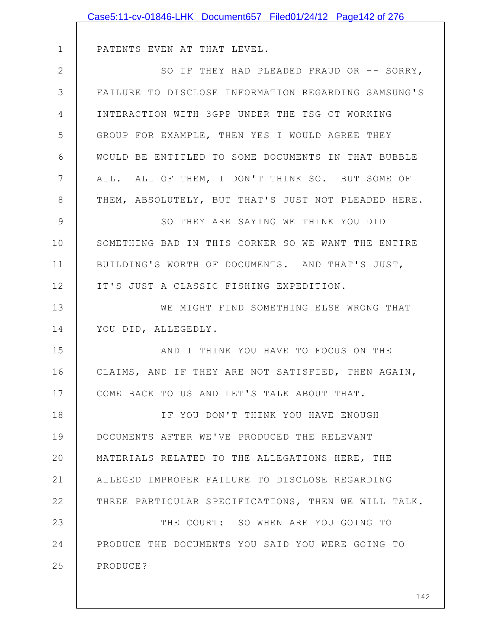|              | Case5:11-cv-01846-LHK Document657 Filed01/24/12 Page142 of 276 |
|--------------|----------------------------------------------------------------|
|              |                                                                |
| $\mathbf 1$  | PATENTS EVEN AT THAT LEVEL.                                    |
| $\mathbf{2}$ | SO IF THEY HAD PLEADED FRAUD OR -- SORRY,                      |
| 3            | FAILURE TO DISCLOSE INFORMATION REGARDING SAMSUNG'S            |
| 4            | INTERACTION WITH 3GPP UNDER THE TSG CT WORKING                 |
| 5            | GROUP FOR EXAMPLE, THEN YES I WOULD AGREE THEY                 |
| 6            | WOULD BE ENTITLED TO SOME DOCUMENTS IN THAT BUBBLE             |
| 7            | ALL. ALL OF THEM, I DON'T THINK SO. BUT SOME OF                |
| 8            | THEM, ABSOLUTELY, BUT THAT'S JUST NOT PLEADED HERE.            |
| 9            | SO THEY ARE SAYING WE THINK YOU DID                            |
| 10           | SOMETHING BAD IN THIS CORNER SO WE WANT THE ENTIRE             |
| 11           | BUILDING'S WORTH OF DOCUMENTS. AND THAT'S JUST,                |
| 12           | IT'S JUST A CLASSIC FISHING EXPEDITION.                        |
| 13           | WE MIGHT FIND SOMETHING ELSE WRONG THAT                        |
| 14           | YOU DID, ALLEGEDLY.                                            |
| 15           | AND I THINK YOU HAVE TO FOCUS ON THE                           |
| 16           | CLAIMS, AND IF THEY ARE NOT SATISFIED, THEN AGAIN,             |
| 17           | COME BACK TO US AND LET'S TALK ABOUT THAT.                     |
| 18           | IF YOU DON'T THINK YOU HAVE ENOUGH                             |
| 19           | DOCUMENTS AFTER WE'VE PRODUCED THE RELEVANT                    |
| 20           | MATERIALS RELATED TO THE ALLEGATIONS HERE, THE                 |
| 21           | ALLEGED IMPROPER FAILURE TO DISCLOSE REGARDING                 |
| 22           | THREE PARTICULAR SPECIFICATIONS, THEN WE WILL TALK.            |
| 23           | THE COURT: SO WHEN ARE YOU GOING TO                            |
| 24           | PRODUCE THE DOCUMENTS YOU SAID YOU WERE GOING TO               |
| 25           | PRODUCE?                                                       |
|              |                                                                |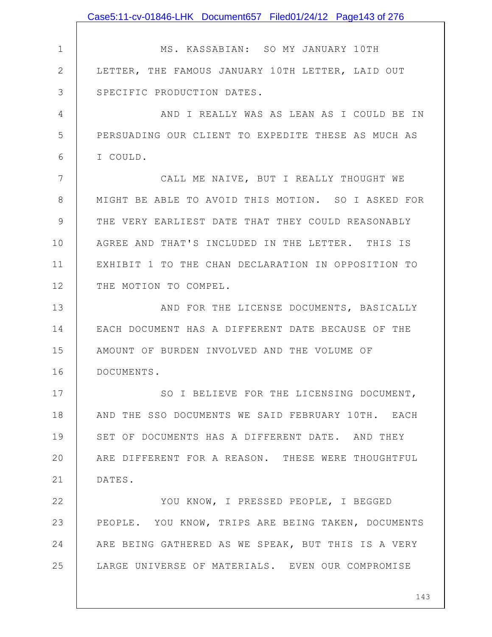|              | Case5:11-cv-01846-LHK Document657 Filed01/24/12 Page143 of 276 |
|--------------|----------------------------------------------------------------|
|              |                                                                |
| 1            | MS. KASSABIAN: SO MY JANUARY 10TH                              |
| $\mathbf{2}$ | LETTER, THE FAMOUS JANUARY 10TH LETTER, LAID OUT               |
| 3            | SPECIFIC PRODUCTION DATES.                                     |
| 4            | AND I REALLY WAS AS LEAN AS I COULD BE IN                      |
| 5            | PERSUADING OUR CLIENT TO EXPEDITE THESE AS MUCH AS             |
| 6            | I COULD.                                                       |
| 7            | CALL ME NAIVE, BUT I REALLY THOUGHT WE                         |
| 8            | MIGHT BE ABLE TO AVOID THIS MOTION. SO I ASKED FOR             |
| 9            | THE VERY EARLIEST DATE THAT THEY COULD REASONABLY              |
| 10           | AGREE AND THAT'S INCLUDED IN THE LETTER. THIS IS               |
| 11           | EXHIBIT 1 TO THE CHAN DECLARATION IN OPPOSITION TO             |
| 12           | THE MOTION TO COMPEL.                                          |
| 13           | AND FOR THE LICENSE DOCUMENTS, BASICALLY                       |
| 14           | EACH DOCUMENT HAS A DIFFERENT DATE BECAUSE OF THE              |
| 15           | AMOUNT OF BURDEN INVOLVED AND THE VOLUME OF                    |
| 16           | DOCUMENTS.                                                     |
| 17           | SO I BELIEVE FOR THE LICENSING DOCUMENT,                       |
| 18           | AND THE SSO DOCUMENTS WE SAID FEBRUARY 10TH. EACH              |
| 19           | SET OF DOCUMENTS HAS A DIFFERENT DATE. AND THEY                |
| 20           | ARE DIFFERENT FOR A REASON. THESE WERE THOUGHTFUL              |
| 21           | DATES.                                                         |
| 22           | YOU KNOW, I PRESSED PEOPLE, I BEGGED                           |
| 23           | PEOPLE. YOU KNOW, TRIPS ARE BEING TAKEN, DOCUMENTS             |
| 24           | ARE BEING GATHERED AS WE SPEAK, BUT THIS IS A VERY             |
| 25           | LARGE UNIVERSE OF MATERIALS. EVEN OUR COMPROMISE               |
|              |                                                                |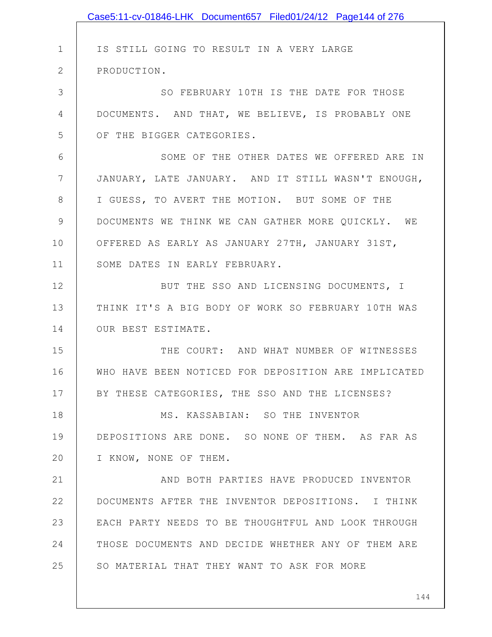|               | Case5:11-cv-01846-LHK Document657 Filed01/24/12 Page144 of 276 |
|---------------|----------------------------------------------------------------|
|               |                                                                |
| $\mathbf 1$   | IS STILL GOING TO RESULT IN A VERY LARGE                       |
| $\mathbf{2}$  | PRODUCTION.                                                    |
| 3             | SO FEBRUARY 10TH IS THE DATE FOR THOSE                         |
| 4             | DOCUMENTS. AND THAT, WE BELIEVE, IS PROBABLY ONE               |
| 5             | OF THE BIGGER CATEGORIES.                                      |
| 6             | SOME OF THE OTHER DATES WE OFFERED ARE IN                      |
| 7             | JANUARY, LATE JANUARY. AND IT STILL WASN'T ENOUGH,             |
| 8             | I GUESS, TO AVERT THE MOTION. BUT SOME OF THE                  |
| $\mathcal{G}$ | DOCUMENTS WE THINK WE CAN GATHER MORE QUICKLY. WE              |
| 10            | OFFERED AS EARLY AS JANUARY 27TH, JANUARY 31ST,                |
| 11            | SOME DATES IN EARLY FEBRUARY.                                  |
| 12            | BUT THE SSO AND LICENSING DOCUMENTS, I                         |
| 13            | THINK IT'S A BIG BODY OF WORK SO FEBRUARY 10TH WAS             |
| 14            | OUR BEST ESTIMATE.                                             |
| 15            | THE COURT: AND WHAT NUMBER OF WITNESSES                        |
| 16            | WHO HAVE BEEN NOTICED FOR DEPOSITION ARE IMPLICATED            |
| 17            | BY THESE CATEGORIES, THE SSO AND THE LICENSES?                 |
| 18            | MS. KASSABIAN: SO THE INVENTOR                                 |
| 19            | DEPOSITIONS ARE DONE. SO NONE OF THEM. AS FAR AS               |
| 20            | I KNOW, NONE OF THEM.                                          |
| 21            | AND BOTH PARTIES HAVE PRODUCED INVENTOR                        |
| 22            | DOCUMENTS AFTER THE INVENTOR DEPOSITIONS. I THINK              |
| 23            | EACH PARTY NEEDS TO BE THOUGHTFUL AND LOOK THROUGH             |
| 24            | THOSE DOCUMENTS AND DECIDE WHETHER ANY OF THEM ARE             |
| 25            | SO MATERIAL THAT THEY WANT TO ASK FOR MORE                     |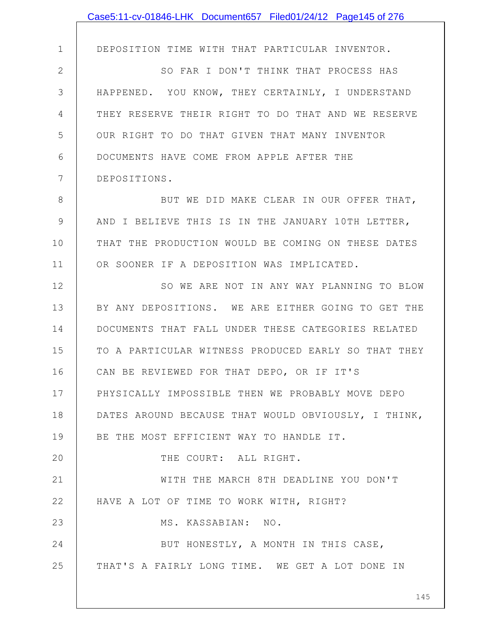|              | Case5:11-cv-01846-LHK Document657 Filed01/24/12 Page145 of 276 |
|--------------|----------------------------------------------------------------|
|              |                                                                |
| $\mathbf 1$  | DEPOSITION TIME WITH THAT PARTICULAR INVENTOR.                 |
| $\mathbf{2}$ | SO FAR I DON'T THINK THAT PROCESS HAS                          |
| 3            | HAPPENED. YOU KNOW, THEY CERTAINLY, I UNDERSTAND               |
| 4            | THEY RESERVE THEIR RIGHT TO DO THAT AND WE RESERVE             |
| 5            | OUR RIGHT TO DO THAT GIVEN THAT MANY INVENTOR                  |
| 6            | DOCUMENTS HAVE COME FROM APPLE AFTER THE                       |
| 7            | DEPOSITIONS.                                                   |
| 8            | BUT WE DID MAKE CLEAR IN OUR OFFER THAT,                       |
| 9            | AND I BELIEVE THIS IS IN THE JANUARY 10TH LETTER,              |
| 10           | THAT THE PRODUCTION WOULD BE COMING ON THESE DATES             |
| 11           | OR SOONER IF A DEPOSITION WAS IMPLICATED.                      |
| 12           | SO WE ARE NOT IN ANY WAY PLANNING TO BLOW                      |
| 13           | BY ANY DEPOSITIONS. WE ARE EITHER GOING TO GET THE             |
| 14           | DOCUMENTS THAT FALL UNDER THESE CATEGORIES RELATED             |
| 15           | TO A PARTICULAR WITNESS PRODUCED EARLY SO THAT THEY            |
| 16           | CAN BE REVIEWED FOR THAT DEPO, OR IF IT'S                      |
| 17           | PHYSICALLY IMPOSSIBLE THEN WE PROBABLY MOVE DEPO               |
| 18           | DATES AROUND BECAUSE THAT WOULD OBVIOUSLY, I THINK,            |
| 19           | BE THE MOST EFFICIENT WAY TO HANDLE IT.                        |
| 20           | THE COURT: ALL RIGHT.                                          |
| 21           | WITH THE MARCH 8TH DEADLINE YOU DON'T                          |
| 22           | HAVE A LOT OF TIME TO WORK WITH, RIGHT?                        |
| 23           | MS. KASSABIAN: NO.                                             |
| 24           | BUT HONESTLY, A MONTH IN THIS CASE,                            |
| 25           | THAT'S A FAIRLY LONG TIME. WE GET A LOT DONE IN                |
|              | 145                                                            |
|              |                                                                |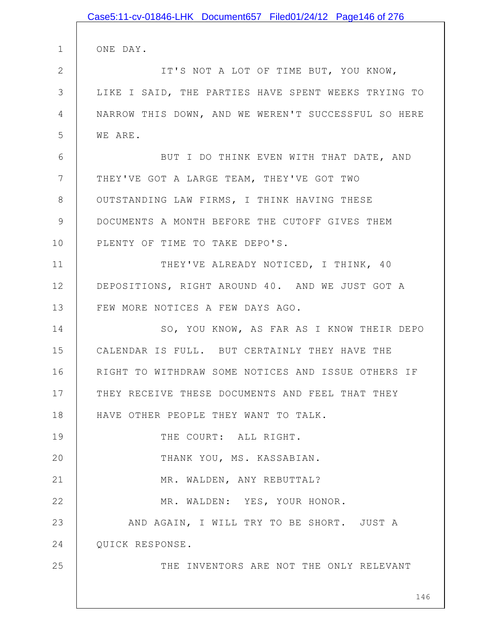|              | Case5:11-cv-01846-LHK Document657 Filed01/24/12 Page146 of 276 |
|--------------|----------------------------------------------------------------|
| $\mathbf 1$  | ONE DAY.                                                       |
| $\mathbf{2}$ | IT'S NOT A LOT OF TIME BUT, YOU KNOW,                          |
| 3            | LIKE I SAID, THE PARTIES HAVE SPENT WEEKS TRYING TO            |
|              |                                                                |
| 4            | NARROW THIS DOWN, AND WE WEREN'T SUCCESSFUL SO HERE            |
| 5            | WE ARE.                                                        |
| 6            | BUT I DO THINK EVEN WITH THAT DATE, AND                        |
| 7            | THEY'VE GOT A LARGE TEAM, THEY'VE GOT TWO                      |
| 8            | OUTSTANDING LAW FIRMS, I THINK HAVING THESE                    |
| 9            | DOCUMENTS A MONTH BEFORE THE CUTOFF GIVES THEM                 |
| 10           | PLENTY OF TIME TO TAKE DEPO'S.                                 |
| 11           | THEY'VE ALREADY NOTICED, I THINK, 40                           |
| 12           | DEPOSITIONS, RIGHT AROUND 40. AND WE JUST GOT A                |
| 13           | FEW MORE NOTICES A FEW DAYS AGO.                               |
| 14           | SO, YOU KNOW, AS FAR AS I KNOW THEIR DEPO                      |
| 15           | CALENDAR IS FULL. BUT CERTAINLY THEY HAVE THE                  |
| 16           | RIGHT TO WITHDRAW SOME NOTICES AND ISSUE OTHERS IF             |
| 17           | THEY RECEIVE THESE DOCUMENTS AND FEEL THAT THEY                |
| 18           | HAVE OTHER PEOPLE THEY WANT TO TALK.                           |
| 19           | THE COURT: ALL RIGHT.                                          |
| 20           | THANK YOU, MS. KASSABIAN.                                      |
| 21           | MR. WALDEN, ANY REBUTTAL?                                      |
| 22           | MR. WALDEN: YES, YOUR HONOR.                                   |
| 23           | AND AGAIN, I WILL TRY TO BE SHORT. JUST A                      |
| 24           | QUICK RESPONSE.                                                |
| 25           | THE INVENTORS ARE NOT THE ONLY RELEVANT                        |
|              |                                                                |
|              | 146                                                            |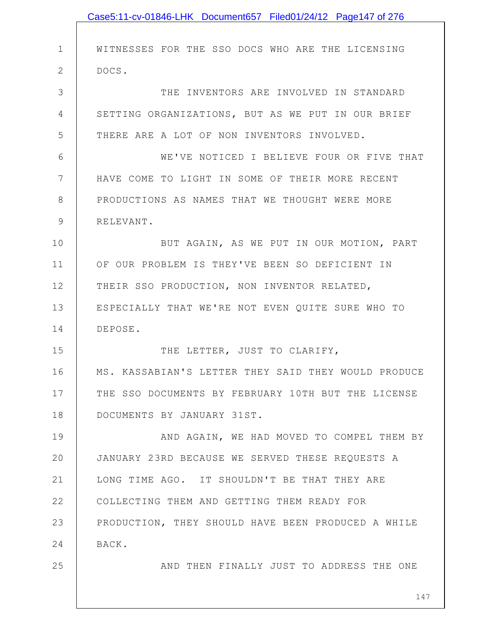|              | Case5:11-cv-01846-LHK Document657 Filed01/24/12 Page147 of 276 |
|--------------|----------------------------------------------------------------|
|              |                                                                |
| $\mathbf 1$  | WITNESSES FOR THE SSO DOCS WHO ARE THE LICENSING               |
| $\mathbf{2}$ | DOCS.                                                          |
| 3            | THE INVENTORS ARE INVOLVED IN STANDARD                         |
| 4            | SETTING ORGANIZATIONS, BUT AS WE PUT IN OUR BRIEF              |
| 5            | THERE ARE A LOT OF NON INVENTORS INVOLVED.                     |
| 6            | WE'VE NOTICED I BELIEVE FOUR OR FIVE THAT                      |
| 7            | HAVE COME TO LIGHT IN SOME OF THEIR MORE RECENT                |
| 8            | PRODUCTIONS AS NAMES THAT WE THOUGHT WERE MORE                 |
| 9            | RELEVANT.                                                      |
| 10           | BUT AGAIN, AS WE PUT IN OUR MOTION, PART                       |
| 11           | OF OUR PROBLEM IS THEY'VE BEEN SO DEFICIENT IN                 |
| 12           | THEIR SSO PRODUCTION, NON INVENTOR RELATED,                    |
| 13           | ESPECIALLY THAT WE'RE NOT EVEN QUITE SURE WHO TO               |
| 14           | DEPOSE.                                                        |
| 15           | THE LETTER, JUST TO CLARIFY,                                   |
| 16           | MS. KASSABIAN'S LETTER THEY SAID THEY WOULD PRODUCE            |
| 17           | THE SSO DOCUMENTS BY FEBRUARY 10TH BUT THE LICENSE             |
| 18           | DOCUMENTS BY JANUARY 31ST.                                     |
| 19           | AND AGAIN, WE HAD MOVED TO COMPEL THEM BY                      |
| 20           | JANUARY 23RD BECAUSE WE SERVED THESE REQUESTS A                |
| 21           | LONG TIME AGO. IT SHOULDN'T BE THAT THEY ARE                   |
| 22           | COLLECTING THEM AND GETTING THEM READY FOR                     |
| 23           | PRODUCTION, THEY SHOULD HAVE BEEN PRODUCED A WHILE             |
| 24           | BACK.                                                          |
| 25           | AND THEN FINALLY JUST TO ADDRESS THE ONE                       |
|              | 147                                                            |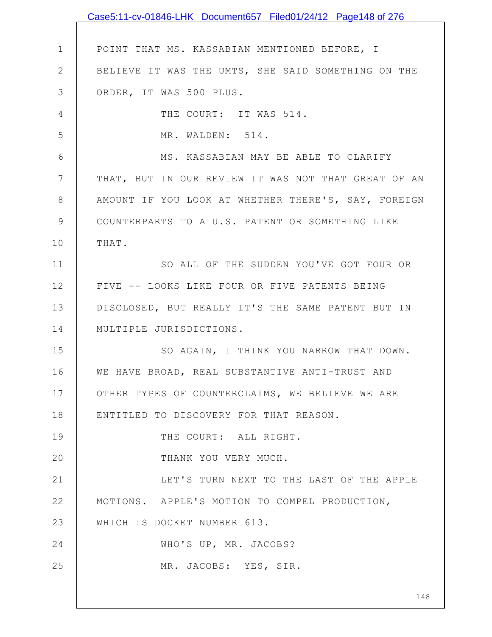|              | Case5:11-cv-01846-LHK Document657 Filed01/24/12 Page148 of 276 |
|--------------|----------------------------------------------------------------|
|              |                                                                |
| $\mathbf 1$  | POINT THAT MS. KASSABIAN MENTIONED BEFORE, I                   |
| $\mathbf{2}$ | BELIEVE IT WAS THE UMTS, SHE SAID SOMETHING ON THE             |
| 3            | ORDER, IT WAS 500 PLUS.                                        |
| 4            | THE COURT: IT WAS 514.                                         |
| 5            | MR. WALDEN: 514.                                               |
| 6            | MS. KASSABIAN MAY BE ABLE TO CLARIFY                           |
| 7            | THAT, BUT IN OUR REVIEW IT WAS NOT THAT GREAT OF AN            |
| 8            | AMOUNT IF YOU LOOK AT WHETHER THERE'S, SAY, FOREIGN            |
| 9            | COUNTERPARTS TO A U.S. PATENT OR SOMETHING LIKE                |
| 10           | THAT.                                                          |
| 11           | SO ALL OF THE SUDDEN YOU'VE GOT FOUR OR                        |
| 12           | FIVE -- LOOKS LIKE FOUR OR FIVE PATENTS BEING                  |
| 13           | DISCLOSED, BUT REALLY IT'S THE SAME PATENT BUT IN              |
| 14           | MULTIPLE JURISDICTIONS.                                        |
| 15           | SO AGAIN, I THINK YOU NARROW THAT DOWN.                        |
| 16           | WE HAVE BROAD, REAL SUBSTANTIVE ANTI-TRUST AND                 |
| 17           | OTHER TYPES OF COUNTERCLAIMS, WE BELIEVE WE ARE                |
| 18           | ENTITLED TO DISCOVERY FOR THAT REASON.                         |
| 19           | THE COURT: ALL RIGHT.                                          |
| 20           | THANK YOU VERY MUCH.                                           |
| 21           | LET'S TURN NEXT TO THE LAST OF THE APPLE                       |
| 22           | MOTIONS. APPLE'S MOTION TO COMPEL PRODUCTION,                  |
| 23           | WHICH IS DOCKET NUMBER 613.                                    |
| 24           | WHO'S UP, MR. JACOBS?                                          |
| 25           | MR. JACOBS: YES, SIR.                                          |
|              |                                                                |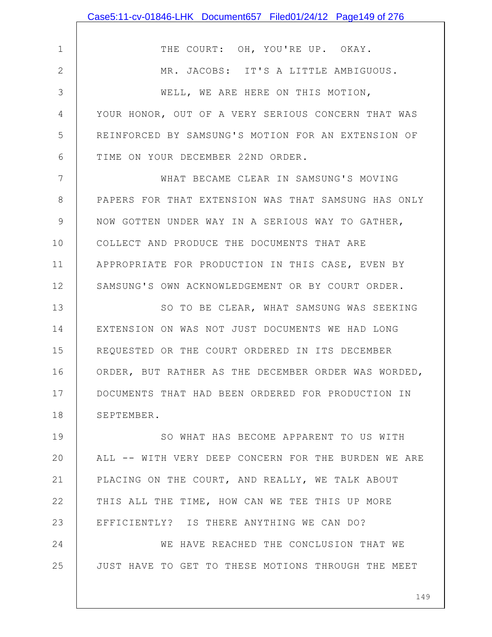|                | Case5:11-cv-01846-LHK Document657 Filed01/24/12 Page149 of 276 |
|----------------|----------------------------------------------------------------|
|                |                                                                |
| $\mathbf 1$    | THE COURT: OH, YOU'RE UP. OKAY.                                |
| $\mathbf{2}$   | MR. JACOBS: IT'S A LITTLE AMBIGUOUS.                           |
| 3              | WELL, WE ARE HERE ON THIS MOTION,                              |
| $\overline{4}$ | YOUR HONOR, OUT OF A VERY SERIOUS CONCERN THAT WAS             |
| 5              | REINFORCED BY SAMSUNG'S MOTION FOR AN EXTENSION OF             |
| 6              | TIME ON YOUR DECEMBER 22ND ORDER.                              |
| 7              | WHAT BECAME CLEAR IN SAMSUNG'S MOVING                          |
| 8              | PAPERS FOR THAT EXTENSION WAS THAT SAMSUNG HAS ONLY            |
| $\mathcal{G}$  | NOW GOTTEN UNDER WAY IN A SERIOUS WAY TO GATHER,               |
| 10             | COLLECT AND PRODUCE THE DOCUMENTS THAT ARE                     |
| 11             | APPROPRIATE FOR PRODUCTION IN THIS CASE, EVEN BY               |
| 12             | SAMSUNG'S OWN ACKNOWLEDGEMENT OR BY COURT ORDER.               |
| 13             | SO TO BE CLEAR, WHAT SAMSUNG WAS SEEKING                       |
| 14             | EXTENSION ON WAS NOT JUST DOCUMENTS WE HAD LONG                |
| 15             | REQUESTED OR THE COURT ORDERED IN ITS DECEMBER                 |
| 16             | ORDER, BUT RATHER AS THE DECEMBER ORDER WAS WORDED,            |
| 17             | DOCUMENTS THAT HAD BEEN ORDERED FOR PRODUCTION IN              |
| 18             | SEPTEMBER.                                                     |
| 19             | SO WHAT HAS BECOME APPARENT TO US WITH                         |
| 20             | ALL -- WITH VERY DEEP CONCERN FOR THE BURDEN WE ARE            |
| 21             | PLACING ON THE COURT, AND REALLY, WE TALK ABOUT                |
| 22             | THIS ALL THE TIME, HOW CAN WE TEE THIS UP MORE                 |
| 23             | EFFICIENTLY? IS THERE ANYTHING WE CAN DO?                      |
| 24             | WE HAVE REACHED THE CONCLUSION THAT WE                         |
| 25             | JUST HAVE TO GET TO THESE MOTIONS THROUGH THE MEET             |
|                |                                                                |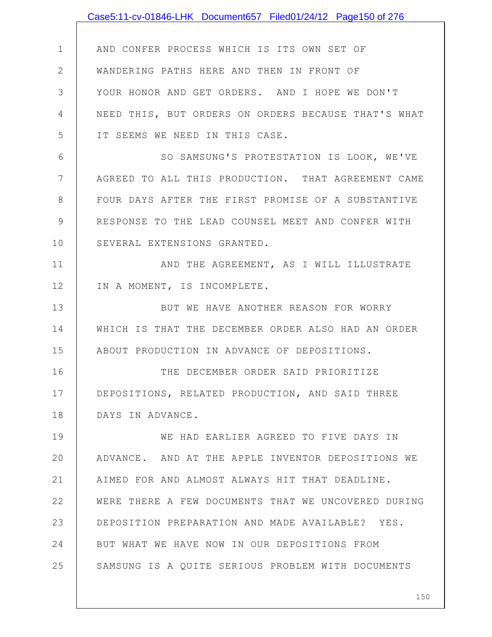|                | Case5:11-cv-01846-LHK Document657 Filed01/24/12 Page150 of 276 |
|----------------|----------------------------------------------------------------|
|                |                                                                |
| $\mathbf 1$    | AND CONFER PROCESS WHICH IS ITS OWN SET OF                     |
| $\mathbf{2}$   | WANDERING PATHS HERE AND THEN IN FRONT OF                      |
| 3              | YOUR HONOR AND GET ORDERS. AND I HOPE WE DON'T                 |
| 4              | NEED THIS, BUT ORDERS ON ORDERS BECAUSE THAT'S WHAT            |
| 5              | IT SEEMS WE NEED IN THIS CASE.                                 |
| 6              | SO SAMSUNG'S PROTESTATION IS LOOK, WE'VE                       |
| $7\phantom{.}$ | AGREED TO ALL THIS PRODUCTION. THAT AGREEMENT CAME             |
| $8\,$          | FOUR DAYS AFTER THE FIRST PROMISE OF A SUBSTANTIVE             |
| 9              | RESPONSE TO THE LEAD COUNSEL MEET AND CONFER WITH              |
| 10             | SEVERAL EXTENSIONS GRANTED.                                    |
| 11             | AND THE AGREEMENT, AS I WILL ILLUSTRATE                        |
| 12             | IN A MOMENT, IS INCOMPLETE.                                    |
| 13             | BUT WE HAVE ANOTHER REASON FOR WORRY                           |
| 14             | WHICH IS THAT THE DECEMBER ORDER ALSO HAD AN ORDER             |
| 15             | ABOUT PRODUCTION IN ADVANCE OF DEPOSITIONS.                    |
| 16             | THE DECEMBER ORDER SAID PRIORITIZE                             |
| 17             | DEPOSITIONS, RELATED PRODUCTION, AND SAID THREE                |
| 18             | DAYS IN ADVANCE.                                               |
| 19             | WE HAD EARLIER AGREED TO FIVE DAYS IN                          |
| 20             | ADVANCE. AND AT THE APPLE INVENTOR DEPOSITIONS WE              |
| 21             | AIMED FOR AND ALMOST ALWAYS HIT THAT DEADLINE.                 |
| 22             | WERE THERE A FEW DOCUMENTS THAT WE UNCOVERED DURING            |
| 23             | DEPOSITION PREPARATION AND MADE AVAILABLE? YES.                |
| 24             | BUT WHAT WE HAVE NOW IN OUR DEPOSITIONS FROM                   |
| 25             | SAMSUNG IS A QUITE SERIOUS PROBLEM WITH DOCUMENTS              |
|                |                                                                |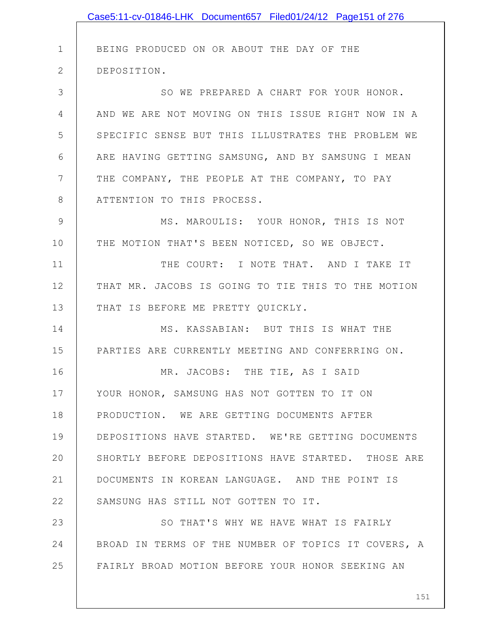|               | Case5:11-cv-01846-LHK Document657 Filed01/24/12 Page151 of 276 |
|---------------|----------------------------------------------------------------|
|               |                                                                |
| $\mathbf 1$   | BEING PRODUCED ON OR ABOUT THE DAY OF THE                      |
| $\mathbf{2}$  | DEPOSITION.                                                    |
| 3             | SO WE PREPARED A CHART FOR YOUR HONOR.                         |
| 4             | AND WE ARE NOT MOVING ON THIS ISSUE RIGHT NOW IN A             |
| 5             | SPECIFIC SENSE BUT THIS ILLUSTRATES THE PROBLEM WE             |
| 6             | ARE HAVING GETTING SAMSUNG, AND BY SAMSUNG I MEAN              |
| 7             | THE COMPANY, THE PEOPLE AT THE COMPANY, TO PAY                 |
| $8\,$         | ATTENTION TO THIS PROCESS.                                     |
| $\mathcal{G}$ | MS. MAROULIS: YOUR HONOR, THIS IS NOT                          |
| 10            | THE MOTION THAT'S BEEN NOTICED, SO WE OBJECT.                  |
| 11            | THE COURT: I NOTE THAT. AND I TAKE IT                          |
| 12            | THAT MR. JACOBS IS GOING TO TIE THIS TO THE MOTION             |
| 13            | THAT IS BEFORE ME PRETTY QUICKLY.                              |
| 14            | MS. KASSABIAN: BUT THIS IS WHAT THE                            |
| 15            | PARTIES ARE CURRENTLY MEETING AND CONFERRING ON.               |
| 16            | MR. JACOBS: THE TIE, AS I SAID                                 |
| 17            | YOUR HONOR, SAMSUNG HAS NOT GOTTEN TO IT ON                    |
| 18            | PRODUCTION. WE ARE GETTING DOCUMENTS AFTER                     |
| 19            | DEPOSITIONS HAVE STARTED. WE'RE GETTING DOCUMENTS              |
| 20            | SHORTLY BEFORE DEPOSITIONS HAVE STARTED. THOSE ARE             |
| 21            | DOCUMENTS IN KOREAN LANGUAGE. AND THE POINT IS                 |
| 22            | SAMSUNG HAS STILL NOT GOTTEN TO IT.                            |
| 23            | SO THAT'S WHY WE HAVE WHAT IS FAIRLY                           |
| 24            | BROAD IN TERMS OF THE NUMBER OF TOPICS IT COVERS, A            |
| 25            | FAIRLY BROAD MOTION BEFORE YOUR HONOR SEEKING AN               |
|               |                                                                |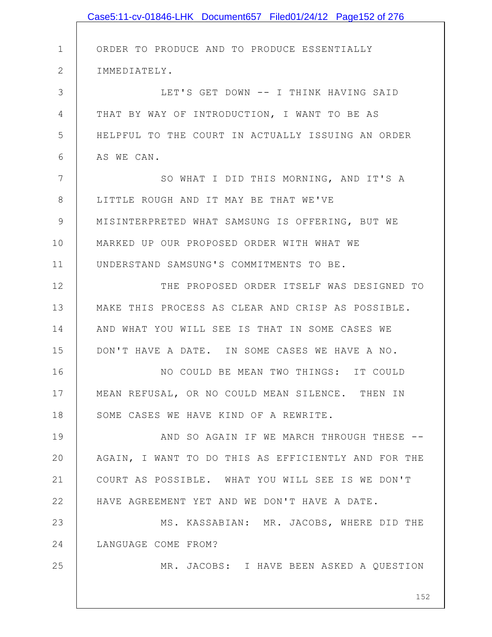|              | Case5:11-cv-01846-LHK Document657 Filed01/24/12 Page152 of 276 |
|--------------|----------------------------------------------------------------|
|              |                                                                |
| $\mathbf 1$  | ORDER TO PRODUCE AND TO PRODUCE ESSENTIALLY                    |
| $\mathbf{2}$ | IMMEDIATELY.                                                   |
| 3            | LET'S GET DOWN -- I THINK HAVING SAID                          |
| 4            | THAT BY WAY OF INTRODUCTION, I WANT TO BE AS                   |
| 5            | HELPFUL TO THE COURT IN ACTUALLY ISSUING AN ORDER              |
| 6            | AS WE CAN.                                                     |
| 7            | SO WHAT I DID THIS MORNING, AND IT'S A                         |
| 8            | LITTLE ROUGH AND IT MAY BE THAT WE'VE                          |
| $\mathsf 9$  | MISINTERPRETED WHAT SAMSUNG IS OFFERING, BUT WE                |
| 10           | MARKED UP OUR PROPOSED ORDER WITH WHAT WE                      |
| 11           | UNDERSTAND SAMSUNG'S COMMITMENTS TO BE.                        |
| 12           | THE PROPOSED ORDER ITSELF WAS DESIGNED TO                      |
| 13           | MAKE THIS PROCESS AS CLEAR AND CRISP AS POSSIBLE.              |
| 14           | AND WHAT YOU WILL SEE IS THAT IN SOME CASES WE                 |
| 15           | DON'T HAVE A DATE. IN SOME CASES WE HAVE A NO.                 |
| 16           | NO COULD BE MEAN TWO THINGS: IT COULD                          |
| 17           | MEAN REFUSAL, OR NO COULD MEAN SILENCE. THEN IN                |
| 18           | SOME CASES WE HAVE KIND OF A REWRITE.                          |
| 19           | AND SO AGAIN IF WE MARCH THROUGH THESE --                      |
| 20           | AGAIN, I WANT TO DO THIS AS EFFICIENTLY AND FOR THE            |
| 21           | COURT AS POSSIBLE. WHAT YOU WILL SEE IS WE DON'T               |
| 22           | HAVE AGREEMENT YET AND WE DON'T HAVE A DATE.                   |
| 23           | MS. KASSABIAN: MR. JACOBS, WHERE DID THE                       |
| 24           | LANGUAGE COME FROM?                                            |
| 25           | MR. JACOBS: I HAVE BEEN ASKED A QUESTION                       |
|              |                                                                |
|              | 152                                                            |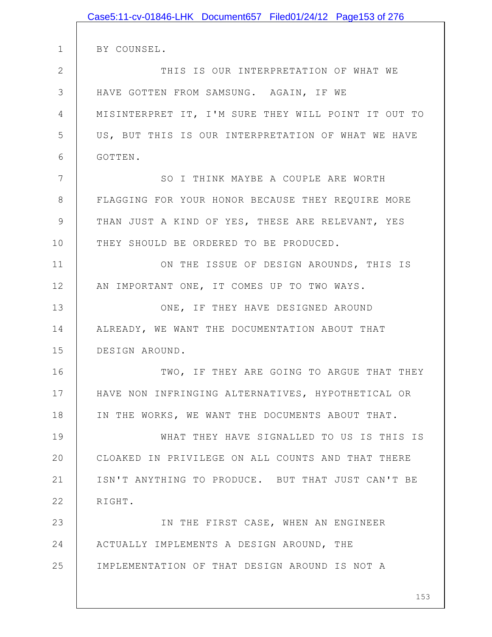|              | Case5:11-cv-01846-LHK Document657 Filed01/24/12 Page153 of 276 |
|--------------|----------------------------------------------------------------|
|              |                                                                |
| $\mathbf 1$  | BY COUNSEL.                                                    |
| $\mathbf{2}$ | THIS IS OUR INTERPRETATION OF WHAT WE                          |
| 3            | HAVE GOTTEN FROM SAMSUNG. AGAIN, IF WE                         |
| 4            | MISINTERPRET IT, I'M SURE THEY WILL POINT IT OUT TO            |
| 5            | US, BUT THIS IS OUR INTERPRETATION OF WHAT WE HAVE             |
| 6            | GOTTEN.                                                        |
| 7            | SO I THINK MAYBE A COUPLE ARE WORTH                            |
| 8            | FLAGGING FOR YOUR HONOR BECAUSE THEY REQUIRE MORE              |
| 9            | THAN JUST A KIND OF YES, THESE ARE RELEVANT, YES               |
| 10           | THEY SHOULD BE ORDERED TO BE PRODUCED.                         |
| 11           | ON THE ISSUE OF DESIGN AROUNDS, THIS IS                        |
| 12           | AN IMPORTANT ONE, IT COMES UP TO TWO WAYS.                     |
| 13           | ONE, IF THEY HAVE DESIGNED AROUND                              |
| 14           | ALREADY, WE WANT THE DOCUMENTATION ABOUT THAT                  |
| 15           | DESIGN AROUND.                                                 |
| 16           | TWO, IF THEY ARE GOING TO ARGUE THAT THEY                      |
| 17           | HAVE NON INFRINGING ALTERNATIVES, HYPOTHETICAL OR              |
| 18           | IN THE WORKS, WE WANT THE DOCUMENTS ABOUT THAT.                |
| 19           | WHAT THEY HAVE SIGNALLED TO US IS THIS IS                      |
| 20           | CLOAKED IN PRIVILEGE ON ALL COUNTS AND THAT THERE              |
| 21           | ISN'T ANYTHING TO PRODUCE. BUT THAT JUST CAN'T BE              |
| 22           | RIGHT.                                                         |
| 23           | IN THE FIRST CASE, WHEN AN ENGINEER                            |
| 24           | ACTUALLY IMPLEMENTS A DESIGN AROUND, THE                       |
| 25           | IMPLEMENTATION OF THAT DESIGN AROUND IS NOT A                  |
|              |                                                                |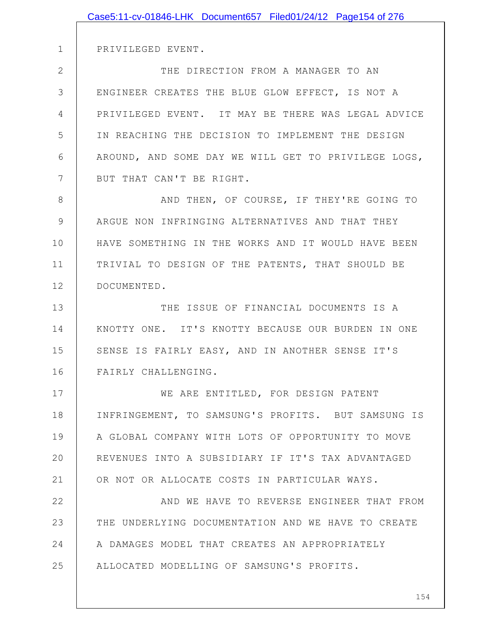|             | Case5:11-cv-01846-LHK Document657 Filed01/24/12 Page154 of 276 |
|-------------|----------------------------------------------------------------|
|             |                                                                |
| $\mathbf 1$ | PRIVILEGED EVENT.                                              |
| 2           | THE DIRECTION FROM A MANAGER TO AN                             |
| 3           | ENGINEER CREATES THE BLUE GLOW EFFECT, IS NOT A                |
| 4           | PRIVILEGED EVENT. IT MAY BE THERE WAS LEGAL ADVICE             |
| 5           | IN REACHING THE DECISION TO IMPLEMENT THE DESIGN               |
| 6           | AROUND, AND SOME DAY WE WILL GET TO PRIVILEGE LOGS,            |
| 7           | BUT THAT CAN'T BE RIGHT.                                       |
| 8           | AND THEN, OF COURSE, IF THEY'RE GOING TO                       |
| 9           | ARGUE NON INFRINGING ALTERNATIVES AND THAT THEY                |
| 10          | HAVE SOMETHING IN THE WORKS AND IT WOULD HAVE BEEN             |
| 11          | TRIVIAL TO DESIGN OF THE PATENTS, THAT SHOULD BE               |
| 12          | DOCUMENTED.                                                    |
| 13          | THE ISSUE OF FINANCIAL DOCUMENTS IS A                          |
| 14          | KNOTTY ONE. IT'S KNOTTY BECAUSE OUR BURDEN IN ONE              |
| 15          | SENSE IS FAIRLY EASY, AND IN ANOTHER SENSE IT'S                |
| 16          | FAIRLY CHALLENGING.                                            |
| 17          | WE ARE ENTITLED, FOR DESIGN PATENT                             |
| 18          | INFRINGEMENT, TO SAMSUNG'S PROFITS. BUT SAMSUNG IS             |
| 19          | A GLOBAL COMPANY WITH LOTS OF OPPORTUNITY TO MOVE              |
| 20          | REVENUES INTO A SUBSIDIARY IF IT'S TAX ADVANTAGED              |
| 21          | OR NOT OR ALLOCATE COSTS IN PARTICULAR WAYS.                   |
| 22          | AND WE HAVE TO REVERSE ENGINEER THAT FROM                      |
| 23          | THE UNDERLYING DOCUMENTATION AND WE HAVE TO CREATE             |
| 24          | A DAMAGES MODEL THAT CREATES AN APPROPRIATELY                  |
| 25          | ALLOCATED MODELLING OF SAMSUNG'S PROFITS.                      |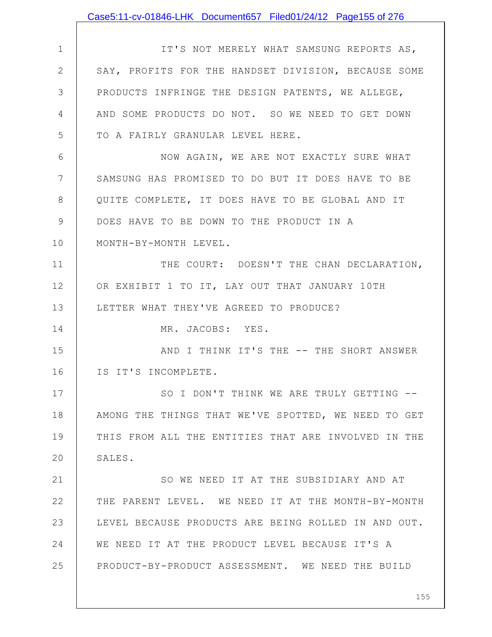|               | Case5:11-cv-01846-LHK Document657 Filed01/24/12 Page155 of 276 |
|---------------|----------------------------------------------------------------|
|               |                                                                |
| $\mathbf 1$   | IT'S NOT MERELY WHAT SAMSUNG REPORTS AS,                       |
| $\mathbf{2}$  | SAY, PROFITS FOR THE HANDSET DIVISION, BECAUSE SOME            |
| 3             | PRODUCTS INFRINGE THE DESIGN PATENTS, WE ALLEGE,               |
| 4             | AND SOME PRODUCTS DO NOT. SO WE NEED TO GET DOWN               |
| 5             | TO A FAIRLY GRANULAR LEVEL HERE.                               |
| 6             | NOW AGAIN, WE ARE NOT EXACTLY SURE WHAT                        |
| 7             | SAMSUNG HAS PROMISED TO DO BUT IT DOES HAVE TO BE              |
| 8             | QUITE COMPLETE, IT DOES HAVE TO BE GLOBAL AND IT               |
| $\mathcal{G}$ | DOES HAVE TO BE DOWN TO THE PRODUCT IN A                       |
| 10            | MONTH-BY-MONTH LEVEL.                                          |
| 11            | THE COURT: DOESN'T THE CHAN DECLARATION,                       |
| 12            | OR EXHIBIT 1 TO IT, LAY OUT THAT JANUARY 10TH                  |
| 13            | LETTER WHAT THEY'VE AGREED TO PRODUCE?                         |
| 14            | MR. JACOBS: YES.                                               |
| 15            | AND I THINK IT'S THE -- THE SHORT ANSWER                       |
| 16            | IS IT'S INCOMPLETE.                                            |
| 17            | SO I DON'T THINK WE ARE TRULY GETTING --                       |
| 18            | AMONG THE THINGS THAT WE'VE SPOTTED, WE NEED TO GET            |
| 19            | THIS FROM ALL THE ENTITIES THAT ARE INVOLVED IN THE            |
| 20            | SALES.                                                         |
| 21            | SO WE NEED IT AT THE SUBSIDIARY AND AT                         |
| 22            | THE PARENT LEVEL. WE NEED IT AT THE MONTH-BY-MONTH             |
| 23            | LEVEL BECAUSE PRODUCTS ARE BEING ROLLED IN AND OUT.            |
| 24            | WE NEED IT AT THE PRODUCT LEVEL BECAUSE IT'S A                 |
| 25            | PRODUCT-BY-PRODUCT ASSESSMENT. WE NEED THE BUILD               |
|               |                                                                |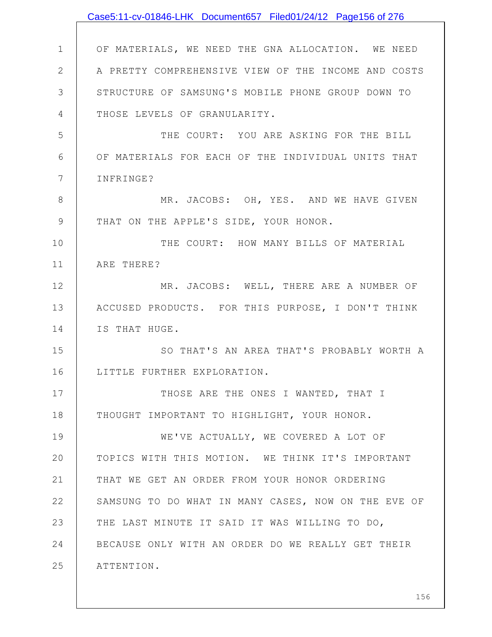|               | Case5:11-cv-01846-LHK Document657 Filed01/24/12 Page156 of 276 |
|---------------|----------------------------------------------------------------|
|               |                                                                |
| $\mathbf 1$   | OF MATERIALS, WE NEED THE GNA ALLOCATION. WE NEED              |
| $\mathbf{2}$  | A PRETTY COMPREHENSIVE VIEW OF THE INCOME AND COSTS            |
| 3             | STRUCTURE OF SAMSUNG'S MOBILE PHONE GROUP DOWN TO              |
| 4             | THOSE LEVELS OF GRANULARITY.                                   |
| 5             | THE COURT: YOU ARE ASKING FOR THE BILL                         |
| 6             | OF MATERIALS FOR EACH OF THE INDIVIDUAL UNITS THAT             |
| 7             | INFRINGE?                                                      |
| 8             | MR. JACOBS: OH, YES. AND WE HAVE GIVEN                         |
| $\mathcal{G}$ | THAT ON THE APPLE'S SIDE, YOUR HONOR.                          |
| 10            | THE COURT: HOW MANY BILLS OF MATERIAL                          |
| 11            | ARE THERE?                                                     |
| 12            | MR. JACOBS: WELL, THERE ARE A NUMBER OF                        |
| 13            | ACCUSED PRODUCTS. FOR THIS PURPOSE, I DON'T THINK              |
| 14            | IS THAT HUGE.                                                  |
| 15            | SO THAT'S AN AREA THAT'S PROBABLY WORTH A                      |
| 16            | LITTLE FURTHER EXPLORATION.                                    |
| 17            | THOSE ARE THE ONES I WANTED, THAT I                            |
| 18            | THOUGHT IMPORTANT TO HIGHLIGHT, YOUR HONOR.                    |
| 19            | WE'VE ACTUALLY, WE COVERED A LOT OF                            |
| 20            | TOPICS WITH THIS MOTION. WE THINK IT'S IMPORTANT               |
| 21            | THAT WE GET AN ORDER FROM YOUR HONOR ORDERING                  |
| 22            | SAMSUNG TO DO WHAT IN MANY CASES, NOW ON THE EVE OF            |
| 23            | THE LAST MINUTE IT SAID IT WAS WILLING TO DO,                  |
| 24            | BECAUSE ONLY WITH AN ORDER DO WE REALLY GET THEIR              |
| 25            | ATTENTION.                                                     |
|               |                                                                |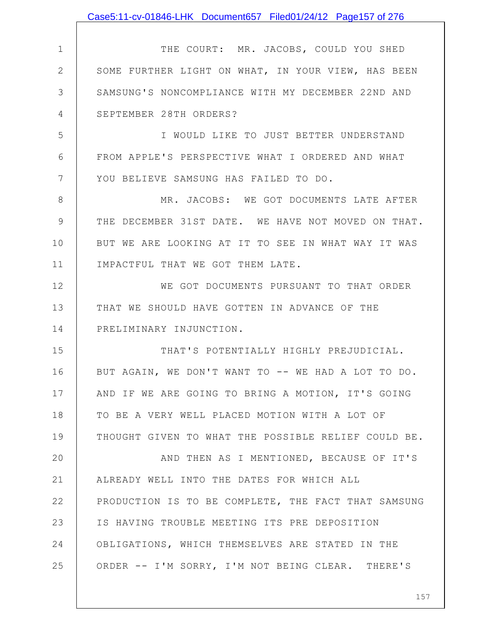|              | Case5:11-cv-01846-LHK Document657 Filed01/24/12 Page157 of 276 |
|--------------|----------------------------------------------------------------|
|              |                                                                |
| $\mathbf 1$  | THE COURT: MR. JACOBS, COULD YOU SHED                          |
| $\mathbf{2}$ | SOME FURTHER LIGHT ON WHAT, IN YOUR VIEW, HAS BEEN             |
| 3            | SAMSUNG'S NONCOMPLIANCE WITH MY DECEMBER 22ND AND              |
| 4            | SEPTEMBER 28TH ORDERS?                                         |
| 5            | I WOULD LIKE TO JUST BETTER UNDERSTAND                         |
| 6            | FROM APPLE'S PERSPECTIVE WHAT I ORDERED AND WHAT               |
| 7            | YOU BELIEVE SAMSUNG HAS FAILED TO DO.                          |
| 8            | MR. JACOBS: WE GOT DOCUMENTS LATE AFTER                        |
| 9            | THE DECEMBER 31ST DATE. WE HAVE NOT MOVED ON THAT.             |
| 10           | BUT WE ARE LOOKING AT IT TO SEE IN WHAT WAY IT WAS             |
| 11           | IMPACTFUL THAT WE GOT THEM LATE.                               |
| 12           | WE GOT DOCUMENTS PURSUANT TO THAT ORDER                        |
| 13           | THAT WE SHOULD HAVE GOTTEN IN ADVANCE OF THE                   |
| 14           | PRELIMINARY INJUNCTION.                                        |
| 15           | THAT'S POTENTIALLY HIGHLY PREJUDICIAL.                         |
| 16           | BUT AGAIN, WE DON'T WANT TO -- WE HAD A LOT TO DO.             |
| 17           | AND IF WE ARE GOING TO BRING A MOTION, IT'S GOING              |
| 18           | TO BE A VERY WELL PLACED MOTION WITH A LOT OF                  |
| 19           | THOUGHT GIVEN TO WHAT THE POSSIBLE RELIEF COULD BE.            |
| 20           | AND THEN AS I MENTIONED, BECAUSE OF IT'S                       |
| 21           | ALREADY WELL INTO THE DATES FOR WHICH ALL                      |
| 22           | PRODUCTION IS TO BE COMPLETE, THE FACT THAT SAMSUNG            |
| 23           | IS HAVING TROUBLE MEETING ITS PRE DEPOSITION                   |
| 24           | OBLIGATIONS, WHICH THEMSELVES ARE STATED IN THE                |
| 25           | ORDER -- I'M SORRY, I'M NOT BEING CLEAR. THERE'S               |
|              |                                                                |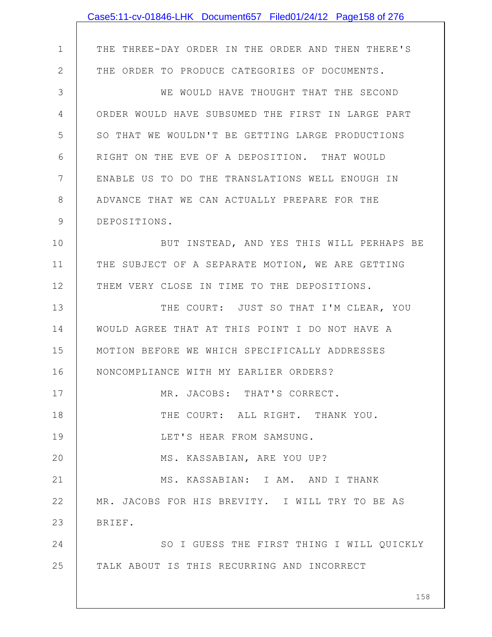|              | Case5:11-cv-01846-LHK Document657 Filed01/24/12 Page158 of 276 |
|--------------|----------------------------------------------------------------|
|              |                                                                |
| $\mathbf 1$  | THE THREE-DAY ORDER IN THE ORDER AND THEN THERE'S              |
| $\mathbf{2}$ | THE ORDER TO PRODUCE CATEGORIES OF DOCUMENTS.                  |
| 3            | WE WOULD HAVE THOUGHT THAT THE SECOND                          |
| 4            | ORDER WOULD HAVE SUBSUMED THE FIRST IN LARGE PART              |
| 5            | SO THAT WE WOULDN'T BE GETTING LARGE PRODUCTIONS               |
| 6            | RIGHT ON THE EVE OF A DEPOSITION. THAT WOULD                   |
| 7            | ENABLE US TO DO THE TRANSLATIONS WELL ENOUGH IN                |
| 8            | ADVANCE THAT WE CAN ACTUALLY PREPARE FOR THE                   |
| 9            | DEPOSITIONS.                                                   |
| 10           | BUT INSTEAD, AND YES THIS WILL PERHAPS BE                      |
| 11           | THE SUBJECT OF A SEPARATE MOTION, WE ARE GETTING               |
| 12           | THEM VERY CLOSE IN TIME TO THE DEPOSITIONS.                    |
| 13           | THE COURT: JUST SO THAT I'M CLEAR, YOU                         |
| 14           | WOULD AGREE THAT AT THIS POINT I DO NOT HAVE A                 |
| 15           | MOTION BEFORE WE WHICH SPECIFICALLY ADDRESSES                  |
| 16           | NONCOMPLIANCE WITH MY EARLIER ORDERS?                          |
| 17           | MR. JACOBS: THAT'S CORRECT.                                    |
| 18           | THE COURT: ALL RIGHT. THANK YOU.                               |
| 19           | LET'S HEAR FROM SAMSUNG.                                       |
| 20           | MS. KASSABIAN, ARE YOU UP?                                     |
| 21           | MS. KASSABIAN: I AM. AND I THANK                               |
| 22           | MR. JACOBS FOR HIS BREVITY. I WILL TRY TO BE AS                |
| 23           | BRIEF.                                                         |
| 24           | SO I GUESS THE FIRST THING I WILL QUICKLY                      |
| 25           | TALK ABOUT IS THIS RECURRING AND INCORRECT                     |
|              |                                                                |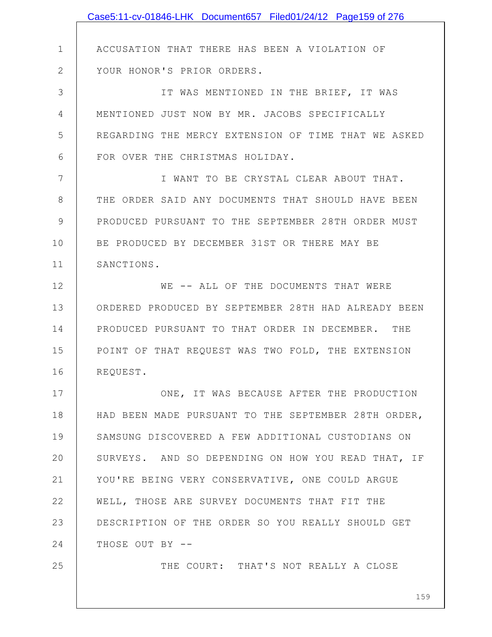|              | Case5:11-cv-01846-LHK Document657 Filed01/24/12 Page159 of 276 |
|--------------|----------------------------------------------------------------|
|              |                                                                |
| $\mathbf 1$  | ACCUSATION THAT THERE HAS BEEN A VIOLATION OF                  |
| $\mathbf{2}$ | YOUR HONOR'S PRIOR ORDERS.                                     |
| 3            | IT WAS MENTIONED IN THE BRIEF, IT WAS                          |
| 4            | MENTIONED JUST NOW BY MR. JACOBS SPECIFICALLY                  |
| 5            | REGARDING THE MERCY EXTENSION OF TIME THAT WE ASKED            |
| 6            | FOR OVER THE CHRISTMAS HOLIDAY.                                |
| 7            | I WANT TO BE CRYSTAL CLEAR ABOUT THAT.                         |
| 8            | THE ORDER SAID ANY DOCUMENTS THAT SHOULD HAVE BEEN             |
| 9            | PRODUCED PURSUANT TO THE SEPTEMBER 28TH ORDER MUST             |
| 10           | BE PRODUCED BY DECEMBER 31ST OR THERE MAY BE                   |
| 11           | SANCTIONS.                                                     |
| 12           | WE -- ALL OF THE DOCUMENTS THAT WERE                           |
| 13           | ORDERED PRODUCED BY SEPTEMBER 28TH HAD ALREADY BEEN            |
| 14           | PRODUCED PURSUANT TO THAT ORDER IN DECEMBER. THE               |
| 15           | POINT OF THAT REQUEST WAS TWO FOLD, THE EXTENSION              |
| 16           | REQUEST.                                                       |
| 17           | ONE, IT WAS BECAUSE AFTER THE PRODUCTION                       |
| 18           | HAD BEEN MADE PURSUANT TO THE SEPTEMBER 28TH ORDER,            |
| 19           | SAMSUNG DISCOVERED A FEW ADDITIONAL CUSTODIANS ON              |
| 20           | SURVEYS. AND SO DEPENDING ON HOW YOU READ THAT, IF             |
| 21           | YOU'RE BEING VERY CONSERVATIVE, ONE COULD ARGUE                |
| 22           | WELL, THOSE ARE SURVEY DOCUMENTS THAT FIT THE                  |
| 23           | DESCRIPTION OF THE ORDER SO YOU REALLY SHOULD GET              |
| 24           | THOSE OUT BY --                                                |
| 25           | THE COURT: THAT'S NOT REALLY A CLOSE                           |
|              |                                                                |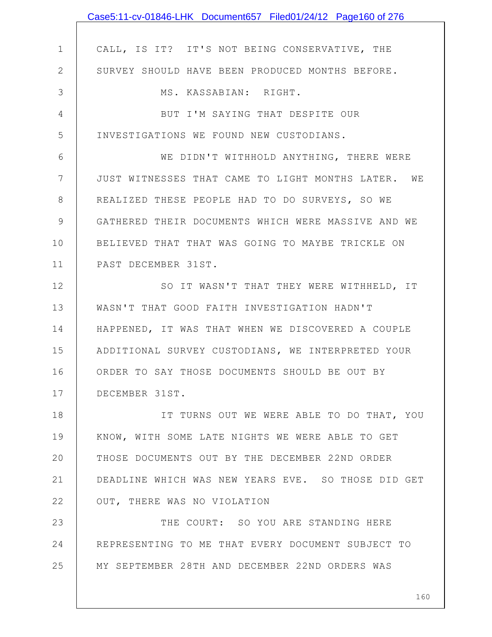|                | Case5:11-cv-01846-LHK Document657 Filed01/24/12 Page160 of 276 |
|----------------|----------------------------------------------------------------|
|                |                                                                |
| $\mathbf 1$    | CALL, IS IT? IT'S NOT BEING CONSERVATIVE, THE                  |
| $\overline{2}$ | SURVEY SHOULD HAVE BEEN PRODUCED MONTHS BEFORE.                |
| 3              | MS. KASSABIAN: RIGHT.                                          |
| 4              | BUT I'M SAYING THAT DESPITE OUR                                |
| 5              | INVESTIGATIONS WE FOUND NEW CUSTODIANS.                        |
| 6              | WE DIDN'T WITHHOLD ANYTHING, THERE WERE                        |
| 7              | JUST WITNESSES THAT CAME TO LIGHT MONTHS LATER. WE             |
| 8              | REALIZED THESE PEOPLE HAD TO DO SURVEYS, SO WE                 |
| 9              | GATHERED THEIR DOCUMENTS WHICH WERE MASSIVE AND WE             |
| 10             | BELIEVED THAT THAT WAS GOING TO MAYBE TRICKLE ON               |
| 11             | PAST DECEMBER 31ST.                                            |
| 12             | SO IT WASN'T THAT THEY WERE WITHHELD, IT                       |
| 13             | WASN'T THAT GOOD FAITH INVESTIGATION HADN'T                    |
| 14             | HAPPENED, IT WAS THAT WHEN WE DISCOVERED A COUPLE              |
| 15             | ADDITIONAL SURVEY CUSTODIANS, WE INTERPRETED YOUR              |
| 16             | ORDER TO SAY THOSE DOCUMENTS SHOULD BE OUT BY                  |
| 17             | DECEMBER 31ST.                                                 |
| 18             | IT TURNS OUT WE WERE ABLE TO DO THAT, YOU                      |
| 19             | KNOW, WITH SOME LATE NIGHTS WE WERE ABLE TO GET                |
| 20             | THOSE DOCUMENTS OUT BY THE DECEMBER 22ND ORDER                 |
| 21             | DEADLINE WHICH WAS NEW YEARS EVE. SO THOSE DID GET             |
| 22             | OUT, THERE WAS NO VIOLATION                                    |
| 23             | THE COURT: SO YOU ARE STANDING HERE                            |
| 24             | REPRESENTING TO ME THAT EVERY DOCUMENT SUBJECT TO              |
| 25             | MY SEPTEMBER 28TH AND DECEMBER 22ND ORDERS WAS                 |
|                |                                                                |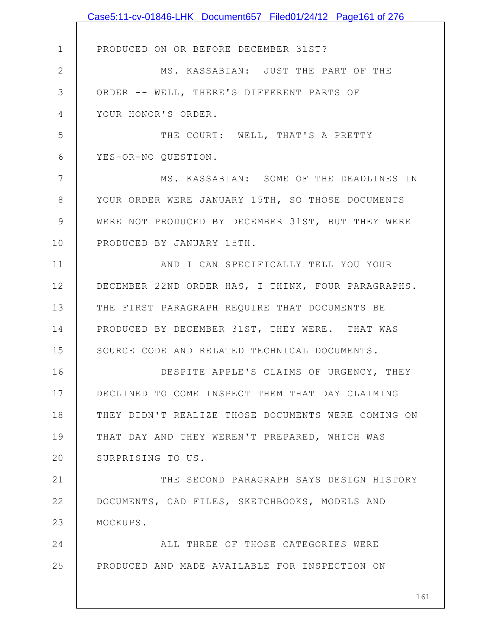|                | Case5:11-cv-01846-LHK Document657 Filed01/24/12 Page161 of 276 |
|----------------|----------------------------------------------------------------|
|                |                                                                |
| $\mathbf 1$    | PRODUCED ON OR BEFORE DECEMBER 31ST?                           |
| $\overline{2}$ | MS. KASSABIAN: JUST THE PART OF THE                            |
| 3              | ORDER -- WELL, THERE'S DIFFERENT PARTS OF                      |
| 4              | YOUR HONOR'S ORDER.                                            |
| 5              | THE COURT: WELL, THAT'S A PRETTY                               |
| 6              | YES-OR-NO QUESTION.                                            |
| 7              | MS. KASSABIAN: SOME OF THE DEADLINES IN                        |
| 8              | YOUR ORDER WERE JANUARY 15TH, SO THOSE DOCUMENTS               |
| 9              | WERE NOT PRODUCED BY DECEMBER 31ST, BUT THEY WERE              |
| 10             | PRODUCED BY JANUARY 15TH.                                      |
| 11             | AND I CAN SPECIFICALLY TELL YOU YOUR                           |
| 12             | DECEMBER 22ND ORDER HAS, I THINK, FOUR PARAGRAPHS.             |
| 13             | THE FIRST PARAGRAPH REQUIRE THAT DOCUMENTS BE                  |
| 14             | PRODUCED BY DECEMBER 31ST, THEY WERE. THAT WAS                 |
| 15             | SOURCE CODE AND RELATED TECHNICAL DOCUMENTS.                   |
| 16             | DESPITE APPLE'S CLAIMS OF URGENCY, THEY                        |
| 17             | DECLINED TO COME INSPECT THEM THAT DAY CLAIMING                |
| 18             | THEY DIDN'T REALIZE THOSE DOCUMENTS WERE COMING ON             |
| 19             | THAT DAY AND THEY WEREN'T PREPARED, WHICH WAS                  |
| 20             | SURPRISING TO US.                                              |
| 21             | THE SECOND PARAGRAPH SAYS DESIGN HISTORY                       |
| 22             | DOCUMENTS, CAD FILES, SKETCHBOOKS, MODELS AND                  |
| 23             | MOCKUPS.                                                       |
| 24             | ALL THREE OF THOSE CATEGORIES WERE                             |
| 25             | PRODUCED AND MADE AVAILABLE FOR INSPECTION ON                  |
|                | 161                                                            |
|                |                                                                |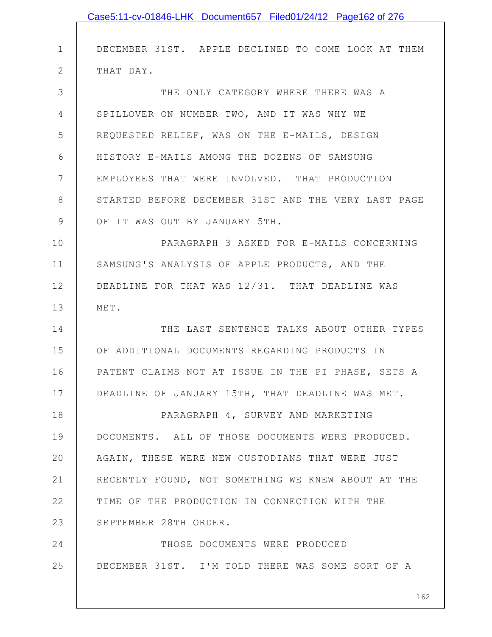|               | Case5:11-cv-01846-LHK Document657 Filed01/24/12 Page162 of 276 |
|---------------|----------------------------------------------------------------|
|               |                                                                |
| $\mathbf 1$   | DECEMBER 31ST. APPLE DECLINED TO COME LOOK AT THEM             |
| $\mathbf{2}$  | THAT DAY.                                                      |
| 3             | THE ONLY CATEGORY WHERE THERE WAS A                            |
| 4             | SPILLOVER ON NUMBER TWO, AND IT WAS WHY WE                     |
| 5             | REQUESTED RELIEF, WAS ON THE E-MAILS, DESIGN                   |
| 6             | HISTORY E-MAILS AMONG THE DOZENS OF SAMSUNG                    |
| 7             | EMPLOYEES THAT WERE INVOLVED. THAT PRODUCTION                  |
| 8             | STARTED BEFORE DECEMBER 31ST AND THE VERY LAST PAGE            |
| $\mathcal{G}$ | OF IT WAS OUT BY JANUARY 5TH.                                  |
| 10            | PARAGRAPH 3 ASKED FOR E-MAILS CONCERNING                       |
| 11            | SAMSUNG'S ANALYSIS OF APPLE PRODUCTS, AND THE                  |
| 12            | DEADLINE FOR THAT WAS 12/31. THAT DEADLINE WAS                 |
| 13            | MET.                                                           |
| 14            | THE LAST SENTENCE TALKS ABOUT OTHER TYPES                      |
| 15            | OF ADDITIONAL DOCUMENTS REGARDING PRODUCTS IN                  |
| 16            | PATENT CLAIMS NOT AT ISSUE IN THE PI PHASE, SETS A             |
| 17            | DEADLINE OF JANUARY 15TH, THAT DEADLINE WAS MET.               |
| 18            | PARAGRAPH 4, SURVEY AND MARKETING                              |
| 19            | DOCUMENTS. ALL OF THOSE DOCUMENTS WERE PRODUCED.               |
| 20            | AGAIN, THESE WERE NEW CUSTODIANS THAT WERE JUST                |
| 21            | RECENTLY FOUND, NOT SOMETHING WE KNEW ABOUT AT THE             |
| 22            | TIME OF THE PRODUCTION IN CONNECTION WITH THE                  |
| 23            | SEPTEMBER 28TH ORDER.                                          |
| 24            | THOSE DOCUMENTS WERE PRODUCED                                  |
| 25            | DECEMBER 31ST. I'M TOLD THERE WAS SOME SORT OF A               |
|               |                                                                |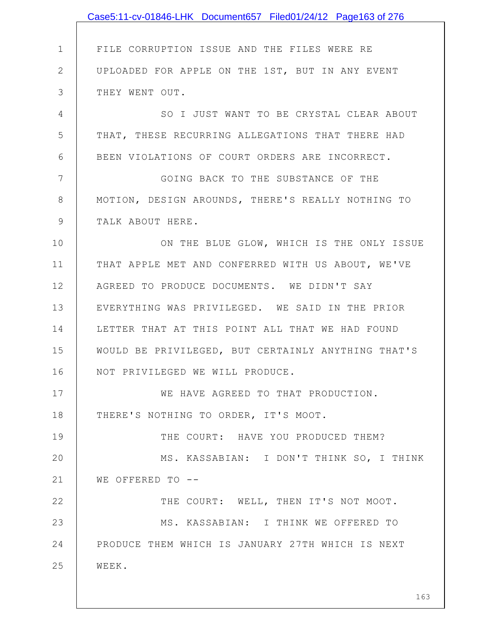|                | Case5:11-cv-01846-LHK Document657 Filed01/24/12 Page163 of 276 |
|----------------|----------------------------------------------------------------|
|                |                                                                |
| $\mathbf 1$    | FILE CORRUPTION ISSUE AND THE FILES WERE RE                    |
| $\overline{2}$ | UPLOADED FOR APPLE ON THE 1ST, BUT IN ANY EVENT                |
| 3              | THEY WENT OUT.                                                 |
| 4              | SO I JUST WANT TO BE CRYSTAL CLEAR ABOUT                       |
| 5              | THAT, THESE RECURRING ALLEGATIONS THAT THERE HAD               |
| 6              | BEEN VIOLATIONS OF COURT ORDERS ARE INCORRECT.                 |
| 7              | GOING BACK TO THE SUBSTANCE OF THE                             |
| 8              | MOTION, DESIGN AROUNDS, THERE'S REALLY NOTHING TO              |
| 9              | TALK ABOUT HERE.                                               |
| 10             | ON THE BLUE GLOW, WHICH IS THE ONLY ISSUE                      |
| 11             | THAT APPLE MET AND CONFERRED WITH US ABOUT, WE'VE              |
| 12             | AGREED TO PRODUCE DOCUMENTS. WE DIDN'T SAY                     |
| 13             | EVERYTHING WAS PRIVILEGED. WE SAID IN THE PRIOR                |
| 14             | LETTER THAT AT THIS POINT ALL THAT WE HAD FOUND                |
| 15             | WOULD BE PRIVILEGED, BUT CERTAINLY ANYTHING THAT'S             |
| 16             | NOT PRIVILEGED WE WILL PRODUCE.                                |
| 17             | WE HAVE AGREED TO THAT PRODUCTION.                             |
| 18             | THERE'S NOTHING TO ORDER, IT'S MOOT.                           |
| 19             | THE COURT: HAVE YOU PRODUCED THEM?                             |
| 20             | MS. KASSABIAN: I DON'T THINK SO, I THINK                       |
| 21             | WE OFFERED TO --                                               |
| 22             | THE COURT: WELL, THEN IT'S NOT MOOT.                           |
| 23             | MS. KASSABIAN: I THINK WE OFFERED TO                           |
| 24             | PRODUCE THEM WHICH IS JANUARY 27TH WHICH IS NEXT               |
| 25             | WEEK.                                                          |
|                |                                                                |
|                | 163                                                            |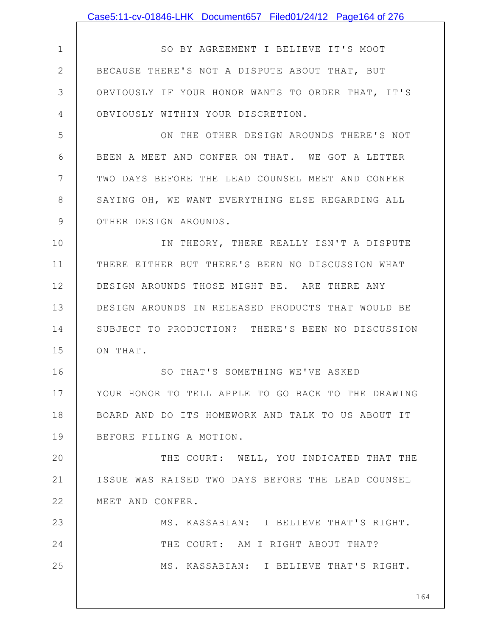|              | Case5:11-cv-01846-LHK Document657 Filed01/24/12 Page164 of 276 |
|--------------|----------------------------------------------------------------|
|              |                                                                |
| $\mathbf 1$  | SO BY AGREEMENT I BELIEVE IT'S MOOT                            |
| $\mathbf{2}$ | BECAUSE THERE'S NOT A DISPUTE ABOUT THAT, BUT                  |
| 3            | OBVIOUSLY IF YOUR HONOR WANTS TO ORDER THAT, IT'S              |
| 4            | OBVIOUSLY WITHIN YOUR DISCRETION.                              |
| 5            | ON THE OTHER DESIGN AROUNDS THERE'S NOT                        |
| 6            | BEEN A MEET AND CONFER ON THAT. WE GOT A LETTER                |
| 7            | TWO DAYS BEFORE THE LEAD COUNSEL MEET AND CONFER               |
| 8            | SAYING OH, WE WANT EVERYTHING ELSE REGARDING ALL               |
| 9            | OTHER DESIGN AROUNDS.                                          |
| 10           | IN THEORY, THERE REALLY ISN'T A DISPUTE                        |
| 11           | THERE EITHER BUT THERE'S BEEN NO DISCUSSION WHAT               |
| 12           | DESIGN AROUNDS THOSE MIGHT BE. ARE THERE ANY                   |
| 13           | DESIGN AROUNDS IN RELEASED PRODUCTS THAT WOULD BE              |
| 14           | SUBJECT TO PRODUCTION? THERE'S BEEN NO DISCUSSION              |
| 15           | ON THAT.                                                       |
| 16           | SO THAT'S SOMETHING WE'VE ASKED                                |
| 17           | YOUR HONOR TO TELL APPLE TO GO BACK TO THE DRAWING             |
| 18           | BOARD AND DO ITS HOMEWORK AND TALK TO US ABOUT IT              |
| 19           | BEFORE FILING A MOTION.                                        |
| 20           | THE COURT: WELL, YOU INDICATED THAT THE                        |
| 21           | ISSUE WAS RAISED TWO DAYS BEFORE THE LEAD COUNSEL              |
| 22           | MEET AND CONFER.                                               |
| 23           | MS. KASSABIAN: I BELIEVE THAT'S RIGHT.                         |
| 24           | THE COURT: AM I RIGHT ABOUT THAT?                              |
| 25           | MS. KASSABIAN: I BELIEVE THAT'S RIGHT.                         |
|              |                                                                |
|              | 164                                                            |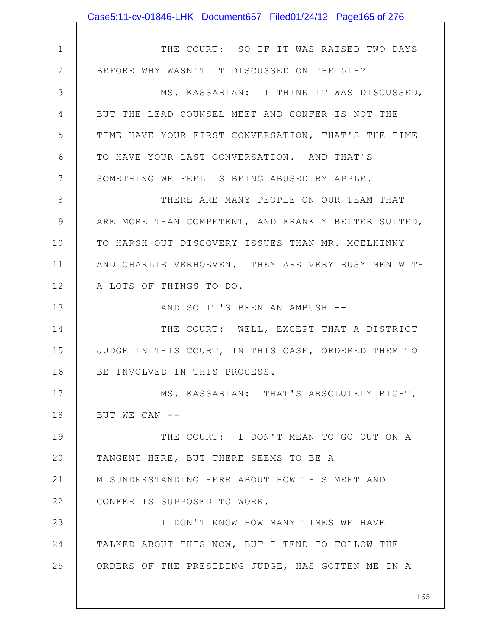|              | Case5:11-cv-01846-LHK Document657 Filed01/24/12 Page165 of 276 |
|--------------|----------------------------------------------------------------|
|              |                                                                |
| $\mathbf 1$  | THE COURT: SO IF IT WAS RAISED TWO DAYS                        |
| $\mathbf{2}$ | BEFORE WHY WASN'T IT DISCUSSED ON THE 5TH?                     |
| 3            | MS. KASSABIAN: I THINK IT WAS DISCUSSED,                       |
| 4            | BUT THE LEAD COUNSEL MEET AND CONFER IS NOT THE                |
| 5            | TIME HAVE YOUR FIRST CONVERSATION, THAT'S THE TIME             |
| 6            | TO HAVE YOUR LAST CONVERSATION. AND THAT'S                     |
| 7            | SOMETHING WE FEEL IS BEING ABUSED BY APPLE.                    |
| 8            | THERE ARE MANY PEOPLE ON OUR TEAM THAT                         |
| 9            | ARE MORE THAN COMPETENT, AND FRANKLY BETTER SUITED,            |
| 10           | TO HARSH OUT DISCOVERY ISSUES THAN MR. MCELHINNY               |
| 11           | AND CHARLIE VERHOEVEN. THEY ARE VERY BUSY MEN WITH             |
| 12           | A LOTS OF THINGS TO DO.                                        |
| 13           | AND SO IT'S BEEN AN AMBUSH --                                  |
| 14           | THE COURT: WELL, EXCEPT THAT A DISTRICT                        |
| 15           | JUDGE IN THIS COURT, IN THIS CASE, ORDERED THEM TO             |
| 16           | BE INVOLVED IN THIS PROCESS.                                   |
| 17           | MS. KASSABIAN: THAT'S ABSOLUTELY RIGHT,                        |
| 18           | BUT WE CAN --                                                  |
| 19           | THE COURT: I DON'T MEAN TO GO OUT ON A                         |
| 20           | TANGENT HERE, BUT THERE SEEMS TO BE A                          |
| 21           | MISUNDERSTANDING HERE ABOUT HOW THIS MEET AND                  |
| 22           | CONFER IS SUPPOSED TO WORK.                                    |
| 23           | I DON'T KNOW HOW MANY TIMES WE HAVE                            |
| 24           | TALKED ABOUT THIS NOW, BUT I TEND TO FOLLOW THE                |
| 25           | ORDERS OF THE PRESIDING JUDGE, HAS GOTTEN ME IN A              |
|              |                                                                |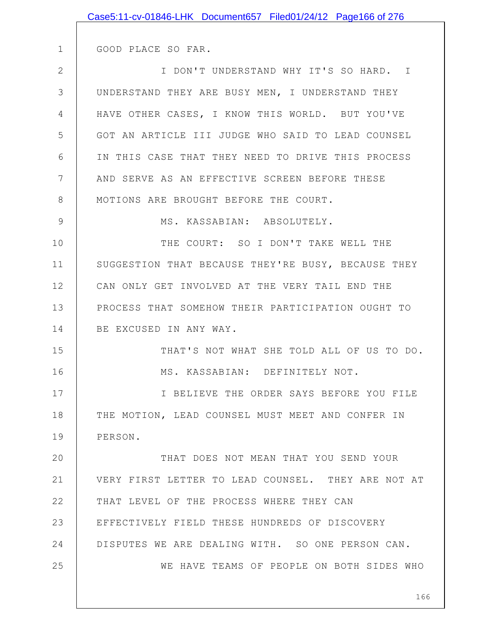|               | Case5:11-cv-01846-LHK Document657 Filed01/24/12 Page166 of 276 |
|---------------|----------------------------------------------------------------|
|               |                                                                |
| $\mathbf 1$   | GOOD PLACE SO FAR.                                             |
| $\mathbf{2}$  | I DON'T UNDERSTAND WHY IT'S SO HARD. I                         |
| 3             | UNDERSTAND THEY ARE BUSY MEN, I UNDERSTAND THEY                |
| 4             | HAVE OTHER CASES, I KNOW THIS WORLD. BUT YOU'VE                |
| 5             | GOT AN ARTICLE III JUDGE WHO SAID TO LEAD COUNSEL              |
| 6             | IN THIS CASE THAT THEY NEED TO DRIVE THIS PROCESS              |
| 7             | AND SERVE AS AN EFFECTIVE SCREEN BEFORE THESE                  |
| 8             | MOTIONS ARE BROUGHT BEFORE THE COURT.                          |
| $\mathcal{G}$ | MS. KASSABIAN: ABSOLUTELY.                                     |
| 10            | THE COURT: SO I DON'T TAKE WELL THE                            |
| 11            | SUGGESTION THAT BECAUSE THEY'RE BUSY, BECAUSE THEY             |
| 12            | CAN ONLY GET INVOLVED AT THE VERY TAIL END THE                 |
| 13            | PROCESS THAT SOMEHOW THEIR PARTICIPATION OUGHT TO              |
| 14            | BE EXCUSED IN ANY WAY.                                         |
| 15            | THAT'S NOT WHAT SHE TOLD ALL OF US TO DO.                      |
| 16            | MS. KASSABIAN: DEFINITELY NOT.                                 |
| 17            | I BELIEVE THE ORDER SAYS BEFORE YOU FILE                       |
| 18            | THE MOTION, LEAD COUNSEL MUST MEET AND CONFER IN               |
| 19            | PERSON.                                                        |
| 20            | THAT DOES NOT MEAN THAT YOU SEND YOUR                          |
| 21            | VERY FIRST LETTER TO LEAD COUNSEL. THEY ARE NOT AT             |
| 22            | THAT LEVEL OF THE PROCESS WHERE THEY CAN                       |
| 23            | EFFECTIVELY FIELD THESE HUNDREDS OF DISCOVERY                  |
| 24            | DISPUTES WE ARE DEALING WITH. SO ONE PERSON CAN.               |
| 25            | WE HAVE TEAMS OF PEOPLE ON BOTH SIDES WHO                      |
|               |                                                                |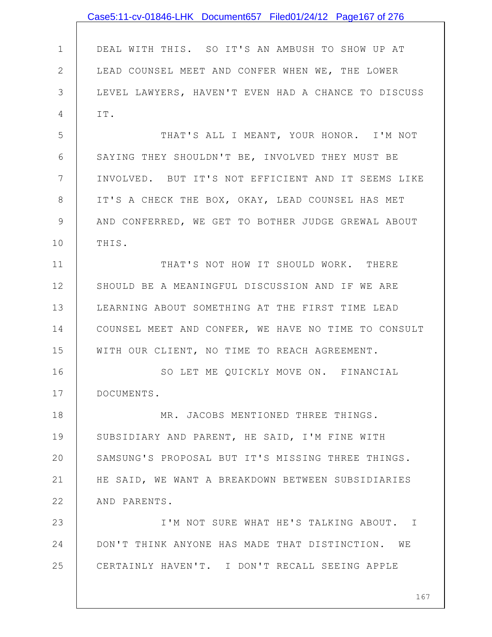|              | Case5:11-cv-01846-LHK Document657 Filed01/24/12 Page167 of 276 |
|--------------|----------------------------------------------------------------|
|              |                                                                |
| $\mathbf{1}$ | DEAL WITH THIS. SO IT'S AN AMBUSH TO SHOW UP AT                |
| $\mathbf{2}$ | LEAD COUNSEL MEET AND CONFER WHEN WE, THE LOWER                |
| 3            | LEVEL LAWYERS, HAVEN'T EVEN HAD A CHANCE TO DISCUSS            |
| 4            | IT.                                                            |
| 5            | THAT'S ALL I MEANT, YOUR HONOR. I'M NOT                        |
| 6            | SAYING THEY SHOULDN'T BE, INVOLVED THEY MUST BE                |
| 7            | INVOLVED. BUT IT'S NOT EFFICIENT AND IT SEEMS LIKE             |
| 8            | IT'S A CHECK THE BOX, OKAY, LEAD COUNSEL HAS MET               |
| $\mathsf 9$  | AND CONFERRED, WE GET TO BOTHER JUDGE GREWAL ABOUT             |
| 10           | THIS.                                                          |
| 11           | THAT'S NOT HOW IT SHOULD WORK. THERE                           |
| 12           | SHOULD BE A MEANINGFUL DISCUSSION AND IF WE ARE                |
| 13           | LEARNING ABOUT SOMETHING AT THE FIRST TIME LEAD                |
| 14           | COUNSEL MEET AND CONFER, WE HAVE NO TIME TO CONSULT            |
| 15           | WITH OUR CLIENT, NO TIME TO REACH AGREEMENT.                   |
| 16           | SO LET ME QUICKLY MOVE ON. FINANCIAL                           |
| 17           | DOCUMENTS.                                                     |
| 18           | MR. JACOBS MENTIONED THREE THINGS.                             |
| 19           | SUBSIDIARY AND PARENT, HE SAID, I'M FINE WITH                  |
| 20           | SAMSUNG'S PROPOSAL BUT IT'S MISSING THREE THINGS.              |
| 21           | HE SAID, WE WANT A BREAKDOWN BETWEEN SUBSIDIARIES              |
| 22           | AND PARENTS.                                                   |
| 23           | I'M NOT SURE WHAT HE'S TALKING ABOUT. I                        |
| 24           | DON'T THINK ANYONE HAS MADE THAT DISTINCTION. WE               |
| 25           | CERTAINLY HAVEN'T. I DON'T RECALL SEEING APPLE                 |
|              |                                                                |
|              | 167                                                            |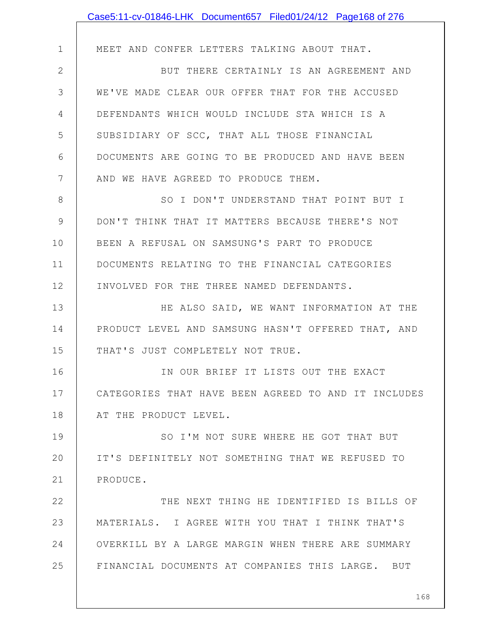|               | Case5:11-cv-01846-LHK Document657 Filed01/24/12 Page168 of 276 |
|---------------|----------------------------------------------------------------|
|               |                                                                |
| $\mathbf 1$   | MEET AND CONFER LETTERS TALKING ABOUT THAT.                    |
| $\mathbf{2}$  | BUT THERE CERTAINLY IS AN AGREEMENT AND                        |
| 3             | WE'VE MADE CLEAR OUR OFFER THAT FOR THE ACCUSED                |
| 4             | DEFENDANTS WHICH WOULD INCLUDE STA WHICH IS A                  |
| 5             | SUBSIDIARY OF SCC, THAT ALL THOSE FINANCIAL                    |
| 6             | DOCUMENTS ARE GOING TO BE PRODUCED AND HAVE BEEN               |
| 7             | AND WE HAVE AGREED TO PRODUCE THEM.                            |
| 8             | SO I DON'T UNDERSTAND THAT POINT BUT I                         |
| $\mathcal{G}$ | DON'T THINK THAT IT MATTERS BECAUSE THERE'S NOT                |
| 10            | BEEN A REFUSAL ON SAMSUNG'S PART TO PRODUCE                    |
| 11            | DOCUMENTS RELATING TO THE FINANCIAL CATEGORIES                 |
| 12            | INVOLVED FOR THE THREE NAMED DEFENDANTS.                       |
| 13            | HE ALSO SAID, WE WANT INFORMATION AT THE                       |
| 14            | PRODUCT LEVEL AND SAMSUNG HASN'T OFFERED THAT, AND             |
| 15            | THAT'S JUST COMPLETELY NOT TRUE.                               |
| 16            | IN OUR BRIEF IT LISTS OUT THE EXACT                            |
| 17            | CATEGORIES THAT HAVE BEEN AGREED TO AND IT INCLUDES            |
| 18            | AT THE PRODUCT LEVEL.                                          |
| 19            | SO I'M NOT SURE WHERE HE GOT THAT BUT                          |
| 20            | IT'S DEFINITELY NOT SOMETHING THAT WE REFUSED TO               |
| 21            | PRODUCE.                                                       |
| 22            | THE NEXT THING HE IDENTIFIED IS BILLS OF                       |
| 23            | MATERIALS. I AGREE WITH YOU THAT I THINK THAT'S                |
| 24            | OVERKILL BY A LARGE MARGIN WHEN THERE ARE SUMMARY              |
| 25            | FINANCIAL DOCUMENTS AT COMPANIES THIS LARGE. BUT               |
|               |                                                                |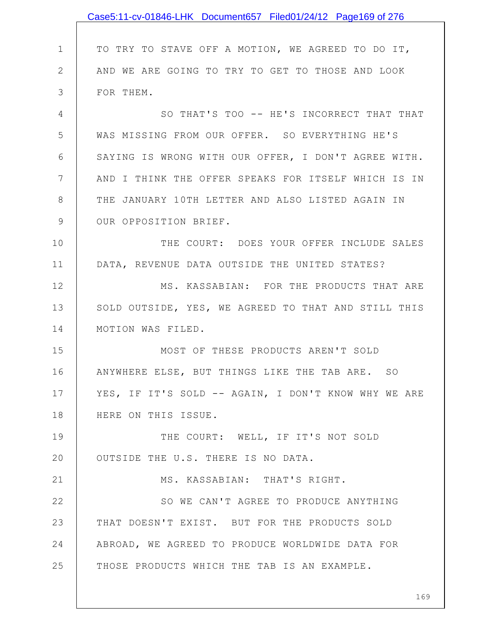|               | Case5:11-cv-01846-LHK Document657 Filed01/24/12 Page169 of 276 |
|---------------|----------------------------------------------------------------|
|               |                                                                |
| $\mathbf 1$   | TO TRY TO STAVE OFF A MOTION, WE AGREED TO DO IT,              |
| $\mathbf{2}$  | AND WE ARE GOING TO TRY TO GET TO THOSE AND LOOK               |
| 3             | FOR THEM.                                                      |
| 4             | SO THAT'S TOO -- HE'S INCORRECT THAT THAT                      |
| 5             | WAS MISSING FROM OUR OFFER. SO EVERYTHING HE'S                 |
| 6             | SAYING IS WRONG WITH OUR OFFER, I DON'T AGREE WITH.            |
| 7             | AND I THINK THE OFFER SPEAKS FOR ITSELF WHICH IS IN            |
| 8             | THE JANUARY 10TH LETTER AND ALSO LISTED AGAIN IN               |
| $\mathcal{G}$ | OUR OPPOSITION BRIEF.                                          |
| 10            | THE COURT: DOES YOUR OFFER INCLUDE SALES                       |
| 11            | DATA, REVENUE DATA OUTSIDE THE UNITED STATES?                  |
| 12            | MS. KASSABIAN: FOR THE PRODUCTS THAT ARE                       |
| 13            | SOLD OUTSIDE, YES, WE AGREED TO THAT AND STILL THIS            |
| 14            | MOTION WAS FILED.                                              |
| 15            | MOST OF THESE PRODUCTS AREN'T SOLD                             |
| 16            | ANYWHERE ELSE, BUT THINGS LIKE THE TAB ARE. SO                 |
| 17            | YES, IF IT'S SOLD -- AGAIN, I DON'T KNOW WHY WE ARE            |
| 18            | HERE ON THIS ISSUE.                                            |
| 19            | THE COURT: WELL, IF IT'S NOT SOLD                              |
| 20            | OUTSIDE THE U.S. THERE IS NO DATA.                             |
| 21            | MS. KASSABIAN: THAT'S RIGHT.                                   |
| 22            | SO WE CAN'T AGREE TO PRODUCE ANYTHING                          |
| 23            | THAT DOESN'T EXIST. BUT FOR THE PRODUCTS SOLD                  |
| 24            | ABROAD, WE AGREED TO PRODUCE WORLDWIDE DATA FOR                |
| 25            | THOSE PRODUCTS WHICH THE TAB IS AN EXAMPLE.                    |
|               |                                                                |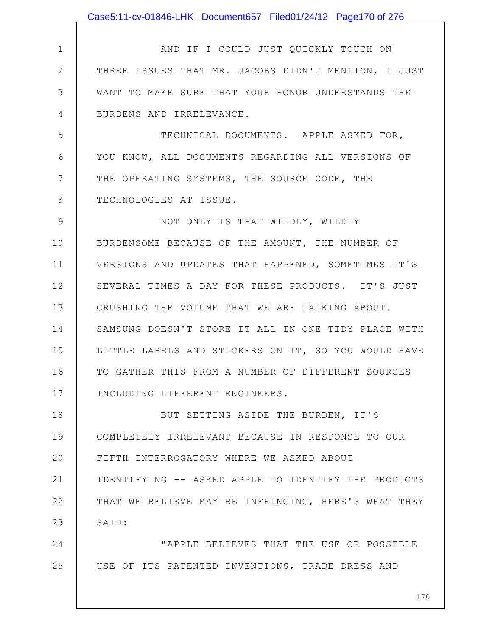1 2 3 4 5 6 7 8 9 10 11 12 13 14 15 16 17 18 19 20 21 22 23 24 25 170 AND IF I COULD JUST QUICKLY TOUCH ON THREE ISSUES THAT MR. JACOBS DIDN'T MENTION, I JUST WANT TO MAKE SURE THAT YOUR HONOR UNDERSTANDS THE BURDENS AND IRRELEVANCE. TECHNICAL DOCUMENTS. APPLE ASKED FOR, YOU KNOW, ALL DOCUMENTS REGARDING ALL VERSIONS OF THE OPERATING SYSTEMS, THE SOURCE CODE, THE TECHNOLOGIES AT ISSUE. NOT ONLY IS THAT WILDLY, WILDLY BURDENSOME BECAUSE OF THE AMOUNT, THE NUMBER OF VERSIONS AND UPDATES THAT HAPPENED, SOMETIMES IT'S SEVERAL TIMES A DAY FOR THESE PRODUCTS. IT'S JUST CRUSHING THE VOLUME THAT WE ARE TALKING ABOUT. SAMSUNG DOESN'T STORE IT ALL IN ONE TIDY PLACE WITH LITTLE LABELS AND STICKERS ON IT, SO YOU WOULD HAVE TO GATHER THIS FROM A NUMBER OF DIFFERENT SOURCES INCLUDING DIFFERENT ENGINEERS. BUT SETTING ASIDE THE BURDEN, IT'S COMPLETELY IRRELEVANT BECAUSE IN RESPONSE TO OUR FIFTH INTERROGATORY WHERE WE ASKED ABOUT IDENTIFYING -- ASKED APPLE TO IDENTIFY THE PRODUCTS THAT WE BELIEVE MAY BE INFRINGING, HERE'S WHAT THEY SAID: "APPLE BELIEVES THAT THE USE OR POSSIBLE USE OF ITS PATENTED INVENTIONS, TRADE DRESS AND Case5:11-cv-01846-LHK Document657 Filed01/24/12 Page170 of 276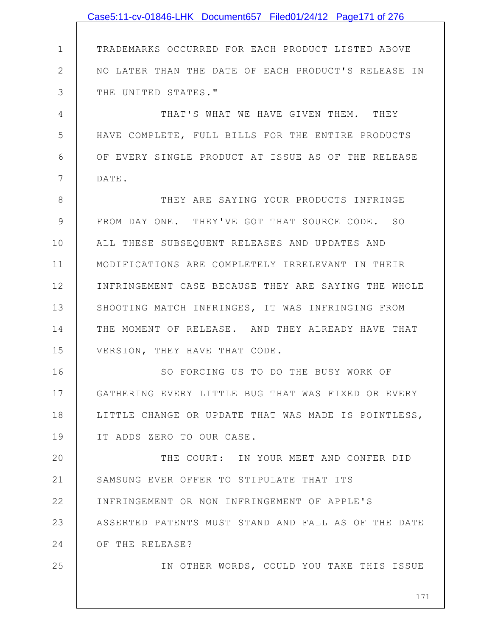|               | Case5:11-cv-01846-LHK Document657 Filed01/24/12 Page171 of 276 |
|---------------|----------------------------------------------------------------|
|               |                                                                |
| $\mathbf 1$   | TRADEMARKS OCCURRED FOR EACH PRODUCT LISTED ABOVE              |
| $\mathbf{2}$  | NO LATER THAN THE DATE OF EACH PRODUCT'S RELEASE IN            |
| 3             | THE UNITED STATES."                                            |
| 4             | THAT'S WHAT WE HAVE GIVEN THEM. THEY                           |
| 5             | HAVE COMPLETE, FULL BILLS FOR THE ENTIRE PRODUCTS              |
| 6             | OF EVERY SINGLE PRODUCT AT ISSUE AS OF THE RELEASE             |
| 7             | DATE.                                                          |
| 8             | THEY ARE SAYING YOUR PRODUCTS INFRINGE                         |
| $\mathcal{G}$ | FROM DAY ONE. THEY'VE GOT THAT SOURCE CODE. SO                 |
| 10            | ALL THESE SUBSEQUENT RELEASES AND UPDATES AND                  |
| 11            | MODIFICATIONS ARE COMPLETELY IRRELEVANT IN THEIR               |
| 12            | INFRINGEMENT CASE BECAUSE THEY ARE SAYING THE WHOLE            |
| 13            | SHOOTING MATCH INFRINGES, IT WAS INFRINGING FROM               |
| 14            | THE MOMENT OF RELEASE. AND THEY ALREADY HAVE THAT              |
| 15            | VERSION, THEY HAVE THAT CODE.                                  |
| 16            | SO FORCING US TO DO THE BUSY WORK OF                           |
| 17            | GATHERING EVERY LITTLE BUG THAT WAS FIXED OR EVERY             |
| 18            | LITTLE CHANGE OR UPDATE THAT WAS MADE IS POINTLESS,            |
| 19            | IT ADDS ZERO TO OUR CASE.                                      |
| 20            | THE COURT: IN YOUR MEET AND CONFER DID                         |
| 21            | SAMSUNG EVER OFFER TO STIPULATE THAT ITS                       |
| 22            | INFRINGEMENT OR NON INFRINGEMENT OF APPLE'S                    |
| 23            | ASSERTED PATENTS MUST STAND AND FALL AS OF THE DATE            |
| 24            | OF THE RELEASE?                                                |
| 25            | IN OTHER WORDS, COULD YOU TAKE THIS ISSUE                      |
|               |                                                                |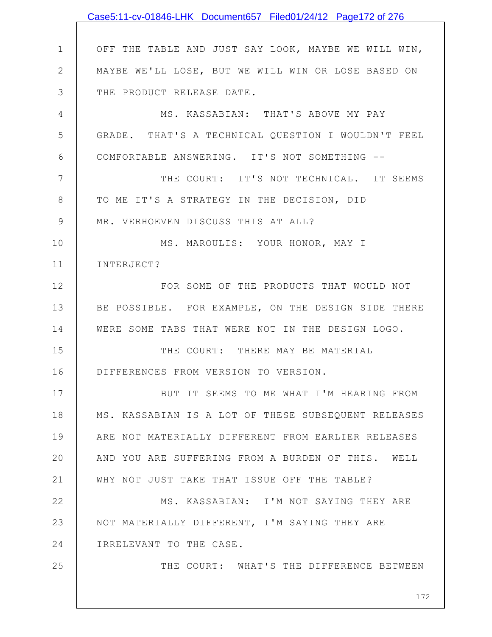|                | Case5:11-cv-01846-LHK Document657 Filed01/24/12 Page172 of 276 |
|----------------|----------------------------------------------------------------|
|                |                                                                |
| $\mathbf 1$    | OFF THE TABLE AND JUST SAY LOOK, MAYBE WE WILL WIN,            |
| $\mathbf{2}$   | MAYBE WE'LL LOSE, BUT WE WILL WIN OR LOSE BASED ON             |
| 3              | THE PRODUCT RELEASE DATE.                                      |
| 4              | MS. KASSABIAN: THAT'S ABOVE MY PAY                             |
| 5              | GRADE. THAT'S A TECHNICAL QUESTION I WOULDN'T FEEL             |
| 6              | COMFORTABLE ANSWERING. IT'S NOT SOMETHING --                   |
| $\overline{7}$ | THE COURT: IT'S NOT TECHNICAL. IT SEEMS                        |
| $8\,$          | TO ME IT'S A STRATEGY IN THE DECISION, DID                     |
| $\mathcal{G}$  | MR. VERHOEVEN DISCUSS THIS AT ALL?                             |
| 10             | MS. MAROULIS: YOUR HONOR, MAY I                                |
| 11             | INTERJECT?                                                     |
| 12             | FOR SOME OF THE PRODUCTS THAT WOULD NOT                        |
| 13             | BE POSSIBLE. FOR EXAMPLE, ON THE DESIGN SIDE THERE             |
| 14             | WERE SOME TABS THAT WERE NOT IN THE DESIGN LOGO.               |
| 15             | THE COURT: THERE MAY BE MATERIAL                               |
| 16             | DIFFERENCES FROM VERSION TO VERSION.                           |
| 17             | BUT IT SEEMS TO ME WHAT I'M HEARING FROM                       |
| 18             | MS. KASSABIAN IS A LOT OF THESE SUBSEQUENT RELEASES            |
| 19             | ARE NOT MATERIALLY DIFFERENT FROM EARLIER RELEASES             |
| 20             | AND YOU ARE SUFFERING FROM A BURDEN OF THIS. WELL              |
| 21             | WHY NOT JUST TAKE THAT ISSUE OFF THE TABLE?                    |
| 22             | MS. KASSABIAN: I'M NOT SAYING THEY ARE                         |
| 23             | NOT MATERIALLY DIFFERENT, I'M SAYING THEY ARE                  |
| 24             | IRRELEVANT TO THE CASE.                                        |
| 25             | THE COURT: WHAT'S THE DIFFERENCE BETWEEN                       |
|                | 172                                                            |
|                |                                                                |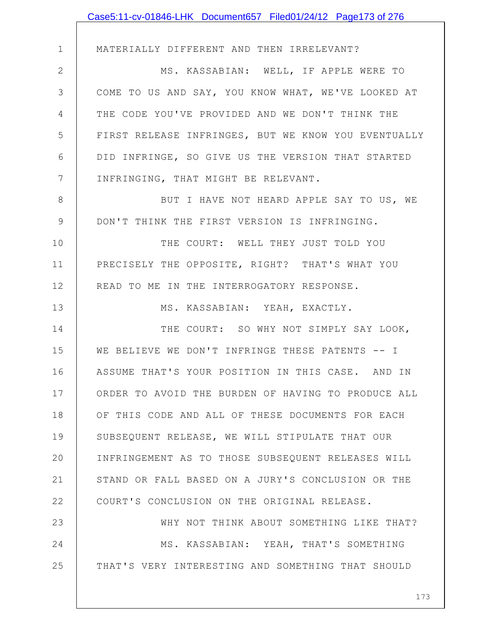|                | Case5:11-cv-01846-LHK Document657 Filed01/24/12 Page173 of 276 |
|----------------|----------------------------------------------------------------|
|                |                                                                |
| $\mathbf 1$    | MATERIALLY DIFFERENT AND THEN IRRELEVANT?                      |
| $\overline{2}$ | MS. KASSABIAN: WELL, IF APPLE WERE TO                          |
| 3              | COME TO US AND SAY, YOU KNOW WHAT, WE'VE LOOKED AT             |
| 4              | THE CODE YOU'VE PROVIDED AND WE DON'T THINK THE                |
| 5              | FIRST RELEASE INFRINGES, BUT WE KNOW YOU EVENTUALLY            |
| 6              | DID INFRINGE, SO GIVE US THE VERSION THAT STARTED              |
| $\overline{7}$ | INFRINGING, THAT MIGHT BE RELEVANT.                            |
| 8              | BUT I HAVE NOT HEARD APPLE SAY TO US, WE                       |
| 9              | DON'T THINK THE FIRST VERSION IS INFRINGING.                   |
| 10             | THE COURT: WELL THEY JUST TOLD YOU                             |
| 11             | PRECISELY THE OPPOSITE, RIGHT? THAT'S WHAT YOU                 |
| 12             | READ TO ME IN THE INTERROGATORY RESPONSE.                      |
| 13             | MS. KASSABIAN: YEAH, EXACTLY.                                  |
| 14             | THE COURT: SO WHY NOT SIMPLY SAY LOOK,                         |
| 15             | WE BELIEVE WE DON'T INFRINGE THESE PATENTS -- I                |
| 16             | ASSUME THAT'S YOUR POSITION IN THIS CASE. AND IN               |
| 17             | ORDER TO AVOID THE BURDEN OF HAVING TO PRODUCE ALL             |
| 18             | OF THIS CODE AND ALL OF THESE DOCUMENTS FOR EACH               |
| 19             | SUBSEQUENT RELEASE, WE WILL STIPULATE THAT OUR                 |
| 20             | INFRINGEMENT AS TO THOSE SUBSEQUENT RELEASES WILL              |
| 21             | STAND OR FALL BASED ON A JURY'S CONCLUSION OR THE              |
| 22             | COURT'S CONCLUSION ON THE ORIGINAL RELEASE.                    |
| 23             | WHY NOT THINK ABOUT SOMETHING LIKE THAT?                       |
| 24             | MS. KASSABIAN: YEAH, THAT'S SOMETHING                          |
| 25             | THAT'S VERY INTERESTING AND SOMETHING THAT SHOULD              |
|                |                                                                |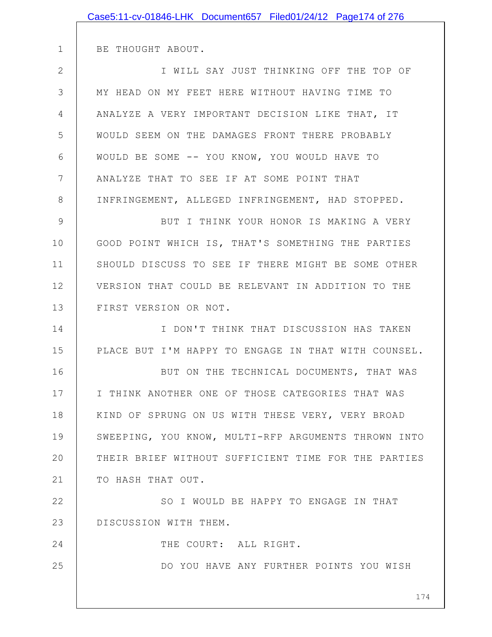BE THOUGHT ABOUT.

1

16

24

25

2 3 4 5 6 7 8 I WILL SAY JUST THINKING OFF THE TOP OF MY HEAD ON MY FEET HERE WITHOUT HAVING TIME TO ANALYZE A VERY IMPORTANT DECISION LIKE THAT, IT WOULD SEEM ON THE DAMAGES FRONT THERE PROBABLY WOULD BE SOME -- YOU KNOW, YOU WOULD HAVE TO ANALYZE THAT TO SEE IF AT SOME POINT THAT INFRINGEMENT, ALLEGED INFRINGEMENT, HAD STOPPED.

9 10 11 12 13 BUT I THINK YOUR HONOR IS MAKING A VERY GOOD POINT WHICH IS, THAT'S SOMETHING THE PARTIES SHOULD DISCUSS TO SEE IF THERE MIGHT BE SOME OTHER VERSION THAT COULD BE RELEVANT IN ADDITION TO THE FIRST VERSION OR NOT.

14 15 I DON'T THINK THAT DISCUSSION HAS TAKEN PLACE BUT I'M HAPPY TO ENGAGE IN THAT WITH COUNSEL.

17 18 19 20 21 BUT ON THE TECHNICAL DOCUMENTS, THAT WAS I THINK ANOTHER ONE OF THOSE CATEGORIES THAT WAS KIND OF SPRUNG ON US WITH THESE VERY, VERY BROAD SWEEPING, YOU KNOW, MULTI-RFP ARGUMENTS THROWN INTO THEIR BRIEF WITHOUT SUFFICIENT TIME FOR THE PARTIES TO HASH THAT OUT.

22 23 SO I WOULD BE HAPPY TO ENGAGE IN THAT DISCUSSION WITH THEM.

THE COURT: ALL RIGHT.

DO YOU HAVE ANY FURTHER POINTS YOU WISH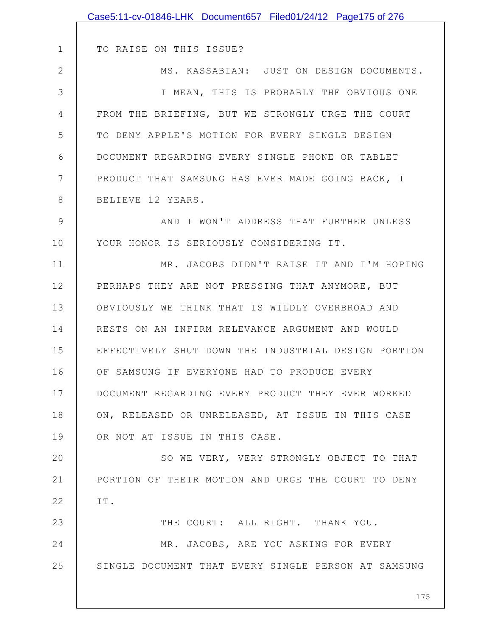| TO RAISE ON THIS ISSUE?                             |
|-----------------------------------------------------|
| MS. KASSABIAN: JUST ON DESIGN DOCUMENTS.            |
| I MEAN, THIS IS PROBABLY THE OBVIOUS ONE            |
| FROM THE BRIEFING, BUT WE STRONGLY URGE THE COURT   |
| TO DENY APPLE'S MOTION FOR EVERY SINGLE DESIGN      |
| DOCUMENT REGARDING EVERY SINGLE PHONE OR TABLET     |
| PRODUCT THAT SAMSUNG HAS EVER MADE GOING BACK, I    |
| BELIEVE 12 YEARS.                                   |
| AND I WON'T ADDRESS THAT FURTHER UNLESS             |
| YOUR HONOR IS SERIOUSLY CONSIDERING IT.             |
| MR. JACOBS DIDN'T RAISE IT AND I'M HOPING           |
| PERHAPS THEY ARE NOT PRESSING THAT ANYMORE, BUT     |
| OBVIOUSLY WE THINK THAT IS WILDLY OVERBROAD AND     |
| RESTS ON AN INFIRM RELEVANCE ARGUMENT AND WOULD     |
| EFFECTIVELY SHUT DOWN THE INDUSTRIAL DESIGN PORTION |
| OF SAMSUNG IF EVERYONE HAD TO PRODUCE EVERY         |
| DOCUMENT REGARDING EVERY PRODUCT THEY EVER WORKED   |
| ON, RELEASED OR UNRELEASED, AT ISSUE IN THIS CASE   |
| OR NOT AT ISSUE IN THIS CASE.                       |
| SO WE VERY, VERY STRONGLY OBJECT TO THAT            |
| PORTION OF THEIR MOTION AND URGE THE COURT TO DENY  |
| IT.                                                 |
| THE COURT: ALL RIGHT. THANK YOU.                    |
| MR. JACOBS, ARE YOU ASKING FOR EVERY                |
| SINGLE DOCUMENT THAT EVERY SINGLE PERSON AT SAMSUNG |
| 175                                                 |
|                                                     |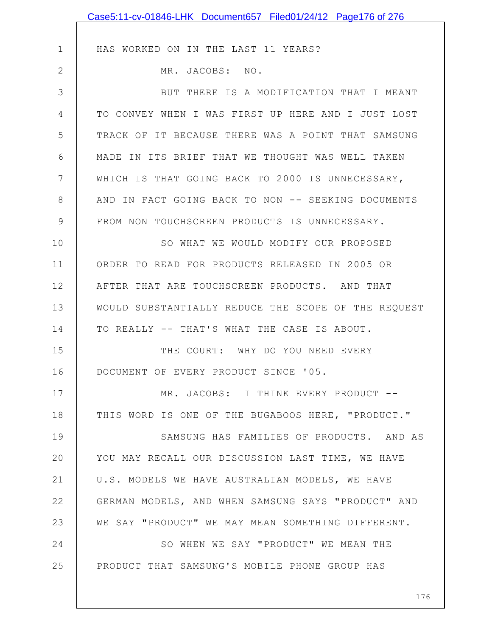|               | Case5:11-cv-01846-LHK Document657 Filed01/24/12 Page176 of 276 |
|---------------|----------------------------------------------------------------|
|               |                                                                |
| $\mathbf 1$   | HAS WORKED ON IN THE LAST 11 YEARS?                            |
| $\mathbf{2}$  | MR. JACOBS: NO.                                                |
| 3             | BUT THERE IS A MODIFICATION THAT I MEANT                       |
| 4             | TO CONVEY WHEN I WAS FIRST UP HERE AND I JUST LOST             |
| 5             | TRACK OF IT BECAUSE THERE WAS A POINT THAT SAMSUNG             |
| 6             | MADE IN ITS BRIEF THAT WE THOUGHT WAS WELL TAKEN               |
| 7             | WHICH IS THAT GOING BACK TO 2000 IS UNNECESSARY,               |
| $8\,$         | AND IN FACT GOING BACK TO NON -- SEEKING DOCUMENTS             |
| $\mathcal{G}$ | FROM NON TOUCHSCREEN PRODUCTS IS UNNECESSARY.                  |
| 10            | SO WHAT WE WOULD MODIFY OUR PROPOSED                           |
| 11            | ORDER TO READ FOR PRODUCTS RELEASED IN 2005 OR                 |
| 12            | AFTER THAT ARE TOUCHSCREEN PRODUCTS. AND THAT                  |
| 13            | WOULD SUBSTANTIALLY REDUCE THE SCOPE OF THE REQUEST            |
| 14            | TO REALLY -- THAT'S WHAT THE CASE IS ABOUT.                    |
| 15            | THE COURT: WHY DO YOU NEED EVERY                               |
| 16            | DOCUMENT OF EVERY PRODUCT SINCE '05.                           |
| 17            | MR. JACOBS: I THINK EVERY PRODUCT --                           |
| 18            | THIS WORD IS ONE OF THE BUGABOOS HERE, "PRODUCT."              |
| 19            | SAMSUNG HAS FAMILIES OF PRODUCTS. AND AS                       |
| 20            | YOU MAY RECALL OUR DISCUSSION LAST TIME, WE HAVE               |
| 21            | U.S. MODELS WE HAVE AUSTRALIAN MODELS, WE HAVE                 |
| 22            | GERMAN MODELS, AND WHEN SAMSUNG SAYS "PRODUCT" AND             |
| 23            | WE SAY "PRODUCT" WE MAY MEAN SOMETHING DIFFERENT.              |
| 24            | SO WHEN WE SAY "PRODUCT" WE MEAN THE                           |
| 25            | PRODUCT THAT SAMSUNG'S MOBILE PHONE GROUP HAS                  |
|               |                                                                |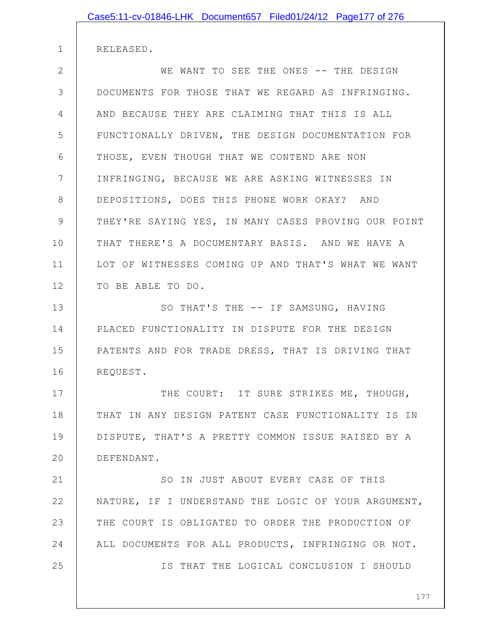RELEASED.

1

2 3 4 5 6 7 8 9 10 11 12 WE WANT TO SEE THE ONES -- THE DESIGN DOCUMENTS FOR THOSE THAT WE REGARD AS INFRINGING. AND BECAUSE THEY ARE CLAIMING THAT THIS IS ALL FUNCTIONALLY DRIVEN, THE DESIGN DOCUMENTATION FOR THOSE, EVEN THOUGH THAT WE CONTEND ARE NON INFRINGING, BECAUSE WE ARE ASKING WITNESSES IN DEPOSITIONS, DOES THIS PHONE WORK OKAY? AND THEY'RE SAYING YES, IN MANY CASES PROVING OUR POINT THAT THERE'S A DOCUMENTARY BASIS. AND WE HAVE A LOT OF WITNESSES COMING UP AND THAT'S WHAT WE WANT TO BE ABLE TO DO.

13 14 15 16 SO THAT'S THE -- IF SAMSUNG, HAVING PLACED FUNCTIONALITY IN DISPUTE FOR THE DESIGN PATENTS AND FOR TRADE DRESS, THAT IS DRIVING THAT REQUEST.

17 18 19 20 THE COURT: IT SURE STRIKES ME, THOUGH, THAT IN ANY DESIGN PATENT CASE FUNCTIONALITY IS IN DISPUTE, THAT'S A PRETTY COMMON ISSUE RAISED BY A DEFENDANT.

21 22 23 24 25 SO IN JUST ABOUT EVERY CASE OF THIS NATURE, IF I UNDERSTAND THE LOGIC OF YOUR ARGUMENT, THE COURT IS OBLIGATED TO ORDER THE PRODUCTION OF ALL DOCUMENTS FOR ALL PRODUCTS, INFRINGING OR NOT. IS THAT THE LOGICAL CONCLUSION I SHOULD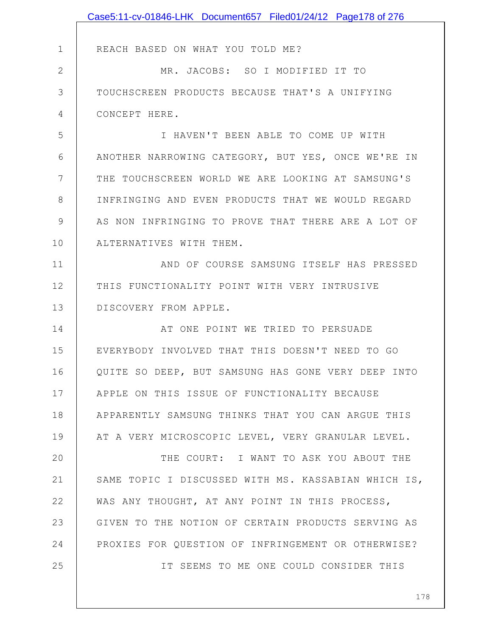|              | Case5:11-cv-01846-LHK Document657 Filed01/24/12 Page178 of 276 |
|--------------|----------------------------------------------------------------|
|              |                                                                |
| $\mathbf 1$  | REACH BASED ON WHAT YOU TOLD ME?                               |
| $\mathbf{2}$ | MR. JACOBS: SO I MODIFIED IT TO                                |
| 3            | TOUCHSCREEN PRODUCTS BECAUSE THAT'S A UNIFYING                 |
| 4            | CONCEPT HERE.                                                  |
| 5            | I HAVEN'T BEEN ABLE TO COME UP WITH                            |
| 6            | ANOTHER NARROWING CATEGORY, BUT YES, ONCE WE'RE IN             |
| 7            | THE TOUCHSCREEN WORLD WE ARE LOOKING AT SAMSUNG'S              |
| 8            | INFRINGING AND EVEN PRODUCTS THAT WE WOULD REGARD              |
| 9            | AS NON INFRINGING TO PROVE THAT THERE ARE A LOT OF             |
| 10           | ALTERNATIVES WITH THEM.                                        |
| 11           | AND OF COURSE SAMSUNG ITSELF HAS PRESSED                       |
| 12           | THIS FUNCTIONALITY POINT WITH VERY INTRUSIVE                   |
| 13           | DISCOVERY FROM APPLE.                                          |
| 14           | AT ONE POINT WE TRIED TO PERSUADE                              |
| 15           | EVERYBODY INVOLVED THAT THIS DOESN'T NEED TO GO                |
| 16           | QUITE SO DEEP, BUT SAMSUNG HAS GONE VERY DEEP INTO             |
| 17           | APPLE ON THIS ISSUE OF FUNCTIONALITY BECAUSE                   |
| 18           | APPARENTLY SAMSUNG THINKS THAT YOU CAN ARGUE THIS              |
| 19           | AT A VERY MICROSCOPIC LEVEL, VERY GRANULAR LEVEL.              |
| 20           | THE COURT: I WANT TO ASK YOU ABOUT THE                         |
| 21           | SAME TOPIC I DISCUSSED WITH MS. KASSABIAN WHICH IS,            |
| 22           | WAS ANY THOUGHT, AT ANY POINT IN THIS PROCESS,                 |
| 23           | GIVEN TO THE NOTION OF CERTAIN PRODUCTS SERVING AS             |
| 24           | PROXIES FOR QUESTION OF INFRINGEMENT OR OTHERWISE?             |
| 25           | IT SEEMS TO ME ONE COULD CONSIDER THIS                         |
|              |                                                                |
|              | 178                                                            |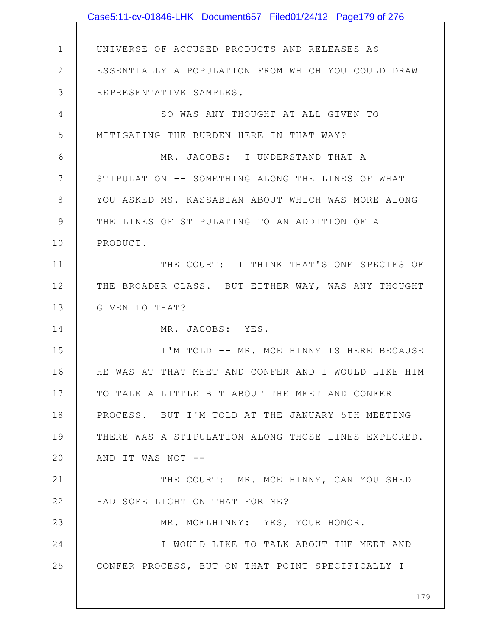|              | Case5:11-cv-01846-LHK Document657 Filed01/24/12 Page179 of 276 |
|--------------|----------------------------------------------------------------|
|              |                                                                |
| 1            | UNIVERSE OF ACCUSED PRODUCTS AND RELEASES AS                   |
| $\mathbf{2}$ | ESSENTIALLY A POPULATION FROM WHICH YOU COULD DRAW             |
| 3            | REPRESENTATIVE SAMPLES.                                        |
| 4            | SO WAS ANY THOUGHT AT ALL GIVEN TO                             |
| 5            | MITIGATING THE BURDEN HERE IN THAT WAY?                        |
| 6            | MR. JACOBS: I UNDERSTAND THAT A                                |
| 7            | STIPULATION -- SOMETHING ALONG THE LINES OF WHAT               |
| 8            | YOU ASKED MS. KASSABIAN ABOUT WHICH WAS MORE ALONG             |
| 9            | THE LINES OF STIPULATING TO AN ADDITION OF A                   |
| 10           | PRODUCT.                                                       |
| 11           | THE COURT: I THINK THAT'S ONE SPECIES OF                       |
| 12           | THE BROADER CLASS. BUT EITHER WAY, WAS ANY THOUGHT             |
| 13           | GIVEN TO THAT?                                                 |
| 14           | MR. JACOBS: YES.                                               |
| 15           | I'M TOLD -- MR. MCELHINNY IS HERE BECAUSE                      |
| 16           | HE WAS AT THAT MEET AND CONFER AND I WOULD LIKE HIM            |
| 17           | TO TALK A LITTLE BIT ABOUT THE MEET AND CONFER                 |
| 18           | PROCESS. BUT I'M TOLD AT THE JANUARY 5TH MEETING               |
| 19           | THERE WAS A STIPULATION ALONG THOSE LINES EXPLORED.            |
| 20           | AND IT WAS NOT --                                              |
| 21           | THE COURT: MR. MCELHINNY, CAN YOU SHED                         |
| 22           | HAD SOME LIGHT ON THAT FOR ME?                                 |
| 23           | MR. MCELHINNY: YES, YOUR HONOR.                                |
| 24           | I WOULD LIKE TO TALK ABOUT THE MEET AND                        |
| 25           | CONFER PROCESS, BUT ON THAT POINT SPECIFICALLY I               |
|              |                                                                |
|              | 179                                                            |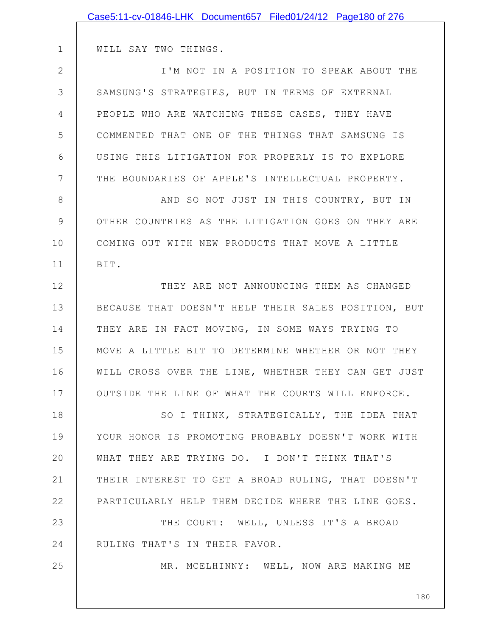|                | Case5:11-cv-01846-LHK Document657 Filed01/24/12 Page180 of 276 |
|----------------|----------------------------------------------------------------|
|                |                                                                |
| 1              | WILL SAY TWO THINGS.                                           |
| $\overline{2}$ | I'M NOT IN A POSITION TO SPEAK ABOUT THE                       |
| 3              | SAMSUNG'S STRATEGIES, BUT IN TERMS OF EXTERNAL                 |
| 4              | PEOPLE WHO ARE WATCHING THESE CASES, THEY HAVE                 |
| 5              | COMMENTED THAT ONE OF THE THINGS THAT SAMSUNG IS               |
| 6              | USING THIS LITIGATION FOR PROPERLY IS TO EXPLORE               |
| 7              | THE BOUNDARIES OF APPLE'S INTELLECTUAL PROPERTY.               |
| 8              | AND SO NOT JUST IN THIS COUNTRY, BUT IN                        |
| 9              | OTHER COUNTRIES AS THE LITIGATION GOES ON THEY ARE             |
| 10             | COMING OUT WITH NEW PRODUCTS THAT MOVE A LITTLE                |
| 11             | BIT.                                                           |
| 12             | THEY ARE NOT ANNOUNCING THEM AS CHANGED                        |
| 13             | BECAUSE THAT DOESN'T HELP THEIR SALES POSITION, BUT            |
| 14             | THEY ARE IN FACT MOVING, IN SOME WAYS TRYING TO                |
| 15             | MOVE A LITTLE BIT TO DETERMINE WHETHER OR NOT THEY             |
| 16             | WILL CROSS OVER THE LINE, WHETHER THEY CAN GET JUST            |
| 17             | OUTSIDE THE LINE OF WHAT THE COURTS WILL ENFORCE.              |
| 18             | SO I THINK, STRATEGICALLY, THE IDEA THAT                       |
| 19             | YOUR HONOR IS PROMOTING PROBABLY DOESN'T WORK WITH             |
| 20             | WHAT THEY ARE TRYING DO. I DON'T THINK THAT'S                  |
| 21             | THEIR INTEREST TO GET A BROAD RULING, THAT DOESN'T             |
| 22             | PARTICULARLY HELP THEM DECIDE WHERE THE LINE GOES.             |
| 23             | THE COURT: WELL, UNLESS IT'S A BROAD                           |
| 24             | RULING THAT'S IN THEIR FAVOR.                                  |
| 25             | MR. MCELHINNY: WELL, NOW ARE MAKING ME                         |
|                |                                                                |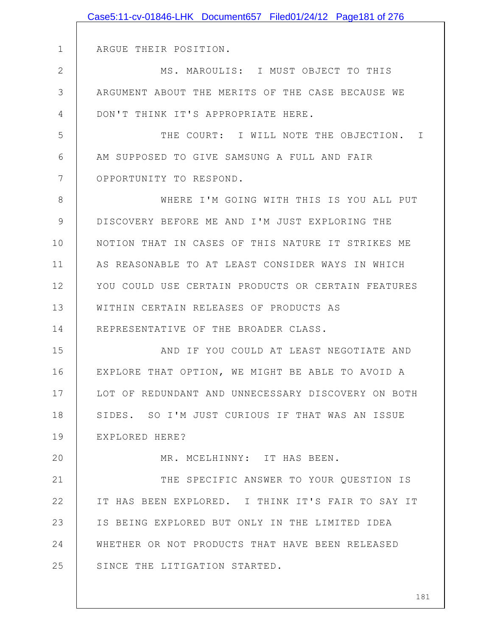|    | Case5:11-cv-01846-LHK Document657 Filed01/24/12 Page181 of 276 |
|----|----------------------------------------------------------------|
|    |                                                                |
| 1  | ARGUE THEIR POSITION.                                          |
| 2  | MS. MAROULIS: I MUST OBJECT TO THIS                            |
| 3  | ARGUMENT ABOUT THE MERITS OF THE CASE BECAUSE WE               |
| 4  | DON'T THINK IT'S APPROPRIATE HERE.                             |
| 5  | THE COURT: I WILL NOTE THE OBJECTION.<br>I                     |
| 6  | AM SUPPOSED TO GIVE SAMSUNG A FULL AND FAIR                    |
| 7  | OPPORTUNITY TO RESPOND.                                        |
| 8  | WHERE I'M GOING WITH THIS IS YOU ALL PUT                       |
| 9  | DISCOVERY BEFORE ME AND I'M JUST EXPLORING THE                 |
| 10 | NOTION THAT IN CASES OF THIS NATURE IT STRIKES ME              |
| 11 | AS REASONABLE TO AT LEAST CONSIDER WAYS IN WHICH               |
| 12 | YOU COULD USE CERTAIN PRODUCTS OR CERTAIN FEATURES             |
| 13 | WITHIN CERTAIN RELEASES OF PRODUCTS AS                         |
| 14 | REPRESENTATIVE OF THE BROADER CLASS.                           |
| 15 | IF YOU COULD AT LEAST NEGOTIATE AND<br>AND                     |
| 16 | EXPLORE THAT OPTION, WE MIGHT BE ABLE TO AVOID A               |
| 17 | LOT OF REDUNDANT AND UNNECESSARY DISCOVERY ON BOTH             |
| 18 | SIDES. SO I'M JUST CURIOUS IF THAT WAS AN ISSUE                |
| 19 | EXPLORED HERE?                                                 |
| 20 | MR. MCELHINNY: IT HAS BEEN.                                    |
| 21 | THE SPECIFIC ANSWER TO YOUR QUESTION IS                        |
| 22 | IT HAS BEEN EXPLORED. I THINK IT'S FAIR TO SAY IT              |
| 23 | IS BEING EXPLORED BUT ONLY IN THE LIMITED IDEA                 |
| 24 | WHETHER OR NOT PRODUCTS THAT HAVE BEEN RELEASED                |
| 25 | SINCE THE LITIGATION STARTED.                                  |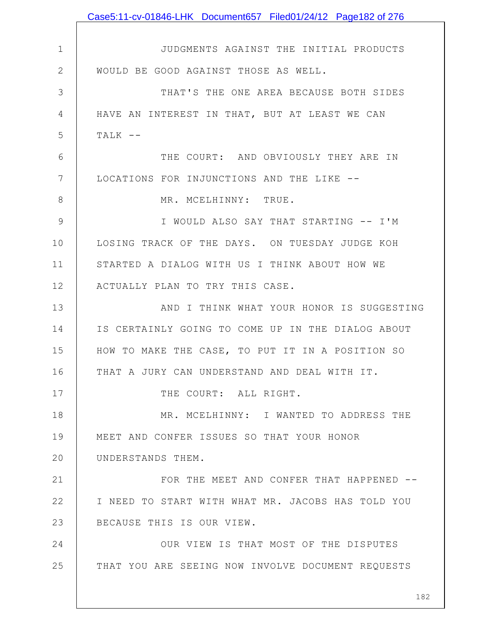|              | Case5:11-cv-01846-LHK Document657 Filed01/24/12 Page182 of 276 |
|--------------|----------------------------------------------------------------|
|              |                                                                |
| $\mathbf 1$  | JUDGMENTS AGAINST THE INITIAL PRODUCTS                         |
| $\mathbf{2}$ | WOULD BE GOOD AGAINST THOSE AS WELL.                           |
| 3            | THAT'S THE ONE AREA BECAUSE BOTH SIDES                         |
| 4            | HAVE AN INTEREST IN THAT, BUT AT LEAST WE CAN                  |
| 5            | $TALK$ --                                                      |
| 6            | THE COURT: AND OBVIOUSLY THEY ARE IN                           |
| 7            | LOCATIONS FOR INJUNCTIONS AND THE LIKE --                      |
| 8            | MR. MCELHINNY: TRUE.                                           |
| 9            | I WOULD ALSO SAY THAT STARTING -- I'M                          |
| 10           | LOSING TRACK OF THE DAYS. ON TUESDAY JUDGE KOH                 |
| 11           | STARTED A DIALOG WITH US I THINK ABOUT HOW WE                  |
| 12           | ACTUALLY PLAN TO TRY THIS CASE.                                |
| 13           | AND I THINK WHAT YOUR HONOR IS SUGGESTING                      |
| 14           | IS CERTAINLY GOING TO COME UP IN THE DIALOG ABOUT              |
| 15           | HOW TO MAKE THE CASE, TO PUT IT IN A POSITION SO               |
| 16           | THAT A JURY CAN UNDERSTAND AND DEAL WITH IT.                   |
| 17           | THE COURT: ALL RIGHT.                                          |
| 18           | MR. MCELHINNY: I WANTED TO ADDRESS THE                         |
| 19           | MEET AND CONFER ISSUES SO THAT YOUR HONOR                      |
| 20           | UNDERSTANDS THEM.                                              |
| 21           | FOR THE MEET AND CONFER THAT HAPPENED --                       |
| 22           | I NEED TO START WITH WHAT MR. JACOBS HAS TOLD YOU              |
| 23           | BECAUSE THIS IS OUR VIEW.                                      |
| 24           | OUR VIEW IS THAT MOST OF THE DISPUTES                          |
| 25           | THAT YOU ARE SEEING NOW INVOLVE DOCUMENT REQUESTS              |
|              |                                                                |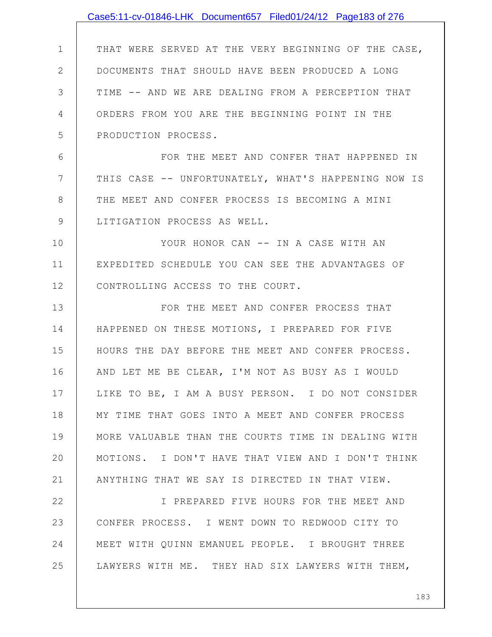|                | Case5:11-cv-01846-LHK Document657 Filed01/24/12 Page183 of 276 |
|----------------|----------------------------------------------------------------|
|                |                                                                |
| $\mathbf 1$    | THAT WERE SERVED AT THE VERY BEGINNING OF THE CASE,            |
| $\overline{2}$ | DOCUMENTS THAT SHOULD HAVE BEEN PRODUCED A LONG                |
| 3              | TIME -- AND WE ARE DEALING FROM A PERCEPTION THAT              |
| 4              | ORDERS FROM YOU ARE THE BEGINNING POINT IN THE                 |
| 5              | PRODUCTION PROCESS.                                            |
| 6              | FOR THE MEET AND CONFER THAT HAPPENED IN                       |
| $7\phantom{.}$ | THIS CASE -- UNFORTUNATELY, WHAT'S HAPPENING NOW IS            |
| 8              | THE MEET AND CONFER PROCESS IS BECOMING A MINI                 |
| 9              | LITIGATION PROCESS AS WELL.                                    |
| 10             | YOUR HONOR CAN -- IN A CASE WITH AN                            |
| 11             | EXPEDITED SCHEDULE YOU CAN SEE THE ADVANTAGES OF               |
| 12             | CONTROLLING ACCESS TO THE COURT.                               |
| 13             | FOR THE MEET AND CONFER PROCESS THAT                           |
| 14             | HAPPENED ON THESE MOTIONS, I PREPARED FOR FIVE                 |
| 15             | HOURS THE DAY BEFORE THE MEET AND CONFER PROCESS.              |
| 16             | AND LET ME BE CLEAR, I'M NOT AS BUSY AS I WOULD                |
| 17             | LIKE TO BE, I AM A BUSY PERSON. I DO NOT CONSIDER              |
| 18             | MY TIME THAT GOES INTO A MEET AND CONFER PROCESS               |
| 19             | MORE VALUABLE THAN THE COURTS TIME IN DEALING WITH             |
| 20             | MOTIONS. I DON'T HAVE THAT VIEW AND I DON'T THINK              |
| 21             | ANYTHING THAT WE SAY IS DIRECTED IN THAT VIEW.                 |
| 22             | I PREPARED FIVE HOURS FOR THE MEET AND                         |
| 23             | CONFER PROCESS. I WENT DOWN TO REDWOOD CITY TO                 |
| 24             | MEET WITH QUINN EMANUEL PEOPLE. I BROUGHT THREE                |
| 25             | LAWYERS WITH ME. THEY HAD SIX LAWYERS WITH THEM,               |
|                |                                                                |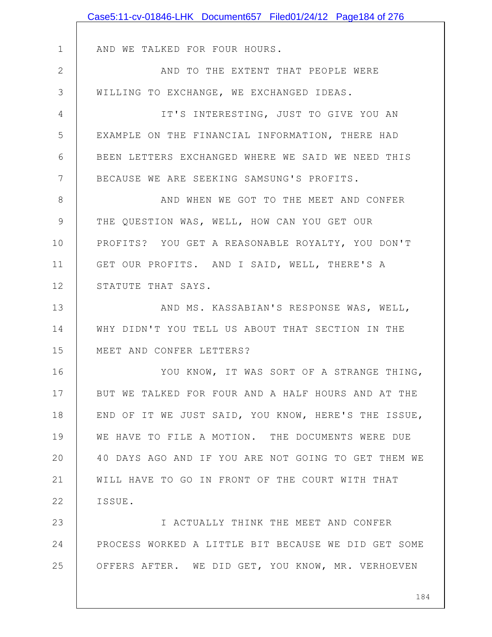|              | Case5:11-cv-01846-LHK Document657 Filed01/24/12 Page184 of 276 |
|--------------|----------------------------------------------------------------|
|              |                                                                |
| $\mathbf 1$  | AND WE TALKED FOR FOUR HOURS.                                  |
| $\mathbf{2}$ | AND TO THE EXTENT THAT PEOPLE WERE                             |
| 3            | WILLING TO EXCHANGE, WE EXCHANGED IDEAS.                       |
| 4            | IT'S INTERESTING, JUST TO GIVE YOU AN                          |
| 5            | EXAMPLE ON THE FINANCIAL INFORMATION, THERE HAD                |
| 6            | BEEN LETTERS EXCHANGED WHERE WE SAID WE NEED THIS              |
| 7            | BECAUSE WE ARE SEEKING SAMSUNG'S PROFITS.                      |
| 8            | AND WHEN WE GOT TO THE MEET AND CONFER                         |
| 9            | THE QUESTION WAS, WELL, HOW CAN YOU GET OUR                    |
| 10           | PROFITS? YOU GET A REASONABLE ROYALTY, YOU DON'T               |
| 11           | GET OUR PROFITS. AND I SAID, WELL, THERE'S A                   |
| 12           | STATUTE THAT SAYS.                                             |
| 13           | AND MS. KASSABIAN'S RESPONSE WAS, WELL,                        |
| 14           | WHY DIDN'T YOU TELL US ABOUT THAT SECTION IN THE               |
| 15           | MEET AND CONFER LETTERS?                                       |
| 16           | YOU KNOW, IT WAS SORT OF A STRANGE THING,                      |
| 17           | BUT WE TALKED FOR FOUR AND A HALF HOURS AND AT THE             |
| 18           | END OF IT WE JUST SAID, YOU KNOW, HERE'S THE ISSUE,            |
| 19           | WE HAVE TO FILE A MOTION. THE DOCUMENTS WERE DUE               |
| 20           | 40 DAYS AGO AND IF YOU ARE NOT GOING TO GET THEM WE            |
| 21           | WILL HAVE TO GO IN FRONT OF THE COURT WITH THAT                |
| 22           | ISSUE.                                                         |
| 23           | I ACTUALLY THINK THE MEET AND CONFER                           |
| 24           | PROCESS WORKED A LITTLE BIT BECAUSE WE DID GET SOME            |
| 25           | OFFERS AFTER. WE DID GET, YOU KNOW, MR. VERHOEVEN              |
|              |                                                                |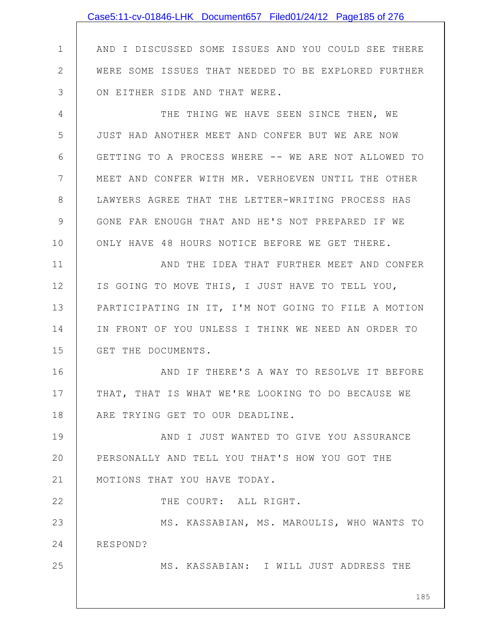|               | Case5:11-cv-01846-LHK Document657 Filed01/24/12 Page185 of 276 |
|---------------|----------------------------------------------------------------|
|               |                                                                |
| $\mathbf 1$   | AND I DISCUSSED SOME ISSUES AND YOU COULD SEE THERE            |
| $\mathbf{2}$  | WERE SOME ISSUES THAT NEEDED TO BE EXPLORED FURTHER            |
| 3             | ON EITHER SIDE AND THAT WERE.                                  |
| 4             | THE THING WE HAVE SEEN SINCE THEN, WE                          |
| 5             | JUST HAD ANOTHER MEET AND CONFER BUT WE ARE NOW                |
| 6             | GETTING TO A PROCESS WHERE -- WE ARE NOT ALLOWED TO            |
| 7             | MEET AND CONFER WITH MR. VERHOEVEN UNTIL THE OTHER             |
| 8             | LAWYERS AGREE THAT THE LETTER-WRITING PROCESS HAS              |
| $\mathcal{G}$ | GONE FAR ENOUGH THAT AND HE'S NOT PREPARED IF WE               |
| 10            | ONLY HAVE 48 HOURS NOTICE BEFORE WE GET THERE.                 |
| 11            | AND THE IDEA THAT FURTHER MEET AND CONFER                      |
| 12            | IS GOING TO MOVE THIS, I JUST HAVE TO TELL YOU,                |
| 13            | PARTICIPATING IN IT, I'M NOT GOING TO FILE A MOTION            |
| 14            | IN FRONT OF YOU UNLESS I THINK WE NEED AN ORDER TO             |
| 15            | GET THE DOCUMENTS.                                             |
| 16            | AND IF THERE'S A WAY TO RESOLVE IT BEFORE                      |
| 17            | THAT, THAT IS WHAT WE'RE LOOKING TO DO BECAUSE WE              |
| 18            | ARE TRYING GET TO OUR DEADLINE.                                |
| 19            | AND I JUST WANTED TO GIVE YOU ASSURANCE                        |
| 20            | PERSONALLY AND TELL YOU THAT'S HOW YOU GOT THE                 |
| 21            | MOTIONS THAT YOU HAVE TODAY.                                   |
| 22            | THE COURT: ALL RIGHT.                                          |
| 23            | MS. KASSABIAN, MS. MAROULIS, WHO WANTS TO                      |
| 24            | RESPOND?                                                       |
| 25            | MS. KASSABIAN: I WILL JUST ADDRESS THE                         |
|               | 185                                                            |
|               |                                                                |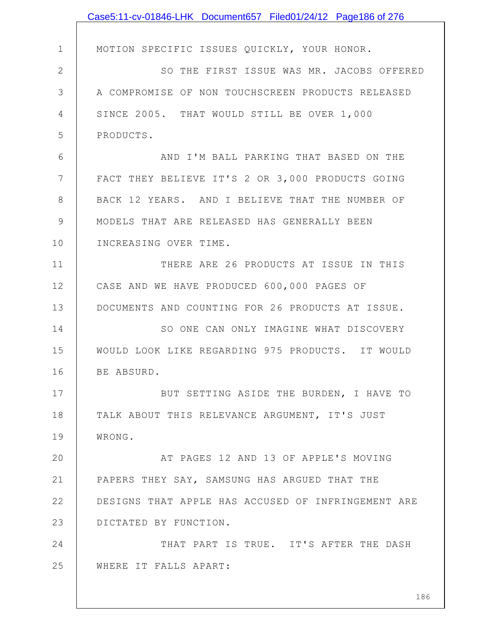|                 | Case5:11-cv-01846-LHK Document657 Filed01/24/12 Page186 of 276 |
|-----------------|----------------------------------------------------------------|
|                 |                                                                |
| $\mathbf 1$     | MOTION SPECIFIC ISSUES QUICKLY, YOUR HONOR.                    |
| $\mathbf{2}$    | SO THE FIRST ISSUE WAS MR. JACOBS OFFERED                      |
| 3               | A COMPROMISE OF NON TOUCHSCREEN PRODUCTS RELEASED              |
| 4               | SINCE 2005. THAT WOULD STILL BE OVER 1,000                     |
| 5               | PRODUCTS.                                                      |
| 6               | AND I'M BALL PARKING THAT BASED ON THE                         |
| $7\phantom{.0}$ | FACT THEY BELIEVE IT'S 2 OR 3,000 PRODUCTS GOING               |
| 8               | BACK 12 YEARS. AND I BELIEVE THAT THE NUMBER OF                |
| 9               | MODELS THAT ARE RELEASED HAS GENERALLY BEEN                    |
| 10              | INCREASING OVER TIME.                                          |
| 11              | THERE ARE 26 PRODUCTS AT ISSUE IN THIS                         |
| 12              | CASE AND WE HAVE PRODUCED 600,000 PAGES OF                     |
| 13              | DOCUMENTS AND COUNTING FOR 26 PRODUCTS AT ISSUE.               |
| 14              | SO ONE CAN ONLY IMAGINE WHAT DISCOVERY                         |
| 15              | WOULD LOOK LIKE REGARDING 975 PRODUCTS. IT WOULD               |
| 16              | BE ABSURD.                                                     |
| 17              | BUT SETTING ASIDE THE BURDEN, I HAVE TO                        |
| 18              | TALK ABOUT THIS RELEVANCE ARGUMENT, IT'S JUST                  |
| 19              | WRONG.                                                         |
| 20              | AT PAGES 12 AND 13 OF APPLE'S MOVING                           |
| 21              | PAPERS THEY SAY, SAMSUNG HAS ARGUED THAT THE                   |
| 22              | DESIGNS THAT APPLE HAS ACCUSED OF INFRINGEMENT ARE             |
| 23              | DICTATED BY FUNCTION.                                          |
| 24              | THAT PART IS TRUE. IT'S AFTER THE DASH                         |
| 25              | WHERE IT FALLS APART:                                          |
|                 |                                                                |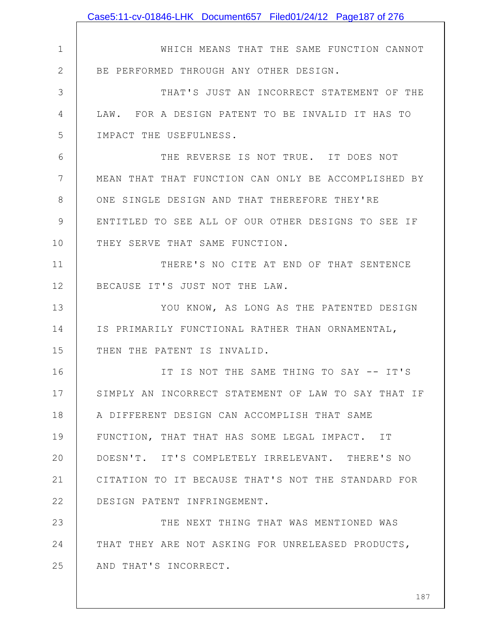|                | Case5:11-cv-01846-LHK Document657 Filed01/24/12 Page187 of 276 |
|----------------|----------------------------------------------------------------|
|                |                                                                |
| $\mathbf 1$    | WHICH MEANS THAT THE SAME FUNCTION CANNOT                      |
| $\overline{2}$ | BE PERFORMED THROUGH ANY OTHER DESIGN.                         |
| 3              | THAT'S JUST AN INCORRECT STATEMENT OF THE                      |
| 4              | LAW. FOR A DESIGN PATENT TO BE INVALID IT HAS TO               |
| 5              | IMPACT THE USEFULNESS.                                         |
| 6              | THE REVERSE IS NOT TRUE. IT DOES NOT                           |
| 7              | MEAN THAT THAT FUNCTION CAN ONLY BE ACCOMPLISHED BY            |
| 8              | ONE SINGLE DESIGN AND THAT THEREFORE THEY'RE                   |
| 9              | ENTITLED TO SEE ALL OF OUR OTHER DESIGNS TO SEE IF             |
| 10             | THEY SERVE THAT SAME FUNCTION.                                 |
| 11             | THERE'S NO CITE AT END OF THAT SENTENCE                        |
| 12             | BECAUSE IT'S JUST NOT THE LAW.                                 |
| 13             | YOU KNOW, AS LONG AS THE PATENTED DESIGN                       |
| 14             | IS PRIMARILY FUNCTIONAL RATHER THAN ORNAMENTAL,                |
| 15             | THEN THE PATENT IS INVALID.                                    |
| 16             | IT IS NOT THE SAME THING TO SAY -- IT'S                        |
| 17             | SIMPLY AN INCORRECT STATEMENT OF LAW TO SAY THAT IF            |
| 18             | A DIFFERENT DESIGN CAN ACCOMPLISH THAT SAME                    |
| 19             | FUNCTION, THAT THAT HAS SOME LEGAL IMPACT. IT                  |
| 20             | DOESN'T. IT'S COMPLETELY IRRELEVANT. THERE'S NO                |
| 21             | CITATION TO IT BECAUSE THAT'S NOT THE STANDARD FOR             |
| 22             | DESIGN PATENT INFRINGEMENT.                                    |
| 23             | THE NEXT THING THAT WAS MENTIONED WAS                          |
| 24             | THAT THEY ARE NOT ASKING FOR UNRELEASED PRODUCTS,              |
| 25             | AND THAT'S INCORRECT.                                          |
|                |                                                                |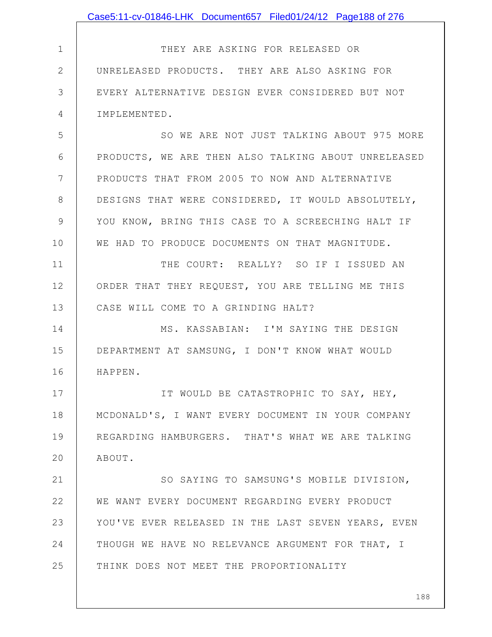|               | Case5:11-cv-01846-LHK Document657 Filed01/24/12 Page188 of 276 |
|---------------|----------------------------------------------------------------|
|               |                                                                |
| $\mathbf 1$   | THEY ARE ASKING FOR RELEASED OR                                |
| $\mathbf{2}$  | UNRELEASED PRODUCTS. THEY ARE ALSO ASKING FOR                  |
| 3             | EVERY ALTERNATIVE DESIGN EVER CONSIDERED BUT NOT               |
| 4             | IMPLEMENTED.                                                   |
| 5             | SO WE ARE NOT JUST TALKING ABOUT 975 MORE                      |
| 6             | PRODUCTS, WE ARE THEN ALSO TALKING ABOUT UNRELEASED            |
| 7             | PRODUCTS THAT FROM 2005 TO NOW AND ALTERNATIVE                 |
| 8             | DESIGNS THAT WERE CONSIDERED, IT WOULD ABSOLUTELY,             |
| $\mathcal{G}$ | YOU KNOW, BRING THIS CASE TO A SCREECHING HALT IF              |
| 10            | WE HAD TO PRODUCE DOCUMENTS ON THAT MAGNITUDE.                 |
| 11            | THE COURT: REALLY? SO IF I ISSUED AN                           |
| 12            | ORDER THAT THEY REQUEST, YOU ARE TELLING ME THIS               |
| 13            | CASE WILL COME TO A GRINDING HALT?                             |
| 14            | MS. KASSABIAN: I'M SAYING THE DESIGN                           |
| 15            | DEPARTMENT AT SAMSUNG, I DON'T KNOW WHAT WOULD                 |
| 16            | HAPPEN.                                                        |
| 17            | IT WOULD BE CATASTROPHIC TO SAY, HEY,                          |
| 18            | MCDONALD'S, I WANT EVERY DOCUMENT IN YOUR COMPANY              |
| 19            | REGARDING HAMBURGERS. THAT'S WHAT WE ARE TALKING               |
| 20            | ABOUT.                                                         |
| 21            | SO SAYING TO SAMSUNG'S MOBILE DIVISION,                        |
| 22            | WE WANT EVERY DOCUMENT REGARDING EVERY PRODUCT                 |
| 23            | YOU'VE EVER RELEASED IN THE LAST SEVEN YEARS, EVEN             |
| 24            | THOUGH WE HAVE NO RELEVANCE ARGUMENT FOR THAT, I               |
| 25            | THINK DOES NOT MEET THE PROPORTIONALITY                        |
|               |                                                                |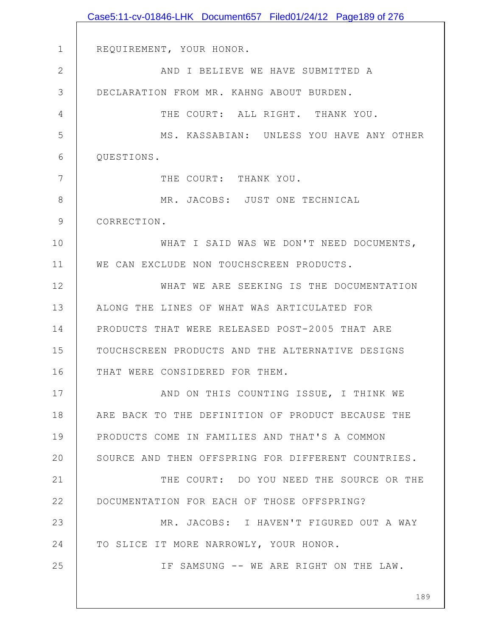|               | Case5:11-cv-01846-LHK Document657 Filed01/24/12 Page189 of 276 |
|---------------|----------------------------------------------------------------|
|               |                                                                |
| $\mathbf 1$   | REQUIREMENT, YOUR HONOR.                                       |
| $\mathbf{2}$  | AND I BELIEVE WE HAVE SUBMITTED A                              |
| 3             | DECLARATION FROM MR. KAHNG ABOUT BURDEN.                       |
| 4             | THE COURT: ALL RIGHT. THANK YOU.                               |
| 5             | MS. KASSABIAN: UNLESS YOU HAVE ANY OTHER                       |
| 6             | QUESTIONS.                                                     |
| 7             | THE COURT: THANK YOU.                                          |
| $8\,$         | MR. JACOBS: JUST ONE TECHNICAL                                 |
| $\mathcal{G}$ | CORRECTION.                                                    |
| 10            | WHAT I SAID WAS WE DON'T NEED DOCUMENTS,                       |
| 11            | WE CAN EXCLUDE NON TOUCHSCREEN PRODUCTS.                       |
| 12            | WHAT WE ARE SEEKING IS THE DOCUMENTATION                       |
| 13            | ALONG THE LINES OF WHAT WAS ARTICULATED FOR                    |
| 14            | PRODUCTS THAT WERE RELEASED POST-2005 THAT ARE                 |
| 15            | TOUCHSCREEN PRODUCTS AND THE ALTERNATIVE DESIGNS               |
| 16            | THAT WERE CONSIDERED FOR THEM.                                 |
| 17            | AND ON THIS COUNTING ISSUE, I THINK WE                         |
| 18            | ARE BACK TO THE DEFINITION OF PRODUCT BECAUSE THE              |
| 19            | PRODUCTS COME IN FAMILIES AND THAT'S A COMMON                  |
| 20            | SOURCE AND THEN OFFSPRING FOR DIFFERENT COUNTRIES.             |
| 21            | THE COURT: DO YOU NEED THE SOURCE OR THE                       |
| 22            | DOCUMENTATION FOR EACH OF THOSE OFFSPRING?                     |
| 23            | MR. JACOBS: I HAVEN'T FIGURED OUT A WAY                        |
| 24            | TO SLICE IT MORE NARROWLY, YOUR HONOR.                         |
| 25            | IF SAMSUNG -- WE ARE RIGHT ON THE LAW.                         |
|               |                                                                |
|               | 189                                                            |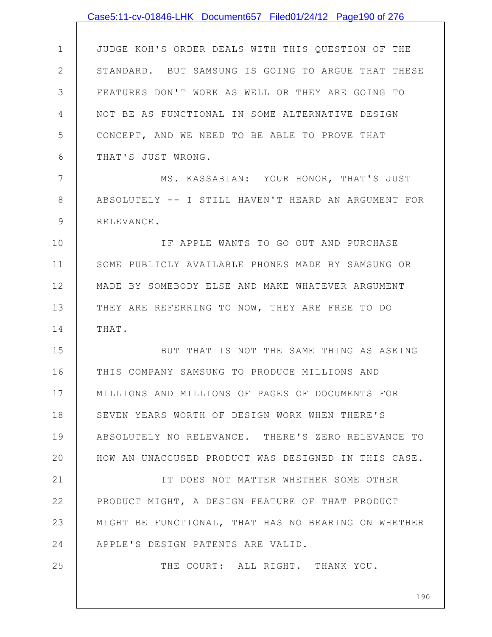|                | Case5:11-cv-01846-LHK Document657 Filed01/24/12 Page190 of 276 |
|----------------|----------------------------------------------------------------|
|                |                                                                |
| $\mathbf 1$    | JUDGE KOH'S ORDER DEALS WITH THIS QUESTION OF THE              |
| $\overline{2}$ | STANDARD. BUT SAMSUNG IS GOING TO ARGUE THAT THESE             |
| 3              | FEATURES DON'T WORK AS WELL OR THEY ARE GOING TO               |
| 4              | NOT BE AS FUNCTIONAL IN SOME ALTERNATIVE DESIGN                |
| 5              | CONCEPT, AND WE NEED TO BE ABLE TO PROVE THAT                  |
| 6              | THAT'S JUST WRONG.                                             |
| 7              | MS. KASSABIAN: YOUR HONOR, THAT'S JUST                         |
| 8              | ABSOLUTELY -- I STILL HAVEN'T HEARD AN ARGUMENT FOR            |
| 9              | RELEVANCE.                                                     |
| 10             | IF APPLE WANTS TO GO OUT AND PURCHASE                          |
| 11             | SOME PUBLICLY AVAILABLE PHONES MADE BY SAMSUNG OR              |
| 12             | MADE BY SOMEBODY ELSE AND MAKE WHATEVER ARGUMENT               |
| 13             | THEY ARE REFERRING TO NOW, THEY ARE FREE TO DO                 |
| 14             | THAT.                                                          |
| 15             | BUT THAT IS NOT THE SAME THING AS ASKING                       |
| 16             | THIS COMPANY SAMSUNG TO PRODUCE MILLIONS AND                   |
| 17             | MILLIONS AND MILLIONS OF PAGES OF DOCUMENTS FOR                |
| 18             | SEVEN YEARS WORTH OF DESIGN WORK WHEN THERE'S                  |
| 19             | ABSOLUTELY NO RELEVANCE. THERE'S ZERO RELEVANCE TO             |
| 20             | HOW AN UNACCUSED PRODUCT WAS DESIGNED IN THIS CASE.            |
| 21             | IT DOES NOT MATTER WHETHER SOME OTHER                          |
| 22             | PRODUCT MIGHT, A DESIGN FEATURE OF THAT PRODUCT                |
| 23             | MIGHT BE FUNCTIONAL, THAT HAS NO BEARING ON WHETHER            |
| 24             | APPLE'S DESIGN PATENTS ARE VALID.                              |
| 25             | THE COURT: ALL RIGHT. THANK YOU.                               |
|                |                                                                |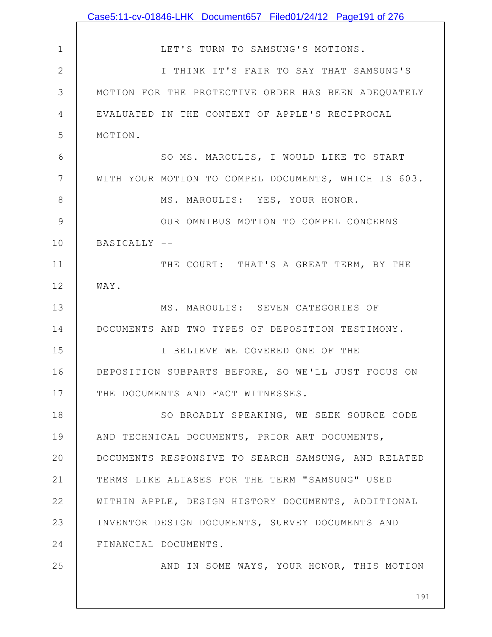|               | Case5:11-cv-01846-LHK Document657 Filed01/24/12 Page191 of 276 |
|---------------|----------------------------------------------------------------|
|               |                                                                |
| $\mathbf 1$   | LET'S TURN TO SAMSUNG'S MOTIONS.                               |
| $\mathbf{2}$  | I THINK IT'S FAIR TO SAY THAT SAMSUNG'S                        |
| 3             | MOTION FOR THE PROTECTIVE ORDER HAS BEEN ADEQUATELY            |
| 4             | EVALUATED IN THE CONTEXT OF APPLE'S RECIPROCAL                 |
| 5             | MOTION.                                                        |
| 6             | SO MS. MAROULIS, I WOULD LIKE TO START                         |
| 7             | WITH YOUR MOTION TO COMPEL DOCUMENTS, WHICH IS 603.            |
| $8\,$         | MS. MAROULIS: YES, YOUR HONOR.                                 |
| $\mathcal{G}$ | OUR OMNIBUS MOTION TO COMPEL CONCERNS                          |
| 10            | BASICALLY --                                                   |
| 11            | THE COURT: THAT'S A GREAT TERM, BY THE                         |
| 12            | WAY.                                                           |
| 13            | MS. MAROULIS: SEVEN CATEGORIES OF                              |
| 14            | DOCUMENTS AND TWO TYPES OF DEPOSITION TESTIMONY.               |
| 15            | I BELIEVE WE COVERED ONE OF THE                                |
| 16            | DEPOSITION SUBPARTS BEFORE, SO WE'LL JUST FOCUS ON             |
| 17            | THE DOCUMENTS AND FACT WITNESSES.                              |
| 18            | SO BROADLY SPEAKING, WE SEEK SOURCE CODE                       |
| 19            | AND TECHNICAL DOCUMENTS, PRIOR ART DOCUMENTS,                  |
| 20            | DOCUMENTS RESPONSIVE TO SEARCH SAMSUNG, AND RELATED            |
| 21            | TERMS LIKE ALIASES FOR THE TERM "SAMSUNG" USED                 |
| 22            | WITHIN APPLE, DESIGN HISTORY DOCUMENTS, ADDITIONAL             |
| 23            | INVENTOR DESIGN DOCUMENTS, SURVEY DOCUMENTS AND                |
| 24            | FINANCIAL DOCUMENTS.                                           |
| 25            | AND IN SOME WAYS, YOUR HONOR, THIS MOTION                      |
|               | 191                                                            |
|               |                                                                |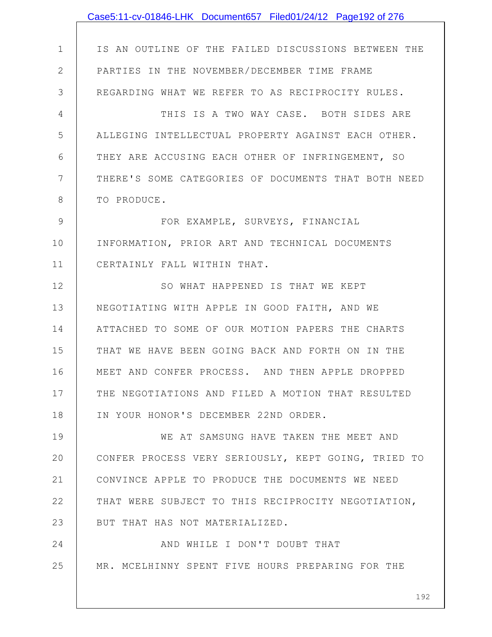|              | Case5:11-cv-01846-LHK Document657 Filed01/24/12 Page192 of 276 |
|--------------|----------------------------------------------------------------|
|              |                                                                |
| $\mathbf{1}$ | IS AN OUTLINE OF THE FAILED DISCUSSIONS BETWEEN THE            |
| $\mathbf{2}$ | PARTIES IN THE NOVEMBER/DECEMBER TIME FRAME                    |
| 3            | REGARDING WHAT WE REFER TO AS RECIPROCITY RULES.               |
| 4            | THIS IS A TWO WAY CASE. BOTH SIDES ARE                         |
| 5            | ALLEGING INTELLECTUAL PROPERTY AGAINST EACH OTHER.             |
| 6            | THEY ARE ACCUSING EACH OTHER OF INFRINGEMENT, SO               |
| 7            | THERE'S SOME CATEGORIES OF DOCUMENTS THAT BOTH NEED            |
| 8            | TO PRODUCE.                                                    |
| 9            | FOR EXAMPLE, SURVEYS, FINANCIAL                                |
| 10           | INFORMATION, PRIOR ART AND TECHNICAL DOCUMENTS                 |
| 11           | CERTAINLY FALL WITHIN THAT.                                    |
| 12           | SO WHAT HAPPENED IS THAT WE KEPT                               |
| 13           | NEGOTIATING WITH APPLE IN GOOD FAITH, AND WE                   |
| 14           | ATTACHED TO SOME OF OUR MOTION PAPERS THE CHARTS               |
| 15           | THAT WE HAVE BEEN GOING BACK AND FORTH ON IN THE               |
| 16           | MEET AND CONFER PROCESS. AND THEN APPLE DROPPED                |
| 17           | THE NEGOTIATIONS AND FILED A MOTION THAT RESULTED              |
| 18           | IN YOUR HONOR'S DECEMBER 22ND ORDER.                           |
| 19           | WE AT SAMSUNG HAVE TAKEN THE MEET AND                          |
| 20           | CONFER PROCESS VERY SERIOUSLY, KEPT GOING, TRIED TO            |
| 21           | CONVINCE APPLE TO PRODUCE THE DOCUMENTS WE NEED                |
| 22           | THAT WERE SUBJECT TO THIS RECIPROCITY NEGOTIATION,             |
| 23           | BUT THAT HAS NOT MATERIALIZED.                                 |
| 24           | AND WHILE I DON'T DOUBT THAT                                   |
| 25           | MR. MCELHINNY SPENT FIVE HOURS PREPARING FOR THE               |
|              | 192                                                            |
|              |                                                                |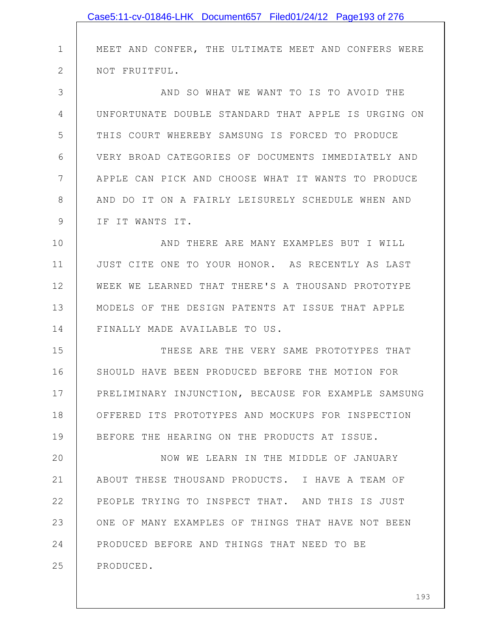|              | Case5:11-cv-01846-LHK Document657 Filed01/24/12 Page193 of 276 |
|--------------|----------------------------------------------------------------|
|              |                                                                |
| $\mathbf 1$  | MEET AND CONFER, THE ULTIMATE MEET AND CONFERS WERE            |
| $\mathbf{2}$ | NOT FRUITFUL.                                                  |
| 3            | AND SO WHAT WE WANT TO IS TO AVOID THE                         |
| 4            | UNFORTUNATE DOUBLE STANDARD THAT APPLE IS URGING ON            |
| 5            | THIS COURT WHEREBY SAMSUNG IS FORCED TO PRODUCE                |
| 6            | VERY BROAD CATEGORIES OF DOCUMENTS IMMEDIATELY AND             |
| 7            | APPLE CAN PICK AND CHOOSE WHAT IT WANTS TO PRODUCE             |
| 8            | AND DO IT ON A FAIRLY LEISURELY SCHEDULE WHEN AND              |
| 9            | IF IT WANTS IT.                                                |
| 10           | AND THERE ARE MANY EXAMPLES BUT I WILL                         |
| 11           | JUST CITE ONE TO YOUR HONOR. AS RECENTLY AS LAST               |
| 12           | WEEK WE LEARNED THAT THERE'S A THOUSAND PROTOTYPE              |
| 13           | MODELS OF THE DESIGN PATENTS AT ISSUE THAT APPLE               |
| 14           | FINALLY MADE AVAILABLE TO US.                                  |
| 15           | THESE ARE THE VERY SAME PROTOTYPES THAT                        |
| 16           | SHOULD HAVE BEEN PRODUCED BEFORE THE MOTION FOR                |
| 17           | PRELIMINARY INJUNCTION, BECAUSE FOR EXAMPLE SAMSUNG            |
| 18           | OFFERED ITS PROTOTYPES AND MOCKUPS FOR INSPECTION              |
| 19           | BEFORE THE HEARING ON THE PRODUCTS AT ISSUE.                   |
| 20           | NOW WE LEARN IN THE MIDDLE OF JANUARY                          |
| 21           | ABOUT THESE THOUSAND PRODUCTS. I HAVE A TEAM OF                |
| 22           | PEOPLE TRYING TO INSPECT THAT. AND THIS IS JUST                |
| 23           | ONE OF MANY EXAMPLES OF THINGS THAT HAVE NOT BEEN              |
| 24           | PRODUCED BEFORE AND THINGS THAT NEED TO BE                     |
| 25           | PRODUCED.                                                      |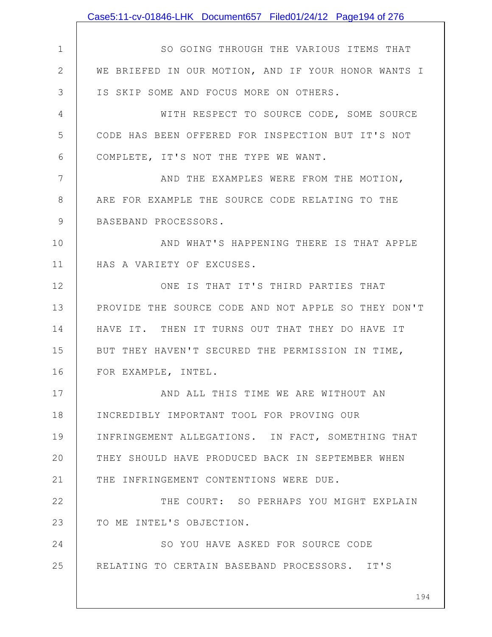|              | Case5:11-cv-01846-LHK Document657 Filed01/24/12 Page194 of 276 |
|--------------|----------------------------------------------------------------|
|              |                                                                |
| $\mathbf 1$  | SO GOING THROUGH THE VARIOUS ITEMS THAT                        |
| $\mathbf{2}$ | WE BRIEFED IN OUR MOTION, AND IF YOUR HONOR WANTS I            |
| 3            | IS SKIP SOME AND FOCUS MORE ON OTHERS.                         |
| 4            | WITH RESPECT TO SOURCE CODE, SOME SOURCE                       |
| 5            | CODE HAS BEEN OFFERED FOR INSPECTION BUT IT'S NOT              |
| 6            | COMPLETE, IT'S NOT THE TYPE WE WANT.                           |
| 7            | AND THE EXAMPLES WERE FROM THE MOTION,                         |
| 8            | ARE FOR EXAMPLE THE SOURCE CODE RELATING TO THE                |
| 9            | BASEBAND PROCESSORS.                                           |
| 10           | AND WHAT'S HAPPENING THERE IS THAT APPLE                       |
| 11           | HAS A VARIETY OF EXCUSES.                                      |
| 12           | ONE IS THAT IT'S THIRD PARTIES THAT                            |
| 13           | PROVIDE THE SOURCE CODE AND NOT APPLE SO THEY DON'T            |
| 14           | HAVE IT. THEN IT TURNS OUT THAT THEY DO HAVE IT                |
| 15           | BUT THEY HAVEN'T SECURED THE PERMISSION IN TIME,               |
| 16           | FOR EXAMPLE, INTEL.                                            |
| 17           | AND ALL THIS TIME WE ARE WITHOUT AN                            |
| 18           | INCREDIBLY IMPORTANT TOOL FOR PROVING OUR                      |
| 19           | INFRINGEMENT ALLEGATIONS. IN FACT, SOMETHING THAT              |
| 20           | THEY SHOULD HAVE PRODUCED BACK IN SEPTEMBER WHEN               |
| 21           | THE INFRINGEMENT CONTENTIONS WERE DUE.                         |
| 22           | THE COURT: SO PERHAPS YOU MIGHT EXPLAIN                        |
| 23           | TO ME INTEL'S OBJECTION.                                       |
| 24           | SO YOU HAVE ASKED FOR SOURCE CODE                              |
| 25           | RELATING TO CERTAIN BASEBAND PROCESSORS. IT'S                  |
|              |                                                                |
|              | 194                                                            |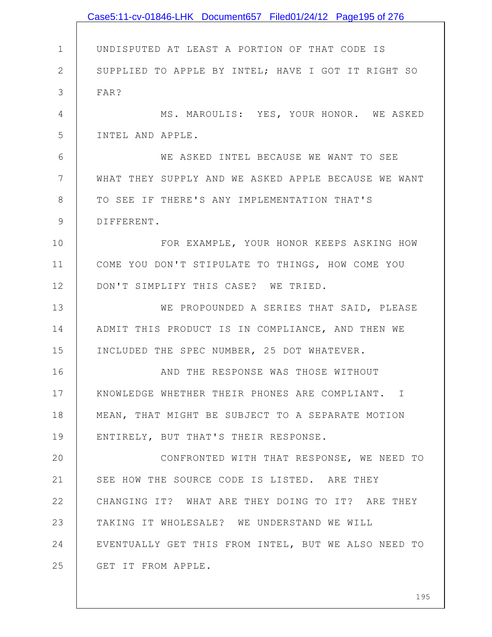|                 | Case5:11-cv-01846-LHK Document657 Filed01/24/12 Page195 of 276 |
|-----------------|----------------------------------------------------------------|
|                 |                                                                |
| $\mathbf{1}$    | UNDISPUTED AT LEAST A PORTION OF THAT CODE IS                  |
| $\mathbf{2}$    | SUPPLIED TO APPLE BY INTEL; HAVE I GOT IT RIGHT SO             |
| 3               | FAR?                                                           |
| $\overline{4}$  | MS. MAROULIS: YES, YOUR HONOR. WE ASKED                        |
| 5               | INTEL AND APPLE.                                               |
| 6               | WE ASKED INTEL BECAUSE WE WANT TO SEE                          |
| $7\phantom{.0}$ | WHAT THEY SUPPLY AND WE ASKED APPLE BECAUSE WE WANT            |
| 8               | TO SEE IF THERE'S ANY IMPLEMENTATION THAT'S                    |
| $\mathsf 9$     | DIFFERENT.                                                     |
| 10              | FOR EXAMPLE, YOUR HONOR KEEPS ASKING HOW                       |
| 11              | COME YOU DON'T STIPULATE TO THINGS, HOW COME YOU               |
| 12              | DON'T SIMPLIFY THIS CASE? WE TRIED.                            |
| 13              | WE PROPOUNDED A SERIES THAT SAID, PLEASE                       |
| 14              | ADMIT THIS PRODUCT IS IN COMPLIANCE, AND THEN WE               |
| 15              | INCLUDED THE SPEC NUMBER, 25 DOT WHATEVER.                     |
| 16              | AND THE RESPONSE WAS THOSE WITHOUT                             |
| 17              | KNOWLEDGE WHETHER THEIR PHONES ARE COMPLIANT. I                |
| 18              | MEAN, THAT MIGHT BE SUBJECT TO A SEPARATE MOTION               |
| 19              | ENTIRELY, BUT THAT'S THEIR RESPONSE.                           |
| 20              | CONFRONTED WITH THAT RESPONSE, WE NEED TO                      |
| 21              | SEE HOW THE SOURCE CODE IS LISTED. ARE THEY                    |
| 22              | CHANGING IT? WHAT ARE THEY DOING TO IT? ARE THEY               |
| 23              | TAKING IT WHOLESALE? WE UNDERSTAND WE WILL                     |
| 24              | EVENTUALLY GET THIS FROM INTEL, BUT WE ALSO NEED TO            |
| 25              | GET IT FROM APPLE.                                             |
|                 |                                                                |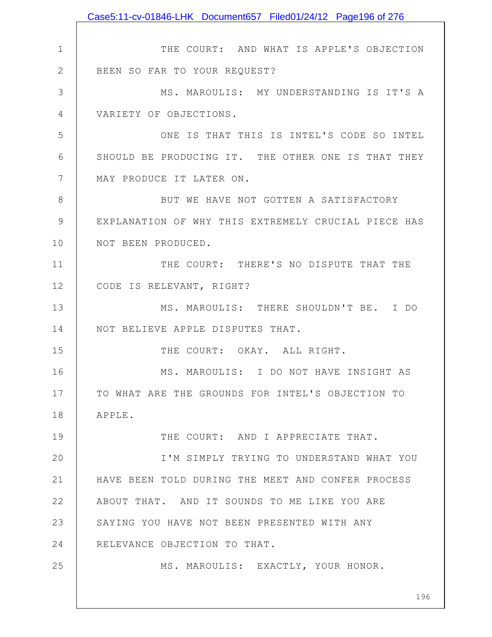|                 | Case5:11-cv-01846-LHK Document657 Filed01/24/12 Page196 of 276 |
|-----------------|----------------------------------------------------------------|
|                 |                                                                |
| $\mathbf 1$     | THE COURT: AND WHAT IS APPLE'S OBJECTION                       |
| $\overline{2}$  | BEEN SO FAR TO YOUR REQUEST?                                   |
| 3               | MS. MAROULIS: MY UNDERSTANDING IS IT'S A                       |
| 4               | VARIETY OF OBJECTIONS.                                         |
| 5               | ONE IS THAT THIS IS INTEL'S CODE SO INTEL                      |
| 6               | SHOULD BE PRODUCING IT. THE OTHER ONE IS THAT THEY             |
| $7\phantom{.0}$ | MAY PRODUCE IT LATER ON.                                       |
| 8               | BUT WE HAVE NOT GOTTEN A SATISFACTORY                          |
| $\mathcal{G}$   | EXPLANATION OF WHY THIS EXTREMELY CRUCIAL PIECE HAS            |
| 10              | NOT BEEN PRODUCED.                                             |
| 11              | THE COURT: THERE'S NO DISPUTE THAT THE                         |
| 12              | CODE IS RELEVANT, RIGHT?                                       |
| 13              | MS. MAROULIS: THERE SHOULDN'T BE. I DO                         |
| 14              | NOT BELIEVE APPLE DISPUTES THAT.                               |
| 15              | THE COURT: OKAY. ALL RIGHT.                                    |
| 16              | MS. MAROULIS: I DO NOT HAVE INSIGHT AS                         |
| 17              | TO WHAT ARE THE GROUNDS FOR INTEL'S OBJECTION TO               |
| 18              | APPLE.                                                         |
| 19              | THE COURT: AND I APPRECIATE THAT.                              |
| 20              | I'M SIMPLY TRYING TO UNDERSTAND WHAT YOU                       |
| 21              | HAVE BEEN TOLD DURING THE MEET AND CONFER PROCESS              |
| 22              | ABOUT THAT. AND IT SOUNDS TO ME LIKE YOU ARE                   |
| 23              | SAYING YOU HAVE NOT BEEN PRESENTED WITH ANY                    |
| 24              | RELEVANCE OBJECTION TO THAT.                                   |
| 25              | MS. MAROULIS: EXACTLY, YOUR HONOR.                             |
|                 |                                                                |
|                 | 196                                                            |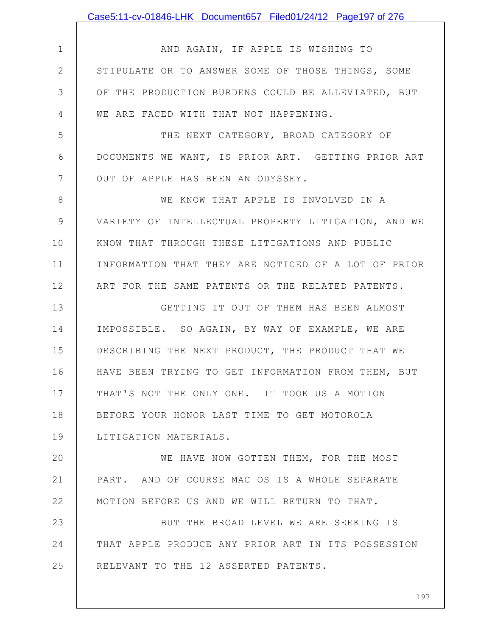|              | Case5:11-cv-01846-LHK Document657 Filed01/24/12 Page197 of 276 |
|--------------|----------------------------------------------------------------|
|              |                                                                |
| $\mathbf 1$  | AND AGAIN, IF APPLE IS WISHING TO                              |
| $\mathbf{2}$ | STIPULATE OR TO ANSWER SOME OF THOSE THINGS, SOME              |
| 3            | OF THE PRODUCTION BURDENS COULD BE ALLEVIATED, BUT             |
| 4            | WE ARE FACED WITH THAT NOT HAPPENING.                          |
| 5            | THE NEXT CATEGORY, BROAD CATEGORY OF                           |
| 6            | DOCUMENTS WE WANT, IS PRIOR ART. GETTING PRIOR ART             |
| 7            | OUT OF APPLE HAS BEEN AN ODYSSEY.                              |
| 8            | WE KNOW THAT APPLE IS INVOLVED IN A                            |
| 9            | VARIETY OF INTELLECTUAL PROPERTY LITIGATION, AND WE            |
| 10           | KNOW THAT THROUGH THESE LITIGATIONS AND PUBLIC                 |
| 11           | INFORMATION THAT THEY ARE NOTICED OF A LOT OF PRIOR            |
| 12           | ART FOR THE SAME PATENTS OR THE RELATED PATENTS.               |
| 13           | GETTING IT OUT OF THEM HAS BEEN ALMOST                         |
| 14           | IMPOSSIBLE. SO AGAIN, BY WAY OF EXAMPLE, WE ARE                |
| 15           | DESCRIBING THE NEXT PRODUCT, THE PRODUCT THAT WE               |
| 16           | HAVE BEEN TRYING TO GET INFORMATION FROM THEM, BUT             |
| 17           | THAT'S NOT THE ONLY ONE. IT TOOK US A MOTION                   |
| 18           | BEFORE YOUR HONOR LAST TIME TO GET MOTOROLA                    |
| 19           | LITIGATION MATERIALS.                                          |
| 20           | WE HAVE NOW GOTTEN THEM, FOR THE MOST                          |
| 21           | PART. AND OF COURSE MAC OS IS A WHOLE SEPARATE                 |
| 22           | MOTION BEFORE US AND WE WILL RETURN TO THAT.                   |
| 23           | BUT THE BROAD LEVEL WE ARE SEEKING IS                          |
| 24           | THAT APPLE PRODUCE ANY PRIOR ART IN ITS POSSESSION             |
| 25           | RELEVANT TO THE 12 ASSERTED PATENTS.                           |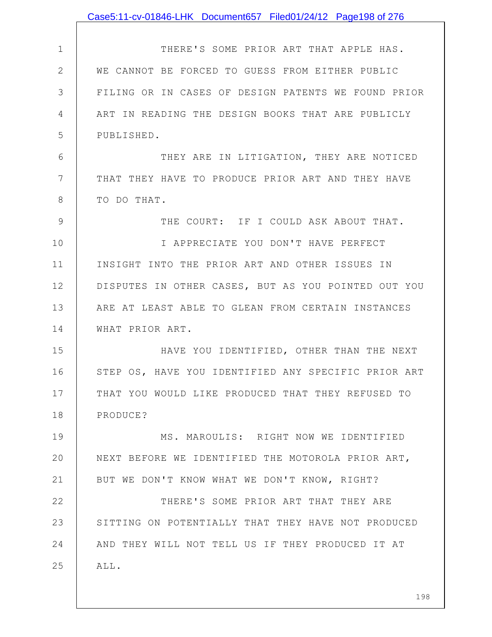|               | Case5:11-cv-01846-LHK Document657 Filed01/24/12 Page198 of 276 |
|---------------|----------------------------------------------------------------|
|               |                                                                |
| $\mathbf 1$   | THERE'S SOME PRIOR ART THAT APPLE HAS.                         |
| $\mathbf{2}$  | WE CANNOT BE FORCED TO GUESS FROM EITHER PUBLIC                |
| 3             | FILING OR IN CASES OF DESIGN PATENTS WE FOUND PRIOR            |
| 4             | ART IN READING THE DESIGN BOOKS THAT ARE PUBLICLY              |
| 5             | PUBLISHED.                                                     |
| 6             | THEY ARE IN LITIGATION, THEY ARE NOTICED                       |
| 7             | THAT THEY HAVE TO PRODUCE PRIOR ART AND THEY HAVE              |
| 8             | TO DO THAT.                                                    |
| $\mathcal{G}$ | THE COURT: IF I COULD ASK ABOUT THAT.                          |
| 10            | I APPRECIATE YOU DON'T HAVE PERFECT                            |
| 11            | INSIGHT INTO THE PRIOR ART AND OTHER ISSUES IN                 |
| 12            | DISPUTES IN OTHER CASES, BUT AS YOU POINTED OUT YOU            |
| 13            | ARE AT LEAST ABLE TO GLEAN FROM CERTAIN INSTANCES              |
| 14            | WHAT PRIOR ART.                                                |
| 15            | HAVE YOU IDENTIFIED, OTHER THAN THE NEXT                       |
| 16            | STEP OS, HAVE YOU IDENTIFIED ANY SPECIFIC PRIOR ART            |
| 17            | THAT YOU WOULD LIKE PRODUCED THAT THEY REFUSED TO              |
| 18            | PRODUCE?                                                       |
| 19            | MS. MAROULIS: RIGHT NOW WE IDENTIFIED                          |
| 20            | NEXT BEFORE WE IDENTIFIED THE MOTOROLA PRIOR ART,              |
| 21            | BUT WE DON'T KNOW WHAT WE DON'T KNOW, RIGHT?                   |
| 22            | THERE'S SOME PRIOR ART THAT THEY ARE                           |
| 23            | SITTING ON POTENTIALLY THAT THEY HAVE NOT PRODUCED             |
| 24            | AND THEY WILL NOT TELL US IF THEY PRODUCED IT AT               |
| 25            | ALL.                                                           |
|               |                                                                |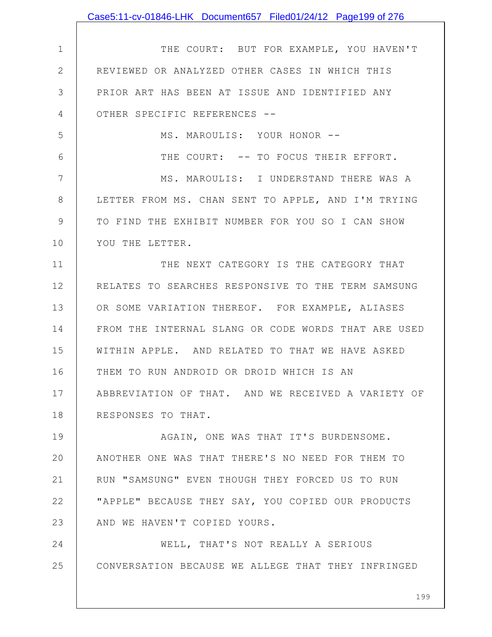|              | Case5:11-cv-01846-LHK Document657 Filed01/24/12 Page199 of 276 |
|--------------|----------------------------------------------------------------|
|              |                                                                |
| $\mathbf 1$  | THE COURT: BUT FOR EXAMPLE, YOU HAVEN'T                        |
| $\mathbf{2}$ | REVIEWED OR ANALYZED OTHER CASES IN WHICH THIS                 |
| 3            | PRIOR ART HAS BEEN AT ISSUE AND IDENTIFIED ANY                 |
| 4            | OTHER SPECIFIC REFERENCES --                                   |
| 5            | MS. MAROULIS: YOUR HONOR --                                    |
| 6            | THE COURT: -- TO FOCUS THEIR EFFORT.                           |
| 7            | MS. MAROULIS: I UNDERSTAND THERE WAS A                         |
| 8            | LETTER FROM MS. CHAN SENT TO APPLE, AND I'M TRYING             |
| 9            | TO FIND THE EXHIBIT NUMBER FOR YOU SO I CAN SHOW               |
| 10           | YOU THE LETTER.                                                |
| 11           | THE NEXT CATEGORY IS THE CATEGORY THAT                         |
| 12           | RELATES TO SEARCHES RESPONSIVE TO THE TERM SAMSUNG             |
| 13           | OR SOME VARIATION THEREOF. FOR EXAMPLE, ALIASES                |
| 14           | FROM THE INTERNAL SLANG OR CODE WORDS THAT ARE USED            |
| 15           | WITHIN APPLE. AND RELATED TO THAT WE HAVE ASKED                |
| 16           | THEM TO RUN ANDROID OR DROID WHICH IS AN                       |
| 17           | ABBREVIATION OF THAT. AND WE RECEIVED A VARIETY OF             |
| 18           | RESPONSES TO THAT.                                             |
| 19           | AGAIN, ONE WAS THAT IT'S BURDENSOME.                           |
| 20           | ANOTHER ONE WAS THAT THERE'S NO NEED FOR THEM TO               |
| 21           | RUN "SAMSUNG" EVEN THOUGH THEY FORCED US TO RUN                |
| 22           | "APPLE" BECAUSE THEY SAY, YOU COPIED OUR PRODUCTS              |
| 23           | AND WE HAVEN'T COPIED YOURS.                                   |
| 24           | WELL, THAT'S NOT REALLY A SERIOUS                              |
| 25           | CONVERSATION BECAUSE WE ALLEGE THAT THEY INFRINGED             |
|              |                                                                |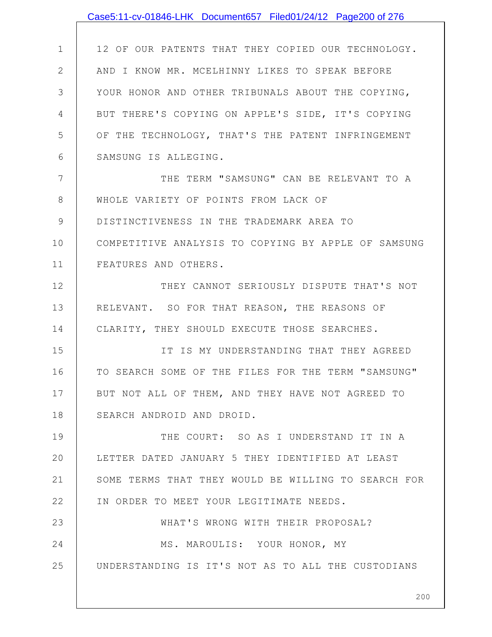|              | Case5:11-cv-01846-LHK Document657 Filed01/24/12 Page200 of 276 |
|--------------|----------------------------------------------------------------|
|              |                                                                |
| 1            | 12 OF OUR PATENTS THAT THEY COPIED OUR TECHNOLOGY.             |
| $\mathbf{2}$ | AND I KNOW MR. MCELHINNY LIKES TO SPEAK BEFORE                 |
| 3            | YOUR HONOR AND OTHER TRIBUNALS ABOUT THE COPYING,              |
| 4            | BUT THERE'S COPYING ON APPLE'S SIDE, IT'S COPYING              |
| 5            | OF THE TECHNOLOGY, THAT'S THE PATENT INFRINGEMENT              |
| 6            | SAMSUNG IS ALLEGING.                                           |
| 7            | THE TERM "SAMSUNG" CAN BE RELEVANT TO A                        |
| 8            | WHOLE VARIETY OF POINTS FROM LACK OF                           |
| 9            | DISTINCTIVENESS IN THE TRADEMARK AREA TO                       |
| 10           | COMPETITIVE ANALYSIS TO COPYING BY APPLE OF SAMSUNG            |
| 11           | FEATURES AND OTHERS.                                           |
| 12           | THEY CANNOT SERIOUSLY DISPUTE THAT'S NOT                       |
| 13           | RELEVANT. SO FOR THAT REASON, THE REASONS OF                   |
| 14           | CLARITY, THEY SHOULD EXECUTE THOSE SEARCHES.                   |
| 15           | IT IS MY UNDERSTANDING THAT THEY AGREED                        |
| 16           | TO SEARCH SOME OF THE FILES FOR THE TERM "SAMSUNG"             |
| 17           | BUT NOT ALL OF THEM, AND THEY HAVE NOT AGREED TO               |
| 18           | SEARCH ANDROID AND DROID.                                      |
| 19           | THE COURT: SO AS I UNDERSTAND IT IN A                          |
| 20           | LETTER DATED JANUARY 5 THEY IDENTIFIED AT LEAST                |
| 21           | SOME TERMS THAT THEY WOULD BE WILLING TO SEARCH FOR            |
| 22           | IN ORDER TO MEET YOUR LEGITIMATE NEEDS.                        |
| 23           | WHAT'S WRONG WITH THEIR PROPOSAL?                              |
| 24           | MS. MAROULIS: YOUR HONOR, MY                                   |
| 25           | UNDERSTANDING IS IT'S NOT AS TO ALL THE CUSTODIANS             |
|              |                                                                |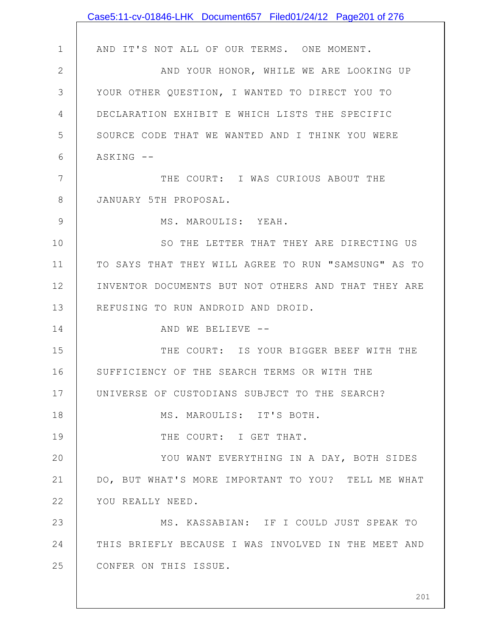|                | Case5:11-cv-01846-LHK Document657 Filed01/24/12 Page201 of 276 |
|----------------|----------------------------------------------------------------|
|                |                                                                |
| $\mathbf 1$    | AND IT'S NOT ALL OF OUR TERMS. ONE MOMENT.                     |
| $\mathbf{2}$   | AND YOUR HONOR, WHILE WE ARE LOOKING UP                        |
| 3              | YOUR OTHER QUESTION, I WANTED TO DIRECT YOU TO                 |
| 4              | DECLARATION EXHIBIT E WHICH LISTS THE SPECIFIC                 |
| 5              | SOURCE CODE THAT WE WANTED AND I THINK YOU WERE                |
| 6              | ASKING --                                                      |
| $\overline{7}$ | THE COURT: I WAS CURIOUS ABOUT THE                             |
| 8              | JANUARY 5TH PROPOSAL.                                          |
| 9              | MS. MAROULIS: YEAH.                                            |
| 10             | SO THE LETTER THAT THEY ARE DIRECTING US                       |
| 11             | TO SAYS THAT THEY WILL AGREE TO RUN "SAMSUNG" AS TO            |
| 12             | INVENTOR DOCUMENTS BUT NOT OTHERS AND THAT THEY ARE            |
| 13             | REFUSING TO RUN ANDROID AND DROID.                             |
| 14             | AND WE BELIEVE --                                              |
| 15             | THE COURT: IS YOUR BIGGER BEEF WITH THE                        |
| 16             | SUFFICIENCY OF THE SEARCH TERMS OR WITH THE                    |
| 17             | UNIVERSE OF CUSTODIANS SUBJECT TO THE SEARCH?                  |
| 18             | MS. MAROULIS: IT'S BOTH.                                       |
| 19             | THE COURT: I GET THAT.                                         |
| 20             | YOU WANT EVERYTHING IN A DAY, BOTH SIDES                       |
| 21             | DO, BUT WHAT'S MORE IMPORTANT TO YOU? TELL ME WHAT             |
| 22             | YOU REALLY NEED.                                               |
| 23             | MS. KASSABIAN: IF I COULD JUST SPEAK TO                        |
| 24             | THIS BRIEFLY BECAUSE I WAS INVOLVED IN THE MEET AND            |
| 25             | CONFER ON THIS ISSUE.                                          |
|                |                                                                |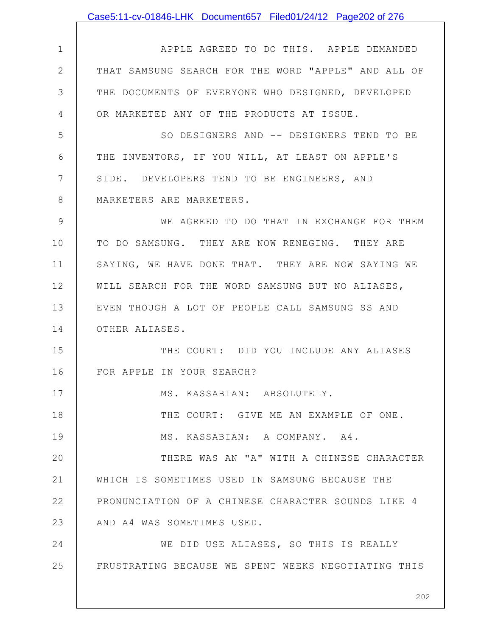|              | Case5:11-cv-01846-LHK Document657 Filed01/24/12 Page202 of 276 |
|--------------|----------------------------------------------------------------|
|              |                                                                |
| $\mathbf 1$  | APPLE AGREED TO DO THIS. APPLE DEMANDED                        |
| $\mathbf{2}$ | THAT SAMSUNG SEARCH FOR THE WORD "APPLE" AND ALL OF            |
| 3            | THE DOCUMENTS OF EVERYONE WHO DESIGNED, DEVELOPED              |
| 4            | OR MARKETED ANY OF THE PRODUCTS AT ISSUE.                      |
| 5            | SO DESIGNERS AND -- DESIGNERS TEND TO BE                       |
| 6            | THE INVENTORS, IF YOU WILL, AT LEAST ON APPLE'S                |
| 7            | SIDE. DEVELOPERS TEND TO BE ENGINEERS, AND                     |
| 8            | MARKETERS ARE MARKETERS.                                       |
| 9            | WE AGREED TO DO THAT IN EXCHANGE FOR THEM                      |
| 10           | TO DO SAMSUNG. THEY ARE NOW RENEGING. THEY ARE                 |
| 11           | SAYING, WE HAVE DONE THAT. THEY ARE NOW SAYING WE              |
| 12           | WILL SEARCH FOR THE WORD SAMSUNG BUT NO ALIASES,               |
| 13           | EVEN THOUGH A LOT OF PEOPLE CALL SAMSUNG SS AND                |
| 14           | OTHER ALIASES.                                                 |
| 15           | THE COURT: DID YOU INCLUDE ANY ALIASES                         |
| 16           | FOR APPLE IN YOUR SEARCH?                                      |
| 17           | MS. KASSABIAN: ABSOLUTELY.                                     |
| 18           | THE COURT: GIVE ME AN EXAMPLE OF ONE.                          |
| 19           | MS. KASSABIAN: A COMPANY. A4.                                  |
| 20           | THERE WAS AN "A" WITH A CHINESE CHARACTER                      |
| 21           | WHICH IS SOMETIMES USED IN SAMSUNG BECAUSE THE                 |
| 22           | PRONUNCIATION OF A CHINESE CHARACTER SOUNDS LIKE 4             |
| 23           | AND A4 WAS SOMETIMES USED.                                     |
| 24           | WE DID USE ALIASES, SO THIS IS REALLY                          |
| 25           | FRUSTRATING BECAUSE WE SPENT WEEKS NEGOTIATING THIS            |
|              |                                                                |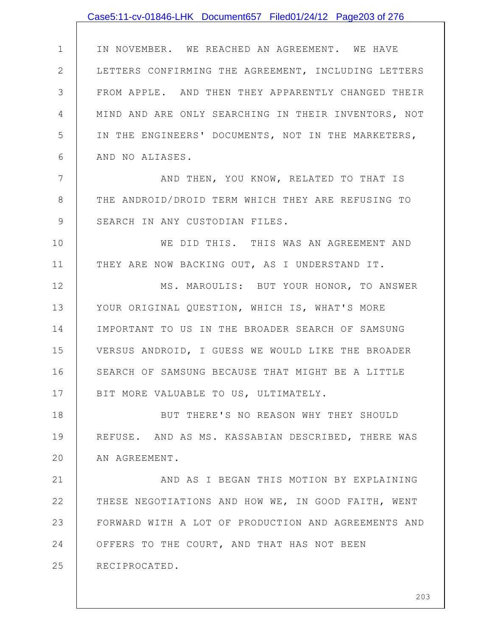## Case5:11-cv-01846-LHK Document657 Filed01/24/12 Page203 of 276

1 2 3 4 5 6 IN NOVEMBER. WE REACHED AN AGREEMENT. WE HAVE LETTERS CONFIRMING THE AGREEMENT, INCLUDING LETTERS FROM APPLE. AND THEN THEY APPARENTLY CHANGED THEIR MIND AND ARE ONLY SEARCHING IN THEIR INVENTORS, NOT IN THE ENGINEERS' DOCUMENTS, NOT IN THE MARKETERS, AND NO ALIASES.

AND THEN, YOU KNOW, RELATED TO THAT IS THE ANDROID/DROID TERM WHICH THEY ARE REFUSING TO SEARCH IN ANY CUSTODIAN FILES.

7

8

9

10 11 WE DID THIS. THIS WAS AN AGREEMENT AND THEY ARE NOW BACKING OUT, AS I UNDERSTAND IT.

12 13 14 15 16 17 MS. MAROULIS: BUT YOUR HONOR, TO ANSWER YOUR ORIGINAL QUESTION, WHICH IS, WHAT'S MORE IMPORTANT TO US IN THE BROADER SEARCH OF SAMSUNG VERSUS ANDROID, I GUESS WE WOULD LIKE THE BROADER SEARCH OF SAMSUNG BECAUSE THAT MIGHT BE A LITTLE BIT MORE VALUABLE TO US, ULTIMATELY.

18 19 20 BUT THERE'S NO REASON WHY THEY SHOULD REFUSE. AND AS MS. KASSABIAN DESCRIBED, THERE WAS AN AGREEMENT.

21 22 23 24 25 AND AS I BEGAN THIS MOTION BY EXPLAINING THESE NEGOTIATIONS AND HOW WE, IN GOOD FAITH, WENT FORWARD WITH A LOT OF PRODUCTION AND AGREEMENTS AND OFFERS TO THE COURT, AND THAT HAS NOT BEEN RECIPROCATED.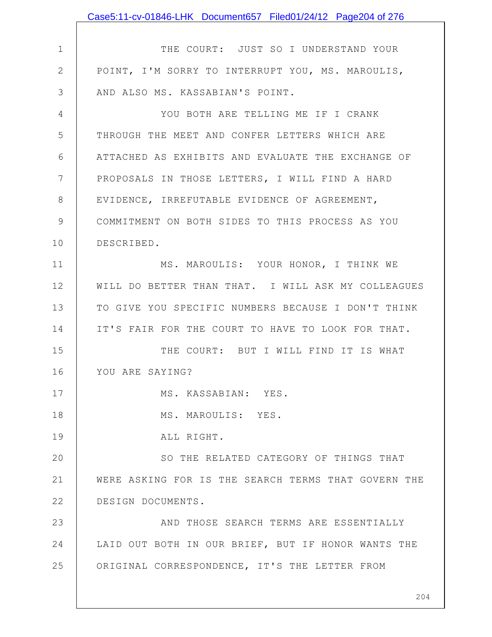|              | Case5:11-cv-01846-LHK Document657 Filed01/24/12 Page204 of 276 |
|--------------|----------------------------------------------------------------|
|              |                                                                |
| $\mathbf 1$  | THE COURT: JUST SO I UNDERSTAND YOUR                           |
| $\mathbf{2}$ | POINT, I'M SORRY TO INTERRUPT YOU, MS. MAROULIS,               |
| 3            | AND ALSO MS. KASSABIAN'S POINT.                                |
| 4            | YOU BOTH ARE TELLING ME IF I CRANK                             |
| 5            | THROUGH THE MEET AND CONFER LETTERS WHICH ARE                  |
| 6            | ATTACHED AS EXHIBITS AND EVALUATE THE EXCHANGE OF              |
| 7            | PROPOSALS IN THOSE LETTERS, I WILL FIND A HARD                 |
| 8            | EVIDENCE, IRREFUTABLE EVIDENCE OF AGREEMENT,                   |
| 9            | COMMITMENT ON BOTH SIDES TO THIS PROCESS AS YOU                |
| 10           | DESCRIBED.                                                     |
| 11           | MS. MAROULIS: YOUR HONOR, I THINK WE                           |
| 12           | WILL DO BETTER THAN THAT. I WILL ASK MY COLLEAGUES             |
| 13           | TO GIVE YOU SPECIFIC NUMBERS BECAUSE I DON'T THINK             |
| 14           | IT'S FAIR FOR THE COURT TO HAVE TO LOOK FOR THAT.              |
| 15           | THE COURT: BUT I WILL FIND IT IS WHAT                          |
| 16           | YOU ARE SAYING?                                                |
| 17           | MS. KASSABIAN: YES.                                            |
| 18           | MS. MAROULIS: YES.                                             |
| 19           | ALL RIGHT.                                                     |
| 20           | SO THE RELATED CATEGORY OF THINGS THAT                         |
| 21           | WERE ASKING FOR IS THE SEARCH TERMS THAT GOVERN THE            |
| 22           | DESIGN DOCUMENTS.                                              |
| 23           | AND THOSE SEARCH TERMS ARE ESSENTIALLY                         |
| 24           | LAID OUT BOTH IN OUR BRIEF, BUT IF HONOR WANTS THE             |
| 25           | ORIGINAL CORRESPONDENCE, IT'S THE LETTER FROM                  |
|              |                                                                |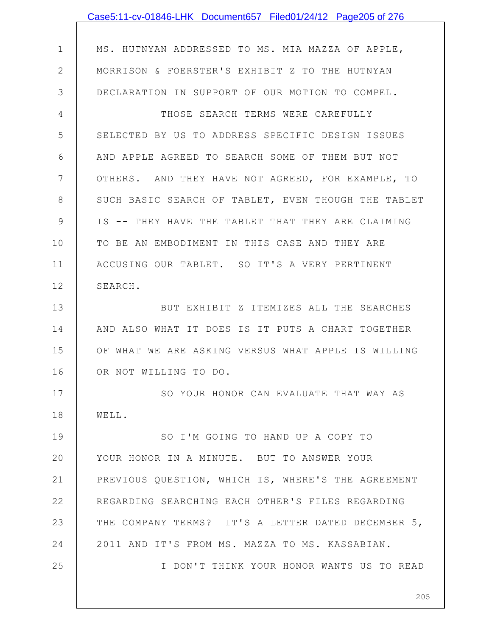|              | Case5:11-cv-01846-LHK Document657 Filed01/24/12 Page205 of 276 |
|--------------|----------------------------------------------------------------|
|              |                                                                |
| $\mathbf 1$  | MS. HUTNYAN ADDRESSED TO MS. MIA MAZZA OF APPLE,               |
| $\mathbf{2}$ | MORRISON & FOERSTER'S EXHIBIT Z TO THE HUTNYAN                 |
| 3            | DECLARATION IN SUPPORT OF OUR MOTION TO COMPEL.                |
| 4            | THOSE SEARCH TERMS WERE CAREFULLY                              |
| 5            | SELECTED BY US TO ADDRESS SPECIFIC DESIGN ISSUES               |
| 6            | AND APPLE AGREED TO SEARCH SOME OF THEM BUT NOT                |
| 7            | OTHERS. AND THEY HAVE NOT AGREED, FOR EXAMPLE, TO              |
| $8\,$        | SUCH BASIC SEARCH OF TABLET, EVEN THOUGH THE TABLET            |
| 9            | IS -- THEY HAVE THE TABLET THAT THEY ARE CLAIMING              |
| 10           | TO BE AN EMBODIMENT IN THIS CASE AND THEY ARE                  |
| 11           | ACCUSING OUR TABLET. SO IT'S A VERY PERTINENT                  |
| 12           | SEARCH.                                                        |
| 13           | BUT EXHIBIT Z ITEMIZES ALL THE SEARCHES                        |
| 14           | AND ALSO WHAT IT DOES IS IT PUTS A CHART TOGETHER              |
| 15           | OF WHAT WE ARE ASKING VERSUS WHAT APPLE IS WILLING             |
| 16           | OR NOT WILLING TO DO.                                          |
| 17           | SO YOUR HONOR CAN EVALUATE THAT WAY AS                         |
| 18           | WELL.                                                          |
| 19           | SO I'M GOING TO HAND UP A COPY TO                              |
| 20           | YOUR HONOR IN A MINUTE. BUT TO ANSWER YOUR                     |
| 21           | PREVIOUS QUESTION, WHICH IS, WHERE'S THE AGREEMENT             |
| 22           | REGARDING SEARCHING EACH OTHER'S FILES REGARDING               |
| 23           | THE COMPANY TERMS? IT'S A LETTER DATED DECEMBER 5,             |
| 24           | 2011 AND IT'S FROM MS. MAZZA TO MS. KASSABIAN.                 |
| 25           | I DON'T THINK YOUR HONOR WANTS US TO READ                      |
|              |                                                                |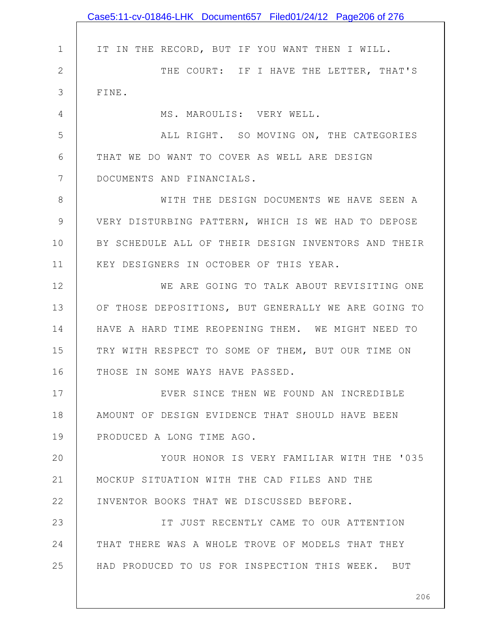|               | Case5:11-cv-01846-LHK Document657 Filed01/24/12 Page206 of 276 |
|---------------|----------------------------------------------------------------|
|               |                                                                |
| $\mathbf 1$   | IT IN THE RECORD, BUT IF YOU WANT THEN I WILL.                 |
| $\mathbf{2}$  | THE COURT: IF I HAVE THE LETTER, THAT'S                        |
| 3             | FINE.                                                          |
| 4             | MS. MAROULIS: VERY WELL.                                       |
| 5             | ALL RIGHT. SO MOVING ON, THE CATEGORIES                        |
| 6             | THAT WE DO WANT TO COVER AS WELL ARE DESIGN                    |
| 7             | DOCUMENTS AND FINANCIALS.                                      |
| 8             | WITH THE DESIGN DOCUMENTS WE HAVE SEEN A                       |
| $\mathcal{G}$ | VERY DISTURBING PATTERN, WHICH IS WE HAD TO DEPOSE             |
| 10            | BY SCHEDULE ALL OF THEIR DESIGN INVENTORS AND THEIR            |
| 11            | KEY DESIGNERS IN OCTOBER OF THIS YEAR.                         |
| 12            | WE ARE GOING TO TALK ABOUT REVISITING ONE                      |
| 13            | OF THOSE DEPOSITIONS, BUT GENERALLY WE ARE GOING TO            |
| 14            | HAVE A HARD TIME REOPENING THEM. WE MIGHT NEED TO              |
| 15            | TRY WITH RESPECT TO SOME OF THEM, BUT OUR TIME ON              |
| 16            | THOSE IN SOME WAYS HAVE PASSED.                                |
| 17            | EVER SINCE THEN WE FOUND AN INCREDIBLE                         |
| 18            | AMOUNT OF DESIGN EVIDENCE THAT SHOULD HAVE BEEN                |
| 19            | PRODUCED A LONG TIME AGO.                                      |
| 20            | YOUR HONOR IS VERY FAMILIAR WITH THE '035                      |
| 21            | MOCKUP SITUATION WITH THE CAD FILES AND THE                    |
| 22            | INVENTOR BOOKS THAT WE DISCUSSED BEFORE.                       |
| 23            | IT JUST RECENTLY CAME TO OUR ATTENTION                         |
| 24            | THAT THERE WAS A WHOLE TROVE OF MODELS THAT THEY               |
| 25            | HAD PRODUCED TO US FOR INSPECTION THIS WEEK. BUT               |
|               |                                                                |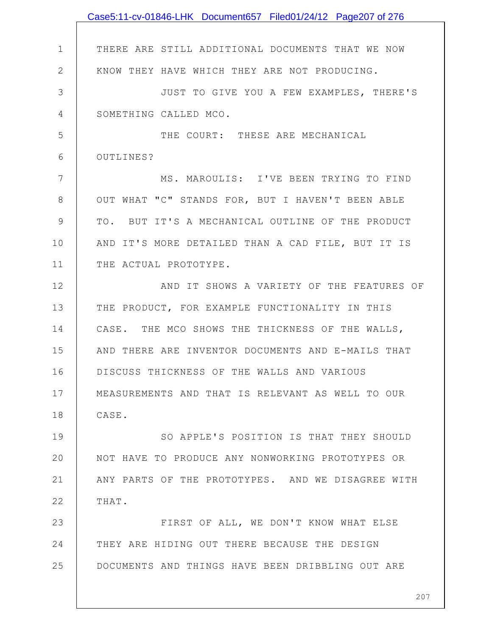|                | Case5:11-cv-01846-LHK Document657 Filed01/24/12 Page207 of 276 |
|----------------|----------------------------------------------------------------|
|                |                                                                |
| $\mathbf 1$    | THERE ARE STILL ADDITIONAL DOCUMENTS THAT WE NOW               |
| $\mathbf{2}$   | KNOW THEY HAVE WHICH THEY ARE NOT PRODUCING.                   |
| 3              | JUST TO GIVE YOU A FEW EXAMPLES, THERE'S                       |
| $\overline{4}$ | SOMETHING CALLED MCO.                                          |
| 5              | THE COURT: THESE ARE MECHANICAL                                |
| 6              | OUTLINES?                                                      |
| 7              | MS. MAROULIS: I'VE BEEN TRYING TO FIND                         |
| 8              | OUT WHAT "C" STANDS FOR, BUT I HAVEN'T BEEN ABLE               |
| 9              | TO. BUT IT'S A MECHANICAL OUTLINE OF THE PRODUCT               |
| 10             | AND IT'S MORE DETAILED THAN A CAD FILE, BUT IT IS              |
| 11             | THE ACTUAL PROTOTYPE.                                          |
| 12             | AND IT SHOWS A VARIETY OF THE FEATURES OF                      |
| 13             | THE PRODUCT, FOR EXAMPLE FUNCTIONALITY IN THIS                 |
| 14             | CASE. THE MCO SHOWS THE THICKNESS OF THE WALLS,                |
| 15             | AND THERE ARE INVENTOR DOCUMENTS AND E-MAILS THAT              |
| 16             | DISCUSS THICKNESS OF THE WALLS AND VARIOUS                     |
| 17             | MEASUREMENTS AND THAT IS RELEVANT AS WELL TO OUR               |
| 18             | CASE.                                                          |
| 19             | SO APPLE'S POSITION IS THAT THEY SHOULD                        |
| 20             | NOT HAVE TO PRODUCE ANY NONWORKING PROTOTYPES OR               |
| 21             | ANY PARTS OF THE PROTOTYPES. AND WE DISAGREE WITH              |
| 22             | THAT.                                                          |
| 23             | FIRST OF ALL, WE DON'T KNOW WHAT ELSE                          |
| 24             | THEY ARE HIDING OUT THERE BECAUSE THE DESIGN                   |
| 25             | DOCUMENTS AND THINGS HAVE BEEN DRIBBLING OUT ARE               |
|                |                                                                |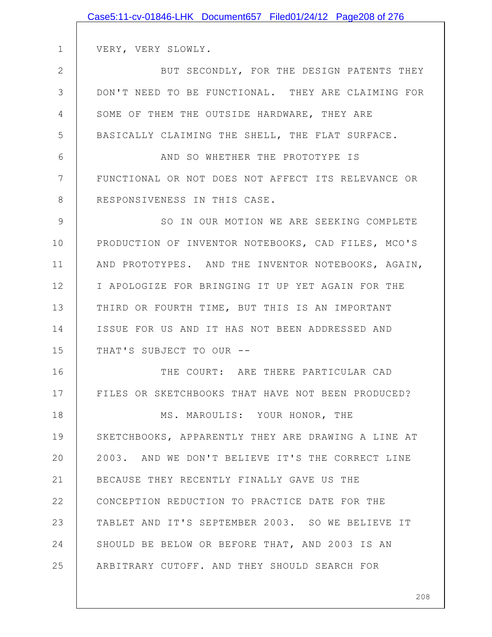|              | Case5:11-cv-01846-LHK Document657 Filed01/24/12 Page208 of 276 |
|--------------|----------------------------------------------------------------|
|              |                                                                |
| $\mathbf 1$  | VERY, VERY SLOWLY.                                             |
| $\mathbf{2}$ | BUT SECONDLY, FOR THE DESIGN PATENTS THEY                      |
| 3            | DON'T NEED TO BE FUNCTIONAL. THEY ARE CLAIMING FOR             |
| 4            | SOME OF THEM THE OUTSIDE HARDWARE, THEY ARE                    |
| 5            | BASICALLY CLAIMING THE SHELL, THE FLAT SURFACE.                |
| 6            | AND SO WHETHER THE PROTOTYPE IS                                |
| 7            | FUNCTIONAL OR NOT DOES NOT AFFECT ITS RELEVANCE OR             |
| 8            | RESPONSIVENESS IN THIS CASE.                                   |
| 9            | SO IN OUR MOTION WE ARE SEEKING COMPLETE                       |
| 10           | PRODUCTION OF INVENTOR NOTEBOOKS, CAD FILES, MCO'S             |
| 11           | AND PROTOTYPES. AND THE INVENTOR NOTEBOOKS, AGAIN,             |
| 12           | I APOLOGIZE FOR BRINGING IT UP YET AGAIN FOR THE               |
| 13           | THIRD OR FOURTH TIME, BUT THIS IS AN IMPORTANT                 |
| 14           | ISSUE FOR US AND IT HAS NOT BEEN ADDRESSED AND                 |
| 15           | THAT'S SUBJECT TO OUR --                                       |
| 16           | THE COURT: ARE THERE PARTICULAR CAD                            |
| 17           | FILES OR SKETCHBOOKS THAT HAVE NOT BEEN PRODUCED?              |
| 18           | MS. MAROULIS: YOUR HONOR, THE                                  |
| 19           | SKETCHBOOKS, APPARENTLY THEY ARE DRAWING A LINE AT             |
| 20           | 2003. AND WE DON'T BELIEVE IT'S THE CORRECT LINE               |
| 21           | BECAUSE THEY RECENTLY FINALLY GAVE US THE                      |
| 22           | CONCEPTION REDUCTION TO PRACTICE DATE FOR THE                  |
| 23           | TABLET AND IT'S SEPTEMBER 2003. SO WE BELIEVE IT               |
| 24           | SHOULD BE BELOW OR BEFORE THAT, AND 2003 IS AN                 |
| 25           | ARBITRARY CUTOFF. AND THEY SHOULD SEARCH FOR                   |
|              |                                                                |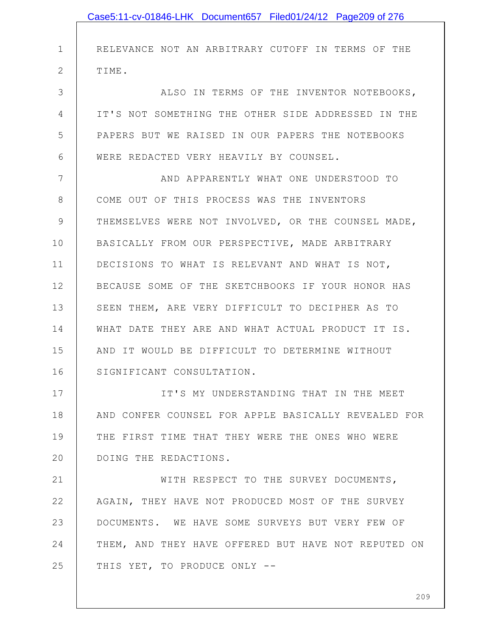|               | Case5:11-cv-01846-LHK Document657 Filed01/24/12 Page209 of 276 |
|---------------|----------------------------------------------------------------|
|               |                                                                |
| $\mathbf{1}$  | RELEVANCE NOT AN ARBITRARY CUTOFF IN TERMS OF THE              |
| $\mathbf{2}$  | TIME.                                                          |
| 3             | ALSO IN TERMS OF THE INVENTOR NOTEBOOKS,                       |
| 4             | IT'S NOT SOMETHING THE OTHER SIDE ADDRESSED IN THE             |
| 5             | PAPERS BUT WE RAISED IN OUR PAPERS THE NOTEBOOKS               |
| 6             | WERE REDACTED VERY HEAVILY BY COUNSEL.                         |
| 7             | AND APPARENTLY WHAT ONE UNDERSTOOD TO                          |
| 8             | COME OUT OF THIS PROCESS WAS THE INVENTORS                     |
| $\mathcal{G}$ | THEMSELVES WERE NOT INVOLVED, OR THE COUNSEL MADE,             |
| 10            | BASICALLY FROM OUR PERSPECTIVE, MADE ARBITRARY                 |
| 11            | DECISIONS TO WHAT IS RELEVANT AND WHAT IS NOT,                 |
| 12            | BECAUSE SOME OF THE SKETCHBOOKS IF YOUR HONOR HAS              |
| 13            | SEEN THEM, ARE VERY DIFFICULT TO DECIPHER AS TO                |
| 14            | WHAT DATE THEY ARE AND WHAT ACTUAL PRODUCT IT IS.              |
| 15            | AND IT WOULD BE DIFFICULT TO DETERMINE WITHOUT                 |
| 16            | SIGNIFICANT CONSULTATION.                                      |
| 17            | IT'S MY UNDERSTANDING THAT IN THE MEET                         |
| 18            | AND CONFER COUNSEL FOR APPLE BASICALLY REVEALED FOR            |
| 19            | THE FIRST TIME THAT THEY WERE THE ONES WHO WERE                |
| 20            | DOING THE REDACTIONS.                                          |
| 21            | WITH RESPECT TO THE SURVEY DOCUMENTS,                          |
| 22            | AGAIN, THEY HAVE NOT PRODUCED MOST OF THE SURVEY               |
| 23            | DOCUMENTS. WE HAVE SOME SURVEYS BUT VERY FEW OF                |
| 24            | THEM, AND THEY HAVE OFFERED BUT HAVE NOT REPUTED ON            |
| 25            | THIS YET, TO PRODUCE ONLY --                                   |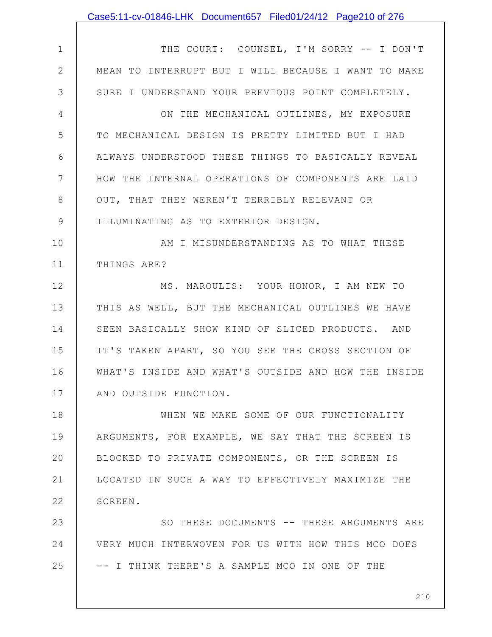|               | Case5:11-cv-01846-LHK Document657 Filed01/24/12 Page210 of 276 |
|---------------|----------------------------------------------------------------|
|               |                                                                |
| $\mathbf 1$   | THE COURT: COUNSEL, I'M SORRY -- I DON'T                       |
| $\mathbf{2}$  | MEAN TO INTERRUPT BUT I WILL BECAUSE I WANT TO MAKE            |
| 3             | SURE I UNDERSTAND YOUR PREVIOUS POINT COMPLETELY.              |
| 4             | ON THE MECHANICAL OUTLINES, MY EXPOSURE                        |
| 5             | TO MECHANICAL DESIGN IS PRETTY LIMITED BUT I HAD               |
| 6             | ALWAYS UNDERSTOOD THESE THINGS TO BASICALLY REVEAL             |
| 7             | HOW THE INTERNAL OPERATIONS OF COMPONENTS ARE LAID             |
| 8             | OUT, THAT THEY WEREN'T TERRIBLY RELEVANT OR                    |
| $\mathcal{G}$ | ILLUMINATING AS TO EXTERIOR DESIGN.                            |
| 10            | AM I MISUNDERSTANDING AS TO WHAT THESE                         |
| 11            | THINGS ARE?                                                    |
| 12            | MS. MAROULIS: YOUR HONOR, I AM NEW TO                          |
| 13            | THIS AS WELL, BUT THE MECHANICAL OUTLINES WE HAVE              |
| 14            | SEEN BASICALLY SHOW KIND OF SLICED PRODUCTS. AND               |
| 15            | IT'S TAKEN APART, SO YOU SEE THE CROSS SECTION OF              |
| 16            | WHAT'S INSIDE AND WHAT'S OUTSIDE AND HOW THE INSIDE            |
| 17            | AND OUTSIDE FUNCTION.                                          |
| 18            | WHEN WE MAKE SOME OF OUR FUNCTIONALITY                         |
| 19            | ARGUMENTS, FOR EXAMPLE, WE SAY THAT THE SCREEN IS              |
| 20            | BLOCKED TO PRIVATE COMPONENTS, OR THE SCREEN IS                |
| 21            | LOCATED IN SUCH A WAY TO EFFECTIVELY MAXIMIZE THE              |
| 22            | SCREEN.                                                        |
| 23            | SO THESE DOCUMENTS -- THESE ARGUMENTS ARE                      |
| 24            | VERY MUCH INTERWOVEN FOR US WITH HOW THIS MCO DOES             |
| 25            | -- I THINK THERE'S A SAMPLE MCO IN ONE OF THE                  |
|               |                                                                |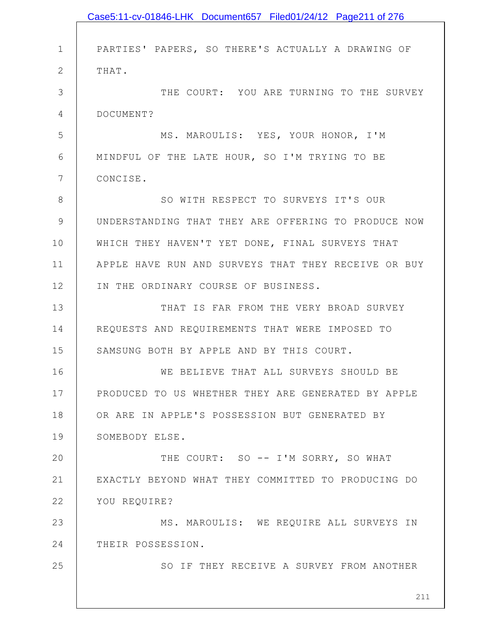|                | Case5:11-cv-01846-LHK Document657 Filed01/24/12 Page211 of 276 |
|----------------|----------------------------------------------------------------|
|                |                                                                |
| $\mathbf 1$    | PARTIES' PAPERS, SO THERE'S ACTUALLY A DRAWING OF              |
| $\mathbf{2}$   | THAT.                                                          |
| 3              | THE COURT: YOU ARE TURNING TO THE SURVEY                       |
| $\overline{4}$ | DOCUMENT?                                                      |
| 5              | MS. MAROULIS: YES, YOUR HONOR, I'M                             |
| 6              | MINDFUL OF THE LATE HOUR, SO I'M TRYING TO BE                  |
| 7              | CONCISE.                                                       |
| $\,8\,$        | SO WITH RESPECT TO SURVEYS IT'S OUR                            |
| $\mathcal{G}$  | UNDERSTANDING THAT THEY ARE OFFERING TO PRODUCE NOW            |
| 10             | WHICH THEY HAVEN'T YET DONE, FINAL SURVEYS THAT                |
| 11             | APPLE HAVE RUN AND SURVEYS THAT THEY RECEIVE OR BUY            |
| 12             | IN THE ORDINARY COURSE OF BUSINESS.                            |
| 13             | THAT IS FAR FROM THE VERY BROAD SURVEY                         |
| 14             | REQUESTS AND REQUIREMENTS THAT WERE IMPOSED TO                 |
| 15             | SAMSUNG BOTH BY APPLE AND BY THIS COURT.                       |
| 16             | WE BELIEVE THAT ALL SURVEYS SHOULD BE                          |
| 17             | PRODUCED TO US WHETHER THEY ARE GENERATED BY APPLE             |
| 18             | OR ARE IN APPLE'S POSSESSION BUT GENERATED BY                  |
| 19             | SOMEBODY ELSE.                                                 |
| 20             | THE COURT: SO -- I'M SORRY, SO WHAT                            |
| 21             | EXACTLY BEYOND WHAT THEY COMMITTED TO PRODUCING DO             |
| 22             | YOU REQUIRE?                                                   |
| 23             | MS. MAROULIS: WE REQUIRE ALL SURVEYS IN                        |
| 24             | THEIR POSSESSION.                                              |
| 25             | SO IF THEY RECEIVE A SURVEY FROM ANOTHER                       |
|                |                                                                |
|                | 211                                                            |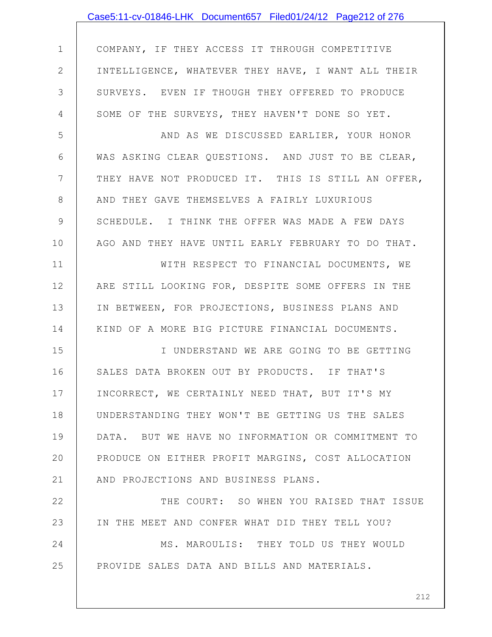|             | Case5:11-cv-01846-LHK Document657 Filed01/24/12 Page212 of 276 |
|-------------|----------------------------------------------------------------|
|             |                                                                |
| $\mathbf 1$ | COMPANY, IF THEY ACCESS IT THROUGH COMPETITIVE                 |
| $\mathbf 2$ | INTELLIGENCE, WHATEVER THEY HAVE, I WANT ALL THEIR             |
| 3           | SURVEYS. EVEN IF THOUGH THEY OFFERED TO PRODUCE                |
| 4           | SOME OF THE SURVEYS, THEY HAVEN'T DONE SO YET.                 |
| 5           | AND AS WE DISCUSSED EARLIER, YOUR HONOR                        |
| 6           | WAS ASKING CLEAR QUESTIONS. AND JUST TO BE CLEAR,              |
| 7           | THEY HAVE NOT PRODUCED IT. THIS IS STILL AN OFFER,             |
| 8           | AND THEY GAVE THEMSELVES A FAIRLY LUXURIOUS                    |
| 9           | SCHEDULE. I THINK THE OFFER WAS MADE A FEW DAYS                |
| 10          | AGO AND THEY HAVE UNTIL EARLY FEBRUARY TO DO THAT.             |
| 11          | WITH RESPECT TO FINANCIAL DOCUMENTS, WE                        |
| 12          | ARE STILL LOOKING FOR, DESPITE SOME OFFERS IN THE              |
| 13          | IN BETWEEN, FOR PROJECTIONS, BUSINESS PLANS AND                |
| 14          | KIND OF A MORE BIG PICTURE FINANCIAL DOCUMENTS.                |
| 15          | I UNDERSTAND WE ARE GOING TO BE GETTING                        |
| 16          | SALES DATA BROKEN OUT BY PRODUCTS. IF THAT'S                   |
| 17          | INCORRECT, WE CERTAINLY NEED THAT, BUT IT'S MY                 |
| 18          | UNDERSTANDING THEY WON'T BE GETTING US THE SALES               |
| 19          | DATA. BUT WE HAVE NO INFORMATION OR COMMITMENT TO              |
| 20          | PRODUCE ON EITHER PROFIT MARGINS, COST ALLOCATION              |
| 21          | AND PROJECTIONS AND BUSINESS PLANS.                            |
| 22          | THE COURT: SO WHEN YOU RAISED THAT ISSUE                       |
| 23          | IN THE MEET AND CONFER WHAT DID THEY TELL YOU?                 |
| 24          | MS. MAROULIS: THEY TOLD US THEY WOULD                          |
| 25          | PROVIDE SALES DATA AND BILLS AND MATERIALS.                    |
|             |                                                                |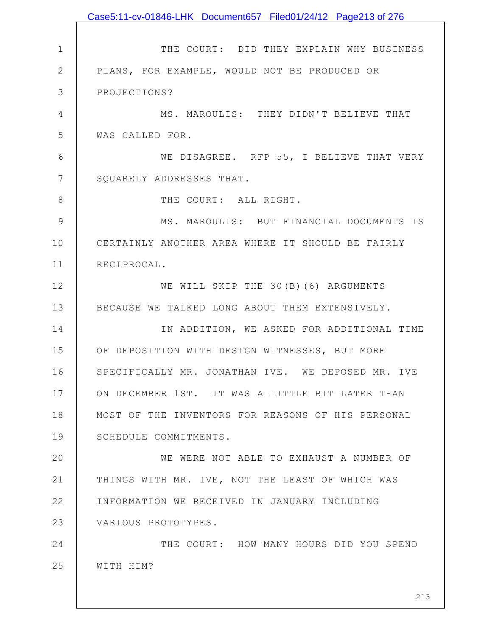1 2 3 4 5 6 7 8 9 10 11 12 13 14 15 16 17 18 19 20 21 22 23 24 25 THE COURT: DID THEY EXPLAIN WHY BUSINESS PLANS, FOR EXAMPLE, WOULD NOT BE PRODUCED OR PROJECTIONS? MS. MAROULIS: THEY DIDN'T BELIEVE THAT WAS CALLED FOR. WE DISAGREE. RFP 55, I BELIEVE THAT VERY SQUARELY ADDRESSES THAT. THE COURT: ALL RIGHT. MS. MAROULIS: BUT FINANCIAL DOCUMENTS IS CERTAINLY ANOTHER AREA WHERE IT SHOULD BE FAIRLY RECIPROCAL. WE WILL SKIP THE 30(B)(6) ARGUMENTS BECAUSE WE TALKED LONG ABOUT THEM EXTENSIVELY. IN ADDITION, WE ASKED FOR ADDITIONAL TIME OF DEPOSITION WITH DESIGN WITNESSES, BUT MORE SPECIFICALLY MR. JONATHAN IVE. WE DEPOSED MR. IVE ON DECEMBER 1ST. IT WAS A LITTLE BIT LATER THAN MOST OF THE INVENTORS FOR REASONS OF HIS PERSONAL SCHEDULE COMMITMENTS. WE WERE NOT ABLE TO EXHAUST A NUMBER OF THINGS WITH MR. IVE, NOT THE LEAST OF WHICH WAS INFORMATION WE RECEIVED IN JANUARY INCLUDING VARIOUS PROTOTYPES. THE COURT: HOW MANY HOURS DID YOU SPEND WITH HIM? Case5:11-cv-01846-LHK Document657 Filed01/24/12 Page213 of 276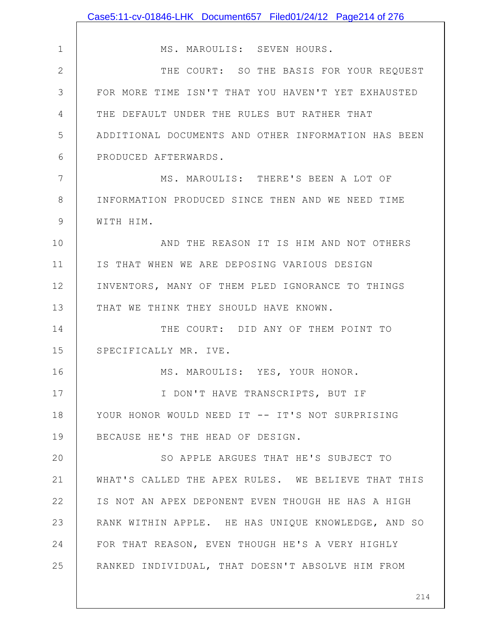|              | Case5:11-cv-01846-LHK Document657 Filed01/24/12 Page214 of 276 |
|--------------|----------------------------------------------------------------|
|              |                                                                |
| $\mathbf 1$  | MS. MAROULIS: SEVEN HOURS.                                     |
| $\mathbf{2}$ | THE COURT: SO THE BASIS FOR YOUR REQUEST                       |
| 3            | FOR MORE TIME ISN'T THAT YOU HAVEN'T YET EXHAUSTED             |
| 4            | THE DEFAULT UNDER THE RULES BUT RATHER THAT                    |
| 5            | ADDITIONAL DOCUMENTS AND OTHER INFORMATION HAS BEEN            |
| 6            | PRODUCED AFTERWARDS.                                           |
| 7            | MS. MAROULIS: THERE'S BEEN A LOT OF                            |
| 8            | INFORMATION PRODUCED SINCE THEN AND WE NEED TIME               |
| 9            | WITH HIM.                                                      |
| 10           | AND THE REASON IT IS HIM AND NOT OTHERS                        |
| 11           | IS THAT WHEN WE ARE DEPOSING VARIOUS DESIGN                    |
| 12           | INVENTORS, MANY OF THEM PLED IGNORANCE TO THINGS               |
| 13           | THAT WE THINK THEY SHOULD HAVE KNOWN.                          |
| 14           | THE COURT: DID ANY OF THEM POINT TO                            |
| 15           | SPECIFICALLY MR. IVE.                                          |
| 16           | MS. MAROULIS: YES, YOUR HONOR.                                 |
| 17           | I DON'T HAVE TRANSCRIPTS, BUT IF                               |
| 18           | YOUR HONOR WOULD NEED IT -- IT'S NOT SURPRISING                |
| 19           | BECAUSE HE'S THE HEAD OF DESIGN.                               |
| 20           | SO APPLE ARGUES THAT HE'S SUBJECT TO                           |
| 21           | WHAT'S CALLED THE APEX RULES. WE BELIEVE THAT THIS             |
| 22           | IS NOT AN APEX DEPONENT EVEN THOUGH HE HAS A HIGH              |
| 23           | RANK WITHIN APPLE. HE HAS UNIQUE KNOWLEDGE, AND SO             |
| 24           | FOR THAT REASON, EVEN THOUGH HE'S A VERY HIGHLY                |
| 25           | RANKED INDIVIDUAL, THAT DOESN'T ABSOLVE HIM FROM               |
|              |                                                                |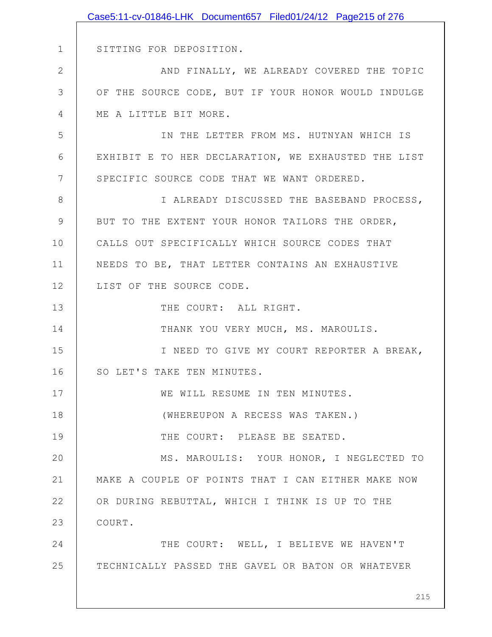|              | Case5:11-cv-01846-LHK Document657 Filed01/24/12 Page215 of 276 |
|--------------|----------------------------------------------------------------|
|              |                                                                |
| $\mathbf 1$  | SITTING FOR DEPOSITION.                                        |
| $\mathbf{2}$ | AND FINALLY, WE ALREADY COVERED THE TOPIC                      |
| 3            | OF THE SOURCE CODE, BUT IF YOUR HONOR WOULD INDULGE            |
| 4            | ME A LITTLE BIT MORE.                                          |
| 5            | IN THE LETTER FROM MS. HUTNYAN WHICH IS                        |
| 6            | EXHIBIT E TO HER DECLARATION, WE EXHAUSTED THE LIST            |
| 7            | SPECIFIC SOURCE CODE THAT WE WANT ORDERED.                     |
| 8            | I ALREADY DISCUSSED THE BASEBAND PROCESS,                      |
| 9            | BUT TO THE EXTENT YOUR HONOR TAILORS THE ORDER,                |
| 10           | CALLS OUT SPECIFICALLY WHICH SOURCE CODES THAT                 |
| 11           | NEEDS TO BE, THAT LETTER CONTAINS AN EXHAUSTIVE                |
| 12           | LIST OF THE SOURCE CODE.                                       |
| 13           | THE COURT: ALL RIGHT.                                          |
| 14           | THANK YOU VERY MUCH, MS. MAROULIS.                             |
| 15           | I NEED TO GIVE MY COURT REPORTER A BREAK,                      |
| 16           | SO LET'S TAKE TEN MINUTES.                                     |
| 17           | WE WILL RESUME IN TEN MINUTES.                                 |
| 18           | (WHEREUPON A RECESS WAS TAKEN.)                                |
| 19           | THE COURT: PLEASE BE SEATED.                                   |
| 20           | MS. MAROULIS: YOUR HONOR, I NEGLECTED TO                       |
| 21           | MAKE A COUPLE OF POINTS THAT I CAN EITHER MAKE NOW             |
| 22           | OR DURING REBUTTAL, WHICH I THINK IS UP TO THE                 |
| 23           | COURT.                                                         |
| 24           | THE COURT: WELL, I BELIEVE WE HAVEN'T                          |
| 25           | TECHNICALLY PASSED THE GAVEL OR BATON OR WHATEVER              |
|              |                                                                |
|              | 215                                                            |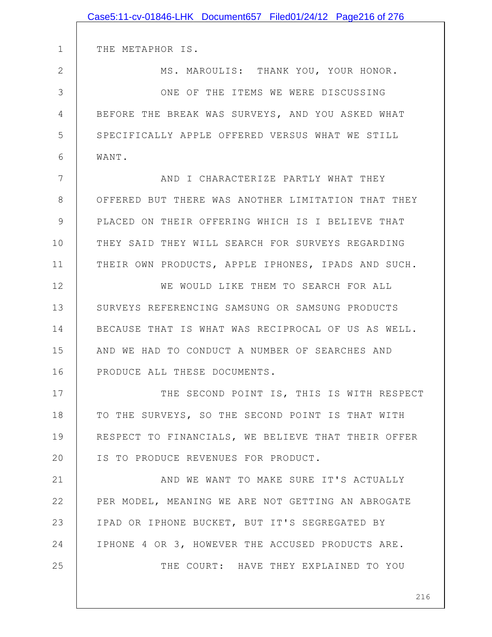|             | Case5:11-cv-01846-LHK Document657 Filed01/24/12 Page216 of 276 |
|-------------|----------------------------------------------------------------|
|             |                                                                |
| $\mathbf 1$ | THE METAPHOR IS.                                               |
| 2           | MS. MAROULIS: THANK YOU, YOUR HONOR.                           |
| 3           | ONE OF THE ITEMS WE WERE DISCUSSING                            |
| 4           | BEFORE THE BREAK WAS SURVEYS, AND YOU ASKED WHAT               |
| 5           | SPECIFICALLY APPLE OFFERED VERSUS WHAT WE STILL                |
| 6           | WANT.                                                          |
| 7           | AND I CHARACTERIZE PARTLY WHAT THEY                            |
| 8           | OFFERED BUT THERE WAS ANOTHER LIMITATION THAT THEY             |
| 9           | PLACED ON THEIR OFFERING WHICH IS I BELIEVE THAT               |
| 10          | THEY SAID THEY WILL SEARCH FOR SURVEYS REGARDING               |
| 11          | THEIR OWN PRODUCTS, APPLE IPHONES, IPADS AND SUCH.             |
| 12          | WE WOULD LIKE THEM TO SEARCH FOR ALL                           |
| 13          | SURVEYS REFERENCING SAMSUNG OR SAMSUNG PRODUCTS                |
| 14          | BECAUSE THAT IS WHAT WAS RECIPROCAL OF US AS WELL.             |
| 15          | AND WE HAD TO CONDUCT A NUMBER OF SEARCHES AND                 |
| 16          | PRODUCE ALL THESE DOCUMENTS.                                   |
| 17          | THE SECOND POINT IS, THIS IS WITH RESPECT                      |
| 18          | TO THE SURVEYS, SO THE SECOND POINT IS THAT WITH               |
| 19          | RESPECT TO FINANCIALS, WE BELIEVE THAT THEIR OFFER             |
| 20          | IS TO PRODUCE REVENUES FOR PRODUCT.                            |
| 21          | AND WE WANT TO MAKE SURE IT'S ACTUALLY                         |
| 22          | PER MODEL, MEANING WE ARE NOT GETTING AN ABROGATE              |
| 23          | IPAD OR IPHONE BUCKET, BUT IT'S SEGREGATED BY                  |
| 24          | IPHONE 4 OR 3, HOWEVER THE ACCUSED PRODUCTS ARE.               |
| 25          | THE COURT: HAVE THEY EXPLAINED TO YOU                          |
|             |                                                                |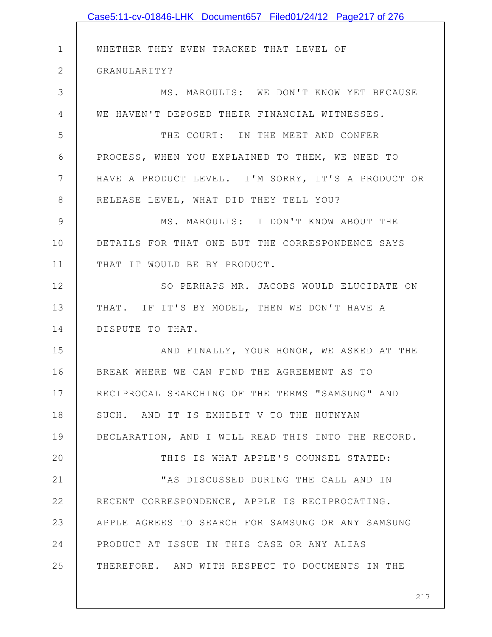|                | Case5:11-cv-01846-LHK Document657 Filed01/24/12 Page217 of 276 |
|----------------|----------------------------------------------------------------|
|                |                                                                |
| $\mathbf 1$    | WHETHER THEY EVEN TRACKED THAT LEVEL OF                        |
| $\mathbf{2}$   | GRANULARITY?                                                   |
| 3              | MS. MAROULIS: WE DON'T KNOW YET BECAUSE                        |
| $\overline{4}$ | WE HAVEN'T DEPOSED THEIR FINANCIAL WITNESSES.                  |
| 5              | THE COURT: IN THE MEET AND CONFER                              |
| 6              | PROCESS, WHEN YOU EXPLAINED TO THEM, WE NEED TO                |
| 7              | HAVE A PRODUCT LEVEL. I'M SORRY, IT'S A PRODUCT OR             |
| 8              | RELEASE LEVEL, WHAT DID THEY TELL YOU?                         |
| 9              | MS. MAROULIS: I DON'T KNOW ABOUT THE                           |
| 10             | DETAILS FOR THAT ONE BUT THE CORRESPONDENCE SAYS               |
| 11             | THAT IT WOULD BE BY PRODUCT.                                   |
| 12             | SO PERHAPS MR. JACOBS WOULD ELUCIDATE ON                       |
| 13             | THAT. IF IT'S BY MODEL, THEN WE DON'T HAVE A                   |
| 14             | DISPUTE TO THAT.                                               |
| 15             | AND FINALLY, YOUR HONOR, WE ASKED AT THE                       |
| 16             | BREAK WHERE WE CAN FIND THE AGREEMENT AS TO                    |
| 17             | RECIPROCAL SEARCHING OF THE TERMS "SAMSUNG" AND                |
| 18             | SUCH. AND IT IS EXHIBIT V TO THE HUTNYAN                       |
| 19             | DECLARATION, AND I WILL READ THIS INTO THE RECORD.             |
| 20             | THIS IS WHAT APPLE'S COUNSEL STATED:                           |
| 21             | "AS DISCUSSED DURING THE CALL AND IN                           |
| 22             | RECENT CORRESPONDENCE, APPLE IS RECIPROCATING.                 |
| 23             | APPLE AGREES TO SEARCH FOR SAMSUNG OR ANY SAMSUNG              |
| 24             | PRODUCT AT ISSUE IN THIS CASE OR ANY ALIAS                     |
| 25             | THEREFORE. AND WITH RESPECT TO DOCUMENTS IN THE                |
|                |                                                                |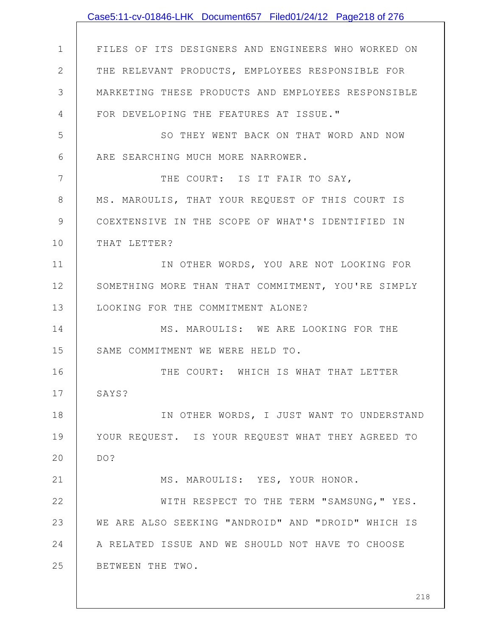|              | Case5:11-cv-01846-LHK Document657 Filed01/24/12 Page218 of 276 |
|--------------|----------------------------------------------------------------|
|              |                                                                |
| $\mathbf 1$  | FILES OF ITS DESIGNERS AND ENGINEERS WHO WORKED ON             |
| $\mathbf{2}$ | THE RELEVANT PRODUCTS, EMPLOYEES RESPONSIBLE FOR               |
| 3            | MARKETING THESE PRODUCTS AND EMPLOYEES RESPONSIBLE             |
| 4            | FOR DEVELOPING THE FEATURES AT ISSUE."                         |
| 5            | SO THEY WENT BACK ON THAT WORD AND NOW                         |
| 6            | ARE SEARCHING MUCH MORE NARROWER.                              |
| 7            | THE COURT: IS IT FAIR TO SAY,                                  |
| $8\,$        | MS. MAROULIS, THAT YOUR REQUEST OF THIS COURT IS               |
| 9            | COEXTENSIVE IN THE SCOPE OF WHAT'S IDENTIFIED IN               |
| 10           | THAT LETTER?                                                   |
| 11           | IN OTHER WORDS, YOU ARE NOT LOOKING FOR                        |
| 12           | SOMETHING MORE THAN THAT COMMITMENT, YOU'RE SIMPLY             |
| 13           | LOOKING FOR THE COMMITMENT ALONE?                              |
| 14           | MS. MAROULIS: WE ARE LOOKING FOR THE                           |
| 15           | SAME COMMITMENT WE WERE HELD TO.                               |
| 16           | THE COURT: WHICH IS WHAT THAT LETTER                           |
| 17           | SAYS?                                                          |
| 18           | IN OTHER WORDS, I JUST WANT TO UNDERSTAND                      |
| 19           | YOUR REQUEST. IS YOUR REQUEST WHAT THEY AGREED TO              |
| 20           | DO?                                                            |
| 21           | MS. MAROULIS: YES, YOUR HONOR.                                 |
| 22           | WITH RESPECT TO THE TERM "SAMSUNG, " YES.                      |
| 23           | WE ARE ALSO SEEKING "ANDROID" AND "DROID" WHICH IS             |
| 24           | A RELATED ISSUE AND WE SHOULD NOT HAVE TO CHOOSE               |
| 25           | BETWEEN THE TWO.                                               |
|              |                                                                |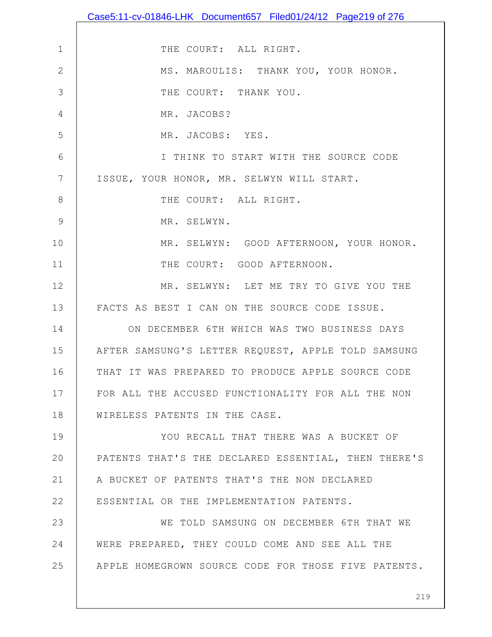|                 | Case5:11-cv-01846-LHK Document657 Filed01/24/12 Page219 of 276 |
|-----------------|----------------------------------------------------------------|
|                 |                                                                |
| $\mathbf 1$     | THE COURT: ALL RIGHT.                                          |
| $\mathbf{2}$    | MS. MAROULIS: THANK YOU, YOUR HONOR.                           |
| 3               | THE COURT: THANK YOU.                                          |
| 4               | MR. JACOBS?                                                    |
| 5               | MR. JACOBS: YES.                                               |
| 6               | I THINK TO START WITH THE SOURCE CODE                          |
| $7\phantom{.0}$ | ISSUE, YOUR HONOR, MR. SELWYN WILL START.                      |
| $8\,$           | THE COURT: ALL RIGHT.                                          |
| 9               | MR. SELWYN.                                                    |
| 10              | MR. SELWYN: GOOD AFTERNOON, YOUR HONOR.                        |
| 11              | THE COURT: GOOD AFTERNOON.                                     |
| 12              | MR. SELWYN: LET ME TRY TO GIVE YOU THE                         |
| 13              | FACTS AS BEST I CAN ON THE SOURCE CODE ISSUE.                  |
| 14              | ON DECEMBER 6TH WHICH WAS TWO BUSINESS DAYS                    |
| 15              | AFTER SAMSUNG'S LETTER REQUEST, APPLE TOLD SAMSUNG             |
| 16              | THAT IT WAS PREPARED TO PRODUCE APPLE SOURCE CODE              |
| 17              | FOR ALL THE ACCUSED FUNCTIONALITY FOR ALL THE NON              |
| 18              | WIRELESS PATENTS IN THE CASE.                                  |
| 19              | YOU RECALL THAT THERE WAS A BUCKET OF                          |
| 20              | PATENTS THAT'S THE DECLARED ESSENTIAL, THEN THERE'S            |
| 21              | A BUCKET OF PATENTS THAT'S THE NON DECLARED                    |
| 22              | ESSENTIAL OR THE IMPLEMENTATION PATENTS.                       |
| 23              | WE TOLD SAMSUNG ON DECEMBER 6TH THAT WE                        |
| 24              | WERE PREPARED, THEY COULD COME AND SEE ALL THE                 |
| 25              | APPLE HOMEGROWN SOURCE CODE FOR THOSE FIVE PATENTS.            |
|                 |                                                                |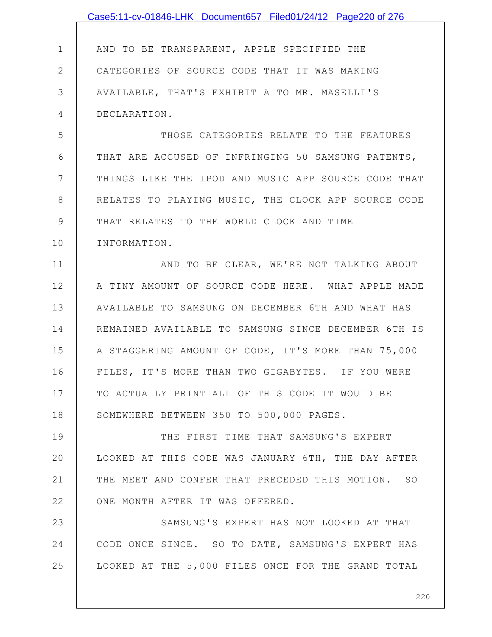|              | Case5:11-cv-01846-LHK Document657 Filed01/24/12 Page220 of 276 |
|--------------|----------------------------------------------------------------|
|              |                                                                |
| $\mathbf 1$  | AND TO BE TRANSPARENT, APPLE SPECIFIED THE                     |
| $\mathbf{2}$ | CATEGORIES OF SOURCE CODE THAT IT WAS MAKING                   |
| 3            | AVAILABLE, THAT'S EXHIBIT A TO MR. MASELLI'S                   |
| 4            | DECLARATION.                                                   |
| 5            | THOSE CATEGORIES RELATE TO THE FEATURES                        |
| 6            | THAT ARE ACCUSED OF INFRINGING 50 SAMSUNG PATENTS,             |
| 7            | THINGS LIKE THE IPOD AND MUSIC APP SOURCE CODE THAT            |
| 8            | RELATES TO PLAYING MUSIC, THE CLOCK APP SOURCE CODE            |
| 9            | THAT RELATES TO THE WORLD CLOCK AND TIME                       |
| 10           | INFORMATION.                                                   |
| 11           | AND TO BE CLEAR, WE'RE NOT TALKING ABOUT                       |
| 12           | A TINY AMOUNT OF SOURCE CODE HERE. WHAT APPLE MADE             |
| 13           | AVAILABLE TO SAMSUNG ON DECEMBER 6TH AND WHAT HAS              |
| 14           | REMAINED AVAILABLE TO SAMSUNG SINCE DECEMBER 6TH IS            |
| 15           | A STAGGERING AMOUNT OF CODE, IT'S MORE THAN 75,000             |
| 16           | FILES, IT'S MORE THAN TWO GIGABYTES. IF YOU WERE               |
| 17           | TO ACTUALLY PRINT ALL OF THIS CODE IT WOULD BE                 |
| 18           | SOMEWHERE BETWEEN 350 TO 500,000 PAGES.                        |
| 19           | THE FIRST TIME THAT SAMSUNG'S EXPERT                           |
| 20           | LOOKED AT THIS CODE WAS JANUARY 6TH, THE DAY AFTER             |
| 21           | THE MEET AND CONFER THAT PRECEDED THIS MOTION. SO              |
| 22           | ONE MONTH AFTER IT WAS OFFERED.                                |
| 23           | SAMSUNG'S EXPERT HAS NOT LOOKED AT THAT                        |
| 24           | CODE ONCE SINCE. SO TO DATE, SAMSUNG'S EXPERT HAS              |
| 25           | LOOKED AT THE 5,000 FILES ONCE FOR THE GRAND TOTAL             |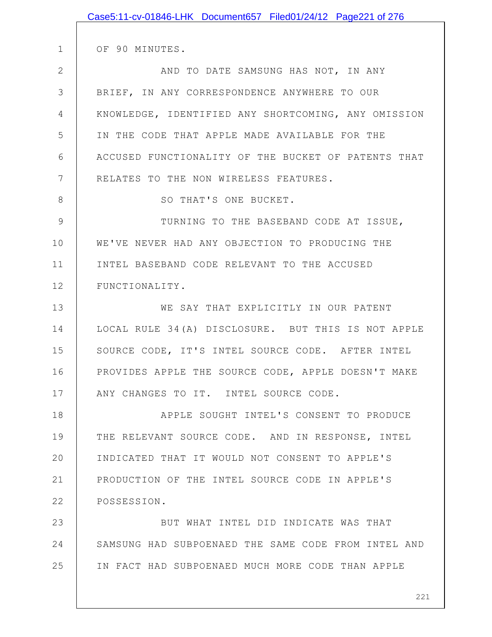|                | Case5:11-cv-01846-LHK Document657 Filed01/24/12 Page221 of 276 |
|----------------|----------------------------------------------------------------|
|                |                                                                |
| 1              | OF 90 MINUTES.                                                 |
| $\overline{2}$ | AND TO DATE SAMSUNG HAS NOT, IN ANY                            |
| 3              | BRIEF, IN ANY CORRESPONDENCE ANYWHERE TO OUR                   |
| 4              | KNOWLEDGE, IDENTIFIED ANY SHORTCOMING, ANY OMISSION            |
| 5              | IN THE CODE THAT APPLE MADE AVAILABLE FOR THE                  |
| 6              | ACCUSED FUNCTIONALITY OF THE BUCKET OF PATENTS THAT            |
| 7              | RELATES TO THE NON WIRELESS FEATURES.                          |
| 8              | SO THAT'S ONE BUCKET.                                          |
| 9              | TURNING TO THE BASEBAND CODE AT ISSUE,                         |
| 10             | WE'VE NEVER HAD ANY OBJECTION TO PRODUCING THE                 |
| 11             | INTEL BASEBAND CODE RELEVANT TO THE ACCUSED                    |
| 12             | FUNCTIONALITY.                                                 |
| 13             | WE SAY THAT EXPLICITLY IN OUR PATENT                           |
| 14             | LOCAL RULE 34(A) DISCLOSURE. BUT THIS IS NOT APPLE             |
| 15             | SOURCE CODE, IT'S INTEL SOURCE CODE. AFTER INTEL               |
| 16             | PROVIDES APPLE THE SOURCE CODE, APPLE DOESN'T MAKE             |
| 17             | ANY CHANGES TO IT. INTEL SOURCE CODE.                          |
| 18             | APPLE SOUGHT INTEL'S CONSENT TO PRODUCE                        |
| 19             | THE RELEVANT SOURCE CODE. AND IN RESPONSE, INTEL               |
| 20             | INDICATED THAT IT WOULD NOT CONSENT TO APPLE'S                 |
| 21             | PRODUCTION OF THE INTEL SOURCE CODE IN APPLE'S                 |
| 22             | POSSESSION.                                                    |
| 23             | BUT WHAT INTEL DID INDICATE WAS THAT                           |
| 24             | SAMSUNG HAD SUBPOENAED THE SAME CODE FROM INTEL AND            |
| 25             | IN FACT HAD SUBPOENAED MUCH MORE CODE THAN APPLE               |
|                |                                                                |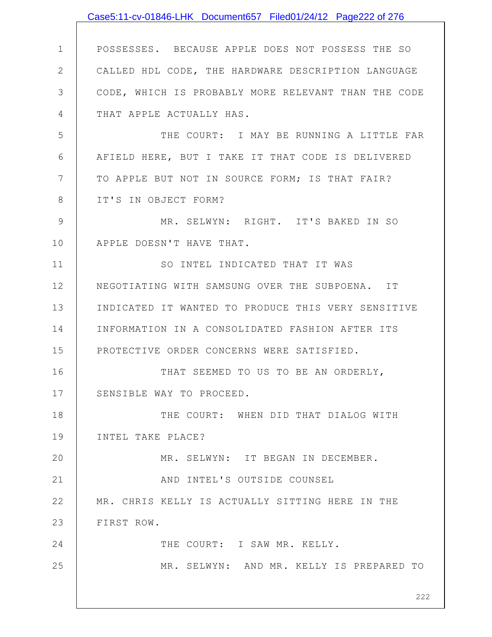|                | Case5:11-cv-01846-LHK Document657 Filed01/24/12 Page222 of 276 |
|----------------|----------------------------------------------------------------|
|                |                                                                |
| $\mathbf 1$    | POSSESSES. BECAUSE APPLE DOES NOT POSSESS THE SO               |
| $\mathbf{2}$   | CALLED HDL CODE, THE HARDWARE DESCRIPTION LANGUAGE             |
| 3              | CODE, WHICH IS PROBABLY MORE RELEVANT THAN THE CODE            |
| 4              | THAT APPLE ACTUALLY HAS.                                       |
| 5              | THE COURT: I MAY BE RUNNING A LITTLE FAR                       |
| 6              | AFIELD HERE, BUT I TAKE IT THAT CODE IS DELIVERED              |
| $7\phantom{.}$ | TO APPLE BUT NOT IN SOURCE FORM; IS THAT FAIR?                 |
| $8\,$          | IT'S IN OBJECT FORM?                                           |
| $\mathcal{G}$  | MR. SELWYN: RIGHT. IT'S BAKED IN SO                            |
| 10             | APPLE DOESN'T HAVE THAT.                                       |
| 11             | SO INTEL INDICATED THAT IT WAS                                 |
| 12             | NEGOTIATING WITH SAMSUNG OVER THE SUBPOENA. IT                 |
| 13             | INDICATED IT WANTED TO PRODUCE THIS VERY SENSITIVE             |
| 14             | INFORMATION IN A CONSOLIDATED FASHION AFTER ITS                |
| 15             | PROTECTIVE ORDER CONCERNS WERE SATISFIED.                      |
| 16             | THAT SEEMED TO US TO BE AN ORDERLY,                            |
| 17             | SENSIBLE WAY TO PROCEED.                                       |
| 18             | THE COURT: WHEN DID THAT DIALOG WITH                           |
| 19             | INTEL TAKE PLACE?                                              |
| 20             | MR. SELWYN: IT BEGAN IN DECEMBER.                              |
| 21             | AND INTEL'S OUTSIDE COUNSEL                                    |
| 22             | MR. CHRIS KELLY IS ACTUALLY SITTING HERE IN THE                |
| 23             | FIRST ROW.                                                     |
| 24             | THE COURT: I SAW MR. KELLY.                                    |
| 25             | MR. SELWYN: AND MR. KELLY IS PREPARED TO                       |
|                | 222                                                            |
|                |                                                                |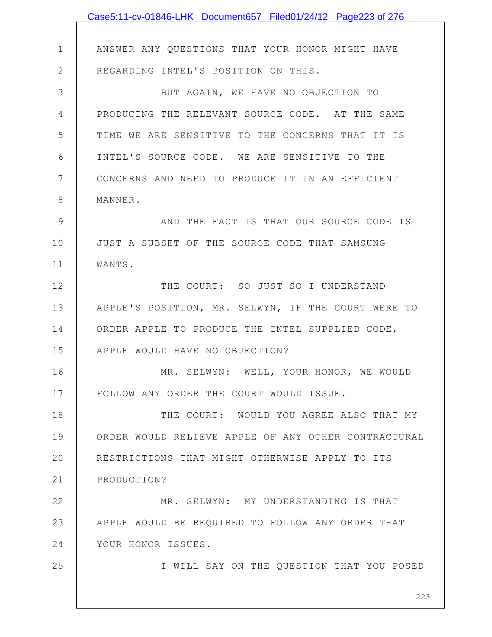|              | Case5:11-cv-01846-LHK Document657 Filed01/24/12 Page223 of 276 |
|--------------|----------------------------------------------------------------|
|              |                                                                |
| $\mathbf 1$  | ANSWER ANY QUESTIONS THAT YOUR HONOR MIGHT HAVE                |
| $\mathbf{2}$ | REGARDING INTEL'S POSITION ON THIS.                            |
| 3            | BUT AGAIN, WE HAVE NO OBJECTION TO                             |
| 4            | PRODUCING THE RELEVANT SOURCE CODE. AT THE SAME                |
| 5            | TIME WE ARE SENSITIVE TO THE CONCERNS THAT IT IS               |
| 6            | INTEL'S SOURCE CODE. WE ARE SENSITIVE TO THE                   |
| 7            | CONCERNS AND NEED TO PRODUCE IT IN AN EFFICIENT                |
| 8            | MANNER.                                                        |
| 9            | AND THE FACT IS THAT OUR SOURCE CODE IS                        |
| 10           | JUST A SUBSET OF THE SOURCE CODE THAT SAMSUNG                  |
| 11           | WANTS.                                                         |
| 12           | THE COURT: SO JUST SO I UNDERSTAND                             |
| 13           | APPLE'S POSITION, MR. SELWYN, IF THE COURT WERE TO             |
| 14           | ORDER APPLE TO PRODUCE THE INTEL SUPPLIED CODE,                |
| 15           | APPLE WOULD HAVE NO OBJECTION?                                 |
| 16           | MR. SELWYN: WELL, YOUR HONOR, WE WOULD                         |
| 17           | FOLLOW ANY ORDER THE COURT WOULD ISSUE.                        |
| 18           | THE COURT: WOULD YOU AGREE ALSO THAT MY                        |
| 19           | ORDER WOULD RELIEVE APPLE OF ANY OTHER CONTRACTURAL            |
| 20           | RESTRICTIONS THAT MIGHT OTHERWISE APPLY TO ITS                 |
| 21           | PRODUCTION?                                                    |
| 22           | MR. SELWYN: MY UNDERSTANDING IS THAT                           |
| 23           | APPLE WOULD BE REQUIRED TO FOLLOW ANY ORDER THAT               |
| 24           | YOUR HONOR ISSUES.                                             |
| 25           | I WILL SAY ON THE QUESTION THAT YOU POSED                      |
|              | 223                                                            |
|              |                                                                |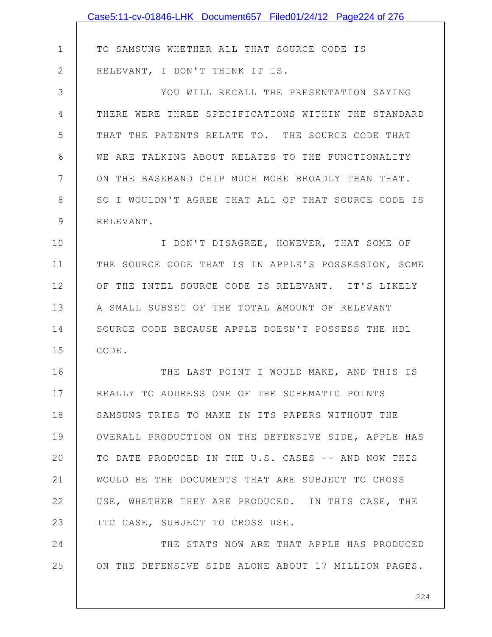|    | Case5:11-cv-01846-LHK Document657 Filed01/24/12 Page224 of 276 |
|----|----------------------------------------------------------------|
|    |                                                                |
| 1  | TO SAMSUNG WHETHER ALL THAT SOURCE CODE IS                     |
| 2  | RELEVANT, I DON'T THINK IT IS.                                 |
| 3  | YOU WILL RECALL THE PRESENTATION SAYING                        |
| 4  | THERE WERE THREE SPECIFICATIONS WITHIN THE STANDARD            |
| 5  | THAT THE PATENTS RELATE TO. THE SOURCE CODE THAT               |
| 6  | WE ARE TALKING ABOUT RELATES TO THE FUNCTIONALITY              |
| 7  | ON THE BASEBAND CHIP MUCH MORE BROADLY THAN THAT.              |
| 8  | SO I WOULDN'T AGREE THAT ALL OF THAT SOURCE CODE IS            |
| 9  | RELEVANT.                                                      |
| 10 | I DON'T DISAGREE, HOWEVER, THAT SOME OF                        |
| 11 | THE SOURCE CODE THAT IS IN APPLE'S POSSESSION, SOME            |
| 12 | OF THE INTEL SOURCE CODE IS RELEVANT. IT'S LIKELY              |
| 13 | A SMALL SUBSET OF THE TOTAL AMOUNT OF RELEVANT                 |
| 14 | SOURCE CODE BECAUSE APPLE DOESN'T POSSESS THE HDL              |
| 15 | CODE.                                                          |
| 16 | THE LAST POINT I WOULD MAKE, AND THIS IS                       |
| 17 | REALLY TO ADDRESS ONE OF THE SCHEMATIC POINTS                  |
| 18 | SAMSUNG TRIES TO MAKE IN ITS PAPERS WITHOUT THE                |
| 19 | OVERALL PRODUCTION ON THE DEFENSIVE SIDE, APPLE HAS            |
| 20 | TO DATE PRODUCED IN THE U.S. CASES -- AND NOW THIS             |
| 21 | WOULD BE THE DOCUMENTS THAT ARE SUBJECT TO CROSS               |
| 22 | USE, WHETHER THEY ARE PRODUCED. IN THIS CASE, THE              |
| 23 | ITC CASE, SUBJECT TO CROSS USE.                                |
| 24 | THE STATS NOW ARE THAT APPLE HAS PRODUCED                      |
| 25 | ON THE DEFENSIVE SIDE ALONE ABOUT 17 MILLION PAGES.            |
|    |                                                                |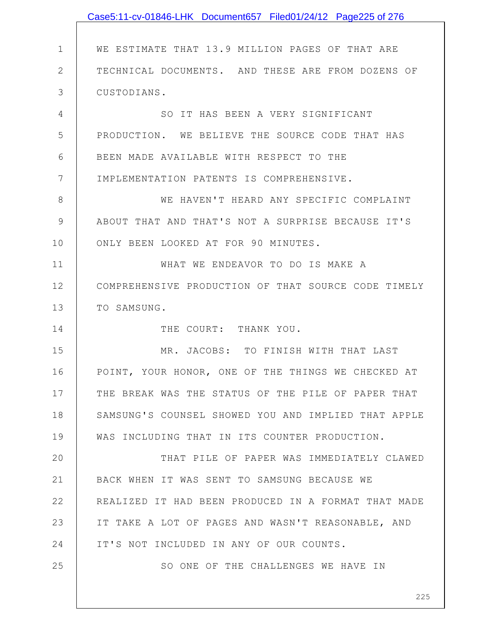|              | Case5:11-cv-01846-LHK Document657 Filed01/24/12 Page225 of 276 |
|--------------|----------------------------------------------------------------|
|              |                                                                |
| $\mathbf 1$  | WE ESTIMATE THAT 13.9 MILLION PAGES OF THAT ARE                |
| $\mathbf{2}$ | TECHNICAL DOCUMENTS. AND THESE ARE FROM DOZENS OF              |
| 3            | CUSTODIANS.                                                    |
| 4            | SO IT HAS BEEN A VERY SIGNIFICANT                              |
| 5            | PRODUCTION. WE BELIEVE THE SOURCE CODE THAT HAS                |
| 6            | BEEN MADE AVAILABLE WITH RESPECT TO THE                        |
| 7            | IMPLEMENTATION PATENTS IS COMPREHENSIVE.                       |
| 8            | WE HAVEN'T HEARD ANY SPECIFIC COMPLAINT                        |
| 9            | ABOUT THAT AND THAT'S NOT A SURPRISE BECAUSE IT'S              |
| 10           | ONLY BEEN LOOKED AT FOR 90 MINUTES.                            |
| 11           | WHAT WE ENDEAVOR TO DO IS MAKE A                               |
| 12           | COMPREHENSIVE PRODUCTION OF THAT SOURCE CODE TIMELY            |
| 13           | TO SAMSUNG.                                                    |
| 14           | THE COURT: THANK YOU.                                          |
| 15           | MR. JACOBS: TO FINISH WITH THAT LAST                           |
| 16           | POINT, YOUR HONOR, ONE OF THE THINGS WE CHECKED AT             |
| 17           | THE BREAK WAS THE STATUS OF THE PILE OF PAPER THAT             |
| 18           | SAMSUNG'S COUNSEL SHOWED YOU AND IMPLIED THAT APPLE            |
| 19           | WAS INCLUDING THAT IN ITS COUNTER PRODUCTION.                  |
| 20           | THAT PILE OF PAPER WAS IMMEDIATELY CLAWED                      |
| 21           | BACK WHEN IT WAS SENT TO SAMSUNG BECAUSE WE                    |
| 22           | REALIZED IT HAD BEEN PRODUCED IN A FORMAT THAT MADE            |
| 23           | IT TAKE A LOT OF PAGES AND WASN'T REASONABLE, AND              |
| 24           | IT'S NOT INCLUDED IN ANY OF OUR COUNTS.                        |
| 25           | SO ONE OF THE CHALLENGES WE HAVE IN                            |
|              |                                                                |
|              | 225                                                            |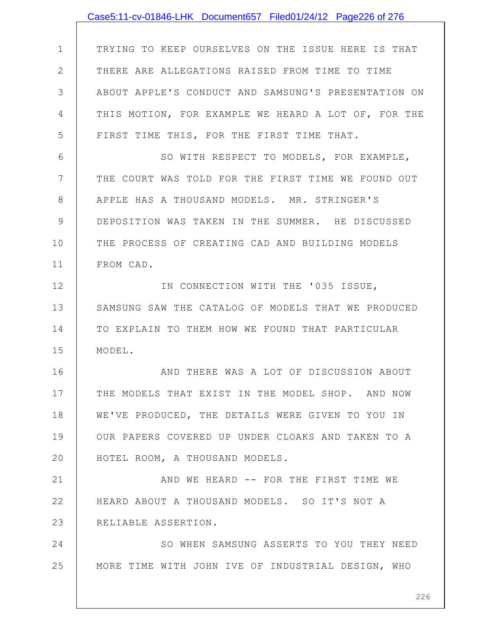|                 | Case5:11-cv-01846-LHK Document657 Filed01/24/12 Page226 of 276 |
|-----------------|----------------------------------------------------------------|
|                 |                                                                |
| $\mathbf 1$     | TRYING TO KEEP OURSELVES ON THE ISSUE HERE IS THAT             |
| $\mathbf{2}$    | THERE ARE ALLEGATIONS RAISED FROM TIME TO TIME                 |
| 3               | ABOUT APPLE'S CONDUCT AND SAMSUNG'S PRESENTATION ON            |
| 4               | THIS MOTION, FOR EXAMPLE WE HEARD A LOT OF, FOR THE            |
| 5               | FIRST TIME THIS, FOR THE FIRST TIME THAT.                      |
| 6               | SO WITH RESPECT TO MODELS, FOR EXAMPLE,                        |
| $7\phantom{.0}$ | THE COURT WAS TOLD FOR THE FIRST TIME WE FOUND OUT             |
| 8               | APPLE HAS A THOUSAND MODELS. MR. STRINGER'S                    |
| $\mathcal{G}$   | DEPOSITION WAS TAKEN IN THE SUMMER. HE DISCUSSED               |
| 10              | THE PROCESS OF CREATING CAD AND BUILDING MODELS                |
| 11              | FROM CAD.                                                      |
| 12              | IN CONNECTION WITH THE '035 ISSUE,                             |
| 13              | SAMSUNG SAW THE CATALOG OF MODELS THAT WE PRODUCED             |
| 14              | TO EXPLAIN TO THEM HOW WE FOUND THAT PARTICULAR                |
| 15              | MODEL.                                                         |
| 16              | AND THERE WAS A LOT OF DISCUSSION ABOUT                        |
| 17              | THE MODELS THAT EXIST IN THE MODEL SHOP. AND NOW               |
| 18              | WE'VE PRODUCED, THE DETAILS WERE GIVEN TO YOU IN               |
| 19              | OUR PAPERS COVERED UP UNDER CLOAKS AND TAKEN TO A              |
| 20              | HOTEL ROOM, A THOUSAND MODELS.                                 |
| 21              | AND WE HEARD -- FOR THE FIRST TIME WE                          |
| 22              | HEARD ABOUT A THOUSAND MODELS. SO IT'S NOT A                   |
| 23              | RELIABLE ASSERTION.                                            |
| 24              | SO WHEN SAMSUNG ASSERTS TO YOU THEY NEED                       |
| 25              | MORE TIME WITH JOHN IVE OF INDUSTRIAL DESIGN, WHO              |
|                 |                                                                |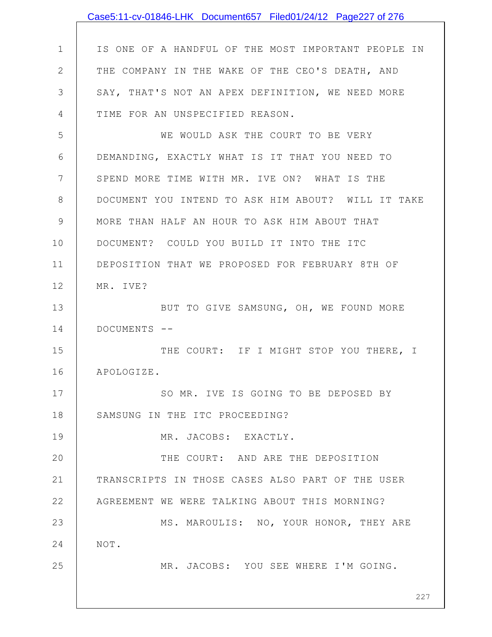|              | Case5:11-cv-01846-LHK Document657 Filed01/24/12 Page227 of 276 |
|--------------|----------------------------------------------------------------|
|              |                                                                |
| $\mathbf 1$  | IS ONE OF A HANDFUL OF THE MOST IMPORTANT PEOPLE IN            |
| $\mathbf{2}$ | THE COMPANY IN THE WAKE OF THE CEO'S DEATH, AND                |
| 3            | SAY, THAT'S NOT AN APEX DEFINITION, WE NEED MORE               |
| 4            | TIME FOR AN UNSPECIFIED REASON.                                |
| 5            | WE WOULD ASK THE COURT TO BE VERY                              |
| 6            | DEMANDING, EXACTLY WHAT IS IT THAT YOU NEED TO                 |
| 7            | SPEND MORE TIME WITH MR. IVE ON? WHAT IS THE                   |
| 8            | DOCUMENT YOU INTEND TO ASK HIM ABOUT? WILL IT TAKE             |
| 9            | MORE THAN HALF AN HOUR TO ASK HIM ABOUT THAT                   |
| 10           | DOCUMENT? COULD YOU BUILD IT INTO THE ITC                      |
| 11           | DEPOSITION THAT WE PROPOSED FOR FEBRUARY 8TH OF                |
| 12           | MR. IVE?                                                       |
| 13           | BUT TO GIVE SAMSUNG, OH, WE FOUND MORE                         |
| 14           | DOCUMENTS --                                                   |
| 15           | THE COURT: IF I MIGHT STOP YOU THERE, I                        |
| 16           | APOLOGIZE.                                                     |
| 17           | SO MR. IVE IS GOING TO BE DEPOSED BY                           |
| 18           | SAMSUNG IN THE ITC PROCEEDING?                                 |
| 19           | MR. JACOBS: EXACTLY.                                           |
| 20           | THE COURT: AND ARE THE DEPOSITION                              |
| 21           | TRANSCRIPTS IN THOSE CASES ALSO PART OF THE USER               |
| 22           | AGREEMENT WE WERE TALKING ABOUT THIS MORNING?                  |
| 23           | MS. MAROULIS: NO, YOUR HONOR, THEY ARE                         |
| 24           | NOT.                                                           |
| 25           | MR. JACOBS: YOU SEE WHERE I'M GOING.                           |
|              |                                                                |
|              | 227                                                            |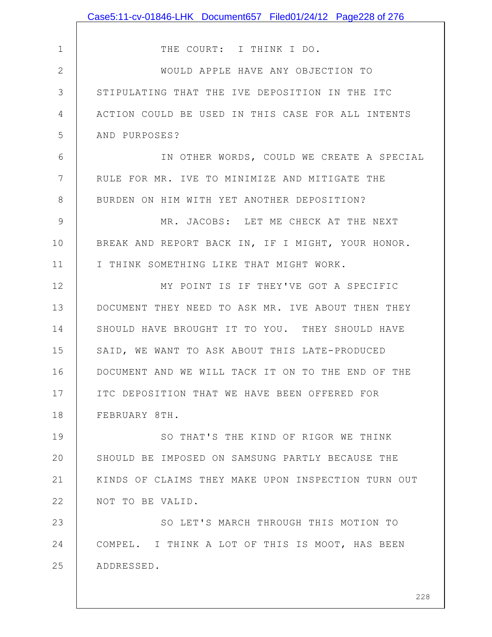|              | Case5:11-cv-01846-LHK Document657 Filed01/24/12 Page228 of 276 |
|--------------|----------------------------------------------------------------|
|              |                                                                |
| $\mathbf 1$  | THE COURT: I THINK I DO.                                       |
| $\mathbf{2}$ | WOULD APPLE HAVE ANY OBJECTION TO                              |
| 3            | STIPULATING THAT THE IVE DEPOSITION IN THE ITC                 |
| 4            | ACTION COULD BE USED IN THIS CASE FOR ALL INTENTS              |
| 5            | AND PURPOSES?                                                  |
| 6            | IN OTHER WORDS, COULD WE CREATE A SPECIAL                      |
| 7            | RULE FOR MR. IVE TO MINIMIZE AND MITIGATE THE                  |
| 8            | BURDEN ON HIM WITH YET ANOTHER DEPOSITION?                     |
| 9            | MR. JACOBS: LET ME CHECK AT THE NEXT                           |
| 10           | BREAK AND REPORT BACK IN, IF I MIGHT, YOUR HONOR.              |
| 11           | I THINK SOMETHING LIKE THAT MIGHT WORK.                        |
| 12           | MY POINT IS IF THEY'VE GOT A SPECIFIC                          |
| 13           | DOCUMENT THEY NEED TO ASK MR. IVE ABOUT THEN THEY              |
| 14           | SHOULD HAVE BROUGHT IT TO YOU. THEY SHOULD HAVE                |
| 15           | SAID, WE WANT TO ASK ABOUT THIS LATE-PRODUCED                  |
| 16           | DOCUMENT AND WE WILL TACK IT ON TO THE END OF THE              |
| 17           | ITC DEPOSITION THAT WE HAVE BEEN OFFERED FOR                   |
| 18           | FEBRUARY 8TH.                                                  |
| 19           | SO THAT'S THE KIND OF RIGOR WE THINK                           |
| 20           | SHOULD BE IMPOSED ON SAMSUNG PARTLY BECAUSE THE                |
| 21           | KINDS OF CLAIMS THEY MAKE UPON INSPECTION TURN OUT             |
| 22           | NOT TO BE VALID.                                               |
| 23           | SO LET'S MARCH THROUGH THIS MOTION TO                          |
| 24           | COMPEL. I THINK A LOT OF THIS IS MOOT, HAS BEEN                |
| 25           | ADDRESSED.                                                     |
|              | 228                                                            |
|              |                                                                |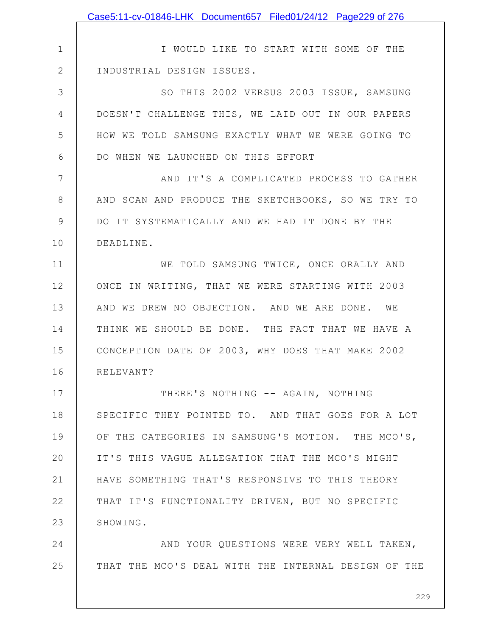|              | Case5:11-cv-01846-LHK Document657 Filed01/24/12 Page229 of 276 |
|--------------|----------------------------------------------------------------|
|              |                                                                |
| $\mathbf 1$  | I WOULD LIKE TO START WITH SOME OF THE                         |
| $\mathbf{2}$ | INDUSTRIAL DESIGN ISSUES.                                      |
| 3            | SO THIS 2002 VERSUS 2003 ISSUE, SAMSUNG                        |
| 4            | DOESN'T CHALLENGE THIS, WE LAID OUT IN OUR PAPERS              |
| 5            | HOW WE TOLD SAMSUNG EXACTLY WHAT WE WERE GOING TO              |
| 6            | DO WHEN WE LAUNCHED ON THIS EFFORT                             |
| 7            | AND IT'S A COMPLICATED PROCESS TO GATHER                       |
| 8            | AND SCAN AND PRODUCE THE SKETCHBOOKS, SO WE TRY TO             |
| 9            | DO IT SYSTEMATICALLY AND WE HAD IT DONE BY THE                 |
| 10           | DEADLINE.                                                      |
| 11           | WE TOLD SAMSUNG TWICE, ONCE ORALLY AND                         |
| 12           | ONCE IN WRITING, THAT WE WERE STARTING WITH 2003               |
| 13           | AND WE DREW NO OBJECTION. AND WE ARE DONE. WE                  |
| 14           | THINK WE SHOULD BE DONE. THE FACT THAT WE HAVE A               |
| 15           | CONCEPTION DATE OF 2003, WHY DOES THAT MAKE 2002               |
| 16           | RELEVANT?                                                      |
| 17           | THERE'S NOTHING -- AGAIN, NOTHING                              |
| 18           | SPECIFIC THEY POINTED TO. AND THAT GOES FOR A LOT              |
| 19           | OF THE CATEGORIES IN SAMSUNG'S MOTION. THE MCO'S,              |
| 20           | IT'S THIS VAGUE ALLEGATION THAT THE MCO'S MIGHT                |
| 21           | HAVE SOMETHING THAT'S RESPONSIVE TO THIS THEORY                |
| 22           | THAT IT'S FUNCTIONALITY DRIVEN, BUT NO SPECIFIC                |
| 23           | SHOWING.                                                       |
| 24           | AND YOUR QUESTIONS WERE VERY WELL TAKEN,                       |
| 25           | THAT THE MCO'S DEAL WITH THE INTERNAL DESIGN OF THE            |
|              | 229                                                            |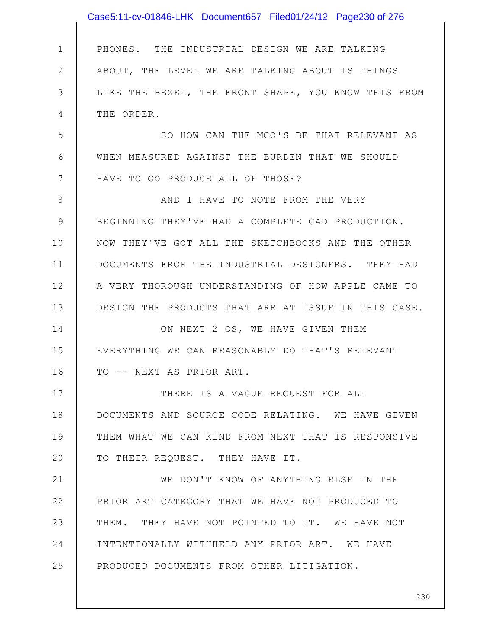|              | Case5:11-cv-01846-LHK Document657 Filed01/24/12 Page230 of 276 |
|--------------|----------------------------------------------------------------|
|              |                                                                |
| $\mathbf{1}$ | PHONES. THE INDUSTRIAL DESIGN WE ARE TALKING                   |
| $\mathbf{2}$ | ABOUT, THE LEVEL WE ARE TALKING ABOUT IS THINGS                |
| 3            | LIKE THE BEZEL, THE FRONT SHAPE, YOU KNOW THIS FROM            |
| 4            | THE ORDER.                                                     |
| 5            | SO HOW CAN THE MCO'S BE THAT RELEVANT AS                       |
| 6            | WHEN MEASURED AGAINST THE BURDEN THAT WE SHOULD                |
| 7            | HAVE TO GO PRODUCE ALL OF THOSE?                               |
| 8            | AND I HAVE TO NOTE FROM THE VERY                               |
| 9            | BEGINNING THEY'VE HAD A COMPLETE CAD PRODUCTION.               |
| 10           | NOW THEY'VE GOT ALL THE SKETCHBOOKS AND THE OTHER              |
| 11           | DOCUMENTS FROM THE INDUSTRIAL DESIGNERS. THEY HAD              |
| 12           | A VERY THOROUGH UNDERSTANDING OF HOW APPLE CAME TO             |
| 13           | DESIGN THE PRODUCTS THAT ARE AT ISSUE IN THIS CASE.            |
| 14           | ON NEXT 2 OS, WE HAVE GIVEN THEM                               |
| 15           | EVERYTHING WE CAN REASONABLY DO THAT'S RELEVANT                |
| 16           | TO -- NEXT AS PRIOR ART.                                       |
| 17           | THERE IS A VAGUE REQUEST FOR ALL                               |
| 18           | DOCUMENTS AND SOURCE CODE RELATING. WE HAVE GIVEN              |
| 19           | THEM WHAT WE CAN KIND FROM NEXT THAT IS RESPONSIVE             |
| 20           | TO THEIR REQUEST. THEY HAVE IT.                                |
| 21           | WE DON'T KNOW OF ANYTHING ELSE IN THE                          |
| 22           | PRIOR ART CATEGORY THAT WE HAVE NOT PRODUCED TO                |
| 23           | THEM. THEY HAVE NOT POINTED TO IT. WE HAVE NOT                 |
| 24           | INTENTIONALLY WITHHELD ANY PRIOR ART. WE HAVE                  |
| 25           | PRODUCED DOCUMENTS FROM OTHER LITIGATION.                      |
|              |                                                                |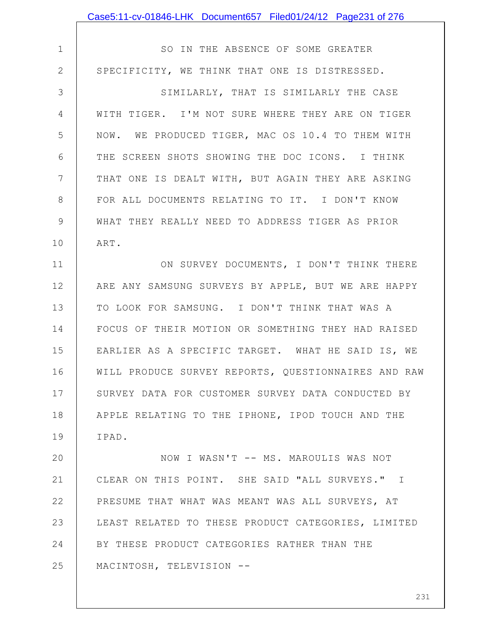|                | Case5:11-cv-01846-LHK Document657 Filed01/24/12 Page231 of 276 |
|----------------|----------------------------------------------------------------|
|                |                                                                |
| $\mathbf 1$    | SO IN THE ABSENCE OF SOME GREATER                              |
| $\overline{2}$ | SPECIFICITY, WE THINK THAT ONE IS DISTRESSED.                  |
| 3              | SIMILARLY, THAT IS SIMILARLY THE CASE                          |
| 4              | WITH TIGER. I'M NOT SURE WHERE THEY ARE ON TIGER               |
| 5              | NOW. WE PRODUCED TIGER, MAC OS 10.4 TO THEM WITH               |
| 6              | THE SCREEN SHOTS SHOWING THE DOC ICONS. I THINK                |
| 7              | THAT ONE IS DEALT WITH, BUT AGAIN THEY ARE ASKING              |
| 8              | FOR ALL DOCUMENTS RELATING TO IT. I DON'T KNOW                 |
| 9              | WHAT THEY REALLY NEED TO ADDRESS TIGER AS PRIOR                |
| 10             | ART.                                                           |
| 11             | ON SURVEY DOCUMENTS, I DON'T THINK THERE                       |
| 12             | ARE ANY SAMSUNG SURVEYS BY APPLE, BUT WE ARE HAPPY             |
| 13             | TO LOOK FOR SAMSUNG. I DON'T THINK THAT WAS A                  |
| 14             | FOCUS OF THEIR MOTION OR SOMETHING THEY HAD RAISED             |
| 15             | EARLIER AS A SPECIFIC TARGET. WHAT HE SAID IS, WE              |
| 16             | WILL PRODUCE SURVEY REPORTS, QUESTIONNAIRES AND RAW            |
| 17             | SURVEY DATA FOR CUSTOMER SURVEY DATA CONDUCTED BY              |
| 18             | APPLE RELATING TO THE IPHONE, IPOD TOUCH AND THE               |
| 19             | IPAD.                                                          |
| 20             | NOW I WASN'T -- MS. MAROULIS WAS NOT                           |
| 21             | CLEAR ON THIS POINT. SHE SAID "ALL SURVEYS." I                 |
| 22             | PRESUME THAT WHAT WAS MEANT WAS ALL SURVEYS, AT                |
| 23             | LEAST RELATED TO THESE PRODUCT CATEGORIES, LIMITED             |
| 24             | BY THESE PRODUCT CATEGORIES RATHER THAN THE                    |
| 25             | MACINTOSH, TELEVISION --                                       |
|                |                                                                |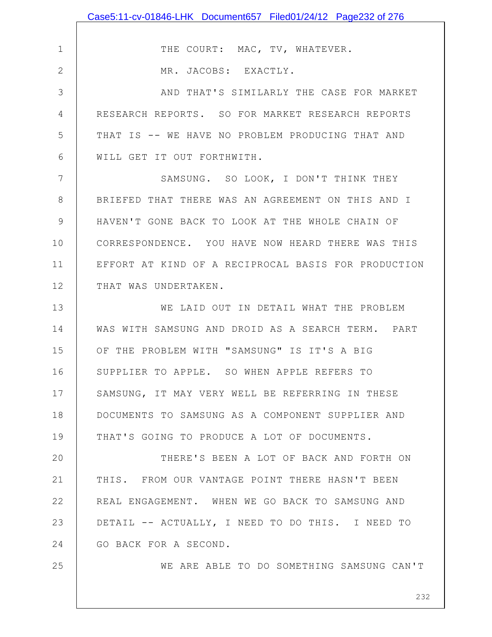|               | Case5:11-cv-01846-LHK Document657 Filed01/24/12 Page232 of 276 |
|---------------|----------------------------------------------------------------|
|               |                                                                |
| $\mathbf 1$   | THE COURT: MAC, TV, WHATEVER.                                  |
| $\mathbf{2}$  | MR. JACOBS: EXACTLY.                                           |
| 3             | AND THAT'S SIMILARLY THE CASE FOR MARKET                       |
| 4             | RESEARCH REPORTS. SO FOR MARKET RESEARCH REPORTS               |
| 5             | THAT IS -- WE HAVE NO PROBLEM PRODUCING THAT AND               |
| 6             | WILL GET IT OUT FORTHWITH.                                     |
| 7             | SAMSUNG. SO LOOK, I DON'T THINK THEY                           |
| 8             | BRIEFED THAT THERE WAS AN AGREEMENT ON THIS AND I              |
| $\mathcal{G}$ | HAVEN'T GONE BACK TO LOOK AT THE WHOLE CHAIN OF                |
| 10            | CORRESPONDENCE. YOU HAVE NOW HEARD THERE WAS THIS              |
| 11            | EFFORT AT KIND OF A RECIPROCAL BASIS FOR PRODUCTION            |
| 12            | THAT WAS UNDERTAKEN.                                           |
| 13            | WE LAID OUT IN DETAIL WHAT THE PROBLEM                         |
| 14            | WAS WITH SAMSUNG AND DROID AS A SEARCH TERM. PART              |
| 15            | OF THE PROBLEM WITH "SAMSUNG" IS IT'S A BIG                    |
| 16            | SUPPLIER TO APPLE. SO WHEN APPLE REFERS TO                     |
| 17            | SAMSUNG, IT MAY VERY WELL BE REFERRING IN THESE                |
| 18            | DOCUMENTS TO SAMSUNG AS A COMPONENT SUPPLIER AND               |
| 19            | THAT'S GOING TO PRODUCE A LOT OF DOCUMENTS.                    |
| 20            | THERE'S BEEN A LOT OF BACK AND FORTH ON                        |
| 21            | THIS. FROM OUR VANTAGE POINT THERE HASN'T BEEN                 |
| 22            | REAL ENGAGEMENT. WHEN WE GO BACK TO SAMSUNG AND                |
| 23            | DETAIL -- ACTUALLY, I NEED TO DO THIS. I NEED TO               |
| 24            | GO BACK FOR A SECOND.                                          |
| 25            | WE ARE ABLE TO DO SOMETHING SAMSUNG CAN'T                      |
|               |                                                                |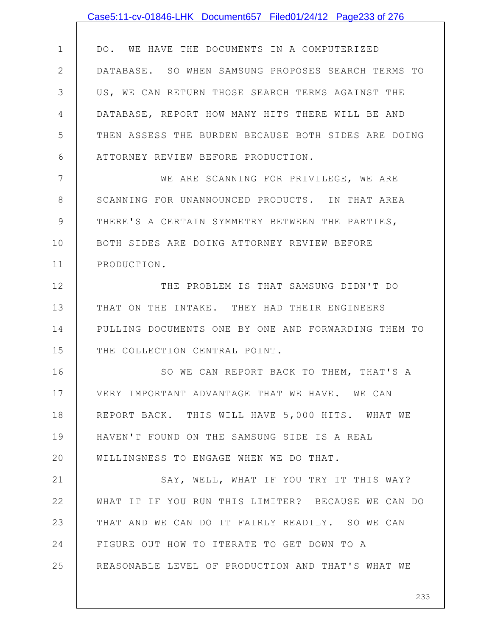|              | Case5:11-cv-01846-LHK Document657 Filed01/24/12 Page233 of 276 |
|--------------|----------------------------------------------------------------|
|              |                                                                |
| $\mathbf 1$  | DO. WE HAVE THE DOCUMENTS IN A COMPUTERIZED                    |
| $\mathbf{2}$ | DATABASE. SO WHEN SAMSUNG PROPOSES SEARCH TERMS TO             |
| 3            | US, WE CAN RETURN THOSE SEARCH TERMS AGAINST THE               |
| 4            | DATABASE, REPORT HOW MANY HITS THERE WILL BE AND               |
| 5            | THEN ASSESS THE BURDEN BECAUSE BOTH SIDES ARE DOING            |
| 6            | ATTORNEY REVIEW BEFORE PRODUCTION.                             |
| 7            | WE ARE SCANNING FOR PRIVILEGE, WE ARE                          |
| 8            | SCANNING FOR UNANNOUNCED PRODUCTS. IN THAT AREA                |
| 9            | THERE'S A CERTAIN SYMMETRY BETWEEN THE PARTIES,                |
| 10           | BOTH SIDES ARE DOING ATTORNEY REVIEW BEFORE                    |
| 11           | PRODUCTION.                                                    |
| 12           | THE PROBLEM IS THAT SAMSUNG DIDN'T DO                          |
| 13           | THAT ON THE INTAKE. THEY HAD THEIR ENGINEERS                   |
| 14           | PULLING DOCUMENTS ONE BY ONE AND FORWARDING THEM TO            |
| 15           | THE COLLECTION CENTRAL POINT.                                  |
| 16           | SO WE CAN REPORT BACK TO THEM, THAT'S A                        |
| 17           | VERY IMPORTANT ADVANTAGE THAT WE HAVE. WE CAN                  |
| 18           | REPORT BACK. THIS WILL HAVE 5,000 HITS. WHAT WE                |
| 19           | HAVEN'T FOUND ON THE SAMSUNG SIDE IS A REAL                    |
| 20           | WILLINGNESS TO ENGAGE WHEN WE DO THAT.                         |
| 21           | SAY, WELL, WHAT IF YOU TRY IT THIS WAY?                        |
| 22           | WHAT IT IF YOU RUN THIS LIMITER? BECAUSE WE CAN DO             |
| 23           | THAT AND WE CAN DO IT FAIRLY READILY. SO WE CAN                |
| 24           | FIGURE OUT HOW TO ITERATE TO GET DOWN TO A                     |
| 25           | REASONABLE LEVEL OF PRODUCTION AND THAT'S WHAT WE              |
|              |                                                                |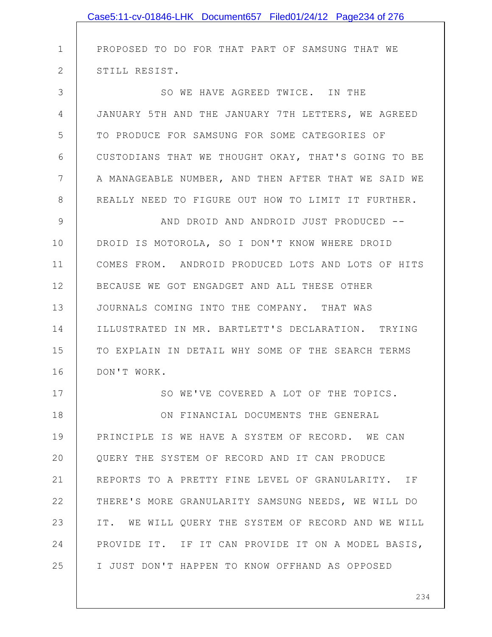|              | Case5:11-cv-01846-LHK Document657 Filed01/24/12 Page234 of 276 |
|--------------|----------------------------------------------------------------|
|              |                                                                |
| $\mathbf 1$  | PROPOSED TO DO FOR THAT PART OF SAMSUNG THAT WE                |
| $\mathbf{2}$ | STILL RESIST.                                                  |
| 3            | SO WE HAVE AGREED TWICE. IN THE                                |
| 4            | JANUARY 5TH AND THE JANUARY 7TH LETTERS, WE AGREED             |
| 5            | TO PRODUCE FOR SAMSUNG FOR SOME CATEGORIES OF                  |
| 6            | CUSTODIANS THAT WE THOUGHT OKAY, THAT'S GOING TO BE            |
| 7            | A MANAGEABLE NUMBER, AND THEN AFTER THAT WE SAID WE            |
| 8            | REALLY NEED TO FIGURE OUT HOW TO LIMIT IT FURTHER.             |
| 9            | AND DROID AND ANDROID JUST PRODUCED --                         |
| 10           | DROID IS MOTOROLA, SO I DON'T KNOW WHERE DROID                 |
| 11           | COMES FROM. ANDROID PRODUCED LOTS AND LOTS OF HITS             |
| 12           | BECAUSE WE GOT ENGADGET AND ALL THESE OTHER                    |
| 13           | JOURNALS COMING INTO THE COMPANY. THAT WAS                     |
| 14           | ILLUSTRATED IN MR. BARTLETT'S DECLARATION. TRYING              |
| 15           | TO EXPLAIN IN DETAIL WHY SOME OF THE SEARCH TERMS              |
| 16           | DON'T WORK.                                                    |
| 17           | SO WE'VE COVERED A LOT OF THE TOPICS.                          |
| 18           | ON FINANCIAL DOCUMENTS THE GENERAL                             |
| 19           | PRINCIPLE IS WE HAVE A SYSTEM OF RECORD. WE CAN                |
| 20           | QUERY THE SYSTEM OF RECORD AND IT CAN PRODUCE                  |
| 21           | REPORTS TO A PRETTY FINE LEVEL OF GRANULARITY. IF              |
| 22           | THERE'S MORE GRANULARITY SAMSUNG NEEDS, WE WILL DO             |
| 23           | IT. WE WILL QUERY THE SYSTEM OF RECORD AND WE WILL             |
| 24           | PROVIDE IT. IF IT CAN PROVIDE IT ON A MODEL BASIS,             |
| 25           | I JUST DON'T HAPPEN TO KNOW OFFHAND AS OPPOSED                 |
|              |                                                                |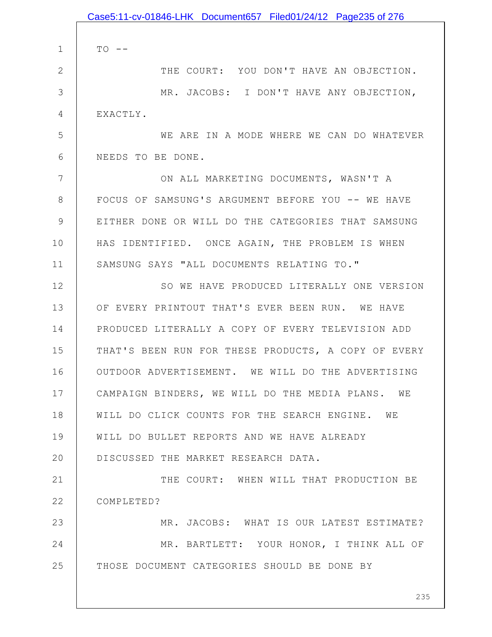|               | Case5:11-cv-01846-LHK Document657 Filed01/24/12 Page235 of 276 |
|---------------|----------------------------------------------------------------|
|               |                                                                |
| $\mathbf 1$   | $TO$ --                                                        |
| $\mathbf{2}$  | THE COURT: YOU DON'T HAVE AN OBJECTION.                        |
| 3             | MR. JACOBS: I DON'T HAVE ANY OBJECTION,                        |
| 4             | EXACTLY.                                                       |
| 5             | WE ARE IN A MODE WHERE WE CAN DO WHATEVER                      |
| 6             | NEEDS TO BE DONE.                                              |
| 7             | ON ALL MARKETING DOCUMENTS, WASN'T A                           |
| 8             | FOCUS OF SAMSUNG'S ARGUMENT BEFORE YOU -- WE HAVE              |
| $\mathcal{G}$ | EITHER DONE OR WILL DO THE CATEGORIES THAT SAMSUNG             |
| 10            | HAS IDENTIFIED. ONCE AGAIN, THE PROBLEM IS WHEN                |
| 11            | SAMSUNG SAYS "ALL DOCUMENTS RELATING TO."                      |
| 12            | SO WE HAVE PRODUCED LITERALLY ONE VERSION                      |
| 13            | OF EVERY PRINTOUT THAT'S EVER BEEN RUN. WE HAVE                |
| 14            | PRODUCED LITERALLY A COPY OF EVERY TELEVISION ADD              |
| 15            | THAT'S BEEN RUN FOR THESE PRODUCTS, A COPY OF EVERY            |
| 16            | OUTDOOR ADVERTISEMENT. WE WILL DO THE ADVERTISING              |
| 17            | CAMPAIGN BINDERS, WE WILL DO THE MEDIA PLANS. WE               |
| 18            | WILL DO CLICK COUNTS FOR THE SEARCH ENGINE. WE                 |
| 19            | WILL DO BULLET REPORTS AND WE HAVE ALREADY                     |
| 20            | DISCUSSED THE MARKET RESEARCH DATA.                            |
| 21            | THE COURT: WHEN WILL THAT PRODUCTION BE                        |
| 22            | COMPLETED?                                                     |
| 23            | MR. JACOBS: WHAT IS OUR LATEST ESTIMATE?                       |
| 24            | MR. BARTLETT: YOUR HONOR, I THINK ALL OF                       |
| 25            | THOSE DOCUMENT CATEGORIES SHOULD BE DONE BY                    |
|               |                                                                |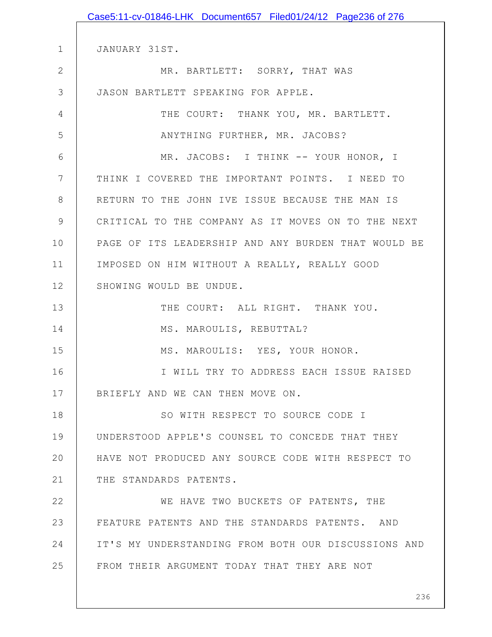|                | Case5:11-cv-01846-LHK Document657 Filed01/24/12 Page236 of 276 |
|----------------|----------------------------------------------------------------|
|                |                                                                |
| $\mathbf 1$    | JANUARY 31ST.                                                  |
| $\overline{2}$ | MR. BARTLETT: SORRY, THAT WAS                                  |
| 3              | JASON BARTLETT SPEAKING FOR APPLE.                             |
| 4              | THE COURT: THANK YOU, MR. BARTLETT.                            |
| 5              | ANYTHING FURTHER, MR. JACOBS?                                  |
| 6              | MR. JACOBS: I THINK -- YOUR HONOR, I                           |
| 7              | THINK I COVERED THE IMPORTANT POINTS. I NEED TO                |
| 8              | RETURN TO THE JOHN IVE ISSUE BECAUSE THE MAN IS                |
| 9              | CRITICAL TO THE COMPANY AS IT MOVES ON TO THE NEXT             |
| 10             | PAGE OF ITS LEADERSHIP AND ANY BURDEN THAT WOULD BE            |
| 11             | IMPOSED ON HIM WITHOUT A REALLY, REALLY GOOD                   |
| 12             | SHOWING WOULD BE UNDUE.                                        |
| 13             | THE COURT: ALL RIGHT. THANK YOU.                               |
| 14             | MS. MAROULIS, REBUTTAL?                                        |
| 15             | MS. MAROULIS: YES, YOUR HONOR.                                 |
| 16             | I WILL TRY TO ADDRESS EACH ISSUE RAISED                        |
| 17             | BRIEFLY AND WE CAN THEN MOVE ON.                               |
| 18             | SO WITH RESPECT TO SOURCE CODE I                               |
| 19             | UNDERSTOOD APPLE'S COUNSEL TO CONCEDE THAT THEY                |
| 20             | HAVE NOT PRODUCED ANY SOURCE CODE WITH RESPECT TO              |
| 21             | THE STANDARDS PATENTS.                                         |
| 22             | WE HAVE TWO BUCKETS OF PATENTS, THE                            |
| 23             | FEATURE PATENTS AND THE STANDARDS PATENTS. AND                 |
| 24             | IT'S MY UNDERSTANDING FROM BOTH OUR DISCUSSIONS AND            |
| 25             | FROM THEIR ARGUMENT TODAY THAT THEY ARE NOT                    |
|                |                                                                |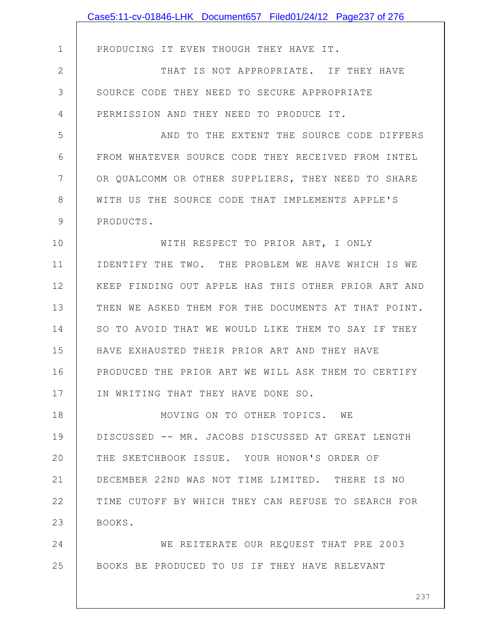|               | Case5:11-cv-01846-LHK Document657 Filed01/24/12 Page237 of 276 |
|---------------|----------------------------------------------------------------|
|               |                                                                |
| $\mathbf 1$   | PRODUCING IT EVEN THOUGH THEY HAVE IT.                         |
| $\mathbf{2}$  | THAT IS NOT APPROPRIATE. IF THEY HAVE                          |
| 3             | SOURCE CODE THEY NEED TO SECURE APPROPRIATE                    |
| 4             | PERMISSION AND THEY NEED TO PRODUCE IT.                        |
| 5             | AND TO THE EXTENT THE SOURCE CODE DIFFERS                      |
| 6             | FROM WHATEVER SOURCE CODE THEY RECEIVED FROM INTEL             |
| 7             | OR QUALCOMM OR OTHER SUPPLIERS, THEY NEED TO SHARE             |
| 8             | WITH US THE SOURCE CODE THAT IMPLEMENTS APPLE'S                |
| $\mathcal{G}$ | PRODUCTS.                                                      |
| 10            | WITH RESPECT TO PRIOR ART, I ONLY                              |
| 11            | IDENTIFY THE TWO. THE PROBLEM WE HAVE WHICH IS WE              |
| 12            | KEEP FINDING OUT APPLE HAS THIS OTHER PRIOR ART AND            |
| 13            | THEN WE ASKED THEM FOR THE DOCUMENTS AT THAT POINT.            |
| 14            | SO TO AVOID THAT WE WOULD LIKE THEM TO SAY IF THEY             |
| 15            | HAVE EXHAUSTED THEIR PRIOR ART AND THEY HAVE                   |
| 16            | PRODUCED THE PRIOR ART WE WILL ASK THEM TO CERTIFY             |
| 17            | IN WRITING THAT THEY HAVE DONE SO.                             |
| 18            | MOVING ON TO OTHER TOPICS. WE                                  |
| 19            | DISCUSSED -- MR. JACOBS DISCUSSED AT GREAT LENGTH              |
| 20            | THE SKETCHBOOK ISSUE. YOUR HONOR'S ORDER OF                    |
| 21            | DECEMBER 22ND WAS NOT TIME LIMITED. THERE IS NO                |
| 22            | TIME CUTOFF BY WHICH THEY CAN REFUSE TO SEARCH FOR             |
| 23            | BOOKS.                                                         |
| 24            | WE REITERATE OUR REQUEST THAT PRE 2003                         |
| 25            | BOOKS BE PRODUCED TO US IF THEY HAVE RELEVANT                  |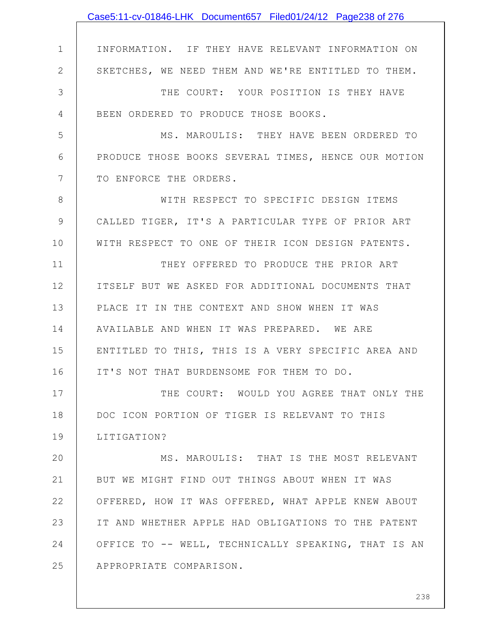|                | Case5:11-cv-01846-LHK Document657 Filed01/24/12 Page238 of 276 |
|----------------|----------------------------------------------------------------|
|                |                                                                |
| $\mathbf 1$    | INFORMATION. IF THEY HAVE RELEVANT INFORMATION ON              |
| $\mathbf{2}$   | SKETCHES, WE NEED THEM AND WE'RE ENTITLED TO THEM.             |
| 3              | THE COURT: YOUR POSITION IS THEY HAVE                          |
| 4              | BEEN ORDERED TO PRODUCE THOSE BOOKS.                           |
| 5              | MS. MAROULIS: THEY HAVE BEEN ORDERED TO                        |
| 6              | PRODUCE THOSE BOOKS SEVERAL TIMES, HENCE OUR MOTION            |
| $7\phantom{.}$ | TO ENFORCE THE ORDERS.                                         |
| $8\,$          | WITH RESPECT TO SPECIFIC DESIGN ITEMS                          |
| 9              | CALLED TIGER, IT'S A PARTICULAR TYPE OF PRIOR ART              |
| 10             | WITH RESPECT TO ONE OF THEIR ICON DESIGN PATENTS.              |
| 11             | THEY OFFERED TO PRODUCE THE PRIOR ART                          |
| 12             | ITSELF BUT WE ASKED FOR ADDITIONAL DOCUMENTS THAT              |
| 13             | PLACE IT IN THE CONTEXT AND SHOW WHEN IT WAS                   |
| 14             | AVAILABLE AND WHEN IT WAS PREPARED. WE ARE                     |
| 15             | ENTITLED TO THIS, THIS IS A VERY SPECIFIC AREA AND             |
| 16             | IT'S NOT THAT BURDENSOME FOR THEM TO DO.                       |
| 17             | THE COURT: WOULD YOU AGREE THAT ONLY THE                       |
| 18             | DOC ICON PORTION OF TIGER IS RELEVANT TO THIS                  |
| 19             | LITIGATION?                                                    |
| 20             | MS. MAROULIS: THAT IS THE MOST RELEVANT                        |
| 21             | BUT WE MIGHT FIND OUT THINGS ABOUT WHEN IT WAS                 |
| 22             | OFFERED, HOW IT WAS OFFERED, WHAT APPLE KNEW ABOUT             |
| 23             | IT AND WHETHER APPLE HAD OBLIGATIONS TO THE PATENT             |
| 24             | OFFICE TO -- WELL, TECHNICALLY SPEAKING, THAT IS AN            |
| 25             | APPROPRIATE COMPARISON.                                        |
|                |                                                                |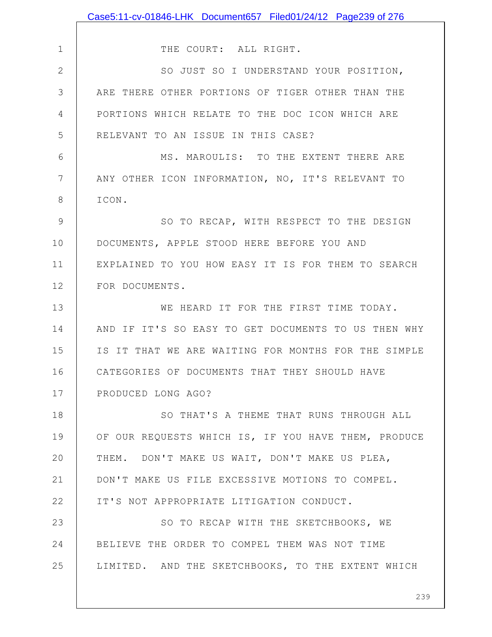|                | Case5:11-cv-01846-LHK Document657 Filed01/24/12 Page239 of 276 |
|----------------|----------------------------------------------------------------|
|                |                                                                |
| $\mathbf 1$    | THE COURT: ALL RIGHT.                                          |
| $\mathbf{2}$   | SO JUST SO I UNDERSTAND YOUR POSITION,                         |
| 3              | ARE THERE OTHER PORTIONS OF TIGER OTHER THAN THE               |
| $\overline{4}$ | PORTIONS WHICH RELATE TO THE DOC ICON WHICH ARE                |
| 5              | RELEVANT TO AN ISSUE IN THIS CASE?                             |
| 6              | MS. MAROULIS: TO THE EXTENT THERE ARE                          |
| $7\phantom{.}$ | ANY OTHER ICON INFORMATION, NO, IT'S RELEVANT TO               |
| 8              | ICON.                                                          |
| 9              | SO TO RECAP, WITH RESPECT TO THE DESIGN                        |
| 10             | DOCUMENTS, APPLE STOOD HERE BEFORE YOU AND                     |
| 11             | EXPLAINED TO YOU HOW EASY IT IS FOR THEM TO SEARCH             |
| 12             | FOR DOCUMENTS.                                                 |
| 13             | WE HEARD IT FOR THE FIRST TIME TODAY.                          |
| 14             | AND IF IT'S SO EASY TO GET DOCUMENTS TO US THEN WHY            |
| 15             | IS IT THAT WE ARE WAITING FOR MONTHS FOR THE SIMPLE            |
| 16             | CATEGORIES OF DOCUMENTS THAT THEY SHOULD HAVE                  |
| 17             | PRODUCED LONG AGO?                                             |
| 18             | SO THAT'S A THEME THAT RUNS THROUGH ALL                        |
| 19             | OF OUR REQUESTS WHICH IS, IF YOU HAVE THEM, PRODUCE            |
| 20             | THEM. DON'T MAKE US WAIT, DON'T MAKE US PLEA,                  |
| 21             | DON'T MAKE US FILE EXCESSIVE MOTIONS TO COMPEL.                |
| 22             | IT'S NOT APPROPRIATE LITIGATION CONDUCT.                       |
| 23             | SO TO RECAP WITH THE SKETCHBOOKS, WE                           |
| 24             | BELIEVE THE ORDER TO COMPEL THEM WAS NOT TIME                  |
| 25             | LIMITED. AND THE SKETCHBOOKS, TO THE EXTENT WHICH              |
|                |                                                                |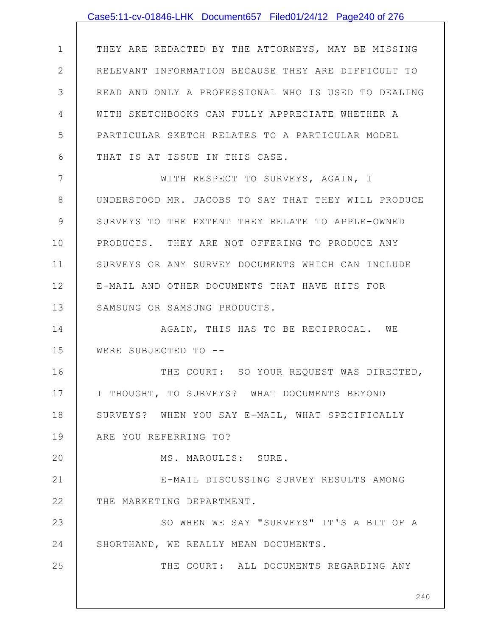|              | Case5:11-cv-01846-LHK Document657 Filed01/24/12 Page240 of 276 |
|--------------|----------------------------------------------------------------|
|              |                                                                |
| $\mathbf 1$  | THEY ARE REDACTED BY THE ATTORNEYS, MAY BE MISSING             |
| $\mathbf{2}$ | RELEVANT INFORMATION BECAUSE THEY ARE DIFFICULT TO             |
| 3            | READ AND ONLY A PROFESSIONAL WHO IS USED TO DEALING            |
| 4            | WITH SKETCHBOOKS CAN FULLY APPRECIATE WHETHER A                |
| 5            | PARTICULAR SKETCH RELATES TO A PARTICULAR MODEL                |
| 6            | THAT IS AT ISSUE IN THIS CASE.                                 |
| 7            | WITH RESPECT TO SURVEYS, AGAIN, I                              |
| 8            | UNDERSTOOD MR. JACOBS TO SAY THAT THEY WILL PRODUCE            |
| 9            | SURVEYS TO THE EXTENT THEY RELATE TO APPLE-OWNED               |
| 10           | PRODUCTS. THEY ARE NOT OFFERING TO PRODUCE ANY                 |
| 11           | SURVEYS OR ANY SURVEY DOCUMENTS WHICH CAN INCLUDE              |
| 12           | E-MAIL AND OTHER DOCUMENTS THAT HAVE HITS FOR                  |
| 13           | SAMSUNG OR SAMSUNG PRODUCTS.                                   |
| 14           | AGAIN, THIS HAS TO BE RECIPROCAL. WE                           |
| 15           | WERE SUBJECTED TO --                                           |
| 16           | THE COURT: SO YOUR REQUEST WAS DIRECTED,                       |
| 17           | I THOUGHT, TO SURVEYS? WHAT DOCUMENTS BEYOND                   |
| 18           | SURVEYS? WHEN YOU SAY E-MAIL, WHAT SPECIFICALLY                |
| 19           | ARE YOU REFERRING TO?                                          |
| 20           | MS. MAROULIS: SURE.                                            |
| 21           | E-MAIL DISCUSSING SURVEY RESULTS AMONG                         |
| 22           | THE MARKETING DEPARTMENT.                                      |
| 23           | SO WHEN WE SAY "SURVEYS" IT'S A BIT OF A                       |
| 24           | SHORTHAND, WE REALLY MEAN DOCUMENTS.                           |
| 25           | THE COURT: ALL DOCUMENTS REGARDING ANY                         |
|              |                                                                |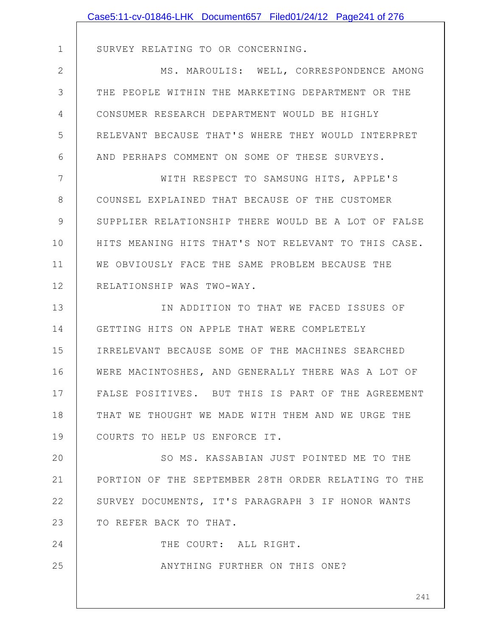|             | Case5:11-cv-01846-LHK Document657 Filed01/24/12 Page241 of 276 |
|-------------|----------------------------------------------------------------|
|             |                                                                |
| $\mathbf 1$ | SURVEY RELATING TO OR CONCERNING.                              |
| 2           | MS. MAROULIS: WELL, CORRESPONDENCE AMONG                       |
| 3           | THE PEOPLE WITHIN THE MARKETING DEPARTMENT OR THE              |
| 4           | CONSUMER RESEARCH DEPARTMENT WOULD BE HIGHLY                   |
| 5           | RELEVANT BECAUSE THAT'S WHERE THEY WOULD INTERPRET             |
| 6           | AND PERHAPS COMMENT ON SOME OF THESE SURVEYS.                  |
| 7           | WITH RESPECT TO SAMSUNG HITS, APPLE'S                          |
| 8           | COUNSEL EXPLAINED THAT BECAUSE OF THE CUSTOMER                 |
| 9           | SUPPLIER RELATIONSHIP THERE WOULD BE A LOT OF FALSE            |
| 10          | HITS MEANING HITS THAT'S NOT RELEVANT TO THIS CASE.            |
| 11          | WE OBVIOUSLY FACE THE SAME PROBLEM BECAUSE THE                 |
| 12          | RELATIONSHIP WAS TWO-WAY.                                      |
| 13          | IN ADDITION TO THAT WE FACED ISSUES OF                         |
| 14          | GETTING HITS ON APPLE THAT WERE COMPLETELY                     |
| 15          | IRRELEVANT BECAUSE SOME OF THE MACHINES SEARCHED               |
| 16          | WERE MACINTOSHES, AND GENERALLY THERE WAS A LOT OF             |
| 17          | FALSE POSITIVES. BUT THIS IS PART OF THE AGREEMENT             |
| 18          | THAT WE THOUGHT WE MADE WITH THEM AND WE URGE THE              |
| 19          | COURTS TO HELP US ENFORCE IT.                                  |
| 20          | SO MS. KASSABIAN JUST POINTED ME TO THE                        |
| 21          | PORTION OF THE SEPTEMBER 28TH ORDER RELATING TO THE            |
| 22          | SURVEY DOCUMENTS, IT'S PARAGRAPH 3 IF HONOR WANTS              |
| 23          | TO REFER BACK TO THAT.                                         |
| 24          | THE COURT: ALL RIGHT.                                          |
| 25          | ANYTHING FURTHER ON THIS ONE?                                  |
|             |                                                                |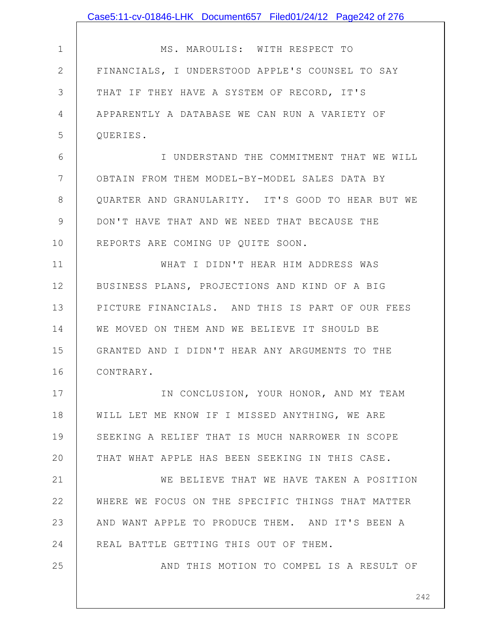|                | Case5:11-cv-01846-LHK Document657 Filed01/24/12 Page242 of 276 |
|----------------|----------------------------------------------------------------|
|                |                                                                |
| $\mathbf 1$    | MS. MAROULIS: WITH RESPECT TO                                  |
| $\overline{2}$ | FINANCIALS, I UNDERSTOOD APPLE'S COUNSEL TO SAY                |
| 3              | THAT IF THEY HAVE A SYSTEM OF RECORD, IT'S                     |
| 4              | APPARENTLY A DATABASE WE CAN RUN A VARIETY OF                  |
| 5              | QUERIES.                                                       |
| 6              | I UNDERSTAND THE COMMITMENT THAT WE WILL                       |
| $7\phantom{.}$ | OBTAIN FROM THEM MODEL-BY-MODEL SALES DATA BY                  |
| $8\,$          | QUARTER AND GRANULARITY. IT'S GOOD TO HEAR BUT WE              |
| 9              | DON'T HAVE THAT AND WE NEED THAT BECAUSE THE                   |
| 10             | REPORTS ARE COMING UP QUITE SOON.                              |
| 11             | WHAT I DIDN'T HEAR HIM ADDRESS WAS                             |
| 12             | BUSINESS PLANS, PROJECTIONS AND KIND OF A BIG                  |
| 13             | PICTURE FINANCIALS. AND THIS IS PART OF OUR FEES               |
| 14             | WE MOVED ON THEM AND WE BELIEVE IT SHOULD BE                   |
| 15             | GRANTED AND I DIDN'T HEAR ANY ARGUMENTS TO THE                 |
| 16             | CONTRARY.                                                      |
| 17             | IN CONCLUSION, YOUR HONOR, AND MY TEAM                         |
| 18             | WILL LET ME KNOW IF I MISSED ANYTHING, WE ARE                  |
| 19             | SEEKING A RELIEF THAT IS MUCH NARROWER IN SCOPE                |
| 20             | THAT WHAT APPLE HAS BEEN SEEKING IN THIS CASE.                 |
| 21             | WE BELIEVE THAT WE HAVE TAKEN A POSITION                       |
| 22             | WHERE WE FOCUS ON THE SPECIFIC THINGS THAT MATTER              |
| 23             | AND WANT APPLE TO PRODUCE THEM. AND IT'S BEEN A                |
| 24             | REAL BATTLE GETTING THIS OUT OF THEM.                          |
| 25             | AND THIS MOTION TO COMPEL IS A RESULT OF                       |
|                |                                                                |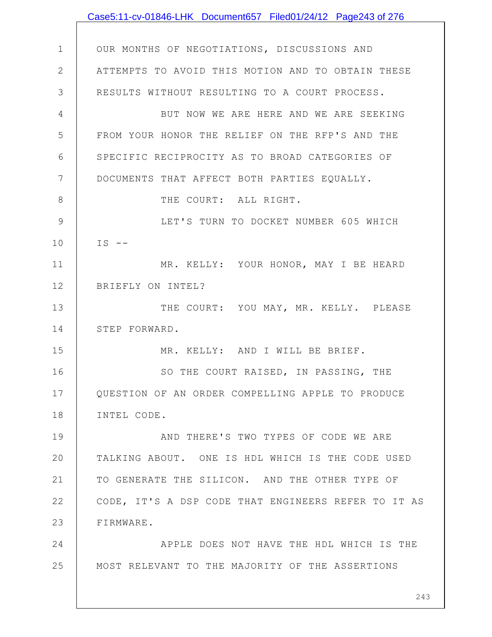|               | Case5:11-cv-01846-LHK Document657 Filed01/24/12 Page243 of 276 |
|---------------|----------------------------------------------------------------|
|               |                                                                |
| $\mathbf 1$   | OUR MONTHS OF NEGOTIATIONS, DISCUSSIONS AND                    |
| $\mathbf{2}$  | ATTEMPTS TO AVOID THIS MOTION AND TO OBTAIN THESE              |
| 3             | RESULTS WITHOUT RESULTING TO A COURT PROCESS.                  |
| 4             | BUT NOW WE ARE HERE AND WE ARE SEEKING                         |
| 5             | FROM YOUR HONOR THE RELIEF ON THE RFP'S AND THE                |
| 6             | SPECIFIC RECIPROCITY AS TO BROAD CATEGORIES OF                 |
| 7             | DOCUMENTS THAT AFFECT BOTH PARTIES EQUALLY.                    |
| $8\,$         | THE COURT: ALL RIGHT.                                          |
| $\mathcal{G}$ | LET'S TURN TO DOCKET NUMBER 605 WHICH                          |
| 10            | $IS$ --                                                        |
| 11            | MR. KELLY: YOUR HONOR, MAY I BE HEARD                          |
| 12            | BRIEFLY ON INTEL?                                              |
| 13            | THE COURT: YOU MAY, MR. KELLY. PLEASE                          |
| 14            | STEP FORWARD.                                                  |
| 15            | MR. KELLY: AND I WILL BE BRIEF.                                |
| 16            | SO THE COURT RAISED, IN PASSING, THE                           |
| 17            | QUESTION OF AN ORDER COMPELLING APPLE TO PRODUCE               |
| 18            | INTEL CODE.                                                    |
| 19            | AND THERE'S TWO TYPES OF CODE WE ARE                           |
| 20            | TALKING ABOUT. ONE IS HDL WHICH IS THE CODE USED               |
| 21            | TO GENERATE THE SILICON. AND THE OTHER TYPE OF                 |
| 22            | CODE, IT'S A DSP CODE THAT ENGINEERS REFER TO IT AS            |
| 23            | FIRMWARE.                                                      |
| 24            | APPLE DOES NOT HAVE THE HDL WHICH IS THE                       |
| 25            | MOST RELEVANT TO THE MAJORITY OF THE ASSERTIONS                |
|               | 243                                                            |
|               |                                                                |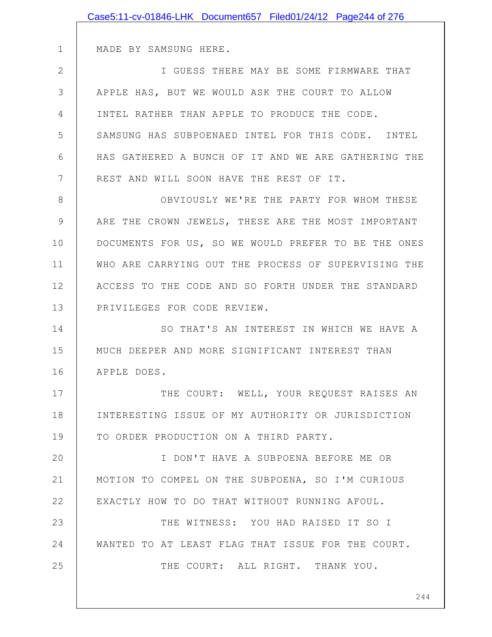|    | Case5:11-cv-01846-LHK Document657 Filed01/24/12 Page244 of 276 |
|----|----------------------------------------------------------------|
|    |                                                                |
| 1  | MADE BY SAMSUNG HERE.                                          |
| 2  | I GUESS THERE MAY BE SOME FIRMWARE THAT                        |
| 3  | APPLE HAS, BUT WE WOULD ASK THE COURT TO ALLOW                 |
| 4  | INTEL RATHER THAN APPLE TO PRODUCE THE CODE.                   |
| 5  | SAMSUNG HAS SUBPOENAED INTEL FOR THIS CODE. INTEL              |
| 6  | HAS GATHERED A BUNCH OF IT AND WE ARE GATHERING THE            |
| 7  | REST AND WILL SOON HAVE THE REST OF IT.                        |
| 8  | OBVIOUSLY WE'RE THE PARTY FOR WHOM THESE                       |
| 9  | ARE THE CROWN JEWELS, THESE ARE THE MOST IMPORTANT             |
| 10 | DOCUMENTS FOR US, SO WE WOULD PREFER TO BE THE ONES            |
| 11 | WHO ARE CARRYING OUT THE PROCESS OF SUPERVISING THE            |
| 12 | ACCESS TO THE CODE AND SO FORTH UNDER THE STANDARD             |
| 13 | PRIVILEGES FOR CODE REVIEW.                                    |
| 14 | SO THAT'S AN INTEREST IN WHICH WE HAVE A                       |
| 15 | MUCH DEEPER AND MORE SIGNIFICANT INTEREST THAN                 |
| 16 | APPLE DOES.                                                    |
| 17 | THE COURT: WELL, YOUR REQUEST RAISES AN                        |
| 18 | INTERESTING ISSUE OF MY AUTHORITY OR JURISDICTION              |
| 19 | TO ORDER PRODUCTION ON A THIRD PARTY.                          |
| 20 | I DON'T HAVE A SUBPOENA BEFORE ME OR                           |
| 21 | MOTION TO COMPEL ON THE SUBPOENA, SO I'M CURIOUS               |
| 22 | EXACTLY HOW TO DO THAT WITHOUT RUNNING AFOUL.                  |
| 23 | THE WITNESS: YOU HAD RAISED IT SO I                            |
| 24 | WANTED TO AT LEAST FLAG THAT ISSUE FOR THE COURT.              |
| 25 | THE COURT: ALL RIGHT. THANK YOU.                               |
|    |                                                                |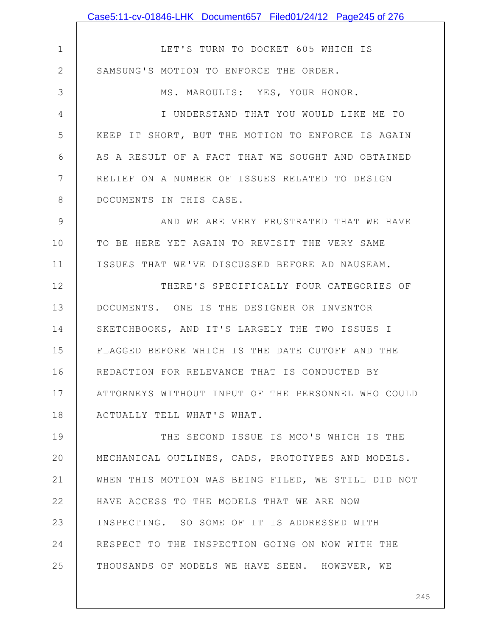1 2 3 4 5 6 7 8 9 10 11 12 13 14 15 16 17 18 19 20 21 22 23 24 25 LET'S TURN TO DOCKET 605 WHICH IS SAMSUNG'S MOTION TO ENFORCE THE ORDER. MS. MAROULIS: YES, YOUR HONOR. I UNDERSTAND THAT YOU WOULD LIKE ME TO KEEP IT SHORT, BUT THE MOTION TO ENFORCE IS AGAIN AS A RESULT OF A FACT THAT WE SOUGHT AND OBTAINED RELIEF ON A NUMBER OF ISSUES RELATED TO DESIGN DOCUMENTS IN THIS CASE. AND WE ARE VERY FRUSTRATED THAT WE HAVE TO BE HERE YET AGAIN TO REVISIT THE VERY SAME ISSUES THAT WE'VE DISCUSSED BEFORE AD NAUSEAM. THERE'S SPECIFICALLY FOUR CATEGORIES OF DOCUMENTS. ONE IS THE DESIGNER OR INVENTOR SKETCHBOOKS, AND IT'S LARGELY THE TWO ISSUES I FLAGGED BEFORE WHICH IS THE DATE CUTOFF AND THE REDACTION FOR RELEVANCE THAT IS CONDUCTED BY ATTORNEYS WITHOUT INPUT OF THE PERSONNEL WHO COULD ACTUALLY TELL WHAT'S WHAT. THE SECOND ISSUE IS MCO'S WHICH IS THE MECHANICAL OUTLINES, CADS, PROTOTYPES AND MODELS. WHEN THIS MOTION WAS BEING FILED, WE STILL DID NOT HAVE ACCESS TO THE MODELS THAT WE ARE NOW INSPECTING. SO SOME OF IT IS ADDRESSED WITH RESPECT TO THE INSPECTION GOING ON NOW WITH THE THOUSANDS OF MODELS WE HAVE SEEN. HOWEVER, WE Case5:11-cv-01846-LHK Document657 Filed01/24/12 Page245 of 276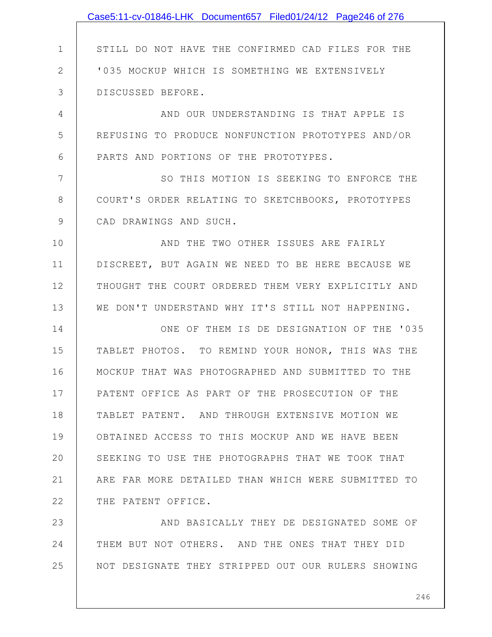|              | Case5:11-cv-01846-LHK Document657 Filed01/24/12 Page246 of 276 |
|--------------|----------------------------------------------------------------|
|              |                                                                |
| $\mathbf 1$  | STILL DO NOT HAVE THE CONFIRMED CAD FILES FOR THE              |
| $\mathbf{2}$ | '035 MOCKUP WHICH IS SOMETHING WE EXTENSIVELY                  |
| 3            | DISCUSSED BEFORE.                                              |
| 4            | AND OUR UNDERSTANDING IS THAT APPLE IS                         |
| 5            | REFUSING TO PRODUCE NONFUNCTION PROTOTYPES AND/OR              |
| 6            | PARTS AND PORTIONS OF THE PROTOTYPES.                          |
| 7            | SO THIS MOTION IS SEEKING TO ENFORCE THE                       |
| 8            | COURT'S ORDER RELATING TO SKETCHBOOKS, PROTOTYPES              |
| 9            | CAD DRAWINGS AND SUCH.                                         |
| 10           | AND THE TWO OTHER ISSUES ARE FAIRLY                            |
| 11           | DISCREET, BUT AGAIN WE NEED TO BE HERE BECAUSE WE              |
| 12           | THOUGHT THE COURT ORDERED THEM VERY EXPLICITLY AND             |
| 13           | WE DON'T UNDERSTAND WHY IT'S STILL NOT HAPPENING.              |
| 14           | ONE OF THEM IS DE DESIGNATION OF THE '035                      |
| 15           | TABLET PHOTOS. TO REMIND YOUR HONOR, THIS WAS THE              |
| 16           | MOCKUP THAT WAS PHOTOGRAPHED AND SUBMITTED TO THE              |
| 17           | PATENT OFFICE AS PART OF THE PROSECUTION OF THE                |
| 18           | TABLET PATENT. AND THROUGH EXTENSIVE MOTION WE                 |
| 19           | OBTAINED ACCESS TO THIS MOCKUP AND WE HAVE BEEN                |
| 20           | SEEKING TO USE THE PHOTOGRAPHS THAT WE TOOK THAT               |
| 21           | ARE FAR MORE DETAILED THAN WHICH WERE SUBMITTED TO             |
| 22           | THE PATENT OFFICE.                                             |
| 23           | AND BASICALLY THEY DE DESIGNATED SOME OF                       |
| 24           | THEM BUT NOT OTHERS. AND THE ONES THAT THEY DID                |
| 25           | NOT DESIGNATE THEY STRIPPED OUT OUR RULERS SHOWING             |
|              |                                                                |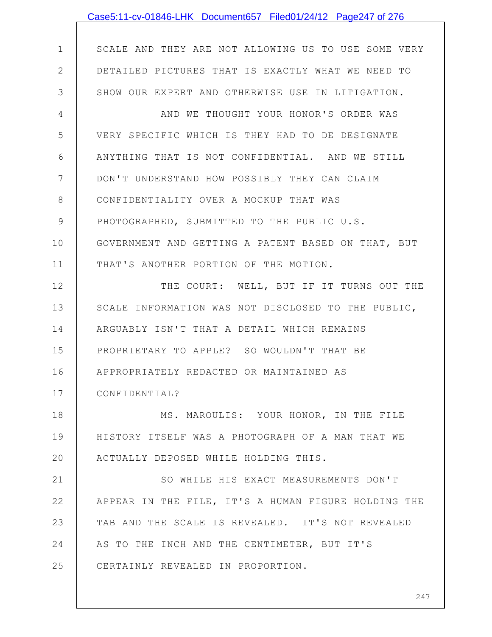|                | Case5:11-cv-01846-LHK Document657 Filed01/24/12 Page247 of 276 |
|----------------|----------------------------------------------------------------|
|                |                                                                |
| $\mathbf 1$    | SCALE AND THEY ARE NOT ALLOWING US TO USE SOME VERY            |
| $\mathbf{2}$   | DETAILED PICTURES THAT IS EXACTLY WHAT WE NEED TO              |
| 3              | SHOW OUR EXPERT AND OTHERWISE USE IN LITIGATION.               |
| $\overline{4}$ | AND WE THOUGHT YOUR HONOR'S ORDER WAS                          |
| 5              | VERY SPECIFIC WHICH IS THEY HAD TO DE DESIGNATE                |
| 6              | ANYTHING THAT IS NOT CONFIDENTIAL. AND WE STILL                |
| 7              | DON'T UNDERSTAND HOW POSSIBLY THEY CAN CLAIM                   |
| $8\,$          | CONFIDENTIALITY OVER A MOCKUP THAT WAS                         |
| $\mathcal{G}$  | PHOTOGRAPHED, SUBMITTED TO THE PUBLIC U.S.                     |
| 10             | GOVERNMENT AND GETTING A PATENT BASED ON THAT, BUT             |
| 11             | THAT'S ANOTHER PORTION OF THE MOTION.                          |
| 12             | THE COURT: WELL, BUT IF IT TURNS OUT THE                       |
| 13             | SCALE INFORMATION WAS NOT DISCLOSED TO THE PUBLIC,             |
| 14             | ARGUABLY ISN'T THAT A DETAIL WHICH REMAINS                     |
| 15             | PROPRIETARY TO APPLE? SO WOULDN'T THAT BE                      |
| 16             | APPROPRIATELY REDACTED OR MAINTAINED AS                        |
| 17             | CONFIDENTIAL?                                                  |
| 18             | MS. MAROULIS: YOUR HONOR, IN THE FILE                          |
| 19             | HISTORY ITSELF WAS A PHOTOGRAPH OF A MAN THAT WE               |
| 20             | ACTUALLY DEPOSED WHILE HOLDING THIS.                           |
| 21             | SO WHILE HIS EXACT MEASUREMENTS DON'T                          |
| 22             | APPEAR IN THE FILE, IT'S A HUMAN FIGURE HOLDING THE            |
| 23             | TAB AND THE SCALE IS REVEALED. IT'S NOT REVEALED               |
| 24             | AS TO THE INCH AND THE CENTIMETER, BUT IT'S                    |
| 25             | CERTAINLY REVEALED IN PROPORTION.                              |
|                |                                                                |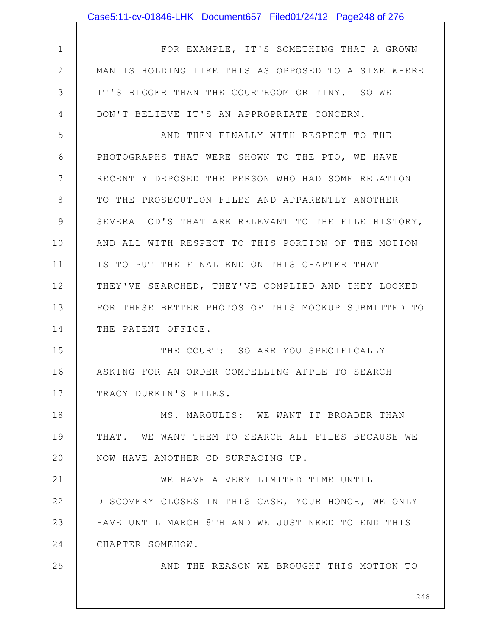| 1            | FOR EXAMPLE, IT'S SOMETHING THAT A GROWN            |
|--------------|-----------------------------------------------------|
| $\mathbf{2}$ | MAN IS HOLDING LIKE THIS AS OPPOSED TO A SIZE WHERE |
| 3            | IT'S BIGGER THAN THE COURTROOM OR TINY. SO WE       |
| 4            | DON'T BELIEVE IT'S AN APPROPRIATE CONCERN.          |
| 5            | AND THEN FINALLY WITH RESPECT TO THE                |
| 6            | PHOTOGRAPHS THAT WERE SHOWN TO THE PTO, WE HAVE     |
| 7            | RECENTLY DEPOSED THE PERSON WHO HAD SOME RELATION   |
| 8            | TO THE PROSECUTION FILES AND APPARENTLY ANOTHER     |
| 9            | SEVERAL CD'S THAT ARE RELEVANT TO THE FILE HISTORY, |
| 10           | AND ALL WITH RESPECT TO THIS PORTION OF THE MOTION  |
| 11           | IS TO PUT THE FINAL END ON THIS CHAPTER THAT        |
| 12           | THEY'VE SEARCHED, THEY'VE COMPLIED AND THEY LOOKED  |
| 13           | FOR THESE BETTER PHOTOS OF THIS MOCKUP SUBMITTED TO |
| 14           | THE PATENT OFFICE.                                  |
| 15           | THE COURT: SO ARE YOU SPECIFICALLY                  |
| 16           | ASKING FOR AN ORDER COMPELLING APPLE TO SEARCH      |
| 17           | TRACY DURKIN'S FILES.                               |
| 18           | MS. MAROULIS: WE WANT IT BROADER THAN               |
| 19           | THAT. WE WANT THEM TO SEARCH ALL FILES BECAUSE WE   |
| 20           | NOW HAVE ANOTHER CD SURFACING UP.                   |
| 21           | WE HAVE A VERY LIMITED TIME UNTIL                   |
| 22           | DISCOVERY CLOSES IN THIS CASE, YOUR HONOR, WE ONLY  |
| 23           | HAVE UNTIL MARCH 8TH AND WE JUST NEED TO END THIS   |
| 24           | CHAPTER SOMEHOW.                                    |
| 25           | AND THE REASON WE BROUGHT THIS MOTION TO            |
|              |                                                     |

Case5:11-cv-01846-LHK Document657 Filed01/24/12 Page248 of 276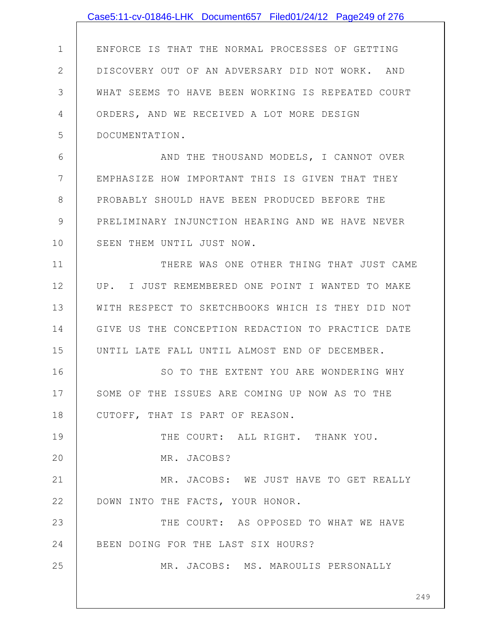|               | Case5:11-cv-01846-LHK Document657 Filed01/24/12 Page249 of 276 |
|---------------|----------------------------------------------------------------|
|               |                                                                |
| $\mathbf 1$   | ENFORCE IS THAT THE NORMAL PROCESSES OF GETTING                |
| $\mathbf{2}$  | DISCOVERY OUT OF AN ADVERSARY DID NOT WORK. AND                |
| 3             | WHAT SEEMS TO HAVE BEEN WORKING IS REPEATED COURT              |
| 4             | ORDERS, AND WE RECEIVED A LOT MORE DESIGN                      |
| 5             | DOCUMENTATION.                                                 |
| 6             | AND THE THOUSAND MODELS, I CANNOT OVER                         |
| 7             | EMPHASIZE HOW IMPORTANT THIS IS GIVEN THAT THEY                |
| 8             | PROBABLY SHOULD HAVE BEEN PRODUCED BEFORE THE                  |
| $\mathcal{G}$ | PRELIMINARY INJUNCTION HEARING AND WE HAVE NEVER               |
| 10            | SEEN THEM UNTIL JUST NOW.                                      |
| 11            | THERE WAS ONE OTHER THING THAT JUST CAME                       |
| 12            | UP. I JUST REMEMBERED ONE POINT I WANTED TO MAKE               |
| 13            | WITH RESPECT TO SKETCHBOOKS WHICH IS THEY DID NOT              |
| 14            | GIVE US THE CONCEPTION REDACTION TO PRACTICE DATE              |
| 15            | UNTIL LATE FALL UNTIL ALMOST END OF DECEMBER.                  |
| 16            | SO TO THE EXTENT YOU ARE WONDERING WHY                         |
| 17            | SOME OF THE ISSUES ARE COMING UP NOW AS TO THE                 |
| 18            | CUTOFF, THAT IS PART OF REASON.                                |
| 19            | THE COURT: ALL RIGHT. THANK YOU.                               |
| 20            | MR. JACOBS?                                                    |
| 21            | MR. JACOBS: WE JUST HAVE TO GET REALLY                         |
| 22            | DOWN INTO THE FACTS, YOUR HONOR.                               |
| 23            | THE COURT: AS OPPOSED TO WHAT WE HAVE                          |
| 24            | BEEN DOING FOR THE LAST SIX HOURS?                             |
| 25            | MR. JACOBS: MS. MAROULIS PERSONALLY                            |
|               | 249                                                            |
|               |                                                                |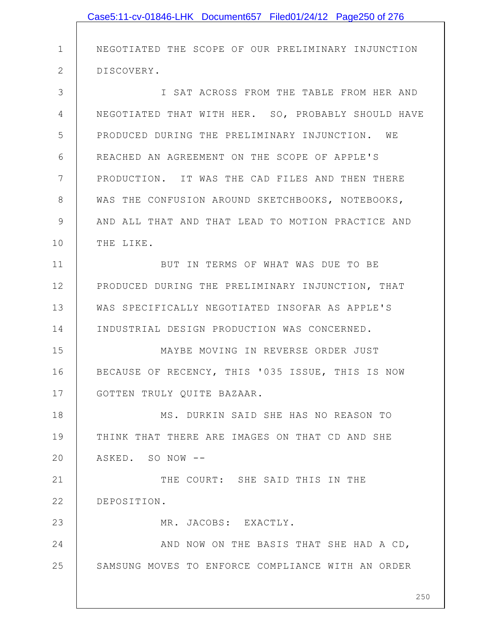|               | Case5:11-cv-01846-LHK Document657 Filed01/24/12 Page250 of 276 |
|---------------|----------------------------------------------------------------|
|               |                                                                |
| $\mathbf 1$   | NEGOTIATED THE SCOPE OF OUR PRELIMINARY INJUNCTION             |
| $\mathbf{2}$  | DISCOVERY.                                                     |
| 3             | I SAT ACROSS FROM THE TABLE FROM HER AND                       |
| 4             | NEGOTIATED THAT WITH HER. SO, PROBABLY SHOULD HAVE             |
| 5             | PRODUCED DURING THE PRELIMINARY INJUNCTION. WE                 |
| 6             | REACHED AN AGREEMENT ON THE SCOPE OF APPLE'S                   |
| 7             | PRODUCTION. IT WAS THE CAD FILES AND THEN THERE                |
| 8             | WAS THE CONFUSION AROUND SKETCHBOOKS, NOTEBOOKS,               |
| $\mathcal{G}$ | AND ALL THAT AND THAT LEAD TO MOTION PRACTICE AND              |
| 10            | THE LIKE.                                                      |
| 11            | BUT IN TERMS OF WHAT WAS DUE TO BE                             |
| 12            | PRODUCED DURING THE PRELIMINARY INJUNCTION, THAT               |
| 13            | WAS SPECIFICALLY NEGOTIATED INSOFAR AS APPLE'S                 |
| 14            | INDUSTRIAL DESIGN PRODUCTION WAS CONCERNED.                    |
| 15            | MAYBE MOVING IN REVERSE ORDER JUST                             |
| 16            | BECAUSE OF RECENCY, THIS '035 ISSUE, THIS IS NOW               |
| 17            | GOTTEN TRULY QUITE BAZAAR.                                     |
| 18            | MS. DURKIN SAID SHE HAS NO REASON TO                           |
| 19            | THINK THAT THERE ARE IMAGES ON THAT CD AND SHE                 |
| 20            | ASKED. SO NOW --                                               |
| 21            | THE COURT: SHE SAID THIS IN THE                                |
| 22            | DEPOSITION.                                                    |
| 23            | MR. JACOBS: EXACTLY.                                           |
| 24            | AND NOW ON THE BASIS THAT SHE HAD A CD,                        |
| 25            | SAMSUNG MOVES TO ENFORCE COMPLIANCE WITH AN ORDER              |
|               | 250                                                            |
|               |                                                                |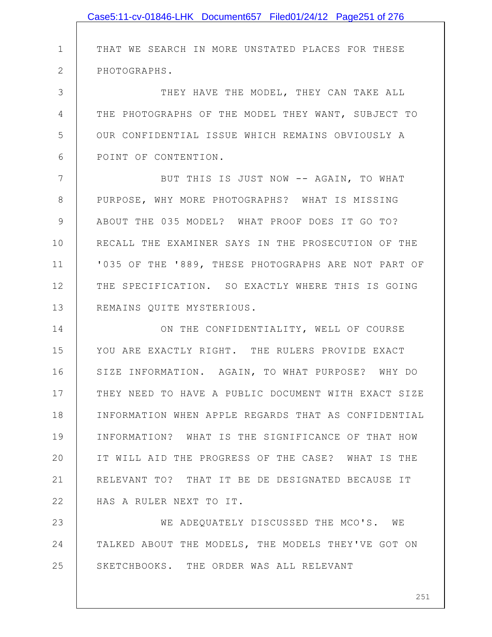|    | Case5:11-cv-01846-LHK Document657 Filed01/24/12 Page251 of 276 |
|----|----------------------------------------------------------------|
|    |                                                                |
| 1  | THAT WE SEARCH IN MORE UNSTATED PLACES FOR THESE               |
| 2  | PHOTOGRAPHS.                                                   |
| 3  | THEY HAVE THE MODEL, THEY CAN TAKE ALL                         |
| 4  | THE PHOTOGRAPHS OF THE MODEL THEY WANT, SUBJECT TO             |
| 5  | OUR CONFIDENTIAL ISSUE WHICH REMAINS OBVIOUSLY A               |
| 6  | POINT OF CONTENTION.                                           |
| 7  | BUT THIS IS JUST NOW -- AGAIN, TO WHAT                         |
| 8  | PURPOSE, WHY MORE PHOTOGRAPHS? WHAT IS MISSING                 |
| 9  | ABOUT THE 035 MODEL? WHAT PROOF DOES IT GO TO?                 |
| 10 | RECALL THE EXAMINER SAYS IN THE PROSECUTION OF THE             |
| 11 | '035 OF THE '889, THESE PHOTOGRAPHS ARE NOT PART OF            |
| 12 | THE SPECIFICATION. SO EXACTLY WHERE THIS IS GOING              |
| 13 | REMAINS QUITE MYSTERIOUS.                                      |
| 14 | ON THE CONFIDENTIALITY, WELL OF COURSE                         |
| 15 | YOU ARE EXACTLY RIGHT. THE RULERS PROVIDE EXACT                |
| 16 | SIZE INFORMATION. AGAIN, TO WHAT PURPOSE? WHY DO               |
| 17 | THEY NEED TO HAVE A PUBLIC DOCUMENT WITH EXACT SIZE            |
| 18 | INFORMATION WHEN APPLE REGARDS THAT AS CONFIDENTIAL            |
| 19 | INFORMATION? WHAT IS THE SIGNIFICANCE OF THAT HOW              |
| 20 | IT WILL AID THE PROGRESS OF THE CASE? WHAT IS THE              |
| 21 | RELEVANT TO? THAT IT BE DE DESIGNATED BECAUSE IT               |
| 22 | HAS A RULER NEXT TO IT.                                        |
| 23 | WE ADEQUATELY DISCUSSED THE MCO'S. WE                          |
| 24 | TALKED ABOUT THE MODELS, THE MODELS THEY'VE GOT ON             |
| 25 | SKETCHBOOKS. THE ORDER WAS ALL RELEVANT                        |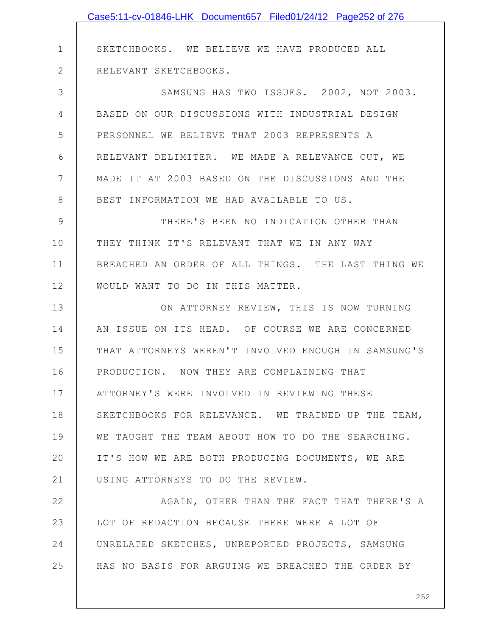|               | Case5:11-cv-01846-LHK Document657 Filed01/24/12 Page252 of 276 |
|---------------|----------------------------------------------------------------|
|               |                                                                |
| $\mathbf 1$   | SKETCHBOOKS. WE BELIEVE WE HAVE PRODUCED ALL                   |
| $\mathbf{2}$  | RELEVANT SKETCHBOOKS.                                          |
| 3             | SAMSUNG HAS TWO ISSUES. 2002, NOT 2003.                        |
| 4             | BASED ON OUR DISCUSSIONS WITH INDUSTRIAL DESIGN                |
| 5             | PERSONNEL WE BELIEVE THAT 2003 REPRESENTS A                    |
| 6             | RELEVANT DELIMITER. WE MADE A RELEVANCE CUT, WE                |
| 7             | MADE IT AT 2003 BASED ON THE DISCUSSIONS AND THE               |
| $8\,$         | BEST INFORMATION WE HAD AVAILABLE TO US.                       |
| $\mathcal{G}$ | THERE'S BEEN NO INDICATION OTHER THAN                          |
| 10            | THEY THINK IT'S RELEVANT THAT WE IN ANY WAY                    |
| 11            | BREACHED AN ORDER OF ALL THINGS. THE LAST THING WE             |
| 12            | WOULD WANT TO DO IN THIS MATTER.                               |
| 13            | ON ATTORNEY REVIEW, THIS IS NOW TURNING                        |
| 14            | AN ISSUE ON ITS HEAD. OF COURSE WE ARE CONCERNED               |
| 15            | THAT ATTORNEYS WEREN'T INVOLVED ENOUGH IN SAMSUNG'S            |
| 16            | PRODUCTION. NOW THEY ARE COMPLAINING THAT                      |
| 17            | ATTORNEY'S WERE INVOLVED IN REVIEWING THESE                    |
| 18            | SKETCHBOOKS FOR RELEVANCE. WE TRAINED UP THE TEAM,             |
| 19            | WE TAUGHT THE TEAM ABOUT HOW TO DO THE SEARCHING.              |
| 20            | IT'S HOW WE ARE BOTH PRODUCING DOCUMENTS, WE ARE               |
| 21            | USING ATTORNEYS TO DO THE REVIEW.                              |
| 22            | AGAIN, OTHER THAN THE FACT THAT THERE'S A                      |
| 23            | LOT OF REDACTION BECAUSE THERE WERE A LOT OF                   |
| 24            | UNRELATED SKETCHES, UNREPORTED PROJECTS, SAMSUNG               |
| 25            | HAS NO BASIS FOR ARGUING WE BREACHED THE ORDER BY              |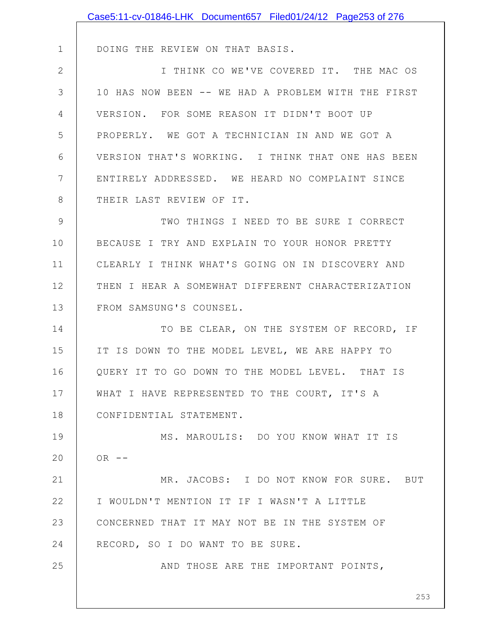|              | Case5:11-cv-01846-LHK Document657 Filed01/24/12 Page253 of 276 |
|--------------|----------------------------------------------------------------|
|              |                                                                |
| $\mathbf 1$  | DOING THE REVIEW ON THAT BASIS.                                |
| $\mathbf{2}$ | I THINK CO WE'VE COVERED IT. THE MAC OS                        |
| 3            | 10 HAS NOW BEEN -- WE HAD A PROBLEM WITH THE FIRST             |
| 4            | VERSION. FOR SOME REASON IT DIDN'T BOOT UP                     |
| 5            | PROPERLY. WE GOT A TECHNICIAN IN AND WE GOT A                  |
| 6            | VERSION THAT'S WORKING. I THINK THAT ONE HAS BEEN              |
| 7            | ENTIRELY ADDRESSED. WE HEARD NO COMPLAINT SINCE                |
| 8            | THEIR LAST REVIEW OF IT.                                       |
| 9            | TWO THINGS I NEED TO BE SURE I CORRECT                         |
| 10           | BECAUSE I TRY AND EXPLAIN TO YOUR HONOR PRETTY                 |
| 11           | CLEARLY I THINK WHAT'S GOING ON IN DISCOVERY AND               |
| 12           | THEN I HEAR A SOMEWHAT DIFFERENT CHARACTERIZATION              |
| 13           | FROM SAMSUNG'S COUNSEL.                                        |
| 14           | TO BE CLEAR, ON THE SYSTEM OF RECORD, IF                       |
| 15           | IT IS DOWN TO THE MODEL LEVEL, WE ARE HAPPY TO                 |
| 16           | QUERY IT TO GO DOWN TO THE MODEL LEVEL. THAT IS                |
| 17           | WHAT I HAVE REPRESENTED TO THE COURT, IT'S A                   |
| 18           | CONFIDENTIAL STATEMENT.                                        |
| 19           | MS. MAROULIS: DO YOU KNOW WHAT IT IS                           |
| 20           | $OR$ --                                                        |
| 21           | MR. JACOBS: I DO NOT KNOW FOR SURE. BUT                        |
| 22           | I WOULDN'T MENTION IT IF I WASN'T A LITTLE                     |
| 23           | CONCERNED THAT IT MAY NOT BE IN THE SYSTEM OF                  |
| 24           | RECORD, SO I DO WANT TO BE SURE.                               |
| 25           | AND THOSE ARE THE IMPORTANT POINTS,                            |
|              |                                                                |
|              | 253                                                            |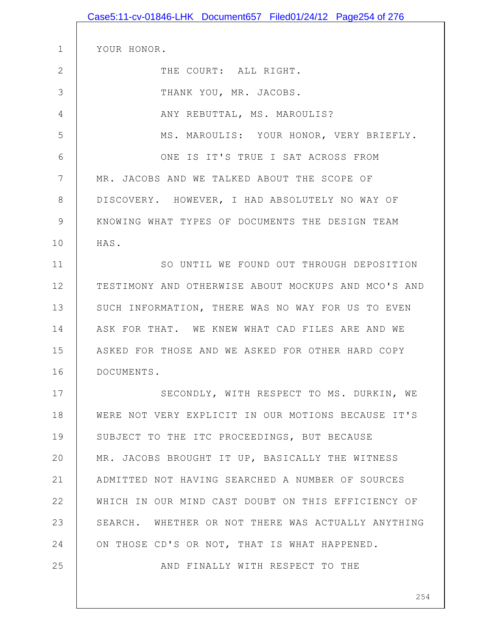|                | Case5:11-cv-01846-LHK Document657 Filed01/24/12 Page254 of 276 |
|----------------|----------------------------------------------------------------|
|                |                                                                |
| $\mathbf 1$    | YOUR HONOR.                                                    |
| $\overline{2}$ | THE COURT: ALL RIGHT.                                          |
| 3              | THANK YOU, MR. JACOBS.                                         |
| 4              | ANY REBUTTAL, MS. MAROULIS?                                    |
| 5              | MS. MAROULIS: YOUR HONOR, VERY BRIEFLY.                        |
| 6              | ONE IS IT'S TRUE I SAT ACROSS FROM                             |
| 7              | MR. JACOBS AND WE TALKED ABOUT THE SCOPE OF                    |
| $8\,$          | DISCOVERY. HOWEVER, I HAD ABSOLUTELY NO WAY OF                 |
| $\mathcal{G}$  | KNOWING WHAT TYPES OF DOCUMENTS THE DESIGN TEAM                |
| 10             | HAS.                                                           |
| 11             | SO UNTIL WE FOUND OUT THROUGH DEPOSITION                       |
| 12             | TESTIMONY AND OTHERWISE ABOUT MOCKUPS AND MCO'S AND            |
| 13             | SUCH INFORMATION, THERE WAS NO WAY FOR US TO EVEN              |
| 14             | ASK FOR THAT. WE KNEW WHAT CAD FILES ARE AND WE                |
| 15             | ASKED FOR THOSE AND WE ASKED FOR OTHER HARD COPY               |
| 16             | DOCUMENTS.                                                     |
| 17             | SECONDLY, WITH RESPECT TO MS. DURKIN, WE                       |
| 18             | WERE NOT VERY EXPLICIT IN OUR MOTIONS BECAUSE IT'S             |
| 19             | SUBJECT TO THE ITC PROCEEDINGS, BUT BECAUSE                    |
| 20             | MR. JACOBS BROUGHT IT UP, BASICALLY THE WITNESS                |
| 21             | ADMITTED NOT HAVING SEARCHED A NUMBER OF SOURCES               |
| 22             | WHICH IN OUR MIND CAST DOUBT ON THIS EFFICIENCY OF             |
| 23             | SEARCH. WHETHER OR NOT THERE WAS ACTUALLY ANYTHING             |
| 24             | ON THOSE CD'S OR NOT, THAT IS WHAT HAPPENED.                   |
| 25             | AND FINALLY WITH RESPECT TO THE                                |
|                |                                                                |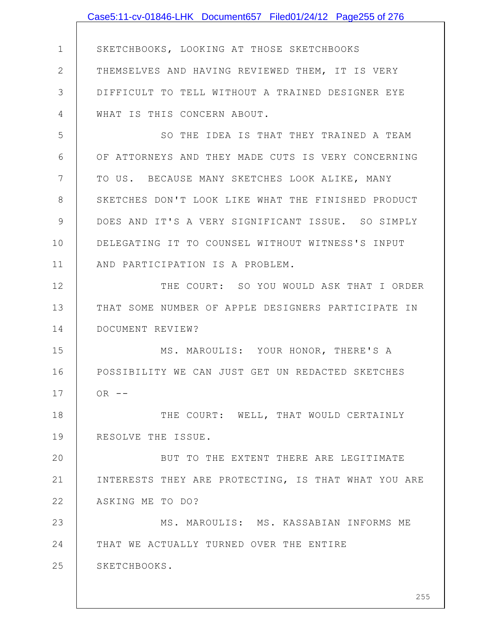|              | Case5:11-cv-01846-LHK Document657 Filed01/24/12 Page255 of 276 |
|--------------|----------------------------------------------------------------|
|              |                                                                |
| $\mathbf 1$  | SKETCHBOOKS, LOOKING AT THOSE SKETCHBOOKS                      |
| $\mathbf{2}$ | THEMSELVES AND HAVING REVIEWED THEM, IT IS VERY                |
| 3            | DIFFICULT TO TELL WITHOUT A TRAINED DESIGNER EYE               |
| 4            | WHAT IS THIS CONCERN ABOUT.                                    |
| 5            | SO THE IDEA IS THAT THEY TRAINED A TEAM                        |
| 6            | OF ATTORNEYS AND THEY MADE CUTS IS VERY CONCERNING             |
| 7            | TO US. BECAUSE MANY SKETCHES LOOK ALIKE, MANY                  |
| 8            | SKETCHES DON'T LOOK LIKE WHAT THE FINISHED PRODUCT             |
| 9            | DOES AND IT'S A VERY SIGNIFICANT ISSUE. SO SIMPLY              |
| 10           | DELEGATING IT TO COUNSEL WITHOUT WITNESS'S INPUT               |
| 11           | AND PARTICIPATION IS A PROBLEM.                                |
| 12           | THE COURT: SO YOU WOULD ASK THAT I ORDER                       |
| 13           | THAT SOME NUMBER OF APPLE DESIGNERS PARTICIPATE IN             |
| 14           | DOCUMENT REVIEW?                                               |
| 15           | MS. MAROULIS: YOUR HONOR, THERE'S A                            |
| 16           | POSSIBILITY WE CAN JUST GET UN REDACTED SKETCHES               |
| 17           | $OR$ --                                                        |
| 18           | THE COURT: WELL, THAT WOULD CERTAINLY                          |
| 19           | RESOLVE THE ISSUE.                                             |
| 20           | BUT TO THE EXTENT THERE ARE LEGITIMATE                         |
| 21           | INTERESTS THEY ARE PROTECTING, IS THAT WHAT YOU ARE            |
| 22           | ASKING ME TO DO?                                               |
| 23           | MS. MAROULIS: MS. KASSABIAN INFORMS ME                         |
| 24           | THAT WE ACTUALLY TURNED OVER THE ENTIRE                        |
| 25           | SKETCHBOOKS.                                                   |
|              |                                                                |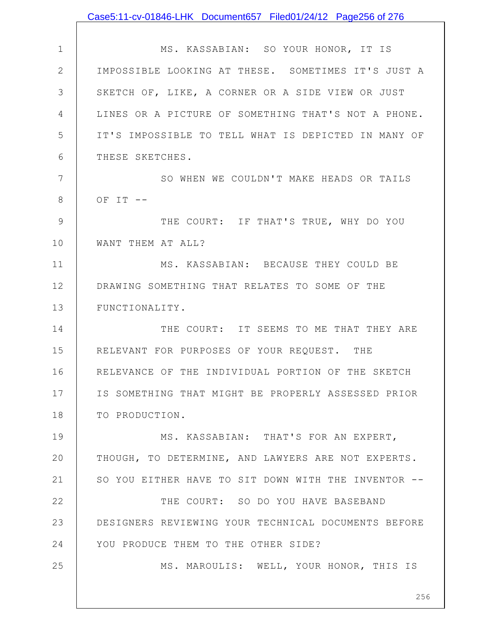|              | Case5:11-cv-01846-LHK Document657 Filed01/24/12 Page256 of 276 |
|--------------|----------------------------------------------------------------|
|              |                                                                |
| $\mathbf 1$  | MS. KASSABIAN: SO YOUR HONOR, IT IS                            |
| $\mathbf{2}$ | IMPOSSIBLE LOOKING AT THESE. SOMETIMES IT'S JUST A             |
| 3            | SKETCH OF, LIKE, A CORNER OR A SIDE VIEW OR JUST               |
| 4            | LINES OR A PICTURE OF SOMETHING THAT'S NOT A PHONE.            |
| 5            | IT'S IMPOSSIBLE TO TELL WHAT IS DEPICTED IN MANY OF            |
| 6            | THESE SKETCHES.                                                |
| 7            | SO WHEN WE COULDN'T MAKE HEADS OR TAILS                        |
| 8            | OF $IT$ $-$                                                    |
| 9            | THE COURT: IF THAT'S TRUE, WHY DO YOU                          |
| 10           | WANT THEM AT ALL?                                              |
| 11           | MS. KASSABIAN: BECAUSE THEY COULD BE                           |
| 12           | DRAWING SOMETHING THAT RELATES TO SOME OF THE                  |
| 13           | FUNCTIONALITY.                                                 |
| 14           | THE COURT: IT SEEMS TO ME THAT THEY ARE                        |
| 15           | RELEVANT FOR PURPOSES OF YOUR REQUEST. THE                     |
| 16           | RELEVANCE OF THE INDIVIDUAL PORTION OF THE SKETCH              |
| 17           | IS SOMETHING THAT MIGHT BE PROPERLY ASSESSED PRIOR             |
| 18           | TO PRODUCTION.                                                 |
| 19           | MS. KASSABIAN: THAT'S FOR AN EXPERT,                           |
| 20           | THOUGH, TO DETERMINE, AND LAWYERS ARE NOT EXPERTS.             |
| 21           | SO YOU EITHER HAVE TO SIT DOWN WITH THE INVENTOR --            |
| 22           | THE COURT: SO DO YOU HAVE BASEBAND                             |
| 23           | DESIGNERS REVIEWING YOUR TECHNICAL DOCUMENTS BEFORE            |
| 24           | YOU PRODUCE THEM TO THE OTHER SIDE?                            |
| 25           | MS. MAROULIS: WELL, YOUR HONOR, THIS IS                        |
|              |                                                                |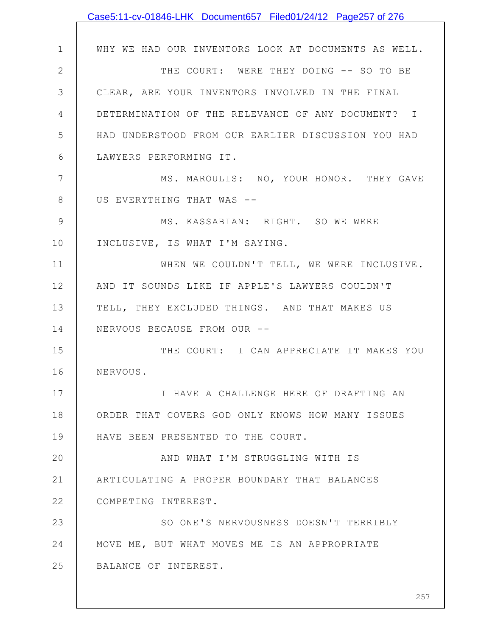|              | Case5:11-cv-01846-LHK Document657 Filed01/24/12 Page257 of 276 |
|--------------|----------------------------------------------------------------|
|              |                                                                |
| $\mathbf 1$  | WHY WE HAD OUR INVENTORS LOOK AT DOCUMENTS AS WELL.            |
| $\mathbf{2}$ | THE COURT: WERE THEY DOING -- SO TO BE                         |
| 3            | CLEAR, ARE YOUR INVENTORS INVOLVED IN THE FINAL                |
| 4            | DETERMINATION OF THE RELEVANCE OF ANY DOCUMENT? I              |
| 5            | HAD UNDERSTOOD FROM OUR EARLIER DISCUSSION YOU HAD             |
| 6            | LAWYERS PERFORMING IT.                                         |
| 7            | MS. MAROULIS: NO, YOUR HONOR. THEY GAVE                        |
| 8            | US EVERYTHING THAT WAS --                                      |
| 9            | MS. KASSABIAN: RIGHT. SO WE WERE                               |
| 10           | INCLUSIVE, IS WHAT I'M SAYING.                                 |
| 11           | WHEN WE COULDN'T TELL, WE WERE INCLUSIVE.                      |
| 12           | AND IT SOUNDS LIKE IF APPLE'S LAWYERS COULDN'T                 |
| 13           | TELL, THEY EXCLUDED THINGS. AND THAT MAKES US                  |
| 14           | NERVOUS BECAUSE FROM OUR --                                    |
| 15           | THE COURT: I CAN APPRECIATE IT MAKES YOU                       |
| 16           | NERVOUS.                                                       |
| 17           | I HAVE A CHALLENGE HERE OF DRAFTING AN                         |
| 18           | ORDER THAT COVERS GOD ONLY KNOWS HOW MANY ISSUES               |
| 19           | HAVE BEEN PRESENTED TO THE COURT.                              |
| 20           | AND WHAT I'M STRUGGLING WITH IS                                |
| 21           | ARTICULATING A PROPER BOUNDARY THAT BALANCES                   |
| 22           | COMPETING INTEREST.                                            |
| 23           | SO ONE'S NERVOUSNESS DOESN'T TERRIBLY                          |
| 24           | MOVE ME, BUT WHAT MOVES ME IS AN APPROPRIATE                   |
| 25           | BALANCE OF INTEREST.                                           |
|              |                                                                |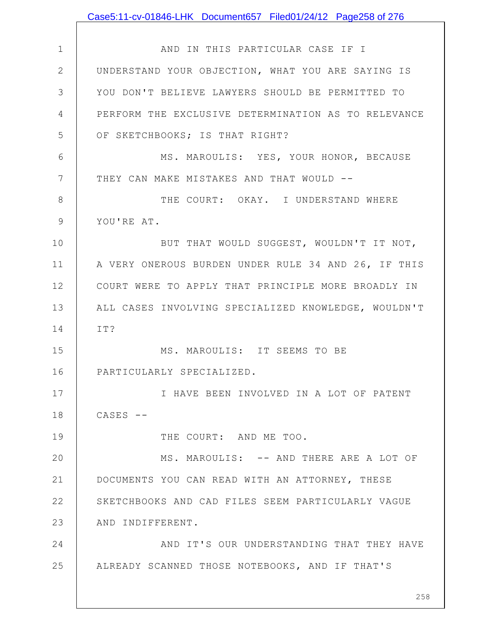|               | Case5:11-cv-01846-LHK Document657 Filed01/24/12 Page258 of 276 |
|---------------|----------------------------------------------------------------|
|               |                                                                |
| $\mathbf 1$   | AND IN THIS PARTICULAR CASE IF I                               |
| $\mathbf{2}$  | UNDERSTAND YOUR OBJECTION, WHAT YOU ARE SAYING IS              |
| 3             | YOU DON'T BELIEVE LAWYERS SHOULD BE PERMITTED TO               |
| 4             | PERFORM THE EXCLUSIVE DETERMINATION AS TO RELEVANCE            |
| 5             | OF SKETCHBOOKS; IS THAT RIGHT?                                 |
| 6             | MS. MAROULIS: YES, YOUR HONOR, BECAUSE                         |
| 7             | THEY CAN MAKE MISTAKES AND THAT WOULD --                       |
| 8             | THE COURT: OKAY. I UNDERSTAND WHERE                            |
| $\mathcal{G}$ | YOU'RE AT.                                                     |
| 10            | BUT THAT WOULD SUGGEST, WOULDN'T IT NOT,                       |
| 11            | A VERY ONEROUS BURDEN UNDER RULE 34 AND 26, IF THIS            |
| 12            | COURT WERE TO APPLY THAT PRINCIPLE MORE BROADLY IN             |
| 13            | ALL CASES INVOLVING SPECIALIZED KNOWLEDGE, WOULDN'T            |
| 14            | IT?                                                            |
| 15            | MS. MAROULIS: IT SEEMS TO BE                                   |
| 16            | PARTICULARLY SPECIALIZED.                                      |
| 17            | I HAVE BEEN INVOLVED IN A LOT OF PATENT                        |
| 18            | $CASES$ --                                                     |
| 19            | THE COURT: AND ME TOO.                                         |
| 20            | MS. MAROULIS: -- AND THERE ARE A LOT OF                        |
| 21            | DOCUMENTS YOU CAN READ WITH AN ATTORNEY, THESE                 |
| 22            | SKETCHBOOKS AND CAD FILES SEEM PARTICULARLY VAGUE              |
| 23            | AND INDIFFERENT.                                               |
| 24            | AND IT'S OUR UNDERSTANDING THAT THEY HAVE                      |
| 25            | ALREADY SCANNED THOSE NOTEBOOKS, AND IF THAT'S                 |
|               | 258                                                            |
|               |                                                                |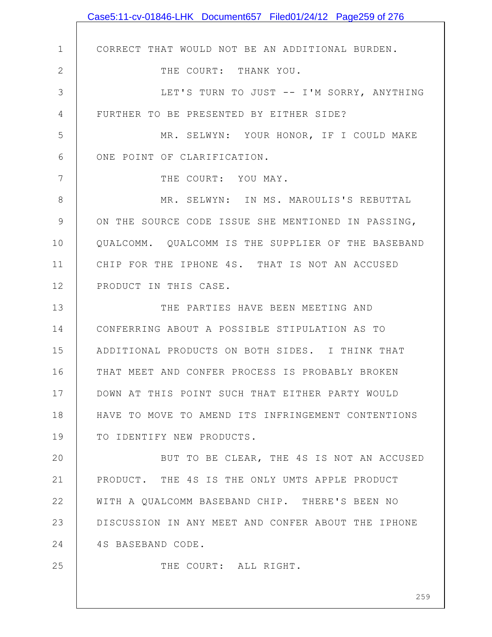|              | Case5:11-cv-01846-LHK Document657 Filed01/24/12 Page259 of 276 |
|--------------|----------------------------------------------------------------|
|              |                                                                |
| $\mathbf 1$  | CORRECT THAT WOULD NOT BE AN ADDITIONAL BURDEN.                |
| $\mathbf{2}$ | THE COURT: THANK YOU.                                          |
| 3            | LET'S TURN TO JUST -- I'M SORRY, ANYTHING                      |
| 4            | FURTHER TO BE PRESENTED BY EITHER SIDE?                        |
| 5            | MR. SELWYN: YOUR HONOR, IF I COULD MAKE                        |
| 6            | ONE POINT OF CLARIFICATION.                                    |
| 7            | THE COURT: YOU MAY.                                            |
| 8            | MR. SELWYN: IN MS. MAROULIS'S REBUTTAL                         |
| 9            | ON THE SOURCE CODE ISSUE SHE MENTIONED IN PASSING,             |
| 10           | QUALCOMM. QUALCOMM IS THE SUPPLIER OF THE BASEBAND             |
| 11           | CHIP FOR THE IPHONE 4S. THAT IS NOT AN ACCUSED                 |
| 12           | PRODUCT IN THIS CASE.                                          |
| 13           | THE PARTIES HAVE BEEN MEETING AND                              |
| 14           | CONFERRING ABOUT A POSSIBLE STIPULATION AS TO                  |
| 15           | ADDITIONAL PRODUCTS ON BOTH SIDES. I THINK THAT                |
| 16           | THAT MEET AND CONFER PROCESS IS PROBABLY BROKEN                |
| 17           | DOWN AT THIS POINT SUCH THAT EITHER PARTY WOULD                |
| 18           | HAVE TO MOVE TO AMEND ITS INFRINGEMENT CONTENTIONS             |
| 19           | TO IDENTIFY NEW PRODUCTS.                                      |
| 20           | BUT TO BE CLEAR, THE 4S IS NOT AN ACCUSED                      |
| 21           | PRODUCT. THE 4S IS THE ONLY UMTS APPLE PRODUCT                 |
| 22           | WITH A QUALCOMM BASEBAND CHIP. THERE'S BEEN NO                 |
| 23           | DISCUSSION IN ANY MEET AND CONFER ABOUT THE IPHONE             |
| 24           | 4S BASEBAND CODE.                                              |
| 25           | THE COURT: ALL RIGHT.                                          |
|              |                                                                |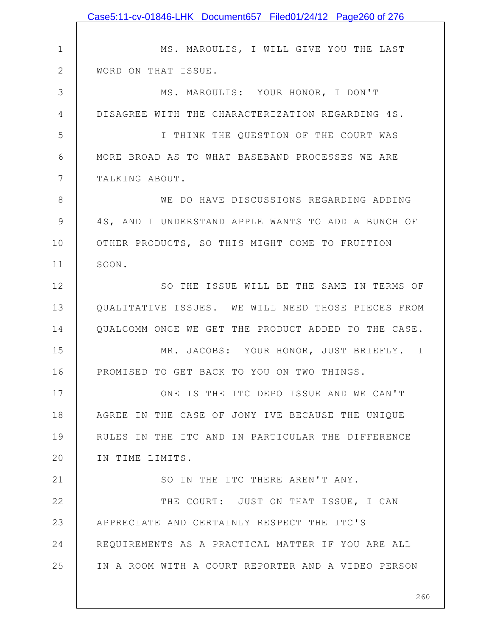|               | Case5:11-cv-01846-LHK Document657 Filed01/24/12 Page260 of 276 |
|---------------|----------------------------------------------------------------|
|               |                                                                |
| $\mathbf 1$   | MS. MAROULIS, I WILL GIVE YOU THE LAST                         |
| $\mathbf{2}$  | WORD ON THAT ISSUE.                                            |
| 3             | MS. MAROULIS: YOUR HONOR, I DON'T                              |
| 4             | DISAGREE WITH THE CHARACTERIZATION REGARDING 4S.               |
| 5             | I THINK THE QUESTION OF THE COURT WAS                          |
| 6             | MORE BROAD AS TO WHAT BASEBAND PROCESSES WE ARE                |
| 7             | TALKING ABOUT.                                                 |
| 8             | WE DO HAVE DISCUSSIONS REGARDING ADDING                        |
| $\mathcal{G}$ | 4S, AND I UNDERSTAND APPLE WANTS TO ADD A BUNCH OF             |
| 10            | OTHER PRODUCTS, SO THIS MIGHT COME TO FRUITION                 |
| 11            | SOON.                                                          |
| 12            | SO THE ISSUE WILL BE THE SAME IN TERMS OF                      |
| 13            | QUALITATIVE ISSUES. WE WILL NEED THOSE PIECES FROM             |
| 14            | QUALCOMM ONCE WE GET THE PRODUCT ADDED TO THE CASE.            |
| 15            | MR. JACOBS: YOUR HONOR, JUST BRIEFLY. I                        |
| 16            | PROMISED TO GET BACK TO YOU ON TWO THINGS.                     |
| 17            | ONE IS THE ITC DEPO ISSUE AND WE CAN'T                         |
| 18            | AGREE IN THE CASE OF JONY IVE BECAUSE THE UNIQUE               |
| 19            | RULES IN THE ITC AND IN PARTICULAR THE DIFFERENCE              |
| 20            | IN TIME LIMITS.                                                |
| 21            | SO IN THE ITC THERE AREN'T ANY.                                |
| 22            | THE COURT: JUST ON THAT ISSUE, I CAN                           |
| 23            | APPRECIATE AND CERTAINLY RESPECT THE ITC'S                     |
| 24            | REQUIREMENTS AS A PRACTICAL MATTER IF YOU ARE ALL              |
| 25            | IN A ROOM WITH A COURT REPORTER AND A VIDEO PERSON             |
|               |                                                                |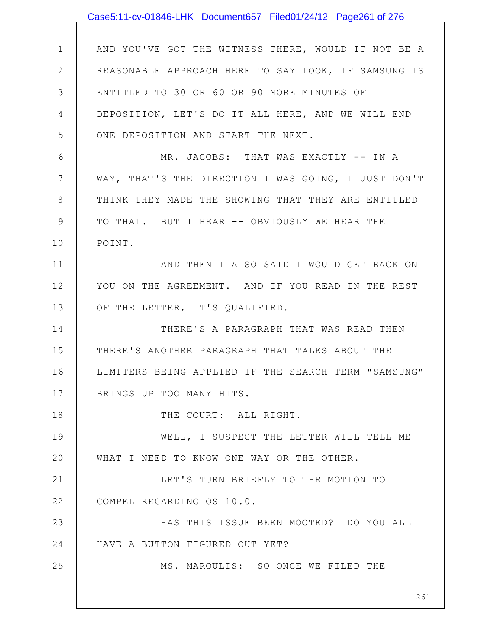|               | Case5:11-cv-01846-LHK Document657 Filed01/24/12 Page261 of 276 |
|---------------|----------------------------------------------------------------|
|               |                                                                |
| $\mathbf 1$   | AND YOU'VE GOT THE WITNESS THERE, WOULD IT NOT BE A            |
| $\mathbf{2}$  | REASONABLE APPROACH HERE TO SAY LOOK, IF SAMSUNG IS            |
| 3             | ENTITLED TO 30 OR 60 OR 90 MORE MINUTES OF                     |
| 4             | DEPOSITION, LET'S DO IT ALL HERE, AND WE WILL END              |
| 5             | ONE DEPOSITION AND START THE NEXT.                             |
| 6             | MR. JACOBS: THAT WAS EXACTLY -- IN A                           |
| 7             | WAY, THAT'S THE DIRECTION I WAS GOING, I JUST DON'T            |
| 8             | THINK THEY MADE THE SHOWING THAT THEY ARE ENTITLED             |
| $\mathcal{G}$ | TO THAT. BUT I HEAR -- OBVIOUSLY WE HEAR THE                   |
| 10            | POINT.                                                         |
| 11            | AND THEN I ALSO SAID I WOULD GET BACK ON                       |
| 12            | YOU ON THE AGREEMENT. AND IF YOU READ IN THE REST              |
| 13            | OF THE LETTER, IT'S QUALIFIED.                                 |
| 14            | THERE'S A PARAGRAPH THAT WAS READ THEN                         |
| 15            | THERE'S ANOTHER PARAGRAPH THAT TALKS ABOUT THE                 |
| 16            | LIMITERS BEING APPLIED IF THE SEARCH TERM "SAMSUNG"            |
| 17            | BRINGS UP TOO MANY HITS.                                       |
| 18            | THE COURT: ALL RIGHT.                                          |
| 19            | WELL, I SUSPECT THE LETTER WILL TELL ME                        |
| 20            | WHAT I NEED TO KNOW ONE WAY OR THE OTHER.                      |
| 21            | LET'S TURN BRIEFLY TO THE MOTION TO                            |
| 22            | COMPEL REGARDING OS 10.0.                                      |
| 23            | HAS THIS ISSUE BEEN MOOTED? DO YOU ALL                         |
| 24            | HAVE A BUTTON FIGURED OUT YET?                                 |
| 25            | MS. MAROULIS: SO ONCE WE FILED THE                             |
|               | 261                                                            |
|               |                                                                |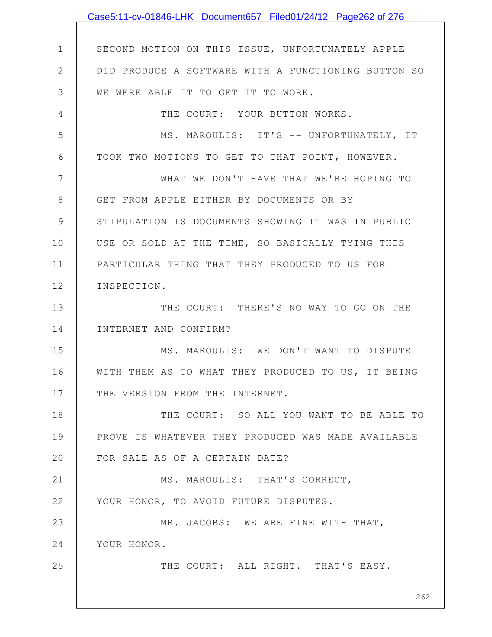|                | Case5:11-cv-01846-LHK Document657 Filed01/24/12 Page262 of 276 |
|----------------|----------------------------------------------------------------|
|                |                                                                |
| $\mathbf 1$    | SECOND MOTION ON THIS ISSUE, UNFORTUNATELY APPLE               |
| $\overline{2}$ | DID PRODUCE A SOFTWARE WITH A FUNCTIONING BUTTON SO            |
| 3              | WE WERE ABLE IT TO GET IT TO WORK.                             |
| 4              | THE COURT: YOUR BUTTON WORKS.                                  |
| 5              | MS. MAROULIS: IT'S -- UNFORTUNATELY, IT                        |
| 6              | TOOK TWO MOTIONS TO GET TO THAT POINT, HOWEVER.                |
| 7              | WHAT WE DON'T HAVE THAT WE'RE HOPING TO                        |
| 8              | GET FROM APPLE EITHER BY DOCUMENTS OR BY                       |
| 9              | STIPULATION IS DOCUMENTS SHOWING IT WAS IN PUBLIC              |
| 10             | USE OR SOLD AT THE TIME, SO BASICALLY TYING THIS               |
| 11             | PARTICULAR THING THAT THEY PRODUCED TO US FOR                  |
| 12             | INSPECTION.                                                    |
| 13             | THE COURT: THERE'S NO WAY TO GO ON THE                         |
| 14             | INTERNET AND CONFIRM?                                          |
| 15             | MS. MAROULIS: WE DON'T WANT TO DISPUTE                         |
| 16             | WITH THEM AS TO WHAT THEY PRODUCED TO US, IT BEING             |
| 17             | THE VERSION FROM THE INTERNET.                                 |
| 18             | THE COURT: SO ALL YOU WANT TO BE ABLE TO                       |
| 19             | PROVE IS WHATEVER THEY PRODUCED WAS MADE AVAILABLE             |
| 20             | FOR SALE AS OF A CERTAIN DATE?                                 |
| 21             | MS. MAROULIS: THAT'S CORRECT,                                  |
| 22             | YOUR HONOR, TO AVOID FUTURE DISPUTES.                          |
| 23             | MR. JACOBS: WE ARE FINE WITH THAT,                             |
| 24             | YOUR HONOR.                                                    |
| 25             | THE COURT: ALL RIGHT. THAT'S EASY.                             |
|                |                                                                |
|                | 262                                                            |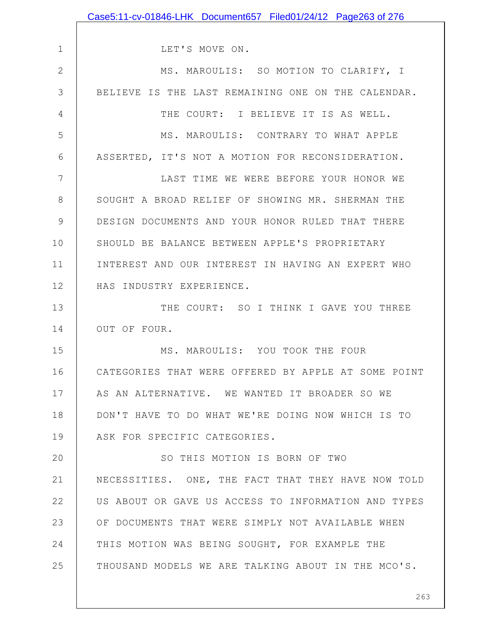|               | Case5:11-cv-01846-LHK Document657 Filed01/24/12 Page263 of 276 |
|---------------|----------------------------------------------------------------|
|               |                                                                |
| $\mathbf 1$   | LET'S MOVE ON.                                                 |
| $\mathbf{2}$  | MS. MAROULIS: SO MOTION TO CLARIFY, I                          |
| 3             | BELIEVE IS THE LAST REMAINING ONE ON THE CALENDAR.             |
| 4             | THE COURT: I BELIEVE IT IS AS WELL.                            |
| 5             | MS. MAROULIS: CONTRARY TO WHAT APPLE                           |
| 6             | ASSERTED, IT'S NOT A MOTION FOR RECONSIDERATION.               |
| 7             | LAST TIME WE WERE BEFORE YOUR HONOR WE                         |
| 8             | SOUGHT A BROAD RELIEF OF SHOWING MR. SHERMAN THE               |
| $\mathcal{G}$ | DESIGN DOCUMENTS AND YOUR HONOR RULED THAT THERE               |
| 10            | SHOULD BE BALANCE BETWEEN APPLE'S PROPRIETARY                  |
| 11            | INTEREST AND OUR INTEREST IN HAVING AN EXPERT WHO              |
| 12            | HAS INDUSTRY EXPERIENCE.                                       |
| 13            | THE COURT: SO I THINK I GAVE YOU THREE                         |
| 14            | OUT OF FOUR.                                                   |
| 15            | MS. MAROULIS: YOU TOOK THE FOUR                                |
| 16            | CATEGORIES THAT WERE OFFERED BY APPLE AT SOME POINT            |
| 17            | AS AN ALTERNATIVE. WE WANTED IT BROADER SO WE                  |
| 18            | DON'T HAVE TO DO WHAT WE'RE DOING NOW WHICH IS TO              |
| 19            | ASK FOR SPECIFIC CATEGORIES.                                   |
| 20            | SO THIS MOTION IS BORN OF TWO                                  |
| 21            | NECESSITIES. ONE, THE FACT THAT THEY HAVE NOW TOLD             |
| 22            | US ABOUT OR GAVE US ACCESS TO INFORMATION AND TYPES            |
| 23            | OF DOCUMENTS THAT WERE SIMPLY NOT AVAILABLE WHEN               |
| 24            | THIS MOTION WAS BEING SOUGHT, FOR EXAMPLE THE                  |
| 25            | THOUSAND MODELS WE ARE TALKING ABOUT IN THE MCO'S.             |
|               |                                                                |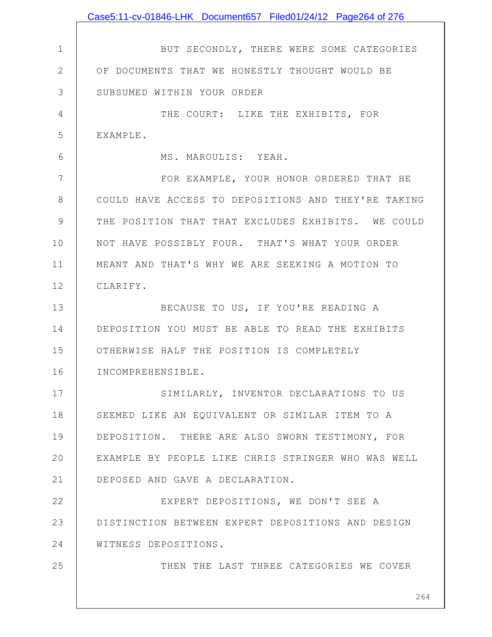|              | Case5:11-cv-01846-LHK Document657 Filed01/24/12 Page264 of 276 |
|--------------|----------------------------------------------------------------|
|              |                                                                |
| $\mathbf 1$  | BUT SECONDLY, THERE WERE SOME CATEGORIES                       |
| $\mathbf{2}$ | OF DOCUMENTS THAT WE HONESTLY THOUGHT WOULD BE                 |
| 3            | SUBSUMED WITHIN YOUR ORDER                                     |
| 4            | THE COURT: LIKE THE EXHIBITS, FOR                              |
| 5            | EXAMPLE.                                                       |
| 6            | MS. MAROULIS: YEAH.                                            |
| 7            | FOR EXAMPLE, YOUR HONOR ORDERED THAT HE                        |
| 8            | COULD HAVE ACCESS TO DEPOSITIONS AND THEY'RE TAKING            |
| 9            | THE POSITION THAT THAT EXCLUDES EXHIBITS. WE COULD             |
| 10           | NOT HAVE POSSIBLY FOUR. THAT'S WHAT YOUR ORDER                 |
| 11           | MEANT AND THAT'S WHY WE ARE SEEKING A MOTION TO                |
| 12           | CLARIFY.                                                       |
| 13           | BECAUSE TO US, IF YOU'RE READING A                             |
| 14           | DEPOSITION YOU MUST BE ABLE TO READ THE EXHIBITS               |
| 15           | OTHERWISE HALF THE POSITION IS COMPLETELY                      |
| 16           | INCOMPREHENSIBLE.                                              |
| 17           | SIMILARLY, INVENTOR DECLARATIONS TO US                         |
| 18           | SEEMED LIKE AN EQUIVALENT OR SIMILAR ITEM TO A                 |
| 19           | DEPOSITION. THERE ARE ALSO SWORN TESTIMONY, FOR                |
| 20           | EXAMPLE BY PEOPLE LIKE CHRIS STRINGER WHO WAS WELL             |
| 21           | DEPOSED AND GAVE A DECLARATION.                                |
| 22           | EXPERT DEPOSITIONS, WE DON'T SEE A                             |
| 23           | DISTINCTION BETWEEN EXPERT DEPOSITIONS AND DESIGN              |
| 24           | WITNESS DEPOSITIONS.                                           |
| 25           | THEN THE LAST THREE CATEGORIES WE COVER                        |
|              |                                                                |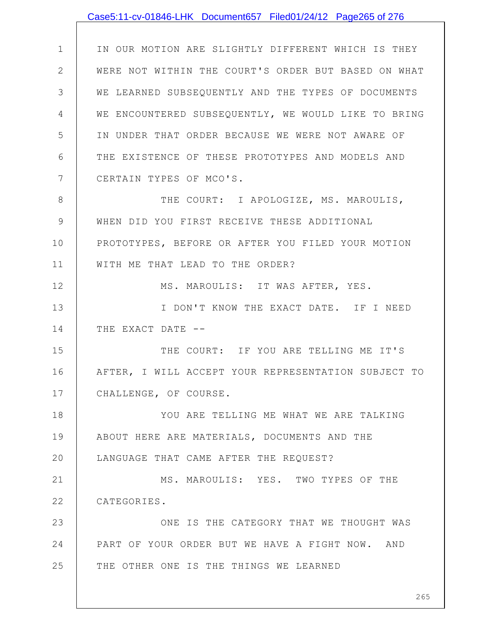|              | Case5:11-cv-01846-LHK Document657 Filed01/24/12 Page265 of 276 |
|--------------|----------------------------------------------------------------|
|              |                                                                |
| $\mathbf 1$  | IN OUR MOTION ARE SLIGHTLY DIFFERENT WHICH IS THEY             |
| $\mathbf{2}$ | WERE NOT WITHIN THE COURT'S ORDER BUT BASED ON WHAT            |
| 3            | WE LEARNED SUBSEQUENTLY AND THE TYPES OF DOCUMENTS             |
| 4            | WE ENCOUNTERED SUBSEQUENTLY, WE WOULD LIKE TO BRING            |
| 5            | IN UNDER THAT ORDER BECAUSE WE WERE NOT AWARE OF               |
| 6            | THE EXISTENCE OF THESE PROTOTYPES AND MODELS AND               |
| 7            | CERTAIN TYPES OF MCO'S.                                        |
| 8            | THE COURT: I APOLOGIZE, MS. MAROULIS,                          |
| 9            | WHEN DID YOU FIRST RECEIVE THESE ADDITIONAL                    |
| 10           | PROTOTYPES, BEFORE OR AFTER YOU FILED YOUR MOTION              |
| 11           | WITH ME THAT LEAD TO THE ORDER?                                |
| 12           | MS. MAROULIS: IT WAS AFTER, YES.                               |
| 13           | I DON'T KNOW THE EXACT DATE. IF I NEED                         |
| 14           | THE EXACT DATE --                                              |
| 15           | THE COURT: IF YOU ARE TELLING ME IT'S                          |
| 16           | AFTER, I WILL ACCEPT YOUR REPRESENTATION SUBJECT TO            |
| 17           | CHALLENGE, OF COURSE.                                          |
| 18           | YOU ARE TELLING ME WHAT WE ARE TALKING                         |
| 19           | ABOUT HERE ARE MATERIALS, DOCUMENTS AND THE                    |
| 20           | LANGUAGE THAT CAME AFTER THE REQUEST?                          |
| 21           | MS. MAROULIS: YES. TWO TYPES OF THE                            |
| 22           | CATEGORIES.                                                    |
| 23           | ONE IS THE CATEGORY THAT WE THOUGHT WAS                        |
| 24           | PART OF YOUR ORDER BUT WE HAVE A FIGHT NOW. AND                |
| 25           | THE OTHER ONE IS THE THINGS WE LEARNED                         |
|              |                                                                |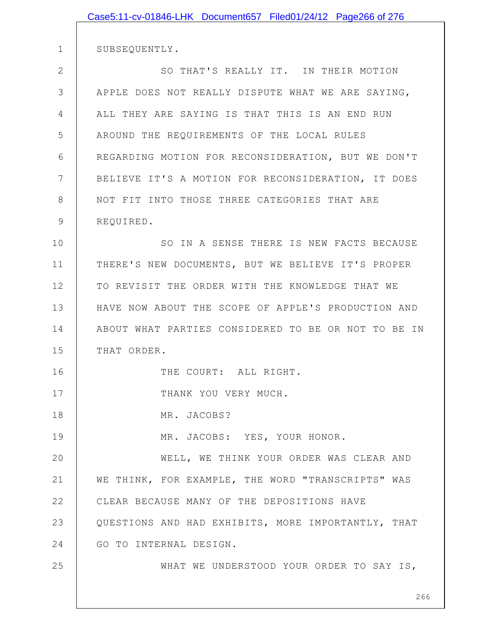|                | Case5:11-cv-01846-LHK Document657 Filed01/24/12 Page266 of 276 |
|----------------|----------------------------------------------------------------|
|                |                                                                |
| $\mathbf 1$    | SUBSEQUENTLY.                                                  |
| $\mathbf{2}$   | SO THAT'S REALLY IT. IN THEIR MOTION                           |
| 3              | APPLE DOES NOT REALLY DISPUTE WHAT WE ARE SAYING,              |
| $\overline{4}$ | ALL THEY ARE SAYING IS THAT THIS IS AN END RUN                 |
| 5              | AROUND THE REQUIREMENTS OF THE LOCAL RULES                     |
| 6              | REGARDING MOTION FOR RECONSIDERATION, BUT WE DON'T             |
| 7              | BELIEVE IT'S A MOTION FOR RECONSIDERATION, IT DOES             |
| 8              | NOT FIT INTO THOSE THREE CATEGORIES THAT ARE                   |
| 9              | REQUIRED.                                                      |
| 10             | SO IN A SENSE THERE IS NEW FACTS BECAUSE                       |
| 11             | THERE'S NEW DOCUMENTS, BUT WE BELIEVE IT'S PROPER              |
| 12             | TO REVISIT THE ORDER WITH THE KNOWLEDGE THAT WE                |
| 13             | HAVE NOW ABOUT THE SCOPE OF APPLE'S PRODUCTION AND             |
| 14             | ABOUT WHAT PARTIES CONSIDERED TO BE OR NOT TO BE IN            |
| 15             | THAT ORDER.                                                    |
| 16             | THE COURT: ALL RIGHT.                                          |
| 17             | THANK YOU VERY MUCH.                                           |
| 18             | MR. JACOBS?                                                    |
| 19             | MR. JACOBS: YES, YOUR HONOR.                                   |
| 20             | WELL, WE THINK YOUR ORDER WAS CLEAR AND                        |
| 21             | WE THINK, FOR EXAMPLE, THE WORD "TRANSCRIPTS" WAS              |
| 22             | CLEAR BECAUSE MANY OF THE DEPOSITIONS HAVE                     |
| 23             | QUESTIONS AND HAD EXHIBITS, MORE IMPORTANTLY, THAT             |
| 24             | GO TO INTERNAL DESIGN.                                         |
| 25             | WHAT WE UNDERSTOOD YOUR ORDER TO SAY IS,                       |
|                |                                                                |
|                | 26                                                             |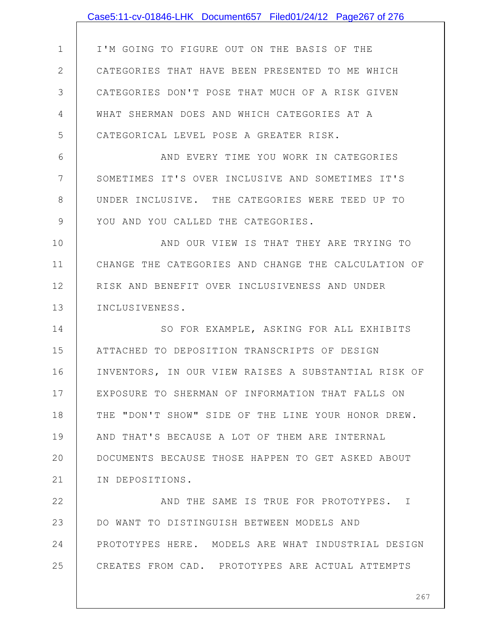|               | Case5:11-cv-01846-LHK Document657 Filed01/24/12 Page267 of 276 |
|---------------|----------------------------------------------------------------|
|               |                                                                |
| $\mathbf 1$   | I'M GOING TO FIGURE OUT ON THE BASIS OF THE                    |
| $\mathbf{2}$  | CATEGORIES THAT HAVE BEEN PRESENTED TO ME WHICH                |
| 3             | CATEGORIES DON'T POSE THAT MUCH OF A RISK GIVEN                |
| 4             | WHAT SHERMAN DOES AND WHICH CATEGORIES AT A                    |
| 5             | CATEGORICAL LEVEL POSE A GREATER RISK.                         |
| 6             | AND EVERY TIME YOU WORK IN CATEGORIES                          |
| 7             | SOMETIMES IT'S OVER INCLUSIVE AND SOMETIMES IT'S               |
| 8             | UNDER INCLUSIVE. THE CATEGORIES WERE TEED UP TO                |
| $\mathcal{G}$ | YOU AND YOU CALLED THE CATEGORIES.                             |
| 10            | AND OUR VIEW IS THAT THEY ARE TRYING TO                        |
| 11            | CHANGE THE CATEGORIES AND CHANGE THE CALCULATION OF            |
| 12            | RISK AND BENEFIT OVER INCLUSIVENESS AND UNDER                  |
| 13            | INCLUSIVENESS.                                                 |
| 14            | SO FOR EXAMPLE, ASKING FOR ALL EXHIBITS                        |
| 15            | ATTACHED TO DEPOSITION TRANSCRIPTS OF DESIGN                   |
| 16            | INVENTORS, IN OUR VIEW RAISES A SUBSTANTIAL RISK OF            |
| 17            | EXPOSURE TO SHERMAN OF INFORMATION THAT FALLS ON               |
| 18            | THE "DON'T SHOW" SIDE OF THE LINE YOUR HONOR DREW.             |
| 19            | AND THAT'S BECAUSE A LOT OF THEM ARE INTERNAL                  |
| 20            | DOCUMENTS BECAUSE THOSE HAPPEN TO GET ASKED ABOUT              |
| 21            | IN DEPOSITIONS.                                                |
| 22            | AND THE SAME IS TRUE FOR PROTOTYPES. I                         |
| 23            | DO WANT TO DISTINGUISH BETWEEN MODELS AND                      |
| 24            | PROTOTYPES HERE. MODELS ARE WHAT INDUSTRIAL DESIGN             |
| 25            | CREATES FROM CAD. PROTOTYPES ARE ACTUAL ATTEMPTS               |
|               |                                                                |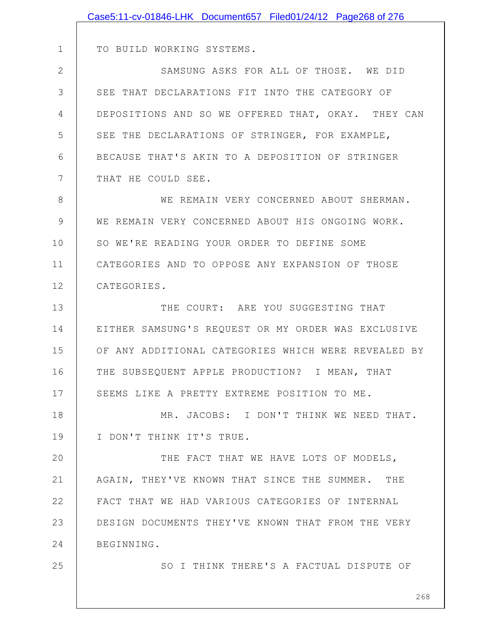|              | Case5:11-cv-01846-LHK Document657 Filed01/24/12 Page268 of 276 |
|--------------|----------------------------------------------------------------|
|              |                                                                |
| $\mathbf 1$  | TO BUILD WORKING SYSTEMS.                                      |
| $\mathbf{2}$ | SAMSUNG ASKS FOR ALL OF THOSE. WE DID                          |
| 3            | SEE THAT DECLARATIONS FIT INTO THE CATEGORY OF                 |
| 4            | DEPOSITIONS AND SO WE OFFERED THAT, OKAY. THEY CAN             |
| 5            | SEE THE DECLARATIONS OF STRINGER, FOR EXAMPLE,                 |
| 6            | BECAUSE THAT'S AKIN TO A DEPOSITION OF STRINGER                |
| 7            | THAT HE COULD SEE.                                             |
| 8            | WE REMAIN VERY CONCERNED ABOUT SHERMAN.                        |
| 9            | WE REMAIN VERY CONCERNED ABOUT HIS ONGOING WORK.               |
| 10           | SO WE'RE READING YOUR ORDER TO DEFINE SOME                     |
| 11           | CATEGORIES AND TO OPPOSE ANY EXPANSION OF THOSE                |
| 12           | CATEGORIES.                                                    |
| 13           | THE COURT: ARE YOU SUGGESTING THAT                             |
| 14           | EITHER SAMSUNG'S REQUEST OR MY ORDER WAS EXCLUSIVE             |
| 15           | OF ANY ADDITIONAL CATEGORIES WHICH WERE REVEALED BY            |
| 16           | THE SUBSEQUENT APPLE PRODUCTION? I MEAN, THAT                  |
| 17           | SEEMS LIKE A PRETTY EXTREME POSITION TO ME.                    |
| 18           | MR. JACOBS: I DON'T THINK WE NEED THAT.                        |
| 19           | I DON'T THINK IT'S TRUE.                                       |
| 20           | THE FACT THAT WE HAVE LOTS OF MODELS,                          |
| 21           | AGAIN, THEY'VE KNOWN THAT SINCE THE SUMMER. THE                |
| 22           | FACT THAT WE HAD VARIOUS CATEGORIES OF INTERNAL                |
| 23           | DESIGN DOCUMENTS THEY'VE KNOWN THAT FROM THE VERY              |
| 24           | BEGINNING.                                                     |
| 25           | SO I THINK THERE'S A FACTUAL DISPUTE OF                        |
|              |                                                                |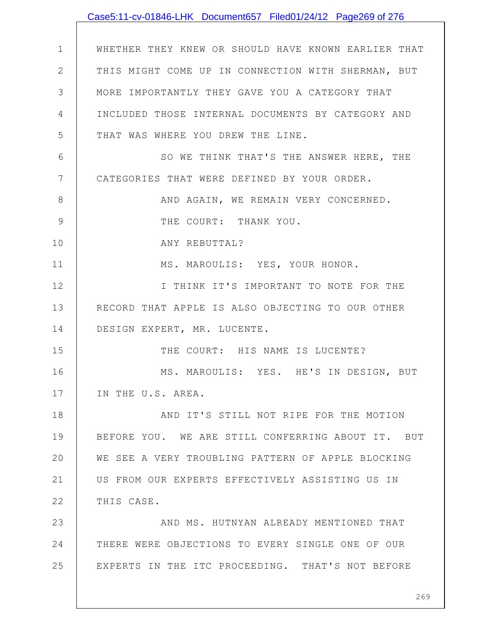|                | Case5:11-cv-01846-LHK Document657 Filed01/24/12 Page269 of 276 |
|----------------|----------------------------------------------------------------|
|                |                                                                |
| $\mathbf 1$    | WHETHER THEY KNEW OR SHOULD HAVE KNOWN EARLIER THAT            |
| $\overline{2}$ | THIS MIGHT COME UP IN CONNECTION WITH SHERMAN, BUT             |
| 3              | MORE IMPORTANTLY THEY GAVE YOU A CATEGORY THAT                 |
| 4              | INCLUDED THOSE INTERNAL DOCUMENTS BY CATEGORY AND              |
| 5              | THAT WAS WHERE YOU DREW THE LINE.                              |
| 6              | SO WE THINK THAT'S THE ANSWER HERE, THE                        |
| 7              | CATEGORIES THAT WERE DEFINED BY YOUR ORDER.                    |
| 8              | AND AGAIN, WE REMAIN VERY CONCERNED.                           |
| $\mathcal{G}$  | THE COURT: THANK YOU.                                          |
| 10             | ANY REBUTTAL?                                                  |
| 11             | MS. MAROULIS: YES, YOUR HONOR.                                 |
| 12             | I THINK IT'S IMPORTANT TO NOTE FOR THE                         |
| 13             | RECORD THAT APPLE IS ALSO OBJECTING TO OUR OTHER               |
| 14             | DESIGN EXPERT, MR. LUCENTE.                                    |
| 15             | THE COURT: HIS NAME IS LUCENTE?                                |
| 16             | MS. MAROULIS: YES. HE'S IN DESIGN, BUT                         |
| 17             | IN THE U.S. AREA.                                              |
| 18             | AND IT'S STILL NOT RIPE FOR THE MOTION                         |
| 19             | BEFORE YOU. WE ARE STILL CONFERRING ABOUT IT. BUT              |
| 20             | WE SEE A VERY TROUBLING PATTERN OF APPLE BLOCKING              |
| 21             | US FROM OUR EXPERTS EFFECTIVELY ASSISTING US IN                |
| 22             | THIS CASE.                                                     |
| 23             | AND MS. HUTNYAN ALREADY MENTIONED THAT                         |
| 24             | THERE WERE OBJECTIONS TO EVERY SINGLE ONE OF OUR               |
| 25             | EXPERTS IN THE ITC PROCEEDING. THAT'S NOT BEFORE               |
|                |                                                                |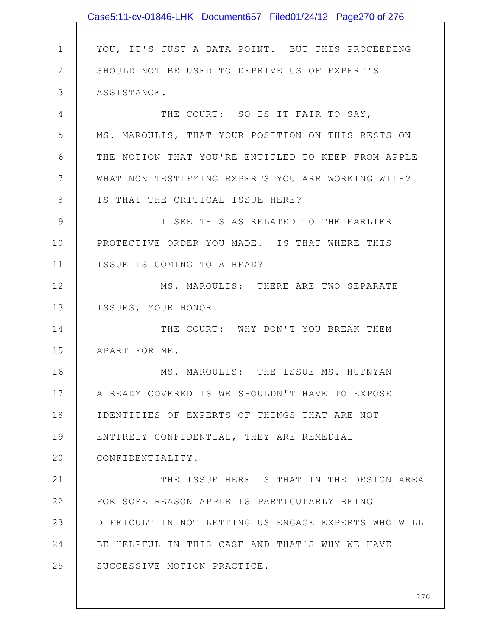|              | Case5:11-cv-01846-LHK Document657 Filed01/24/12 Page270 of 276 |
|--------------|----------------------------------------------------------------|
|              |                                                                |
| $\mathbf 1$  | YOU, IT'S JUST A DATA POINT. BUT THIS PROCEEDING               |
| $\mathbf{2}$ | SHOULD NOT BE USED TO DEPRIVE US OF EXPERT'S                   |
| 3            | ASSISTANCE.                                                    |
| 4            | THE COURT: SO IS IT FAIR TO SAY,                               |
| 5            | MS. MAROULIS, THAT YOUR POSITION ON THIS RESTS ON              |
| 6            | THE NOTION THAT YOU'RE ENTITLED TO KEEP FROM APPLE             |
| 7            | WHAT NON TESTIFYING EXPERTS YOU ARE WORKING WITH?              |
| $8\,$        | IS THAT THE CRITICAL ISSUE HERE?                               |
| $\mathsf 9$  | I SEE THIS AS RELATED TO THE EARLIER                           |
| 10           | PROTECTIVE ORDER YOU MADE. IS THAT WHERE THIS                  |
| 11           | ISSUE IS COMING TO A HEAD?                                     |
| 12           | MS. MAROULIS: THERE ARE TWO SEPARATE                           |
| 13           | ISSUES, YOUR HONOR.                                            |
| 14           | THE COURT: WHY DON'T YOU BREAK THEM                            |
| 15           | APART FOR ME.                                                  |
| 16           | MS. MAROULIS: THE ISSUE MS. HUTNYAN                            |
| 17           | ALREADY COVERED IS WE SHOULDN'T HAVE TO EXPOSE                 |
| 18           | IDENTITIES OF EXPERTS OF THINGS THAT ARE NOT                   |
| 19           | ENTIRELY CONFIDENTIAL, THEY ARE REMEDIAL                       |
| 20           | CONFIDENTIALITY.                                               |
| 21           | THE ISSUE HERE IS THAT IN THE DESIGN AREA                      |
| 22           | FOR SOME REASON APPLE IS PARTICULARLY BEING                    |
| 23           | DIFFICULT IN NOT LETTING US ENGAGE EXPERTS WHO WILL            |
| 24           | BE HELPFUL IN THIS CASE AND THAT'S WHY WE HAVE                 |
| 25           | SUCCESSIVE MOTION PRACTICE.                                    |
|              |                                                                |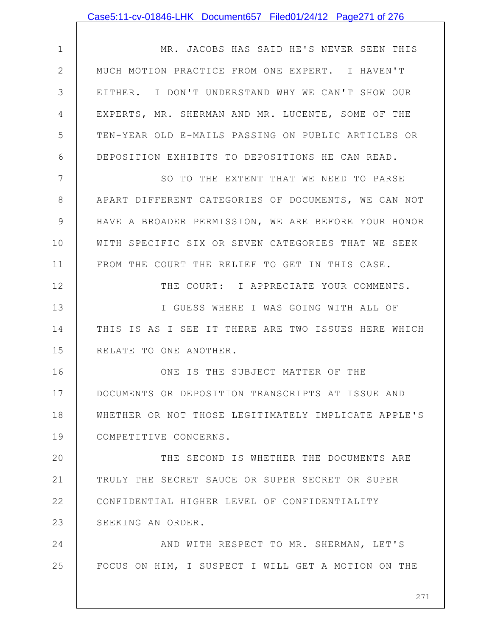## Case5:11-cv-01846-LHK Document657 Filed01/24/12 Page271 of 276

1 2 3 4 5 6 MR. JACOBS HAS SAID HE'S NEVER SEEN THIS MUCH MOTION PRACTICE FROM ONE EXPERT. I HAVEN'T EITHER. I DON'T UNDERSTAND WHY WE CAN'T SHOW OUR EXPERTS, MR. SHERMAN AND MR. LUCENTE, SOME OF THE TEN-YEAR OLD E-MAILS PASSING ON PUBLIC ARTICLES OR DEPOSITION EXHIBITS TO DEPOSITIONS HE CAN READ.

7 8 9 10 11 SO TO THE EXTENT THAT WE NEED TO PARSE APART DIFFERENT CATEGORIES OF DOCUMENTS, WE CAN NOT HAVE A BROADER PERMISSION, WE ARE BEFORE YOUR HONOR WITH SPECIFIC SIX OR SEVEN CATEGORIES THAT WE SEEK FROM THE COURT THE RELIEF TO GET IN THIS CASE.

12 13 14 15 THE COURT: I APPRECIATE YOUR COMMENTS. I GUESS WHERE I WAS GOING WITH ALL OF THIS IS AS I SEE IT THERE ARE TWO ISSUES HERE WHICH RELATE TO ONE ANOTHER.

16 17 18 19 ONE IS THE SUBJECT MATTER OF THE DOCUMENTS OR DEPOSITION TRANSCRIPTS AT ISSUE AND WHETHER OR NOT THOSE LEGITIMATELY IMPLICATE APPLE'S COMPETITIVE CONCERNS.

20 21 22 23 THE SECOND IS WHETHER THE DOCUMENTS ARE TRULY THE SECRET SAUCE OR SUPER SECRET OR SUPER CONFIDENTIAL HIGHER LEVEL OF CONFIDENTIALITY SEEKING AN ORDER.

24 25 AND WITH RESPECT TO MR. SHERMAN, LET'S FOCUS ON HIM, I SUSPECT I WILL GET A MOTION ON THE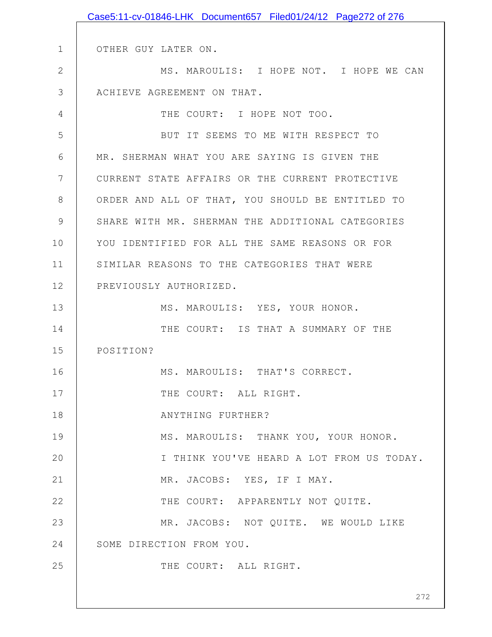|                | Case5:11-cv-01846-LHK Document657 Filed01/24/12 Page272 of 276 |
|----------------|----------------------------------------------------------------|
|                |                                                                |
| $\mathbf 1$    | OTHER GUY LATER ON.                                            |
| $\mathbf{2}$   | MS. MAROULIS: I HOPE NOT. I HOPE WE CAN                        |
| 3              | ACHIEVE AGREEMENT ON THAT.                                     |
| $\overline{4}$ | THE COURT: I HOPE NOT TOO.                                     |
| 5              | BUT IT SEEMS TO ME WITH RESPECT TO                             |
| 6              | MR. SHERMAN WHAT YOU ARE SAYING IS GIVEN THE                   |
| 7              | CURRENT STATE AFFAIRS OR THE CURRENT PROTECTIVE                |
| 8              | ORDER AND ALL OF THAT, YOU SHOULD BE ENTITLED TO               |
| 9              | SHARE WITH MR. SHERMAN THE ADDITIONAL CATEGORIES               |
| 10             | YOU IDENTIFIED FOR ALL THE SAME REASONS OR FOR                 |
| 11             | SIMILAR REASONS TO THE CATEGORIES THAT WERE                    |
| 12             | PREVIOUSLY AUTHORIZED.                                         |
| 13             | MS. MAROULIS: YES, YOUR HONOR.                                 |
| 14             | THE COURT: IS THAT A SUMMARY OF THE                            |
| 15             | POSITION?                                                      |
| 16             | MS. MAROULIS: THAT'S CORRECT.                                  |
| 17             | THE COURT: ALL RIGHT.                                          |
| 18             | ANYTHING FURTHER?                                              |
| 19             | MS. MAROULIS: THANK YOU, YOUR HONOR.                           |
| 20             | I THINK YOU'VE HEARD A LOT FROM US TODAY.                      |
| 21             | MR. JACOBS: YES, IF I MAY.                                     |
| 22             | THE COURT: APPARENTLY NOT QUITE.                               |
| 23             | MR. JACOBS: NOT QUITE. WE WOULD LIKE                           |
| 24             | SOME DIRECTION FROM YOU.                                       |
| 25             | THE COURT: ALL RIGHT.                                          |
|                |                                                                |
|                | 272                                                            |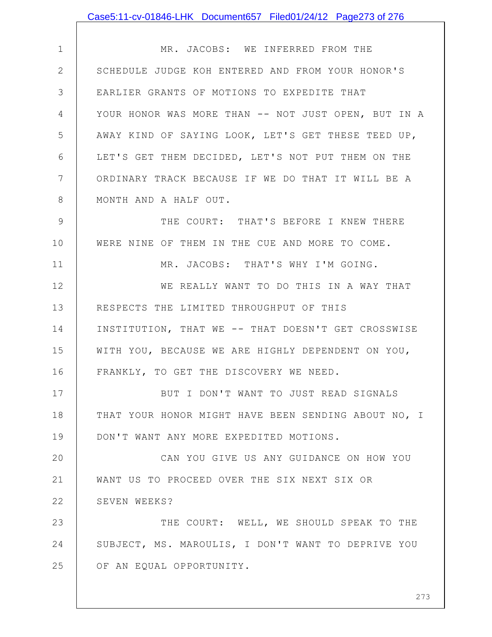|                | Case5:11-cv-01846-LHK Document657 Filed01/24/12 Page273 of 276 |
|----------------|----------------------------------------------------------------|
|                |                                                                |
| $\mathbf 1$    | MR. JACOBS: WE INFERRED FROM THE                               |
| $\mathbf{2}$   | SCHEDULE JUDGE KOH ENTERED AND FROM YOUR HONOR'S               |
| 3              | EARLIER GRANTS OF MOTIONS TO EXPEDITE THAT                     |
| $\overline{4}$ | YOUR HONOR WAS MORE THAN -- NOT JUST OPEN, BUT IN A            |
| 5              | AWAY KIND OF SAYING LOOK, LET'S GET THESE TEED UP,             |
| 6              | LET'S GET THEM DECIDED, LET'S NOT PUT THEM ON THE              |
| 7              | ORDINARY TRACK BECAUSE IF WE DO THAT IT WILL BE A              |
| 8              | MONTH AND A HALF OUT.                                          |
| $\mathcal{G}$  | THE COURT: THAT'S BEFORE I KNEW THERE                          |
| 10             | WERE NINE OF THEM IN THE CUE AND MORE TO COME.                 |
| 11             | MR. JACOBS: THAT'S WHY I'M GOING.                              |
| 12             | WE REALLY WANT TO DO THIS IN A WAY THAT                        |
| 13             | RESPECTS THE LIMITED THROUGHPUT OF THIS                        |
| 14             | INSTITUTION, THAT WE -- THAT DOESN'T GET CROSSWISE             |
| 15             | WITH YOU, BECAUSE WE ARE HIGHLY DEPENDENT ON YOU,              |
| 16             | FRANKLY, TO GET THE DISCOVERY WE NEED.                         |
| 17             | BUT I DON'T WANT TO JUST READ SIGNALS                          |
| 18             | THAT YOUR HONOR MIGHT HAVE BEEN SENDING ABOUT NO, I            |
| 19             | DON'T WANT ANY MORE EXPEDITED MOTIONS.                         |
| 20             | CAN YOU GIVE US ANY GUIDANCE ON HOW YOU                        |
| 21             | WANT US TO PROCEED OVER THE SIX NEXT SIX OR                    |
| 22             | SEVEN WEEKS?                                                   |
| 23             | THE COURT: WELL, WE SHOULD SPEAK TO THE                        |
| 24             | SUBJECT, MS. MAROULIS, I DON'T WANT TO DEPRIVE YOU             |
| 25             | OF AN EQUAL OPPORTUNITY.                                       |
|                |                                                                |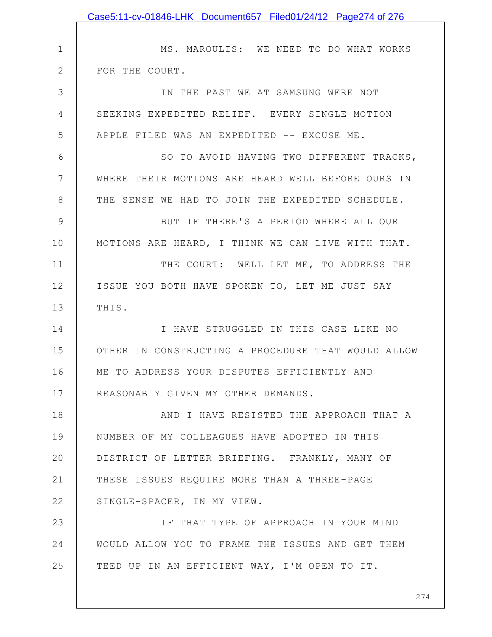|               | Case5:11-cv-01846-LHK Document657 Filed01/24/12 Page274 of 276 |
|---------------|----------------------------------------------------------------|
|               |                                                                |
| $\mathbf 1$   | MS. MAROULIS: WE NEED TO DO WHAT WORKS                         |
| $\mathbf{2}$  | FOR THE COURT.                                                 |
| 3             | IN THE PAST WE AT SAMSUNG WERE NOT                             |
| 4             | SEEKING EXPEDITED RELIEF. EVERY SINGLE MOTION                  |
| 5             | APPLE FILED WAS AN EXPEDITED -- EXCUSE ME.                     |
| 6             | SO TO AVOID HAVING TWO DIFFERENT TRACKS,                       |
| 7             | WHERE THEIR MOTIONS ARE HEARD WELL BEFORE OURS IN              |
| 8             | THE SENSE WE HAD TO JOIN THE EXPEDITED SCHEDULE.               |
| $\mathcal{G}$ | BUT IF THERE'S A PERIOD WHERE ALL OUR                          |
| 10            | MOTIONS ARE HEARD, I THINK WE CAN LIVE WITH THAT.              |
| 11            | THE COURT: WELL LET ME, TO ADDRESS THE                         |
| 12            | ISSUE YOU BOTH HAVE SPOKEN TO, LET ME JUST SAY                 |
| 13            | THIS.                                                          |
| 14            | I HAVE STRUGGLED IN THIS CASE LIKE NO                          |
| 15            | OTHER IN CONSTRUCTING A PROCEDURE THAT WOULD ALLOW             |
| 16            | ME TO ADDRESS YOUR DISPUTES EFFICIENTLY AND                    |
| 17            | REASONABLY GIVEN MY OTHER DEMANDS.                             |
| 18            | AND I HAVE RESISTED THE APPROACH THAT A                        |
| 19            | NUMBER OF MY COLLEAGUES HAVE ADOPTED IN THIS                   |
| 20            | DISTRICT OF LETTER BRIEFING. FRANKLY, MANY OF                  |
| 21            | THESE ISSUES REQUIRE MORE THAN A THREE-PAGE                    |
| 22            | SINGLE-SPACER, IN MY VIEW.                                     |
| 23            | IF THAT TYPE OF APPROACH IN YOUR MIND                          |
| 24            | WOULD ALLOW YOU TO FRAME THE ISSUES AND GET THEM               |
| 25            | TEED UP IN AN EFFICIENT WAY, I'M OPEN TO IT.                   |
|               |                                                                |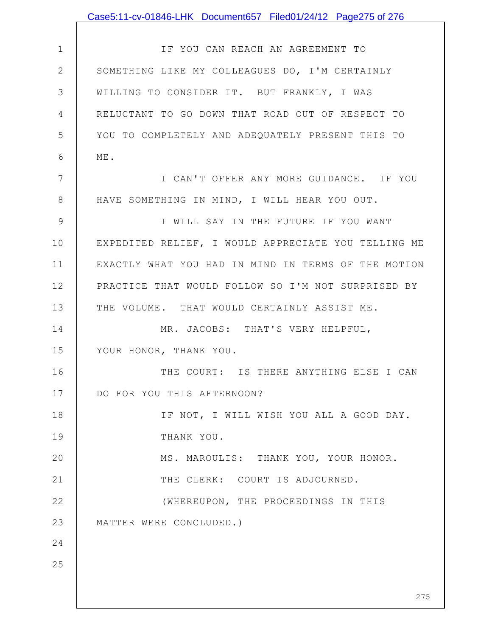|               | Case5:11-cv-01846-LHK Document657 Filed01/24/12 Page275 of 276 |
|---------------|----------------------------------------------------------------|
|               |                                                                |
| $\mathbf 1$   | IF YOU CAN REACH AN AGREEMENT TO                               |
| $\mathbf{2}$  | SOMETHING LIKE MY COLLEAGUES DO, I'M CERTAINLY                 |
| 3             | WILLING TO CONSIDER IT. BUT FRANKLY, I WAS                     |
| 4             | RELUCTANT TO GO DOWN THAT ROAD OUT OF RESPECT TO               |
| 5             | YOU TO COMPLETELY AND ADEQUATELY PRESENT THIS TO               |
| 6             | ME.                                                            |
| 7             | I CAN'T OFFER ANY MORE GUIDANCE. IF YOU                        |
| $8\,$         | HAVE SOMETHING IN MIND, I WILL HEAR YOU OUT.                   |
| $\mathcal{G}$ | I WILL SAY IN THE FUTURE IF YOU WANT                           |
| 10            | EXPEDITED RELIEF, I WOULD APPRECIATE YOU TELLING ME            |
| 11            | EXACTLY WHAT YOU HAD IN MIND IN TERMS OF THE MOTION            |
| 12            | PRACTICE THAT WOULD FOLLOW SO I'M NOT SURPRISED BY             |
| 13            | THE VOLUME. THAT WOULD CERTAINLY ASSIST ME.                    |
| 14            | MR. JACOBS: THAT'S VERY HELPFUL,                               |
| 15            | YOUR HONOR, THANK YOU.                                         |
| 16            | THE COURT: IS THERE ANYTHING ELSE I CAN                        |
| 17            | DO FOR YOU THIS AFTERNOON?                                     |
| 18            | IF NOT, I WILL WISH YOU ALL A GOOD DAY.                        |
| 19            | THANK YOU.                                                     |
| 20            | MS. MAROULIS: THANK YOU, YOUR HONOR.                           |
| 21            | THE CLERK: COURT IS ADJOURNED.                                 |
| 22            | (WHEREUPON, THE PROCEEDINGS IN THIS                            |
| 23            | MATTER WERE CONCLUDED.)                                        |
| 24            |                                                                |
| 25            |                                                                |
|               |                                                                |
|               | 275                                                            |